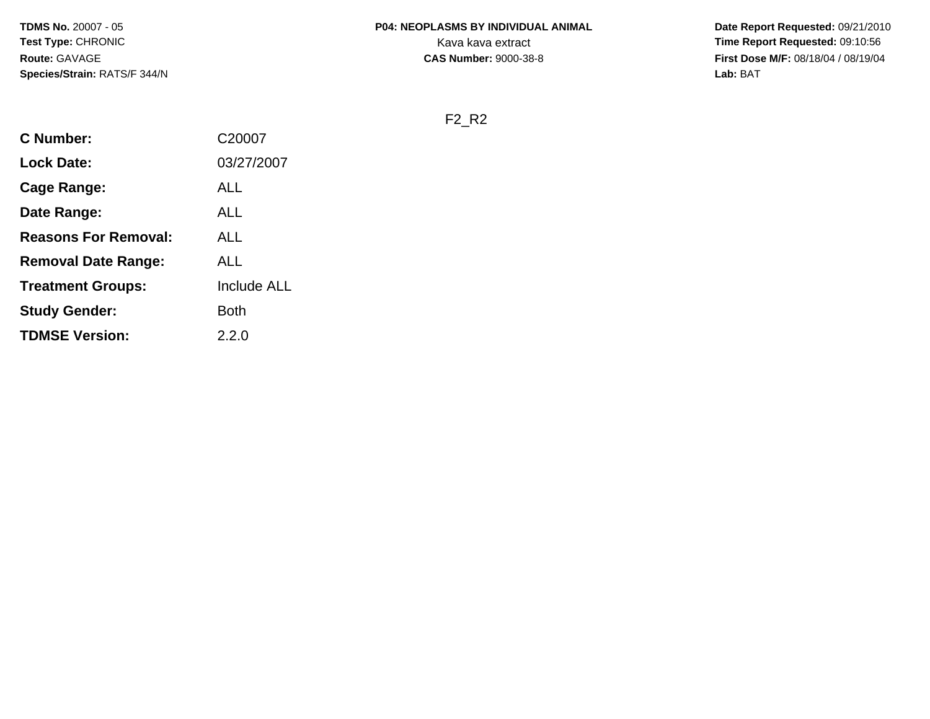**Date Report Requested:** 09/21/2010 **First Dose M/F:** 08/18/04 / 08/19/04 Lab: BAT **Lab:** BAT

F2\_R2

| <b>C</b> Number:            | C20007             |
|-----------------------------|--------------------|
| <b>Lock Date:</b>           | 03/27/2007         |
| Cage Range:                 | ALL                |
| Date Range:                 | ALL                |
| <b>Reasons For Removal:</b> | ALL                |
| <b>Removal Date Range:</b>  | ALL                |
| <b>Treatment Groups:</b>    | <b>Include ALL</b> |
| <b>Study Gender:</b>        | <b>Both</b>        |
| <b>TDMSE Version:</b>       | 2.2.0              |
|                             |                    |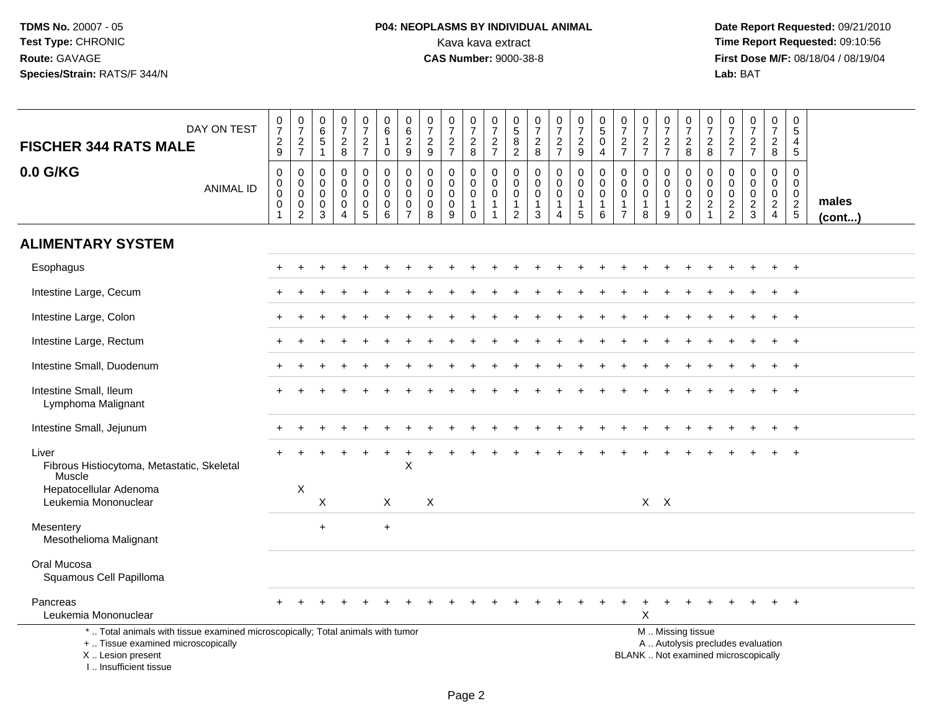## **P04: NEOPLASMS BY INDIVIDUAL ANIMAL**Kava kava extract **Time Report Requested:** 09:10:56<br>**CAS Number:** 9000-38-8 **CAS Number:** 9000-38-8

| DAY ON TEST<br><b>FISCHER 344 RATS MALE</b>                                                                                                                           | $\frac{0}{7}$<br>$\frac{2}{9}$                                           | $\frac{0}{7}$<br>$\frac{2}{7}$                     | $\pmb{0}$<br>$\overline{6}$<br>$\mathbf 5$<br>$\mathbf{1}$    | $\frac{0}{7}$<br>$\frac{2}{8}$                       | $\begin{array}{c} 0 \\ 7 \end{array}$<br>$\frac{2}{7}$                 | $\mathbf 0$<br>$\overline{6}$<br>$\mathbf{1}$<br>$\mathbf 0$  | 0<br>$\overline{6}$<br>$\overline{\mathbf{c}}$<br>$9\,$          | $\begin{smallmatrix}0\\7\end{smallmatrix}$<br>$\frac{2}{9}$ | $\frac{0}{7}$<br>$\frac{2}{7}$          | $\frac{0}{7}$<br>$_{8}^2$                          | $\begin{array}{c} 0 \\ 7 \end{array}$<br>$\frac{2}{7}$           | 0<br>$\overline{5}$<br>$\frac{8}{2}$                 | $\frac{0}{7}$<br>$\sqrt{2}$<br>8                                    | $\frac{0}{7}$<br>$\frac{2}{7}$  | $\begin{smallmatrix}0\\7\end{smallmatrix}$<br>$\boldsymbol{2}$<br>9 | $\begin{array}{c} 0 \\ 5 \end{array}$<br>$\pmb{0}$<br>$\overline{4}$ | $\begin{smallmatrix}0\\7\end{smallmatrix}$<br>$rac{2}{7}$  | $\frac{0}{7}$<br>$\frac{2}{7}$                       | $\frac{0}{7}$<br>$\frac{2}{7}$                       | $\frac{0}{7}$<br>$_{8}^2$                   | $\frac{0}{7}$<br>$\overline{c}$<br>8                              | 0<br>$\overline{7}$<br>$\frac{2}{7}$             | $\begin{array}{c} 0 \\ 7 \end{array}$<br>$\frac{2}{7}$                   | $\pmb{0}$<br>$\overline{7}$<br>$\overline{a}$<br>8              | $\mathbf 0$<br>$\overline{5}$<br>$\overline{4}$<br>5       |                 |
|-----------------------------------------------------------------------------------------------------------------------------------------------------------------------|--------------------------------------------------------------------------|----------------------------------------------------|---------------------------------------------------------------|------------------------------------------------------|------------------------------------------------------------------------|---------------------------------------------------------------|------------------------------------------------------------------|-------------------------------------------------------------|-----------------------------------------|----------------------------------------------------|------------------------------------------------------------------|------------------------------------------------------|---------------------------------------------------------------------|---------------------------------|---------------------------------------------------------------------|----------------------------------------------------------------------|------------------------------------------------------------|------------------------------------------------------|------------------------------------------------------|---------------------------------------------|-------------------------------------------------------------------|--------------------------------------------------|--------------------------------------------------------------------------|-----------------------------------------------------------------|------------------------------------------------------------|-----------------|
| 0.0 G/KG<br><b>ANIMAL ID</b>                                                                                                                                          | $\mathbf 0$<br>$\pmb{0}$<br>$\mathbf 0$<br>$\mathbf 0$<br>$\overline{1}$ | 0<br>$\pmb{0}$<br>0<br>$\pmb{0}$<br>$\overline{2}$ | $\mathbf 0$<br>$\mathbf 0$<br>$\mathbf 0$<br>$\mathbf 0$<br>3 | 0<br>$\mathbf 0$<br>0<br>$\pmb{0}$<br>$\overline{4}$ | 0<br>$\pmb{0}$<br>$\mathbf 0$<br>$\begin{array}{c} 0 \\ 5 \end{array}$ | $\mathbf 0$<br>$\mathbf 0$<br>$\mathbf 0$<br>$\mathbf 0$<br>6 | 0<br>$\mathbf 0$<br>$\mathbf 0$<br>$\mathbf 0$<br>$\overline{7}$ | 0<br>$\mathbf 0$<br>$\mathbf 0$<br>$\pmb{0}$<br>8           | 0<br>$\mathbf 0$<br>0<br>$\pmb{0}$<br>9 | 0<br>$\mathsf{O}\xspace$<br>0<br>$\mathbf{1}$<br>0 | $\mathbf 0$<br>$\mathbf 0$<br>$\mathbf 0$<br>$\overline{1}$<br>1 | 0<br>$\Omega$<br>0<br>$\mathbf{1}$<br>$\overline{2}$ | $\mathbf 0$<br>$\Omega$<br>$\Omega$<br>$\mathbf{1}$<br>$\mathbf{3}$ | 0<br>$\mathbf 0$<br>0<br>1<br>4 | $\mathbf 0$<br>$\mathbf 0$<br>$\mathbf 0$<br>$\mathbf{1}$<br>5      | $\mathbf 0$<br>$\mathbf 0$<br>0<br>1<br>6                            | $\mathbf 0$<br>$\mathbf 0$<br>$\mathbf 0$<br>$\frac{1}{7}$ | 0<br>$\mathbf 0$<br>$\mathbf 0$<br>$\mathbf{1}$<br>8 | 0<br>$\mathbf 0$<br>$\mathbf 0$<br>$\mathbf{1}$<br>9 | 0<br>$\mathsf{O}\xspace$<br>0<br>$_{0}^{2}$ | 0<br>$\mathbf 0$<br>$\mathbf 0$<br>$\overline{c}$<br>$\mathbf{1}$ | $\mathbf 0$<br>$\mathbf 0$<br>0<br>$\frac{2}{2}$ | $\mathbf 0$<br>$\mathbf 0$<br>$\mathbf 0$<br>$\frac{2}{3}$               | 0<br>$\mathbf 0$<br>$\mathbf 0$<br>$\sqrt{2}$<br>$\overline{4}$ | $\mathbf 0$<br>$\mathbf 0$<br>$\mathbf 0$<br>$\frac{2}{5}$ | males<br>(cont) |
| <b>ALIMENTARY SYSTEM</b>                                                                                                                                              |                                                                          |                                                    |                                                               |                                                      |                                                                        |                                                               |                                                                  |                                                             |                                         |                                                    |                                                                  |                                                      |                                                                     |                                 |                                                                     |                                                                      |                                                            |                                                      |                                                      |                                             |                                                                   |                                                  |                                                                          |                                                                 |                                                            |                 |
| Esophagus                                                                                                                                                             |                                                                          |                                                    |                                                               |                                                      |                                                                        |                                                               |                                                                  |                                                             |                                         |                                                    |                                                                  |                                                      |                                                                     |                                 |                                                                     |                                                                      |                                                            |                                                      |                                                      |                                             |                                                                   |                                                  |                                                                          |                                                                 | $\ddot{}$                                                  |                 |
| Intestine Large, Cecum                                                                                                                                                |                                                                          |                                                    |                                                               |                                                      |                                                                        |                                                               |                                                                  |                                                             |                                         |                                                    |                                                                  |                                                      |                                                                     |                                 |                                                                     |                                                                      |                                                            |                                                      |                                                      |                                             |                                                                   |                                                  |                                                                          |                                                                 | $\ddot{}$                                                  |                 |
| Intestine Large, Colon                                                                                                                                                |                                                                          |                                                    |                                                               |                                                      |                                                                        |                                                               |                                                                  |                                                             |                                         |                                                    |                                                                  |                                                      |                                                                     |                                 |                                                                     |                                                                      |                                                            |                                                      |                                                      |                                             |                                                                   |                                                  |                                                                          |                                                                 | $\overline{1}$                                             |                 |
| Intestine Large, Rectum                                                                                                                                               |                                                                          |                                                    |                                                               |                                                      |                                                                        |                                                               |                                                                  |                                                             |                                         |                                                    |                                                                  |                                                      |                                                                     |                                 |                                                                     |                                                                      |                                                            |                                                      |                                                      |                                             |                                                                   |                                                  |                                                                          |                                                                 |                                                            |                 |
| Intestine Small, Duodenum                                                                                                                                             |                                                                          |                                                    |                                                               |                                                      |                                                                        |                                                               |                                                                  |                                                             |                                         |                                                    |                                                                  |                                                      |                                                                     |                                 |                                                                     |                                                                      |                                                            |                                                      |                                                      |                                             |                                                                   |                                                  |                                                                          |                                                                 |                                                            |                 |
| Intestine Small, Ileum<br>Lymphoma Malignant                                                                                                                          |                                                                          |                                                    |                                                               |                                                      |                                                                        |                                                               |                                                                  |                                                             |                                         |                                                    |                                                                  |                                                      |                                                                     |                                 |                                                                     |                                                                      |                                                            |                                                      |                                                      |                                             |                                                                   |                                                  |                                                                          |                                                                 |                                                            |                 |
| Intestine Small, Jejunum                                                                                                                                              |                                                                          |                                                    |                                                               |                                                      |                                                                        |                                                               |                                                                  |                                                             |                                         |                                                    |                                                                  |                                                      |                                                                     |                                 |                                                                     |                                                                      |                                                            |                                                      |                                                      |                                             |                                                                   |                                                  |                                                                          |                                                                 | $+$                                                        |                 |
| Liver<br>Fibrous Histiocytoma, Metastatic, Skeletal<br>Muscle                                                                                                         |                                                                          |                                                    |                                                               |                                                      |                                                                        |                                                               | Χ                                                                |                                                             |                                         |                                                    |                                                                  |                                                      |                                                                     |                                 |                                                                     |                                                                      |                                                            |                                                      |                                                      |                                             |                                                                   |                                                  |                                                                          |                                                                 |                                                            |                 |
| Hepatocellular Adenoma<br>Leukemia Mononuclear                                                                                                                        |                                                                          | X                                                  | X                                                             |                                                      |                                                                        | $\times$                                                      |                                                                  | $\sf X$                                                     |                                         |                                                    |                                                                  |                                                      |                                                                     |                                 |                                                                     |                                                                      |                                                            | $X$ $X$                                              |                                                      |                                             |                                                                   |                                                  |                                                                          |                                                                 |                                                            |                 |
| Mesentery<br>Mesothelioma Malignant                                                                                                                                   |                                                                          |                                                    | $+$                                                           |                                                      |                                                                        | $\ddot{}$                                                     |                                                                  |                                                             |                                         |                                                    |                                                                  |                                                      |                                                                     |                                 |                                                                     |                                                                      |                                                            |                                                      |                                                      |                                             |                                                                   |                                                  |                                                                          |                                                                 |                                                            |                 |
| Oral Mucosa<br>Squamous Cell Papilloma                                                                                                                                |                                                                          |                                                    |                                                               |                                                      |                                                                        |                                                               |                                                                  |                                                             |                                         |                                                    |                                                                  |                                                      |                                                                     |                                 |                                                                     |                                                                      |                                                            |                                                      |                                                      |                                             |                                                                   |                                                  |                                                                          |                                                                 |                                                            |                 |
| Pancreas<br>Leukemia Mononuclear                                                                                                                                      |                                                                          |                                                    |                                                               |                                                      |                                                                        |                                                               |                                                                  |                                                             |                                         |                                                    |                                                                  |                                                      |                                                                     |                                 |                                                                     |                                                                      |                                                            | X                                                    |                                                      |                                             |                                                                   |                                                  |                                                                          |                                                                 | $+$                                                        |                 |
| *  Total animals with tissue examined microscopically; Total animals with tumor<br>+  Tissue examined microscopically<br>X  Lesion present<br>I., Insufficient tissue |                                                                          |                                                    |                                                               |                                                      |                                                                        |                                                               |                                                                  |                                                             |                                         |                                                    |                                                                  |                                                      |                                                                     |                                 |                                                                     |                                                                      |                                                            |                                                      |                                                      | M  Missing tissue                           |                                                                   |                                                  | A  Autolysis precludes evaluation<br>BLANK  Not examined microscopically |                                                                 |                                                            |                 |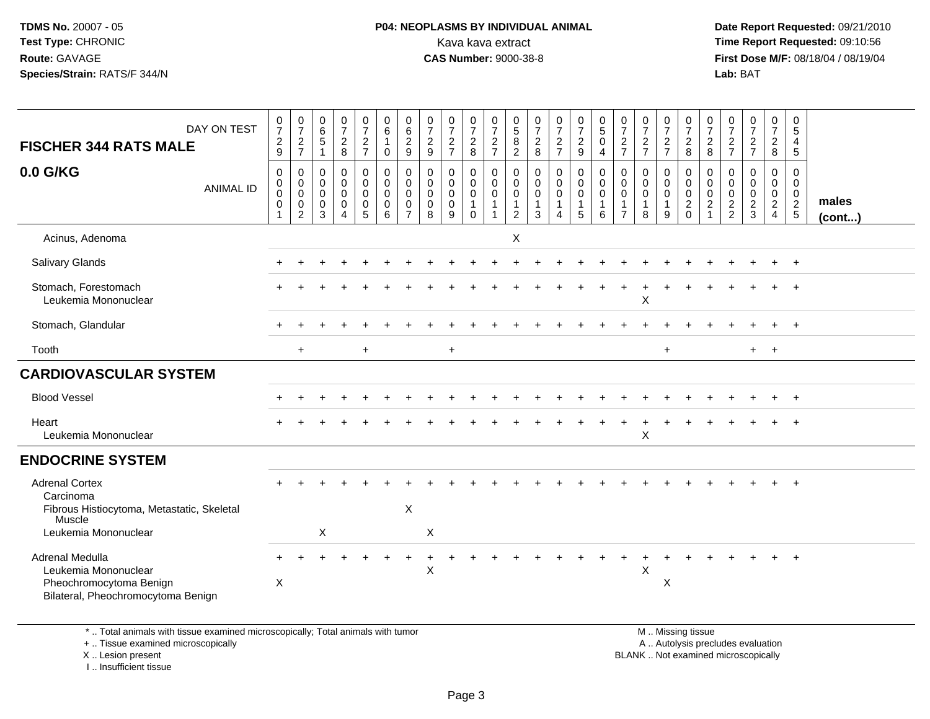#### **P04: NEOPLASMS BY INDIVIDUAL ANIMAL**<br>Kava kava extract Kava kava extract **Time Report Requested:** 09:10:56<br>**CAS Number:** 9000-38-8<br>**Tirst Dose M/F:** 08/18/04 / 08/19/04

 **Date Report Requested:** 09/21/2010 **First Dose M/F:** 08/18/04 / 08/19/04 Lab: BAT **Lab:** BAT

| DAY ON TEST<br><b>FISCHER 344 RATS MALE</b>                                                                        | $\begin{smallmatrix}0\\7\end{smallmatrix}$<br>$\overline{c}$<br>9 | $\frac{0}{7}$<br>$\frac{2}{7}$                                   | $\begin{array}{c} 0 \\ 6 \end{array}$<br>$\overline{5}$<br>$\mathbf 1$ | $\frac{0}{7}$<br>$\frac{2}{8}$                                                   | $\frac{0}{7}$<br>$\frac{2}{7}$                                            | $\begin{matrix} 0 \\ 6 \end{matrix}$<br>$\mathbf{1}$<br>$\mathbf 0$ | $\mathbf 0$<br>$\,6\,$<br>$\frac{2}{9}$                                    | $\frac{0}{7}$<br>$\frac{2}{9}$                              | $\frac{0}{7}$<br>$\frac{2}{7}$            | $\frac{0}{7}$<br>$\frac{2}{8}$                                                  | $\frac{0}{7}$<br>$\frac{2}{7}$                                       | $\frac{0}{5}$<br>$\,8\,$<br>$\overline{2}$                | $\frac{0}{7}$<br>$\frac{2}{8}$                               | $\frac{0}{7}$<br>$\frac{2}{7}$                      | $\frac{0}{7}$<br>$\overline{c}$<br>$\boldsymbol{9}$ | $\begin{array}{c} 0 \\ 5 \end{array}$<br>$\ddot{\mathbf{0}}$<br>$\overline{4}$ | $\frac{0}{7}$<br>$\frac{2}{7}$                                              | $\frac{0}{7}$<br>$\frac{2}{7}$                       | $\frac{0}{7}$<br>$\frac{2}{7}$                       | $\frac{0}{7}$<br>$\frac{2}{8}$                                    | $\frac{0}{7}$<br>$\overline{2}$<br>8                              | 0<br>$\overline{7}$<br>$\frac{2}{7}$ | $\begin{smallmatrix}0\\7\end{smallmatrix}$<br>$rac{2}{7}$  | $\begin{smallmatrix}0\\7\end{smallmatrix}$<br>$\frac{2}{8}$         | 0<br>$\sqrt{5}$<br>4<br>$\overline{5}$                   |                       |
|--------------------------------------------------------------------------------------------------------------------|-------------------------------------------------------------------|------------------------------------------------------------------|------------------------------------------------------------------------|----------------------------------------------------------------------------------|---------------------------------------------------------------------------|---------------------------------------------------------------------|----------------------------------------------------------------------------|-------------------------------------------------------------|-------------------------------------------|---------------------------------------------------------------------------------|----------------------------------------------------------------------|-----------------------------------------------------------|--------------------------------------------------------------|-----------------------------------------------------|-----------------------------------------------------|--------------------------------------------------------------------------------|-----------------------------------------------------------------------------|------------------------------------------------------|------------------------------------------------------|-------------------------------------------------------------------|-------------------------------------------------------------------|--------------------------------------|------------------------------------------------------------|---------------------------------------------------------------------|----------------------------------------------------------|-----------------------|
| 0.0 G/KG<br><b>ANIMAL ID</b>                                                                                       | $\mathsf 0$<br>$\mathbf 0$<br>$\pmb{0}$<br>0<br>$\mathbf{1}$      | 0<br>$\mathbf 0$<br>$\mathbf 0$<br>$\mathbf 0$<br>$\overline{c}$ | 0<br>$\mathbf 0$<br>$\mathsf{O}\xspace$<br>0<br>3                      | $\pmb{0}$<br>$\mathsf{O}$<br>$\mathsf{O}\xspace$<br>0<br>$\overline{\mathbf{4}}$ | $\mathbf 0$<br>$\ddot{\mathbf{0}}$<br>$\mathbf 0$<br>0<br>$5\phantom{.0}$ | $\pmb{0}$<br>$\mathbf 0$<br>$\mathbf 0$<br>$\mathbf 0$<br>6         | $\mathbf 0$<br>$\mathbf 0$<br>$\mathbf 0$<br>$\mathbf 0$<br>$\overline{7}$ | $\pmb{0}$<br>$\mathbf 0$<br>$\mathbf 0$<br>$\mathbf 0$<br>8 | 0<br>$\mathbf 0$<br>$\mathbf 0$<br>0<br>9 | $\pmb{0}$<br>$\pmb{0}$<br>$\overline{0}$<br>$\mathbf{1}$<br>$\mathsf{O}\xspace$ | $\pmb{0}$<br>$\mathsf{O}\xspace$<br>$\mathbf 0$<br>$\mathbf{1}$<br>1 | 0<br>0<br>$\mathbf 0$<br>$\overline{1}$<br>$\overline{2}$ | $\pmb{0}$<br>$\mathbf 0$<br>$\mathbf 0$<br>$\mathbf{1}$<br>3 | $\boldsymbol{0}$<br>$\mathbf 0$<br>$\mathbf 0$<br>4 | 0<br>$\mathsf{O}\xspace$<br>$\mathbf 0$<br>1<br>5   | $\pmb{0}$<br>$\mathbf 0$<br>$\pmb{0}$<br>6                                     | $\mathbf 0$<br>$\mathbf 0$<br>$\mathbf 0$<br>$\mathbf{1}$<br>$\overline{7}$ | 0<br>$\mathbf 0$<br>$\mathbf 0$<br>$\mathbf{1}$<br>8 | 0<br>$\mathbf 0$<br>$\mathbf 0$<br>$\mathbf{1}$<br>9 | $\,0\,$<br>$\mathsf{O}\xspace$<br>$\overline{0}$<br>$\frac{2}{0}$ | 0<br>$\mathbf 0$<br>$\mathbf 0$<br>$\overline{2}$<br>$\mathbf{1}$ | 0<br>0<br>0<br>$\frac{2}{2}$         | $\mathbf 0$<br>$\mathbf 0$<br>$\mathbf 0$<br>$\frac{2}{3}$ | 0<br>$\mathbf 0$<br>$\mathbf 0$<br>$\overline{2}$<br>$\overline{4}$ | $\mathbf 0$<br>$\mathbf 0$<br>$\mathbf 0$<br>$rac{2}{5}$ | males<br>$($ cont $)$ |
| Acinus, Adenoma                                                                                                    |                                                                   |                                                                  |                                                                        |                                                                                  |                                                                           |                                                                     |                                                                            |                                                             |                                           |                                                                                 |                                                                      | $\boldsymbol{\mathsf{X}}$                                 |                                                              |                                                     |                                                     |                                                                                |                                                                             |                                                      |                                                      |                                                                   |                                                                   |                                      |                                                            |                                                                     |                                                          |                       |
| Salivary Glands                                                                                                    |                                                                   |                                                                  |                                                                        |                                                                                  |                                                                           |                                                                     |                                                                            |                                                             |                                           |                                                                                 |                                                                      |                                                           |                                                              |                                                     |                                                     |                                                                                |                                                                             |                                                      |                                                      |                                                                   |                                                                   |                                      |                                                            |                                                                     |                                                          |                       |
| Stomach, Forestomach<br>Leukemia Mononuclear                                                                       |                                                                   |                                                                  |                                                                        |                                                                                  |                                                                           |                                                                     |                                                                            |                                                             |                                           |                                                                                 |                                                                      |                                                           |                                                              |                                                     |                                                     |                                                                                |                                                                             | X                                                    |                                                      |                                                                   |                                                                   |                                      |                                                            |                                                                     |                                                          |                       |
| Stomach, Glandular                                                                                                 |                                                                   |                                                                  |                                                                        |                                                                                  |                                                                           |                                                                     |                                                                            |                                                             |                                           |                                                                                 |                                                                      |                                                           |                                                              |                                                     |                                                     |                                                                                |                                                                             |                                                      |                                                      |                                                                   |                                                                   |                                      |                                                            |                                                                     | $\ddot{}$                                                |                       |
| Tooth                                                                                                              |                                                                   | $\ddot{}$                                                        |                                                                        |                                                                                  | $+$                                                                       |                                                                     |                                                                            |                                                             | $+$                                       |                                                                                 |                                                                      |                                                           |                                                              |                                                     |                                                     |                                                                                |                                                                             |                                                      | $\ddot{}$                                            |                                                                   |                                                                   |                                      | $+$ $+$                                                    |                                                                     |                                                          |                       |
| <b>CARDIOVASCULAR SYSTEM</b>                                                                                       |                                                                   |                                                                  |                                                                        |                                                                                  |                                                                           |                                                                     |                                                                            |                                                             |                                           |                                                                                 |                                                                      |                                                           |                                                              |                                                     |                                                     |                                                                                |                                                                             |                                                      |                                                      |                                                                   |                                                                   |                                      |                                                            |                                                                     |                                                          |                       |
| <b>Blood Vessel</b>                                                                                                |                                                                   |                                                                  |                                                                        |                                                                                  |                                                                           |                                                                     |                                                                            |                                                             |                                           |                                                                                 |                                                                      |                                                           |                                                              |                                                     |                                                     |                                                                                |                                                                             |                                                      |                                                      |                                                                   |                                                                   |                                      |                                                            |                                                                     | $+$                                                      |                       |
| Heart<br>Leukemia Mononuclear                                                                                      |                                                                   |                                                                  |                                                                        |                                                                                  |                                                                           |                                                                     |                                                                            |                                                             |                                           |                                                                                 |                                                                      |                                                           |                                                              |                                                     |                                                     |                                                                                |                                                                             | $\boldsymbol{\mathsf{X}}$                            |                                                      |                                                                   |                                                                   |                                      |                                                            |                                                                     |                                                          |                       |
| <b>ENDOCRINE SYSTEM</b>                                                                                            |                                                                   |                                                                  |                                                                        |                                                                                  |                                                                           |                                                                     |                                                                            |                                                             |                                           |                                                                                 |                                                                      |                                                           |                                                              |                                                     |                                                     |                                                                                |                                                                             |                                                      |                                                      |                                                                   |                                                                   |                                      |                                                            |                                                                     |                                                          |                       |
| <b>Adrenal Cortex</b><br>Carcinoma<br>Fibrous Histiocytoma, Metastatic, Skeletal<br>Muscle<br>Leukemia Mononuclear |                                                                   |                                                                  | $\pmb{\times}$                                                         |                                                                                  |                                                                           |                                                                     | $\boldsymbol{\mathsf{X}}$                                                  | $\mathsf X$                                                 |                                           |                                                                                 |                                                                      |                                                           |                                                              |                                                     |                                                     |                                                                                |                                                                             |                                                      |                                                      |                                                                   |                                                                   |                                      |                                                            |                                                                     |                                                          |                       |
| Adrenal Medulla<br>Leukemia Mononuclear<br>Pheochromocytoma Benign<br>Bilateral, Pheochromocytoma Benign           | $\boldsymbol{\mathsf{X}}$                                         |                                                                  |                                                                        |                                                                                  |                                                                           |                                                                     |                                                                            | $\boldsymbol{\mathsf{X}}$                                   |                                           |                                                                                 |                                                                      |                                                           |                                                              |                                                     |                                                     |                                                                                |                                                                             | X                                                    | X                                                    |                                                                   |                                                                   |                                      |                                                            |                                                                     | $+$                                                      |                       |

\* .. Total animals with tissue examined microscopically; Total animals with tumor

+ .. Tissue examined microscopically

X .. Lesion present

I .. Insufficient tissue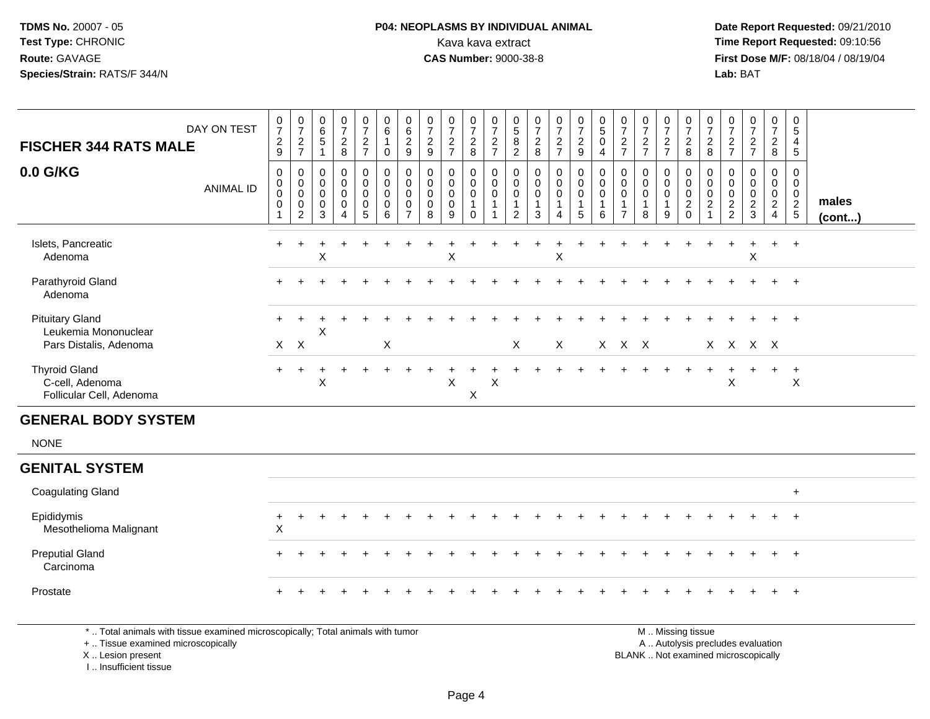### **P04: NEOPLASMS BY INDIVIDUAL ANIMAL**<br>Kava kava extract Kava kava extract **Time Report Requested:** 09:10:56<br>**CAS Number:** 9000-38-8<br>**Tirst Dose M/F:** 08/18/04 / 08/19/04

 **Date Report Requested:** 09/21/2010 **First Dose M/F:** 08/18/04 / 08/19/04 Lab: BAT **Lab:** BAT

| DAY ON TEST<br><b>FISCHER 344 RATS MALE</b><br>0.0 G/KG<br><b>ANIMAL ID</b> | $\frac{0}{7}$<br>$\frac{2}{9}$<br>0<br>$\mathbf 0$<br>$\mathbf 0$<br>$\pmb{0}$ | $\begin{array}{c} 0 \\ 7 \end{array}$<br>$\frac{2}{7}$<br>$\mathbf 0$<br>$\mathbf 0$<br>$\mathbf 0$<br>$\pmb{0}$ | $\begin{matrix} 0 \\ 6 \\ 5 \end{matrix}$<br>$\overline{1}$<br>0<br>$\boldsymbol{0}$<br>$\mathbf 0$<br>$\pmb{0}$ | $\frac{0}{7}$<br>$\frac{2}{8}$<br>$\mathbf 0$<br>$\mathsf 0$<br>$\mathsf{O}\xspace$<br>$\mathbf 0$ | $\begin{array}{c} 0 \\ 7 \end{array}$<br>$rac{2}{7}$<br>$\pmb{0}$<br>$\pmb{0}$<br>$\pmb{0}$<br>$\begin{array}{c} 0 \\ 5 \end{array}$ | $\begin{array}{c} 0 \\ 6 \end{array}$<br>$\overline{1}$<br>$\mathbf 0$<br>$\pmb{0}$<br>$\mathbf 0$<br>$\mathbf 0$<br>$\pmb{0}$ | $\begin{matrix} 0 \\ 6 \\ 2 \end{matrix}$<br>9<br>0<br>$\pmb{0}$<br>$\mathbf 0$<br>0 | $\frac{0}{7}$<br>$\frac{2}{9}$<br>$\mathbf 0$<br>$\mathbf 0$<br>$\pmb{0}$<br>$\mathsf{O}\xspace$ | $\frac{0}{7}$<br>$\frac{2}{7}$<br>0<br>$\pmb{0}$<br>$\mathbf 0$<br>$\mathbf 0$ | $\frac{0}{7}$<br>$\frac{2}{8}$<br>0<br>$\mathsf{O}$<br>$\mathbf 0$<br>$\mathbf{1}$ | $\frac{0}{7}$<br>$\frac{2}{7}$<br>$\pmb{0}$<br>$\boldsymbol{0}$<br>$\overline{0}$<br>$\overline{1}$ | $\begin{array}{c} 0 \\ 5 \\ 8 \end{array}$<br>$\overline{2}$<br>0<br>$\mathbf 0$<br>$\mathbf 0$<br>$\overline{1}$ | $\frac{0}{7}$<br>$\frac{2}{8}$<br>$\pmb{0}$<br>$\mathbf 0$<br>$\mathbf 0$<br>$\mathbf{1}$ | $\frac{0}{7}$<br>$\frac{2}{7}$<br>$\mathbf 0$<br>$\mathbf 0$<br>$\mathbf 0$ | $\begin{smallmatrix}0\\7\end{smallmatrix}$<br>$\frac{2}{9}$<br>$\mathbf 0$<br>$\mathbf 0$<br>$\overline{0}$<br>$\overline{1}$ | $\begin{smallmatrix}0\5\0\end{smallmatrix}$<br>$\overline{4}$<br>$\pmb{0}$<br>$\pmb{0}$<br>$\ddot{\mathbf{0}}$<br>$\mathbf{1}$ | $\frac{0}{7}$<br>$\sqrt{2}$<br>$\overline{7}$<br>0<br>$\mathbf 0$<br>$\mathbf 0$ | $\begin{array}{c} 0 \\ 7 \end{array}$<br>$\frac{2}{7}$<br>$\mathbf 0$<br>$\mathbf 0$<br>$\mathbf 0$<br>1 | $\begin{array}{c} 0 \\ 7 \end{array}$<br>$\frac{2}{7}$<br>0<br>$\pmb{0}$<br>$\pmb{0}$<br>$\mathbf{1}$ | $\frac{0}{7}$<br>$\sqrt{2}$<br>8<br>0<br>$\mathsf{O}\xspace$<br>$\mathbf 0$<br>$\overline{c}$ | $\frac{0}{7}$<br>$_{8}^2$<br>0<br>0<br>$\mathbf 0$<br>$\sqrt{2}$ | $\frac{0}{7}$<br>$\frac{2}{7}$<br>0<br>$\mathbf 0$<br>$\mathsf{O}\xspace$<br>$\sqrt{2}$ | $\frac{0}{7}$<br>$\frac{2}{7}$<br>0<br>$\pmb{0}$<br>$\mathbf 0$<br>$\sqrt{2}$ | $\begin{array}{c} 0 \\ 7 \end{array}$<br>$\frac{2}{8}$<br>0<br>$\mathbf 0$<br>$\frac{0}{2}$ | $\pmb{0}$<br>$\sqrt{5}$<br>$\overline{\mathbf{4}}$<br>$\sqrt{5}$<br>0<br>$\mathbf 0$<br>$\mathbf 0$<br>$\overline{2}$ | males  |
|-----------------------------------------------------------------------------|--------------------------------------------------------------------------------|------------------------------------------------------------------------------------------------------------------|------------------------------------------------------------------------------------------------------------------|----------------------------------------------------------------------------------------------------|--------------------------------------------------------------------------------------------------------------------------------------|--------------------------------------------------------------------------------------------------------------------------------|--------------------------------------------------------------------------------------|--------------------------------------------------------------------------------------------------|--------------------------------------------------------------------------------|------------------------------------------------------------------------------------|-----------------------------------------------------------------------------------------------------|-------------------------------------------------------------------------------------------------------------------|-------------------------------------------------------------------------------------------|-----------------------------------------------------------------------------|-------------------------------------------------------------------------------------------------------------------------------|--------------------------------------------------------------------------------------------------------------------------------|----------------------------------------------------------------------------------|----------------------------------------------------------------------------------------------------------|-------------------------------------------------------------------------------------------------------|-----------------------------------------------------------------------------------------------|------------------------------------------------------------------|-----------------------------------------------------------------------------------------|-------------------------------------------------------------------------------|---------------------------------------------------------------------------------------------|-----------------------------------------------------------------------------------------------------------------------|--------|
|                                                                             | $\mathbf{1}$                                                                   | $\overline{2}$                                                                                                   | 3                                                                                                                | $\overline{4}$                                                                                     |                                                                                                                                      | $6\phantom{1}6$                                                                                                                | $\overline{7}$                                                                       | 8                                                                                                | 9                                                                              | $\mathbf 0$                                                                        | $\mathbf{1}$                                                                                        | 2                                                                                                                 | 3                                                                                         | 4                                                                           | 5                                                                                                                             | $\,6\,$                                                                                                                        | $\overline{7}$                                                                   | 8                                                                                                        | 9                                                                                                     | $\mathbf 0$                                                                                   | $\mathbf{1}$                                                     | 2                                                                                       | $\mathfrak{Z}$                                                                | $\overline{4}$                                                                              | $5\phantom{.0}$                                                                                                       | (cont) |
| Islets, Pancreatic<br>Adenoma                                               |                                                                                |                                                                                                                  | X                                                                                                                |                                                                                                    |                                                                                                                                      |                                                                                                                                |                                                                                      |                                                                                                  | X                                                                              |                                                                                    |                                                                                                     |                                                                                                                   |                                                                                           | Χ                                                                           |                                                                                                                               |                                                                                                                                |                                                                                  |                                                                                                          |                                                                                                       |                                                                                               |                                                                  |                                                                                         | X                                                                             |                                                                                             | $+$                                                                                                                   |        |
| Parathyroid Gland<br>Adenoma                                                |                                                                                |                                                                                                                  |                                                                                                                  |                                                                                                    |                                                                                                                                      |                                                                                                                                |                                                                                      |                                                                                                  |                                                                                |                                                                                    |                                                                                                     |                                                                                                                   |                                                                                           |                                                                             |                                                                                                                               |                                                                                                                                |                                                                                  |                                                                                                          |                                                                                                       |                                                                                               |                                                                  |                                                                                         |                                                                               |                                                                                             | $\ddot{}$                                                                                                             |        |
| <b>Pituitary Gland</b><br>Leukemia Mononuclear                              |                                                                                |                                                                                                                  | X                                                                                                                |                                                                                                    |                                                                                                                                      |                                                                                                                                |                                                                                      |                                                                                                  |                                                                                |                                                                                    |                                                                                                     |                                                                                                                   |                                                                                           |                                                                             |                                                                                                                               |                                                                                                                                |                                                                                  |                                                                                                          |                                                                                                       |                                                                                               |                                                                  |                                                                                         |                                                                               |                                                                                             | $^{+}$                                                                                                                |        |
| Pars Distalis, Adenoma                                                      |                                                                                | $X$ $X$                                                                                                          |                                                                                                                  |                                                                                                    |                                                                                                                                      | X                                                                                                                              |                                                                                      |                                                                                                  |                                                                                |                                                                                    |                                                                                                     | $\sf X$                                                                                                           |                                                                                           | X                                                                           |                                                                                                                               |                                                                                                                                | X X X                                                                            |                                                                                                          |                                                                                                       |                                                                                               |                                                                  |                                                                                         | X X X X                                                                       |                                                                                             |                                                                                                                       |        |
| <b>Thyroid Gland</b><br>C-cell, Adenoma<br>Follicular Cell, Adenoma         | $+$                                                                            | $\ddot{}$                                                                                                        | ÷<br>X                                                                                                           |                                                                                                    |                                                                                                                                      |                                                                                                                                |                                                                                      |                                                                                                  | X                                                                              | $\pmb{\times}$                                                                     | X                                                                                                   |                                                                                                                   |                                                                                           |                                                                             |                                                                                                                               |                                                                                                                                |                                                                                  |                                                                                                          |                                                                                                       |                                                                                               | $\ddot{}$                                                        | $\div$<br>$\pmb{\times}$                                                                | $\ddot{}$                                                                     | $+$                                                                                         | $+$<br>$\times$                                                                                                       |        |
| <b>GENERAL BODY SYSTEM</b>                                                  |                                                                                |                                                                                                                  |                                                                                                                  |                                                                                                    |                                                                                                                                      |                                                                                                                                |                                                                                      |                                                                                                  |                                                                                |                                                                                    |                                                                                                     |                                                                                                                   |                                                                                           |                                                                             |                                                                                                                               |                                                                                                                                |                                                                                  |                                                                                                          |                                                                                                       |                                                                                               |                                                                  |                                                                                         |                                                                               |                                                                                             |                                                                                                                       |        |
| <b>NONE</b>                                                                 |                                                                                |                                                                                                                  |                                                                                                                  |                                                                                                    |                                                                                                                                      |                                                                                                                                |                                                                                      |                                                                                                  |                                                                                |                                                                                    |                                                                                                     |                                                                                                                   |                                                                                           |                                                                             |                                                                                                                               |                                                                                                                                |                                                                                  |                                                                                                          |                                                                                                       |                                                                                               |                                                                  |                                                                                         |                                                                               |                                                                                             |                                                                                                                       |        |
| <b>GENITAL SYSTEM</b>                                                       |                                                                                |                                                                                                                  |                                                                                                                  |                                                                                                    |                                                                                                                                      |                                                                                                                                |                                                                                      |                                                                                                  |                                                                                |                                                                                    |                                                                                                     |                                                                                                                   |                                                                                           |                                                                             |                                                                                                                               |                                                                                                                                |                                                                                  |                                                                                                          |                                                                                                       |                                                                                               |                                                                  |                                                                                         |                                                                               |                                                                                             |                                                                                                                       |        |
| <b>Coagulating Gland</b>                                                    |                                                                                |                                                                                                                  |                                                                                                                  |                                                                                                    |                                                                                                                                      |                                                                                                                                |                                                                                      |                                                                                                  |                                                                                |                                                                                    |                                                                                                     |                                                                                                                   |                                                                                           |                                                                             |                                                                                                                               |                                                                                                                                |                                                                                  |                                                                                                          |                                                                                                       |                                                                                               |                                                                  |                                                                                         |                                                                               |                                                                                             | $+$                                                                                                                   |        |
| Epididymis<br>Mesothelioma Malignant                                        | ÷<br>$\times$                                                                  |                                                                                                                  |                                                                                                                  |                                                                                                    |                                                                                                                                      |                                                                                                                                |                                                                                      |                                                                                                  |                                                                                |                                                                                    |                                                                                                     |                                                                                                                   |                                                                                           |                                                                             |                                                                                                                               |                                                                                                                                |                                                                                  |                                                                                                          |                                                                                                       |                                                                                               |                                                                  |                                                                                         |                                                                               |                                                                                             | $\ddot{}$                                                                                                             |        |
| <b>Preputial Gland</b><br>Carcinoma                                         |                                                                                |                                                                                                                  |                                                                                                                  |                                                                                                    |                                                                                                                                      |                                                                                                                                |                                                                                      |                                                                                                  |                                                                                |                                                                                    |                                                                                                     |                                                                                                                   |                                                                                           |                                                                             |                                                                                                                               |                                                                                                                                |                                                                                  |                                                                                                          |                                                                                                       |                                                                                               |                                                                  |                                                                                         |                                                                               |                                                                                             | $+$                                                                                                                   |        |
| Prostate                                                                    |                                                                                |                                                                                                                  |                                                                                                                  |                                                                                                    |                                                                                                                                      |                                                                                                                                |                                                                                      |                                                                                                  |                                                                                |                                                                                    |                                                                                                     |                                                                                                                   |                                                                                           |                                                                             |                                                                                                                               |                                                                                                                                |                                                                                  |                                                                                                          |                                                                                                       |                                                                                               |                                                                  |                                                                                         |                                                                               |                                                                                             | $\ddot{}$                                                                                                             |        |

\* .. Total animals with tissue examined microscopically; Total animals with tumor

+ .. Tissue examined microscopically

X .. Lesion present

I .. Insufficient tissue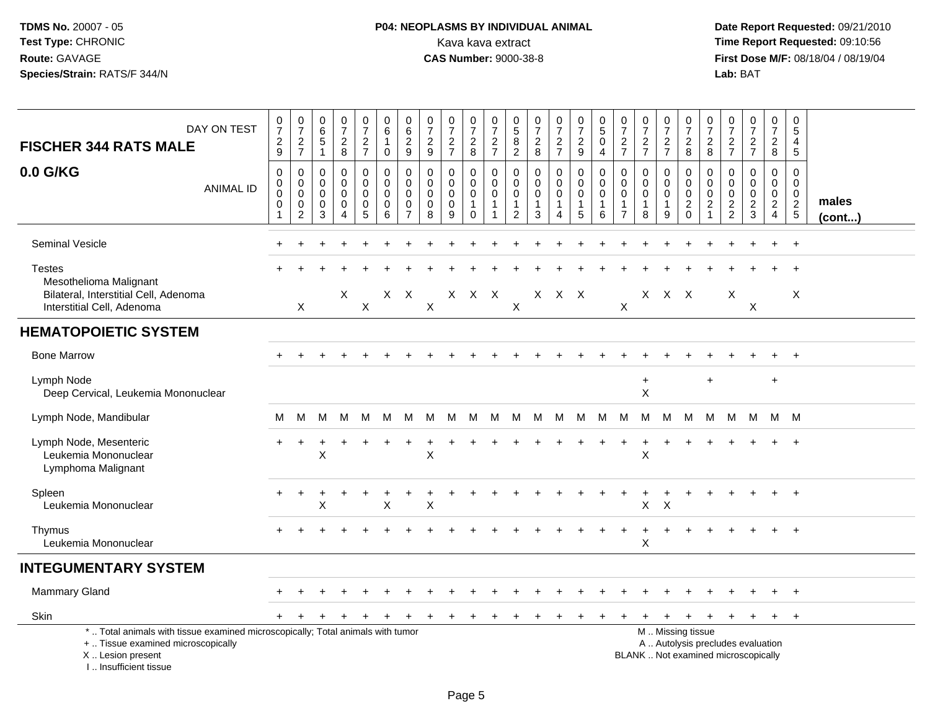# **P04: NEOPLASMS BY INDIVIDUAL ANIMAL**Kava kava extract **Time Report Requested:** 09:10:56<br>**CAS Number:** 9000-38-8 **CAS Number:** 9000-38-8

| DAY ON TEST<br><b>FISCHER 344 RATS MALE</b>                                                                                                                         | $\frac{0}{7}$<br>$\sqrt{2}$<br>9                               | $\frac{0}{7}$<br>$\frac{2}{7}$                                   | 0<br>$\overline{6}$<br>$\,$ 5 $\,$<br>$\mathbf{1}$ | $\frac{0}{7}$<br>$\frac{2}{8}$                         | 0<br>$\boldsymbol{7}$<br>$\frac{2}{7}$    | 0<br>$\,6\,$<br>$\overline{1}$<br>$\mathbf 0$     | $\pmb{0}$<br>$\,6\,$<br>$\sqrt{2}$<br>9                                     | $\frac{0}{7}$<br>$\sqrt{2}$<br>9                 | $\frac{0}{7}$<br>$\overline{a}$<br>$\overline{7}$ | $\frac{0}{7}$<br>$\sqrt{2}$<br>8                               | $\begin{array}{c} 0 \\ 7 \end{array}$<br>$\frac{2}{7}$ | $0$<br>$5$<br>$8$<br>$2$                                                      | $\frac{0}{7}$<br>$\sqrt{2}$<br>8                               | $\frac{0}{7}$<br>$rac{2}{7}$                         | $\frac{0}{7}$<br>$\frac{2}{9}$                       | $\begin{array}{c} 0 \\ 5 \end{array}$<br>$\pmb{0}$<br>$\overline{4}$ | 0<br>$\overline{7}$<br>$\overline{c}$<br>$\overline{7}$                 | $\frac{0}{7}$<br>$\frac{2}{7}$                                 | $\frac{0}{7}$<br>$\frac{2}{7}$                        | 0<br>$\overline{7}$<br>$\sqrt{2}$<br>8                                                        | 0<br>$\overline{7}$<br>$\overline{c}$<br>8        | 0<br>$\overline{7}$<br>$\frac{2}{7}$                      | $\frac{0}{7}$<br>$\frac{2}{7}$                   | $\mathbf 0$<br>$\overline{7}$<br>$\sqrt{2}$<br>8                | $\mathbf 0$<br>5<br>$\overline{4}$<br>$\sqrt{5}$        |                       |
|---------------------------------------------------------------------------------------------------------------------------------------------------------------------|----------------------------------------------------------------|------------------------------------------------------------------|----------------------------------------------------|--------------------------------------------------------|-------------------------------------------|---------------------------------------------------|-----------------------------------------------------------------------------|--------------------------------------------------|---------------------------------------------------|----------------------------------------------------------------|--------------------------------------------------------|-------------------------------------------------------------------------------|----------------------------------------------------------------|------------------------------------------------------|------------------------------------------------------|----------------------------------------------------------------------|-------------------------------------------------------------------------|----------------------------------------------------------------|-------------------------------------------------------|-----------------------------------------------------------------------------------------------|---------------------------------------------------|-----------------------------------------------------------|--------------------------------------------------|-----------------------------------------------------------------|---------------------------------------------------------|-----------------------|
| 0.0 G/KG<br><b>ANIMAL ID</b>                                                                                                                                        | $\mathbf 0$<br>$\mathbf 0$<br>$\mathbf 0$<br>0<br>$\mathbf{1}$ | $\mathbf 0$<br>$\mathbf 0$<br>$\mathbf 0$<br>0<br>$\overline{c}$ | $\mathbf 0$<br>0<br>$\Omega$<br>0<br>3             | 0<br>$\mathbf 0$<br>$\mathbf 0$<br>0<br>$\overline{4}$ | 0<br>$\mathbf 0$<br>$\mathbf 0$<br>0<br>5 | $\mathbf 0$<br>$\pmb{0}$<br>$\mathbf 0$<br>0<br>6 | $\mathbf 0$<br>$\mathbf 0$<br>$\mathbf{0}$<br>$\mathbf 0$<br>$\overline{7}$ | $\mathbf 0$<br>$\mathbf 0$<br>$\Omega$<br>0<br>8 | 0<br>$\mathbf 0$<br>$\mathbf 0$<br>0<br>9         | 0<br>$\mathbf 0$<br>$\mathbf 0$<br>$\mathbf{1}$<br>$\mathbf 0$ | $\mathbf 0$<br>$\mathsf 0$<br>$\mathbf 0$<br>1         | $\mathbf 0$<br>$\mathbf 0$<br>$\mathbf 0$<br>$\overline{1}$<br>$\overline{2}$ | $\mathbf 0$<br>$\mathbf 0$<br>$\mathbf 0$<br>$\mathbf{1}$<br>3 | 0<br>$\mathbf 0$<br>$\mathbf 0$<br>$\mathbf{1}$<br>4 | 0<br>$\mathbf 0$<br>$\mathbf 0$<br>$\mathbf{1}$<br>5 | 0<br>$\mathsf 0$<br>0<br>$\mathbf{1}$<br>6                           | $\mathbf 0$<br>$\mathbf 0$<br>$\Omega$<br>$\mathbf 1$<br>$\overline{7}$ | $\mathbf 0$<br>$\mathbf 0$<br>$\mathbf 0$<br>$\mathbf{1}$<br>8 | 0<br>$\mathbf 0$<br>$\mathbf{0}$<br>$\mathbf{1}$<br>9 | 0<br>$\mathbf 0$<br>$\overline{0}$<br>$\sqrt{2}$<br>$\Omega$                                  | 0<br>$\mathbf 0$<br>$\mathbf 0$<br>$\overline{c}$ | 0<br>$\mathbf 0$<br>0<br>$\overline{2}$<br>$\overline{2}$ | 0<br>$\mathbf 0$<br>$\mathbf 0$<br>$\frac{2}{3}$ | 0<br>$\mathbf 0$<br>$\mathbf 0$<br>$\sqrt{2}$<br>$\overline{4}$ | $\Omega$<br>$\mathbf 0$<br>$\mathbf 0$<br>$\frac{2}{5}$ | males<br>$($ cont $)$ |
| <b>Seminal Vesicle</b>                                                                                                                                              |                                                                |                                                                  |                                                    |                                                        |                                           |                                                   |                                                                             |                                                  |                                                   |                                                                |                                                        |                                                                               |                                                                |                                                      |                                                      |                                                                      |                                                                         |                                                                |                                                       |                                                                                               |                                                   |                                                           |                                                  |                                                                 | $\ddot{}$                                               |                       |
| <b>Testes</b><br>Mesothelioma Malignant                                                                                                                             |                                                                |                                                                  |                                                    |                                                        |                                           |                                                   |                                                                             |                                                  |                                                   |                                                                |                                                        |                                                                               |                                                                |                                                      |                                                      |                                                                      |                                                                         |                                                                |                                                       |                                                                                               |                                                   |                                                           |                                                  |                                                                 | $\ddot{}$                                               |                       |
| Bilateral, Interstitial Cell, Adenoma<br>Interstitial Cell, Adenoma                                                                                                 |                                                                | $\boldsymbol{X}$                                                 |                                                    | X                                                      | $\pmb{\times}$                            |                                                   | $X$ $X$                                                                     | $\sf X$                                          |                                                   | X X X                                                          |                                                        | X                                                                             |                                                                | X X X                                                |                                                      |                                                                      | X                                                                       |                                                                | X X X                                                 |                                                                                               |                                                   | X                                                         | X                                                |                                                                 | X                                                       |                       |
| <b>HEMATOPOIETIC SYSTEM</b>                                                                                                                                         |                                                                |                                                                  |                                                    |                                                        |                                           |                                                   |                                                                             |                                                  |                                                   |                                                                |                                                        |                                                                               |                                                                |                                                      |                                                      |                                                                      |                                                                         |                                                                |                                                       |                                                                                               |                                                   |                                                           |                                                  |                                                                 |                                                         |                       |
| <b>Bone Marrow</b>                                                                                                                                                  |                                                                |                                                                  |                                                    |                                                        |                                           |                                                   |                                                                             |                                                  |                                                   |                                                                |                                                        |                                                                               |                                                                |                                                      |                                                      |                                                                      |                                                                         |                                                                |                                                       |                                                                                               |                                                   |                                                           |                                                  |                                                                 | $+$                                                     |                       |
| Lymph Node<br>Deep Cervical, Leukemia Mononuclear                                                                                                                   |                                                                |                                                                  |                                                    |                                                        |                                           |                                                   |                                                                             |                                                  |                                                   |                                                                |                                                        |                                                                               |                                                                |                                                      |                                                      |                                                                      |                                                                         | $\ddot{}$<br>$\mathsf{X}$                                      |                                                       |                                                                                               | $\ddot{}$                                         |                                                           |                                                  | $\ddot{}$                                                       |                                                         |                       |
| Lymph Node, Mandibular                                                                                                                                              | М                                                              | М                                                                | M                                                  | M                                                      | M                                         | м                                                 | M                                                                           | М                                                | M                                                 | M                                                              | M                                                      | M                                                                             | M                                                              | M                                                    | M                                                    | M                                                                    | M                                                                       | М                                                              | M                                                     | M                                                                                             | M                                                 | M                                                         | M                                                | M M                                                             |                                                         |                       |
| Lymph Node, Mesenteric<br>Leukemia Mononuclear<br>Lymphoma Malignant                                                                                                |                                                                |                                                                  | X                                                  |                                                        |                                           |                                                   |                                                                             | X                                                |                                                   |                                                                |                                                        |                                                                               |                                                                |                                                      |                                                      |                                                                      |                                                                         | X                                                              |                                                       |                                                                                               |                                                   |                                                           |                                                  |                                                                 | $\ddot{}$                                               |                       |
| Spleen<br>Leukemia Mononuclear                                                                                                                                      |                                                                |                                                                  | X                                                  |                                                        |                                           | $\mathsf X$                                       |                                                                             | X                                                |                                                   |                                                                |                                                        |                                                                               |                                                                |                                                      |                                                      |                                                                      |                                                                         | X                                                              | $\times$                                              |                                                                                               |                                                   |                                                           |                                                  |                                                                 | $\ddot{}$                                               |                       |
| Thymus<br>Leukemia Mononuclear                                                                                                                                      |                                                                |                                                                  |                                                    |                                                        |                                           |                                                   |                                                                             |                                                  |                                                   |                                                                |                                                        |                                                                               |                                                                |                                                      |                                                      |                                                                      |                                                                         | X                                                              |                                                       |                                                                                               |                                                   |                                                           |                                                  |                                                                 |                                                         |                       |
| <b>INTEGUMENTARY SYSTEM</b>                                                                                                                                         |                                                                |                                                                  |                                                    |                                                        |                                           |                                                   |                                                                             |                                                  |                                                   |                                                                |                                                        |                                                                               |                                                                |                                                      |                                                      |                                                                      |                                                                         |                                                                |                                                       |                                                                                               |                                                   |                                                           |                                                  |                                                                 |                                                         |                       |
| <b>Mammary Gland</b>                                                                                                                                                |                                                                |                                                                  |                                                    |                                                        |                                           |                                                   |                                                                             |                                                  |                                                   |                                                                |                                                        |                                                                               |                                                                |                                                      |                                                      |                                                                      |                                                                         |                                                                |                                                       |                                                                                               |                                                   |                                                           |                                                  |                                                                 |                                                         |                       |
| <b>Skin</b>                                                                                                                                                         |                                                                | $\div$                                                           |                                                    |                                                        |                                           |                                                   |                                                                             |                                                  | $\pm$                                             | $\pm$                                                          | $\div$                                                 |                                                                               |                                                                | ÷                                                    |                                                      | $\pm$                                                                | $\pm$                                                                   |                                                                | $\ddot{}$                                             | $\pm$                                                                                         | $\ddot{}$                                         | $+$                                                       | $+$                                              | $+$                                                             | $+$                                                     |                       |
| *  Total animals with tissue examined microscopically; Total animals with tumor<br>+  Tissue examined microscopically<br>X  Lesion present<br>I Insufficient tissue |                                                                |                                                                  |                                                    |                                                        |                                           |                                                   |                                                                             |                                                  |                                                   |                                                                |                                                        |                                                                               |                                                                |                                                      |                                                      |                                                                      |                                                                         |                                                                |                                                       | M  Missing tissue<br>A  Autolysis precludes evaluation<br>BLANK  Not examined microscopically |                                                   |                                                           |                                                  |                                                                 |                                                         |                       |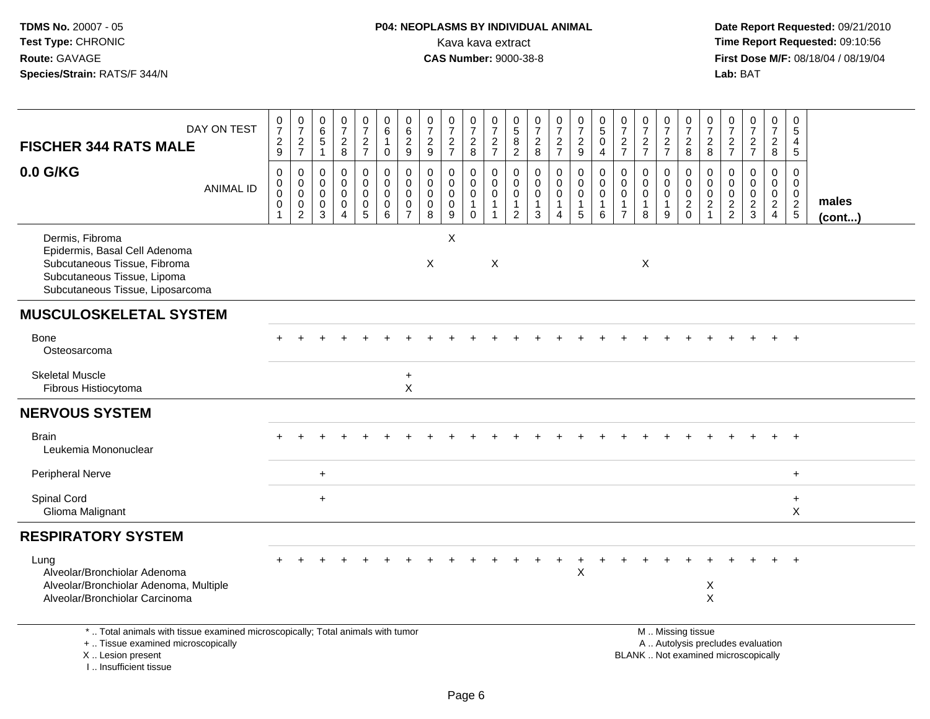## **P04: NEOPLASMS BY INDIVIDUAL ANIMAL**Kava kava extract **Time Report Requested:** 09:10:56<br>**CAS Number:** 9000-38-8 **CAS Number:** 9000-38-8

| DAY ON TEST<br><b>FISCHER 344 RATS MALE</b>                                                                                                                         | $\frac{0}{7}$<br>$\frac{2}{9}$                                                   | $\frac{0}{7}$<br>$\frac{2}{7}$                                           | 0<br>$\,6\,$<br>$\sqrt{5}$<br>$\mathbf{1}$                    | 0<br>$\overline{7}$<br>$\frac{2}{8}$             | $\frac{0}{7}$<br>$\frac{2}{7}$                                                | 0<br>6<br>$\mathbf{1}$<br>$\mathsf{O}$  | $\begin{array}{c} 0 \\ 6 \end{array}$<br>$\overline{c}$<br>9         | $\begin{array}{c} 0 \\ 7 \end{array}$<br>$\frac{2}{9}$ | $\frac{0}{7}$<br>$\frac{2}{7}$                                       | $\frac{0}{7}$<br>$_{\rm 8}^2$                                    | $\pmb{0}$<br>$\overline{7}$<br>$\frac{2}{7}$                              | $\begin{array}{c} 0 \\ 5 \end{array}$<br>8<br>$\overline{2}$ | $\frac{0}{7}$<br>$\frac{2}{8}$                               | $\frac{0}{7}$<br>$\frac{2}{7}$                           | $\frac{0}{7}$<br>$\frac{2}{9}$                                         | $\begin{array}{c} 0 \\ 5 \end{array}$<br>$\pmb{0}$<br>$\overline{4}$ | $\frac{0}{7}$<br>$\frac{2}{7}$                                              | $\frac{0}{7}$<br>$\frac{2}{7}$                                 | $\frac{0}{7}$<br>$\frac{2}{7}$           | 0<br>$\overline{7}$<br>$\frac{2}{8}$                                       | 0<br>$\overline{7}$<br>$_{8}^2$                                             | 0<br>$\overline{7}$<br>$\frac{2}{7}$             | $\frac{0}{7}$<br>$\frac{2}{7}$                                           | 0<br>$\overline{7}$<br>$\overline{2}$<br>8                                       | 0<br>$\sqrt{5}$<br>4<br>$\sqrt{5}$                         |                       |
|---------------------------------------------------------------------------------------------------------------------------------------------------------------------|----------------------------------------------------------------------------------|--------------------------------------------------------------------------|---------------------------------------------------------------|--------------------------------------------------|-------------------------------------------------------------------------------|-----------------------------------------|----------------------------------------------------------------------|--------------------------------------------------------|----------------------------------------------------------------------|------------------------------------------------------------------|---------------------------------------------------------------------------|--------------------------------------------------------------|--------------------------------------------------------------|----------------------------------------------------------|------------------------------------------------------------------------|----------------------------------------------------------------------|-----------------------------------------------------------------------------|----------------------------------------------------------------|------------------------------------------|----------------------------------------------------------------------------|-----------------------------------------------------------------------------|--------------------------------------------------|--------------------------------------------------------------------------|----------------------------------------------------------------------------------|------------------------------------------------------------|-----------------------|
| 0.0 G/KG<br><b>ANIMAL ID</b>                                                                                                                                        | $\mathbf 0$<br>$\mathbf 0$<br>$\mathsf{O}\xspace$<br>$\mathbf 0$<br>$\mathbf{1}$ | $\pmb{0}$<br>$\mathbf 0$<br>$\mathbf 0$<br>$\mathbf 0$<br>$\overline{2}$ | $\mathbf 0$<br>$\mathbf 0$<br>$\mathbf 0$<br>$\mathbf 0$<br>3 | $\mathbf 0$<br>$\Omega$<br>$\mathbf 0$<br>0<br>4 | $\boldsymbol{0}$<br>$\mathbf 0$<br>$\mathbf 0$<br>$\pmb{0}$<br>$\overline{5}$ | 0<br>$\mathbf 0$<br>$\pmb{0}$<br>0<br>6 | $\pmb{0}$<br>$\mathbf 0$<br>$\pmb{0}$<br>$\pmb{0}$<br>$\overline{7}$ | $\mathbf 0$<br>$\mathbf 0$<br>0<br>0<br>8              | $\pmb{0}$<br>$\mathbf 0$<br>$\pmb{0}$<br>$\pmb{0}$<br>$\overline{9}$ | 0<br>$\mathbf 0$<br>$\mathsf 0$<br>$\overline{1}$<br>$\mathbf 0$ | $\pmb{0}$<br>$\mathbf 0$<br>$\mathbf 0$<br>$\mathbf{1}$<br>$\overline{1}$ | 0<br>$\mathbf 0$<br>0<br>1<br>$\overline{c}$                 | $\mathbf 0$<br>$\mathbf 0$<br>$\pmb{0}$<br>$\mathbf{1}$<br>3 | 0<br>$\overline{0}$<br>$\mathsf{O}$<br>$\mathbf{1}$<br>4 | $\boldsymbol{0}$<br>$\boldsymbol{0}$<br>$\pmb{0}$<br>$\mathbf{1}$<br>5 | $\pmb{0}$<br>$\mathbf 0$<br>$\pmb{0}$<br>$\mathbf{1}$<br>$\,6\,$     | $\mathbf 0$<br>$\mathbf 0$<br>$\pmb{0}$<br>$\overline{1}$<br>$\overline{7}$ | $\mathbf{0}$<br>$\mathbf{0}$<br>$\pmb{0}$<br>$\mathbf{1}$<br>8 | 0<br>0<br>$\pmb{0}$<br>$\mathbf{1}$<br>9 | $\mathbf 0$<br>$\mathbf 0$<br>$\mathbf 0$<br>$\overline{c}$<br>$\mathbf 0$ | $\mathbf 0$<br>$\mathbf 0$<br>$\mathbf 0$<br>$\overline{c}$<br>$\mathbf{1}$ | $\mathbf 0$<br>$\mathbf 0$<br>0<br>$\frac{2}{2}$ | $\mathbf 0$<br>0<br>$\pmb{0}$<br>$\frac{2}{3}$                           | $\mathbf 0$<br>$\overline{0}$<br>$\mathbf 0$<br>$\overline{2}$<br>$\overline{4}$ | $\mathbf 0$<br>$\mathbf 0$<br>$\mathbf 0$<br>$\frac{2}{5}$ | males<br>$($ cont $)$ |
| Dermis, Fibroma<br>Epidermis, Basal Cell Adenoma<br>Subcutaneous Tissue, Fibroma<br>Subcutaneous Tissue, Lipoma<br>Subcutaneous Tissue, Liposarcoma                 |                                                                                  |                                                                          |                                                               |                                                  |                                                                               |                                         |                                                                      | X                                                      | X                                                                    |                                                                  | $\times$                                                                  |                                                              |                                                              |                                                          |                                                                        |                                                                      |                                                                             | $\mathsf X$                                                    |                                          |                                                                            |                                                                             |                                                  |                                                                          |                                                                                  |                                                            |                       |
| <b>MUSCULOSKELETAL SYSTEM</b>                                                                                                                                       |                                                                                  |                                                                          |                                                               |                                                  |                                                                               |                                         |                                                                      |                                                        |                                                                      |                                                                  |                                                                           |                                                              |                                                              |                                                          |                                                                        |                                                                      |                                                                             |                                                                |                                          |                                                                            |                                                                             |                                                  |                                                                          |                                                                                  |                                                            |                       |
| Bone<br>Osteosarcoma                                                                                                                                                |                                                                                  |                                                                          |                                                               |                                                  |                                                                               |                                         |                                                                      |                                                        |                                                                      |                                                                  |                                                                           |                                                              |                                                              |                                                          |                                                                        |                                                                      |                                                                             |                                                                |                                          |                                                                            |                                                                             |                                                  |                                                                          |                                                                                  | $+$                                                        |                       |
| <b>Skeletal Muscle</b><br>Fibrous Histiocytoma                                                                                                                      |                                                                                  |                                                                          |                                                               |                                                  |                                                                               |                                         | $\ddot{}$<br>X                                                       |                                                        |                                                                      |                                                                  |                                                                           |                                                              |                                                              |                                                          |                                                                        |                                                                      |                                                                             |                                                                |                                          |                                                                            |                                                                             |                                                  |                                                                          |                                                                                  |                                                            |                       |
| <b>NERVOUS SYSTEM</b>                                                                                                                                               |                                                                                  |                                                                          |                                                               |                                                  |                                                                               |                                         |                                                                      |                                                        |                                                                      |                                                                  |                                                                           |                                                              |                                                              |                                                          |                                                                        |                                                                      |                                                                             |                                                                |                                          |                                                                            |                                                                             |                                                  |                                                                          |                                                                                  |                                                            |                       |
| <b>Brain</b><br>Leukemia Mononuclear                                                                                                                                |                                                                                  |                                                                          |                                                               |                                                  |                                                                               |                                         |                                                                      |                                                        |                                                                      |                                                                  |                                                                           |                                                              |                                                              |                                                          |                                                                        |                                                                      |                                                                             |                                                                |                                          |                                                                            |                                                                             |                                                  |                                                                          | $\ddot{}$                                                                        | $+$                                                        |                       |
| Peripheral Nerve                                                                                                                                                    |                                                                                  |                                                                          | $\ddot{}$                                                     |                                                  |                                                                               |                                         |                                                                      |                                                        |                                                                      |                                                                  |                                                                           |                                                              |                                                              |                                                          |                                                                        |                                                                      |                                                                             |                                                                |                                          |                                                                            |                                                                             |                                                  |                                                                          |                                                                                  | $+$                                                        |                       |
| Spinal Cord<br>Glioma Malignant                                                                                                                                     |                                                                                  |                                                                          | $\ddot{}$                                                     |                                                  |                                                                               |                                         |                                                                      |                                                        |                                                                      |                                                                  |                                                                           |                                                              |                                                              |                                                          |                                                                        |                                                                      |                                                                             |                                                                |                                          |                                                                            |                                                                             |                                                  |                                                                          |                                                                                  | $\ddot{}$<br>X                                             |                       |
| <b>RESPIRATORY SYSTEM</b>                                                                                                                                           |                                                                                  |                                                                          |                                                               |                                                  |                                                                               |                                         |                                                                      |                                                        |                                                                      |                                                                  |                                                                           |                                                              |                                                              |                                                          |                                                                        |                                                                      |                                                                             |                                                                |                                          |                                                                            |                                                                             |                                                  |                                                                          |                                                                                  |                                                            |                       |
| Lung<br>Alveolar/Bronchiolar Adenoma<br>Alveolar/Bronchiolar Adenoma, Multiple<br>Alveolar/Bronchiolar Carcinoma                                                    |                                                                                  |                                                                          |                                                               |                                                  |                                                                               |                                         |                                                                      |                                                        |                                                                      |                                                                  |                                                                           |                                                              |                                                              |                                                          | X                                                                      |                                                                      |                                                                             |                                                                |                                          |                                                                            | X<br>X                                                                      |                                                  |                                                                          |                                                                                  |                                                            |                       |
| *  Total animals with tissue examined microscopically; Total animals with tumor<br>+  Tissue examined microscopically<br>X  Lesion present<br>I Insufficient tissue |                                                                                  |                                                                          |                                                               |                                                  |                                                                               |                                         |                                                                      |                                                        |                                                                      |                                                                  |                                                                           |                                                              |                                                              |                                                          |                                                                        |                                                                      |                                                                             |                                                                |                                          | M  Missing tissue                                                          |                                                                             |                                                  | A  Autolysis precludes evaluation<br>BLANK  Not examined microscopically |                                                                                  |                                                            |                       |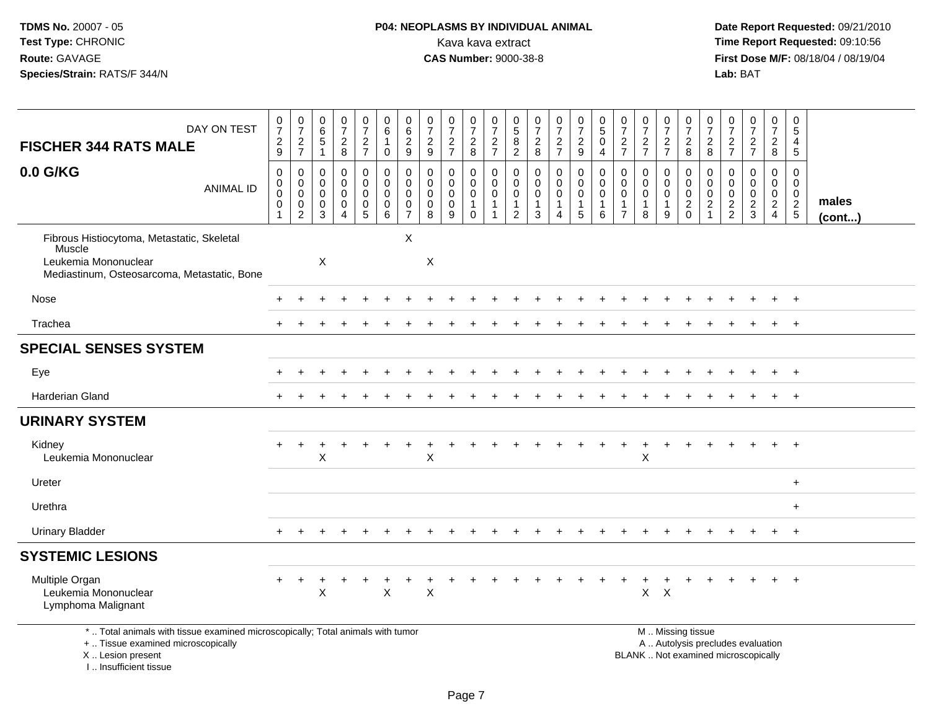# **P04: NEOPLASMS BY INDIVIDUAL ANIMAL**<br>Kava kava extract Kava kava extract **Time Report Requested:** 09:10:56<br>**CAS Number:** 9000-38-8<br>**Tirst Dose M/F:** 08/18/04 / 08/19/04

 **Date Report Requested:** 09/21/2010 **First Dose M/F:** 08/18/04 / 08/19/04<br>Lab: BAT **Lab:** BAT

|                                                                                                                             |                                                                           |                                                      |                                                                          |                                                                |                                                      | $\pmb{0}$                                                   | $\pmb{0}$                                                         |                                                               |                                 | 0                                                         |                                                           |                                                                             |                                                                         |                                                      |                                                              |                                                    |                                                                   |                                      |                                                              | 0                                                          | 0                                                | 0                                                |                                                   |                                                              | 0                                                          |                 |
|-----------------------------------------------------------------------------------------------------------------------------|---------------------------------------------------------------------------|------------------------------------------------------|--------------------------------------------------------------------------|----------------------------------------------------------------|------------------------------------------------------|-------------------------------------------------------------|-------------------------------------------------------------------|---------------------------------------------------------------|---------------------------------|-----------------------------------------------------------|-----------------------------------------------------------|-----------------------------------------------------------------------------|-------------------------------------------------------------------------|------------------------------------------------------|--------------------------------------------------------------|----------------------------------------------------|-------------------------------------------------------------------|--------------------------------------|--------------------------------------------------------------|------------------------------------------------------------|--------------------------------------------------|--------------------------------------------------|---------------------------------------------------|--------------------------------------------------------------|------------------------------------------------------------|-----------------|
| DAY ON TEST                                                                                                                 | $\begin{array}{c} 0 \\ 7 \end{array}$<br>$\overline{c}$                   | $\frac{0}{7}$<br>$\overline{c}$                      | $_{6}^{\rm 0}$<br>$5\,$                                                  | $\frac{0}{7}$                                                  | $\frac{0}{7}$<br>$\overline{a}$                      | 6<br>$\mathbf{1}$                                           | $6\phantom{a}$<br>$\overline{c}$                                  | $\frac{0}{7}$                                                 | $\frac{0}{7}$                   | $\overline{7}$                                            | $\frac{0}{7}$                                             | $\begin{array}{c} 0 \\ 5 \end{array}$<br>$\overline{8}$                     | $\begin{array}{c} 0 \\ 7 \end{array}$                                   | $\frac{0}{7}$                                        | $\frac{0}{7}$<br>$\overline{a}$                              | $\begin{array}{c} 0 \\ 5 \end{array}$<br>$\pmb{0}$ | $\frac{0}{7}$                                                     | $\frac{0}{7}$                        | $\begin{array}{c} 0 \\ 7 \end{array}$                        | $\overline{7}$                                             | $\overline{7}$                                   | $\overline{7}$                                   | $\frac{0}{7}$                                     | $\begin{smallmatrix}0\\7\end{smallmatrix}$<br>$\overline{2}$ | $\overline{5}$<br>4                                        |                 |
| <b>FISCHER 344 RATS MALE</b>                                                                                                | 9                                                                         | $\overline{7}$                                       | $\overline{1}$                                                           | $_{8}^2$                                                       | $\overline{7}$                                       | $\mathbf 0$                                                 | $\boldsymbol{9}$                                                  | $\frac{2}{9}$                                                 | $\frac{2}{7}$                   | $_{\rm 8}^2$                                              | $\frac{2}{7}$                                             | $\sqrt{2}$                                                                  | $\frac{2}{8}$                                                           | $\frac{2}{7}$                                        | $9\,$                                                        | $\overline{4}$                                     | $\frac{2}{7}$                                                     | $\frac{2}{7}$                        | $\frac{2}{7}$                                                | $\frac{2}{8}$                                              | $\frac{2}{8}$                                    | $\frac{2}{7}$                                    | $rac{2}{7}$                                       | 8                                                            | $5\phantom{.0}$                                            |                 |
| 0.0 G/KG<br><b>ANIMAL ID</b>                                                                                                | $\boldsymbol{0}$<br>$\mathbf 0$<br>$\pmb{0}$<br>$\pmb{0}$<br>$\mathbf{1}$ | 0<br>$\mathbf 0$<br>0<br>$\pmb{0}$<br>$\overline{c}$ | $\mathbf 0$<br>$\mathbf 0$<br>$\mathbf 0$<br>$\pmb{0}$<br>$\overline{3}$ | $\mathsf 0$<br>$\mathbf 0$<br>0<br>$\pmb{0}$<br>$\overline{4}$ | 0<br>0<br>0<br>$\begin{array}{c} 0 \\ 5 \end{array}$ | $\mathbf 0$<br>$\mathbf 0$<br>$\mathbf 0$<br>$\pmb{0}$<br>6 | $\mathbf 0$<br>$\mathbf{0}$<br>$\mathbf 0$<br>0<br>$\overline{7}$ | $\mathbf 0$<br>$\mathbf 0$<br>$\mathbf 0$<br>$\mathbf 0$<br>8 | 0<br>$\mathbf 0$<br>0<br>0<br>9 | 0<br>$\pmb{0}$<br>$\mathbf 0$<br>$\mathbf{1}$<br>$\Omega$ | $\pmb{0}$<br>$\mathbf 0$<br>$\pmb{0}$<br>$\mathbf 1$<br>1 | $\mathbf 0$<br>$\mathbf 0$<br>$\mathbf 0$<br>$\mathbf{1}$<br>$\overline{2}$ | $\pmb{0}$<br>$\mathbf 0$<br>$\mathbf 0$<br>$\mathbf{1}$<br>$\mathbf{3}$ | 0<br>$\mathbf 0$<br>$\mathbf 0$<br>$\mathbf{1}$<br>4 | $\pmb{0}$<br>$\mathbf 0$<br>$\mathbf 0$<br>$\mathbf{1}$<br>5 | $\mathbf 0$<br>$\pmb{0}$<br>$\mathbf 0$<br>1<br>6  | $\mathbf 0$<br>$\mathbf 0$<br>0<br>$\mathbf{1}$<br>$\overline{7}$ | $\mathbf 0$<br>$\mathbf 0$<br>0<br>8 | $\mathbf 0$<br>$\mathbf 0$<br>$\pmb{0}$<br>$\mathbf{1}$<br>9 | $\mathbf 0$<br>$\mathbf 0$<br>$\mathbf 0$<br>$\frac{2}{0}$ | $\mathbf 0$<br>$\mathbf 0$<br>0<br>$\frac{2}{1}$ | 0<br>$\mathbf 0$<br>$\mathbf 0$<br>$\frac{2}{2}$ | $\mathsf{O}$<br>$\mathbf 0$<br>0<br>$\frac{2}{3}$ | $\mathsf 0$<br>$\mathbf 0$<br>$\frac{0}{2}$                  | $\mathbf 0$<br>$\mathbf 0$<br>$\mathbf 0$<br>$\frac{2}{5}$ | males<br>(cont) |
| Fibrous Histiocytoma, Metastatic, Skeletal<br>Muscle<br>Leukemia Mononuclear<br>Mediastinum, Osteosarcoma, Metastatic, Bone |                                                                           |                                                      | $\boldsymbol{\mathsf{X}}$                                                |                                                                |                                                      |                                                             | $\sf X$                                                           | $\sf X$                                                       |                                 |                                                           |                                                           |                                                                             |                                                                         |                                                      |                                                              |                                                    |                                                                   |                                      |                                                              |                                                            |                                                  |                                                  |                                                   |                                                              |                                                            |                 |
| Nose                                                                                                                        |                                                                           |                                                      |                                                                          |                                                                |                                                      |                                                             |                                                                   |                                                               |                                 |                                                           |                                                           |                                                                             |                                                                         |                                                      |                                                              |                                                    |                                                                   |                                      |                                                              |                                                            |                                                  |                                                  |                                                   |                                                              | $\ddot{}$                                                  |                 |
| Trachea                                                                                                                     |                                                                           |                                                      |                                                                          |                                                                |                                                      |                                                             |                                                                   |                                                               |                                 |                                                           |                                                           |                                                                             |                                                                         |                                                      |                                                              |                                                    |                                                                   |                                      |                                                              |                                                            |                                                  |                                                  |                                                   |                                                              | $\overline{1}$                                             |                 |
| <b>SPECIAL SENSES SYSTEM</b>                                                                                                |                                                                           |                                                      |                                                                          |                                                                |                                                      |                                                             |                                                                   |                                                               |                                 |                                                           |                                                           |                                                                             |                                                                         |                                                      |                                                              |                                                    |                                                                   |                                      |                                                              |                                                            |                                                  |                                                  |                                                   |                                                              |                                                            |                 |
| Eye                                                                                                                         |                                                                           |                                                      |                                                                          |                                                                |                                                      |                                                             |                                                                   |                                                               |                                 |                                                           |                                                           |                                                                             |                                                                         |                                                      |                                                              |                                                    |                                                                   |                                      |                                                              |                                                            |                                                  |                                                  |                                                   | ÷                                                            | $+$                                                        |                 |
| <b>Harderian Gland</b>                                                                                                      |                                                                           |                                                      |                                                                          |                                                                |                                                      |                                                             |                                                                   |                                                               |                                 |                                                           |                                                           |                                                                             |                                                                         |                                                      |                                                              |                                                    |                                                                   |                                      |                                                              |                                                            |                                                  |                                                  |                                                   |                                                              | $\overline{+}$                                             |                 |
| <b>URINARY SYSTEM</b>                                                                                                       |                                                                           |                                                      |                                                                          |                                                                |                                                      |                                                             |                                                                   |                                                               |                                 |                                                           |                                                           |                                                                             |                                                                         |                                                      |                                                              |                                                    |                                                                   |                                      |                                                              |                                                            |                                                  |                                                  |                                                   |                                                              |                                                            |                 |
| Kidney<br>Leukemia Mononuclear                                                                                              |                                                                           | ÷                                                    | Χ                                                                        |                                                                |                                                      |                                                             |                                                                   | Χ                                                             |                                 |                                                           |                                                           |                                                                             |                                                                         |                                                      |                                                              |                                                    |                                                                   | ÷<br>X                               |                                                              |                                                            |                                                  |                                                  |                                                   | $+$                                                          | $\overline{1}$                                             |                 |
| Ureter                                                                                                                      |                                                                           |                                                      |                                                                          |                                                                |                                                      |                                                             |                                                                   |                                                               |                                 |                                                           |                                                           |                                                                             |                                                                         |                                                      |                                                              |                                                    |                                                                   |                                      |                                                              |                                                            |                                                  |                                                  |                                                   |                                                              | $+$                                                        |                 |
| Urethra                                                                                                                     |                                                                           |                                                      |                                                                          |                                                                |                                                      |                                                             |                                                                   |                                                               |                                 |                                                           |                                                           |                                                                             |                                                                         |                                                      |                                                              |                                                    |                                                                   |                                      |                                                              |                                                            |                                                  |                                                  |                                                   |                                                              | $\ddot{}$                                                  |                 |
| <b>Urinary Bladder</b>                                                                                                      |                                                                           |                                                      |                                                                          |                                                                |                                                      |                                                             |                                                                   |                                                               |                                 |                                                           |                                                           |                                                                             |                                                                         |                                                      |                                                              |                                                    |                                                                   |                                      |                                                              |                                                            |                                                  |                                                  |                                                   | $+$                                                          | $+$                                                        |                 |
| <b>SYSTEMIC LESIONS</b>                                                                                                     |                                                                           |                                                      |                                                                          |                                                                |                                                      |                                                             |                                                                   |                                                               |                                 |                                                           |                                                           |                                                                             |                                                                         |                                                      |                                                              |                                                    |                                                                   |                                      |                                                              |                                                            |                                                  |                                                  |                                                   |                                                              |                                                            |                 |
| Multiple Organ<br>Leukemia Mononuclear<br>Lymphoma Malignant                                                                | $\ddot{}$                                                                 | $\ddot{}$                                            | X                                                                        |                                                                | $\ddot{}$                                            | $\pmb{\times}$                                              |                                                                   | +<br>$\times$                                                 | $\div$                          |                                                           |                                                           |                                                                             |                                                                         |                                                      |                                                              |                                                    |                                                                   | $\mathbf +$<br>$X$ $X$               | +                                                            |                                                            |                                                  |                                                  |                                                   | $+$                                                          | $+$                                                        |                 |
| *  Total animals with tissue examined microscopically; Total animals with tumor<br>+  Tissue examined microscopically       |                                                                           |                                                      |                                                                          |                                                                |                                                      |                                                             |                                                                   |                                                               |                                 |                                                           |                                                           |                                                                             |                                                                         |                                                      |                                                              |                                                    |                                                                   |                                      |                                                              | M  Missing tissue                                          |                                                  |                                                  | A  Autolysis precludes evaluation                 |                                                              |                                                            |                 |

X .. Lesion present

I .. Insufficient tissue

 A .. Autolysis precludes evaluationLesion present BLANK .. Not examined microscopically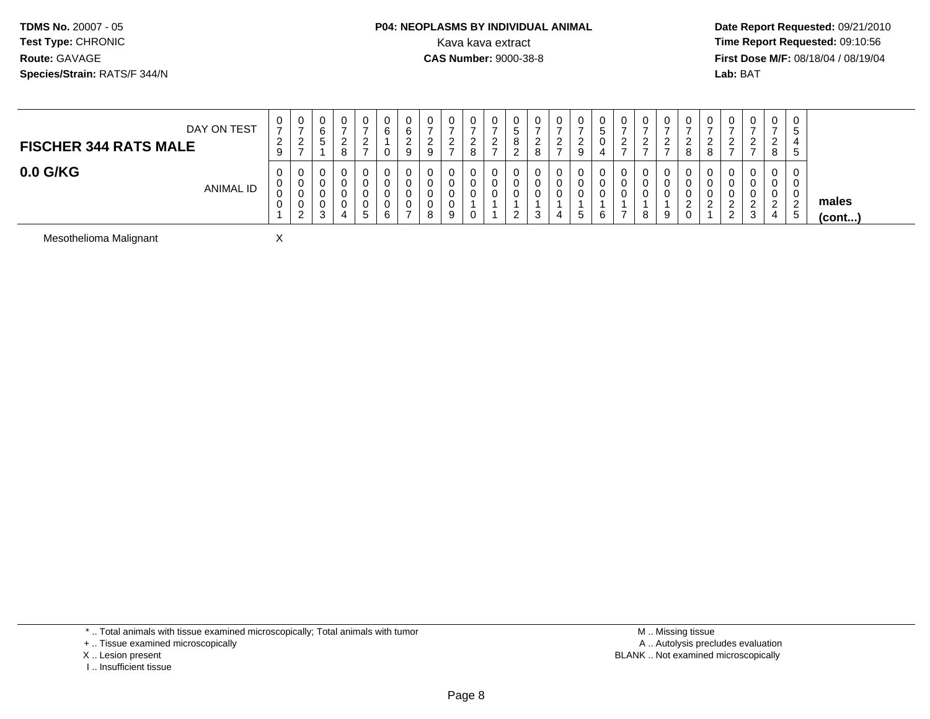#### **P04: NEOPLASMS BY INDIVIDUAL ANIMAL**<br>Kava kava extract Kava kava extract **Time Report Requested:** 09:10:56<br>**CAS Number:** 9000-38-8<br>**Tirst Dose M/F:** 08/18/04 / 08/19/04

 **Date Report Requested:** 09/21/2010 **First Dose M/F:** 08/18/04 / 08/19/04 Lab: BAT **Lab:** BAT

| DAY ON TEST<br><b>FISCHER 344 RATS MALE</b> | 0<br>$\rightarrow$<br>ົ<br>$\epsilon$<br>9 | U<br>$\rightarrow$<br><u>_</u><br>$\rightarrow$ | $\mathbf 0$<br>ັ                      | ∼ | -<br>- | ν<br>6                | U<br>$\sim$<br>b<br><u>_</u><br>9 | 0<br>ົ<br><u>_</u><br>9 | 0<br>-<br><u>_</u><br>$\rightarrow$ | 0<br>ົ<br><u>_</u><br>8 | <u>_</u> |  | υ<br><u>.</u> | ◡<br><u>_</u><br>9 | U<br>່ວ<br>◡<br>$\overline{a}$ | U<br>$\sim$<br><u>_</u><br>- | v<br>റ | ∼ | U<br>_<br>8             | U<br><u>_</u>             | 0<br>റ<br><u>_</u><br>-           | v<br>-<br><u>_</u>            | 0<br>. ა<br>. 5        |                       |
|---------------------------------------------|--------------------------------------------|-------------------------------------------------|---------------------------------------|---|--------|-----------------------|-----------------------------------|-------------------------|-------------------------------------|-------------------------|----------|--|---------------|--------------------|--------------------------------|------------------------------|--------|---|-------------------------|---------------------------|-----------------------------------|-------------------------------|------------------------|-----------------------|
| $0.0$ G/KG<br><b>ANIMAL ID</b>              | 0<br>0<br>0<br>0                           | U<br>U<br>U<br>U<br>2<br><u>_</u>               | υ<br>0<br>U<br>υ<br><sup>o</sup><br>ບ | 4 | -<br>5 | U<br>u<br>u<br>U<br>6 | U<br>U<br>U<br>U                  | 0<br>0<br>0<br>0<br>8   | 0<br>0<br>U<br>U<br>9               | 0<br>0<br>0<br>0        |          |  | U<br>U<br>O   | .ರ                 | U<br>U<br>U<br>6               | U<br>v<br>U                  | 8      |   | υ<br>v<br>υ<br><u>.</u> | <u>_</u><br>c<br><u>_</u> | 0<br>0<br>0<br>c<br><u>_</u><br>3 | U<br>ັບ<br>◡<br><u>_</u><br>4 | 0<br>0<br>0<br>່າ<br>ಾ | males<br>$($ cont $)$ |

Mesothelioma Malignant

\* .. Total animals with tissue examined microscopically; Total animals with tumor

X

+ .. Tissue examined microscopically

X .. Lesion present

I .. Insufficient tissue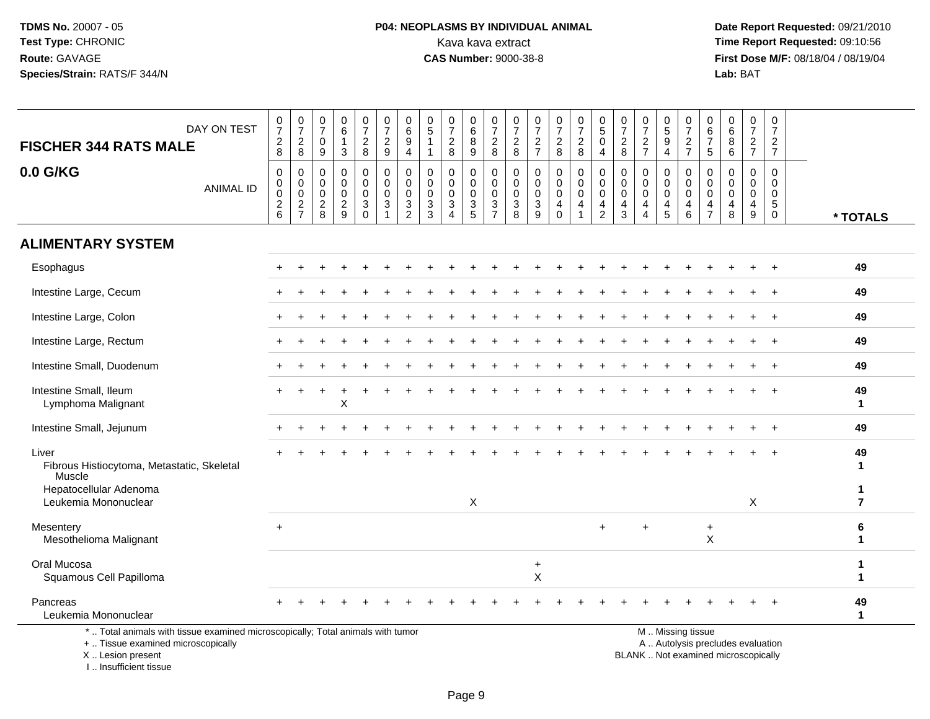I .. Insufficient tissue

## **P04: NEOPLASMS BY INDIVIDUAL ANIMAL**<br>Kava kava extract Kava kava extract **Time Report Requested:** 09:10:56<br>**CAS Number:** 9000-38-8 **CAS Number:** 9000-38-8

| DAY ON TEST<br><b>FISCHER 344 RATS MALE</b>                                                                                                | $\frac{0}{7}$<br>$_{8}^2$            | $\frac{0}{7}$<br>$\begin{array}{c} 2 \\ 8 \end{array}$ | 0<br>$\overline{7}$<br>0<br>9                | 0<br>$\,6\,$<br>$\mathbf{1}$<br>3                             | $\frac{0}{7}$<br>$\overline{c}$<br>8   | 0<br>$\overline{7}$<br>$\overline{a}$<br>$\boldsymbol{9}$ | $\pmb{0}$<br>$\overline{6}$<br>$\boldsymbol{9}$<br>$\overline{4}$  | 0<br>$\sqrt{5}$                                      | $\frac{0}{7}$<br>$\sqrt{2}$<br>8                                   | 0<br>6<br>$\bf 8$<br>9                                 | 0<br>$\overline{7}$<br>$\sqrt{2}$<br>8                     | 0<br>$\overline{7}$<br>$\boldsymbol{2}$<br>8         | 0<br>$\overline{7}$<br>$\frac{2}{7}$              | $\frac{0}{7}$<br>$\frac{2}{8}$                                | $\begin{smallmatrix}0\\7\end{smallmatrix}$<br>$\frac{2}{8}$ | 0<br>$\overline{5}$<br>0<br>$\overline{4}$                          | 0<br>$\overline{7}$<br>$\sqrt{2}$<br>8                                      | 0<br>$\overline{7}$<br>$\boldsymbol{2}$<br>$\overline{7}$                           | 0<br>$\overline{5}$<br>9<br>$\overline{4}$ | $\pmb{0}$<br>$\overline{7}$<br>$\sqrt{2}$<br>$\overline{7}$ | $\boldsymbol{0}$<br>$\,6\,$<br>$\overline{7}$<br>$\sqrt{5}$         | $\begin{array}{c} 0 \\ 6 \end{array}$<br>$\,8\,$<br>$\,6\,$            | $\begin{array}{c} 0 \\ 7 \end{array}$<br>$\frac{2}{7}$                   | 0<br>$\overline{7}$<br>$\sqrt{2}$<br>$\overline{7}$                 |                      |
|--------------------------------------------------------------------------------------------------------------------------------------------|--------------------------------------|--------------------------------------------------------|----------------------------------------------|---------------------------------------------------------------|----------------------------------------|-----------------------------------------------------------|--------------------------------------------------------------------|------------------------------------------------------|--------------------------------------------------------------------|--------------------------------------------------------|------------------------------------------------------------|------------------------------------------------------|---------------------------------------------------|---------------------------------------------------------------|-------------------------------------------------------------|---------------------------------------------------------------------|-----------------------------------------------------------------------------|-------------------------------------------------------------------------------------|--------------------------------------------|-------------------------------------------------------------|---------------------------------------------------------------------|------------------------------------------------------------------------|--------------------------------------------------------------------------|---------------------------------------------------------------------|----------------------|
| 0.0 G/KG<br><b>ANIMAL ID</b>                                                                                                               | 0<br>0<br>$\pmb{0}$<br>$\frac{2}{6}$ | 0<br>$\pmb{0}$<br>$\mathbf 0$<br>$\frac{2}{7}$         | 0<br>0<br>$\mathbf 0$<br>$\overline{2}$<br>8 | $\Omega$<br>$\mathbf 0$<br>$\mathbf 0$<br>$\overline{c}$<br>9 | 0<br>$\mathbf 0$<br>0<br>3<br>$\Omega$ | 0<br>$\mathbf 0$<br>0<br>$\mathbf{3}$<br>1                | 0<br>$\pmb{0}$<br>0<br>$\ensuremath{\mathsf{3}}$<br>$\overline{2}$ | $\mathbf{0}$<br>$\mathbf 0$<br>$\mathbf 0$<br>3<br>3 | $\Omega$<br>$\mathbf 0$<br>$\mathbf 0$<br>$\mathbf{3}$<br>$\Delta$ | 0<br>0<br>$\mathbf 0$<br>$\mathsf 3$<br>$\overline{5}$ | $\mathbf 0$<br>$\mathbf 0$<br>$\mathbf 0$<br>$\frac{3}{7}$ | 0<br>$\mathbf 0$<br>$\mathbf 0$<br>$\mathbf{3}$<br>8 | $\Omega$<br>$\mathbf 0$<br>0<br>$\mathbf{3}$<br>9 | 0<br>$\mathbf 0$<br>$\mathbf 0$<br>$\overline{4}$<br>$\Omega$ | $\mathbf 0$<br>$\mathbf 0$<br>$\mathbf 0$<br>$\overline{4}$ | 0<br>$\mathbf 0$<br>$\mathbf 0$<br>$\overline{4}$<br>$\overline{2}$ | $\mathbf 0$<br>$\mathbf 0$<br>$\mathbf 0$<br>$\overline{4}$<br>$\mathbf{3}$ | $\Omega$<br>$\mathbf 0$<br>$\mathbf 0$<br>$\overline{\mathbf{4}}$<br>$\overline{A}$ | 0<br>0<br>0<br>4<br>5                      | $\mathbf 0$<br>0<br>0<br>$\overline{4}$<br>$\,6\,$          | 0<br>$\mathbf 0$<br>$\mathbf 0$<br>$\overline{4}$<br>$\overline{7}$ | $\mathbf 0$<br>$\mathbf 0$<br>$\mathbf 0$<br>$\overline{4}$<br>$\,8\,$ | $\Omega$<br>$\mathbf 0$<br>$\mathbf 0$<br>4<br>9                         | $\Omega$<br>$\mathbf 0$<br>$\mathbf 0$<br>$\sqrt{5}$<br>$\mathbf 0$ | * TOTALS             |
| <b>ALIMENTARY SYSTEM</b>                                                                                                                   |                                      |                                                        |                                              |                                                               |                                        |                                                           |                                                                    |                                                      |                                                                    |                                                        |                                                            |                                                      |                                                   |                                                               |                                                             |                                                                     |                                                                             |                                                                                     |                                            |                                                             |                                                                     |                                                                        |                                                                          |                                                                     |                      |
| Esophagus                                                                                                                                  |                                      |                                                        |                                              |                                                               |                                        |                                                           |                                                                    |                                                      |                                                                    |                                                        |                                                            |                                                      |                                                   |                                                               |                                                             |                                                                     |                                                                             |                                                                                     |                                            |                                                             |                                                                     |                                                                        |                                                                          | $\ddot{}$                                                           | 49                   |
| Intestine Large, Cecum                                                                                                                     |                                      |                                                        |                                              |                                                               |                                        |                                                           |                                                                    |                                                      |                                                                    |                                                        |                                                            |                                                      |                                                   |                                                               |                                                             |                                                                     |                                                                             |                                                                                     |                                            |                                                             |                                                                     |                                                                        |                                                                          |                                                                     | 49                   |
| Intestine Large, Colon                                                                                                                     |                                      |                                                        |                                              |                                                               |                                        |                                                           |                                                                    |                                                      |                                                                    |                                                        |                                                            |                                                      |                                                   |                                                               |                                                             |                                                                     |                                                                             |                                                                                     |                                            |                                                             |                                                                     |                                                                        |                                                                          | $\ddot{}$                                                           | 49                   |
| Intestine Large, Rectum                                                                                                                    |                                      |                                                        |                                              |                                                               |                                        |                                                           |                                                                    |                                                      |                                                                    |                                                        |                                                            |                                                      |                                                   |                                                               |                                                             |                                                                     |                                                                             |                                                                                     |                                            |                                                             |                                                                     |                                                                        |                                                                          | $\div$                                                              | 49                   |
| Intestine Small, Duodenum                                                                                                                  |                                      |                                                        |                                              |                                                               |                                        |                                                           |                                                                    |                                                      |                                                                    |                                                        |                                                            |                                                      |                                                   |                                                               |                                                             |                                                                     |                                                                             |                                                                                     |                                            |                                                             |                                                                     |                                                                        |                                                                          |                                                                     | 49                   |
| Intestine Small, Ileum<br>Lymphoma Malignant                                                                                               |                                      |                                                        |                                              | X                                                             |                                        |                                                           |                                                                    |                                                      |                                                                    |                                                        |                                                            |                                                      |                                                   |                                                               |                                                             |                                                                     |                                                                             |                                                                                     |                                            |                                                             |                                                                     |                                                                        |                                                                          |                                                                     | 49<br>$\mathbf{1}$   |
| Intestine Small, Jejunum                                                                                                                   |                                      |                                                        |                                              |                                                               |                                        |                                                           |                                                                    |                                                      |                                                                    |                                                        |                                                            |                                                      |                                                   |                                                               |                                                             |                                                                     |                                                                             |                                                                                     |                                            |                                                             |                                                                     |                                                                        |                                                                          |                                                                     | 49                   |
| Liver<br>Fibrous Histiocytoma, Metastatic, Skeletal<br>Muscle                                                                              |                                      |                                                        |                                              |                                                               |                                        |                                                           |                                                                    |                                                      |                                                                    |                                                        |                                                            |                                                      |                                                   |                                                               |                                                             |                                                                     |                                                                             |                                                                                     |                                            |                                                             |                                                                     |                                                                        |                                                                          | $\div$                                                              | 49<br>1              |
| Hepatocellular Adenoma<br>Leukemia Mononuclear                                                                                             |                                      |                                                        |                                              |                                                               |                                        |                                                           |                                                                    |                                                      |                                                                    | X                                                      |                                                            |                                                      |                                                   |                                                               |                                                             |                                                                     |                                                                             |                                                                                     |                                            |                                                             |                                                                     |                                                                        | X                                                                        |                                                                     | -1<br>$\overline{7}$ |
| Mesentery<br>Mesothelioma Malignant                                                                                                        | $+$                                  |                                                        |                                              |                                                               |                                        |                                                           |                                                                    |                                                      |                                                                    |                                                        |                                                            |                                                      |                                                   |                                                               |                                                             | $\ddot{}$                                                           |                                                                             | ÷.                                                                                  |                                            |                                                             | $\ddot{}$<br>X                                                      |                                                                        |                                                                          |                                                                     | 6<br>1               |
| Oral Mucosa<br>Squamous Cell Papilloma                                                                                                     |                                      |                                                        |                                              |                                                               |                                        |                                                           |                                                                    |                                                      |                                                                    |                                                        |                                                            |                                                      | $+$<br>X                                          |                                                               |                                                             |                                                                     |                                                                             |                                                                                     |                                            |                                                             |                                                                     |                                                                        |                                                                          |                                                                     | 1<br>1               |
| Pancreas<br>Leukemia Mononuclear                                                                                                           |                                      |                                                        |                                              |                                                               |                                        |                                                           |                                                                    |                                                      |                                                                    |                                                        |                                                            |                                                      |                                                   |                                                               |                                                             |                                                                     |                                                                             |                                                                                     |                                            |                                                             |                                                                     |                                                                        |                                                                          |                                                                     | 49<br>$\mathbf{1}$   |
| *  Total animals with tissue examined microscopically; Total animals with tumor<br>+  Tissue examined microscopically<br>X  Lesion present |                                      |                                                        |                                              |                                                               |                                        |                                                           |                                                                    |                                                      |                                                                    |                                                        |                                                            |                                                      |                                                   |                                                               |                                                             |                                                                     |                                                                             |                                                                                     |                                            | M  Missing tissue                                           |                                                                     |                                                                        | A  Autolysis precludes evaluation<br>BLANK  Not examined microscopically |                                                                     |                      |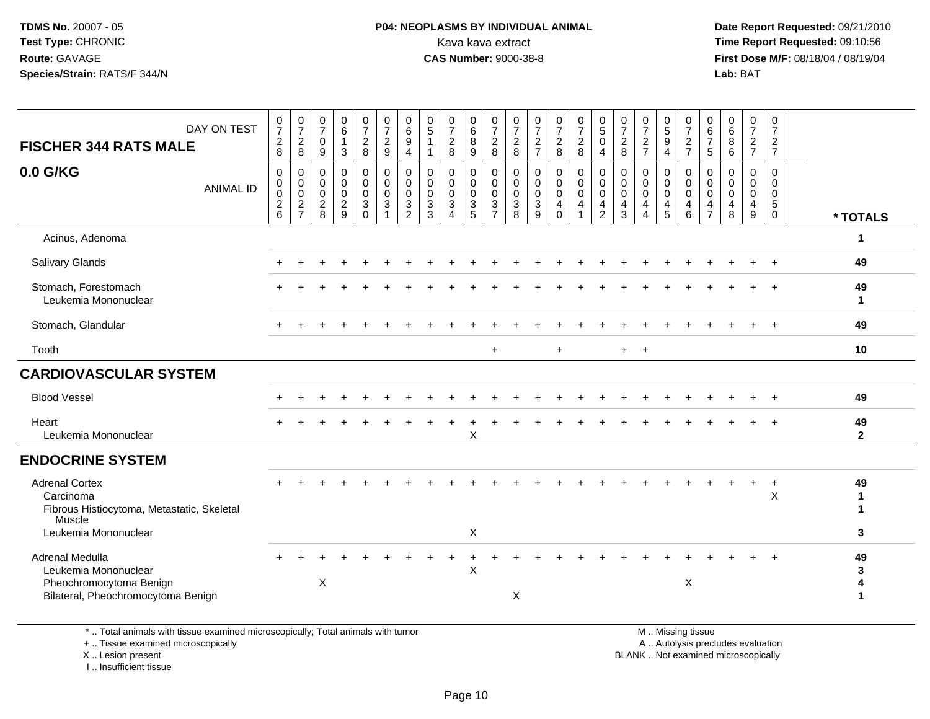#### **P04: NEOPLASMS BY INDIVIDUAL ANIMAL**<br>Kava kava extract Kava kava extract **Time Report Requested:** 09:10:56<br>**CAS Number:** 9000-38-8<br>**Tirst Dose M/F:** 08/18/04 / 08/19/04

 **Date Report Requested:** 09/21/2010 **First Dose M/F:** 08/18/04 / 08/19/04 Lab: BAT **Lab:** BAT

| DAY ON TEST<br><b>FISCHER 344 RATS MALE</b>                                                              | $\frac{0}{7}$<br>$\overline{c}$<br>8             | $\frac{0}{7}$<br>$\boldsymbol{2}$<br>$\bf 8$           | $\frac{0}{7}$<br>$\mathbf 0$<br>9                                  | $\begin{array}{c} 0 \\ 6 \end{array}$<br>$\mathbf{1}$<br>$\mathbf{3}$ | $\frac{0}{7}$<br>$\overline{a}$<br>8                        | $\frac{0}{7}$<br>$\overline{2}$<br>$\boldsymbol{9}$                                | $\begin{array}{c} 0 \\ 6 \end{array}$<br>$\overline{9}$<br>$\overline{4}$ | 0<br>5                                               | $\frac{0}{7}$<br>$\overline{2}$<br>8                           | 0<br>$\,6\,$<br>$\bf 8$<br>9                                              | 0<br>$\overline{7}$<br>$\overline{2}$<br>$\,8\,$                                         | 0<br>$\overline{7}$<br>$_{8}^2$                  | $\frac{0}{7}$<br>$\boldsymbol{2}$<br>$\overline{7}$                   | $\frac{0}{7}$<br>$\overline{c}$<br>$\,8\,$           | $\frac{0}{7}$<br>$\boldsymbol{2}$<br>$\bf 8$                          | $\begin{array}{c} 0 \\ 5 \end{array}$<br>$\overline{0}$<br>$\overline{4}$   | 0<br>$\overline{7}$<br>$\overline{2}$<br>8   | $\frac{0}{7}$<br>$\overline{2}$<br>$\overline{7}$              | $\begin{array}{c} 0 \\ 5 \\ 9 \end{array}$<br>$\overline{4}$ | 0<br>$\boldsymbol{7}$<br>$\sqrt{2}$<br>$\overline{7}$               | 0<br>$\,6\,$<br>$\overline{7}$<br>$\sqrt{5}$                                  | 0<br>6<br>8<br>$\,6\,$                    | $\mathbf 0$<br>$\overline{7}$<br>$\overline{2}$<br>$\overline{7}$ | 0<br>$\overline{7}$<br>$\overline{a}$<br>$\overline{7}$ |                         |
|----------------------------------------------------------------------------------------------------------|--------------------------------------------------|--------------------------------------------------------|--------------------------------------------------------------------|-----------------------------------------------------------------------|-------------------------------------------------------------|------------------------------------------------------------------------------------|---------------------------------------------------------------------------|------------------------------------------------------|----------------------------------------------------------------|---------------------------------------------------------------------------|------------------------------------------------------------------------------------------|--------------------------------------------------|-----------------------------------------------------------------------|------------------------------------------------------|-----------------------------------------------------------------------|-----------------------------------------------------------------------------|----------------------------------------------|----------------------------------------------------------------|--------------------------------------------------------------|---------------------------------------------------------------------|-------------------------------------------------------------------------------|-------------------------------------------|-------------------------------------------------------------------|---------------------------------------------------------|-------------------------|
| 0.0 G/KG<br><b>ANIMAL ID</b>                                                                             | $\mathbf 0$<br>0<br>$\mathsf 0$<br>$\frac{2}{6}$ | $\mathbf 0$<br>$\pmb{0}$<br>$\pmb{0}$<br>$\frac{2}{7}$ | $\mathbf 0$<br>$\mathbf 0$<br>$\mathsf{O}\xspace$<br>$\frac{2}{8}$ | $\pmb{0}$<br>$\mathbf 0$<br>$\pmb{0}$<br>$\overline{c}$<br>9          | 0<br>$\mathbf 0$<br>$\mathbf 0$<br>$\mathbf{3}$<br>$\Omega$ | $\pmb{0}$<br>$\pmb{0}$<br>$\pmb{0}$<br>$\ensuremath{\mathsf{3}}$<br>$\overline{1}$ | 0<br>$\mathbf 0$<br>$\mathbf 0$<br>$\mathbf{3}$<br>$\overline{2}$         | 0<br>$\mathbf 0$<br>$\mathbf 0$<br>$\mathbf{3}$<br>3 | $\mathbf 0$<br>$\mathbf 0$<br>$\mathbf 0$<br>$\mathbf{3}$<br>Δ | 0<br>$\mathsf{O}\xspace$<br>$\mathbf 0$<br>$\ensuremath{\mathsf{3}}$<br>5 | $\mathbf 0$<br>$\mathbf 0$<br>$\mathbf 0$<br>$\ensuremath{\mathsf{3}}$<br>$\overline{7}$ | 0<br>$\pmb{0}$<br>$\mathbf 0$<br>$\sqrt{3}$<br>8 | $\mathbf 0$<br>$\mathbf 0$<br>$\mathsf{O}\xspace$<br>$\mathsf 3$<br>9 | $\pmb{0}$<br>$\pmb{0}$<br>$\pmb{0}$<br>4<br>$\Omega$ | $\pmb{0}$<br>$\mathbf 0$<br>$\pmb{0}$<br>4<br>$\overline{\mathbf{1}}$ | $\pmb{0}$<br>$\mathbf 0$<br>$\mathbf 0$<br>$\overline{4}$<br>$\overline{2}$ | 0<br>$\boldsymbol{0}$<br>$\pmb{0}$<br>4<br>3 | 0<br>$\pmb{0}$<br>$\mathbf 0$<br>4<br>$\boldsymbol{\varDelta}$ | 0<br>$\pmb{0}$<br>$\mathsf{O}\xspace$<br>4<br>5              | $\mathbf 0$<br>$\mathsf{O}\xspace$<br>$\mathsf{O}\xspace$<br>4<br>6 | $\mathbf 0$<br>$\mathbf 0$<br>$\mathbf 0$<br>$\overline{4}$<br>$\overline{7}$ | $\mathbf 0$<br>0<br>$\mathbf 0$<br>4<br>8 | $\mathbf 0$<br>$\mathbf 0$<br>$\mathbf 0$<br>4<br>9               | $\mathbf 0$<br>0<br>$\Omega$<br>5<br>$\Omega$           | * TOTALS                |
| Acinus, Adenoma                                                                                          |                                                  |                                                        |                                                                    |                                                                       |                                                             |                                                                                    |                                                                           |                                                      |                                                                |                                                                           |                                                                                          |                                                  |                                                                       |                                                      |                                                                       |                                                                             |                                              |                                                                |                                                              |                                                                     |                                                                               |                                           |                                                                   |                                                         | 1                       |
| Salivary Glands                                                                                          |                                                  |                                                        |                                                                    |                                                                       |                                                             |                                                                                    |                                                                           |                                                      |                                                                |                                                                           |                                                                                          |                                                  |                                                                       |                                                      |                                                                       |                                                                             |                                              |                                                                |                                                              |                                                                     |                                                                               |                                           |                                                                   |                                                         | 49                      |
| Stomach, Forestomach<br>Leukemia Mononuclear                                                             |                                                  |                                                        |                                                                    |                                                                       |                                                             |                                                                                    |                                                                           |                                                      |                                                                |                                                                           |                                                                                          |                                                  |                                                                       |                                                      |                                                                       |                                                                             |                                              |                                                                |                                                              |                                                                     |                                                                               |                                           |                                                                   |                                                         | 49<br>1                 |
| Stomach, Glandular                                                                                       |                                                  |                                                        |                                                                    |                                                                       |                                                             |                                                                                    |                                                                           |                                                      |                                                                |                                                                           |                                                                                          |                                                  |                                                                       |                                                      |                                                                       |                                                                             |                                              |                                                                |                                                              |                                                                     |                                                                               |                                           |                                                                   |                                                         | 49                      |
| Tooth                                                                                                    |                                                  |                                                        |                                                                    |                                                                       |                                                             |                                                                                    |                                                                           |                                                      |                                                                |                                                                           | $\ddot{}$                                                                                |                                                  |                                                                       | $\ddot{}$                                            |                                                                       |                                                                             | $+$                                          | $\overline{+}$                                                 |                                                              |                                                                     |                                                                               |                                           |                                                                   |                                                         | 10                      |
| <b>CARDIOVASCULAR SYSTEM</b>                                                                             |                                                  |                                                        |                                                                    |                                                                       |                                                             |                                                                                    |                                                                           |                                                      |                                                                |                                                                           |                                                                                          |                                                  |                                                                       |                                                      |                                                                       |                                                                             |                                              |                                                                |                                                              |                                                                     |                                                                               |                                           |                                                                   |                                                         |                         |
| <b>Blood Vessel</b>                                                                                      |                                                  |                                                        |                                                                    |                                                                       |                                                             |                                                                                    |                                                                           |                                                      |                                                                |                                                                           |                                                                                          |                                                  |                                                                       |                                                      |                                                                       |                                                                             |                                              |                                                                |                                                              |                                                                     |                                                                               |                                           |                                                                   |                                                         | 49                      |
| Heart<br>Leukemia Mononuclear                                                                            |                                                  |                                                        |                                                                    |                                                                       |                                                             |                                                                                    |                                                                           |                                                      |                                                                | X                                                                         |                                                                                          |                                                  |                                                                       |                                                      |                                                                       |                                                                             |                                              |                                                                |                                                              |                                                                     |                                                                               |                                           |                                                                   |                                                         | 49<br>$\mathbf{2}$      |
| <b>ENDOCRINE SYSTEM</b>                                                                                  |                                                  |                                                        |                                                                    |                                                                       |                                                             |                                                                                    |                                                                           |                                                      |                                                                |                                                                           |                                                                                          |                                                  |                                                                       |                                                      |                                                                       |                                                                             |                                              |                                                                |                                                              |                                                                     |                                                                               |                                           |                                                                   |                                                         |                         |
| <b>Adrenal Cortex</b><br>Carcinoma<br>Fibrous Histiocytoma, Metastatic, Skeletal<br>Muscle               |                                                  |                                                        |                                                                    |                                                                       |                                                             |                                                                                    |                                                                           |                                                      |                                                                |                                                                           |                                                                                          |                                                  |                                                                       |                                                      |                                                                       |                                                                             |                                              |                                                                |                                                              |                                                                     |                                                                               |                                           |                                                                   | $\ddot{}$<br>$\times$                                   | 49<br>$\mathbf{1}$<br>1 |
| Leukemia Mononuclear                                                                                     |                                                  |                                                        |                                                                    |                                                                       |                                                             |                                                                                    |                                                                           |                                                      |                                                                | X                                                                         |                                                                                          |                                                  |                                                                       |                                                      |                                                                       |                                                                             |                                              |                                                                |                                                              |                                                                     |                                                                               |                                           |                                                                   |                                                         | 3                       |
| Adrenal Medulla<br>Leukemia Mononuclear<br>Pheochromocytoma Benign<br>Bilateral, Pheochromocytoma Benign |                                                  |                                                        | X                                                                  |                                                                       |                                                             |                                                                                    |                                                                           |                                                      |                                                                | $\mathsf{X}$                                                              |                                                                                          | X                                                |                                                                       |                                                      |                                                                       |                                                                             |                                              |                                                                |                                                              | X                                                                   |                                                                               |                                           |                                                                   |                                                         | 49<br>3<br>4<br>1       |
|                                                                                                          |                                                  |                                                        |                                                                    |                                                                       |                                                             |                                                                                    |                                                                           |                                                      |                                                                |                                                                           |                                                                                          |                                                  |                                                                       |                                                      |                                                                       |                                                                             |                                              |                                                                |                                                              |                                                                     |                                                                               |                                           |                                                                   |                                                         |                         |

\* .. Total animals with tissue examined microscopically; Total animals with tumor

+ .. Tissue examined microscopically

X .. Lesion present

I .. Insufficient tissue

M .. Missing tissue

y the contract of the contract of the contract of the contract of the contract of the contract of the contract of  $A$ . Autolysis precludes evaluation

Lesion present BLANK .. Not examined microscopically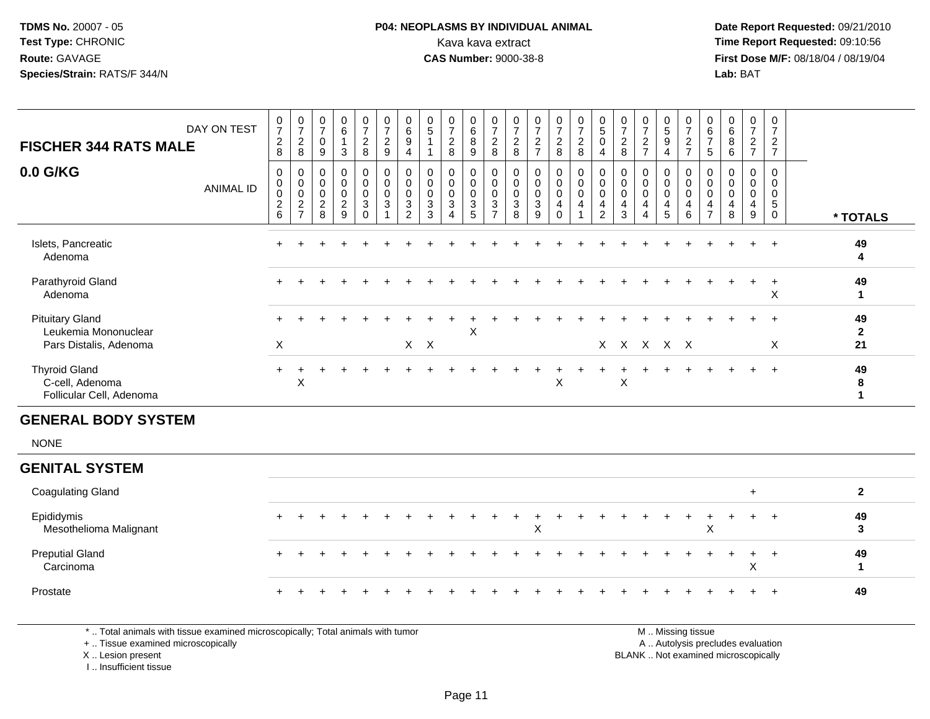### **P04: NEOPLASMS BY INDIVIDUAL ANIMAL**<br>Kava kava extract Kava kava extract **Time Report Requested:** 09:10:56<br>**CAS Number:** 9000-38-8<br>**Tirst Dose M/F:** 08/18/04 / 08/19/04

 **Date Report Requested:** 09/21/2010 **First Dose M/F:** 08/18/04 / 08/19/04 Lab: BAT **Lab:** BAT

| <b>FISCHER 344 RATS MALE</b>                                             | DAY ON TEST      | $\frac{0}{7}$<br>$_{8}^2$                      | $\begin{array}{c} 0 \\ 7 \end{array}$<br>$\sqrt{2}$<br>$\bf 8$ | $\pmb{0}$<br>$\overline{7}$<br>$\mathbf 0$<br>$\boldsymbol{9}$ | $\pmb{0}$<br>$\,6\,$<br>$\mathbf{1}$<br>$\sqrt{3}$         | $\frac{0}{7}$<br>$\frac{2}{8}$                                      | $\begin{smallmatrix}0\\7\end{smallmatrix}$<br>$\overline{2}$<br>9 | $\begin{array}{c} 0 \\ 6 \\ 9 \end{array}$<br>4                                         | $\begin{array}{c} 0 \\ 5 \end{array}$<br>$\mathbf{1}$         | $\begin{array}{c} 0 \\ 7 \end{array}$<br>$\sqrt{2}$<br>8            | $\pmb{0}$<br>$\,6\,$<br>$\overline{8}$<br>9                     | $\begin{smallmatrix}0\\7\end{smallmatrix}$<br>$\overline{c}$<br>8 | $\frac{0}{7}$<br>$\overline{c}$<br>8         | $\begin{smallmatrix}0\\7\end{smallmatrix}$<br>$\frac{2}{7}$ | $\begin{array}{c} 0 \\ 7 \end{array}$<br>$\frac{2}{8}$        | $\begin{array}{c} 0 \\ 7 \end{array}$<br>$\sqrt{2}$<br>$\bf 8$ | $\begin{matrix} 0 \\ 5 \\ 0 \end{matrix}$<br>$\overline{4}$      | $\frac{0}{7}$<br>$\sqrt{2}$<br>8                 | $\frac{0}{7}$<br>$\frac{2}{7}$                                           | $\begin{array}{c} 0 \\ 5 \\ 9 \end{array}$<br>$\overline{\mathbf{4}}$ | $\pmb{0}$<br>$\boldsymbol{7}$<br>$\frac{2}{7}$                 | $\boldsymbol{0}$<br>$\,6\,$<br>$\overline{7}$<br>$\sqrt{5}$ | $\pmb{0}$<br>6<br>$\bf 8$<br>$\,6\,$ | $\begin{array}{c} 0 \\ 7 \end{array}$<br>$\frac{2}{7}$                   | $\pmb{0}$<br>$\overline{7}$<br>$\frac{2}{7}$       |                            |
|--------------------------------------------------------------------------|------------------|------------------------------------------------|----------------------------------------------------------------|----------------------------------------------------------------|------------------------------------------------------------|---------------------------------------------------------------------|-------------------------------------------------------------------|-----------------------------------------------------------------------------------------|---------------------------------------------------------------|---------------------------------------------------------------------|-----------------------------------------------------------------|-------------------------------------------------------------------|----------------------------------------------|-------------------------------------------------------------|---------------------------------------------------------------|----------------------------------------------------------------|------------------------------------------------------------------|--------------------------------------------------|--------------------------------------------------------------------------|-----------------------------------------------------------------------|----------------------------------------------------------------|-------------------------------------------------------------|--------------------------------------|--------------------------------------------------------------------------|----------------------------------------------------|----------------------------|
| 0.0 G/KG                                                                 | <b>ANIMAL ID</b> | $\,0\,$<br>$_{\rm 0}^{\rm 0}$<br>$\frac{2}{6}$ | $\mathbf 0$<br>$\overline{0}$ <sub>0</sub><br>$\frac{2}{7}$    | 0<br>$\mathbf 0$<br>$\mathbf 0$<br>$\sqrt{2}$<br>8             | $\pmb{0}$<br>$\mathbf 0$<br>$\mathbf 0$<br>$\sqrt{2}$<br>9 | $\pmb{0}$<br>$\mathsf 0$<br>$\mathbf 0$<br>$\mathbf{3}$<br>$\Omega$ | 0<br>$\mathbf 0$<br>$\mathbf 0$<br>$\sqrt{3}$<br>$\overline{ }$   | $\pmb{0}$<br>$\overline{0}$<br>$\pmb{0}$<br>$\ensuremath{\mathsf{3}}$<br>$\overline{2}$ | 0<br>$\pmb{0}$<br>$\mathbf 0$<br>$\sqrt{3}$<br>$\overline{3}$ | $\mathbf 0$<br>$\mathbf 0$<br>$\mathbf 0$<br>$\sqrt{3}$<br>$\Delta$ | 0<br>$\pmb{0}$<br>$\mathbf 0$<br>$\mathbf{3}$<br>$\overline{5}$ | $\pmb{0}$<br>$\mathsf 0$<br>$\mathbf 0$<br>$\frac{3}{7}$          | 0<br>$\mathbf 0$<br>0<br>3<br>$\overline{8}$ | 0<br>$\pmb{0}$<br>$\mathbf 0$<br>$\frac{3}{9}$              | $\mathbf 0$<br>$\overline{0}$<br>$\mathbf 0$<br>4<br>$\Omega$ | 0<br>$\mathbf 0$<br>$\mathbf 0$<br>4<br>$\overline{A}$         | $\pmb{0}$<br>$\ddot{\mathbf{0}}$<br>$\mathbf 0$<br>$\frac{4}{2}$ | 0<br>$\mathbf 0$<br>$\mathbf 0$<br>$\frac{4}{3}$ | $\mathbf 0$<br>$\mathbf 0$<br>$\mathbf 0$<br>4<br>$\boldsymbol{\Lambda}$ | 0<br>$\pmb{0}$<br>0<br>4<br>5                                         | 0<br>$\mathbf 0$<br>0<br>$\begin{array}{c} 4 \\ 6 \end{array}$ | 0<br>$\mathbf 0$<br>$\mathbf 0$<br>$\frac{4}{7}$            | 0<br>$\mathbf 0$<br>0<br>4<br>8      | $\mathbf 0$<br>0<br>$\mathbf 0$<br>$\begin{array}{c} 4 \\ 9 \end{array}$ | $\mathbf 0$<br>0<br>0<br>$\sqrt{5}$<br>$\mathbf 0$ | * TOTALS                   |
| Islets, Pancreatic<br>Adenoma                                            |                  |                                                |                                                                |                                                                |                                                            |                                                                     |                                                                   |                                                                                         |                                                               |                                                                     |                                                                 |                                                                   |                                              |                                                             |                                                               |                                                                |                                                                  |                                                  |                                                                          |                                                                       |                                                                |                                                             |                                      |                                                                          | $\overline{+}$                                     | 49<br>4                    |
| Parathyroid Gland<br>Adenoma                                             |                  |                                                |                                                                |                                                                |                                                            |                                                                     |                                                                   |                                                                                         |                                                               |                                                                     |                                                                 |                                                                   |                                              |                                                             |                                                               |                                                                |                                                                  |                                                  |                                                                          |                                                                       |                                                                |                                                             |                                      |                                                                          | $\ddot{}$<br>X                                     | 49<br>$\mathbf{1}$         |
| <b>Pituitary Gland</b><br>Leukemia Mononuclear<br>Pars Distalis, Adenoma |                  | X                                              |                                                                |                                                                |                                                            |                                                                     |                                                                   |                                                                                         | $X$ $X$                                                       |                                                                     | X                                                               |                                                                   |                                              |                                                             |                                                               |                                                                | X.                                                               |                                                  | X X X X                                                                  |                                                                       |                                                                |                                                             |                                      |                                                                          | X                                                  | 49<br>$\overline{2}$<br>21 |
| <b>Thyroid Gland</b><br>C-cell, Adenoma<br>Follicular Cell, Adenoma      |                  | $\pm$                                          | X                                                              |                                                                |                                                            |                                                                     |                                                                   |                                                                                         |                                                               |                                                                     |                                                                 |                                                                   |                                              |                                                             | Χ                                                             |                                                                |                                                                  | $\mathsf X$                                      |                                                                          |                                                                       |                                                                |                                                             |                                      |                                                                          | $\overline{+}$                                     | 49<br>8<br>1               |
| <b>GENERAL BODY SYSTEM</b>                                               |                  |                                                |                                                                |                                                                |                                                            |                                                                     |                                                                   |                                                                                         |                                                               |                                                                     |                                                                 |                                                                   |                                              |                                                             |                                                               |                                                                |                                                                  |                                                  |                                                                          |                                                                       |                                                                |                                                             |                                      |                                                                          |                                                    |                            |
| <b>NONE</b>                                                              |                  |                                                |                                                                |                                                                |                                                            |                                                                     |                                                                   |                                                                                         |                                                               |                                                                     |                                                                 |                                                                   |                                              |                                                             |                                                               |                                                                |                                                                  |                                                  |                                                                          |                                                                       |                                                                |                                                             |                                      |                                                                          |                                                    |                            |
| <b>GENITAL SYSTEM</b>                                                    |                  |                                                |                                                                |                                                                |                                                            |                                                                     |                                                                   |                                                                                         |                                                               |                                                                     |                                                                 |                                                                   |                                              |                                                             |                                                               |                                                                |                                                                  |                                                  |                                                                          |                                                                       |                                                                |                                                             |                                      |                                                                          |                                                    |                            |
| <b>Coagulating Gland</b>                                                 |                  |                                                |                                                                |                                                                |                                                            |                                                                     |                                                                   |                                                                                         |                                                               |                                                                     |                                                                 |                                                                   |                                              |                                                             |                                                               |                                                                |                                                                  |                                                  |                                                                          |                                                                       |                                                                |                                                             |                                      | $+$                                                                      |                                                    | $\mathbf{2}$               |
| Epididymis<br>Mesothelioma Malignant                                     |                  |                                                |                                                                |                                                                |                                                            |                                                                     |                                                                   |                                                                                         |                                                               |                                                                     |                                                                 |                                                                   |                                              | X                                                           |                                                               |                                                                |                                                                  |                                                  |                                                                          |                                                                       |                                                                | $\times$                                                    |                                      |                                                                          | $\ddot{}$                                          | 49<br>3                    |
| <b>Preputial Gland</b><br>Carcinoma                                      |                  |                                                |                                                                |                                                                |                                                            |                                                                     |                                                                   |                                                                                         |                                                               |                                                                     |                                                                 |                                                                   |                                              |                                                             |                                                               |                                                                |                                                                  |                                                  |                                                                          |                                                                       |                                                                |                                                             |                                      | X                                                                        | $\ddot{}$                                          | 49<br>$\mathbf{1}$         |
| Prostate                                                                 |                  |                                                |                                                                |                                                                |                                                            |                                                                     |                                                                   |                                                                                         |                                                               |                                                                     |                                                                 |                                                                   |                                              |                                                             |                                                               |                                                                |                                                                  |                                                  |                                                                          |                                                                       |                                                                |                                                             |                                      |                                                                          | $\overline{+}$                                     | 49                         |

\* .. Total animals with tissue examined microscopically; Total animals with tumor

+ .. Tissue examined microscopically

 Lesion present BLANK .. Not examined microscopicallyX .. Lesion present

I .. Insufficient tissue

M .. Missing tissue

y the contract of the contract of the contract of the contract of the contract of the contract of the contract of  $A$ . Autolysis precludes evaluation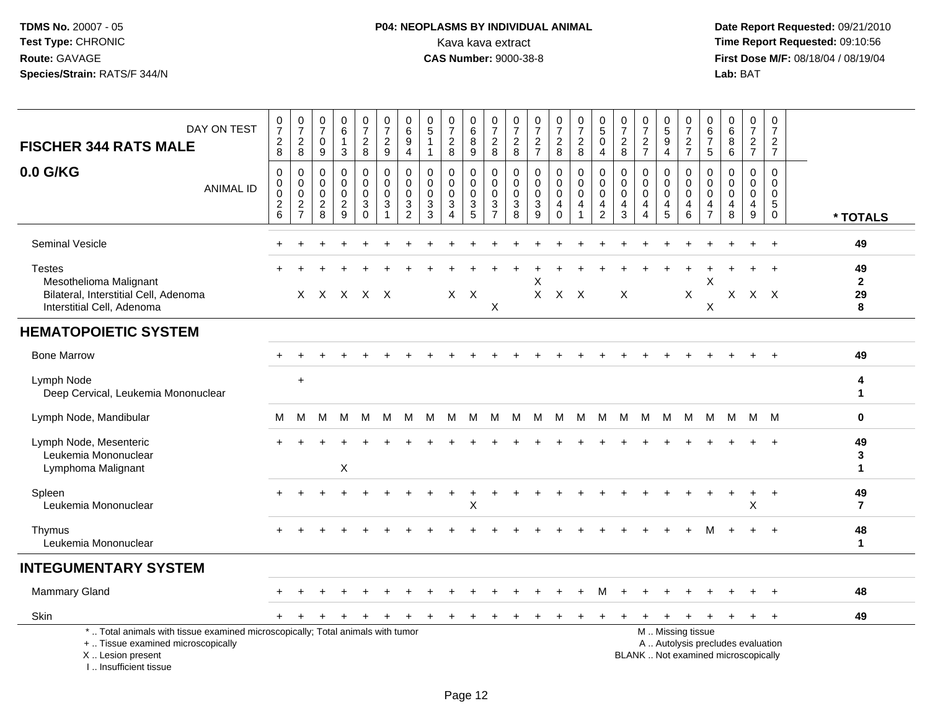## **P04: NEOPLASMS BY INDIVIDUAL ANIMAL**Kava kava extract **Time Report Requested:** 09:10:56<br>**CAS Number:** 9000-38-8 **CAS Number:** 9000-38-8

| DAY ON TEST<br><b>FISCHER 344 RATS MALE</b>                                                                                                                         | $\frac{0}{7}$<br>$\overline{c}$<br>8             | $\frac{0}{7}$<br>$\overline{c}$<br>8                               | 0<br>$\overline{7}$<br>$\pmb{0}$<br>9            | $\begin{array}{c} 0 \\ 6 \end{array}$<br>3                 | $\frac{0}{7}$<br>$\overline{c}$<br>8                        | $\frac{0}{7}$<br>$\sqrt{2}$<br>9                              | 0<br>$6\phantom{a}$<br>9<br>4                       | 0<br>$\sqrt{5}$<br>$\overline{1}$<br>$\mathbf{1}$ | $\frac{0}{7}$<br>$\sqrt{2}$<br>8                                                | $\begin{array}{c} 0 \\ 6 \end{array}$<br>$\bf 8$<br>9             | 0<br>$\overline{7}$<br>$\sqrt{2}$<br>8                                      | 0<br>$\overline{7}$<br>$\overline{c}$<br>8       | $\frac{0}{7}$<br>$\frac{2}{7}$                               | $\frac{0}{7}$<br>$\overline{2}$<br>8                | 0<br>$\boldsymbol{7}$<br>$\overline{c}$<br>8 | $\begin{array}{c} 0 \\ 5 \end{array}$<br>$\mathbf 0$<br>$\overline{4}$ | 0<br>$\overline{7}$<br>$\sqrt{2}$<br>8                            | 0<br>$\overline{7}$<br>$\boldsymbol{2}$<br>$\overline{7}$ | $\begin{array}{c} 0 \\ 5 \end{array}$<br>$\overline{9}$<br>$\overline{4}$ | $\pmb{0}$<br>$\overline{7}$<br>$\frac{2}{7}$ | $\mathbf 0$<br>$\,6\,$<br>$\overline{7}$<br>$\sqrt{5}$           | 0<br>6<br>8<br>$\,6\,$                      | $\mathbf 0$<br>$\overline{7}$<br>$\sqrt{2}$<br>$\overline{7}$            | 0<br>$\overline{7}$<br>$\overline{a}$<br>$\overline{7}$ |                               |
|---------------------------------------------------------------------------------------------------------------------------------------------------------------------|--------------------------------------------------|--------------------------------------------------------------------|--------------------------------------------------|------------------------------------------------------------|-------------------------------------------------------------|---------------------------------------------------------------|-----------------------------------------------------|---------------------------------------------------|---------------------------------------------------------------------------------|-------------------------------------------------------------------|-----------------------------------------------------------------------------|--------------------------------------------------|--------------------------------------------------------------|-----------------------------------------------------|----------------------------------------------|------------------------------------------------------------------------|-------------------------------------------------------------------|-----------------------------------------------------------|---------------------------------------------------------------------------|----------------------------------------------|------------------------------------------------------------------|---------------------------------------------|--------------------------------------------------------------------------|---------------------------------------------------------|-------------------------------|
| 0.0 G/KG<br><b>ANIMAL ID</b>                                                                                                                                        | $\mathbf 0$<br>0<br>$\mathbf 0$<br>$\frac{2}{6}$ | $\mathbf 0$<br>$\mathsf{O}\xspace$<br>$\mathbf 0$<br>$\frac{2}{7}$ | $\mathbf 0$<br>0<br>$\mathbf 0$<br>$\frac{2}{8}$ | $\mathbf 0$<br>$\mathbf 0$<br>$\mathbf 0$<br>$\frac{2}{9}$ | 0<br>$\mathbf 0$<br>$\mathbf 0$<br>$\mathbf{3}$<br>$\Omega$ | $\mathbf 0$<br>$\mathbf 0$<br>$\Omega$<br>3<br>$\overline{1}$ | $\mathbf 0$<br>$\mathbf 0$<br>$\mathbf 0$<br>3<br>2 | $\Omega$<br>$\Omega$<br>$\Omega$<br>3<br>3        | $\Omega$<br>$\mathbf 0$<br>$\mathbf 0$<br>$\ensuremath{\mathsf{3}}$<br>$\Delta$ | 0<br>$\mathbf 0$<br>$\mathbf 0$<br>$\ensuremath{\mathsf{3}}$<br>5 | 0<br>$\mathbf 0$<br>$\Omega$<br>$\ensuremath{\mathsf{3}}$<br>$\overline{7}$ | $\mathbf 0$<br>$\mathbf 0$<br>$\Omega$<br>3<br>8 | $\mathbf 0$<br>$\mathbf 0$<br>$\mathbf 0$<br>$\sqrt{3}$<br>9 | 0<br>$\overline{0}$<br>$\mathbf 0$<br>4<br>$\Omega$ | 0<br>$\mathbf 0$<br>$\mathbf 0$<br>4         | $\mathbf 0$<br>$\pmb{0}$<br>$\mathbf 0$<br>4<br>$\overline{2}$         | $\mathbf 0$<br>$\mathbf 0$<br>$\mathbf{0}$<br>$\overline{4}$<br>3 | $\Omega$<br>$\mathbf 0$<br>$\Omega$<br>4<br>4             | $\Omega$<br>$\mathbf 0$<br>$\Omega$<br>4<br>5                             | 0<br>$\mathbf 0$<br>0<br>$\overline{4}$<br>6 | $\mathbf 0$<br>$\mathbf 0$<br>$\mathbf 0$<br>4<br>$\overline{7}$ | 0<br>$\mathbf{0}$<br>$\mathbf{0}$<br>4<br>8 | $\Omega$<br>$\mathbf 0$<br>$\Omega$<br>4<br>9                            | 0<br>$\mathbf 0$<br>0<br>5<br>$\mathbf 0$               | * TOTALS                      |
| <b>Seminal Vesicle</b>                                                                                                                                              |                                                  |                                                                    |                                                  |                                                            |                                                             |                                                               |                                                     |                                                   |                                                                                 |                                                                   |                                                                             |                                                  |                                                              |                                                     |                                              |                                                                        |                                                                   |                                                           |                                                                           |                                              |                                                                  |                                             |                                                                          | $\overline{1}$                                          | 49                            |
| <b>Testes</b><br>Mesothelioma Malignant<br>Bilateral, Interstitial Cell, Adenoma<br>Interstitial Cell, Adenoma                                                      |                                                  |                                                                    |                                                  | X X X X X                                                  |                                                             |                                                               |                                                     |                                                   |                                                                                 | $X$ $X$                                                           | $\times$                                                                    |                                                  |                                                              | X X X                                               |                                              |                                                                        | X                                                                 |                                                           |                                                                           | X                                            | $\mathsf X$<br>X                                                 | $X -$                                       |                                                                          | $\overline{1}$<br>$X$ $X$                               | 49<br>$\mathbf{2}$<br>29<br>8 |
| <b>HEMATOPOIETIC SYSTEM</b>                                                                                                                                         |                                                  |                                                                    |                                                  |                                                            |                                                             |                                                               |                                                     |                                                   |                                                                                 |                                                                   |                                                                             |                                                  |                                                              |                                                     |                                              |                                                                        |                                                                   |                                                           |                                                                           |                                              |                                                                  |                                             |                                                                          |                                                         |                               |
| <b>Bone Marrow</b>                                                                                                                                                  |                                                  |                                                                    |                                                  |                                                            |                                                             |                                                               |                                                     |                                                   |                                                                                 |                                                                   |                                                                             |                                                  |                                                              |                                                     |                                              |                                                                        |                                                                   |                                                           |                                                                           |                                              |                                                                  |                                             |                                                                          | $+$                                                     | 49                            |
| Lymph Node<br>Deep Cervical, Leukemia Mononuclear                                                                                                                   |                                                  | $\ddot{}$                                                          |                                                  |                                                            |                                                             |                                                               |                                                     |                                                   |                                                                                 |                                                                   |                                                                             |                                                  |                                                              |                                                     |                                              |                                                                        |                                                                   |                                                           |                                                                           |                                              |                                                                  |                                             |                                                                          |                                                         | 4<br>$\mathbf{1}$             |
| Lymph Node, Mandibular                                                                                                                                              | М                                                | М                                                                  | м                                                | м                                                          | M                                                           | M                                                             | M                                                   | м                                                 | M                                                                               | M                                                                 | М                                                                           | M                                                | M                                                            | M                                                   | M                                            | M                                                                      | М                                                                 | М                                                         | M                                                                         | M                                            | M                                                                | М                                           |                                                                          | M M                                                     | $\bf{0}$                      |
| Lymph Node, Mesenteric<br>Leukemia Mononuclear<br>Lymphoma Malignant                                                                                                |                                                  |                                                                    |                                                  | X                                                          |                                                             |                                                               |                                                     |                                                   |                                                                                 |                                                                   |                                                                             |                                                  |                                                              |                                                     |                                              |                                                                        |                                                                   |                                                           |                                                                           |                                              |                                                                  |                                             |                                                                          |                                                         | 49<br>3<br>$\mathbf{1}$       |
| Spleen<br>Leukemia Mononuclear                                                                                                                                      |                                                  |                                                                    |                                                  |                                                            |                                                             |                                                               |                                                     |                                                   |                                                                                 | $\pmb{\times}$                                                    |                                                                             |                                                  |                                                              |                                                     |                                              |                                                                        |                                                                   |                                                           |                                                                           |                                              |                                                                  |                                             | X                                                                        | $\overline{1}$                                          | 49<br>$\overline{7}$          |
| Thymus<br>Leukemia Mononuclear                                                                                                                                      |                                                  |                                                                    |                                                  |                                                            |                                                             |                                                               |                                                     |                                                   |                                                                                 |                                                                   |                                                                             |                                                  |                                                              |                                                     |                                              |                                                                        |                                                                   |                                                           |                                                                           |                                              |                                                                  |                                             |                                                                          |                                                         | 48<br>$\mathbf{1}$            |
| <b>INTEGUMENTARY SYSTEM</b>                                                                                                                                         |                                                  |                                                                    |                                                  |                                                            |                                                             |                                                               |                                                     |                                                   |                                                                                 |                                                                   |                                                                             |                                                  |                                                              |                                                     |                                              |                                                                        |                                                                   |                                                           |                                                                           |                                              |                                                                  |                                             |                                                                          |                                                         |                               |
| <b>Mammary Gland</b>                                                                                                                                                |                                                  |                                                                    |                                                  |                                                            |                                                             |                                                               |                                                     |                                                   |                                                                                 |                                                                   |                                                                             |                                                  |                                                              |                                                     |                                              |                                                                        |                                                                   |                                                           |                                                                           |                                              |                                                                  |                                             |                                                                          |                                                         | 48                            |
| Skin                                                                                                                                                                |                                                  |                                                                    |                                                  |                                                            |                                                             |                                                               |                                                     |                                                   | ÷                                                                               | ÷                                                                 |                                                                             |                                                  |                                                              | +                                                   |                                              |                                                                        |                                                                   |                                                           | $\pm$                                                                     | $\ddot{}$                                    | $\ddot{}$                                                        | $+$                                         | $+$                                                                      | $+$                                                     | 49                            |
| *  Total animals with tissue examined microscopically; Total animals with tumor<br>+  Tissue examined microscopically<br>X  Lesion present<br>I Insufficient tissue |                                                  |                                                                    |                                                  |                                                            |                                                             |                                                               |                                                     |                                                   |                                                                                 |                                                                   |                                                                             |                                                  |                                                              |                                                     |                                              |                                                                        |                                                                   |                                                           |                                                                           | M  Missing tissue                            |                                                                  |                                             | A  Autolysis precludes evaluation<br>BLANK  Not examined microscopically |                                                         |                               |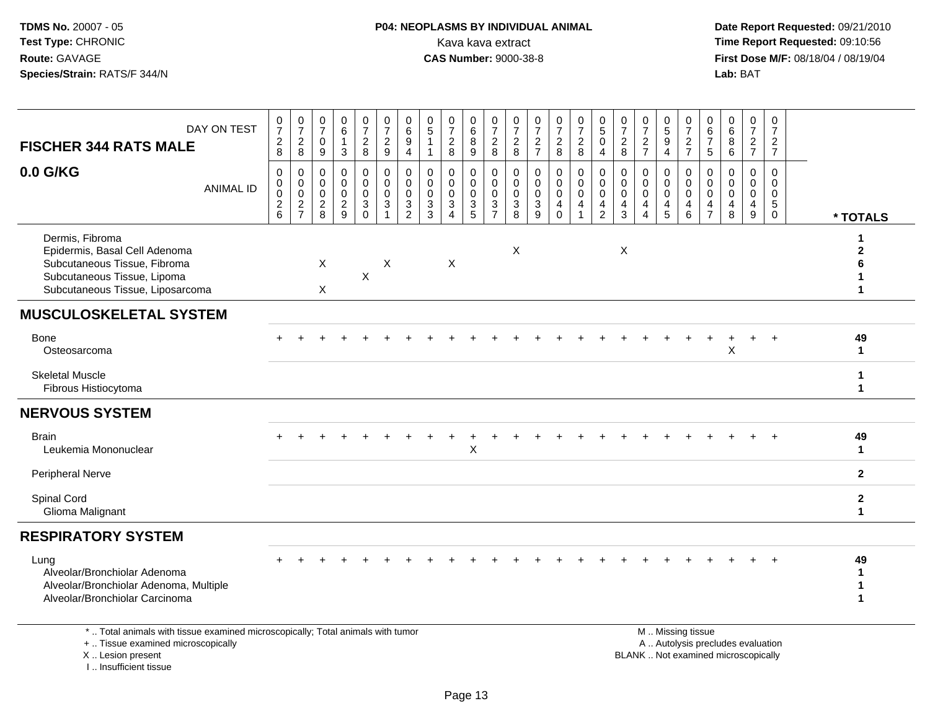## **P04: NEOPLASMS BY INDIVIDUAL ANIMAL**<br>Kava kava extract Kava kava extract **Time Report Requested:** 09:10:56<br>**CAS Number:** 9000-38-8<br>**Tirst Dose M/F:** 08/18/04 / 08/19/04

 **Date Report Requested:** 09/21/2010 **First Dose M/F:** 08/18/04 / 08/19/04<br>Lab: BAT **Lab:** BAT

| DAY ON TEST<br><b>FISCHER 344 RATS MALE</b>                                                                                                         | 0<br>$\overline{7}$<br>$\overline{c}$<br>8 | $\begin{array}{c} 0 \\ 7 \end{array}$<br>$\overline{c}$<br>$\,8\,$ | 0<br>$\overline{7}$<br>$\mathbf 0$<br>$\boldsymbol{9}$    | 0<br>6<br>$\mathbf{1}$<br>$\mathfrak{Z}$                   | $\frac{0}{7}$<br>$\overline{c}$<br>$\,8\,$               | 0<br>$\overline{7}$<br>$\overline{c}$<br>$\boldsymbol{9}$       | 0<br>$\overline{6}$<br>$\boldsymbol{9}$<br>$\overline{4}$        | 0<br>$\overline{5}$<br>$\mathbf{1}$<br>$\mathbf{1}$                     | $\frac{0}{7}$<br>$\sqrt{2}$<br>8                                                         | $\begin{array}{c} 0 \\ 6 \end{array}$<br>$\overline{8}$<br>$\boldsymbol{9}$ | $\frac{0}{7}$<br>$\overline{c}$<br>8                       | $\frac{0}{7}$<br>$\overline{c}$<br>8                                              | 0<br>$\overline{7}$<br>$\overline{2}$<br>$\overline{7}$           | $\frac{0}{7}$<br>$\boldsymbol{2}$<br>$\,8\,$                          | $\frac{0}{7}$<br>$\boldsymbol{2}$<br>$\bf 8$                                  | 0<br>$\overline{5}$<br>$\pmb{0}$<br>4                      | $\frac{0}{7}$<br>$\overline{c}$<br>8                          | $\frac{0}{7}$<br>$\overline{c}$<br>$\overline{7}$    | $\begin{array}{c} 0 \\ 5 \\ 9 \end{array}$<br>$\overline{4}$ | 0<br>$\overline{7}$<br>$\boldsymbol{2}$<br>$\overline{7}$                     | 0<br>$\,6\,$<br>$\overline{7}$<br>$\sqrt{5}$               | 0<br>6<br>8<br>$\,6\,$                                                 | $\begin{smallmatrix}0\\7\end{smallmatrix}$<br>$\overline{2}$<br>$\overline{7}$ | $\mathbf 0$<br>$\overline{7}$<br>$\overline{c}$<br>$\overline{7}$ |                              |
|-----------------------------------------------------------------------------------------------------------------------------------------------------|--------------------------------------------|--------------------------------------------------------------------|-----------------------------------------------------------|------------------------------------------------------------|----------------------------------------------------------|-----------------------------------------------------------------|------------------------------------------------------------------|-------------------------------------------------------------------------|------------------------------------------------------------------------------------------|-----------------------------------------------------------------------------|------------------------------------------------------------|-----------------------------------------------------------------------------------|-------------------------------------------------------------------|-----------------------------------------------------------------------|-------------------------------------------------------------------------------|------------------------------------------------------------|---------------------------------------------------------------|------------------------------------------------------|--------------------------------------------------------------|-------------------------------------------------------------------------------|------------------------------------------------------------|------------------------------------------------------------------------|--------------------------------------------------------------------------------|-------------------------------------------------------------------|------------------------------|
| 0.0 G/KG<br><b>ANIMAL ID</b>                                                                                                                        | 0<br>0<br>0<br>$\frac{2}{6}$               | $\mathbf 0$<br>$\mathbf 0$<br>$\overline{0}$<br>$\frac{2}{7}$      | $\mathbf 0$<br>$\mathbf 0$<br>$\mathbf 0$<br>$^2_{\bf 8}$ | $\mathbf 0$<br>$\mathbf 0$<br>$\mathbf 0$<br>$\frac{2}{9}$ | 0<br>$\mathsf 0$<br>$\ddot{\mathbf{0}}$<br>$\frac{3}{0}$ | 0<br>$\overline{0}$<br>$\mathbf 0$<br>$\ensuremath{\mathsf{3}}$ | $\mathbf 0$<br>$\pmb{0}$<br>$\ddot{\mathbf{0}}$<br>$\frac{3}{2}$ | $\mathbf 0$<br>$\mathbf 0$<br>$\mathbf 0$<br>$\sqrt{3}$<br>$\mathbf{3}$ | $\mathbf 0$<br>$\mathbf 0$<br>$\mathbf 0$<br>$\ensuremath{\mathsf{3}}$<br>$\overline{A}$ | $\mathbf 0$<br>$\mathbf 0$<br>$\mathsf{O}\xspace$<br>$\frac{3}{5}$          | $\mathbf 0$<br>$\mathbf 0$<br>$\mathsf 0$<br>$\frac{3}{7}$ | $\mathbf 0$<br>$\mathsf{O}\xspace$<br>$\pmb{0}$<br>$\ensuremath{\mathsf{3}}$<br>8 | $\mathbf 0$<br>$\mathbf 0$<br>0<br>$\ensuremath{\mathsf{3}}$<br>9 | $\mathbf 0$<br>$\mathbf 0$<br>$\ddot{\mathbf{0}}$<br>4<br>$\mathbf 0$ | 0<br>$\mathbf 0$<br>$\overline{0}$<br>$\overline{\mathbf{4}}$<br>$\mathbf{1}$ | $\mathbf 0$<br>$\mathbf 0$<br>$\mathbf 0$<br>$\frac{4}{2}$ | 0<br>$\pmb{0}$<br>$\pmb{0}$<br>$\overline{4}$<br>$\mathbf{3}$ | 0<br>0<br>$\mathbf 0$<br>4<br>$\boldsymbol{\Lambda}$ | $\mathbf 0$<br>0<br>$\pmb{0}$<br>$\frac{4}{5}$               | $\mathbf 0$<br>$\mathbf 0$<br>$\mathbf 0$<br>$\overline{4}$<br>$6\phantom{1}$ | $\mathbf 0$<br>$\mathbf 0$<br>$\mathbf 0$<br>$\frac{4}{7}$ | $\mathbf 0$<br>$\mathbf 0$<br>$\mathbf 0$<br>$\overline{4}$<br>$\,8\,$ | $\mathbf 0$<br>$\mathbf 0$<br>$\mathbf 0$<br>4<br>$\boldsymbol{9}$             | $\mathbf 0$<br>$\mathbf 0$<br>$\mathbf 0$<br>5<br>$\mathbf 0$     | * TOTALS                     |
| Dermis, Fibroma<br>Epidermis, Basal Cell Adenoma<br>Subcutaneous Tissue, Fibroma<br>Subcutaneous Tissue, Lipoma<br>Subcutaneous Tissue, Liposarcoma |                                            |                                                                    | X<br>X                                                    |                                                            | X                                                        | X                                                               |                                                                  |                                                                         | $\boldsymbol{\mathsf{X}}$                                                                |                                                                             |                                                            | X                                                                                 |                                                                   |                                                                       |                                                                               |                                                            | X                                                             |                                                      |                                                              |                                                                               |                                                            |                                                                        |                                                                                |                                                                   | 2                            |
| <b>MUSCULOSKELETAL SYSTEM</b>                                                                                                                       |                                            |                                                                    |                                                           |                                                            |                                                          |                                                                 |                                                                  |                                                                         |                                                                                          |                                                                             |                                                            |                                                                                   |                                                                   |                                                                       |                                                                               |                                                            |                                                               |                                                      |                                                              |                                                                               |                                                            |                                                                        |                                                                                |                                                                   |                              |
| Bone<br>Osteosarcoma                                                                                                                                |                                            |                                                                    |                                                           |                                                            |                                                          |                                                                 |                                                                  |                                                                         |                                                                                          |                                                                             |                                                            |                                                                                   |                                                                   |                                                                       |                                                                               |                                                            |                                                               |                                                      |                                                              |                                                                               |                                                            | X                                                                      |                                                                                |                                                                   | 49<br>$\mathbf{1}$           |
| <b>Skeletal Muscle</b><br>Fibrous Histiocytoma                                                                                                      |                                            |                                                                    |                                                           |                                                            |                                                          |                                                                 |                                                                  |                                                                         |                                                                                          |                                                                             |                                                            |                                                                                   |                                                                   |                                                                       |                                                                               |                                                            |                                                               |                                                      |                                                              |                                                                               |                                                            |                                                                        |                                                                                |                                                                   | 1<br>1                       |
| <b>NERVOUS SYSTEM</b>                                                                                                                               |                                            |                                                                    |                                                           |                                                            |                                                          |                                                                 |                                                                  |                                                                         |                                                                                          |                                                                             |                                                            |                                                                                   |                                                                   |                                                                       |                                                                               |                                                            |                                                               |                                                      |                                                              |                                                                               |                                                            |                                                                        |                                                                                |                                                                   |                              |
| <b>Brain</b><br>Leukemia Mononuclear                                                                                                                |                                            |                                                                    |                                                           |                                                            |                                                          |                                                                 |                                                                  |                                                                         |                                                                                          | Χ                                                                           |                                                            |                                                                                   |                                                                   |                                                                       |                                                                               |                                                            |                                                               |                                                      |                                                              |                                                                               |                                                            |                                                                        |                                                                                |                                                                   | 49<br>$\mathbf 1$            |
| <b>Peripheral Nerve</b>                                                                                                                             |                                            |                                                                    |                                                           |                                                            |                                                          |                                                                 |                                                                  |                                                                         |                                                                                          |                                                                             |                                                            |                                                                                   |                                                                   |                                                                       |                                                                               |                                                            |                                                               |                                                      |                                                              |                                                                               |                                                            |                                                                        |                                                                                |                                                                   | $\mathbf{2}$                 |
| Spinal Cord<br>Glioma Malignant                                                                                                                     |                                            |                                                                    |                                                           |                                                            |                                                          |                                                                 |                                                                  |                                                                         |                                                                                          |                                                                             |                                                            |                                                                                   |                                                                   |                                                                       |                                                                               |                                                            |                                                               |                                                      |                                                              |                                                                               |                                                            |                                                                        |                                                                                |                                                                   | $\mathbf{2}$<br>$\mathbf{1}$ |
| <b>RESPIRATORY SYSTEM</b>                                                                                                                           |                                            |                                                                    |                                                           |                                                            |                                                          |                                                                 |                                                                  |                                                                         |                                                                                          |                                                                             |                                                            |                                                                                   |                                                                   |                                                                       |                                                                               |                                                            |                                                               |                                                      |                                                              |                                                                               |                                                            |                                                                        |                                                                                |                                                                   |                              |
| Lung<br>Alveolar/Bronchiolar Adenoma<br>Alveolar/Bronchiolar Adenoma, Multiple<br>Alveolar/Bronchiolar Carcinoma                                    |                                            |                                                                    |                                                           |                                                            |                                                          |                                                                 |                                                                  |                                                                         |                                                                                          |                                                                             |                                                            |                                                                                   |                                                                   |                                                                       |                                                                               |                                                            |                                                               |                                                      |                                                              |                                                                               |                                                            |                                                                        |                                                                                |                                                                   | 49<br>-1<br>1                |
| *  Total animals with tissue examined microscopically; Total animals with tumor<br>+  Tissue examined microscopically                               |                                            |                                                                    |                                                           |                                                            |                                                          |                                                                 |                                                                  |                                                                         |                                                                                          |                                                                             |                                                            |                                                                                   |                                                                   |                                                                       |                                                                               |                                                            |                                                               |                                                      |                                                              | M Missing tissue                                                              |                                                            |                                                                        | A  Autolysis precludes evaluation                                              |                                                                   |                              |

 Lesion present BLANK .. Not examined microscopicallyX .. Lesion present

I .. Insufficient tissue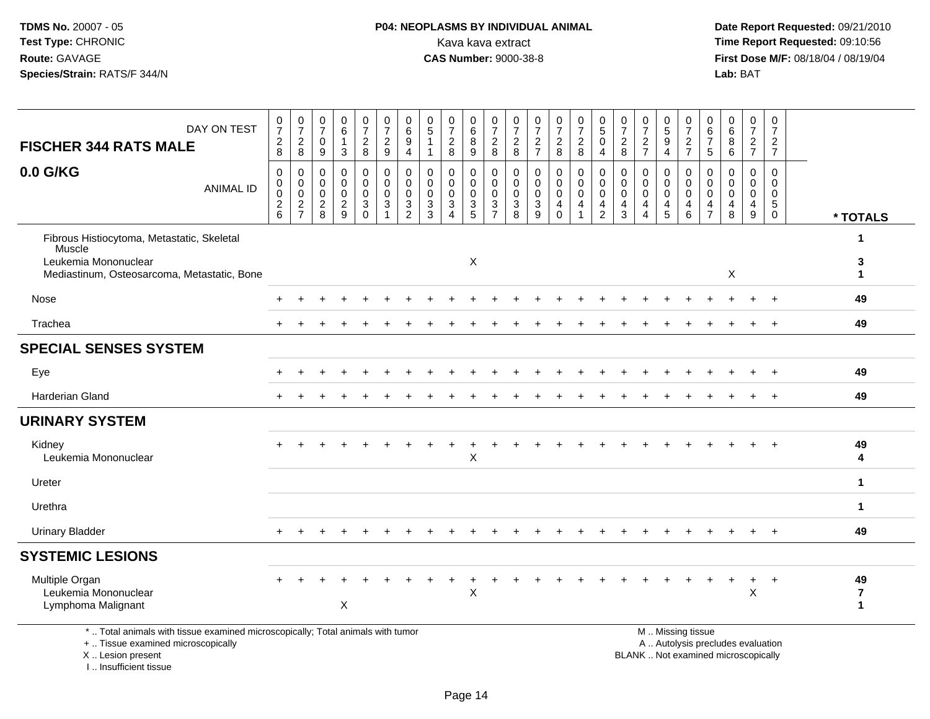## **P04: NEOPLASMS BY INDIVIDUAL ANIMAL**<br>Kava kava extract Kava kava extract **Time Report Requested:** 09:10:56<br>**CAS Number:** 9000-38-8<br>**Tirst Dose M/F:** 08/18/04 / 08/19/04

 **Date Report Requested:** 09/21/2010 **First Dose M/F:** 08/18/04 / 08/19/04<br>Lab: BAT **Lab:** BAT

| DAY ON TEST<br><b>FISCHER 344 RATS MALE</b>                                                                                 | $\frac{0}{7}$<br>$_{\rm 8}^2$                                      | $\frac{0}{7}$<br>$\sqrt{2}$<br>8                    | 0<br>$\overline{7}$<br>$\mathbf 0$<br>9                      | $\pmb{0}$<br>$6\phantom{a}$<br>$\mathbf{1}$<br>3           | $\frac{0}{7}$<br>$\overline{a}$<br>8    | $\frac{0}{7}$<br>$\sqrt{2}$<br>9                                                            | 0<br>$\overline{6}$<br>$\boldsymbol{9}$<br>$\overline{4}$ | 0<br>$\overline{5}$<br>-1                                         | $\begin{array}{c} 0 \\ 7 \end{array}$<br>$\sqrt{2}$<br>8                         | 0<br>$\overline{6}$<br>$\,8\,$<br>9  | $\frac{0}{7}$<br>$_{8}^2$                                        | $\frac{0}{7}$<br>$\boldsymbol{2}$<br>8                                              | $\frac{0}{7}$<br>$\sqrt{2}$<br>$\overline{7}$                                       | $\frac{0}{7}$<br>$\sqrt{2}$<br>8                                              | $\begin{smallmatrix}0\\7\end{smallmatrix}$<br>$\frac{2}{8}$               | $\begin{smallmatrix}0\0\0\end{smallmatrix}$<br>$\mathsf{O}\xspace$<br>$\overline{4}$ | $\frac{0}{7}$<br>$_{8}^{2}$                                             | $\frac{0}{7}$<br>$\frac{2}{7}$                            | $\begin{array}{c} 0 \\ 5 \\ 9 \end{array}$<br>$\overline{4}$             | $\frac{0}{7}$<br>$\frac{2}{7}$                                                             | 0<br>$\,6\,$<br>$\overline{7}$<br>5              | 0<br>$\,6\,$<br>8<br>6                    | $\frac{0}{7}$<br>$rac{2}{7}$                                                       | $\pmb{0}$<br>$\overline{7}$<br>$\overline{c}$<br>$\overline{7}$ |                                     |
|-----------------------------------------------------------------------------------------------------------------------------|--------------------------------------------------------------------|-----------------------------------------------------|--------------------------------------------------------------|------------------------------------------------------------|-----------------------------------------|---------------------------------------------------------------------------------------------|-----------------------------------------------------------|-------------------------------------------------------------------|----------------------------------------------------------------------------------|--------------------------------------|------------------------------------------------------------------|-------------------------------------------------------------------------------------|-------------------------------------------------------------------------------------|-------------------------------------------------------------------------------|---------------------------------------------------------------------------|--------------------------------------------------------------------------------------|-------------------------------------------------------------------------|-----------------------------------------------------------|--------------------------------------------------------------------------|--------------------------------------------------------------------------------------------|--------------------------------------------------|-------------------------------------------|------------------------------------------------------------------------------------|-----------------------------------------------------------------|-------------------------------------|
| 0.0 G/KG<br><b>ANIMAL ID</b>                                                                                                | $\mathbf 0$<br>$\mathbf 0$<br>$\mathsf{O}\xspace$<br>$\frac{2}{6}$ | 0<br>$\mathbf 0$<br>$\overline{0}$<br>$\frac{2}{7}$ | $\mathbf 0$<br>$\mathbf 0$<br>$\mathbf 0$<br>$\sqrt{2}$<br>8 | $\mathbf 0$<br>$\mathbf 0$<br>$\mathbf 0$<br>$\frac{2}{9}$ | 0<br>0<br>$\mathsf{O}$<br>3<br>$\Omega$ | $\mathbf 0$<br>$\mathbf 0$<br>$\overline{0}$<br>$\ensuremath{\mathsf{3}}$<br>$\overline{1}$ | $\pmb{0}$<br>$\mathbf 0$<br>$\pmb{0}$<br>$\frac{3}{2}$    | $\mathbf 0$<br>0<br>$\mathbf 0$<br>$\ensuremath{\mathsf{3}}$<br>3 | $\mathbf 0$<br>$\mathbf 0$<br>$\pmb{0}$<br>$\mathsf 3$<br>$\boldsymbol{\Lambda}$ | 0<br>0<br>$\pmb{0}$<br>$\frac{3}{5}$ | $\pmb{0}$<br>$\mathsf 0$<br>$\ddot{\mathbf{0}}$<br>$\frac{3}{7}$ | $\mathbf 0$<br>$\mathbf 0$<br>$\ddot{\mathbf{0}}$<br>$\ensuremath{\mathsf{3}}$<br>8 | $\mathbf 0$<br>$\mathbf 0$<br>$\mathsf{O}\xspace$<br>$\ensuremath{\mathsf{3}}$<br>9 | $\mathbf 0$<br>$\pmb{0}$<br>$\ddot{\mathbf{0}}$<br>$\overline{4}$<br>$\Omega$ | 0<br>$\mathbf 0$<br>$\ddot{\mathbf{0}}$<br>$\overline{4}$<br>$\mathbf{1}$ | 0<br>$\mathbf 0$<br>$\ddot{\mathbf{0}}$<br>$\overline{4}$<br>$\overline{2}$          | 0<br>$\mathbf 0$<br>$\mathsf{O}\xspace$<br>$\overline{\mathbf{4}}$<br>3 | 0<br>0<br>$\mathsf 0$<br>$\overline{4}$<br>$\overline{4}$ | $\mathbf 0$<br>$\mathbf 0$<br>$\ddot{\mathbf{0}}$<br>$\overline{4}$<br>5 | $\mathbf 0$<br>$\mathbf 0$<br>$\ddot{\mathbf{0}}$<br>$\begin{array}{c} 4 \\ 6 \end{array}$ | $\mathbf 0$<br>0<br>$\mathbf 0$<br>$\frac{4}{7}$ | 0<br>$\mathbf 0$<br>$\mathbf 0$<br>4<br>8 | $\mathsf 0$<br>$\mathbf 0$<br>$\mathbf 0$<br>$\begin{array}{c} 4 \\ 9 \end{array}$ | 0<br>$\mathbf 0$<br>$\mathbf 0$<br>$5\phantom{.0}$<br>$\Omega$  | * TOTALS                            |
| Fibrous Histiocytoma, Metastatic, Skeletal<br>Muscle<br>Leukemia Mononuclear<br>Mediastinum, Osteosarcoma, Metastatic, Bone |                                                                    |                                                     |                                                              |                                                            |                                         |                                                                                             |                                                           |                                                                   |                                                                                  | X                                    |                                                                  |                                                                                     |                                                                                     |                                                                               |                                                                           |                                                                                      |                                                                         |                                                           |                                                                          |                                                                                            |                                                  | $\boldsymbol{\mathsf{X}}$                 |                                                                                    |                                                                 | $\mathbf{1}$<br>3<br>1              |
| Nose                                                                                                                        |                                                                    |                                                     |                                                              |                                                            |                                         |                                                                                             |                                                           |                                                                   |                                                                                  |                                      |                                                                  |                                                                                     |                                                                                     |                                                                               |                                                                           |                                                                                      |                                                                         |                                                           |                                                                          |                                                                                            |                                                  |                                           |                                                                                    | $\overline{+}$                                                  | 49                                  |
| Trachea                                                                                                                     |                                                                    |                                                     |                                                              |                                                            |                                         |                                                                                             |                                                           |                                                                   |                                                                                  |                                      |                                                                  |                                                                                     |                                                                                     |                                                                               |                                                                           |                                                                                      |                                                                         |                                                           |                                                                          |                                                                                            |                                                  |                                           |                                                                                    |                                                                 | 49                                  |
| <b>SPECIAL SENSES SYSTEM</b>                                                                                                |                                                                    |                                                     |                                                              |                                                            |                                         |                                                                                             |                                                           |                                                                   |                                                                                  |                                      |                                                                  |                                                                                     |                                                                                     |                                                                               |                                                                           |                                                                                      |                                                                         |                                                           |                                                                          |                                                                                            |                                                  |                                           |                                                                                    |                                                                 |                                     |
| Eye                                                                                                                         |                                                                    |                                                     |                                                              |                                                            |                                         |                                                                                             |                                                           |                                                                   |                                                                                  |                                      |                                                                  |                                                                                     |                                                                                     |                                                                               |                                                                           |                                                                                      |                                                                         |                                                           |                                                                          |                                                                                            |                                                  |                                           |                                                                                    | $\overline{1}$                                                  | 49                                  |
| Harderian Gland                                                                                                             |                                                                    |                                                     |                                                              |                                                            |                                         |                                                                                             |                                                           |                                                                   |                                                                                  |                                      |                                                                  |                                                                                     |                                                                                     |                                                                               |                                                                           |                                                                                      |                                                                         |                                                           |                                                                          |                                                                                            |                                                  |                                           |                                                                                    |                                                                 | 49                                  |
| <b>URINARY SYSTEM</b>                                                                                                       |                                                                    |                                                     |                                                              |                                                            |                                         |                                                                                             |                                                           |                                                                   |                                                                                  |                                      |                                                                  |                                                                                     |                                                                                     |                                                                               |                                                                           |                                                                                      |                                                                         |                                                           |                                                                          |                                                                                            |                                                  |                                           |                                                                                    |                                                                 |                                     |
| Kidney<br>Leukemia Mononuclear                                                                                              |                                                                    |                                                     |                                                              |                                                            |                                         |                                                                                             |                                                           |                                                                   |                                                                                  | $\pmb{\times}$                       |                                                                  |                                                                                     |                                                                                     |                                                                               |                                                                           |                                                                                      |                                                                         |                                                           |                                                                          |                                                                                            |                                                  |                                           |                                                                                    | $\overline{1}$                                                  | 49<br>4                             |
| Ureter                                                                                                                      |                                                                    |                                                     |                                                              |                                                            |                                         |                                                                                             |                                                           |                                                                   |                                                                                  |                                      |                                                                  |                                                                                     |                                                                                     |                                                                               |                                                                           |                                                                                      |                                                                         |                                                           |                                                                          |                                                                                            |                                                  |                                           |                                                                                    |                                                                 | $\mathbf{1}$                        |
| Urethra                                                                                                                     |                                                                    |                                                     |                                                              |                                                            |                                         |                                                                                             |                                                           |                                                                   |                                                                                  |                                      |                                                                  |                                                                                     |                                                                                     |                                                                               |                                                                           |                                                                                      |                                                                         |                                                           |                                                                          |                                                                                            |                                                  |                                           |                                                                                    |                                                                 | $\mathbf{1}$                        |
| <b>Urinary Bladder</b>                                                                                                      |                                                                    |                                                     |                                                              |                                                            |                                         |                                                                                             |                                                           |                                                                   |                                                                                  |                                      |                                                                  |                                                                                     |                                                                                     |                                                                               |                                                                           |                                                                                      |                                                                         |                                                           |                                                                          |                                                                                            |                                                  |                                           |                                                                                    | $\ddot{}$                                                       | 49                                  |
| <b>SYSTEMIC LESIONS</b>                                                                                                     |                                                                    |                                                     |                                                              |                                                            |                                         |                                                                                             |                                                           |                                                                   |                                                                                  |                                      |                                                                  |                                                                                     |                                                                                     |                                                                               |                                                                           |                                                                                      |                                                                         |                                                           |                                                                          |                                                                                            |                                                  |                                           |                                                                                    |                                                                 |                                     |
| Multiple Organ<br>Leukemia Mononuclear<br>Lymphoma Malignant                                                                |                                                                    |                                                     |                                                              | X                                                          |                                         |                                                                                             |                                                           |                                                                   |                                                                                  | X                                    |                                                                  |                                                                                     |                                                                                     |                                                                               |                                                                           |                                                                                      |                                                                         |                                                           |                                                                          |                                                                                            |                                                  |                                           | X                                                                                  | $\overline{1}$                                                  | 49<br>$\overline{7}$<br>$\mathbf 1$ |
| *  Total animals with tissue examined microscopically; Total animals with tumor<br>+  Tissue examined microscopically       |                                                                    |                                                     |                                                              |                                                            |                                         |                                                                                             |                                                           |                                                                   |                                                                                  |                                      |                                                                  |                                                                                     |                                                                                     |                                                                               |                                                                           |                                                                                      |                                                                         |                                                           |                                                                          |                                                                                            | M  Missing tissue                                |                                           | A  Autolysis precludes evaluation                                                  |                                                                 |                                     |

X .. Lesion present

I .. Insufficient tissue

Lesion present BLANK .. Not examined microscopically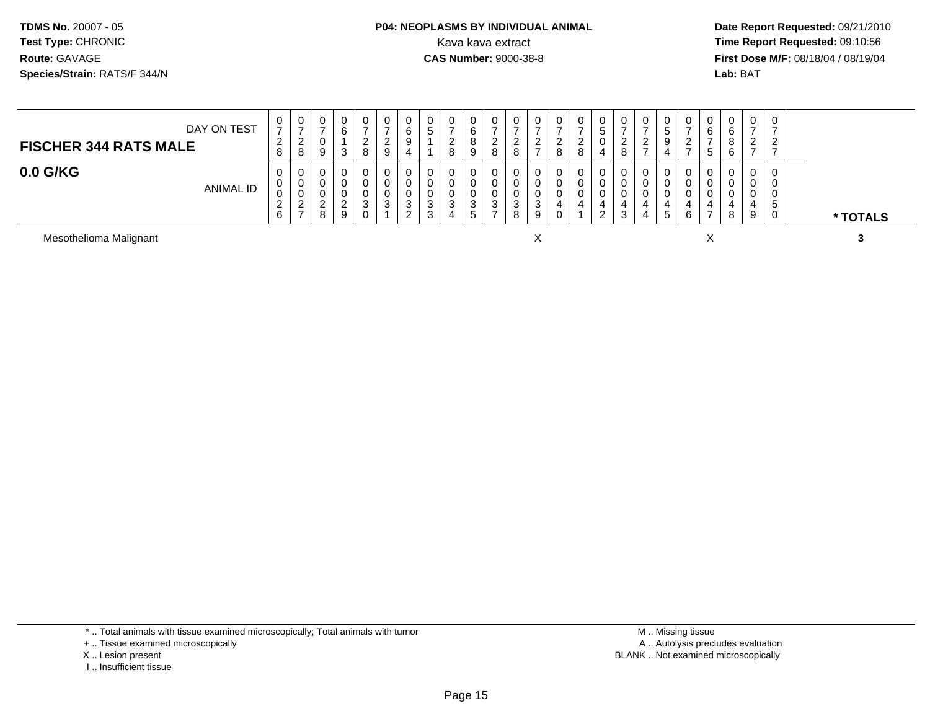## **P04: NEOPLASMS BY INDIVIDUAL ANIMAL**<br>Kava kava extract Kava kava extract **Time Report Requested:** 09:10:56<br>**CAS Number:** 9000-38-8<br>**Tirst Dose M/F:** 08/18/04 / 08/19/04

 **Date Report Requested:** 09/21/2010 **First Dose M/F:** 08/18/04 / 08/19/04 Lab: BAT **Lab:** BAT

| DAY ON TEST<br><b>FISCHER 344 RATS MALE</b> | v<br>$\rightarrow$<br>$\epsilon$<br>8 | U<br>∼      | $\mathbf{0}$<br>U<br>9 | U<br>⌒<br>- 0           | 0<br><u>_</u><br>8    | 0<br>⇁<br>$\epsilon$<br>9 | U<br>6<br>9<br>4      | 0<br>∽<br>◡                     | -<br><u>.</u><br>റ |   | ∼ | v<br><u>_</u><br>റ         | <u>_</u> | U<br>-<br>ີ<br>_<br>$\circ$ | U<br><sup>o</sup><br><u>_</u><br>$\circ$<br>o | U<br>IJ<br>4 | <u>_</u> | ∼ | $\mathbf{0}$<br>b.<br>9 | ν<br>ے      | 0<br>6<br>.5 | 0<br>6<br>O<br>6 | 0<br>$\rightarrow$<br>າ<br><u>_</u><br>$\overline{ }$ | 0<br>ົ<br><u>_</u>     |          |
|---------------------------------------------|---------------------------------------|-------------|------------------------|-------------------------|-----------------------|---------------------------|-----------------------|---------------------------------|--------------------|---|---|----------------------------|----------|-----------------------------|-----------------------------------------------|--------------|----------|---|-------------------------|-------------|--------------|------------------|-------------------------------------------------------|------------------------|----------|
| $0.0$ G/KG<br>ANIMAL ID                     | v<br>υ<br>$\sim$<br>$\epsilon$<br>6   | v<br>▵<br>- | 0<br>0<br>U<br>ົ<br>8  | U<br>◠<br><u>.</u><br>9 | 0<br>0<br>0<br>3<br>0 | 0<br>0<br>0<br>◠<br>ູບ    | 0<br>U<br>U<br>3<br>ົ | 0<br>0<br>0<br>ີ<br>ັ<br>ົ<br>ٮ | ີ<br>◡             | ت | N | υ<br>U<br>U<br>⌒<br>ں<br>8 | 9        | 0<br>0                      | 0<br>U<br>U                                   | v<br>U.<br>ົ |          |   | 0<br>0<br>0<br>b.       | U<br>U<br>6 | 0<br>O<br>0  | 0<br>8           | 0<br>0<br>0<br>4<br>9                                 | 0<br>0<br>0<br>C.<br>0 | * TOTALS |

Mesothelioma Malignantt and the contract of the contract of the contract of the contract of the contract of the contract of the contract of the contract of the contract of the contract of the contract of the contract of the contract of the cont

\* .. Total animals with tissue examined microscopically; Total animals with tumor

+ .. Tissue examined microscopically

X .. Lesion present

I .. Insufficient tissue

 M .. Missing tissuey the contract of the contract of the contract of the contract of the contract of the contract of the contract of  $A$ . Autolysis precludes evaluation Lesion present BLANK .. Not examined microscopically

<sup>X</sup> **<sup>3</sup>**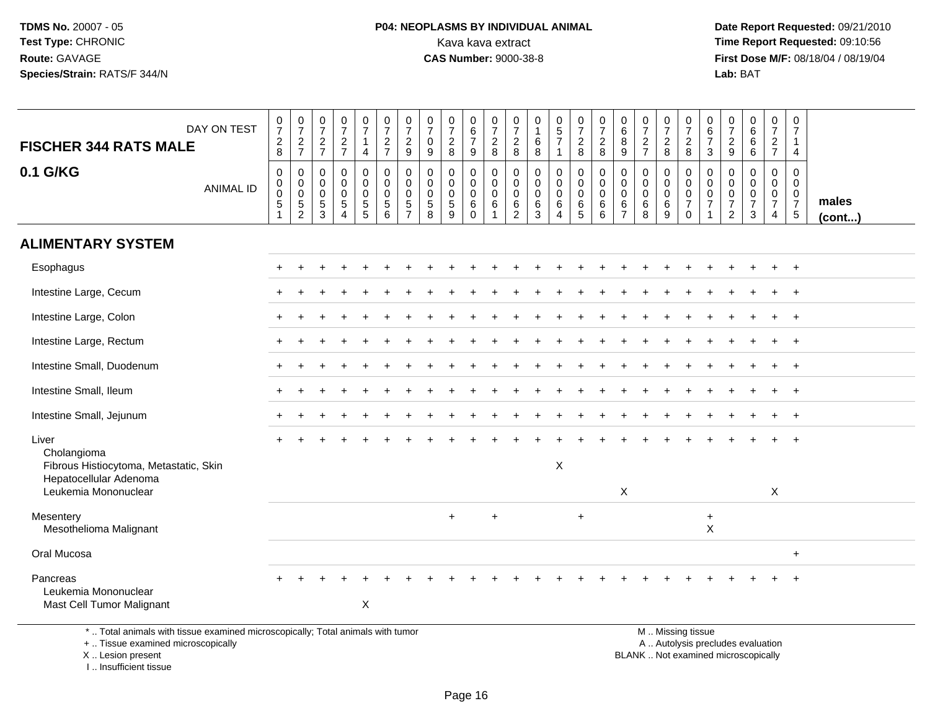# **P04: NEOPLASMS BY INDIVIDUAL ANIMAL**<br>Kava kava extract Kava kava extract **Time Report Requested:** 09:10:56<br>**CAS Number:** 9000-38-8<br>**Tirst Dose M/F:** 08/18/04 / 08/19/04

 **Date Report Requested:** 09/21/2010 **First Dose M/F:** 08/18/04 / 08/19/04 Lab: BAT **Lab:** BAT

| DAY ON TEST<br><b>FISCHER 344 RATS MALE</b>                                     | $\frac{0}{7}$<br>$_{8}^2$                         | $\begin{array}{c} 0 \\ 7 \end{array}$<br>$rac{2}{7}$                       | $\frac{0}{7}$<br>$\sqrt{2}$<br>$\overline{7}$                 | $\begin{smallmatrix}0\\7\end{smallmatrix}$<br>$\frac{2}{7}$                     | $\frac{0}{7}$<br>$\overline{1}$<br>$\overline{4}$  | $\frac{0}{7}$<br>$\frac{2}{7}$                               | $\frac{0}{7}$<br>$\sqrt{2}$<br>9                                        | $\frac{0}{7}$<br>$\pmb{0}$<br>$9\,$                        | $\frac{0}{7}$<br>$\overline{a}$<br>$\bf8$ | $\begin{array}{c} 0 \\ 6 \\ 7 \end{array}$<br>9     | $\frac{0}{7}$<br>$\frac{2}{8}$                            | $\boldsymbol{0}$<br>$\overline{7}$<br>$\overline{2}$<br>8 | $\pmb{0}$<br>$\mathbf{1}$<br>$\,6\,$<br>8                 | $\begin{array}{c} 0 \\ 5 \\ 7 \end{array}$         | $\frac{0}{7}$<br>8                                              | $\frac{0}{7}$<br>$\overline{c}$<br>8      | $\pmb{0}$<br>$\,6\,$<br>8<br>$9\,$                     | $\begin{smallmatrix}0\\7\end{smallmatrix}$<br>$\frac{2}{7}$ | $\frac{0}{7}$<br>$\sqrt{2}$<br>8              | $\frac{0}{7}$<br>$\frac{2}{8}$                                             | 0<br>6<br>$\overline{7}$<br>3                               | $\frac{0}{7}$<br>$\frac{2}{9}$                                        | $_{6}^{\rm 0}$<br>6<br>6                     | $\frac{0}{7}$<br>$\frac{2}{7}$                         | $\mathbf 0$<br>$\overline{7}$<br>$\mathbf{1}$<br>$\overline{4}$                |                 |
|---------------------------------------------------------------------------------|---------------------------------------------------|----------------------------------------------------------------------------|---------------------------------------------------------------|---------------------------------------------------------------------------------|----------------------------------------------------|--------------------------------------------------------------|-------------------------------------------------------------------------|------------------------------------------------------------|-------------------------------------------|-----------------------------------------------------|-----------------------------------------------------------|-----------------------------------------------------------|-----------------------------------------------------------|----------------------------------------------------|-----------------------------------------------------------------|-------------------------------------------|--------------------------------------------------------|-------------------------------------------------------------|-----------------------------------------------|----------------------------------------------------------------------------|-------------------------------------------------------------|-----------------------------------------------------------------------|----------------------------------------------|--------------------------------------------------------|--------------------------------------------------------------------------------|-----------------|
| 0.1 G/KG<br><b>ANIMAL ID</b>                                                    | 0<br>$\boldsymbol{0}$<br>$\pmb{0}$<br>$5\,$<br>-1 | $\mathbf 0$<br>$\mathbf 0$<br>$\mathbf 0$<br>$\,$ 5 $\,$<br>$\overline{2}$ | $\mathbf 0$<br>$\mathbf 0$<br>$\mathbf 0$<br>$\,$ 5 $\,$<br>3 | $\mathbf 0$<br>$\pmb{0}$<br>$\mathbf 0$<br>$\sqrt{5}$<br>$\boldsymbol{\Lambda}$ | 0<br>0<br>$\mathbf 0$<br>$\,$ 5 $\,$<br>$\sqrt{5}$ | $\mathbf 0$<br>$\mathbf 0$<br>$\mathbf 0$<br>$\sqrt{5}$<br>6 | $\mathbf 0$<br>$\mathbf 0$<br>$\Omega$<br>$\,$ 5 $\,$<br>$\overline{7}$ | 0<br>$\mathsf{O}\xspace$<br>$\mathbf 0$<br>$\sqrt{5}$<br>8 | 0<br>0<br>$\mathbf 0$<br>5<br>9           | 0<br>$\mathbf 0$<br>$\mathbf 0$<br>6<br>$\mathbf 0$ | $\mathbf 0$<br>$\mathbf 0$<br>$\mathbf 0$<br>$\,6\,$<br>1 | 0<br>$\mathbf 0$<br>$\mathbf 0$<br>6<br>2                 | $\mathbf 0$<br>$\mathbf 0$<br>$\mathbf 0$<br>$\,6\,$<br>3 | 0<br>0<br>$\mathbf 0$<br>$\,6\,$<br>$\overline{4}$ | $\mathbf 0$<br>$\mathsf{O}\xspace$<br>$\mathbf 0$<br>$\,6$<br>5 | 0<br>$\mathbf 0$<br>$\mathbf 0$<br>6<br>6 | $\mathbf 0$<br>0<br>$\mathbf 0$<br>6<br>$\overline{7}$ | $\mathbf 0$<br>$\pmb{0}$<br>$\mathbf 0$<br>$\,6\,$<br>8     | 0<br>$\mathbf 0$<br>$\mathbf 0$<br>$\,6$<br>9 | $\mathbf 0$<br>$\mathbf 0$<br>$\mathbf 0$<br>$\overline{7}$<br>$\mathsf 0$ | $\mathbf 0$<br>$\mathbf 0$<br>$\mathbf 0$<br>$\overline{7}$ | 0<br>$\mathbf 0$<br>$\mathbf 0$<br>$\boldsymbol{7}$<br>$\overline{2}$ | 0<br>0<br>$\mathsf 0$<br>$\overline{7}$<br>3 | 0<br>$\mathbf 0$<br>$\mathbf 0$<br>$\overline{7}$<br>4 | $\mathbf 0$<br>$\mathbf 0$<br>$\mathbf 0$<br>$\overline{7}$<br>$5\phantom{.0}$ | males<br>(cont) |
| <b>ALIMENTARY SYSTEM</b>                                                        |                                                   |                                                                            |                                                               |                                                                                 |                                                    |                                                              |                                                                         |                                                            |                                           |                                                     |                                                           |                                                           |                                                           |                                                    |                                                                 |                                           |                                                        |                                                             |                                               |                                                                            |                                                             |                                                                       |                                              |                                                        |                                                                                |                 |
| Esophagus                                                                       |                                                   |                                                                            |                                                               |                                                                                 |                                                    |                                                              |                                                                         |                                                            |                                           |                                                     |                                                           |                                                           |                                                           |                                                    |                                                                 |                                           |                                                        |                                                             |                                               |                                                                            |                                                             |                                                                       |                                              | $\pm$                                                  | $+$                                                                            |                 |
| Intestine Large, Cecum                                                          |                                                   |                                                                            |                                                               |                                                                                 |                                                    |                                                              |                                                                         |                                                            |                                           |                                                     |                                                           |                                                           |                                                           |                                                    |                                                                 |                                           |                                                        |                                                             |                                               |                                                                            |                                                             |                                                                       |                                              |                                                        | $\overline{+}$                                                                 |                 |
| Intestine Large, Colon                                                          |                                                   |                                                                            |                                                               |                                                                                 |                                                    |                                                              |                                                                         |                                                            |                                           |                                                     |                                                           |                                                           |                                                           |                                                    |                                                                 |                                           |                                                        |                                                             |                                               |                                                                            |                                                             |                                                                       |                                              |                                                        | $+$                                                                            |                 |
| Intestine Large, Rectum                                                         |                                                   |                                                                            |                                                               |                                                                                 |                                                    |                                                              |                                                                         |                                                            |                                           |                                                     |                                                           |                                                           |                                                           |                                                    |                                                                 |                                           |                                                        |                                                             |                                               |                                                                            |                                                             |                                                                       |                                              |                                                        |                                                                                |                 |
| Intestine Small, Duodenum                                                       |                                                   |                                                                            |                                                               |                                                                                 |                                                    |                                                              |                                                                         |                                                            |                                           |                                                     |                                                           |                                                           |                                                           |                                                    |                                                                 |                                           |                                                        |                                                             |                                               |                                                                            |                                                             |                                                                       |                                              |                                                        | $+$                                                                            |                 |
| Intestine Small, Ileum                                                          |                                                   |                                                                            |                                                               |                                                                                 |                                                    |                                                              |                                                                         |                                                            |                                           |                                                     |                                                           |                                                           |                                                           |                                                    |                                                                 |                                           |                                                        |                                                             |                                               |                                                                            |                                                             |                                                                       |                                              |                                                        | $+$                                                                            |                 |
| Intestine Small, Jejunum                                                        |                                                   |                                                                            |                                                               |                                                                                 |                                                    |                                                              |                                                                         |                                                            |                                           |                                                     |                                                           |                                                           |                                                           |                                                    |                                                                 |                                           |                                                        |                                                             |                                               |                                                                            |                                                             |                                                                       |                                              |                                                        | $\overline{1}$                                                                 |                 |
| Liver<br>Cholangioma<br>Fibrous Histiocytoma, Metastatic, Skin                  |                                                   |                                                                            |                                                               |                                                                                 |                                                    |                                                              |                                                                         |                                                            |                                           |                                                     |                                                           |                                                           |                                                           | X                                                  |                                                                 |                                           |                                                        |                                                             |                                               |                                                                            |                                                             |                                                                       |                                              |                                                        | $\overline{+}$                                                                 |                 |
| Hepatocellular Adenoma<br>Leukemia Mononuclear                                  |                                                   |                                                                            |                                                               |                                                                                 |                                                    |                                                              |                                                                         |                                                            |                                           |                                                     |                                                           |                                                           |                                                           |                                                    |                                                                 |                                           | $\mathsf X$                                            |                                                             |                                               |                                                                            |                                                             |                                                                       |                                              | X                                                      |                                                                                |                 |
| Mesentery<br>Mesothelioma Malignant                                             |                                                   |                                                                            |                                                               |                                                                                 |                                                    |                                                              |                                                                         |                                                            | $\ddot{}$                                 |                                                     | $\ddot{}$                                                 |                                                           |                                                           |                                                    | $+$                                                             |                                           |                                                        |                                                             |                                               |                                                                            | $\ddot{}$<br>$\mathsf{X}$                                   |                                                                       |                                              |                                                        |                                                                                |                 |
| Oral Mucosa                                                                     |                                                   |                                                                            |                                                               |                                                                                 |                                                    |                                                              |                                                                         |                                                            |                                           |                                                     |                                                           |                                                           |                                                           |                                                    |                                                                 |                                           |                                                        |                                                             |                                               |                                                                            |                                                             |                                                                       |                                              |                                                        | $\ddot{+}$                                                                     |                 |
| Pancreas<br>Leukemia Mononuclear<br>Mast Cell Tumor Malignant                   |                                                   |                                                                            |                                                               |                                                                                 | $\mathsf X$                                        |                                                              |                                                                         |                                                            |                                           |                                                     |                                                           |                                                           |                                                           |                                                    |                                                                 |                                           |                                                        |                                                             |                                               |                                                                            |                                                             |                                                                       |                                              |                                                        | $\overline{1}$                                                                 |                 |
| *  Total animals with tissue examined microscopically; Total animals with tumor |                                                   |                                                                            |                                                               |                                                                                 |                                                    |                                                              |                                                                         |                                                            |                                           |                                                     |                                                           |                                                           |                                                           |                                                    |                                                                 |                                           |                                                        |                                                             |                                               | M  Missing tissue                                                          |                                                             |                                                                       |                                              |                                                        |                                                                                |                 |

+ .. Tissue examined microscopically

X .. Lesion present

I .. Insufficient tissue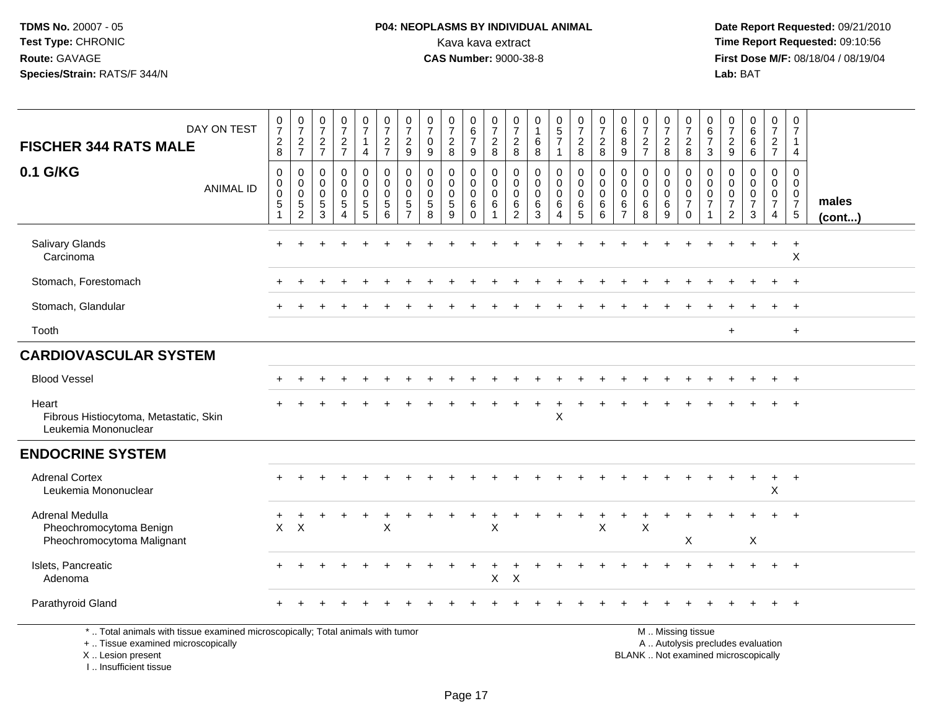# **P04: NEOPLASMS BY INDIVIDUAL ANIMAL**<br>Kava kava extract Kava kava extract **Time Report Requested:** 09:10:56<br>**CAS Number:** 9000-38-8 **CAS Number:** 9000-38-8

 **Date Report Requested:** 09/21/2010 **First Dose M/F:** 08/18/04 / 08/19/04<br>Lab: BAT **Lab:** BAT

| DAY ON TEST<br><b>FISCHER 344 RATS MALE</b>                                                                                                | $\frac{0}{7}$<br>$^2_{\bf 8}$                          | $\frac{0}{7}$<br>$\frac{2}{7}$                             | $\frac{0}{7}$<br>$\frac{2}{7}$                                      | $\frac{0}{7}$<br>$\frac{2}{7}$                                  | $\frac{0}{7}$<br>$\mathbf{1}$<br>$\overline{4}$                                  | $\frac{0}{7}$<br>$\overline{c}$<br>$\overline{7}$   | $\frac{0}{7}$<br>$\overline{c}$<br>9           | $\frac{0}{7}$<br>$\pmb{0}$<br>9                                           | 0<br>$\overline{7}$<br>$\mathbf{2}$<br>8               | 0<br>$\,6\,$<br>$\boldsymbol{7}$<br>9                                    | 0<br>$\overline{7}$<br>$\overline{c}$<br>8 | $\frac{0}{7}$<br>$\sqrt{2}$<br>8          | $\pmb{0}$<br>$\mathbf{1}$<br>$\,6$<br>8                   | $\begin{array}{c} 0 \\ 5 \\ 7 \end{array}$<br>$\overline{1}$     | $\frac{0}{7}$<br>$\sqrt{2}$<br>8                | 0<br>$\overline{7}$<br>$\overline{c}$<br>8          | $\begin{matrix} 0 \\ 6 \end{matrix}$<br>$\,8\,$<br>9                 | $\frac{0}{7}$<br>$\overline{c}$<br>$\overline{7}$ | $\frac{0}{7}$<br>$_{8}^2$ | 0<br>$\overline{7}$<br>$\frac{2}{8}$                                                          | 0<br>$\,6$<br>$\overline{7}$<br>3                        | $\frac{0}{7}$<br>$\sqrt{2}$<br>9                                        | $_{6}^{\rm 0}$<br>6<br>6                                      | 0<br>$\overline{7}$<br>$\overline{2}$<br>$\overline{7}$ | 0<br>$\overline{7}$<br>4                                                      |                       |
|--------------------------------------------------------------------------------------------------------------------------------------------|--------------------------------------------------------|------------------------------------------------------------|---------------------------------------------------------------------|-----------------------------------------------------------------|----------------------------------------------------------------------------------|-----------------------------------------------------|------------------------------------------------|---------------------------------------------------------------------------|--------------------------------------------------------|--------------------------------------------------------------------------|--------------------------------------------|-------------------------------------------|-----------------------------------------------------------|------------------------------------------------------------------|-------------------------------------------------|-----------------------------------------------------|----------------------------------------------------------------------|---------------------------------------------------|---------------------------|-----------------------------------------------------------------------------------------------|----------------------------------------------------------|-------------------------------------------------------------------------|---------------------------------------------------------------|---------------------------------------------------------|-------------------------------------------------------------------------------|-----------------------|
| 0.1 G/KG<br><b>ANIMAL ID</b>                                                                                                               | $\mathbf 0$<br>$\pmb{0}$<br>$\mathbf 0$<br>$\,$ 5 $\,$ | $\mathbf 0$<br>$\mathbf 0$<br>$\mathbf 0$<br>$\frac{5}{2}$ | 0<br>$\mathbf 0$<br>$\mathbf 0$<br>$\overline{5}$<br>$\overline{3}$ | 0<br>$\mathbf 0$<br>$\mathbf 0$<br>$\sqrt{5}$<br>$\overline{4}$ | 0<br>$\mathsf{O}\xspace$<br>$\mathbf 0$<br>$\begin{array}{c} 5 \\ 5 \end{array}$ | $\mathbf 0$<br>$\mathbf 0$<br>0<br>5<br>$6^{\circ}$ | $\mathbf 0$<br>$\mathbf{0}$<br>0<br>$\sqrt{5}$ | $\mathbf 0$<br>$\mathbf 0$<br>$\mathbf 0$<br>$\sqrt{5}$<br>$\overline{8}$ | 0<br>$\mathbf 0$<br>$\mathbf 0$<br>$\sqrt{5}$<br>$9\,$ | $\mathbf 0$<br>$\mathbf 0$<br>$\mathbf 0$<br>$6\phantom{1}6$<br>$\Omega$ | 0<br>$\mathbf 0$<br>$\mathbf 0$<br>6       | 0<br>$\Omega$<br>0<br>6<br>$\overline{2}$ | $\mathbf 0$<br>$\mathbf 0$<br>$\mathbf 0$<br>$\,6\,$<br>3 | $\mathbf 0$<br>$\mathbf 0$<br>$\mathbf 0$<br>6<br>$\overline{4}$ | $\mathbf 0$<br>$\mathbf 0$<br>0<br>$\,6\,$<br>5 | $\mathbf 0$<br>$\mathbf 0$<br>$\mathbf 0$<br>6<br>6 | $\mathbf 0$<br>$\mathbf 0$<br>$\mathbf 0$<br>$\,6$<br>$\overline{7}$ | $\mathbf 0$<br>$\Omega$<br>0<br>6<br>8            | 0<br>0<br>0<br>6<br>9     | $\mathbf 0$<br>$\Omega$<br>$\mathbf 0$<br>$\overline{7}$<br>$\mathbf 0$                       | $\mathbf 0$<br>$\Omega$<br>$\mathbf 0$<br>$\overline{7}$ | $\Omega$<br>$\Omega$<br>$\mathbf 0$<br>$\overline{7}$<br>$\overline{2}$ | $\mathbf 0$<br>$\Omega$<br>$\mathbf 0$<br>$\overline{7}$<br>3 | $\mathbf 0$<br>$\Omega$<br>0<br>$\overline{7}$<br>4     | $\mathbf 0$<br>$\mathbf 0$<br>$\mathbf 0$<br>$\overline{7}$<br>$\overline{5}$ | males<br>$($ cont $)$ |
| Salivary Glands<br>Carcinoma                                                                                                               | $\ddot{}$                                              |                                                            |                                                                     | $\ddot{}$                                                       |                                                                                  | $\ddot{}$                                           |                                                |                                                                           |                                                        |                                                                          |                                            |                                           |                                                           |                                                                  |                                                 |                                                     |                                                                      |                                                   |                           |                                                                                               |                                                          |                                                                         | $\ddot{}$                                                     | $\ddot{}$                                               | $\ddot{}$<br>X                                                                |                       |
| Stomach, Forestomach                                                                                                                       |                                                        |                                                            |                                                                     |                                                                 |                                                                                  |                                                     |                                                |                                                                           |                                                        |                                                                          |                                            |                                           |                                                           |                                                                  |                                                 |                                                     |                                                                      |                                                   |                           |                                                                                               |                                                          |                                                                         |                                                               |                                                         | $\overline{+}$                                                                |                       |
| Stomach, Glandular                                                                                                                         |                                                        |                                                            |                                                                     |                                                                 |                                                                                  |                                                     |                                                |                                                                           |                                                        |                                                                          |                                            |                                           |                                                           |                                                                  |                                                 |                                                     |                                                                      |                                                   |                           |                                                                                               |                                                          |                                                                         |                                                               |                                                         | $\ddot{}$                                                                     |                       |
| Tooth                                                                                                                                      |                                                        |                                                            |                                                                     |                                                                 |                                                                                  |                                                     |                                                |                                                                           |                                                        |                                                                          |                                            |                                           |                                                           |                                                                  |                                                 |                                                     |                                                                      |                                                   |                           |                                                                                               |                                                          | $\ddot{}$                                                               |                                                               |                                                         | $\ddot{}$                                                                     |                       |
| <b>CARDIOVASCULAR SYSTEM</b>                                                                                                               |                                                        |                                                            |                                                                     |                                                                 |                                                                                  |                                                     |                                                |                                                                           |                                                        |                                                                          |                                            |                                           |                                                           |                                                                  |                                                 |                                                     |                                                                      |                                                   |                           |                                                                                               |                                                          |                                                                         |                                                               |                                                         |                                                                               |                       |
| <b>Blood Vessel</b>                                                                                                                        |                                                        |                                                            |                                                                     |                                                                 |                                                                                  |                                                     |                                                |                                                                           |                                                        |                                                                          |                                            |                                           |                                                           |                                                                  |                                                 |                                                     |                                                                      |                                                   |                           |                                                                                               |                                                          |                                                                         |                                                               |                                                         | $\overline{+}$                                                                |                       |
| Heart<br>Fibrous Histiocytoma, Metastatic, Skin<br>Leukemia Mononuclear                                                                    |                                                        |                                                            |                                                                     |                                                                 |                                                                                  |                                                     |                                                |                                                                           |                                                        |                                                                          |                                            |                                           |                                                           | $\boldsymbol{\mathsf{X}}$                                        |                                                 |                                                     |                                                                      |                                                   |                           |                                                                                               |                                                          |                                                                         |                                                               |                                                         |                                                                               |                       |
| <b>ENDOCRINE SYSTEM</b>                                                                                                                    |                                                        |                                                            |                                                                     |                                                                 |                                                                                  |                                                     |                                                |                                                                           |                                                        |                                                                          |                                            |                                           |                                                           |                                                                  |                                                 |                                                     |                                                                      |                                                   |                           |                                                                                               |                                                          |                                                                         |                                                               |                                                         |                                                                               |                       |
| <b>Adrenal Cortex</b><br>Leukemia Mononuclear                                                                                              |                                                        |                                                            |                                                                     |                                                                 |                                                                                  |                                                     |                                                |                                                                           |                                                        |                                                                          |                                            |                                           |                                                           |                                                                  |                                                 |                                                     |                                                                      |                                                   |                           |                                                                                               |                                                          |                                                                         |                                                               | $\mathsf X$                                             | $\ddot{}$                                                                     |                       |
| Adrenal Medulla<br>Pheochromocytoma Benign                                                                                                 | +<br>X                                                 | $\boldsymbol{\mathsf{X}}$                                  |                                                                     |                                                                 |                                                                                  | X                                                   |                                                |                                                                           |                                                        |                                                                          | X                                          |                                           |                                                           |                                                                  |                                                 | X                                                   |                                                                      | $\overline{ }$<br>X                               |                           |                                                                                               |                                                          |                                                                         |                                                               |                                                         |                                                                               |                       |
| Pheochromocytoma Malignant                                                                                                                 |                                                        |                                                            |                                                                     |                                                                 |                                                                                  |                                                     |                                                |                                                                           |                                                        |                                                                          |                                            |                                           |                                                           |                                                                  |                                                 |                                                     |                                                                      |                                                   |                           | X                                                                                             |                                                          |                                                                         | X                                                             |                                                         |                                                                               |                       |
| Islets, Pancreatic<br>Adenoma                                                                                                              |                                                        |                                                            |                                                                     |                                                                 |                                                                                  |                                                     |                                                |                                                                           |                                                        |                                                                          | X                                          | $\mathsf{X}$                              |                                                           |                                                                  |                                                 |                                                     |                                                                      |                                                   |                           |                                                                                               |                                                          |                                                                         |                                                               |                                                         | $\ddot{}$                                                                     |                       |
| Parathyroid Gland                                                                                                                          |                                                        |                                                            |                                                                     |                                                                 |                                                                                  |                                                     |                                                |                                                                           |                                                        |                                                                          |                                            |                                           |                                                           |                                                                  |                                                 |                                                     |                                                                      |                                                   |                           |                                                                                               |                                                          |                                                                         |                                                               |                                                         | $\overline{+}$                                                                |                       |
| *  Total animals with tissue examined microscopically; Total animals with tumor<br>+  Tissue examined microscopically<br>X  Lesion present |                                                        |                                                            |                                                                     |                                                                 |                                                                                  |                                                     |                                                |                                                                           |                                                        |                                                                          |                                            |                                           |                                                           |                                                                  |                                                 |                                                     |                                                                      |                                                   |                           | M  Missing tissue<br>A  Autolysis precludes evaluation<br>BLANK  Not examined microscopically |                                                          |                                                                         |                                                               |                                                         |                                                                               |                       |

I .. Insufficient tissue

BLANK .. Not examined microscopically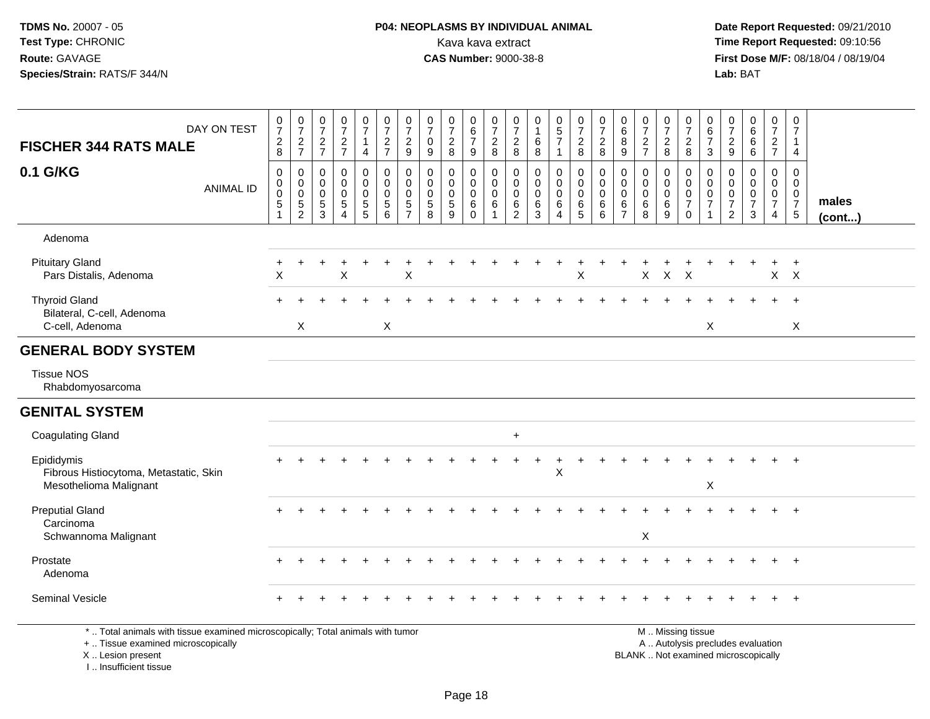# **P04: NEOPLASMS BY INDIVIDUAL ANIMAL**<br>Kava kava extract Kava kava extract **Time Report Requested:** 09:10:56<br>**CAS Number:** 9000-38-8<br>**Tirst Dose M/F:** 08/18/04 / 08/19/04

 **Date Report Requested:** 09/21/2010 **First Dose M/F:** 08/18/04 / 08/19/04 Lab: BAT **Lab:** BAT

| <b>FISCHER 344 RATS MALE</b>                                                    | DAY ON TEST      | $\frac{0}{7}$<br>$\sqrt{2}$                        | $\frac{0}{7}$<br>$\frac{2}{7}$                                           | $\frac{0}{7}$<br>$\overline{2}$                            | $\frac{0}{7}$<br>$\sqrt{2}$                                                  | $\frac{0}{7}$<br>$\mathbf{1}$                          | $\frac{0}{7}$<br>$\overline{2}$                              | $\frac{0}{7}$<br>$\overline{2}$                                    | $\frac{0}{7}$<br>$\mathbf 0$    | $\frac{0}{7}$<br>$\overline{c}$                            | $\begin{array}{c} 0 \\ 6 \\ 7 \end{array}$                 | $\frac{0}{7}$<br>$\sqrt{2}$                                            | 0<br>$\overline{7}$<br>$\overline{c}$                             | 0<br>$\mathbf{1}$<br>$6\phantom{1}6$           | $\begin{array}{c} 0 \\ 5 \\ 7 \end{array}$   | $\frac{0}{7}$<br>$\overline{c}$           | $\frac{0}{7}$<br>$\overline{c}$                             | $\begin{matrix} 0 \\ 6 \end{matrix}$<br>8              | $\frac{0}{7}$<br>$\sqrt{2}$                               | 0<br>$\overline{7}$<br>$\overline{2}$ | $\frac{0}{7}$<br>$\overline{c}$                                              | 0<br>$\,6\,$<br>$\overline{7}$                              | $\frac{0}{7}$<br>$\overline{a}$                                       | $_{6}^{\rm 0}$<br>6                           | $\begin{smallmatrix}0\\7\end{smallmatrix}$<br>$\overline{a}$        | 0<br>$\overline{7}$<br>$\overline{1}$                                          |                       |
|---------------------------------------------------------------------------------|------------------|----------------------------------------------------|--------------------------------------------------------------------------|------------------------------------------------------------|------------------------------------------------------------------------------|--------------------------------------------------------|--------------------------------------------------------------|--------------------------------------------------------------------|---------------------------------|------------------------------------------------------------|------------------------------------------------------------|------------------------------------------------------------------------|-------------------------------------------------------------------|------------------------------------------------|----------------------------------------------|-------------------------------------------|-------------------------------------------------------------|--------------------------------------------------------|-----------------------------------------------------------|---------------------------------------|------------------------------------------------------------------------------|-------------------------------------------------------------|-----------------------------------------------------------------------|-----------------------------------------------|---------------------------------------------------------------------|--------------------------------------------------------------------------------|-----------------------|
|                                                                                 |                  | 8                                                  |                                                                          | $\overline{7}$                                             | $\overline{7}$                                                               | $\overline{4}$                                         | $\overline{7}$                                               | 9                                                                  | 9                               | 8                                                          | 9                                                          | 8                                                                      | 8                                                                 | 8                                              | 1                                            | 8                                         | 8                                                           | $\boldsymbol{9}$                                       | $\overline{7}$                                            | 8                                     | 8                                                                            | 3                                                           | 9                                                                     | 6                                             | $\overline{7}$                                                      | $\overline{4}$                                                                 |                       |
| 0.1 G/KG                                                                        | <b>ANIMAL ID</b> | $\pmb{0}$<br>$\pmb{0}$<br>$\pmb{0}$<br>$\,$ 5 $\,$ | $\mathsf 0$<br>$\pmb{0}$<br>$\mathbf 0$<br>$\mathbf 5$<br>$\overline{2}$ | $\mathbf 0$<br>$\mathbf 0$<br>$\mathbf 0$<br>$\frac{5}{3}$ | $\pmb{0}$<br>$\mathbf 0$<br>$\Omega$<br>$\sqrt{5}$<br>$\boldsymbol{\Lambda}$ | $\pmb{0}$<br>$\pmb{0}$<br>$\mathbf 0$<br>$\frac{5}{5}$ | $\mathbf 0$<br>$\mathbf 0$<br>$\mathbf 0$<br>$\sqrt{5}$<br>6 | $\mathsf{O}\xspace$<br>$\mathbf 0$<br>$\mathbf 0$<br>$\frac{5}{7}$ | 0<br>0<br>$\mathbf 0$<br>5<br>8 | $\mathsf{O}\xspace$<br>0<br>$\mathbf 0$<br>$\sqrt{5}$<br>9 | $\mathbf 0$<br>0<br>$\mathbf 0$<br>$\,6\,$<br>$\mathbf{0}$ | $\mathbf 0$<br>$\mathbf 0$<br>$\mathbf 0$<br>$\,6\,$<br>$\overline{1}$ | $\mathbf 0$<br>$\mathbf 0$<br>$\mathbf 0$<br>$6\phantom{1}6$<br>2 | $\pmb{0}$<br>$\mathbf 0$<br>$\Omega$<br>6<br>3 | 0<br>0<br>$\mathbf 0$<br>6<br>$\overline{4}$ | $\mathbf 0$<br>0<br>$\mathbf 0$<br>6<br>5 | $\pmb{0}$<br>$\pmb{0}$<br>$\mathbf 0$<br>$\,6\,$<br>$\,6\,$ | $\mathbf 0$<br>0<br>$\mathbf 0$<br>6<br>$\overline{7}$ | $\mathbf 0$<br>$\mathbf 0$<br>$\mathbf 0$<br>$\,6\,$<br>8 | 0<br>0<br>$\mathbf 0$<br>6<br>9       | $\mathbf 0$<br>$\mathbf 0$<br>$\mathbf 0$<br>$\boldsymbol{7}$<br>$\mathbf 0$ | $\mathbf 0$<br>$\mathbf 0$<br>$\mathbf 0$<br>$\overline{7}$ | 0<br>$\mathbf 0$<br>$\mathbf 0$<br>$\boldsymbol{7}$<br>$\overline{2}$ | $\mathsf{O}$<br>0<br>0<br>$\overline{7}$<br>3 | $\mathbf 0$<br>$\overline{0}$<br>$\mathbf 0$<br>$\overline{7}$<br>4 | $\mathbf 0$<br>$\mathbf 0$<br>$\mathbf 0$<br>$\overline{7}$<br>$5\phantom{.0}$ | males<br>$($ cont $)$ |
| Adenoma                                                                         |                  |                                                    |                                                                          |                                                            |                                                                              |                                                        |                                                              |                                                                    |                                 |                                                            |                                                            |                                                                        |                                                                   |                                                |                                              |                                           |                                                             |                                                        |                                                           |                                       |                                                                              |                                                             |                                                                       |                                               |                                                                     |                                                                                |                       |
| <b>Pituitary Gland</b><br>Pars Distalis, Adenoma                                |                  | X                                                  |                                                                          |                                                            | Χ                                                                            |                                                        |                                                              | Χ                                                                  |                                 |                                                            |                                                            |                                                                        |                                                                   |                                                |                                              | X                                         |                                                             |                                                        | X                                                         | $\boldsymbol{\mathsf{X}}$             | $\mathsf{X}$                                                                 |                                                             |                                                                       |                                               |                                                                     | $\ddot{}$<br>$X$ $X$                                                           |                       |
| <b>Thyroid Gland</b><br>Bilateral, C-cell, Adenoma<br>C-cell, Adenoma           |                  |                                                    | X                                                                        |                                                            |                                                                              |                                                        | $\mathsf{X}$                                                 |                                                                    |                                 |                                                            |                                                            |                                                                        |                                                                   |                                                |                                              |                                           |                                                             |                                                        |                                                           |                                       |                                                                              | $\boldsymbol{\mathsf{X}}$                                   |                                                                       |                                               |                                                                     | $+$<br>X                                                                       |                       |
| <b>GENERAL BODY SYSTEM</b>                                                      |                  |                                                    |                                                                          |                                                            |                                                                              |                                                        |                                                              |                                                                    |                                 |                                                            |                                                            |                                                                        |                                                                   |                                                |                                              |                                           |                                                             |                                                        |                                                           |                                       |                                                                              |                                                             |                                                                       |                                               |                                                                     |                                                                                |                       |
| <b>Tissue NOS</b><br>Rhabdomyosarcoma                                           |                  |                                                    |                                                                          |                                                            |                                                                              |                                                        |                                                              |                                                                    |                                 |                                                            |                                                            |                                                                        |                                                                   |                                                |                                              |                                           |                                                             |                                                        |                                                           |                                       |                                                                              |                                                             |                                                                       |                                               |                                                                     |                                                                                |                       |
| <b>GENITAL SYSTEM</b>                                                           |                  |                                                    |                                                                          |                                                            |                                                                              |                                                        |                                                              |                                                                    |                                 |                                                            |                                                            |                                                                        |                                                                   |                                                |                                              |                                           |                                                             |                                                        |                                                           |                                       |                                                                              |                                                             |                                                                       |                                               |                                                                     |                                                                                |                       |
| <b>Coagulating Gland</b>                                                        |                  |                                                    |                                                                          |                                                            |                                                                              |                                                        |                                                              |                                                                    |                                 |                                                            |                                                            |                                                                        | $\ddot{}$                                                         |                                                |                                              |                                           |                                                             |                                                        |                                                           |                                       |                                                                              |                                                             |                                                                       |                                               |                                                                     |                                                                                |                       |
| Epididymis<br>Fibrous Histiocytoma, Metastatic, Skin<br>Mesothelioma Malignant  |                  |                                                    |                                                                          |                                                            |                                                                              |                                                        |                                                              |                                                                    |                                 |                                                            |                                                            |                                                                        |                                                                   |                                                | X                                            |                                           |                                                             |                                                        |                                                           |                                       |                                                                              | $\mathsf X$                                                 |                                                                       |                                               |                                                                     | $\overline{+}$                                                                 |                       |
| <b>Preputial Gland</b><br>Carcinoma                                             |                  | $+$                                                |                                                                          |                                                            |                                                                              |                                                        |                                                              |                                                                    |                                 |                                                            |                                                            |                                                                        |                                                                   |                                                |                                              |                                           |                                                             |                                                        |                                                           |                                       |                                                                              |                                                             |                                                                       |                                               | $+$                                                                 | $+$                                                                            |                       |
| Schwannoma Malignant                                                            |                  |                                                    |                                                                          |                                                            |                                                                              |                                                        |                                                              |                                                                    |                                 |                                                            |                                                            |                                                                        |                                                                   |                                                |                                              |                                           |                                                             |                                                        | $\pmb{\times}$                                            |                                       |                                                                              |                                                             |                                                                       |                                               |                                                                     |                                                                                |                       |
| Prostate<br>Adenoma                                                             |                  |                                                    |                                                                          |                                                            |                                                                              |                                                        |                                                              |                                                                    |                                 |                                                            |                                                            |                                                                        |                                                                   |                                                |                                              |                                           |                                                             |                                                        |                                                           |                                       |                                                                              |                                                             |                                                                       |                                               | $\ddot{}$                                                           | $+$                                                                            |                       |
| Seminal Vesicle                                                                 |                  |                                                    |                                                                          |                                                            |                                                                              |                                                        |                                                              |                                                                    |                                 |                                                            |                                                            |                                                                        |                                                                   |                                                |                                              |                                           |                                                             |                                                        |                                                           |                                       |                                                                              |                                                             |                                                                       |                                               |                                                                     | $\overline{1}$                                                                 |                       |
| *  Total animals with tissue examined microscopically; Total animals with tumor |                  |                                                    |                                                                          |                                                            |                                                                              |                                                        |                                                              |                                                                    |                                 |                                                            |                                                            |                                                                        |                                                                   |                                                |                                              |                                           |                                                             |                                                        |                                                           |                                       | M  Missing tissue                                                            |                                                             |                                                                       |                                               | $\sim$                                                              |                                                                                |                       |

+ .. Tissue examined microscopicallyX .. Lesion present

I .. Insufficient tissue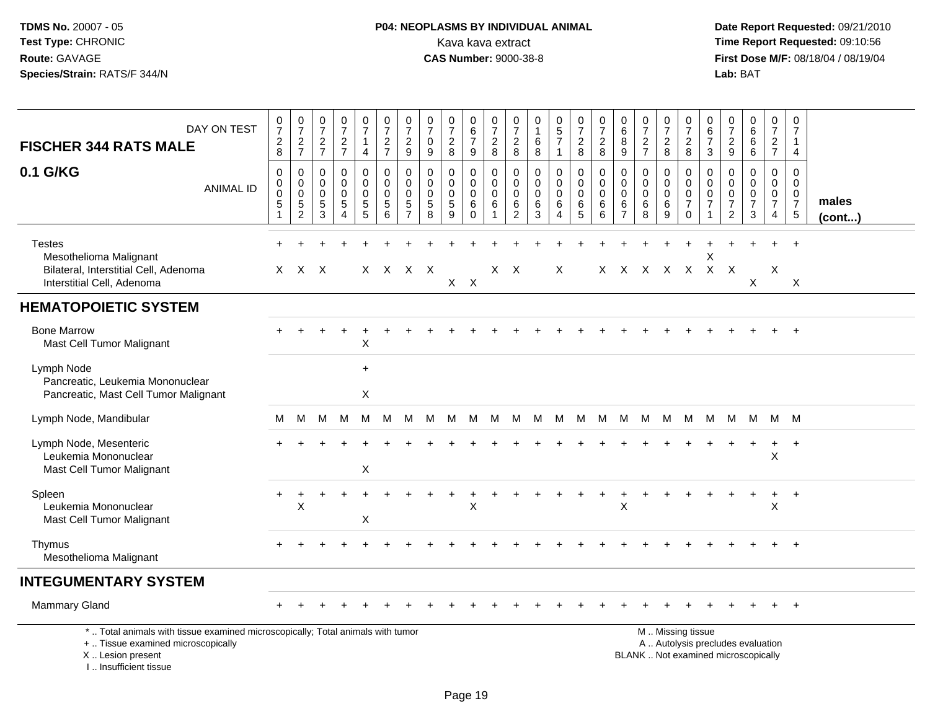# **P04: NEOPLASMS BY INDIVIDUAL ANIMAL**<br>Kava kava extract Kava kava extract **Time Report Requested:** 09:10:56<br>**CAS Number:** 9000-38-8 **CAS Number:** 9000-38-8

| DAY ON TEST<br><b>FISCHER 344 RATS MALE</b>                                                                                                                         | $\frac{0}{7}$<br>$\frac{2}{8}$ | $\frac{0}{7}$<br>$\frac{2}{7}$                                        | $\frac{0}{7}$<br>$\frac{2}{7}$ | $\frac{0}{7}$<br>$\frac{2}{7}$                                | $\frac{0}{7}$<br>1<br>$\overline{4}$                | $\frac{0}{7}$<br>$rac{2}{7}$                       | $\frac{0}{7}$<br>$\sqrt{2}$<br>9                                        | 0<br>$\overline{7}$<br>$\mathbf 0$<br>9    | $\frac{0}{7}$<br>$\boldsymbol{2}$<br>8           | $^{\rm 0}_{\rm 6}$<br>$\overline{7}$<br>9        | $\begin{smallmatrix}0\\7\end{smallmatrix}$<br>$\overline{c}$<br>8 | $\frac{0}{7}$<br>$\boldsymbol{2}$<br>8               | 0<br>$\mathbf{1}$<br>$\,6$<br>8                     | $\begin{array}{c} 0 \\ 5 \\ 7 \end{array}$<br>$\overline{1}$          | $\frac{0}{7}$<br>$\boldsymbol{2}$<br>$\,8\,$    | $\frac{0}{7}$<br>$_{\rm 8}^2$             | $\begin{matrix} 0 \\ 6 \end{matrix}$<br>$\bar{8}$<br>$9\,$     | $\frac{0}{7}$<br>$\sqrt{2}$<br>$\overline{7}$ | $\frac{0}{7}$<br>$_{\rm 8}^2$                         | $\begin{smallmatrix}0\\7\end{smallmatrix}$<br>$\frac{2}{8}$      | 0<br>6<br>$\overline{7}$<br>3                                     | 0<br>$\overline{7}$<br>$\boldsymbol{2}$<br>$9\,$                    | $\begin{array}{c} 0 \\ 6 \end{array}$<br>$\,6$<br>6              | $\frac{0}{7}$<br>$\frac{2}{7}$                            | $\mathbf 0$<br>$\overline{7}$<br>$\mathbf{1}$<br>$\overline{4}$           |                       |
|---------------------------------------------------------------------------------------------------------------------------------------------------------------------|--------------------------------|-----------------------------------------------------------------------|--------------------------------|---------------------------------------------------------------|-----------------------------------------------------|----------------------------------------------------|-------------------------------------------------------------------------|--------------------------------------------|--------------------------------------------------|--------------------------------------------------|-------------------------------------------------------------------|------------------------------------------------------|-----------------------------------------------------|-----------------------------------------------------------------------|-------------------------------------------------|-------------------------------------------|----------------------------------------------------------------|-----------------------------------------------|-------------------------------------------------------|------------------------------------------------------------------|-------------------------------------------------------------------|---------------------------------------------------------------------|------------------------------------------------------------------|-----------------------------------------------------------|---------------------------------------------------------------------------|-----------------------|
| 0.1 G/KG<br><b>ANIMAL ID</b>                                                                                                                                        | 0<br>0<br>0<br>5<br>1          | $\mathbf 0$<br>$\mathbf 0$<br>$\mathbf 0$<br>$\sqrt{5}$<br>$\sqrt{2}$ | 0<br>0<br>0<br>5<br>3          | $\mathbf 0$<br>$\mathbf 0$<br>$\Omega$<br>5<br>$\overline{4}$ | 0<br>$\mathsf 0$<br>$\mathbf 0$<br>$\mathbf 5$<br>5 | 0<br>$\mathbf 0$<br>$\mathbf 0$<br>$\sqrt{5}$<br>6 | $\mathbf 0$<br>$\pmb{0}$<br>$\mathbf 0$<br>$\sqrt{5}$<br>$\overline{7}$ | 0<br>$\mathbf 0$<br>$\mathbf{0}$<br>5<br>8 | $\mathbf 0$<br>$\mathbf 0$<br>$\Omega$<br>5<br>9 | 0<br>$\mathbf 0$<br>$\mathbf 0$<br>6<br>$\Omega$ | 0<br>$\mathbf 0$<br>$\mathbf 0$<br>6<br>$\overline{1}$            | 0<br>$\pmb{0}$<br>$\mathbf 0$<br>6<br>$\overline{2}$ | $\mathbf 0$<br>$\mathbf 0$<br>$\mathbf 0$<br>6<br>3 | $\mathbf 0$<br>$\mathbf 0$<br>$\Omega$<br>6<br>$\boldsymbol{\Lambda}$ | 0<br>$\mathbf 0$<br>$\mathbf 0$<br>$\,6\,$<br>5 | 0<br>$\mathbf 0$<br>$\mathbf 0$<br>6<br>6 | 0<br>$\mathsf{O}\xspace$<br>$\mathbf 0$<br>6<br>$\overline{7}$ | 0<br>$\mathbf 0$<br>$\mathbf 0$<br>6<br>8     | $\mathbf 0$<br>$\pmb{0}$<br>$\mathbf 0$<br>$\,6$<br>9 | 0<br>$\mathbf 0$<br>$\mathbf 0$<br>$\overline{7}$<br>$\mathbf 0$ | 0<br>$\mathbf 0$<br>$\mathbf 0$<br>$\overline{7}$<br>$\mathbf{1}$ | $\mathbf 0$<br>0<br>$\mathbf 0$<br>$\overline{7}$<br>$\overline{2}$ | $\mathbf 0$<br>$\mathbf 0$<br>$\mathbf 0$<br>$\overline{7}$<br>3 | 0<br>$\mathbf 0$<br>0<br>$\overline{7}$<br>$\overline{4}$ | $\mathbf 0$<br>$\mathbf 0$<br>$\mathbf 0$<br>$\overline{7}$<br>$\sqrt{5}$ | males<br>$($ cont $)$ |
| <b>Testes</b><br>Mesothelioma Malignant<br>Bilateral, Interstitial Cell, Adenoma<br>Interstitial Cell, Adenoma                                                      |                                | X X X                                                                 |                                |                                                               |                                                     | X X X X                                            |                                                                         |                                            | $X$ $X$                                          |                                                  |                                                                   | X X                                                  |                                                     | X                                                                     |                                                 |                                           |                                                                | X X X X X X X                                 |                                                       |                                                                  | X                                                                 |                                                                     | X                                                                | Χ                                                         | X                                                                         |                       |
| <b>HEMATOPOIETIC SYSTEM</b>                                                                                                                                         |                                |                                                                       |                                |                                                               |                                                     |                                                    |                                                                         |                                            |                                                  |                                                  |                                                                   |                                                      |                                                     |                                                                       |                                                 |                                           |                                                                |                                               |                                                       |                                                                  |                                                                   |                                                                     |                                                                  |                                                           |                                                                           |                       |
| <b>Bone Marrow</b><br>Mast Cell Tumor Malignant                                                                                                                     |                                |                                                                       |                                |                                                               | X                                                   |                                                    |                                                                         |                                            |                                                  |                                                  |                                                                   |                                                      |                                                     |                                                                       |                                                 |                                           |                                                                |                                               |                                                       |                                                                  |                                                                   |                                                                     |                                                                  |                                                           | $\overline{+}$                                                            |                       |
| Lymph Node<br>Pancreatic, Leukemia Mononuclear<br>Pancreatic, Mast Cell Tumor Malignant                                                                             |                                |                                                                       |                                |                                                               | $\ddot{}$<br>X                                      |                                                    |                                                                         |                                            |                                                  |                                                  |                                                                   |                                                      |                                                     |                                                                       |                                                 |                                           |                                                                |                                               |                                                       |                                                                  |                                                                   |                                                                     |                                                                  |                                                           |                                                                           |                       |
| Lymph Node, Mandibular                                                                                                                                              | м                              | M                                                                     | M                              | M                                                             | M                                                   | M                                                  | M                                                                       | м                                          |                                                  | M M                                              | M                                                                 |                                                      | M M M M M M M M                                     |                                                                       |                                                 |                                           |                                                                |                                               |                                                       |                                                                  | M                                                                 |                                                                     |                                                                  | M M M M                                                   |                                                                           |                       |
| Lymph Node, Mesenteric<br>Leukemia Mononuclear<br>Mast Cell Tumor Malignant                                                                                         |                                |                                                                       |                                |                                                               | X                                                   |                                                    |                                                                         |                                            |                                                  |                                                  |                                                                   |                                                      |                                                     |                                                                       |                                                 |                                           |                                                                |                                               |                                                       |                                                                  |                                                                   |                                                                     |                                                                  | $\ddot{}$<br>X                                            | $\ddot{}$                                                                 |                       |
| Spleen<br>Leukemia Mononuclear<br>Mast Cell Tumor Malignant                                                                                                         | $\ddot{}$                      | X                                                                     |                                |                                                               | Χ                                                   |                                                    |                                                                         |                                            |                                                  | X                                                |                                                                   |                                                      |                                                     |                                                                       |                                                 |                                           | X                                                              |                                               |                                                       |                                                                  |                                                                   |                                                                     |                                                                  | $\ddot{}$<br>X                                            | $+$                                                                       |                       |
| Thymus<br>Mesothelioma Malignant                                                                                                                                    |                                |                                                                       |                                |                                                               |                                                     |                                                    |                                                                         |                                            |                                                  |                                                  |                                                                   |                                                      |                                                     |                                                                       |                                                 |                                           |                                                                |                                               |                                                       |                                                                  |                                                                   |                                                                     |                                                                  |                                                           | $\div$                                                                    |                       |
| <b>INTEGUMENTARY SYSTEM</b>                                                                                                                                         |                                |                                                                       |                                |                                                               |                                                     |                                                    |                                                                         |                                            |                                                  |                                                  |                                                                   |                                                      |                                                     |                                                                       |                                                 |                                           |                                                                |                                               |                                                       |                                                                  |                                                                   |                                                                     |                                                                  |                                                           |                                                                           |                       |
| <b>Mammary Gland</b>                                                                                                                                                |                                |                                                                       |                                |                                                               |                                                     |                                                    |                                                                         |                                            |                                                  |                                                  |                                                                   |                                                      |                                                     |                                                                       |                                                 |                                           |                                                                |                                               |                                                       |                                                                  |                                                                   |                                                                     |                                                                  |                                                           |                                                                           |                       |
| *  Total animals with tissue examined microscopically; Total animals with tumor<br>+  Tissue examined microscopically<br>X  Lesion present<br>I Insufficient tissue |                                |                                                                       |                                |                                                               |                                                     |                                                    |                                                                         |                                            |                                                  |                                                  |                                                                   |                                                      |                                                     |                                                                       |                                                 |                                           |                                                                |                                               |                                                       | M  Missing tissue                                                |                                                                   |                                                                     | BLANK  Not examined microscopically                              | A  Autolysis precludes evaluation                         |                                                                           |                       |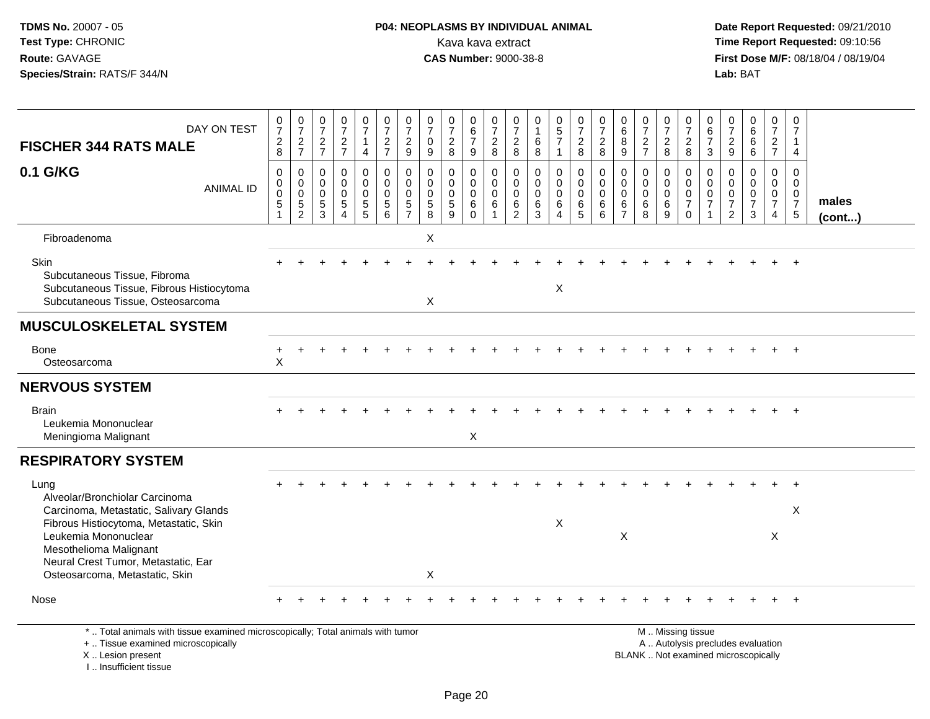## **P04: NEOPLASMS BY INDIVIDUAL ANIMAL**<br>Kava kava extract Kava kava extract **Time Report Requested:** 09:10:56<br>**CAS Number:** 9000-38-8<br>**Tirst Dose M/F:** 08/18/04 / 08/19/04

 **Date Report Requested:** 09/21/2010 **First Dose M/F:** 08/18/04 / 08/19/04 Lab: BAT **Lab:** BAT

| DAY ON TEST                                                                                                                                        | $\frac{0}{7}$                                               | 0<br>$\overline{7}$                       | $\frac{0}{7}$                                      | $\frac{0}{7}$                                                | $\frac{0}{7}$                                                            | $\frac{0}{7}$                                                                         | 0<br>$\overline{7}$                                        | 0<br>$\overline{7}$                                          | 0<br>$\overline{7}$                                   | 0<br>$6\phantom{a}$                                        | 0<br>$\overline{7}$                    | $\frac{0}{7}$                   | 0<br>$\mathbf{1}$                                 | $\begin{array}{c} 0 \\ 5 \\ 7 \end{array}$                         | $\frac{0}{7}$                                                          | 0<br>$\overline{7}$                              | $_6^0$                                                               | $\frac{0}{7}$                                       | $\frac{0}{7}$                                 | $\pmb{0}$<br>$\overline{7}$                                        | 0<br>$6\phantom{a}$                                                           | $\frac{0}{7}$                                                                 | $\pmb{0}$<br>$\,6\,$                                            | 0<br>$\boldsymbol{7}$                                               | 0<br>$\overline{7}$                                           |                 |
|----------------------------------------------------------------------------------------------------------------------------------------------------|-------------------------------------------------------------|-------------------------------------------|----------------------------------------------------|--------------------------------------------------------------|--------------------------------------------------------------------------|---------------------------------------------------------------------------------------|------------------------------------------------------------|--------------------------------------------------------------|-------------------------------------------------------|------------------------------------------------------------|----------------------------------------|---------------------------------|---------------------------------------------------|--------------------------------------------------------------------|------------------------------------------------------------------------|--------------------------------------------------|----------------------------------------------------------------------|-----------------------------------------------------|-----------------------------------------------|--------------------------------------------------------------------|-------------------------------------------------------------------------------|-------------------------------------------------------------------------------|-----------------------------------------------------------------|---------------------------------------------------------------------|---------------------------------------------------------------|-----------------|
| <b>FISCHER 344 RATS MALE</b>                                                                                                                       | $\overline{c}$<br>8                                         | $\overline{\mathbf{c}}$<br>$\overline{7}$ | $\overline{\mathbf{c}}$<br>$\overline{7}$          | $\overline{\mathbf{c}}$<br>$\overline{7}$                    | $\mathbf{1}$<br>$\overline{4}$                                           | $\frac{2}{7}$                                                                         | $\overline{c}$<br>9                                        | $\mathbf 0$<br>9                                             | $\overline{c}$<br>8                                   | $\boldsymbol{7}$<br>9                                      | $\overline{c}$<br>8                    | $\overline{c}$<br>8             | $\,6$<br>8                                        | $\overline{1}$                                                     | $\sqrt{2}$<br>8                                                        | $\overline{2}$<br>8                              | $\,8\,$<br>9                                                         | $\overline{\mathbf{c}}$<br>$\overline{7}$           | $_{8}^2$                                      | $\begin{array}{c} 2 \\ 8 \end{array}$                              | $\overline{7}$<br>3                                                           | $\sqrt{2}$<br>9                                                               | $\,6\,$<br>6                                                    | $\overline{2}$<br>$\overline{7}$                                    | 1<br>4                                                        |                 |
| 0.1 G/KG<br><b>ANIMAL ID</b>                                                                                                                       | $\mathbf 0$<br>$\pmb{0}$<br>$\Omega$<br>5<br>$\overline{1}$ | 0<br>$\pmb{0}$<br>$\mathbf 0$<br>5<br>2   | 0<br>$\mathbf 0$<br>$\mathbf 0$<br>$\sqrt{5}$<br>3 | 0<br>$\pmb{0}$<br>$\mathbf 0$<br>5<br>$\boldsymbol{\Lambda}$ | 0<br>$\mathbf 0$<br>$\mathbf 0$<br>$\begin{array}{c} 5 \\ 5 \end{array}$ | $\mathbf 0$<br>$\mathbf 0$<br>$\overline{0}$<br>$\begin{array}{c} 5 \\ 6 \end{array}$ | $\Omega$<br>$\mathbf 0$<br>$\Omega$<br>5<br>$\overline{7}$ | $\mathbf 0$<br>$\mathbf 0$<br>$\mathbf 0$<br>$\sqrt{5}$<br>8 | $\mathbf{0}$<br>$\mathbf 0$<br>$\mathbf{0}$<br>5<br>9 | $\pmb{0}$<br>$\mathbf 0$<br>$\pmb{0}$<br>$\,6$<br>$\Omega$ | 0<br>$\mathbf 0$<br>$\Omega$<br>6<br>1 | 0<br>0<br>$\mathbf 0$<br>$^6_2$ | $\mathbf 0$<br>$\pmb{0}$<br>$\mathbf 0$<br>$^6_3$ | $\mathbf 0$<br>$\mathbf 0$<br>$\pmb{0}$<br>$\,6$<br>$\overline{4}$ | $\mathbf 0$<br>$\mathbf 0$<br>$\mathbf 0$<br>$\,6\,$<br>$\overline{5}$ | $\mathbf 0$<br>$\mathbf 0$<br>$\Omega$<br>6<br>6 | $\mathbf 0$<br>$\mathbf 0$<br>$\mathbf 0$<br>$\,6$<br>$\overline{7}$ | $\mathbf 0$<br>$\mathbf 0$<br>$\mathbf 0$<br>6<br>8 | $\pmb{0}$<br>$\pmb{0}$<br>$\pmb{0}$<br>$^6_9$ | 0<br>$\mathbf 0$<br>$\mathsf 0$<br>$\boldsymbol{7}$<br>$\mathbf 0$ | $\mathbf 0$<br>$\mathbf 0$<br>$\mathbf 0$<br>$\overline{7}$<br>$\overline{1}$ | $\mathbf 0$<br>$\mathbf 0$<br>$\mathbf 0$<br>$\overline{7}$<br>$\overline{2}$ | 0<br>$\mathbf 0$<br>$\pmb{0}$<br>$\overline{7}$<br>$\mathbf{3}$ | 0<br>$\mathbf 0$<br>$\mathbf 0$<br>$\overline{7}$<br>$\overline{4}$ | $\mathbf 0$<br>$\mathbf 0$<br>$\Omega$<br>$\overline{7}$<br>5 | males<br>(cont) |
| Fibroadenoma                                                                                                                                       |                                                             |                                           |                                                    |                                                              |                                                                          |                                                                                       |                                                            | X                                                            |                                                       |                                                            |                                        |                                 |                                                   |                                                                    |                                                                        |                                                  |                                                                      |                                                     |                                               |                                                                    |                                                                               |                                                                               |                                                                 |                                                                     |                                                               |                 |
| Skin<br>Subcutaneous Tissue, Fibroma<br>Subcutaneous Tissue, Fibrous Histiocytoma<br>Subcutaneous Tissue, Osteosarcoma                             |                                                             |                                           |                                                    |                                                              |                                                                          |                                                                                       |                                                            | X                                                            |                                                       |                                                            |                                        |                                 |                                                   | $\pmb{\times}$                                                     |                                                                        |                                                  |                                                                      |                                                     |                                               |                                                                    |                                                                               |                                                                               |                                                                 |                                                                     |                                                               |                 |
| <b>MUSCULOSKELETAL SYSTEM</b>                                                                                                                      |                                                             |                                           |                                                    |                                                              |                                                                          |                                                                                       |                                                            |                                                              |                                                       |                                                            |                                        |                                 |                                                   |                                                                    |                                                                        |                                                  |                                                                      |                                                     |                                               |                                                                    |                                                                               |                                                                               |                                                                 |                                                                     |                                                               |                 |
| Bone<br>Osteosarcoma                                                                                                                               | ÷<br>X                                                      |                                           |                                                    |                                                              |                                                                          |                                                                                       |                                                            |                                                              |                                                       |                                                            |                                        |                                 |                                                   |                                                                    |                                                                        |                                                  |                                                                      |                                                     |                                               |                                                                    |                                                                               |                                                                               |                                                                 |                                                                     |                                                               |                 |
| <b>NERVOUS SYSTEM</b>                                                                                                                              |                                                             |                                           |                                                    |                                                              |                                                                          |                                                                                       |                                                            |                                                              |                                                       |                                                            |                                        |                                 |                                                   |                                                                    |                                                                        |                                                  |                                                                      |                                                     |                                               |                                                                    |                                                                               |                                                                               |                                                                 |                                                                     |                                                               |                 |
| <b>Brain</b><br>Leukemia Mononuclear<br>Meningioma Malignant                                                                                       |                                                             |                                           |                                                    |                                                              |                                                                          |                                                                                       |                                                            |                                                              |                                                       | X                                                          |                                        |                                 |                                                   |                                                                    |                                                                        |                                                  |                                                                      |                                                     |                                               |                                                                    |                                                                               |                                                                               |                                                                 |                                                                     |                                                               |                 |
| <b>RESPIRATORY SYSTEM</b>                                                                                                                          |                                                             |                                           |                                                    |                                                              |                                                                          |                                                                                       |                                                            |                                                              |                                                       |                                                            |                                        |                                 |                                                   |                                                                    |                                                                        |                                                  |                                                                      |                                                     |                                               |                                                                    |                                                                               |                                                                               |                                                                 |                                                                     |                                                               |                 |
| Lung<br>Alveolar/Bronchiolar Carcinoma<br>Carcinoma, Metastatic, Salivary Glands<br>Fibrous Histiocytoma, Metastatic, Skin<br>Leukemia Mononuclear |                                                             |                                           |                                                    |                                                              |                                                                          |                                                                                       |                                                            |                                                              |                                                       |                                                            |                                        |                                 |                                                   | X                                                                  |                                                                        |                                                  | X                                                                    |                                                     |                                               |                                                                    |                                                                               |                                                                               |                                                                 | Χ                                                                   | X                                                             |                 |
| Mesothelioma Malignant<br>Neural Crest Tumor, Metastatic, Ear<br>Osteosarcoma, Metastatic, Skin                                                    |                                                             |                                           |                                                    |                                                              |                                                                          |                                                                                       |                                                            | X                                                            |                                                       |                                                            |                                        |                                 |                                                   |                                                                    |                                                                        |                                                  |                                                                      |                                                     |                                               |                                                                    |                                                                               |                                                                               |                                                                 |                                                                     |                                                               |                 |
| Nose                                                                                                                                               |                                                             |                                           |                                                    |                                                              |                                                                          |                                                                                       |                                                            |                                                              |                                                       |                                                            |                                        |                                 |                                                   |                                                                    |                                                                        |                                                  |                                                                      |                                                     |                                               |                                                                    |                                                                               |                                                                               |                                                                 |                                                                     |                                                               |                 |
| *  Total animals with tissue examined microscopically; Total animals with tumor<br>+  Tissue examined microscopically                              |                                                             |                                           |                                                    |                                                              |                                                                          |                                                                                       |                                                            |                                                              |                                                       |                                                            |                                        |                                 |                                                   |                                                                    |                                                                        |                                                  |                                                                      |                                                     |                                               | M  Missing tissue<br>A  Autolysis precludes evaluation             |                                                                               |                                                                               |                                                                 |                                                                     |                                                               |                 |

X .. Lesion present

I .. Insufficient tissue

Lesion present BLANK .. Not examined microscopically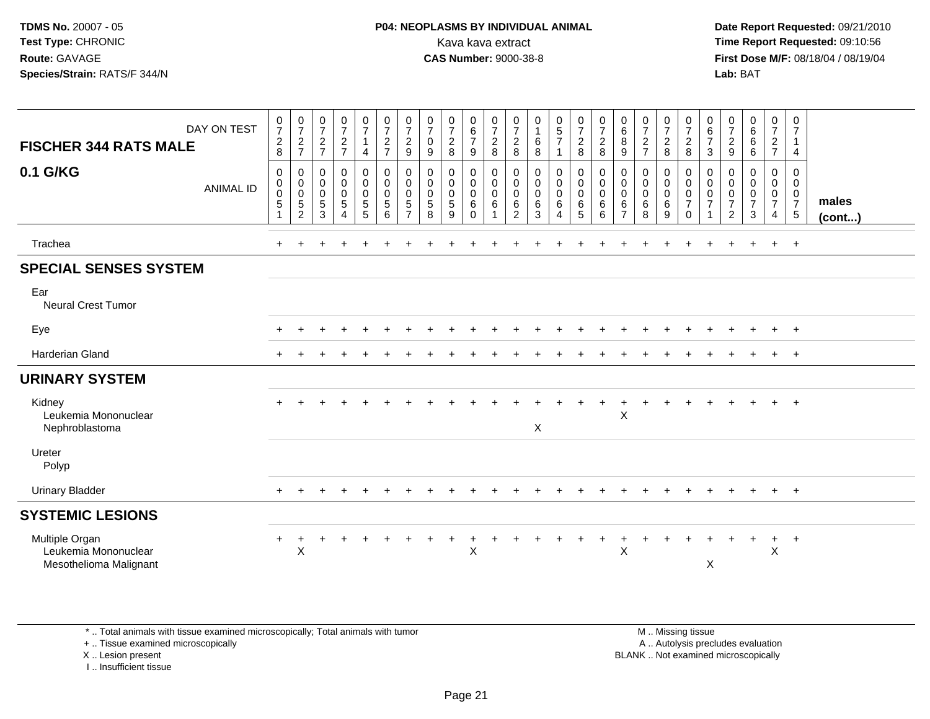# **P04: NEOPLASMS BY INDIVIDUAL ANIMAL**<br>Kava kava extract Kava kava extract **Time Report Requested:** 09:10:56<br>**CAS Number:** 9000-38-8<br>**Tirst Dose M/F:** 08/18/04 / 08/19/04

 **Date Report Requested:** 09/21/2010 **First Dose M/F:** 08/18/04 / 08/19/04 Lab: BAT **Lab:** BAT

| DAY ON TEST<br><b>FISCHER 344 RATS MALE</b>                      | $\frac{0}{7}$<br>$\begin{array}{c} 2 \\ 8 \end{array}$ | $\frac{0}{7}$<br>$\frac{2}{7}$                                | $\frac{0}{7}$<br>$\frac{2}{7}$                      | $\frac{0}{7}$<br>$\overline{a}$<br>$\overline{7}$ | $\frac{0}{7}$<br>$\mathbf{1}$<br>$\overline{4}$                                                    | $\frac{0}{7}$<br>$\overline{c}$<br>$\overline{7}$ | $\frac{0}{7}$<br>$\overline{c}$<br>9        | $\frac{0}{7}$<br>$\pmb{0}$<br>9                    | $\frac{0}{7}$<br>$\overline{c}$<br>8      | $\begin{matrix} 0 \\ 6 \\ 7 \end{matrix}$<br>$9\,$        | $\frac{0}{7}$<br>$\overline{c}$<br>8 | $\begin{array}{c} 0 \\ 7 \\ 2 \end{array}$<br>8                        | $\begin{smallmatrix}0\1\end{smallmatrix}$<br>6<br>8 | $\begin{array}{c} 0 \\ 5 \\ 7 \end{array}$                   | $\frac{0}{7}$<br>$\frac{2}{8}$                                        | $\frac{0}{7}$<br>$\overline{2}$<br>8  | $\begin{matrix} 0 \\ 6 \end{matrix}$<br>$\bf 8$<br>9         | $\frac{0}{7}$<br>$\overline{c}$<br>$\overline{7}$ | $\frac{0}{7}$<br>8                                                              | $\frac{0}{7}$<br>$\overline{a}$<br>8                             | $\begin{array}{c} 0 \\ 6 \\ 7 \end{array}$<br>$\mathbf{3}$ | $\frac{0}{7}$<br>$\frac{2}{9}$                               | $\begin{matrix}0\6\6\end{matrix}$<br>$\,6\,$                              | $\frac{0}{7}$<br>$rac{2}{7}$                                                     | 0<br>$\overline{7}$<br>4                        |                 |
|------------------------------------------------------------------|--------------------------------------------------------|---------------------------------------------------------------|-----------------------------------------------------|---------------------------------------------------|----------------------------------------------------------------------------------------------------|---------------------------------------------------|---------------------------------------------|----------------------------------------------------|-------------------------------------------|-----------------------------------------------------------|--------------------------------------|------------------------------------------------------------------------|-----------------------------------------------------|--------------------------------------------------------------|-----------------------------------------------------------------------|---------------------------------------|--------------------------------------------------------------|---------------------------------------------------|---------------------------------------------------------------------------------|------------------------------------------------------------------|------------------------------------------------------------|--------------------------------------------------------------|---------------------------------------------------------------------------|----------------------------------------------------------------------------------|-------------------------------------------------|-----------------|
| 0.1 G/KG<br><b>ANIMAL ID</b>                                     | 0<br>$\mathbf 0$<br>$\pmb{0}$<br>5<br>$\overline{1}$   | 0<br>$\mathbf 0$<br>$\pmb{0}$<br>$\sqrt{5}$<br>$\overline{2}$ | $\mathbf 0$<br>$\mathbf 0$<br>$\mathbf 0$<br>5<br>3 | 0<br>$\mathbf 0$<br>0<br>5<br>4                   | $\begin{smallmatrix}0\0\0\end{smallmatrix}$<br>$\mathsf{O}\xspace$<br>$\sqrt{5}$<br>$\overline{5}$ | $\pmb{0}$<br>$\mathbf 0$<br>$\mathbf 0$<br>5<br>6 | 0<br>0<br>0<br>$\sqrt{5}$<br>$\overline{7}$ | 0<br>$\mathbf 0$<br>$\mathbf 0$<br>$\sqrt{5}$<br>8 | 0<br>$\mathbf 0$<br>$\mathbf 0$<br>5<br>9 | 0<br>$\mathbf 0$<br>$\mathbf 0$<br>$\,6\,$<br>$\mathbf 0$ | 0<br>$\mathbf 0$<br>$\pmb{0}$<br>6   | 0<br>$\boldsymbol{0}$<br>$\boldsymbol{0}$<br>$\,6\,$<br>$\overline{c}$ | 0<br>$\mathsf{O}$<br>$\pmb{0}$<br>6<br>3            | 0<br>$\mathbf 0$<br>$\mathbf 0$<br>$\,6\,$<br>$\overline{4}$ | $\boldsymbol{0}$<br>$\mathbf 0$<br>$\pmb{0}$<br>$\,6\,$<br>$\sqrt{5}$ | 0<br>$\mathbf 0$<br>0<br>$\,6\,$<br>6 | 0<br>$\mathbf 0$<br>$\mathbf 0$<br>$\,6\,$<br>$\overline{7}$ | 0<br>$\mathbf 0$<br>$\mathbf 0$<br>6<br>8         | $\begin{smallmatrix}0\\0\\0\\0\end{smallmatrix}$<br>$\,6\,$<br>$\boldsymbol{9}$ | 0<br>$\mathbf 0$<br>$\mathbf 0$<br>$\overline{7}$<br>$\mathbf 0$ | 0<br>0<br>$\pmb{0}$<br>$\overline{7}$<br>$\overline{1}$    | 0<br>$\mathsf{O}\xspace$<br>$\pmb{0}$<br>$\overline{7}$<br>2 | $\pmb{0}$<br>$\mathbf 0$<br>$\mathbf 0$<br>$\overline{7}$<br>$\mathbf{3}$ | $\mathbf 0$<br>$\mathsf 0$<br>$\overline{0}$<br>$\overline{7}$<br>$\overline{4}$ | 0<br>0<br>$\overline{0}$<br>$\overline{7}$<br>5 | males<br>(cont) |
| Trachea                                                          | $+$                                                    | ÷                                                             |                                                     |                                                   |                                                                                                    |                                                   |                                             |                                                    |                                           |                                                           |                                      |                                                                        |                                                     |                                                              |                                                                       |                                       |                                                              |                                                   |                                                                                 | $\ddot{}$                                                        | +                                                          |                                                              | $\ddot{}$                                                                 | $+$                                                                              | $+$                                             |                 |
| <b>SPECIAL SENSES SYSTEM</b>                                     |                                                        |                                                               |                                                     |                                                   |                                                                                                    |                                                   |                                             |                                                    |                                           |                                                           |                                      |                                                                        |                                                     |                                                              |                                                                       |                                       |                                                              |                                                   |                                                                                 |                                                                  |                                                            |                                                              |                                                                           |                                                                                  |                                                 |                 |
| Ear<br><b>Neural Crest Tumor</b>                                 |                                                        |                                                               |                                                     |                                                   |                                                                                                    |                                                   |                                             |                                                    |                                           |                                                           |                                      |                                                                        |                                                     |                                                              |                                                                       |                                       |                                                              |                                                   |                                                                                 |                                                                  |                                                            |                                                              |                                                                           |                                                                                  |                                                 |                 |
| Eye                                                              |                                                        |                                                               |                                                     |                                                   |                                                                                                    |                                                   |                                             |                                                    |                                           |                                                           |                                      |                                                                        |                                                     |                                                              |                                                                       |                                       |                                                              |                                                   |                                                                                 |                                                                  |                                                            |                                                              |                                                                           |                                                                                  | $\ddot{}$                                       |                 |
| <b>Harderian Gland</b>                                           |                                                        |                                                               |                                                     |                                                   |                                                                                                    |                                                   |                                             |                                                    |                                           |                                                           |                                      |                                                                        |                                                     |                                                              |                                                                       |                                       |                                                              |                                                   |                                                                                 |                                                                  |                                                            |                                                              |                                                                           |                                                                                  | $^{+}$                                          |                 |
| <b>URINARY SYSTEM</b>                                            |                                                        |                                                               |                                                     |                                                   |                                                                                                    |                                                   |                                             |                                                    |                                           |                                                           |                                      |                                                                        |                                                     |                                                              |                                                                       |                                       |                                                              |                                                   |                                                                                 |                                                                  |                                                            |                                                              |                                                                           |                                                                                  |                                                 |                 |
| Kidney<br>Leukemia Mononuclear<br>Nephroblastoma                 |                                                        |                                                               |                                                     |                                                   |                                                                                                    |                                                   |                                             |                                                    |                                           |                                                           |                                      |                                                                        | X                                                   |                                                              |                                                                       |                                       | $\sf X$                                                      |                                                   |                                                                                 |                                                                  |                                                            |                                                              |                                                                           |                                                                                  | $+$                                             |                 |
| Ureter<br>Polyp                                                  |                                                        |                                                               |                                                     |                                                   |                                                                                                    |                                                   |                                             |                                                    |                                           |                                                           |                                      |                                                                        |                                                     |                                                              |                                                                       |                                       |                                                              |                                                   |                                                                                 |                                                                  |                                                            |                                                              |                                                                           |                                                                                  |                                                 |                 |
| <b>Urinary Bladder</b>                                           |                                                        |                                                               |                                                     |                                                   |                                                                                                    |                                                   |                                             |                                                    |                                           |                                                           |                                      |                                                                        |                                                     |                                                              |                                                                       |                                       |                                                              |                                                   |                                                                                 |                                                                  |                                                            |                                                              |                                                                           | $\pm$                                                                            | $^+$                                            |                 |
| <b>SYSTEMIC LESIONS</b>                                          |                                                        |                                                               |                                                     |                                                   |                                                                                                    |                                                   |                                             |                                                    |                                           |                                                           |                                      |                                                                        |                                                     |                                                              |                                                                       |                                       |                                                              |                                                   |                                                                                 |                                                                  |                                                            |                                                              |                                                                           |                                                                                  |                                                 |                 |
| Multiple Organ<br>Leukemia Mononuclear<br>Mesothelioma Malignant | $\ddot{}$                                              | $\ddot{}$<br>$\mathsf X$                                      |                                                     |                                                   |                                                                                                    |                                                   |                                             |                                                    | $\ddot{}$                                 | $\ddot{}$<br>$\sf X$                                      |                                      |                                                                        |                                                     |                                                              |                                                                       | +                                     | $\ddot{}$<br>$\mathsf{X}$                                    | $\ddot{}$                                         |                                                                                 |                                                                  | X                                                          |                                                              | $+$                                                                       | $+$<br>$\boldsymbol{\mathsf{X}}$                                                 | $+$                                             |                 |

\* .. Total animals with tissue examined microscopically; Total animals with tumor

+ .. Tissue examined microscopically

X .. Lesion present

I .. Insufficient tissue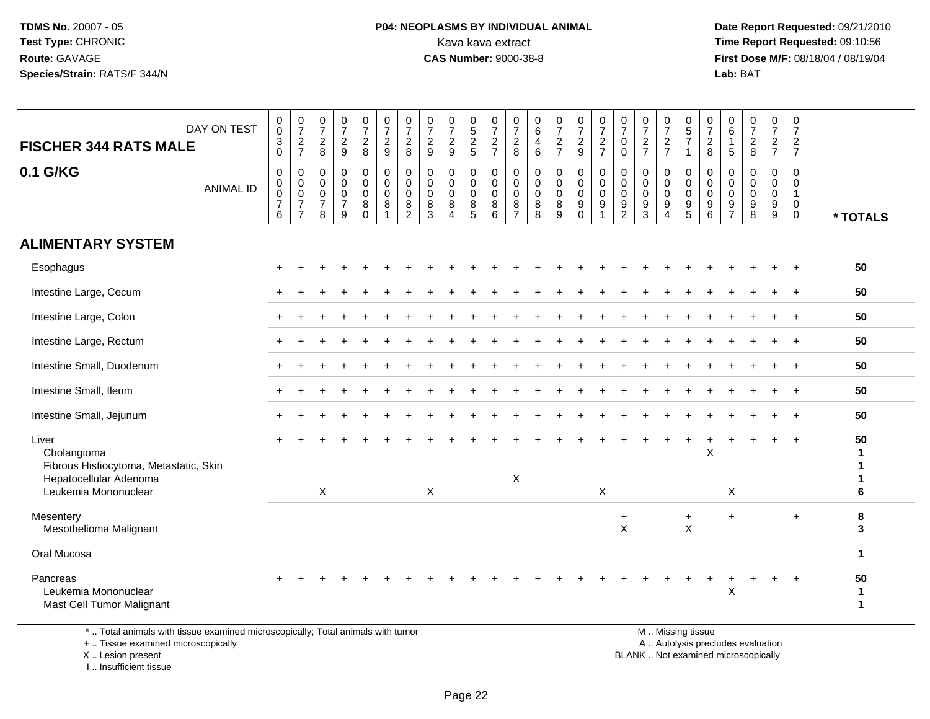#### **P04: NEOPLASMS BY INDIVIDUAL ANIMAL**<br>Kava kava extract Kava kava extract **Time Report Requested:** 09:10:56<br>**CAS Number:** 9000-38-8<br>**Tirst Dose M/F:** 08/18/04 / 08/19/04

 **Date Report Requested:** 09/21/2010 **First Dose M/F:** 08/18/04 / 08/19/04 Lab: BAT **Lab:** BAT

| DAY ON TEST<br><b>FISCHER 344 RATS MALE</b>                                                                      | $\begin{smallmatrix}0\\0\end{smallmatrix}$<br>$\ensuremath{\mathsf{3}}$<br>$\mathbf 0$ | $\begin{smallmatrix}0\\7\end{smallmatrix}$<br>$\boldsymbol{2}$<br>$\overline{7}$              | $\begin{smallmatrix}0\\7\end{smallmatrix}$<br>$\overline{2}$<br>8 | $\begin{array}{c} 0 \\ 7 \end{array}$<br>$\sqrt{2}$<br>9         | $\begin{array}{c} 0 \\ 7 \end{array}$<br>$\sqrt{2}$<br>8            | $\frac{0}{7}$<br>$\overline{2}$<br>9                | $\frac{0}{7}$<br>$\overline{c}$<br>8         | $\begin{array}{c} 0 \\ 7 \end{array}$<br>$\sqrt{2}$<br>9 | $\frac{0}{7}$<br>$\sqrt{2}$<br>$\boldsymbol{9}$                | $0$<br>$5$<br>$2$<br>$5$                                                | $\frac{0}{7}$<br>$\sqrt{2}$<br>$\overline{7}$       | $\frac{0}{7}$<br>$\overline{2}$<br>8      | $_{6}^{\rm 0}$<br>$\overline{4}$<br>6                   | $\frac{0}{7}$<br>$\overline{2}$<br>$\overline{7}$ | $\frac{0}{7}$<br>$\overline{a}$<br>9                | $\frac{0}{7}$<br>$\sqrt{2}$<br>$\overline{7}$                                 | 0<br>$\overline{7}$<br>0<br>$\mathbf 0$      | $\pmb{0}$<br>$\boldsymbol{7}$<br>$\overline{2}$<br>$\overline{7}$ | $\frac{0}{7}$<br>$\sqrt{2}$<br>$\overline{7}$ | $\begin{array}{c} 0 \\ 5 \end{array}$<br>$\overline{7}$<br>-1 | $\boldsymbol{0}$<br>$\overline{7}$<br>$\boldsymbol{2}$<br>8 | $\pmb{0}$<br>$\,6$<br>$\overline{1}$<br>$\sqrt{5}$  | $\begin{array}{c} 0 \\ 7 \end{array}$<br>$\sqrt{2}$<br>8 | $\frac{0}{7}$<br>$\sqrt{2}$<br>$\overline{7}$                 | $\mathbf 0$<br>$\boldsymbol{7}$<br>$\overline{2}$<br>$\overline{7}$ |                                    |
|------------------------------------------------------------------------------------------------------------------|----------------------------------------------------------------------------------------|-----------------------------------------------------------------------------------------------|-------------------------------------------------------------------|------------------------------------------------------------------|---------------------------------------------------------------------|-----------------------------------------------------|----------------------------------------------|----------------------------------------------------------|----------------------------------------------------------------|-------------------------------------------------------------------------|-----------------------------------------------------|-------------------------------------------|---------------------------------------------------------|---------------------------------------------------|-----------------------------------------------------|-------------------------------------------------------------------------------|----------------------------------------------|-------------------------------------------------------------------|-----------------------------------------------|---------------------------------------------------------------|-------------------------------------------------------------|-----------------------------------------------------|----------------------------------------------------------|---------------------------------------------------------------|---------------------------------------------------------------------|------------------------------------|
| 0.1 G/KG<br><b>ANIMAL ID</b>                                                                                     | $\mathbf 0$<br>0<br>$\mathsf 0$<br>$\overline{7}$<br>6                                 | $\pmb{0}$<br>$\begin{smallmatrix} 0\\0 \end{smallmatrix}$<br>$\overline{7}$<br>$\overline{7}$ | $\mathbf 0$<br>0<br>$\mathbf 0$<br>$\overline{7}$<br>8            | $\mathbf 0$<br>$\mathbf 0$<br>$\mathbf 0$<br>$\overline{7}$<br>9 | $\mathbf 0$<br>$\mathbf 0$<br>$\mathbf 0$<br>$\bf 8$<br>$\mathbf 0$ | $\mathbf 0$<br>$\mathbf 0$<br>$\mathbf 0$<br>8<br>1 | 0<br>0<br>$\mathbf 0$<br>8<br>$\overline{a}$ | 0<br>0<br>0<br>8<br>3                                    | $\mathbf 0$<br>$\pmb{0}$<br>$\mathbf 0$<br>8<br>$\overline{4}$ | $\boldsymbol{0}$<br>$\mathbf 0$<br>$\mathbf 0$<br>$\bf 8$<br>$\sqrt{5}$ | $\mathbf 0$<br>$\mathbf 0$<br>$\mathbf 0$<br>8<br>6 | 0<br>0<br>$\Omega$<br>8<br>$\overline{7}$ | $\mathbf 0$<br>$\pmb{0}$<br>$\mathbf 0$<br>$\bf 8$<br>8 | $\pmb{0}$<br>$\pmb{0}$<br>0<br>$\bf 8$<br>9       | 0<br>$\mathbf 0$<br>$\mathbf 0$<br>9<br>$\mathbf 0$ | $\mathbf 0$<br>$\pmb{0}$<br>$\mathbf 0$<br>$\boldsymbol{9}$<br>$\overline{1}$ | 0<br>0<br>$\mathbf 0$<br>9<br>$\overline{2}$ | $\mathbf 0$<br>0<br>$\mathbf 0$<br>9<br>3                         | $\mathbf 0$<br>0<br>$\mathbf{0}$<br>9<br>4    | $\mathbf 0$<br>0<br>$\mathbf 0$<br>$\boldsymbol{9}$<br>5      | 0<br>$\,0\,$<br>$\mathbf 0$<br>$\boldsymbol{9}$<br>6        | $\mathbf 0$<br>0<br>$\Omega$<br>9<br>$\overline{7}$ | $\mathbf 0$<br>$\mathbf 0$<br>$\mathbf 0$<br>9<br>8      | 0<br>0<br>$\mathbf 0$<br>$\boldsymbol{9}$<br>$\boldsymbol{9}$ | 0<br>0<br>$\mathbf{1}$<br>$\mathbf 0$<br>$\overline{0}$             | * TOTALS                           |
| <b>ALIMENTARY SYSTEM</b>                                                                                         |                                                                                        |                                                                                               |                                                                   |                                                                  |                                                                     |                                                     |                                              |                                                          |                                                                |                                                                         |                                                     |                                           |                                                         |                                                   |                                                     |                                                                               |                                              |                                                                   |                                               |                                                               |                                                             |                                                     |                                                          |                                                               |                                                                     |                                    |
| Esophagus                                                                                                        |                                                                                        |                                                                                               |                                                                   |                                                                  |                                                                     |                                                     |                                              |                                                          |                                                                |                                                                         |                                                     |                                           |                                                         |                                                   |                                                     |                                                                               |                                              |                                                                   |                                               |                                                               |                                                             |                                                     |                                                          |                                                               |                                                                     | 50                                 |
| Intestine Large, Cecum                                                                                           |                                                                                        |                                                                                               |                                                                   |                                                                  |                                                                     |                                                     |                                              |                                                          |                                                                |                                                                         |                                                     |                                           |                                                         |                                                   |                                                     |                                                                               |                                              |                                                                   |                                               |                                                               |                                                             |                                                     |                                                          |                                                               | $\overline{ }$                                                      | 50                                 |
| Intestine Large, Colon                                                                                           |                                                                                        |                                                                                               |                                                                   |                                                                  |                                                                     |                                                     |                                              |                                                          |                                                                |                                                                         |                                                     |                                           |                                                         |                                                   |                                                     |                                                                               |                                              |                                                                   |                                               |                                                               |                                                             |                                                     |                                                          |                                                               |                                                                     | 50                                 |
| Intestine Large, Rectum                                                                                          | $+$                                                                                    |                                                                                               |                                                                   |                                                                  |                                                                     |                                                     |                                              |                                                          |                                                                |                                                                         |                                                     |                                           |                                                         |                                                   |                                                     |                                                                               |                                              |                                                                   |                                               |                                                               |                                                             |                                                     |                                                          |                                                               | $\overline{1}$                                                      | 50                                 |
| Intestine Small, Duodenum                                                                                        |                                                                                        |                                                                                               |                                                                   |                                                                  |                                                                     |                                                     |                                              |                                                          |                                                                |                                                                         |                                                     |                                           |                                                         |                                                   |                                                     |                                                                               |                                              |                                                                   |                                               |                                                               |                                                             |                                                     |                                                          |                                                               |                                                                     | 50                                 |
| Intestine Small, Ileum                                                                                           |                                                                                        |                                                                                               |                                                                   |                                                                  |                                                                     |                                                     |                                              |                                                          |                                                                |                                                                         |                                                     |                                           |                                                         |                                                   |                                                     |                                                                               |                                              |                                                                   |                                               |                                                               |                                                             |                                                     |                                                          |                                                               | $\overline{1}$                                                      | 50                                 |
| Intestine Small, Jejunum                                                                                         |                                                                                        |                                                                                               |                                                                   |                                                                  |                                                                     |                                                     |                                              |                                                          |                                                                |                                                                         |                                                     |                                           |                                                         |                                                   |                                                     |                                                                               |                                              |                                                                   |                                               |                                                               |                                                             |                                                     |                                                          |                                                               | $\overline{1}$                                                      | 50                                 |
| Liver<br>Cholangioma<br>Fibrous Histiocytoma, Metastatic, Skin<br>Hepatocellular Adenoma<br>Leukemia Mononuclear |                                                                                        |                                                                                               | X                                                                 |                                                                  |                                                                     |                                                     |                                              | X                                                        |                                                                |                                                                         |                                                     | $\pmb{\times}$                            |                                                         |                                                   |                                                     | X                                                                             |                                              |                                                                   |                                               |                                                               | X                                                           | X                                                   |                                                          |                                                               | $\overline{+}$                                                      | 50<br>-1<br>ำ<br>6                 |
| Mesentery<br>Mesothelioma Malignant                                                                              |                                                                                        |                                                                                               |                                                                   |                                                                  |                                                                     |                                                     |                                              |                                                          |                                                                |                                                                         |                                                     |                                           |                                                         |                                                   |                                                     |                                                                               | $\ddot{}$<br>X                               |                                                                   |                                               | $\ddot{}$<br>$\sf X$                                          |                                                             | $+$                                                 |                                                          |                                                               | $\ddot{}$                                                           | 8<br>3                             |
| Oral Mucosa                                                                                                      |                                                                                        |                                                                                               |                                                                   |                                                                  |                                                                     |                                                     |                                              |                                                          |                                                                |                                                                         |                                                     |                                           |                                                         |                                                   |                                                     |                                                                               |                                              |                                                                   |                                               |                                                               |                                                             |                                                     |                                                          |                                                               |                                                                     | $\mathbf{1}$                       |
| Pancreas<br>Leukemia Mononuclear<br>Mast Cell Tumor Malignant                                                    |                                                                                        |                                                                                               |                                                                   |                                                                  |                                                                     |                                                     |                                              |                                                          |                                                                |                                                                         |                                                     |                                           |                                                         |                                                   |                                                     |                                                                               |                                              |                                                                   |                                               |                                                               |                                                             | $\mathsf X$                                         |                                                          |                                                               | $\overline{1}$                                                      | 50<br>$\mathbf{1}$<br>$\mathbf{1}$ |

\* .. Total animals with tissue examined microscopically; Total animals with tumor

+ .. Tissue examined microscopically

X .. Lesion present

I .. Insufficient tissue

M .. Missing tissue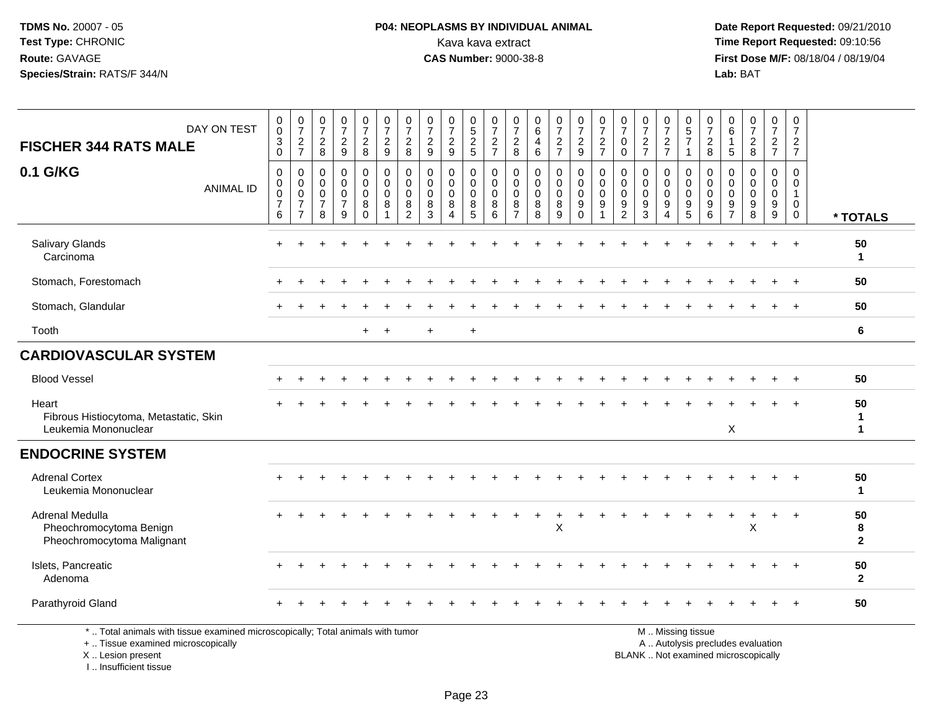## **P04: NEOPLASMS BY INDIVIDUAL ANIMAL**<br>Kava kava extract Kava kava extract **Time Report Requested:** 09:10:56<br>**CAS Number:** 9000-38-8<br>**Tirst Dose M/F:** 08/18/04 / 08/19/04

 **Date Report Requested:** 09/21/2010 **First Dose M/F:** 08/18/04 / 08/19/04 Lab: BAT **Lab:** BAT

| DAY ON TEST                                                                     | $_{\rm 0}^{\rm 0}$                                                     | $\frac{0}{7}$                                                               | $\frac{0}{7}$                                        | $\frac{0}{7}$                                        | $\frac{0}{7}$                                                 | $\frac{0}{7}$                                                     | $\frac{0}{7}$                                                       | $\frac{0}{7}$                                             | $\frac{0}{7}$                                                    |                                                           | $\frac{0}{7}$                                                         | $\frac{0}{7}$                                                      | $\begin{array}{c} 0 \\ 6 \end{array}$                     | $\frac{0}{7}$                                                | $\frac{0}{7}$                                                             | $\frac{0}{7}$                                                                 | $\frac{0}{7}$                                                                   | $\frac{0}{7}$                                       | $\frac{0}{7}$                                                                   | $\begin{array}{c} 0 \\ 5 \\ 7 \end{array}$                                           | $\frac{0}{7}$                | $\begin{array}{c} 0 \\ 6 \end{array}$                       | $\begin{smallmatrix}0\\7\end{smallmatrix}$                         | $\frac{0}{7}$                                     | $\pmb{0}$<br>$\overline{7}$                                                  |                         |
|---------------------------------------------------------------------------------|------------------------------------------------------------------------|-----------------------------------------------------------------------------|------------------------------------------------------|------------------------------------------------------|---------------------------------------------------------------|-------------------------------------------------------------------|---------------------------------------------------------------------|-----------------------------------------------------------|------------------------------------------------------------------|-----------------------------------------------------------|-----------------------------------------------------------------------|--------------------------------------------------------------------|-----------------------------------------------------------|--------------------------------------------------------------|---------------------------------------------------------------------------|-------------------------------------------------------------------------------|---------------------------------------------------------------------------------|-----------------------------------------------------|---------------------------------------------------------------------------------|--------------------------------------------------------------------------------------|------------------------------|-------------------------------------------------------------|--------------------------------------------------------------------|---------------------------------------------------|------------------------------------------------------------------------------|-------------------------|
| <b>FISCHER 344 RATS MALE</b>                                                    | $\sqrt{3}$<br>$\mathbf 0$                                              | $\frac{2}{7}$                                                               | $\overline{c}$<br>8                                  | $\frac{2}{9}$                                        | $\frac{2}{8}$                                                 | $\frac{2}{9}$                                                     | $\sqrt{2}$<br>8                                                     | $\sqrt{2}$<br>9                                           | $\frac{2}{9}$                                                    | $\frac{0}{5}$<br>5<br>2<br>5                              | $\boldsymbol{2}$<br>$\overline{7}$                                    | $\frac{2}{8}$                                                      | $\overline{4}$<br>$6\phantom{1}6$                         | $\overline{c}$<br>$\overline{7}$                             | $\frac{2}{9}$                                                             | $\boldsymbol{2}$<br>$\overline{7}$                                            | $\mathbf 0$<br>$\mathbf 0$                                                      | $\frac{2}{7}$                                       | $\frac{2}{7}$                                                                   | $\mathbf{1}$                                                                         | $\overline{c}$<br>8          | $\mathbf{1}$<br>5                                           | $\frac{2}{8}$                                                      | $rac{2}{7}$                                       | $\overline{2}$<br>$\overline{7}$                                             |                         |
| 0.1 G/KG<br><b>ANIMAL ID</b>                                                    | $\mathbf 0$<br>$\mathbf 0$<br>$\mathsf 0$<br>$\overline{7}$<br>$\,6\,$ | $\mathbf 0$<br>$\mathbf 0$<br>$\pmb{0}$<br>$\overline{7}$<br>$\overline{7}$ | 0<br>$\mathbf 0$<br>$\pmb{0}$<br>$\overline{7}$<br>8 | 0<br>$\mathsf{O}\xspace$<br>0<br>$\overline{7}$<br>9 | $\mathbf 0$<br>$\mathbf 0$<br>$\mathbf 0$<br>8<br>$\mathbf 0$ | $\mathbf 0$<br>$\pmb{0}$<br>$\mathbf 0$<br>$\bf8$<br>$\mathbf{1}$ | $\mathbf 0$<br>$\mathbf 0$<br>$\Omega$<br>$\bf 8$<br>$\overline{c}$ | $\mathbf 0$<br>$\mathbf 0$<br>$\mathbf{0}$<br>$\, 8$<br>3 | $\mathbf 0$<br>$\mathbf 0$<br>$\mathbf 0$<br>8<br>$\overline{4}$ | $\mathbf 0$<br>$\mathbf 0$<br>$\mathbf 0$<br>$\bf 8$<br>5 | $\mathbf 0$<br>$\pmb{0}$<br>$\mathbf 0$<br>$\bf 8$<br>$6\phantom{1}6$ | $\mathbf 0$<br>$\,0\,$<br>$\mathbf 0$<br>$\bf 8$<br>$\overline{7}$ | $\mathbf 0$<br>$\mathbf 0$<br>$\mathbf 0$<br>$\bf 8$<br>8 | 0<br>$\mathbf 0$<br>$\mathbf 0$<br>$\bf 8$<br>$\overline{9}$ | $\mathbf 0$<br>$\mathsf{O}\xspace$<br>$\mathbf 0$<br>$9\,$<br>$\mathbf 0$ | $\mathbf 0$<br>$\pmb{0}$<br>$\mathbf 0$<br>$\boldsymbol{9}$<br>$\overline{1}$ | $\mathbf 0$<br>$\mathbf 0$<br>$\mathbf 0$<br>$\boldsymbol{9}$<br>$\overline{2}$ | $\mathbf 0$<br>$\mathbf 0$<br>$\mathbf 0$<br>9<br>3 | $\mathbf 0$<br>$\mathbf 0$<br>$\mathbf 0$<br>$\boldsymbol{9}$<br>$\overline{4}$ | $\mathbf 0$<br>$\boldsymbol{0}$<br>$\mathbf 0$<br>$\boldsymbol{9}$<br>$\overline{5}$ | 0<br>0<br>$\Omega$<br>9<br>6 | 0<br>0<br>$\mathbf 0$<br>$\boldsymbol{9}$<br>$\overline{7}$ | $\mathbf 0$<br>$\mathbf 0$<br>$\mathbf 0$<br>$\boldsymbol{9}$<br>8 | 0<br>$\mathbf 0$<br>$\mathbf 0$<br>$9\,$<br>$9\,$ | $\Omega$<br>$\mathbf 0$<br>$\overline{1}$<br>$\mathbf 0$<br>$\boldsymbol{0}$ | * TOTALS                |
| Salivary Glands<br>Carcinoma                                                    |                                                                        |                                                                             |                                                      |                                                      |                                                               |                                                                   |                                                                     |                                                           |                                                                  |                                                           |                                                                       |                                                                    |                                                           |                                                              |                                                                           |                                                                               |                                                                                 |                                                     |                                                                                 |                                                                                      |                              |                                                             |                                                                    |                                                   | $\overline{+}$                                                               | 50<br>$\mathbf 1$       |
| Stomach, Forestomach                                                            |                                                                        |                                                                             |                                                      |                                                      |                                                               |                                                                   |                                                                     |                                                           |                                                                  |                                                           |                                                                       |                                                                    |                                                           |                                                              |                                                                           |                                                                               |                                                                                 |                                                     |                                                                                 |                                                                                      |                              |                                                             |                                                                    |                                                   | $\ddot{}$                                                                    | 50                      |
| Stomach, Glandular                                                              |                                                                        |                                                                             |                                                      |                                                      |                                                               |                                                                   |                                                                     |                                                           |                                                                  |                                                           |                                                                       |                                                                    |                                                           |                                                              |                                                                           |                                                                               |                                                                                 |                                                     |                                                                                 |                                                                                      |                              |                                                             |                                                                    |                                                   |                                                                              | 50                      |
| Tooth                                                                           |                                                                        |                                                                             |                                                      |                                                      | $+$                                                           | $+$                                                               |                                                                     | $\ddot{}$                                                 |                                                                  | $\ddot{}$                                                 |                                                                       |                                                                    |                                                           |                                                              |                                                                           |                                                                               |                                                                                 |                                                     |                                                                                 |                                                                                      |                              |                                                             |                                                                    |                                                   |                                                                              | 6                       |
| <b>CARDIOVASCULAR SYSTEM</b>                                                    |                                                                        |                                                                             |                                                      |                                                      |                                                               |                                                                   |                                                                     |                                                           |                                                                  |                                                           |                                                                       |                                                                    |                                                           |                                                              |                                                                           |                                                                               |                                                                                 |                                                     |                                                                                 |                                                                                      |                              |                                                             |                                                                    |                                                   |                                                                              |                         |
| <b>Blood Vessel</b>                                                             |                                                                        |                                                                             |                                                      |                                                      |                                                               |                                                                   |                                                                     |                                                           |                                                                  |                                                           |                                                                       |                                                                    |                                                           |                                                              |                                                                           |                                                                               |                                                                                 |                                                     |                                                                                 |                                                                                      |                              |                                                             |                                                                    |                                                   |                                                                              | 50                      |
| Heart<br>Fibrous Histiocytoma, Metastatic, Skin<br>Leukemia Mononuclear         |                                                                        |                                                                             |                                                      |                                                      |                                                               |                                                                   |                                                                     |                                                           |                                                                  |                                                           |                                                                       |                                                                    |                                                           |                                                              |                                                                           |                                                                               |                                                                                 |                                                     |                                                                                 |                                                                                      |                              | X                                                           |                                                                    |                                                   |                                                                              | 50<br>1<br>$\mathbf 1$  |
| <b>ENDOCRINE SYSTEM</b>                                                         |                                                                        |                                                                             |                                                      |                                                      |                                                               |                                                                   |                                                                     |                                                           |                                                                  |                                                           |                                                                       |                                                                    |                                                           |                                                              |                                                                           |                                                                               |                                                                                 |                                                     |                                                                                 |                                                                                      |                              |                                                             |                                                                    |                                                   |                                                                              |                         |
| <b>Adrenal Cortex</b><br>Leukemia Mononuclear                                   |                                                                        |                                                                             |                                                      |                                                      |                                                               |                                                                   |                                                                     |                                                           |                                                                  |                                                           |                                                                       |                                                                    |                                                           |                                                              |                                                                           |                                                                               |                                                                                 |                                                     |                                                                                 |                                                                                      |                              |                                                             |                                                                    |                                                   |                                                                              | 50<br>$\mathbf{1}$      |
| <b>Adrenal Medulla</b><br>Pheochromocytoma Benign<br>Pheochromocytoma Malignant |                                                                        |                                                                             |                                                      |                                                      |                                                               |                                                                   |                                                                     |                                                           |                                                                  |                                                           |                                                                       |                                                                    |                                                           | $\ddot{}$<br>X                                               |                                                                           |                                                                               |                                                                                 |                                                     |                                                                                 |                                                                                      | ÷                            | $\pm$                                                       | X                                                                  | $+$                                               | $+$                                                                          | 50<br>8<br>$\mathbf{2}$ |
| Islets, Pancreatic<br>Adenoma                                                   |                                                                        |                                                                             |                                                      |                                                      |                                                               |                                                                   |                                                                     |                                                           |                                                                  |                                                           |                                                                       |                                                                    |                                                           |                                                              |                                                                           |                                                                               |                                                                                 |                                                     |                                                                                 |                                                                                      |                              |                                                             |                                                                    |                                                   | $\ddot{}$                                                                    | 50<br>$\overline{2}$    |
| Parathyroid Gland                                                               |                                                                        |                                                                             |                                                      |                                                      |                                                               |                                                                   |                                                                     |                                                           |                                                                  |                                                           |                                                                       |                                                                    |                                                           |                                                              |                                                                           |                                                                               |                                                                                 |                                                     |                                                                                 |                                                                                      |                              |                                                             |                                                                    |                                                   |                                                                              | 50                      |
| *  Total animals with tissue examined microscopically; Total animals with tumor |                                                                        |                                                                             |                                                      |                                                      |                                                               |                                                                   |                                                                     |                                                           |                                                                  |                                                           |                                                                       |                                                                    |                                                           |                                                              |                                                                           |                                                                               |                                                                                 |                                                     |                                                                                 | M  Missing tissue                                                                    |                              |                                                             |                                                                    |                                                   |                                                                              |                         |

+ .. Tissue examined microscopically

X .. Lesion present

I .. Insufficient tissue

y the contract of the contract of the contract of the contract of the contract of the contract of the contract of  $A$ . Autolysis precludes evaluation

Lesion present BLANK .. Not examined microscopically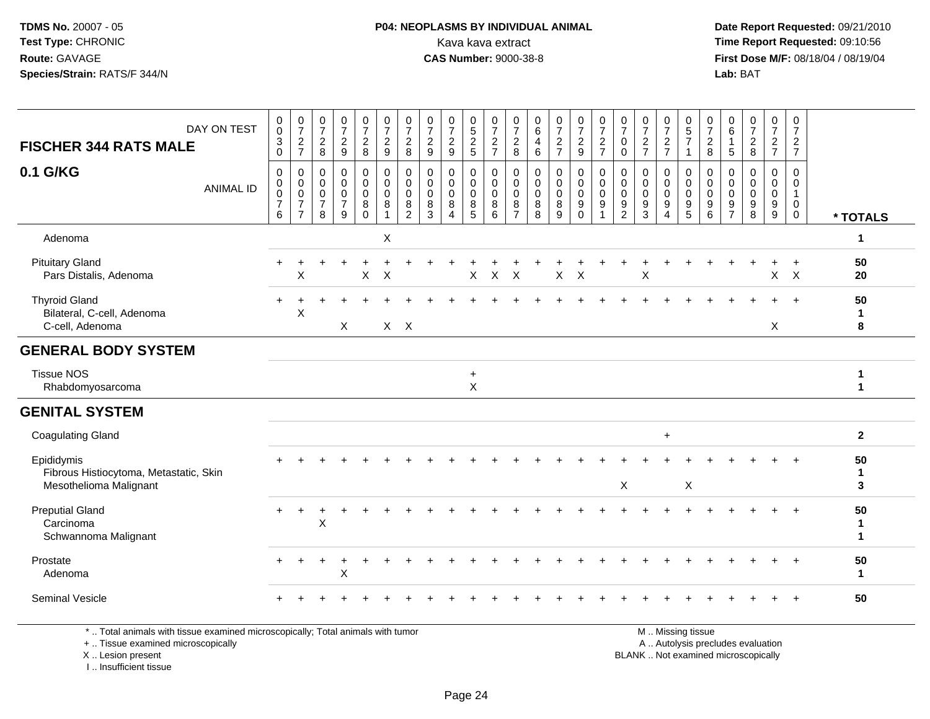### **P04: NEOPLASMS BY INDIVIDUAL ANIMAL**<br>Kava kava extract Kava kava extract **Time Report Requested:** 09:10:56<br>**CAS Number:** 9000-38-8<br>**Tirst Dose M/F:** 08/18/04 / 08/19/04

 **Date Report Requested:** 09/21/2010 **First Dose M/F:** 08/18/04 / 08/19/04 Lab: BAT **Lab:** BAT

| DAY ON TEST<br><b>FISCHER 344 RATS MALE</b>                                    | 0<br>$\mathsf{O}\xspace$<br>$\overline{3}$<br>$\pmb{0}$ | $\frac{0}{7}$<br>$\frac{2}{7}$                                          | $\frac{0}{7}$<br>$\overline{2}$<br>8                   | $\frac{0}{7}$<br>$\boldsymbol{2}$<br>9                           | $\frac{0}{7}$<br>$\overline{c}$<br>$\bf 8$                 | $\frac{0}{7}$<br>$\frac{2}{9}$                                 |         | $\frac{0}{7}$<br>$\overline{c}$<br>8                                 | 0<br>$\overline{7}$<br>$\frac{2}{9}$                           | $\frac{0}{7}$<br>$\sqrt{2}$<br>$\overline{9}$                    | $\begin{matrix} 0 \\ 5 \end{matrix}$<br>$\frac{2}{5}$ | 0<br>$\overline{7}$<br>$\frac{2}{7}$                   | $\frac{0}{7}$<br>$\overline{a}$<br>8                   | 0<br>6<br>$\overline{4}$<br>$6\phantom{1}$ | $\frac{0}{7}$<br>$\frac{2}{7}$                                                 | $\frac{0}{7}$<br>$\boldsymbol{2}$<br>$\boldsymbol{9}$                        | $\frac{0}{7}$<br>$\frac{2}{7}$                               | 0<br>$\overline{7}$<br>$\mathbf 0$<br>$\mathbf 0$      | $\frac{0}{7}$<br>$\frac{2}{7}$                             | $\frac{0}{7}$<br>$\frac{2}{7}$                 | 0<br>$\overline{5}$<br>$\overline{7}$<br>$\mathbf{1}$  | 0<br>$\overline{7}$<br>$\frac{2}{8}$            | 0<br>6<br>$\mathbf{1}$<br>$\overline{5}$               | $\frac{0}{7}$<br>$\overline{c}$<br>$\,8\,$       | $\frac{0}{7}$<br>$\frac{2}{7}$                                                | 0<br>$\overline{7}$<br>$\frac{2}{7}$                 |                         |  |
|--------------------------------------------------------------------------------|---------------------------------------------------------|-------------------------------------------------------------------------|--------------------------------------------------------|------------------------------------------------------------------|------------------------------------------------------------|----------------------------------------------------------------|---------|----------------------------------------------------------------------|----------------------------------------------------------------|------------------------------------------------------------------|-------------------------------------------------------|--------------------------------------------------------|--------------------------------------------------------|--------------------------------------------|--------------------------------------------------------------------------------|------------------------------------------------------------------------------|--------------------------------------------------------------|--------------------------------------------------------|------------------------------------------------------------|------------------------------------------------|--------------------------------------------------------|-------------------------------------------------|--------------------------------------------------------|--------------------------------------------------|-------------------------------------------------------------------------------|------------------------------------------------------|-------------------------|--|
| 0.1 G/KG<br><b>ANIMAL ID</b>                                                   | 0<br>$\pmb{0}$<br>$\pmb{0}$<br>$\overline{7}$<br>6      | $\,0\,$<br>$\pmb{0}$<br>$\mathbf 0$<br>$\overline{7}$<br>$\overline{7}$ | 0<br>$\mathbf 0$<br>$\mathbf 0$<br>$\overline{7}$<br>8 | $\mathbf 0$<br>$\mathbf 0$<br>$\mathbf 0$<br>$\overline{7}$<br>9 | $\mathbf 0$<br>$\mathsf 0$<br>$\mathbf 0$<br>8<br>$\Omega$ | $\pmb{0}$<br>$\mathbf 0$<br>$\mathbf 0$<br>8<br>$\overline{1}$ |         | $\pmb{0}$<br>$\mathsf{O}\xspace$<br>$\pmb{0}$<br>8<br>$\overline{c}$ | $\mathbf 0$<br>$\mathbf 0$<br>$\mathbf 0$<br>8<br>$\mathbf{3}$ | $\mathbf 0$<br>$\mathbf 0$<br>$\mathbf 0$<br>8<br>$\overline{4}$ | 0<br>0<br>$\mathbf 0$<br>8<br>$\overline{5}$          | 0<br>$\mathbf 0$<br>$\mathsf 0$<br>8<br>$6\phantom{a}$ | 0<br>$\mathbf 0$<br>$\mathbf 0$<br>8<br>$\overline{7}$ | 0<br>$\mathbf 0$<br>$\mathbf 0$<br>8<br>8  | $\pmb{0}$<br>$\mathbf 0$<br>$\mathsf{O}\xspace$<br>$\,8\,$<br>$\boldsymbol{9}$ | $\mathbf 0$<br>$\mathbf 0$<br>$\mathbf 0$<br>$\boldsymbol{9}$<br>$\mathbf 0$ | $\pmb{0}$<br>$\mathbf 0$<br>$\mathbf 0$<br>9<br>$\mathbf{1}$ | 0<br>$\mathbf 0$<br>$\mathbf 0$<br>9<br>$\overline{c}$ | 0<br>$\mathbf 0$<br>$\mathbf 0$<br>$9\,$<br>$\mathfrak{Z}$ | 0<br>0<br>$\pmb{0}$<br>$9\,$<br>$\overline{4}$ | 0<br>$\mathbf 0$<br>$\mathbf 0$<br>9<br>$\overline{5}$ | 0<br>$\mathbf 0$<br>$\mathbf 0$<br>9<br>$\,6\,$ | 0<br>$\mathbf 0$<br>$\mathbf 0$<br>9<br>$\overline{7}$ | $\mathbf 0$<br>$\Omega$<br>$\mathbf 0$<br>9<br>8 | 0<br>$\mathbf 0$<br>$\mathsf{O}\xspace$<br>$\boldsymbol{9}$<br>$\overline{9}$ | 0<br>$\mathbf 0$<br>$\mathbf{1}$<br>0<br>$\mathbf 0$ | * TOTALS                |  |
| Adenoma                                                                        |                                                         |                                                                         |                                                        |                                                                  |                                                            | X                                                              |         |                                                                      |                                                                |                                                                  |                                                       |                                                        |                                                        |                                            |                                                                                |                                                                              |                                                              |                                                        |                                                            |                                                |                                                        |                                                 |                                                        |                                                  |                                                                               |                                                      | $\mathbf{1}$            |  |
| <b>Pituitary Gland</b><br>Pars Distalis, Adenoma                               |                                                         | X                                                                       |                                                        |                                                                  | X                                                          | $\times$                                                       |         |                                                                      |                                                                |                                                                  | X                                                     | $\mathsf{X}$                                           | $\mathsf{X}$                                           |                                            | X                                                                              | X                                                                            |                                                              |                                                        | X                                                          |                                                |                                                        |                                                 |                                                        |                                                  | $\mathsf{X}$                                                                  | $\ddot{}$<br>$\mathsf{X}$                            | 50<br>20                |  |
| <b>Thyroid Gland</b><br>Bilateral, C-cell, Adenoma<br>C-cell, Adenoma          |                                                         | $\times$                                                                |                                                        | X                                                                |                                                            |                                                                | $X$ $X$ |                                                                      |                                                                |                                                                  |                                                       |                                                        |                                                        |                                            |                                                                                |                                                                              |                                                              |                                                        |                                                            |                                                |                                                        |                                                 |                                                        |                                                  | X                                                                             |                                                      | 50<br>$\mathbf{1}$<br>8 |  |
| <b>GENERAL BODY SYSTEM</b>                                                     |                                                         |                                                                         |                                                        |                                                                  |                                                            |                                                                |         |                                                                      |                                                                |                                                                  |                                                       |                                                        |                                                        |                                            |                                                                                |                                                                              |                                                              |                                                        |                                                            |                                                |                                                        |                                                 |                                                        |                                                  |                                                                               |                                                      |                         |  |
| <b>Tissue NOS</b><br>Rhabdomyosarcoma                                          |                                                         |                                                                         |                                                        |                                                                  |                                                            |                                                                |         |                                                                      |                                                                |                                                                  | $\ddot{}$<br>$\boldsymbol{\mathsf{X}}$                |                                                        |                                                        |                                            |                                                                                |                                                                              |                                                              |                                                        |                                                            |                                                |                                                        |                                                 |                                                        |                                                  |                                                                               |                                                      | 1<br>1                  |  |
| <b>GENITAL SYSTEM</b>                                                          |                                                         |                                                                         |                                                        |                                                                  |                                                            |                                                                |         |                                                                      |                                                                |                                                                  |                                                       |                                                        |                                                        |                                            |                                                                                |                                                                              |                                                              |                                                        |                                                            |                                                |                                                        |                                                 |                                                        |                                                  |                                                                               |                                                      |                         |  |
| <b>Coagulating Gland</b>                                                       |                                                         |                                                                         |                                                        |                                                                  |                                                            |                                                                |         |                                                                      |                                                                |                                                                  |                                                       |                                                        |                                                        |                                            |                                                                                |                                                                              |                                                              |                                                        |                                                            | $+$                                            |                                                        |                                                 |                                                        |                                                  |                                                                               |                                                      | $\mathbf{2}$            |  |
| Epididymis<br>Fibrous Histiocytoma, Metastatic, Skin<br>Mesothelioma Malignant |                                                         |                                                                         |                                                        |                                                                  |                                                            |                                                                |         |                                                                      |                                                                |                                                                  |                                                       |                                                        |                                                        |                                            |                                                                                |                                                                              |                                                              | X                                                      |                                                            |                                                | X                                                      |                                                 |                                                        |                                                  |                                                                               |                                                      | 50<br>$\mathbf{1}$<br>3 |  |
| <b>Preputial Gland</b><br>Carcinoma<br>Schwannoma Malignant                    | $+$                                                     | $\overline{+}$                                                          | ÷<br>X                                                 |                                                                  |                                                            |                                                                |         |                                                                      |                                                                |                                                                  |                                                       |                                                        |                                                        |                                            |                                                                                |                                                                              |                                                              |                                                        |                                                            |                                                |                                                        |                                                 |                                                        |                                                  | $\ddot{}$                                                                     | $\ddot{}$                                            | 50<br>-1<br>1           |  |
| Prostate<br>Adenoma                                                            |                                                         |                                                                         |                                                        | X                                                                |                                                            |                                                                |         |                                                                      |                                                                |                                                                  |                                                       |                                                        |                                                        |                                            |                                                                                |                                                                              |                                                              |                                                        |                                                            |                                                |                                                        |                                                 |                                                        |                                                  |                                                                               |                                                      | 50<br>$\mathbf{1}$      |  |
| <b>Seminal Vesicle</b>                                                         |                                                         |                                                                         |                                                        |                                                                  |                                                            |                                                                |         |                                                                      |                                                                |                                                                  |                                                       |                                                        |                                                        |                                            |                                                                                |                                                                              |                                                              |                                                        |                                                            |                                                |                                                        |                                                 |                                                        |                                                  |                                                                               |                                                      | 50                      |  |

\* .. Total animals with tissue examined microscopically; Total animals with tumor

+ .. Tissue examined microscopically

X .. Lesion present

I .. Insufficient tissue

M .. Missing tissue

y the contract of the contract of the contract of the contract of the contract of the contract of the contract of  $A$ . Autolysis precludes evaluation

Lesion present BLANK .. Not examined microscopically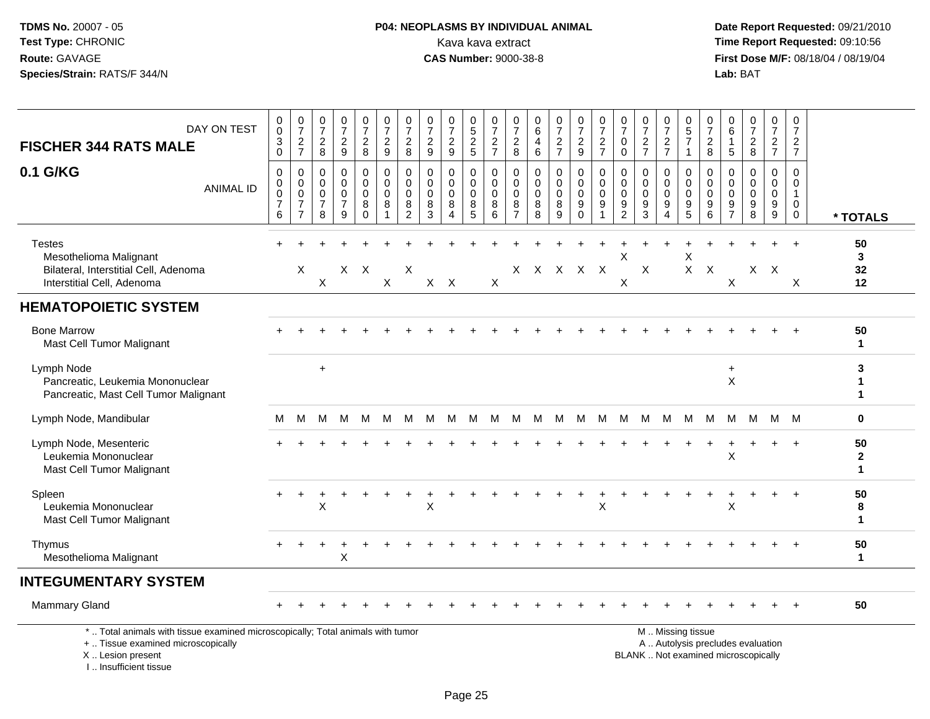## **P04: NEOPLASMS BY INDIVIDUAL ANIMAL**<br>Kava kava extract Kava kava extract **Time Report Requested:** 09:10:56<br>**CAS Number:** 9000-38-8 **CAS Number:** 9000-38-8

| DAY ON TEST<br><b>FISCHER 344 RATS MALE</b>                                                                                                                         | 0<br>$\mathsf{O}\xspace$<br>$_{0}^{3}$             | $\frac{0}{7}$<br>$\frac{2}{7}$                                                  | 0<br>$\overline{7}$<br>$\overline{c}$<br>8 | 0<br>$\overline{7}$<br>$\frac{2}{9}$                             | $\frac{0}{7}$<br>$\overline{c}$<br>8             | 0<br>$\overline{7}$<br>$\overline{a}$<br>9 | $\pmb{0}$<br>$\overline{7}$<br>$\boldsymbol{2}$<br>8           | 0<br>$\overline{7}$<br>$\overline{c}$<br>9    | 0<br>$\overline{7}$<br>$\overline{c}$<br>9                 | 0<br>$\overline{5}$<br>$\overline{c}$<br>5 | 0<br>$\overline{7}$<br>$\frac{2}{7}$    | 0<br>$\overline{7}$<br>$\boldsymbol{2}$<br>8           | 0<br>6<br>4<br>$\,6\,$          | $\begin{smallmatrix}0\\7\end{smallmatrix}$<br>$\frac{2}{7}$ | $\frac{0}{7}$<br>$\overline{c}$<br>$\overline{9}$   | $\pmb{0}$<br>$\overline{7}$<br>$\frac{2}{7}$                          | 0<br>$\overline{7}$<br>0<br>$\mathbf 0$                | 0<br>$\overline{7}$<br>$\overline{c}$<br>$\overline{7}$     | $\pmb{0}$<br>$\overline{7}$<br>$\boldsymbol{2}$<br>$\overline{7}$ | 0<br>5<br>$\overline{7}$<br>$\mathbf{1}$           | 0<br>$\overline{7}$<br>$\overline{c}$<br>8                        | 0<br>6<br>$\mathbf{1}$<br>5                             | 0<br>$\overline{7}$<br>$\boldsymbol{2}$<br>8                             | 0<br>$\overline{7}$<br>$\frac{2}{7}$      | $\mathbf 0$<br>$\overline{7}$<br>$\overline{c}$<br>$\overline{7}$ |                                   |
|---------------------------------------------------------------------------------------------------------------------------------------------------------------------|----------------------------------------------------|---------------------------------------------------------------------------------|--------------------------------------------|------------------------------------------------------------------|--------------------------------------------------|--------------------------------------------|----------------------------------------------------------------|-----------------------------------------------|------------------------------------------------------------|--------------------------------------------|-----------------------------------------|--------------------------------------------------------|---------------------------------|-------------------------------------------------------------|-----------------------------------------------------|-----------------------------------------------------------------------|--------------------------------------------------------|-------------------------------------------------------------|-------------------------------------------------------------------|----------------------------------------------------|-------------------------------------------------------------------|---------------------------------------------------------|--------------------------------------------------------------------------|-------------------------------------------|-------------------------------------------------------------------|-----------------------------------|
| 0.1 G/KG<br><b>ANIMAL ID</b>                                                                                                                                        | 0<br>0<br>$\pmb{0}$<br>$\boldsymbol{7}$<br>$\,6\,$ | $\mathbf 0$<br>$\mathbf 0$<br>$\mathbf 0$<br>$\boldsymbol{7}$<br>$\overline{7}$ | 0<br>$\mathbf 0$<br>$\mathbf 0$<br>7<br>8  | $\mathbf 0$<br>$\mathbf 0$<br>$\mathbf 0$<br>$\overline{7}$<br>9 | 0<br>$\mathbf 0$<br>$\mathbf 0$<br>8<br>$\Omega$ | 0<br>$\mathbf 0$<br>$\mathbf 0$<br>8       | $\mathbf 0$<br>$\pmb{0}$<br>$\mathbf 0$<br>8<br>$\overline{2}$ | $\mathbf 0$<br>$\Omega$<br>$\Omega$<br>8<br>3 | $\Omega$<br>$\mathbf 0$<br>$\Omega$<br>8<br>$\overline{4}$ | 0<br>$\mathbf 0$<br>$\Omega$<br>8<br>5     | 0<br>$\pmb{0}$<br>$\mathbf 0$<br>8<br>6 | 0<br>$\mathbf 0$<br>$\mathbf 0$<br>8<br>$\overline{7}$ | 0<br>0<br>$\mathbf 0$<br>8<br>8 | $\mathbf 0$<br>$\mathsf{O}\xspace$<br>$\mathbf 0$<br>8<br>9 | 0<br>$\mathbf 0$<br>$\mathbf 0$<br>9<br>$\mathbf 0$ | $\mathbf 0$<br>$\boldsymbol{0}$<br>$\mathbf 0$<br>9<br>$\overline{1}$ | 0<br>$\mathbf 0$<br>$\mathbf 0$<br>9<br>$\overline{c}$ | $\mathbf 0$<br>$\mathbf 0$<br>$\Omega$<br>9<br>$\mathbf{3}$ | $\mathbf 0$<br>$\mathbf 0$<br>$\mathbf 0$<br>9<br>$\overline{4}$  | 0<br>$\mathbf 0$<br>$\mathbf 0$<br>9<br>$\sqrt{5}$ | $\mathbf 0$<br>$\mathbf 0$<br>$\mathbf 0$<br>9<br>$6\phantom{1}6$ | $\Omega$<br>$\Omega$<br>$\Omega$<br>9<br>$\overline{7}$ | $\Omega$<br>$\Omega$<br>$\Omega$<br>9<br>8                               | 0<br>$\mathbf 0$<br>$\mathbf 0$<br>9<br>9 | $\Omega$<br>$\mathbf 0$<br>$\mathbf{1}$<br>0<br>0                 | * TOTALS                          |
| <b>Testes</b><br>Mesothelioma Malignant<br>Bilateral, Interstitial Cell, Adenoma<br>Interstitial Cell, Adenoma                                                      |                                                    | X                                                                               | X                                          |                                                                  | X X                                              | X                                          | $\times$                                                       |                                               | $X$ $X$                                                    |                                            | X                                       |                                                        | x x x x x                       |                                                             |                                                     |                                                                       | X<br>X                                                 | $\times$                                                    |                                                                   | X                                                  | $X$ $X$                                                           | X                                                       |                                                                          | $X$ $X$                                   | $\times$                                                          | 50<br>3<br>32<br>12               |
| <b>HEMATOPOIETIC SYSTEM</b>                                                                                                                                         |                                                    |                                                                                 |                                            |                                                                  |                                                  |                                            |                                                                |                                               |                                                            |                                            |                                         |                                                        |                                 |                                                             |                                                     |                                                                       |                                                        |                                                             |                                                                   |                                                    |                                                                   |                                                         |                                                                          |                                           |                                                                   |                                   |
| <b>Bone Marrow</b><br>Mast Cell Tumor Malignant                                                                                                                     |                                                    |                                                                                 |                                            |                                                                  |                                                  |                                            |                                                                |                                               |                                                            |                                            |                                         |                                                        |                                 |                                                             |                                                     |                                                                       |                                                        |                                                             |                                                                   |                                                    |                                                                   |                                                         |                                                                          |                                           |                                                                   | 50<br>$\blacktriangleleft$        |
| Lymph Node<br>Pancreatic, Leukemia Mononuclear<br>Pancreatic, Mast Cell Tumor Malignant                                                                             |                                                    |                                                                                 | $\ddot{}$                                  |                                                                  |                                                  |                                            |                                                                |                                               |                                                            |                                            |                                         |                                                        |                                 |                                                             |                                                     |                                                                       |                                                        |                                                             |                                                                   |                                                    |                                                                   | +<br>$\times$                                           |                                                                          |                                           |                                                                   | 3<br>-1                           |
| Lymph Node, Mandibular                                                                                                                                              | м                                                  | M                                                                               | М                                          | M                                                                | M                                                | M                                          | M                                                              | м                                             | M                                                          | M                                          | M                                       |                                                        | M M M M                         |                                                             |                                                     | M                                                                     | M                                                      |                                                             | M M M                                                             |                                                    | M                                                                 | M                                                       |                                                                          | M M M                                     |                                                                   | 0                                 |
| Lymph Node, Mesenteric<br>Leukemia Mononuclear<br>Mast Cell Tumor Malignant                                                                                         |                                                    |                                                                                 |                                            |                                                                  |                                                  |                                            |                                                                |                                               |                                                            |                                            |                                         |                                                        |                                 |                                                             |                                                     |                                                                       |                                                        |                                                             |                                                                   |                                                    |                                                                   | $\mathsf X$                                             |                                                                          |                                           | $\ddot{}$                                                         | 50<br>$\mathbf{2}$<br>$\mathbf 1$ |
| Spleen<br>Leukemia Mononuclear<br>Mast Cell Tumor Malignant                                                                                                         |                                                    | $\ddot{}$                                                                       | X                                          |                                                                  |                                                  |                                            |                                                                | X                                             |                                                            |                                            |                                         |                                                        |                                 |                                                             | $\ddot{}$                                           | X                                                                     |                                                        |                                                             |                                                                   |                                                    |                                                                   | X                                                       |                                                                          |                                           | $\ddot{}$                                                         | 50<br>8<br>$\blacktriangleleft$   |
| Thymus<br>Mesothelioma Malignant                                                                                                                                    |                                                    |                                                                                 |                                            | Χ                                                                |                                                  |                                            |                                                                |                                               |                                                            |                                            |                                         |                                                        |                                 |                                                             |                                                     |                                                                       |                                                        |                                                             |                                                                   |                                                    |                                                                   |                                                         |                                                                          |                                           |                                                                   | 50<br>$\blacktriangleleft$        |
| <b>INTEGUMENTARY SYSTEM</b>                                                                                                                                         |                                                    |                                                                                 |                                            |                                                                  |                                                  |                                            |                                                                |                                               |                                                            |                                            |                                         |                                                        |                                 |                                                             |                                                     |                                                                       |                                                        |                                                             |                                                                   |                                                    |                                                                   |                                                         |                                                                          |                                           |                                                                   |                                   |
| <b>Mammary Gland</b>                                                                                                                                                |                                                    |                                                                                 |                                            |                                                                  |                                                  |                                            |                                                                |                                               |                                                            |                                            |                                         |                                                        |                                 |                                                             |                                                     |                                                                       |                                                        |                                                             |                                                                   |                                                    |                                                                   |                                                         |                                                                          |                                           |                                                                   | 50                                |
| *  Total animals with tissue examined microscopically; Total animals with tumor<br>+  Tissue examined microscopically<br>X  Lesion present<br>I Insufficient tissue |                                                    |                                                                                 |                                            |                                                                  |                                                  |                                            |                                                                |                                               |                                                            |                                            |                                         |                                                        |                                 |                                                             |                                                     |                                                                       |                                                        |                                                             |                                                                   | M  Missing tissue                                  |                                                                   |                                                         | A  Autolysis precludes evaluation<br>BLANK  Not examined microscopically |                                           |                                                                   |                                   |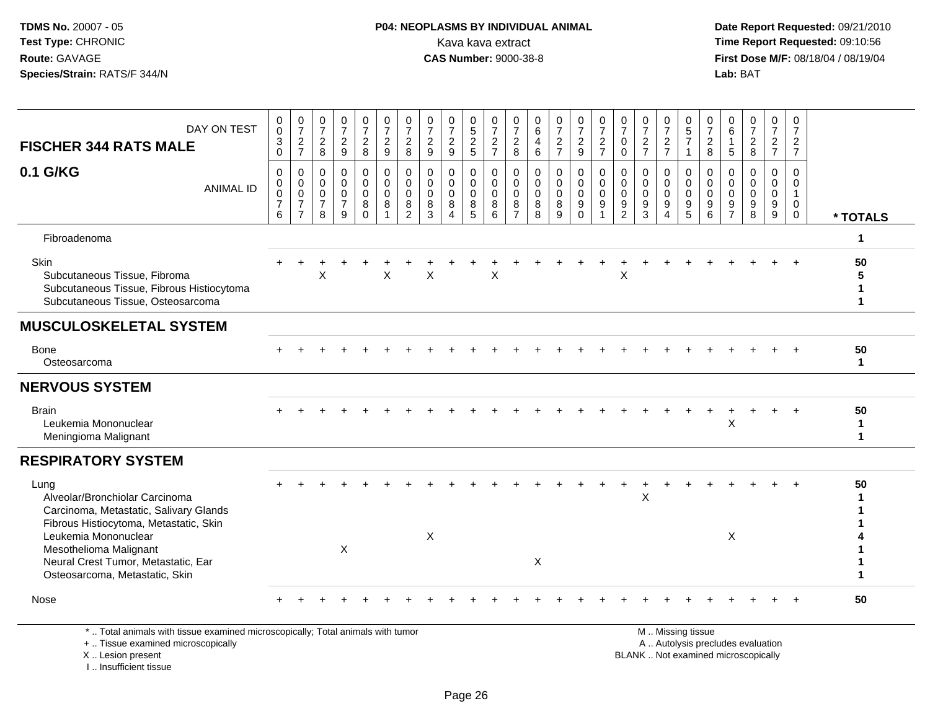### **P04: NEOPLASMS BY INDIVIDUAL ANIMAL**<br>Kava kava extract Kava kava extract **Time Report Requested:** 09:10:56<br>**CAS Number:** 9000-38-8<br>**Tirst Dose M/F:** 08/18/04 / 08/19/04

 **Date Report Requested:** 09/21/2010 **First Dose M/F:** 08/18/04 / 08/19/04 Lab: BAT **Lab:** BAT

|                                                                                                                            | 0                                                              |                                                                               | 0                                                                |                                                         |                                                  | 0                                    |                                                               | 0                                             |                                       | 0                                                | 0                                          | 0                                                                | 0                                             |                                                     |                                                                | 0                                           | 0                                                                | 0                                                      |                                                     | 0                                                | 0                                          | 0                                         |                                                           | 0                                                  | 0                                                                  |                              |
|----------------------------------------------------------------------------------------------------------------------------|----------------------------------------------------------------|-------------------------------------------------------------------------------|------------------------------------------------------------------|---------------------------------------------------------|--------------------------------------------------|--------------------------------------|---------------------------------------------------------------|-----------------------------------------------|---------------------------------------|--------------------------------------------------|--------------------------------------------|------------------------------------------------------------------|-----------------------------------------------|-----------------------------------------------------|----------------------------------------------------------------|---------------------------------------------|------------------------------------------------------------------|--------------------------------------------------------|-----------------------------------------------------|--------------------------------------------------|--------------------------------------------|-------------------------------------------|-----------------------------------------------------------|----------------------------------------------------|--------------------------------------------------------------------|------------------------------|
| DAY ON TEST                                                                                                                | $\mathbf 0$<br>$\ensuremath{\mathsf{3}}$                       | $\frac{0}{7}$                                                                 | $\overline{7}$                                                   | $\frac{0}{7}$<br>$\overline{2}$                         | $\frac{0}{7}$                                    | $\overline{7}$                       | $\frac{0}{7}$<br>$\overline{\mathbf{c}}$                      | $\overline{7}$<br>$\boldsymbol{2}$            | $\frac{0}{7}$<br>$\overline{2}$       | $\frac{5}{2}$                                    | $\overline{7}$                             | $\overline{7}$                                                   | 6<br>4                                        | $\frac{0}{7}$                                       | $\frac{0}{7}$                                                  | $\overline{7}$                              | $\overline{7}$<br>$\mathbf 0$                                    | $\overline{7}$                                         | $\frac{0}{7}$                                       | $\sqrt{5}$<br>$\overline{7}$                     | $\overline{7}$                             | 6                                         | $\frac{0}{7}$                                             | $\overline{7}$                                     | $\overline{7}$                                                     |                              |
| <b>FISCHER 344 RATS MALE</b>                                                                                               | $\mathbf 0$                                                    | $\frac{2}{7}$                                                                 | $\frac{2}{8}$                                                    | 9                                                       | $\frac{2}{8}$                                    | $\frac{2}{9}$                        | 8                                                             | 9                                             | 9                                     |                                                  | $\frac{2}{7}$                              | $_{\rm 8}^2$                                                     | $6\phantom{1}$                                | $\frac{2}{7}$                                       | $\frac{2}{9}$                                                  | $\frac{2}{7}$                               | $\mathbf 0$                                                      | $\frac{2}{7}$                                          | $\frac{2}{7}$                                       | $\mathbf{1}$                                     | $_{\rm 8}^2$                               | 5                                         | $\frac{2}{8}$                                             | $rac{2}{7}$                                        | $\frac{2}{7}$                                                      |                              |
| 0.1 G/KG<br><b>ANIMAL ID</b>                                                                                               | $\mathbf 0$<br>0<br>$\mathsf{O}\xspace$<br>$\overline{7}$<br>6 | $\mathbf 0$<br>$\mathbf 0$<br>$\mathsf 0$<br>$\overline{7}$<br>$\overline{7}$ | $\mathbf 0$<br>$\mathbf 0$<br>$\mathbf 0$<br>$\overline{7}$<br>8 | $\Omega$<br>$\Omega$<br>$\Omega$<br>$\overline{7}$<br>9 | 0<br>$\mathbf 0$<br>$\mathbf 0$<br>8<br>$\Omega$ | 0<br>$\mathbf 0$<br>$\mathbf 0$<br>8 | $\mathbf 0$<br>$\Omega$<br>$\mathbf 0$<br>8<br>$\overline{2}$ | $\Omega$<br>$\Omega$<br>$\mathbf 0$<br>8<br>3 | $\Omega$<br>$\Omega$<br>$\Omega$<br>8 | $\mathbf 0$<br>$\Omega$<br>$\mathbf 0$<br>8<br>5 | $\Omega$<br>$\Omega$<br>$\Omega$<br>8<br>6 | $\mathbf 0$<br>$\Omega$<br>$\overline{0}$<br>8<br>$\overline{7}$ | $\mathbf 0$<br>$\Omega$<br>$\Omega$<br>8<br>8 | $\mathbf 0$<br>$\mathbf 0$<br>$\mathbf 0$<br>8<br>9 | $\mathbf 0$<br>$\overline{0}$<br>$\mathsf{O}$<br>9<br>$\Omega$ | $\mathbf 0$<br>$\Omega$<br>$\mathbf 0$<br>9 | $\mathbf 0$<br>$\mathbf 0$<br>$\mathbf 0$<br>9<br>$\overline{2}$ | $\Omega$<br>$\Omega$<br>$\Omega$<br>9<br>$\mathcal{R}$ | $\mathbf 0$<br>$\mathbf 0$<br>$\mathbf 0$<br>9<br>4 | $\mathbf 0$<br>$\Omega$<br>$\mathbf 0$<br>9<br>5 | $\Omega$<br>$\Omega$<br>$\Omega$<br>9<br>6 | $\Omega$<br>$\mathbf{0}$<br>$\Omega$<br>9 | $\Omega$<br>$\Omega$<br>$\Omega$<br>$\boldsymbol{9}$<br>8 | $\mathbf{0}$<br>$\Omega$<br>$\mathbf{0}$<br>9<br>9 | $\Omega$<br>$\Omega$<br>$\overline{1}$<br>$\Omega$<br>$\mathbf{0}$ | * TOTALS                     |
| Fibroadenoma                                                                                                               |                                                                |                                                                               |                                                                  |                                                         |                                                  |                                      |                                                               |                                               |                                       |                                                  |                                            |                                                                  |                                               |                                                     |                                                                |                                             |                                                                  |                                                        |                                                     |                                                  |                                            |                                           |                                                           |                                                    |                                                                    | 1                            |
| Skin<br>Subcutaneous Tissue, Fibroma<br>Subcutaneous Tissue, Fibrous Histiocytoma<br>Subcutaneous Tissue, Osteosarcoma     |                                                                |                                                                               | X                                                                |                                                         |                                                  | $\times$                             |                                                               | X                                             |                                       |                                                  | X                                          |                                                                  |                                               |                                                     |                                                                |                                             | X                                                                |                                                        |                                                     |                                                  |                                            |                                           |                                                           |                                                    |                                                                    | 50<br>5<br>$\mathbf{1}$<br>1 |
| <b>MUSCULOSKELETAL SYSTEM</b>                                                                                              |                                                                |                                                                               |                                                                  |                                                         |                                                  |                                      |                                                               |                                               |                                       |                                                  |                                            |                                                                  |                                               |                                                     |                                                                |                                             |                                                                  |                                                        |                                                     |                                                  |                                            |                                           |                                                           |                                                    |                                                                    |                              |
| <b>Bone</b><br>Osteosarcoma                                                                                                |                                                                |                                                                               |                                                                  |                                                         |                                                  |                                      |                                                               |                                               |                                       |                                                  |                                            |                                                                  |                                               |                                                     |                                                                |                                             |                                                                  |                                                        |                                                     |                                                  |                                            |                                           |                                                           |                                                    |                                                                    | 50<br>1.                     |
| <b>NERVOUS SYSTEM</b>                                                                                                      |                                                                |                                                                               |                                                                  |                                                         |                                                  |                                      |                                                               |                                               |                                       |                                                  |                                            |                                                                  |                                               |                                                     |                                                                |                                             |                                                                  |                                                        |                                                     |                                                  |                                            |                                           |                                                           |                                                    |                                                                    |                              |
| <b>Brain</b><br>Leukemia Mononuclear<br>Meningioma Malignant                                                               |                                                                |                                                                               |                                                                  |                                                         |                                                  |                                      |                                                               |                                               |                                       |                                                  |                                            |                                                                  |                                               |                                                     |                                                                |                                             |                                                                  |                                                        |                                                     |                                                  |                                            | X                                         |                                                           |                                                    |                                                                    | 50<br>1<br>$\mathbf{1}$      |
| <b>RESPIRATORY SYSTEM</b>                                                                                                  |                                                                |                                                                               |                                                                  |                                                         |                                                  |                                      |                                                               |                                               |                                       |                                                  |                                            |                                                                  |                                               |                                                     |                                                                |                                             |                                                                  |                                                        |                                                     |                                                  |                                            |                                           |                                                           |                                                    |                                                                    |                              |
| Lung<br>Alveolar/Bronchiolar Carcinoma<br>Carcinoma, Metastatic, Salivary Glands<br>Fibrous Histiocytoma, Metastatic, Skin |                                                                |                                                                               |                                                                  |                                                         |                                                  |                                      |                                                               |                                               |                                       |                                                  |                                            |                                                                  |                                               |                                                     |                                                                |                                             |                                                                  | X                                                      |                                                     |                                                  |                                            |                                           |                                                           |                                                    |                                                                    | 50                           |
| Leukemia Mononuclear<br>Mesothelioma Malignant<br>Neural Crest Tumor, Metastatic, Ear<br>Osteosarcoma, Metastatic, Skin    |                                                                |                                                                               |                                                                  | $\times$                                                |                                                  |                                      |                                                               | X                                             |                                       |                                                  |                                            |                                                                  | $\sf X$                                       |                                                     |                                                                |                                             |                                                                  |                                                        |                                                     |                                                  |                                            | X                                         |                                                           |                                                    |                                                                    |                              |
| Nose                                                                                                                       |                                                                |                                                                               |                                                                  |                                                         |                                                  |                                      |                                                               |                                               |                                       |                                                  |                                            |                                                                  |                                               |                                                     |                                                                |                                             |                                                                  |                                                        |                                                     |                                                  |                                            |                                           |                                                           |                                                    |                                                                    | 50                           |
| * Total animals with tissue examined microsconically: Total animals with tumor                                             |                                                                |                                                                               |                                                                  |                                                         |                                                  |                                      |                                                               |                                               |                                       |                                                  |                                            |                                                                  |                                               |                                                     |                                                                |                                             |                                                                  |                                                        |                                                     | M Miccinaticcup                                  |                                            |                                           |                                                           |                                                    |                                                                    |                              |

\* .. Total animals with tissue examined microscopically; Total animals with tumor

+ .. Tissue examined microscopically

X .. Lesion present

I .. Insufficient tissue

M .. Missing tissue

y the contract of the contract of the contract of the contract of the contract of the contract of the contract of  $A$ . Autolysis precludes evaluation

Lesion present BLANK .. Not examined microscopically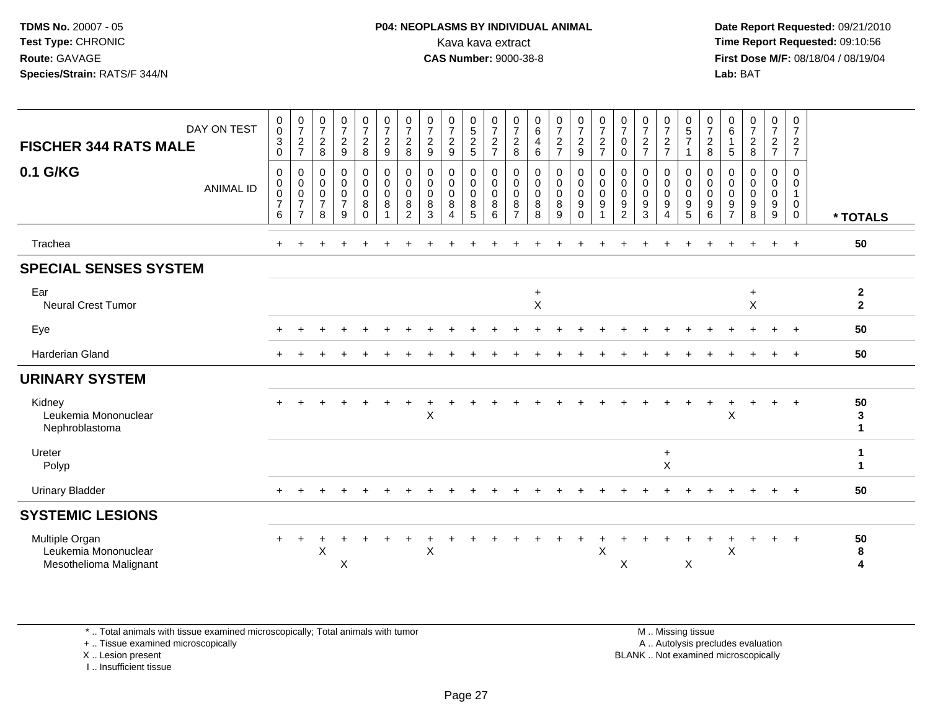#### **P04: NEOPLASMS BY INDIVIDUAL ANIMAL**<br>Kava kava extract Kava kava extract **Time Report Requested:** 09:10:56<br>**CAS Number:** 9000-38-8<br>**Tirst Dose M/F:** 08/18/04 / 08/19/04

 **Date Report Requested:** 09/21/2010 **First Dose M/F:** 08/18/04 / 08/19/04 Lab: BAT **Lab:** BAT

| DAY ON TEST<br><b>FISCHER 344 RATS MALE</b>                      | 0<br>$\mathsf{O}\xspace$<br>$\ensuremath{\mathsf{3}}$<br>$\mathbf 0$ | $\frac{0}{7}$<br>$\overline{c}$<br>$\overline{7}$                   | 0<br>$\overline{7}$<br>$\boldsymbol{2}$<br>8 | $\frac{0}{7}$<br>$\sqrt{2}$<br>$9\,$                                        | $\frac{0}{7}$<br>$\overline{c}$<br>8      | $\frac{0}{7}$<br>$\overline{c}$<br>$9\,$        | $\frac{0}{7}$<br>$\overline{c}$<br>8                   | $\frac{0}{7}$<br>$\boldsymbol{2}$<br>$\boldsymbol{9}$ | $\frac{0}{7}$<br>$\overline{c}$<br>9                         | $\begin{array}{c} 0 \\ 5 \end{array}$<br>$\frac{2}{5}$                 | $\frac{0}{7}$<br>$\sqrt{2}$<br>$\overline{7}$ | 0<br>$\overline{7}$<br>$\boldsymbol{2}$<br>8           | $\begin{array}{c} 0 \\ 6 \end{array}$<br>4<br>6 | $\frac{0}{7}$<br>$\overline{c}$<br>$\overline{7}$ | $\frac{0}{7}$<br>$\overline{2}$<br>9               | $\frac{0}{7}$<br>$\sqrt{2}$<br>$\overline{7}$      | $\frac{0}{7}$<br>0<br>$\mathbf 0$                      | $\frac{0}{7}$<br>$\boldsymbol{2}$<br>$\overline{7}$ | $\frac{0}{7}$<br>$\overline{\mathbf{c}}$<br>$\overline{7}$ | 0<br>$\frac{5}{7}$<br>$\overline{1}$                                               | $\frac{0}{7}$<br>$\boldsymbol{2}$<br>8                            | $\begin{array}{c} 0 \\ 6 \end{array}$<br>$\overline{1}$<br>5         | $\frac{0}{7}$<br>$\frac{2}{8}$            | $\frac{0}{7}$<br>$\frac{2}{7}$                 | 0<br>$\overline{7}$<br>$\overline{c}$<br>$\overline{7}$        |                                |
|------------------------------------------------------------------|----------------------------------------------------------------------|---------------------------------------------------------------------|----------------------------------------------|-----------------------------------------------------------------------------|-------------------------------------------|-------------------------------------------------|--------------------------------------------------------|-------------------------------------------------------|--------------------------------------------------------------|------------------------------------------------------------------------|-----------------------------------------------|--------------------------------------------------------|-------------------------------------------------|---------------------------------------------------|----------------------------------------------------|----------------------------------------------------|--------------------------------------------------------|-----------------------------------------------------|------------------------------------------------------------|------------------------------------------------------------------------------------|-------------------------------------------------------------------|----------------------------------------------------------------------|-------------------------------------------|------------------------------------------------|----------------------------------------------------------------|--------------------------------|
| 0.1 G/KG<br><b>ANIMAL ID</b>                                     | $\mathbf 0$<br>$\mathbf 0$<br>0<br>$\overline{7}$<br>$\,6$           | 0<br>$\mathbf 0$<br>$\mathbf 0$<br>$\overline{7}$<br>$\overline{7}$ | 0<br>0<br>0<br>$\overline{7}$<br>8           | $\boldsymbol{0}$<br>$\mathsf{O}\xspace$<br>$\pmb{0}$<br>$\overline{7}$<br>9 | 0<br>$\overline{0}$<br>0<br>8<br>$\Omega$ | $\pmb{0}$<br>$\pmb{0}$<br>$\mathbf 0$<br>8<br>1 | 0<br>$\mathbf 0$<br>$\mathbf 0$<br>8<br>$\overline{2}$ | 0<br>$\mathbf 0$<br>$\mathbf 0$<br>8<br>3             | 0<br>$\mathsf{O}\xspace$<br>0<br>8<br>$\boldsymbol{\Lambda}$ | $\pmb{0}$<br>$\mathsf{O}\xspace$<br>$\mathbf 0$<br>8<br>$\overline{5}$ | 0<br>$\mathbf 0$<br>$\mathbf 0$<br>8<br>6     | 0<br>$\mathbf 0$<br>$\mathbf 0$<br>8<br>$\overline{7}$ | 0<br>$\mathbf 0$<br>$\mathbf 0$<br>$\bf 8$<br>8 | $_0^0$<br>$_{8}^{\rm 0}$<br>9                     | 0<br>$\mathsf{O}\xspace$<br>0<br>$9\,$<br>$\Omega$ | 0<br>$\pmb{0}$<br>$\pmb{0}$<br>9<br>$\overline{ }$ | 0<br>$\mathbf 0$<br>$\mathbf 0$<br>9<br>$\overline{c}$ | 0<br>$\mathbf 0$<br>$\mathbf 0$<br>9<br>3           | 0<br>0<br>0<br>9<br>4                                      | 0<br>$\mathsf{O}\xspace$<br>$\boldsymbol{0}$<br>$\boldsymbol{9}$<br>$\overline{5}$ | 0<br>$\pmb{0}$<br>$\pmb{0}$<br>$\boldsymbol{9}$<br>$6\phantom{1}$ | $\mathbf 0$<br>$\mathbf 0$<br>$\mathbf 0$<br>$9\,$<br>$\overline{7}$ | 0<br>$\mathbf 0$<br>$\mathbf 0$<br>9<br>8 | 0<br>$\mathbf 0$<br>0<br>9<br>$\boldsymbol{9}$ | 0<br>$\mathbf 0$<br>$\mathbf{1}$<br>$\mathbf 0$<br>$\mathbf 0$ | * TOTALS                       |
| Trachea                                                          |                                                                      |                                                                     |                                              |                                                                             |                                           |                                                 |                                                        |                                                       |                                                              |                                                                        |                                               |                                                        |                                                 |                                                   |                                                    |                                                    |                                                        |                                                     |                                                            |                                                                                    |                                                                   |                                                                      |                                           | $\ddot{}$                                      | $\ddot{}$                                                      | 50                             |
| <b>SPECIAL SENSES SYSTEM</b>                                     |                                                                      |                                                                     |                                              |                                                                             |                                           |                                                 |                                                        |                                                       |                                                              |                                                                        |                                               |                                                        |                                                 |                                                   |                                                    |                                                    |                                                        |                                                     |                                                            |                                                                                    |                                                                   |                                                                      |                                           |                                                |                                                                |                                |
| Ear<br><b>Neural Crest Tumor</b>                                 |                                                                      |                                                                     |                                              |                                                                             |                                           |                                                 |                                                        |                                                       |                                                              |                                                                        |                                               |                                                        | $\ddot{}$<br>X                                  |                                                   |                                                    |                                                    |                                                        |                                                     |                                                            |                                                                                    |                                                                   |                                                                      | $\ddot{}$<br>$\sf X$                      |                                                |                                                                | $\mathbf{2}$<br>$\overline{2}$ |
| Eye                                                              |                                                                      |                                                                     |                                              |                                                                             |                                           |                                                 |                                                        |                                                       |                                                              |                                                                        |                                               |                                                        |                                                 |                                                   |                                                    |                                                    |                                                        |                                                     |                                                            |                                                                                    |                                                                   |                                                                      |                                           |                                                |                                                                | 50                             |
| Harderian Gland                                                  |                                                                      |                                                                     |                                              |                                                                             |                                           |                                                 |                                                        |                                                       |                                                              |                                                                        |                                               |                                                        |                                                 |                                                   |                                                    |                                                    |                                                        |                                                     |                                                            |                                                                                    |                                                                   |                                                                      |                                           |                                                | $\overline{ }$                                                 | 50                             |
| <b>URINARY SYSTEM</b>                                            |                                                                      |                                                                     |                                              |                                                                             |                                           |                                                 |                                                        |                                                       |                                                              |                                                                        |                                               |                                                        |                                                 |                                                   |                                                    |                                                    |                                                        |                                                     |                                                            |                                                                                    |                                                                   |                                                                      |                                           |                                                |                                                                |                                |
| Kidney<br>Leukemia Mononuclear<br>Nephroblastoma                 |                                                                      |                                                                     |                                              |                                                                             |                                           |                                                 |                                                        | $\sf X$                                               |                                                              |                                                                        |                                               |                                                        |                                                 |                                                   |                                                    |                                                    |                                                        |                                                     |                                                            |                                                                                    | $\ddot{}$                                                         | X                                                                    |                                           | $\ddot{}$                                      | $\overline{+}$                                                 | 50<br>3<br>$\mathbf 1$         |
| Ureter<br>Polyp                                                  |                                                                      |                                                                     |                                              |                                                                             |                                           |                                                 |                                                        |                                                       |                                                              |                                                                        |                                               |                                                        |                                                 |                                                   |                                                    |                                                    |                                                        |                                                     | $\ddot{}$<br>X                                             |                                                                                    |                                                                   |                                                                      |                                           |                                                |                                                                |                                |
| <b>Urinary Bladder</b>                                           |                                                                      |                                                                     |                                              |                                                                             |                                           |                                                 |                                                        |                                                       |                                                              |                                                                        |                                               |                                                        |                                                 |                                                   |                                                    |                                                    |                                                        |                                                     |                                                            |                                                                                    |                                                                   |                                                                      |                                           |                                                |                                                                | 50                             |
| <b>SYSTEMIC LESIONS</b>                                          |                                                                      |                                                                     |                                              |                                                                             |                                           |                                                 |                                                        |                                                       |                                                              |                                                                        |                                               |                                                        |                                                 |                                                   |                                                    |                                                    |                                                        |                                                     |                                                            |                                                                                    |                                                                   |                                                                      |                                           |                                                |                                                                |                                |
| Multiple Organ<br>Leukemia Mononuclear<br>Mesothelioma Malignant |                                                                      | $\pm$                                                               | X                                            | X                                                                           |                                           |                                                 |                                                        | X                                                     |                                                              |                                                                        |                                               |                                                        |                                                 |                                                   |                                                    | X                                                  | X                                                      |                                                     |                                                            | X                                                                                  |                                                                   | X                                                                    |                                           | $\div$                                         | $\overline{+}$                                                 | 50<br>8<br>4                   |

\* .. Total animals with tissue examined microscopically; Total animals with tumor

+ .. Tissue examined microscopically

X .. Lesion present

I .. Insufficient tissue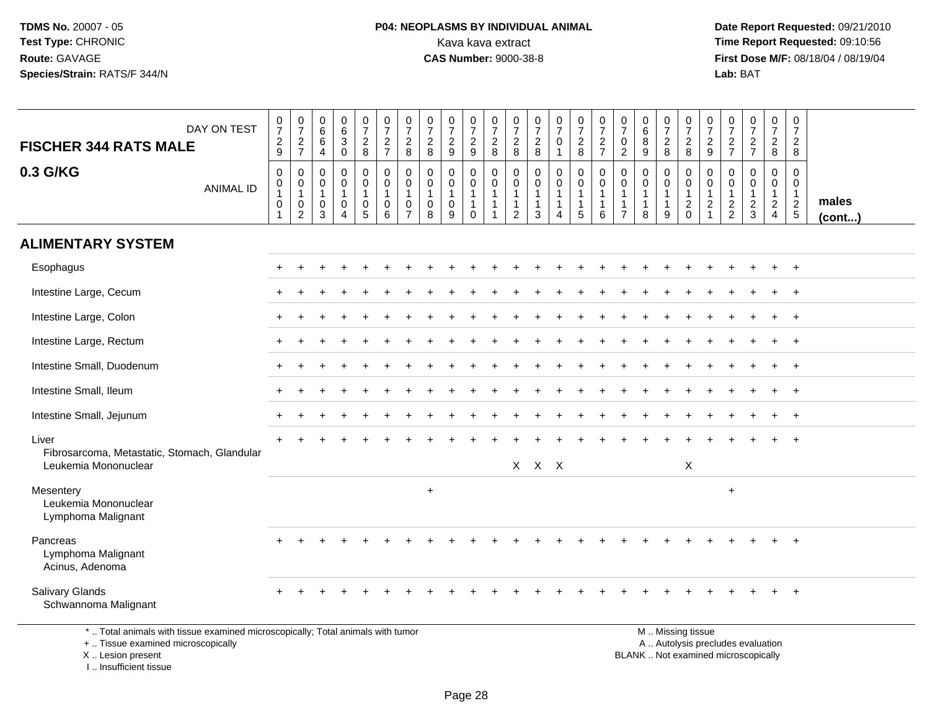# **P04: NEOPLASMS BY INDIVIDUAL ANIMAL**<br>Kava kava extract Kava kava extract **Time Report Requested:** 09:10:56<br>**CAS Number:** 9000-38-8 **CAS Number:** 9000-38-8

 **Date Report Requested:** 09/21/2010 **First Dose M/F:** 08/18/04 / 08/19/04 Lab: BAT **Lab:** BAT

| DAY ON TEST<br><b>FISCHER 344 RATS MALE</b>                                                                                                | $\frac{0}{7}$<br>$\frac{2}{9}$                                                    | $\begin{smallmatrix}0\\7\end{smallmatrix}$<br>$\frac{2}{7}$                    | 0<br>$\,6\,$<br>6<br>4                            | $\begin{array}{c} 0 \\ 6 \end{array}$<br>$\ensuremath{\mathsf{3}}$<br>$\mathbf 0$ | $\frac{0}{7}$<br>$_{8}^2$                           | $\frac{0}{7}$<br>$\frac{2}{7}$                             | $\frac{0}{7}$<br>$_{\rm 8}^2$                           | $\frac{0}{7}$<br>$_{\rm 8}^2$                        | $\frac{0}{7}$<br>$\overline{2}$<br>9 | $\begin{smallmatrix}0\\7\end{smallmatrix}$<br>$\frac{2}{9}$    | 0<br>$\overline{7}$<br>$\frac{2}{8}$                                             | 0<br>$\overline{7}$<br>$_{\rm 8}^2$                                       | 0<br>$\overline{7}$<br>$_{\rm 8}^2$                         | $\frac{0}{7}$<br>0<br>$\mathbf{1}$                             | $\frac{0}{7}$<br>$\frac{2}{8}$                                    | $\frac{0}{7}$<br>$\frac{2}{7}$                                 | $\frac{0}{7}$<br>$\mathbf 0$<br>$\overline{2}$  | $\pmb{0}$<br>$\,6\,$<br>8<br>9                                   | $\frac{0}{7}$<br>$_{\rm 8}^2$   | $\frac{0}{7}$<br>$\frac{2}{8}$                    | $\frac{0}{7}$<br>$\frac{2}{9}$                                               | 0<br>$\overline{7}$<br>$\frac{2}{7}$         | $\begin{smallmatrix}0\\7\end{smallmatrix}$<br>$\frac{2}{7}$              | $\frac{0}{7}$<br>$\frac{2}{8}$                                       | $\pmb{0}$<br>$\overline{7}$<br>$\overline{2}$<br>8                   |                       |
|--------------------------------------------------------------------------------------------------------------------------------------------|-----------------------------------------------------------------------------------|--------------------------------------------------------------------------------|---------------------------------------------------|-----------------------------------------------------------------------------------|-----------------------------------------------------|------------------------------------------------------------|---------------------------------------------------------|------------------------------------------------------|--------------------------------------|----------------------------------------------------------------|----------------------------------------------------------------------------------|---------------------------------------------------------------------------|-------------------------------------------------------------|----------------------------------------------------------------|-------------------------------------------------------------------|----------------------------------------------------------------|-------------------------------------------------|------------------------------------------------------------------|---------------------------------|---------------------------------------------------|------------------------------------------------------------------------------|----------------------------------------------|--------------------------------------------------------------------------|----------------------------------------------------------------------|----------------------------------------------------------------------|-----------------------|
| 0.3 G/KG<br><b>ANIMAL ID</b>                                                                                                               | $\mathsf{O}\xspace$<br>$\mathbf 0$<br>$\mathbf{1}$<br>$\pmb{0}$<br>$\overline{1}$ | $\pmb{0}$<br>$\mathbf 0$<br>$\mathbf{1}$<br>$\boldsymbol{0}$<br>$\overline{c}$ | $\mathbf 0$<br>$\Omega$<br>$\mathbf{1}$<br>0<br>3 | 0<br>$\mathbf 0$<br>$\mathbf 1$<br>0<br>4                                         | 0<br>$\mathbf 0$<br>$\mathbf{1}$<br>0<br>$\sqrt{5}$ | $\mathbf 0$<br>$\mathbf 0$<br>$\mathbf{1}$<br>0<br>$\,6\,$ | 0<br>$\mathbf 0$<br>$\mathbf{1}$<br>0<br>$\overline{7}$ | $\mathbf 0$<br>$\mathbf 0$<br>$\mathbf{1}$<br>0<br>8 | $\mathbf 0$<br>$\mathbf 0$<br>0<br>9 | $\mathbf 0$<br>$\mathbf 0$<br>$\mathbf{1}$<br>$\mathbf 1$<br>0 | $\mathbf 0$<br>$\mathbf 0$<br>$\overline{1}$<br>$\overline{1}$<br>$\overline{1}$ | $\mathbf 0$<br>$\Omega$<br>$\mathbf{1}$<br>$\mathbf{1}$<br>$\overline{c}$ | $\mathbf 0$<br>$\Omega$<br>$\mathbf 1$<br>$\mathbf{1}$<br>3 | $\mathbf 0$<br>$\mathbf 0$<br>$\mathbf 1$<br>$\mathbf{1}$<br>4 | 0<br>$\mathbf 0$<br>$\mathbf{1}$<br>$\mathbf 1$<br>$\overline{5}$ | $\mathbf 0$<br>$\Omega$<br>$\mathbf{1}$<br>$\overline{1}$<br>6 | $\mathbf 0$<br>$\Omega$<br>-1<br>$\overline{7}$ | $\mathbf{0}$<br>$\mathbf 0$<br>$\mathbf{1}$<br>$\mathbf{1}$<br>8 | 0<br>$\mathbf 0$<br>1<br>1<br>9 | 0<br>$\mathbf 0$<br>$\mathbf{1}$<br>$\frac{2}{0}$ | $\mathbf 0$<br>$\mathbf 0$<br>$\mathbf{1}$<br>$\overline{c}$<br>$\mathbf{1}$ | $\mathbf 0$<br>$\mathbf{0}$<br>$\frac{2}{2}$ | $\mathbf 0$<br>$\mathbf 0$<br>$\overline{1}$<br>$\frac{2}{3}$            | 0<br>$\mathbf 0$<br>$\mathbf{1}$<br>$\overline{2}$<br>$\overline{4}$ | $\Omega$<br>$\Omega$<br>$\mathbf{1}$<br>$\overline{2}$<br>$\sqrt{5}$ | males<br>$($ cont $)$ |
| <b>ALIMENTARY SYSTEM</b>                                                                                                                   |                                                                                   |                                                                                |                                                   |                                                                                   |                                                     |                                                            |                                                         |                                                      |                                      |                                                                |                                                                                  |                                                                           |                                                             |                                                                |                                                                   |                                                                |                                                 |                                                                  |                                 |                                                   |                                                                              |                                              |                                                                          |                                                                      |                                                                      |                       |
| Esophagus                                                                                                                                  |                                                                                   |                                                                                |                                                   |                                                                                   |                                                     |                                                            |                                                         |                                                      |                                      |                                                                |                                                                                  |                                                                           |                                                             |                                                                |                                                                   |                                                                |                                                 |                                                                  |                                 |                                                   |                                                                              |                                              |                                                                          | $\ddot{}$                                                            | $+$                                                                  |                       |
| Intestine Large, Cecum                                                                                                                     |                                                                                   |                                                                                |                                                   |                                                                                   |                                                     |                                                            |                                                         |                                                      |                                      |                                                                |                                                                                  |                                                                           |                                                             |                                                                |                                                                   |                                                                |                                                 |                                                                  |                                 |                                                   |                                                                              |                                              |                                                                          |                                                                      |                                                                      |                       |
| Intestine Large, Colon                                                                                                                     |                                                                                   |                                                                                |                                                   |                                                                                   |                                                     |                                                            |                                                         |                                                      |                                      |                                                                |                                                                                  |                                                                           |                                                             |                                                                |                                                                   |                                                                |                                                 |                                                                  |                                 |                                                   |                                                                              |                                              |                                                                          | $\ddot{}$                                                            | $+$                                                                  |                       |
| Intestine Large, Rectum                                                                                                                    |                                                                                   |                                                                                |                                                   |                                                                                   |                                                     |                                                            |                                                         |                                                      |                                      |                                                                |                                                                                  |                                                                           |                                                             |                                                                |                                                                   |                                                                |                                                 |                                                                  |                                 |                                                   |                                                                              |                                              |                                                                          |                                                                      | $\overline{+}$                                                       |                       |
| Intestine Small, Duodenum                                                                                                                  |                                                                                   |                                                                                |                                                   |                                                                                   |                                                     |                                                            |                                                         |                                                      |                                      |                                                                |                                                                                  |                                                                           |                                                             |                                                                |                                                                   |                                                                |                                                 |                                                                  |                                 |                                                   |                                                                              |                                              |                                                                          |                                                                      |                                                                      |                       |
| Intestine Small, Ileum                                                                                                                     |                                                                                   |                                                                                |                                                   |                                                                                   |                                                     |                                                            |                                                         |                                                      |                                      |                                                                |                                                                                  |                                                                           |                                                             |                                                                |                                                                   |                                                                |                                                 |                                                                  |                                 |                                                   |                                                                              |                                              |                                                                          | $\ddot{}$                                                            | $+$                                                                  |                       |
| Intestine Small, Jejunum                                                                                                                   |                                                                                   |                                                                                |                                                   |                                                                                   |                                                     |                                                            |                                                         |                                                      |                                      |                                                                |                                                                                  |                                                                           |                                                             |                                                                |                                                                   |                                                                |                                                 |                                                                  |                                 |                                                   |                                                                              |                                              |                                                                          |                                                                      | $\overline{+}$                                                       |                       |
| Liver<br>Fibrosarcoma, Metastatic, Stomach, Glandular<br>Leukemia Mononuclear                                                              |                                                                                   |                                                                                |                                                   |                                                                                   |                                                     |                                                            |                                                         |                                                      |                                      |                                                                |                                                                                  |                                                                           | $X$ $X$ $X$                                                 |                                                                |                                                                   |                                                                |                                                 |                                                                  |                                 | X                                                 |                                                                              |                                              |                                                                          |                                                                      |                                                                      |                       |
| Mesentery<br>Leukemia Mononuclear<br>Lymphoma Malignant                                                                                    |                                                                                   |                                                                                |                                                   |                                                                                   |                                                     |                                                            |                                                         | $\ddot{}$                                            |                                      |                                                                |                                                                                  |                                                                           |                                                             |                                                                |                                                                   |                                                                |                                                 |                                                                  |                                 |                                                   |                                                                              | $\ddot{}$                                    |                                                                          |                                                                      |                                                                      |                       |
| Pancreas<br>Lymphoma Malignant<br>Acinus, Adenoma                                                                                          |                                                                                   |                                                                                |                                                   |                                                                                   |                                                     |                                                            |                                                         |                                                      |                                      |                                                                |                                                                                  |                                                                           |                                                             |                                                                |                                                                   |                                                                |                                                 |                                                                  |                                 |                                                   |                                                                              |                                              |                                                                          |                                                                      | $+$                                                                  |                       |
| Salivary Glands<br>Schwannoma Malignant                                                                                                    |                                                                                   |                                                                                |                                                   |                                                                                   |                                                     |                                                            |                                                         |                                                      |                                      |                                                                |                                                                                  |                                                                           |                                                             |                                                                |                                                                   |                                                                |                                                 |                                                                  |                                 |                                                   |                                                                              |                                              |                                                                          |                                                                      |                                                                      |                       |
| *  Total animals with tissue examined microscopically; Total animals with tumor<br>+  Tissue examined microscopically<br>X  Lesion present |                                                                                   |                                                                                |                                                   |                                                                                   |                                                     |                                                            |                                                         |                                                      |                                      |                                                                |                                                                                  |                                                                           |                                                             |                                                                |                                                                   |                                                                |                                                 |                                                                  |                                 | M  Missing tissue                                 |                                                                              |                                              | A  Autolysis precludes evaluation<br>BLANK  Not examined microscopically |                                                                      |                                                                      |                       |

I .. Insufficient tissue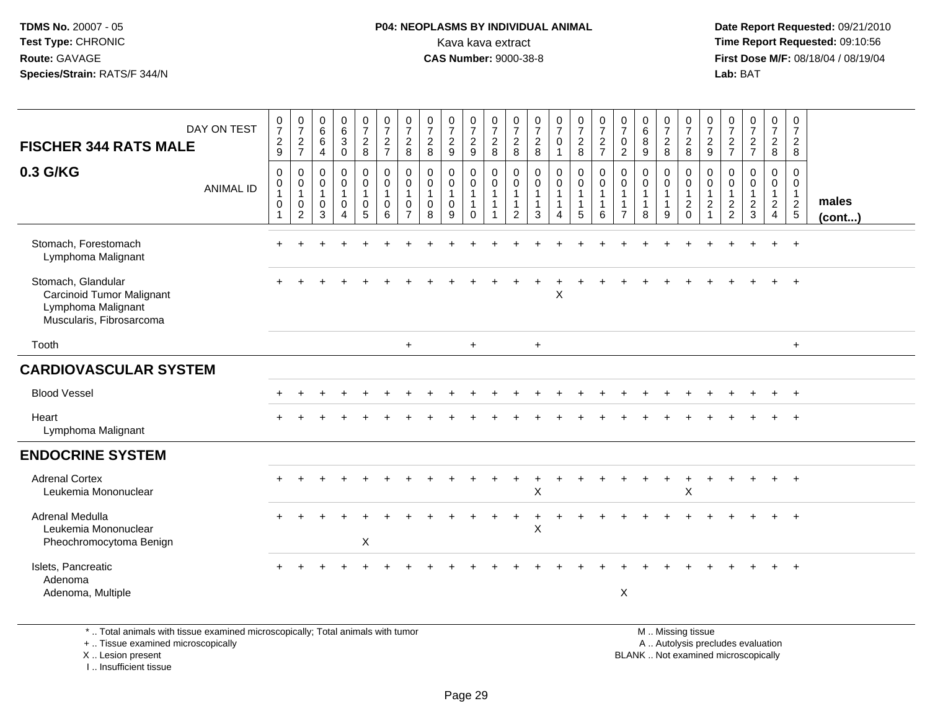#### **P04: NEOPLASMS BY INDIVIDUAL ANIMAL**<br>Kava kava extract Kava kava extract **Time Report Requested:** 09:10:56<br>**CAS Number:** 9000-38-8<br>**Tirst Dose M/F:** 08/18/04 / 08/19/04

 **Date Report Requested:** 09/21/2010 **First Dose M/F:** 08/18/04 / 08/19/04 Lab: BAT **Lab:** BAT

| <b>FISCHER 344 RATS MALE</b>                                                                      | DAY ON TEST      | $\begin{smallmatrix}0\\7\end{smallmatrix}$<br>$\overline{c}$<br>9              | $\frac{0}{7}$<br>$\sqrt{2}$<br>$\overline{7}$                       | $\begin{array}{c} 0 \\ 6 \end{array}$<br>6<br>4                    | $\begin{matrix} 0 \\ 6 \\ 3 \end{matrix}$<br>0                 | $\frac{0}{7}$<br>$\overline{2}$<br>8                                                     | $\frac{0}{7}$<br>$\boldsymbol{2}$<br>$\overline{7}$                    | $\frac{0}{7}$<br>$\boldsymbol{2}$<br>8                            | $\frac{0}{7}$<br>$\sqrt{2}$<br>8                               | $\frac{0}{7}$<br>$\overline{\mathbf{c}}$<br>9        | $\frac{0}{7}$<br>9                                                                                 | $\begin{smallmatrix}0\\7\end{smallmatrix}$<br>$\sqrt{2}$<br>8                    | $\frac{0}{7}$<br>$\overline{c}$<br>8                             | $\frac{0}{7}$<br>$\frac{2}{8}$                                            | $\frac{0}{7}$<br>$\mathbf 0$<br>$\mathbf{1}$ | $\frac{0}{7}$<br>$\overline{a}$<br>8                                          | $\frac{0}{7}$<br>$\frac{2}{7}$                                          | $\frac{0}{7}$<br>$\pmb{0}$<br>$\overline{2}$             | $\begin{matrix}0\\6\\8\end{matrix}$<br>$\boldsymbol{9}$ | $\frac{0}{7}$<br>$\frac{2}{8}$                                     | $\frac{0}{7}$<br>$\frac{2}{8}$                                   | $\frac{0}{7}$<br>$\overline{c}$<br>9     | $\frac{0}{7}$<br>$\frac{2}{7}$                  | $\frac{0}{7}$<br>$\frac{2}{7}$                | $\frac{0}{7}$<br>$\frac{2}{8}$                    | 0<br>$\overline{7}$<br>$\sqrt{2}$<br>8            |                       |
|---------------------------------------------------------------------------------------------------|------------------|--------------------------------------------------------------------------------|---------------------------------------------------------------------|--------------------------------------------------------------------|----------------------------------------------------------------|------------------------------------------------------------------------------------------|------------------------------------------------------------------------|-------------------------------------------------------------------|----------------------------------------------------------------|------------------------------------------------------|----------------------------------------------------------------------------------------------------|----------------------------------------------------------------------------------|------------------------------------------------------------------|---------------------------------------------------------------------------|----------------------------------------------|-------------------------------------------------------------------------------|-------------------------------------------------------------------------|----------------------------------------------------------|---------------------------------------------------------|--------------------------------------------------------------------|------------------------------------------------------------------|------------------------------------------|-------------------------------------------------|-----------------------------------------------|---------------------------------------------------|---------------------------------------------------|-----------------------|
| 0.3 G/KG                                                                                          | <b>ANIMAL ID</b> | $\pmb{0}$<br>$\boldsymbol{0}$<br>$\mathbf{1}$<br>$\mathbf 0$<br>$\overline{1}$ | 0<br>$\mathbf 0$<br>$\mathbf{1}$<br>$\mathbf 0$<br>$\boldsymbol{2}$ | $\boldsymbol{0}$<br>$\mathbf 0$<br>$\overline{1}$<br>$\Omega$<br>3 | $\mathbf 0$<br>$\mathbf 0$<br>$\mathbf{1}$<br>$\mathbf 0$<br>4 | $\boldsymbol{0}$<br>$\mathsf{O}\xspace$<br>$\mathbf{1}$<br>$\mathbf 0$<br>$\overline{5}$ | $\mathbf 0$<br>$\ddot{\mathbf{0}}$<br>$\mathbf{1}$<br>$\mathbf 0$<br>6 | 0<br>$\pmb{0}$<br>$\overline{1}$<br>$\mathbf 0$<br>$\overline{7}$ | $\mathbf 0$<br>$\mathbf 0$<br>$\mathbf{1}$<br>$\mathbf 0$<br>8 | 0<br>$\mathbf 0$<br>$\mathbf{1}$<br>$\mathbf 0$<br>9 | $\begin{smallmatrix}0\0\0\end{smallmatrix}$<br>$\mathbf{1}$<br>$\mathbf{1}$<br>$\mathsf{O}\xspace$ | $\pmb{0}$<br>$\ddot{\mathbf{0}}$<br>$\mathbf{1}$<br>$\mathbf{1}$<br>$\mathbf{1}$ | $\mathbf 0$<br>0<br>$\overline{1}$<br>$\mathbf{1}$<br>$\sqrt{2}$ | $\mathbf 0$<br>$\ddot{\mathbf{0}}$<br>$\overline{1}$<br>$\mathbf{1}$<br>3 | 0<br>$\mathbf 0$<br>$\mathbf{1}$<br>1<br>4   | $\mathbf 0$<br>$\mathbf 0$<br>$\mathbf{1}$<br>$\mathbf{1}$<br>$5\phantom{.0}$ | $\mathbf 0$<br>$\mathsf{O}\xspace$<br>$\mathbf{1}$<br>$\mathbf{1}$<br>6 | 0<br>0<br>$\mathbf{1}$<br>$\mathbf{1}$<br>$\overline{7}$ | $\mathbf 0$<br>$\ddot{\mathbf{0}}$<br>$\mathbf{1}$<br>8 | 0<br>$\mathbf 0$<br>$\overline{1}$<br>$\overline{\mathbf{1}}$<br>9 | 0<br>$\overline{0}$<br>$\mathbf{1}$<br>$\sqrt{2}$<br>$\mathbf 0$ | 0<br>0<br>$\mathbf{1}$<br>$\overline{c}$ | 0<br>$\pmb{0}$<br>$\mathbf{1}$<br>$\frac{2}{2}$ | 0<br>0<br>$\mathbf{1}$<br>$\overline{c}$<br>3 | 0<br>$\mathbf 0$<br>$\mathbf{1}$<br>$\frac{2}{4}$ | 0<br>$\mathbf 0$<br>$\mathbf{1}$<br>$\frac{2}{5}$ | males<br>$($ cont $)$ |
| Stomach, Forestomach<br>Lymphoma Malignant                                                        |                  |                                                                                |                                                                     |                                                                    |                                                                |                                                                                          |                                                                        |                                                                   |                                                                |                                                      |                                                                                                    |                                                                                  |                                                                  |                                                                           |                                              |                                                                               |                                                                         |                                                          |                                                         |                                                                    |                                                                  |                                          |                                                 |                                               |                                                   | $\div$                                            |                       |
| Stomach, Glandular<br>Carcinoid Tumor Malignant<br>Lymphoma Malignant<br>Muscularis, Fibrosarcoma |                  |                                                                                |                                                                     |                                                                    |                                                                |                                                                                          |                                                                        |                                                                   |                                                                |                                                      |                                                                                                    |                                                                                  |                                                                  |                                                                           | $\ddot{}$<br>X                               |                                                                               |                                                                         |                                                          |                                                         |                                                                    |                                                                  |                                          |                                                 |                                               |                                                   |                                                   |                       |
| Tooth                                                                                             |                  |                                                                                |                                                                     |                                                                    |                                                                |                                                                                          |                                                                        | $+$                                                               |                                                                |                                                      | $+$                                                                                                |                                                                                  |                                                                  | $+$                                                                       |                                              |                                                                               |                                                                         |                                                          |                                                         |                                                                    |                                                                  |                                          |                                                 |                                               |                                                   | $+$                                               |                       |
| <b>CARDIOVASCULAR SYSTEM</b>                                                                      |                  |                                                                                |                                                                     |                                                                    |                                                                |                                                                                          |                                                                        |                                                                   |                                                                |                                                      |                                                                                                    |                                                                                  |                                                                  |                                                                           |                                              |                                                                               |                                                                         |                                                          |                                                         |                                                                    |                                                                  |                                          |                                                 |                                               |                                                   |                                                   |                       |
| <b>Blood Vessel</b>                                                                               |                  |                                                                                |                                                                     |                                                                    |                                                                |                                                                                          |                                                                        |                                                                   |                                                                |                                                      |                                                                                                    |                                                                                  |                                                                  |                                                                           |                                              |                                                                               |                                                                         |                                                          |                                                         |                                                                    |                                                                  |                                          |                                                 |                                               |                                                   | $\ddot{}$                                         |                       |
| Heart<br>Lymphoma Malignant                                                                       |                  |                                                                                |                                                                     |                                                                    |                                                                |                                                                                          |                                                                        |                                                                   |                                                                |                                                      |                                                                                                    |                                                                                  |                                                                  |                                                                           |                                              |                                                                               |                                                                         |                                                          |                                                         |                                                                    |                                                                  |                                          |                                                 |                                               |                                                   |                                                   |                       |
| <b>ENDOCRINE SYSTEM</b>                                                                           |                  |                                                                                |                                                                     |                                                                    |                                                                |                                                                                          |                                                                        |                                                                   |                                                                |                                                      |                                                                                                    |                                                                                  |                                                                  |                                                                           |                                              |                                                                               |                                                                         |                                                          |                                                         |                                                                    |                                                                  |                                          |                                                 |                                               |                                                   |                                                   |                       |
| <b>Adrenal Cortex</b><br>Leukemia Mononuclear                                                     |                  |                                                                                |                                                                     |                                                                    |                                                                |                                                                                          |                                                                        |                                                                   |                                                                |                                                      |                                                                                                    |                                                                                  |                                                                  | $\boldsymbol{\mathsf{X}}$                                                 |                                              |                                                                               |                                                                         |                                                          |                                                         |                                                                    | $\times$                                                         |                                          |                                                 |                                               | $+$                                               | $+$                                               |                       |
| Adrenal Medulla<br>Leukemia Mononuclear<br>Pheochromocytoma Benign                                |                  |                                                                                |                                                                     |                                                                    |                                                                | X                                                                                        |                                                                        |                                                                   |                                                                |                                                      |                                                                                                    |                                                                                  |                                                                  | X                                                                         |                                              |                                                                               |                                                                         |                                                          |                                                         |                                                                    |                                                                  |                                          |                                                 |                                               |                                                   | $\div$                                            |                       |
| Islets, Pancreatic<br>Adenoma<br>Adenoma, Multiple                                                |                  |                                                                                |                                                                     |                                                                    |                                                                |                                                                                          |                                                                        |                                                                   |                                                                |                                                      |                                                                                                    |                                                                                  |                                                                  |                                                                           |                                              |                                                                               |                                                                         | $\boldsymbol{\mathsf{X}}$                                |                                                         |                                                                    |                                                                  |                                          |                                                 |                                               |                                                   |                                                   |                       |

\* .. Total animals with tissue examined microscopically; Total animals with tumor

+ .. Tissue examined microscopically

X .. Lesion present

I .. Insufficient tissue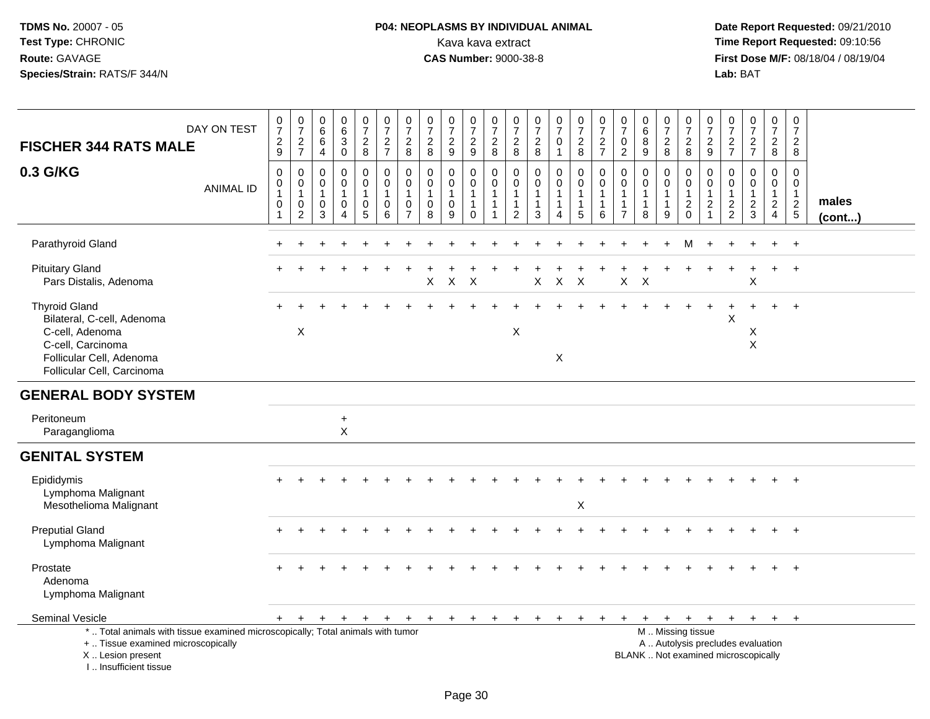# **P04: NEOPLASMS BY INDIVIDUAL ANIMAL**Kava kava extract **Time Report Requested:** 09:10:56<br>**CAS Number:** 9000-38-8 **CAS Number:** 9000-38-8

| DAY ON TEST<br><b>FISCHER 344 RATS MALE</b>                                                                                                                         | $\begin{smallmatrix}0\\7\end{smallmatrix}$<br>$\frac{2}{9}$     | $\frac{0}{7}$<br>$\frac{2}{7}$               | $\pmb{0}$<br>$\,6\,$<br>$\,6\,$<br>$\overline{4}$                | $\begin{array}{c} 0 \\ 6 \end{array}$<br>$\sqrt{3}$<br>$\mathbf 0$ | $\frac{0}{7}$<br>$\overline{2}$<br>8       | $\frac{0}{7}$<br>$\overline{2}$<br>$\overline{7}$          | $\pmb{0}$<br>$\overline{7}$<br>$\sqrt{2}$<br>8                      | $\frac{0}{7}$<br>$\sqrt{2}$<br>8                                | $\frac{0}{7}$<br>$\sqrt{2}$<br>9                   | $\frac{0}{7}$<br>$\overline{c}$<br>9                            | $\frac{0}{7}$<br>$\overline{\mathbf{c}}$<br>8                      | $\pmb{0}$<br>$\overline{7}$<br>$\frac{2}{8}$             | $\frac{0}{7}$<br>$\frac{2}{8}$      | $\begin{array}{c} 0 \\ 7 \end{array}$<br>$\pmb{0}$<br>$\mathbf{1}$           | $\frac{0}{7}$<br>$\sqrt{2}$<br>8                                             | $\frac{0}{7}$<br>$\boldsymbol{2}$<br>$\overline{7}$ | $\frac{0}{7}$<br>$\pmb{0}$<br>$\overline{2}$                                 | $_6^0$<br>8<br>9                                      | $\begin{array}{c} 0 \\ 7 \end{array}$<br>$_{8}^2$ | $\frac{0}{7}$<br>$\frac{2}{8}$                                          | 0<br>$\overline{7}$<br>$\overline{c}$<br>9                         | $\frac{0}{7}$<br>$\frac{2}{7}$                                                | $\frac{0}{7}$<br>$\frac{2}{7}$                                           | $\begin{smallmatrix}0\\7\end{smallmatrix}$<br>$\overline{2}$<br>8              | $\mathbf 0$<br>$\overline{7}$<br>$\overline{c}$<br>8     |                       |
|---------------------------------------------------------------------------------------------------------------------------------------------------------------------|-----------------------------------------------------------------|----------------------------------------------|------------------------------------------------------------------|--------------------------------------------------------------------|--------------------------------------------|------------------------------------------------------------|---------------------------------------------------------------------|-----------------------------------------------------------------|----------------------------------------------------|-----------------------------------------------------------------|--------------------------------------------------------------------|----------------------------------------------------------|-------------------------------------|------------------------------------------------------------------------------|------------------------------------------------------------------------------|-----------------------------------------------------|------------------------------------------------------------------------------|-------------------------------------------------------|---------------------------------------------------|-------------------------------------------------------------------------|--------------------------------------------------------------------|-------------------------------------------------------------------------------|--------------------------------------------------------------------------|--------------------------------------------------------------------------------|----------------------------------------------------------|-----------------------|
| 0.3 G/KG<br><b>ANIMAL ID</b>                                                                                                                                        | 0<br>$\mathsf{O}\xspace$<br>$\mathbf{1}$<br>0<br>$\overline{1}$ | 0<br>$\mathbf 0$<br>$\overline{1}$<br>0<br>2 | $\mathbf 0$<br>$\mathbf 0$<br>$\overline{1}$<br>$\mathbf 0$<br>3 | 0<br>$\mathbf 0$<br>0<br>$\boldsymbol{\Lambda}$                    | 0<br>$\mathbf 0$<br>$\mathbf{1}$<br>0<br>5 | $\mathbf 0$<br>$\pmb{0}$<br>$\mathbf{1}$<br>$\pmb{0}$<br>6 | $\mathbf 0$<br>$\mathbf 0$<br>$\overline{1}$<br>0<br>$\overline{7}$ | $\mathbf 0$<br>$\mathbf 0$<br>$\mathbf{1}$<br>0<br>$\mathbf{8}$ | 0<br>$\mathbf 0$<br>$\mathbf{1}$<br>$\pmb{0}$<br>9 | 0<br>$\mathsf 0$<br>$\mathbf{1}$<br>$\mathbf{1}$<br>$\mathbf 0$ | $\mathbf 0$<br>$\mathsf{O}\xspace$<br>$\mathbf{1}$<br>$\mathbf{1}$ | 0<br>0<br>$\mathbf{1}$<br>$\mathbf{1}$<br>$\overline{2}$ | 0<br>$\pmb{0}$<br>$\mathbf{1}$<br>3 | $\mathbf 0$<br>$\pmb{0}$<br>$\overline{1}$<br>$\mathbf{1}$<br>$\overline{4}$ | $\mathbf 0$<br>$\mathbf 0$<br>$\mathbf{1}$<br>$\mathbf{1}$<br>$5\phantom{1}$ | 0<br>$\mathbf 0$<br>1<br>6                          | $\mathbf 0$<br>$\mathbf 0$<br>$\mathbf{1}$<br>$\mathbf{1}$<br>$\overline{7}$ | 0<br>$\mathbf 0$<br>$\mathbf{1}$<br>$\mathbf{1}$<br>8 | 0<br>$\mathbf 0$<br>$\mathbf{1}$<br>9             | $\mathbf 0$<br>$\mathbf 0$<br>$\mathbf{1}$<br>$\sqrt{2}$<br>$\mathbf 0$ | 0<br>$\mathbf 0$<br>$\mathbf{1}$<br>$\overline{c}$<br>$\mathbf{1}$ | $\Omega$<br>$\mathbf 0$<br>$\overline{1}$<br>$\overline{c}$<br>$\overline{2}$ | 0<br>$\mathbf 0$<br>1<br>$\frac{2}{3}$                                   | $\mathbf 0$<br>$\mathbf 0$<br>$\mathbf{1}$<br>$\overline{2}$<br>$\overline{4}$ | $\Omega$<br>$\mathbf 0$<br>$\mathbf{1}$<br>$\frac{2}{5}$ | males<br>$($ cont $)$ |
| Parathyroid Gland                                                                                                                                                   |                                                                 |                                              |                                                                  |                                                                    |                                            |                                                            |                                                                     |                                                                 |                                                    |                                                                 |                                                                    |                                                          |                                     |                                                                              |                                                                              |                                                     |                                                                              |                                                       |                                                   | м                                                                       |                                                                    |                                                                               |                                                                          |                                                                                | $+$                                                      |                       |
| <b>Pituitary Gland</b><br>Pars Distalis, Adenoma                                                                                                                    |                                                                 |                                              |                                                                  |                                                                    |                                            |                                                            |                                                                     | $\boldsymbol{\mathsf{X}}$                                       | $\sf X$                                            | $\times$                                                        |                                                                    |                                                          | $\pmb{\times}$                      | $\mathsf X$                                                                  | $\times$                                                                     |                                                     | X                                                                            | $\boldsymbol{\mathsf{X}}$                             |                                                   |                                                                         |                                                                    |                                                                               | $\ddot{}$<br>X                                                           | $+$                                                                            | $+$                                                      |                       |
| <b>Thyroid Gland</b><br>Bilateral, C-cell, Adenoma<br>C-cell, Adenoma<br>C-cell, Carcinoma<br>Follicular Cell, Adenoma<br>Follicular Cell, Carcinoma                |                                                                 | $\mathsf X$                                  |                                                                  |                                                                    |                                            |                                                            |                                                                     |                                                                 |                                                    |                                                                 |                                                                    | X                                                        |                                     | X                                                                            |                                                                              |                                                     |                                                                              |                                                       |                                                   |                                                                         |                                                                    | X                                                                             | Х<br>$\boldsymbol{\mathsf{X}}$                                           |                                                                                | $+$                                                      |                       |
| <b>GENERAL BODY SYSTEM</b>                                                                                                                                          |                                                                 |                                              |                                                                  |                                                                    |                                            |                                                            |                                                                     |                                                                 |                                                    |                                                                 |                                                                    |                                                          |                                     |                                                                              |                                                                              |                                                     |                                                                              |                                                       |                                                   |                                                                         |                                                                    |                                                                               |                                                                          |                                                                                |                                                          |                       |
| Peritoneum<br>Paraganglioma                                                                                                                                         |                                                                 |                                              |                                                                  | $\bf{+}$<br>$\mathsf{X}$                                           |                                            |                                                            |                                                                     |                                                                 |                                                    |                                                                 |                                                                    |                                                          |                                     |                                                                              |                                                                              |                                                     |                                                                              |                                                       |                                                   |                                                                         |                                                                    |                                                                               |                                                                          |                                                                                |                                                          |                       |
| <b>GENITAL SYSTEM</b>                                                                                                                                               |                                                                 |                                              |                                                                  |                                                                    |                                            |                                                            |                                                                     |                                                                 |                                                    |                                                                 |                                                                    |                                                          |                                     |                                                                              |                                                                              |                                                     |                                                                              |                                                       |                                                   |                                                                         |                                                                    |                                                                               |                                                                          |                                                                                |                                                          |                       |
| Epididymis<br>Lymphoma Malignant<br>Mesothelioma Malignant                                                                                                          |                                                                 |                                              |                                                                  |                                                                    |                                            |                                                            |                                                                     |                                                                 |                                                    |                                                                 |                                                                    |                                                          |                                     |                                                                              | X                                                                            |                                                     |                                                                              |                                                       |                                                   |                                                                         |                                                                    |                                                                               |                                                                          |                                                                                |                                                          |                       |
| <b>Preputial Gland</b><br>Lymphoma Malignant                                                                                                                        |                                                                 |                                              |                                                                  |                                                                    |                                            |                                                            |                                                                     |                                                                 |                                                    |                                                                 |                                                                    |                                                          |                                     |                                                                              |                                                                              |                                                     |                                                                              |                                                       |                                                   |                                                                         |                                                                    |                                                                               |                                                                          |                                                                                | $\ddot{}$                                                |                       |
| Prostate<br>Adenoma<br>Lymphoma Malignant                                                                                                                           |                                                                 |                                              |                                                                  |                                                                    |                                            |                                                            |                                                                     |                                                                 |                                                    |                                                                 |                                                                    |                                                          |                                     |                                                                              |                                                                              |                                                     |                                                                              |                                                       |                                                   |                                                                         |                                                                    |                                                                               |                                                                          |                                                                                | $+$                                                      |                       |
| Seminal Vesicle                                                                                                                                                     | $+$                                                             | $+$                                          | $+$                                                              | $+$                                                                | $+$                                        | $+$                                                        | $+$                                                                 | $+$                                                             | $+$                                                | $+$                                                             | $+$                                                                | $+$                                                      | $\ddot{}$                           | $\ddot{}$                                                                    |                                                                              |                                                     |                                                                              | $+$                                                   | $+$                                               | $+$                                                                     | $+$                                                                |                                                                               | $+$ $+$                                                                  | $+$                                                                            | $+$                                                      |                       |
| *  Total animals with tissue examined microscopically; Total animals with tumor<br>+  Tissue examined microscopically<br>X  Lesion present<br>I Insufficient tissue |                                                                 |                                              |                                                                  |                                                                    |                                            |                                                            |                                                                     |                                                                 |                                                    |                                                                 |                                                                    |                                                          |                                     |                                                                              |                                                                              |                                                     |                                                                              |                                                       |                                                   | M  Missing tissue                                                       |                                                                    |                                                                               | A  Autolysis precludes evaluation<br>BLANK  Not examined microscopically |                                                                                |                                                          |                       |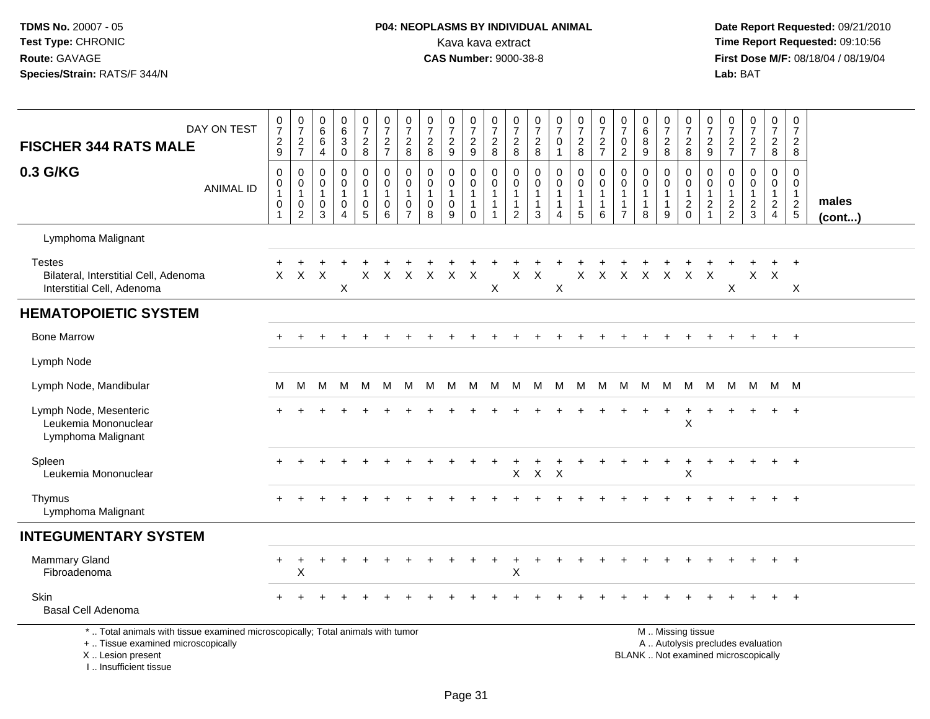## **P04: NEOPLASMS BY INDIVIDUAL ANIMAL**<br>Kava kava extract Kava kava extract **Time Report Requested:** 09:10:56<br>**CAS Number:** 9000-38-8 **CAS Number:** 9000-38-8

| DAY ON TEST<br><b>FISCHER 344 RATS MALE</b>                                                                                                                         | $\frac{0}{7}$<br>$\frac{2}{9}$                                                        | $\frac{0}{7}$<br>$\frac{2}{7}$                                      | $\mathbf 0$<br>$\,6\,$<br>6<br>$\overline{4}$        | 0<br>$6\phantom{a}$<br>$\mathbf{3}$<br>$\mathbf 0$              | $\frac{0}{7}$<br>$\frac{2}{8}$                                     | $\begin{smallmatrix}0\\7\end{smallmatrix}$<br>$rac{2}{7}$               | $\frac{0}{7}$<br>$_{\rm 8}^2$                                 | $\begin{array}{c} 0 \\ 7 \end{array}$<br>$_{\rm 8}^2$ | $\frac{0}{7}$<br>$\frac{2}{9}$                               | $\frac{0}{7}$<br>$\frac{2}{9}$                                            | $\frac{0}{7}$<br>$_{8}^{\rm 2}$                                                 | $\frac{0}{7}$<br>$_{8}^2$                                                  | $\frac{0}{7}$<br>$_{\rm 8}^2$                                 | $\begin{array}{c} 0 \\ 7 \end{array}$<br>$\mathbf 0$<br>$\mathbf{1}$ | $\begin{smallmatrix}0\\7\end{smallmatrix}$<br>$\frac{2}{8}$                    | $\begin{array}{c} 0 \\ 7 \end{array}$<br>$\frac{2}{7}$            | 0<br>$\overline{7}$<br>$\mathbf 0$<br>$\sqrt{2}$                           | $\pmb{0}$<br>$6\phantom{a}$<br>8<br>$\boldsymbol{9}$          | $\frac{0}{7}$<br>$_{\rm 8}^2$                                   | $\begin{array}{c} 0 \\ 7 \end{array}$<br>$_{8}^{\rm 2}$ | $\frac{0}{7}$<br>$\frac{2}{9}$                               | $\frac{0}{7}$<br>$\frac{2}{7}$                    | $\begin{array}{c} 0 \\ 7 \end{array}$<br>$\frac{2}{7}$                   | $\begin{smallmatrix}0\\7\end{smallmatrix}$<br>$\frac{2}{8}$                    | $\pmb{0}$<br>$\overline{7}$<br>$\frac{2}{8}$              |                 |
|---------------------------------------------------------------------------------------------------------------------------------------------------------------------|---------------------------------------------------------------------------------------|---------------------------------------------------------------------|------------------------------------------------------|-----------------------------------------------------------------|--------------------------------------------------------------------|-------------------------------------------------------------------------|---------------------------------------------------------------|-------------------------------------------------------|--------------------------------------------------------------|---------------------------------------------------------------------------|---------------------------------------------------------------------------------|----------------------------------------------------------------------------|---------------------------------------------------------------|----------------------------------------------------------------------|--------------------------------------------------------------------------------|-------------------------------------------------------------------|----------------------------------------------------------------------------|---------------------------------------------------------------|-----------------------------------------------------------------|---------------------------------------------------------|--------------------------------------------------------------|---------------------------------------------------|--------------------------------------------------------------------------|--------------------------------------------------------------------------------|-----------------------------------------------------------|-----------------|
| 0.3 G/KG<br><b>ANIMAL ID</b>                                                                                                                                        | $\boldsymbol{0}$<br>$\boldsymbol{0}$<br>$\mathbf{1}$<br>$\mathbf 0$<br>$\overline{1}$ | $\mathsf 0$<br>$\mathbf 0$<br>$\overline{1}$<br>0<br>$\overline{2}$ | $\pmb{0}$<br>0<br>$\overline{1}$<br>$\mathbf 0$<br>3 | $\pmb{0}$<br>$\mathbf 0$<br>$\mathbf{1}$<br>0<br>$\overline{4}$ | $\mathsf{O}$<br>$\mathbf 0$<br>$\mathbf{1}$<br>0<br>$\overline{5}$ | $\pmb{0}$<br>$\mathbf 0$<br>$\mathbf{1}$<br>$\pmb{0}$<br>$\overline{6}$ | $\pmb{0}$<br>0<br>$\mathbf{1}$<br>$\pmb{0}$<br>$\overline{7}$ | $\pmb{0}$<br>0<br>$\overline{1}$<br>$\mathbf 0$<br>8  | $\mathbf 0$<br>$\mathbf 0$<br>$\mathbf{1}$<br>$\pmb{0}$<br>9 | $\mathbf 0$<br>$\mathbf 0$<br>$\mathbf{1}$<br>$\mathbf{1}$<br>$\mathbf 0$ | $\boldsymbol{0}$<br>$\mathbf 0$<br>$\mathbf{1}$<br>$\mathbf{1}$<br>$\mathbf{1}$ | $\pmb{0}$<br>$\mathbf 0$<br>$\mathbf{1}$<br>$\mathbf{1}$<br>$\overline{2}$ | $\pmb{0}$<br>$\mathbf 0$<br>$\mathbf{1}$<br>$\mathbf{1}$<br>3 | $\pmb{0}$<br>0<br>1<br>$\boldsymbol{\Lambda}$                        | $\mathbf 0$<br>$\mathbf 0$<br>$\overline{1}$<br>$\mathbf{1}$<br>$\overline{5}$ | $\mathbf 0$<br>$\mathbf 0$<br>$\overline{1}$<br>$\mathbf{1}$<br>6 | $\pmb{0}$<br>$\mathbf 0$<br>$\mathbf{1}$<br>$\mathbf{1}$<br>$\overline{7}$ | $\pmb{0}$<br>$\mathbf 0$<br>$\mathbf{1}$<br>$\mathbf{1}$<br>8 | $\mathbf 0$<br>$\mathbf 0$<br>$\mathbf{1}$<br>$\mathbf{1}$<br>9 | $\pmb{0}$<br>0<br>$\mathbf{1}$<br>$^2_{\rm 0}$          | $\mathbf 0$<br>$\mathbf 0$<br>$\mathbf{1}$<br>$\overline{c}$ | $\mathbf 0$<br>0<br>$\mathbf{1}$<br>$\frac{2}{2}$ | $\mathbf 0$<br>$\mathbf 0$<br>$\mathbf{1}$<br>$\frac{2}{3}$              | $\mathbf 0$<br>$\mathbf 0$<br>$\mathbf{1}$<br>$\overline{c}$<br>$\overline{4}$ | $\mathbf 0$<br>$\mathbf 0$<br>$\mathbf{1}$<br>$rac{2}{5}$ | males<br>(cont) |
| Lymphoma Malignant                                                                                                                                                  |                                                                                       |                                                                     |                                                      |                                                                 |                                                                    |                                                                         |                                                               |                                                       |                                                              |                                                                           |                                                                                 |                                                                            |                                                               |                                                                      |                                                                                |                                                                   |                                                                            |                                                               |                                                                 |                                                         |                                                              |                                                   |                                                                          |                                                                                |                                                           |                 |
| <b>Testes</b><br>Bilateral, Interstitial Cell, Adenoma<br>Interstitial Cell, Adenoma                                                                                | $\mathsf{X}$                                                                          | $\mathsf{X}$                                                        | $\times$                                             | X                                                               | X                                                                  | $\mathsf{X}$                                                            | $\mathsf{X}$                                                  |                                                       | X X X                                                        |                                                                           | X                                                                               | X                                                                          | $\mathsf{X}$                                                  | X                                                                    | $\mathsf{X}$                                                                   | X X X X                                                           |                                                                            |                                                               |                                                                 | $X$ X                                                   |                                                              | X                                                 |                                                                          | $X$ $X$                                                                        | Χ                                                         |                 |
| <b>HEMATOPOIETIC SYSTEM</b>                                                                                                                                         |                                                                                       |                                                                     |                                                      |                                                                 |                                                                    |                                                                         |                                                               |                                                       |                                                              |                                                                           |                                                                                 |                                                                            |                                                               |                                                                      |                                                                                |                                                                   |                                                                            |                                                               |                                                                 |                                                         |                                                              |                                                   |                                                                          |                                                                                |                                                           |                 |
| <b>Bone Marrow</b>                                                                                                                                                  |                                                                                       |                                                                     |                                                      |                                                                 |                                                                    |                                                                         |                                                               |                                                       |                                                              |                                                                           |                                                                                 |                                                                            |                                                               |                                                                      |                                                                                |                                                                   |                                                                            |                                                               |                                                                 |                                                         |                                                              |                                                   |                                                                          |                                                                                |                                                           |                 |
| Lymph Node                                                                                                                                                          |                                                                                       |                                                                     |                                                      |                                                                 |                                                                    |                                                                         |                                                               |                                                       |                                                              |                                                                           |                                                                                 |                                                                            |                                                               |                                                                      |                                                                                |                                                                   |                                                                            |                                                               |                                                                 |                                                         |                                                              |                                                   |                                                                          |                                                                                |                                                           |                 |
| Lymph Node, Mandibular                                                                                                                                              | м                                                                                     | м                                                                   | M                                                    | M                                                               | M                                                                  | M                                                                       | M                                                             | M                                                     | M                                                            | - M                                                                       | M                                                                               | M                                                                          |                                                               | M M M                                                                |                                                                                |                                                                   | M M                                                                        | M M                                                           |                                                                 | M                                                       |                                                              | M M                                               |                                                                          | M M M                                                                          |                                                           |                 |
| Lymph Node, Mesenteric<br>Leukemia Mononuclear<br>Lymphoma Malignant                                                                                                |                                                                                       |                                                                     |                                                      |                                                                 |                                                                    |                                                                         |                                                               |                                                       |                                                              |                                                                           |                                                                                 |                                                                            |                                                               |                                                                      |                                                                                |                                                                   |                                                                            |                                                               |                                                                 | $\mathsf X$                                             |                                                              |                                                   |                                                                          |                                                                                |                                                           |                 |
| Spleen<br>Leukemia Mononuclear                                                                                                                                      |                                                                                       |                                                                     |                                                      |                                                                 |                                                                    |                                                                         |                                                               |                                                       |                                                              |                                                                           |                                                                                 | X                                                                          | $\mathsf{X}$                                                  | $\times$                                                             |                                                                                |                                                                   |                                                                            |                                                               |                                                                 | $\div$<br>$\mathsf X$                                   |                                                              |                                                   |                                                                          |                                                                                | $\overline{ }$                                            |                 |
| Thymus<br>Lymphoma Malignant                                                                                                                                        |                                                                                       |                                                                     |                                                      |                                                                 |                                                                    |                                                                         |                                                               |                                                       |                                                              |                                                                           |                                                                                 |                                                                            |                                                               |                                                                      |                                                                                |                                                                   |                                                                            |                                                               |                                                                 |                                                         |                                                              |                                                   |                                                                          |                                                                                |                                                           |                 |
| <b>INTEGUMENTARY SYSTEM</b>                                                                                                                                         |                                                                                       |                                                                     |                                                      |                                                                 |                                                                    |                                                                         |                                                               |                                                       |                                                              |                                                                           |                                                                                 |                                                                            |                                                               |                                                                      |                                                                                |                                                                   |                                                                            |                                                               |                                                                 |                                                         |                                                              |                                                   |                                                                          |                                                                                |                                                           |                 |
| <b>Mammary Gland</b><br>Fibroadenoma                                                                                                                                |                                                                                       | Χ                                                                   |                                                      |                                                                 |                                                                    |                                                                         |                                                               |                                                       |                                                              |                                                                           |                                                                                 | Χ                                                                          |                                                               |                                                                      |                                                                                |                                                                   |                                                                            |                                                               |                                                                 |                                                         |                                                              |                                                   |                                                                          |                                                                                |                                                           |                 |
| <b>Skin</b><br>Basal Cell Adenoma                                                                                                                                   |                                                                                       |                                                                     |                                                      |                                                                 |                                                                    |                                                                         |                                                               |                                                       |                                                              |                                                                           |                                                                                 |                                                                            |                                                               |                                                                      |                                                                                |                                                                   |                                                                            |                                                               |                                                                 |                                                         |                                                              |                                                   |                                                                          |                                                                                |                                                           |                 |
| *  Total animals with tissue examined microscopically; Total animals with tumor<br>+  Tissue examined microscopically<br>X  Lesion present<br>I Insufficient tissue |                                                                                       |                                                                     |                                                      |                                                                 |                                                                    |                                                                         |                                                               |                                                       |                                                              |                                                                           |                                                                                 |                                                                            |                                                               |                                                                      |                                                                                |                                                                   |                                                                            |                                                               |                                                                 | M  Missing tissue                                       |                                                              |                                                   | A  Autolysis precludes evaluation<br>BLANK  Not examined microscopically |                                                                                |                                                           |                 |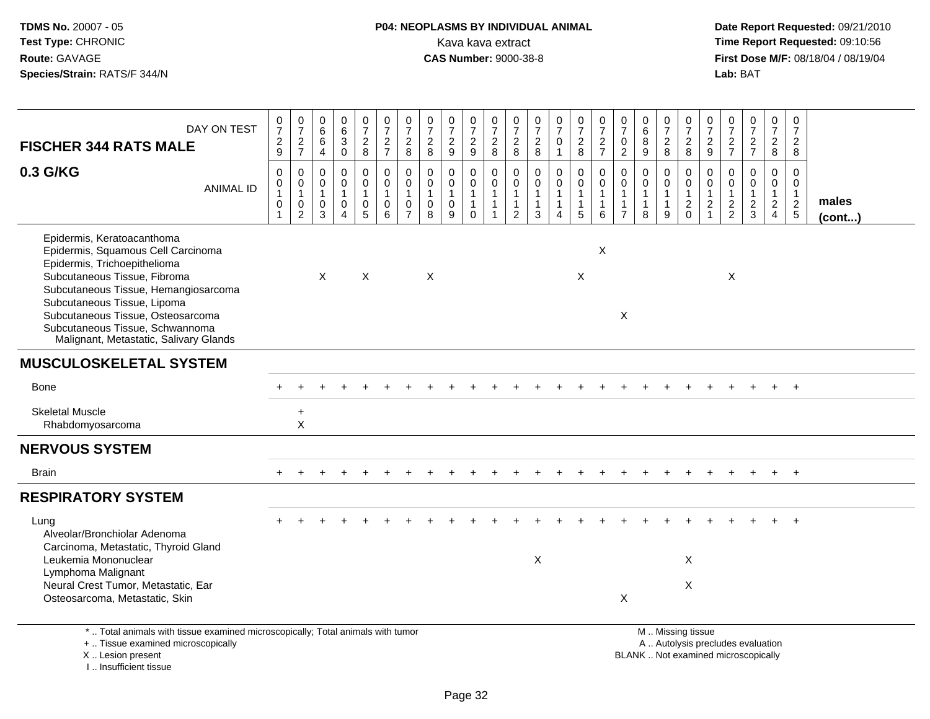# **P04: NEOPLASMS BY INDIVIDUAL ANIMAL**<br>Kava kava extract Kava kava extract **Time Report Requested:** 09:10:56<br>**CAS Number:** 9000-38-8 **CAS Number:** 9000-38-8

| DAY ON TEST<br><b>FISCHER 344 RATS MALE</b>                                                                                                                                                                                                                                                                               | $\frac{0}{7}$<br>$\frac{2}{9}$                                | $\frac{0}{7}$<br>$\frac{2}{7}$                                          | 0<br>6<br>$\,6$<br>4                                 | $\begin{array}{c} 0 \\ 6 \end{array}$<br>$\sqrt{3}$<br>$\mathbf 0$          | $\begin{smallmatrix}0\\7\end{smallmatrix}$<br>$\sqrt{2}$<br>8     | $\frac{0}{7}$<br>$\frac{2}{7}$                               | $\begin{array}{c} 0 \\ 7 \end{array}$<br>$\overline{\mathbf{c}}$<br>8 | $\frac{0}{7}$<br>$\sqrt{2}$<br>8                               | $\begin{array}{c} 0 \\ 7 \end{array}$<br>$\overline{c}$<br>9   | $\frac{0}{7}$<br>$\frac{2}{9}$                        | $\begin{array}{c} 0 \\ 7 \end{array}$<br>$_{\rm 8}^2$           | $\frac{0}{7}$<br>$\frac{2}{8}$                                       | $\frac{0}{7}$<br>$\frac{2}{8}$                                               | $\frac{0}{7}$<br>$\pmb{0}$<br>$\mathbf{1}$                      | $\frac{0}{7}$<br>$\frac{2}{8}$                                                | $\frac{0}{7}$<br>$\overline{a}$<br>$\overline{7}$            | $\frac{0}{7}$<br>$\mathbf 0$<br>$\overline{c}$                               | $\begin{array}{c} 0 \\ 6 \end{array}$<br>$\overline{8}$<br>9 | $\frac{0}{7}$<br>$\frac{2}{8}$                            | $\frac{0}{7}$<br>$\sqrt{2}$<br>8                                                              | 0<br>$\overline{7}$<br>$\overline{c}$<br>9                            | 0<br>$\overline{7}$<br>$\frac{2}{7}$                     | $\frac{0}{7}$<br>$\frac{2}{7}$         | 0<br>$\overline{7}$<br>$\overline{a}$<br>8                                     | $\pmb{0}$<br>$\overline{7}$<br>$\overline{a}$<br>8          |                       |
|---------------------------------------------------------------------------------------------------------------------------------------------------------------------------------------------------------------------------------------------------------------------------------------------------------------------------|---------------------------------------------------------------|-------------------------------------------------------------------------|------------------------------------------------------|-----------------------------------------------------------------------------|-------------------------------------------------------------------|--------------------------------------------------------------|-----------------------------------------------------------------------|----------------------------------------------------------------|----------------------------------------------------------------|-------------------------------------------------------|-----------------------------------------------------------------|----------------------------------------------------------------------|------------------------------------------------------------------------------|-----------------------------------------------------------------|-------------------------------------------------------------------------------|--------------------------------------------------------------|------------------------------------------------------------------------------|--------------------------------------------------------------|-----------------------------------------------------------|-----------------------------------------------------------------------------------------------|-----------------------------------------------------------------------|----------------------------------------------------------|----------------------------------------|--------------------------------------------------------------------------------|-------------------------------------------------------------|-----------------------|
| 0.3 G/KG<br><b>ANIMAL ID</b>                                                                                                                                                                                                                                                                                              | $\mathbf 0$<br>0<br>$\mathbf{1}$<br>$\pmb{0}$<br>$\mathbf{1}$ | $\mathbf 0$<br>$\pmb{0}$<br>$\mathbf{1}$<br>$\pmb{0}$<br>$\overline{2}$ | 0<br>$\mathbf 0$<br>$\mathbf{1}$<br>$\mathsf 0$<br>3 | $\mathbf 0$<br>$\mathbf 0$<br>$\mathbf{1}$<br>$\mathbf 0$<br>$\overline{4}$ | 0<br>$\mathbf{0}$<br>$\mathbf{1}$<br>$\pmb{0}$<br>$5\phantom{.0}$ | $\pmb{0}$<br>$\mathbf 0$<br>$\mathbf{1}$<br>$\mathbf 0$<br>6 | $\mathbf 0$<br>$\mathbf 0$<br>1<br>$\mathbf 0$<br>$\overline{7}$      | $\mathbf 0$<br>$\mathbf 0$<br>$\overline{1}$<br>$\pmb{0}$<br>8 | $\mathbf 0$<br>$\mathbf 0$<br>$\mathbf{1}$<br>$\mathbf 0$<br>9 | 0<br>$\mathbf 0$<br>$\mathbf{1}$<br>$\mathbf{1}$<br>0 | 0<br>$\Omega$<br>$\mathbf{1}$<br>$\mathbf{1}$<br>$\overline{1}$ | 0<br>$\mathbf 0$<br>$\overline{1}$<br>$\mathbf{1}$<br>$\overline{c}$ | $\mathbf 0$<br>$\mathbf 0$<br>$\mathbf{1}$<br>$\mathbf{1}$<br>$\overline{3}$ | $\mathbf 0$<br>$\mathbf 0$<br>$\mathbf{1}$<br>$\mathbf{1}$<br>4 | $\pmb{0}$<br>$\overline{0}$<br>$\mathbf{1}$<br>$\mathbf{1}$<br>$\overline{5}$ | $\mathbf 0$<br>$\Omega$<br>$\mathbf{1}$<br>$\mathbf{1}$<br>6 | $\mathbf 0$<br>$\mathbf 0$<br>$\mathbf{1}$<br>$\mathbf{1}$<br>$\overline{7}$ | $\mathbf 0$<br>$\Omega$<br>$\mathbf{1}$<br>$\mathbf{1}$<br>8 | 0<br>$\mathbf 0$<br>$\overline{1}$<br>$\overline{1}$<br>9 | 0<br>$\Omega$<br>$\overline{1}$<br>$\sqrt{2}$<br>$\Omega$                                     | $\mathbf 0$<br>$\Omega$<br>$\mathbf{1}$<br>$\sqrt{2}$<br>$\mathbf{1}$ | $\mathbf 0$<br>$\Omega$<br>$\mathbf{1}$<br>$\frac{2}{2}$ | 0<br>$\mathbf 0$<br>1<br>$\frac{2}{3}$ | $\mathbf 0$<br>$\mathbf 0$<br>$\mathbf{1}$<br>$\overline{2}$<br>$\overline{4}$ | $\mathbf 0$<br>$\mathbf 0$<br>$\mathbf{1}$<br>$\frac{2}{5}$ | males<br>$($ cont $)$ |
| Epidermis, Keratoacanthoma<br>Epidermis, Squamous Cell Carcinoma<br>Epidermis, Trichoepithelioma<br>Subcutaneous Tissue, Fibroma<br>Subcutaneous Tissue, Hemangiosarcoma<br>Subcutaneous Tissue, Lipoma<br>Subcutaneous Tissue, Osteosarcoma<br>Subcutaneous Tissue, Schwannoma<br>Malignant, Metastatic, Salivary Glands |                                                               |                                                                         | $\times$                                             |                                                                             | $\times$                                                          |                                                              |                                                                       | X                                                              |                                                                |                                                       |                                                                 |                                                                      |                                                                              |                                                                 | $\times$                                                                      | $\boldsymbol{\mathsf{X}}$                                    | X                                                                            |                                                              |                                                           |                                                                                               |                                                                       | $\times$                                                 |                                        |                                                                                |                                                             |                       |
| <b>MUSCULOSKELETAL SYSTEM</b>                                                                                                                                                                                                                                                                                             |                                                               |                                                                         |                                                      |                                                                             |                                                                   |                                                              |                                                                       |                                                                |                                                                |                                                       |                                                                 |                                                                      |                                                                              |                                                                 |                                                                               |                                                              |                                                                              |                                                              |                                                           |                                                                                               |                                                                       |                                                          |                                        |                                                                                |                                                             |                       |
| <b>Bone</b>                                                                                                                                                                                                                                                                                                               |                                                               |                                                                         |                                                      |                                                                             |                                                                   |                                                              |                                                                       |                                                                |                                                                |                                                       |                                                                 |                                                                      |                                                                              |                                                                 |                                                                               |                                                              |                                                                              |                                                              |                                                           |                                                                                               |                                                                       |                                                          |                                        |                                                                                | $\overline{+}$                                              |                       |
| <b>Skeletal Muscle</b><br>Rhabdomyosarcoma                                                                                                                                                                                                                                                                                |                                                               | $\ddot{}$<br>$\boldsymbol{\mathsf{X}}$                                  |                                                      |                                                                             |                                                                   |                                                              |                                                                       |                                                                |                                                                |                                                       |                                                                 |                                                                      |                                                                              |                                                                 |                                                                               |                                                              |                                                                              |                                                              |                                                           |                                                                                               |                                                                       |                                                          |                                        |                                                                                |                                                             |                       |
| <b>NERVOUS SYSTEM</b>                                                                                                                                                                                                                                                                                                     |                                                               |                                                                         |                                                      |                                                                             |                                                                   |                                                              |                                                                       |                                                                |                                                                |                                                       |                                                                 |                                                                      |                                                                              |                                                                 |                                                                               |                                                              |                                                                              |                                                              |                                                           |                                                                                               |                                                                       |                                                          |                                        |                                                                                |                                                             |                       |
| <b>Brain</b>                                                                                                                                                                                                                                                                                                              | $+$                                                           | $+$                                                                     |                                                      |                                                                             |                                                                   |                                                              |                                                                       |                                                                |                                                                |                                                       |                                                                 |                                                                      |                                                                              |                                                                 |                                                                               |                                                              |                                                                              |                                                              |                                                           |                                                                                               |                                                                       |                                                          |                                        | $+$                                                                            | $+$                                                         |                       |
| <b>RESPIRATORY SYSTEM</b>                                                                                                                                                                                                                                                                                                 |                                                               |                                                                         |                                                      |                                                                             |                                                                   |                                                              |                                                                       |                                                                |                                                                |                                                       |                                                                 |                                                                      |                                                                              |                                                                 |                                                                               |                                                              |                                                                              |                                                              |                                                           |                                                                                               |                                                                       |                                                          |                                        |                                                                                |                                                             |                       |
| Lung<br>Alveolar/Bronchiolar Adenoma<br>Carcinoma, Metastatic, Thyroid Gland<br>Leukemia Mononuclear<br>Lymphoma Malignant<br>Neural Crest Tumor, Metastatic, Ear<br>Osteosarcoma, Metastatic, Skin                                                                                                                       |                                                               |                                                                         |                                                      |                                                                             |                                                                   |                                                              |                                                                       |                                                                |                                                                |                                                       |                                                                 |                                                                      | X                                                                            |                                                                 |                                                                               |                                                              | X                                                                            |                                                              |                                                           | X<br>X                                                                                        |                                                                       |                                                          |                                        |                                                                                | $\overline{ }$                                              |                       |
| *  Total animals with tissue examined microscopically; Total animals with tumor<br>+  Tissue examined microscopically<br>X  Lesion present<br>I Insufficient tissue                                                                                                                                                       |                                                               |                                                                         |                                                      |                                                                             |                                                                   |                                                              |                                                                       |                                                                |                                                                |                                                       |                                                                 |                                                                      |                                                                              |                                                                 |                                                                               |                                                              |                                                                              |                                                              |                                                           | M  Missing tissue<br>A  Autolysis precludes evaluation<br>BLANK  Not examined microscopically |                                                                       |                                                          |                                        |                                                                                |                                                             |                       |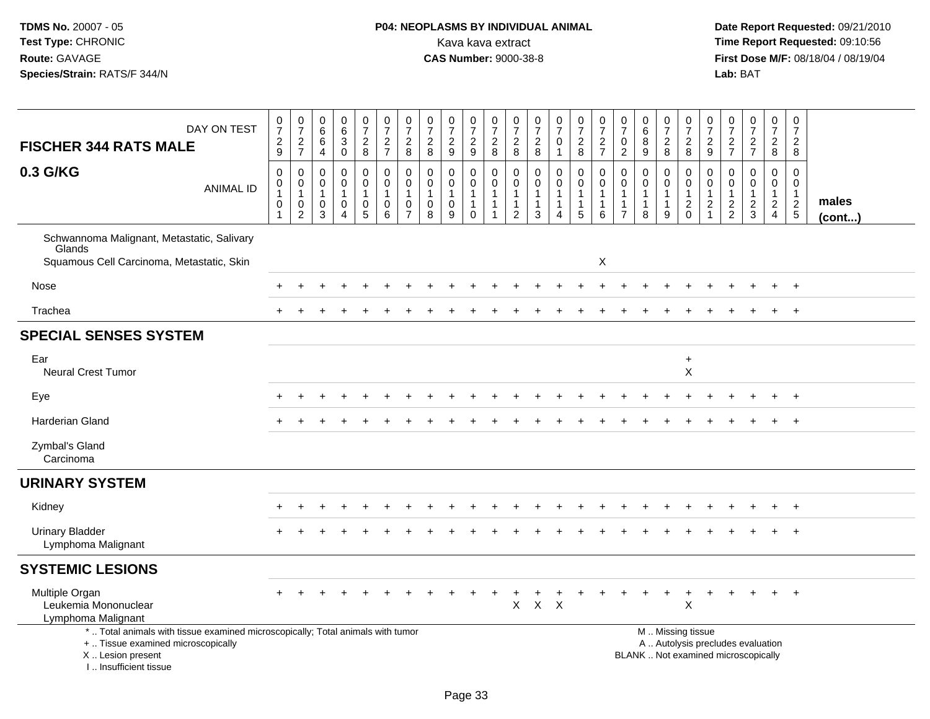# **P04: NEOPLASMS BY INDIVIDUAL ANIMAL**Kava kava extract **Time Report Requested:** 09:10:56<br>**CAS Number:** 9000-38-8 **CAS Number:** 9000-38-8

| DAY ON TEST<br><b>FISCHER 344 RATS MALE</b>                                                                                                                         | $\frac{0}{7}$<br>$\frac{2}{9}$       | $072$<br>$727$                                                                        | 0<br>$6\phantom{a}$<br>$\,6\,$<br>4          | $\pmb{0}$<br>6<br>$\mathbf{3}$<br>$\mathbf 0$                             | $\frac{0}{7}$<br>$_{\rm 8}^2$     | $\frac{0}{7}$<br>$\frac{2}{7}$                                   | $\begin{array}{c} 0 \\ 7 \end{array}$<br>$_{\rm 8}^2$             | $\frac{0}{7}$<br>$\overline{2}$<br>8                            | $\begin{array}{c} 0 \\ 7 \end{array}$<br>$\frac{2}{9}$                    | $\frac{0}{7}$<br>$\frac{2}{9}$                                            | $\begin{smallmatrix}0\\7\end{smallmatrix}$<br>$\frac{2}{8}$                | 0<br>$\overline{7}$<br>$^2_{\bf 8}$                                          | $\begin{array}{c} 0 \\ 7 \end{array}$<br>$\frac{2}{8}$                   | $\frac{0}{7}$<br>$\mathsf{O}$<br>$\mathbf{1}$                                             | $\begin{smallmatrix}0\\7\end{smallmatrix}$<br>$\frac{2}{8}$                  | $\begin{array}{c} 0 \\ 7 \end{array}$<br>$\frac{2}{7}$ | $\frac{0}{7}$<br>$\mathbf 0$<br>$\sqrt{2}$                         | $\pmb{0}$<br>$6\phantom{a}$<br>8<br>9                           | $\begin{array}{c} 0 \\ 7 \end{array}$<br>$\frac{2}{8}$    | $\frac{0}{7}$<br>$\frac{2}{8}$                               | $\frac{0}{7}$<br>$\mathbf{2}$<br>$\overline{9}$                              | $\frac{0}{7}$<br>$\frac{2}{7}$                              | $\frac{0}{7}$<br>$\frac{2}{7}$                                           | $\begin{smallmatrix}0\\7\end{smallmatrix}$<br>$\frac{2}{8}$   | $\begin{array}{c} 0 \\ 7 \end{array}$<br>$\overline{2}$<br>8 |                 |
|---------------------------------------------------------------------------------------------------------------------------------------------------------------------|--------------------------------------|---------------------------------------------------------------------------------------|----------------------------------------------|---------------------------------------------------------------------------|-----------------------------------|------------------------------------------------------------------|-------------------------------------------------------------------|-----------------------------------------------------------------|---------------------------------------------------------------------------|---------------------------------------------------------------------------|----------------------------------------------------------------------------|------------------------------------------------------------------------------|--------------------------------------------------------------------------|-------------------------------------------------------------------------------------------|------------------------------------------------------------------------------|--------------------------------------------------------|--------------------------------------------------------------------|-----------------------------------------------------------------|-----------------------------------------------------------|--------------------------------------------------------------|------------------------------------------------------------------------------|-------------------------------------------------------------|--------------------------------------------------------------------------|---------------------------------------------------------------|--------------------------------------------------------------|-----------------|
| 0.3 G/KG<br><b>ANIMAL ID</b>                                                                                                                                        | $\mathsf 0$<br>$\mathbf 0$<br>1<br>0 | $\boldsymbol{0}$<br>$\boldsymbol{0}$<br>$\overline{1}$<br>$\pmb{0}$<br>$\overline{2}$ | $\mathbf 0$<br>0<br>$\overline{1}$<br>0<br>3 | $\pmb{0}$<br>$\mathbf 0$<br>$\mathbf{1}$<br>$\mathbf 0$<br>$\overline{4}$ | 0<br>$\mathbf 0$<br>$\frac{0}{5}$ | $\pmb{0}$<br>$\ddot{\mathbf{0}}$<br>$\overline{1}$<br>$0\over 6$ | $\mathbf 0$<br>$\mathbf 0$<br>$\mathbf{1}$<br>0<br>$\overline{7}$ | $\mathbf 0$<br>0<br>$\mathbf{1}$<br>$\pmb{0}$<br>$\overline{8}$ | $\pmb{0}$<br>$\mathbf 0$<br>$\mathbf{1}$<br>$\mathbf 0$<br>$\overline{9}$ | $\pmb{0}$<br>$\mathbf 0$<br>$\overline{1}$<br>$\mathbf{1}$<br>$\mathbf 0$ | $\pmb{0}$<br>$\mathbf 0$<br>$\overline{1}$<br>$\mathbf{1}$<br>$\mathbf{1}$ | $\pmb{0}$<br>$\mathbf 0$<br>$\overline{1}$<br>$\mathbf{1}$<br>$\overline{c}$ | $\pmb{0}$<br>$\mathbf 0$<br>$\mathbf{1}$<br>$\mathbf{1}$<br>$\mathbf{3}$ | $\boldsymbol{0}$<br>$\mathbf 0$<br>$\mathbf{1}$<br>$\mathbf{1}$<br>$\boldsymbol{\Lambda}$ | $\mathsf 0$<br>$\mathbf 0$<br>$\mathbf{1}$<br>$\mathbf{1}$<br>$\overline{5}$ | $\mathbf 0$<br>$\mathbf 0$<br>1<br>1<br>6              | $\mathbf 0$<br>0<br>$\mathbf{1}$<br>$\mathbf{1}$<br>$\overline{7}$ | $\mathbf 0$<br>$\mathbf 0$<br>$\mathbf{1}$<br>$\mathbf{1}$<br>8 | 0<br>$\mathbf 0$<br>$\mathbf{1}$<br>$\mathbf{1}$<br>$9\,$ | $\mathbf 0$<br>$\mathbf 0$<br>$\overline{1}$<br>$^2_{\rm 0}$ | $\mathbf 0$<br>$\mathbf 0$<br>$\mathbf{1}$<br>$\overline{c}$<br>$\mathbf{1}$ | $\mathbf 0$<br>$\mathbf 0$<br>$\mathbf{1}$<br>$\frac{2}{2}$ | $\mathsf 0$<br>0<br>$\mathbf{1}$<br>$\frac{2}{3}$                        | $\mathsf{O}$<br>$\mathbf{0}$<br>$\mathbf{1}$<br>$\frac{2}{4}$ | $\mathbf 0$<br>$\mathbf 0$<br>$\frac{1}{2}$                  | males<br>(cont) |
| Schwannoma Malignant, Metastatic, Salivary<br>Glands<br>Squamous Cell Carcinoma, Metastatic, Skin                                                                   |                                      |                                                                                       |                                              |                                                                           |                                   |                                                                  |                                                                   |                                                                 |                                                                           |                                                                           |                                                                            |                                                                              |                                                                          |                                                                                           |                                                                              | X                                                      |                                                                    |                                                                 |                                                           |                                                              |                                                                              |                                                             |                                                                          |                                                               |                                                              |                 |
| Nose                                                                                                                                                                |                                      |                                                                                       |                                              |                                                                           |                                   |                                                                  |                                                                   |                                                                 |                                                                           |                                                                           |                                                                            |                                                                              |                                                                          |                                                                                           |                                                                              |                                                        |                                                                    |                                                                 |                                                           |                                                              |                                                                              |                                                             |                                                                          | +                                                             | $+$                                                          |                 |
| Trachea                                                                                                                                                             |                                      |                                                                                       |                                              |                                                                           |                                   |                                                                  |                                                                   |                                                                 |                                                                           |                                                                           |                                                                            |                                                                              |                                                                          |                                                                                           |                                                                              |                                                        |                                                                    |                                                                 |                                                           |                                                              |                                                                              |                                                             |                                                                          | $\ddot{}$                                                     | $+$                                                          |                 |
| <b>SPECIAL SENSES SYSTEM</b>                                                                                                                                        |                                      |                                                                                       |                                              |                                                                           |                                   |                                                                  |                                                                   |                                                                 |                                                                           |                                                                           |                                                                            |                                                                              |                                                                          |                                                                                           |                                                                              |                                                        |                                                                    |                                                                 |                                                           |                                                              |                                                                              |                                                             |                                                                          |                                                               |                                                              |                 |
| Ear<br><b>Neural Crest Tumor</b>                                                                                                                                    |                                      |                                                                                       |                                              |                                                                           |                                   |                                                                  |                                                                   |                                                                 |                                                                           |                                                                           |                                                                            |                                                                              |                                                                          |                                                                                           |                                                                              |                                                        |                                                                    |                                                                 |                                                           | $\ddot{}$<br>$\mathsf X$                                     |                                                                              |                                                             |                                                                          |                                                               |                                                              |                 |
| Eye                                                                                                                                                                 |                                      |                                                                                       |                                              |                                                                           |                                   |                                                                  |                                                                   |                                                                 |                                                                           |                                                                           |                                                                            |                                                                              |                                                                          |                                                                                           |                                                                              |                                                        |                                                                    |                                                                 |                                                           |                                                              |                                                                              |                                                             |                                                                          |                                                               | $\overline{+}$                                               |                 |
| Harderian Gland                                                                                                                                                     |                                      |                                                                                       |                                              |                                                                           |                                   |                                                                  |                                                                   |                                                                 |                                                                           |                                                                           |                                                                            |                                                                              |                                                                          |                                                                                           |                                                                              |                                                        |                                                                    |                                                                 |                                                           |                                                              |                                                                              |                                                             |                                                                          |                                                               | $\overline{+}$                                               |                 |
| Zymbal's Gland<br>Carcinoma                                                                                                                                         |                                      |                                                                                       |                                              |                                                                           |                                   |                                                                  |                                                                   |                                                                 |                                                                           |                                                                           |                                                                            |                                                                              |                                                                          |                                                                                           |                                                                              |                                                        |                                                                    |                                                                 |                                                           |                                                              |                                                                              |                                                             |                                                                          |                                                               |                                                              |                 |
| <b>URINARY SYSTEM</b>                                                                                                                                               |                                      |                                                                                       |                                              |                                                                           |                                   |                                                                  |                                                                   |                                                                 |                                                                           |                                                                           |                                                                            |                                                                              |                                                                          |                                                                                           |                                                                              |                                                        |                                                                    |                                                                 |                                                           |                                                              |                                                                              |                                                             |                                                                          |                                                               |                                                              |                 |
| Kidney                                                                                                                                                              |                                      |                                                                                       |                                              |                                                                           |                                   |                                                                  |                                                                   |                                                                 |                                                                           |                                                                           |                                                                            |                                                                              |                                                                          |                                                                                           |                                                                              |                                                        |                                                                    |                                                                 |                                                           |                                                              |                                                                              |                                                             |                                                                          |                                                               |                                                              |                 |
| <b>Urinary Bladder</b><br>Lymphoma Malignant                                                                                                                        |                                      |                                                                                       |                                              |                                                                           |                                   |                                                                  |                                                                   |                                                                 |                                                                           |                                                                           |                                                                            |                                                                              |                                                                          |                                                                                           |                                                                              |                                                        |                                                                    |                                                                 |                                                           |                                                              |                                                                              |                                                             |                                                                          |                                                               | $\overline{+}$                                               |                 |
| <b>SYSTEMIC LESIONS</b>                                                                                                                                             |                                      |                                                                                       |                                              |                                                                           |                                   |                                                                  |                                                                   |                                                                 |                                                                           |                                                                           |                                                                            |                                                                              |                                                                          |                                                                                           |                                                                              |                                                        |                                                                    |                                                                 |                                                           |                                                              |                                                                              |                                                             |                                                                          |                                                               |                                                              |                 |
| Multiple Organ<br>Leukemia Mononuclear<br>Lymphoma Malignant                                                                                                        |                                      |                                                                                       |                                              |                                                                           |                                   |                                                                  |                                                                   |                                                                 |                                                                           |                                                                           |                                                                            | X                                                                            | $X$ $X$                                                                  |                                                                                           |                                                                              |                                                        |                                                                    |                                                                 |                                                           | $\sf X$                                                      |                                                                              |                                                             |                                                                          |                                                               |                                                              |                 |
| *  Total animals with tissue examined microscopically; Total animals with tumor<br>+  Tissue examined microscopically<br>X  Lesion present<br>I Insufficient tissue |                                      |                                                                                       |                                              |                                                                           |                                   |                                                                  |                                                                   |                                                                 |                                                                           |                                                                           |                                                                            |                                                                              |                                                                          |                                                                                           |                                                                              |                                                        |                                                                    |                                                                 |                                                           | M  Missing tissue                                            |                                                                              |                                                             | A  Autolysis precludes evaluation<br>BLANK  Not examined microscopically |                                                               |                                                              |                 |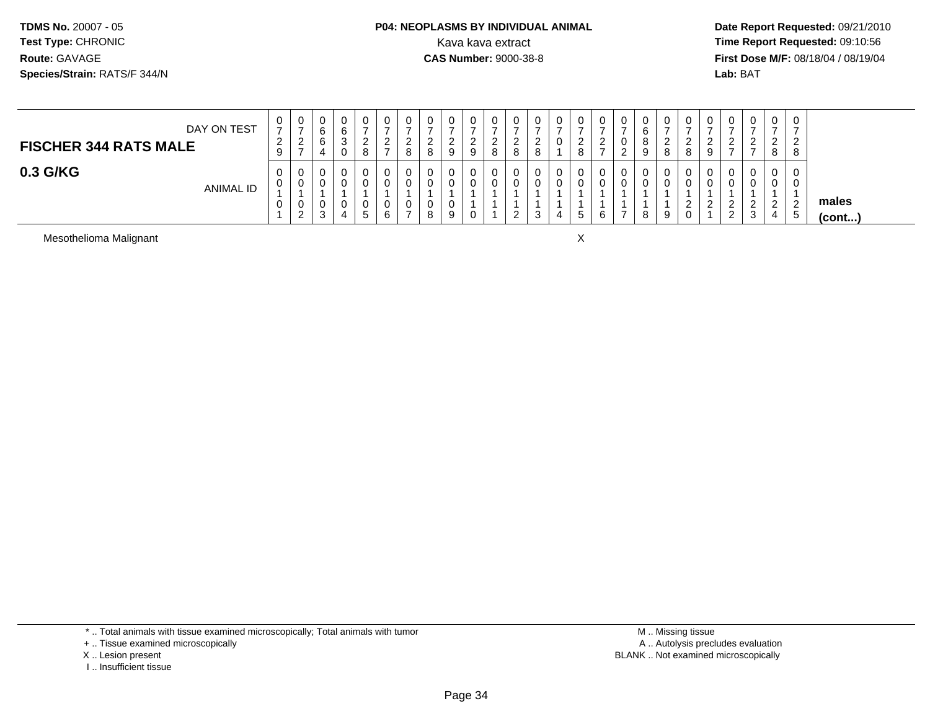#### **P04: NEOPLASMS BY INDIVIDUAL ANIMAL**<br>Kava kava extract Kava kava extract **Time Report Requested:** 09:10:56<br>**CAS Number:** 9000-38-8<br>**Tirst Dose M/F:** 08/18/04 / 08/19/04

 **Date Report Requested:** 09/21/2010 **First Dose M/F:** 08/18/04 / 08/19/04 Lab: BAT **Lab:** BAT

| DAY ON TEST<br><b>FISCHER 344 RATS MALE</b> | 0<br>⇁<br>$\sim$<br><u>_</u><br>9 | ◡<br>∠<br>$\rightarrow$ | ◡<br>Ö<br>~<br>Ö | ν<br>6<br>ັ<br>U | 0<br>ີ<br><u>_</u><br>8 | 0<br>⇁<br><u>_</u><br>$\rightarrow$ | U<br>-<br><u>_</u><br>8 | 0<br><sup>o</sup><br>∸<br>8 | 9 | <u>_</u> | ◡<br>∼<br>8 | v<br>$\circ$<br>O | <b>U</b><br><u>_</u> | 0<br>- | 0<br>ົ<br><u>_</u><br>8 | ັບ<br>- | <u>_</u> | U | v<br>8 | J<br>8   | U<br>9                 | U<br><u>_</u>                                 | 0<br>ົ<br>∼<br>-      | $\sim$<br><u>_</u><br>8 | U<br>∼               |                       |
|---------------------------------------------|-----------------------------------|-------------------------|------------------|------------------|-------------------------|-------------------------------------|-------------------------|-----------------------------|---|----------|-------------|-------------------|----------------------|--------|-------------------------|---------|----------|---|--------|----------|------------------------|-----------------------------------------------|-----------------------|-------------------------|----------------------|-----------------------|
| 0.3 G/KG<br><b>ANIMAL ID</b>                | 0<br>0<br>0                       | ◡                       | ັ<br>$\sim$<br>د | u                | 0<br>0<br>U<br>5        | 0<br>0<br>0<br>6                    | U<br>v<br>$\rightarrow$ | 0<br>0<br>0<br>8            | 9 |          | U           | U<br>U<br>▃       |                      | 0<br>4 | 0<br>0<br>G             |         |          |   | v<br>9 | <u>_</u> | $\sqrt{2}$<br><u>_</u> | U<br>v<br>ົ<br><u>_</u><br>$\sim$<br><u>_</u> | 0<br>0<br>ົ<br>_<br>3 | $\sim$<br>-<br>4        | $\overline{2}$<br>ີວ | males<br>$($ cont $)$ |

Mesothelioma Malignant

t and the contract of the contract of the contract of the contract of the contract of the contract of the contract of the contract of the contract of the contract of the contract of the contract of the contract of the cont

I .. Insufficient tissue

<sup>\* ..</sup> Total animals with tissue examined microscopically; Total animals with tumor

<sup>+ ..</sup> Tissue examined microscopically

X .. Lesion present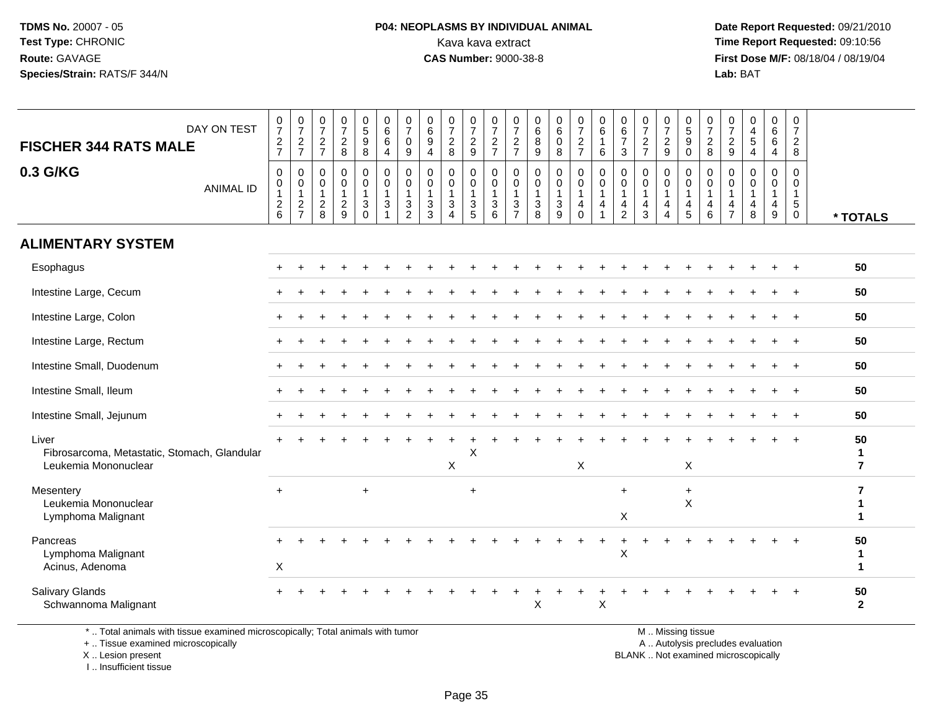#### **P04: NEOPLASMS BY INDIVIDUAL ANIMAL**<br>Kava kava extract Kava kava extract **Time Report Requested:** 09:10:56<br>**CAS Number:** 9000-38-8<br>**Tirst Dose M/F:** 08/18/04 / 08/19/04

 **Date Report Requested:** 09/21/2010 **First Dose M/F:** 08/18/04 / 08/19/04 Lab: BAT **Lab:** BAT

| DAY ON TEST<br><b>FISCHER 344 RATS MALE</b>                                   | $\frac{0}{7}$<br>$\frac{2}{7}$                | $\frac{0}{7}$<br>$\frac{2}{7}$                                   | $\frac{0}{7}$<br>$\overline{c}$<br>$\overline{7}$     | $\begin{array}{c} 0 \\ 7 \end{array}$<br>$\overline{c}$<br>$\,8\,$ | $\begin{array}{c} 0 \\ 5 \\ 9 \end{array}$<br>8                               | $\pmb{0}$<br>$6\phantom{1}6$<br>6<br>$\overline{4}$                          | 0<br>$\overline{7}$<br>$\mathbf{0}$<br>9 | $\begin{array}{c} 0 \\ 6 \end{array}$<br>9<br>$\overline{4}$ | $\frac{0}{7}$<br>$\overline{2}$<br>8                                     | $\begin{smallmatrix}0\\7\end{smallmatrix}$<br>$\overline{2}$<br>$9\,$ | $\frac{0}{7}$<br>$\frac{2}{7}$                                   | 0<br>$\overline{7}$<br>$\overline{2}$<br>$\overline{7}$                      | 0<br>$\,6\,$<br>8<br>9                                             | $_{6}^{\rm 0}$<br>$\mathbf 0$<br>8 | $\begin{array}{c} 0 \\ 7 \end{array}$<br>$\frac{2}{7}$                                     | $\begin{array}{c} 0 \\ 6 \end{array}$<br>$\mathbf{1}$<br>6 | $\begin{array}{c} 0 \\ 6 \end{array}$<br>$\overline{7}$<br>3 | $\frac{0}{7}$<br>$\frac{2}{7}$                                             | 0<br>$\overline{7}$<br>$\overline{2}$<br>9 | 0<br>5<br>0<br>0                                                                   | $\frac{0}{7}$<br>$\overline{2}$<br>8                              | 0<br>$\overline{7}$<br>$\overline{c}$<br>$9\,$         | $\begin{smallmatrix}0\0\4\end{smallmatrix}$<br>$\sqrt{5}$<br>$\overline{4}$ | 0<br>$\,6\,$<br>$\,6\,$<br>$\overline{4}$               | 0<br>$\boldsymbol{7}$<br>$\overline{2}$<br>8                       |                                                |
|-------------------------------------------------------------------------------|-----------------------------------------------|------------------------------------------------------------------|-------------------------------------------------------|--------------------------------------------------------------------|-------------------------------------------------------------------------------|------------------------------------------------------------------------------|------------------------------------------|--------------------------------------------------------------|--------------------------------------------------------------------------|-----------------------------------------------------------------------|------------------------------------------------------------------|------------------------------------------------------------------------------|--------------------------------------------------------------------|------------------------------------|--------------------------------------------------------------------------------------------|------------------------------------------------------------|--------------------------------------------------------------|----------------------------------------------------------------------------|--------------------------------------------|------------------------------------------------------------------------------------|-------------------------------------------------------------------|--------------------------------------------------------|-----------------------------------------------------------------------------|---------------------------------------------------------|--------------------------------------------------------------------|------------------------------------------------|
| 0.3 G/KG<br><b>ANIMAL ID</b>                                                  | 0<br>0<br>$\mathbf{1}$<br>$\overline{c}$<br>6 | 0<br>$\mathbf 0$<br>$\mathbf{1}$<br>$\sqrt{2}$<br>$\overline{7}$ | $\mathbf 0$<br>0<br>$\overline{1}$<br>$\sqrt{2}$<br>8 | $\pmb{0}$<br>$\mathbf 0$<br>$\mathbf{1}$<br>$\frac{2}{9}$          | $\pmb{0}$<br>$\mathbf 0$<br>$\overline{\mathbf{1}}$<br>$\sqrt{3}$<br>$\Omega$ | $\mathbf 0$<br>$\mathbf 0$<br>$\overline{1}$<br>$\mathbf{3}$<br>$\mathbf{1}$ | 0<br>$\mathbf 0$<br>3<br>2               | 0<br>$\mathbf 0$<br>$\overline{1}$<br>$\mathbf 3$<br>3       | 0<br>$\mathbf 0$<br>$\mathbf{1}$<br>$\sqrt{3}$<br>$\boldsymbol{\Lambda}$ | 0<br>$\mathbf 0$<br>$\overline{1}$<br>$\mathsf 3$<br>5                | $\mathbf 0$<br>$\mathsf{O}$<br>$\overline{1}$<br>$\sqrt{3}$<br>6 | $\mathbf 0$<br>$\mathbf 0$<br>$\overline{1}$<br>$\sqrt{3}$<br>$\overline{7}$ | 0<br>$\mathbf 0$<br>$\mathbf{1}$<br>$\ensuremath{\mathsf{3}}$<br>8 | 0<br>0<br>$\mathbf{1}$<br>3<br>9   | $\begin{smallmatrix} 0\\0 \end{smallmatrix}$<br>$\mathbf{1}$<br>$\overline{4}$<br>$\Omega$ | $\mathbf 0$<br>$\pmb{0}$<br>$\overline{1}$<br>4            | 0<br>0<br>$\overline{1}$<br>$\overline{a}$<br>$\overline{2}$ | $\mathbf 0$<br>$\mathbf 0$<br>$\mathbf{1}$<br>$\overline{\mathbf{4}}$<br>3 | 0<br>$\mathbf 0$<br>$\overline{4}$<br>4    | $\begin{smallmatrix}0\0\0\end{smallmatrix}$<br>$\mathbf{1}$<br>$\overline{4}$<br>5 | $\mathbf 0$<br>$\mathbf 0$<br>$\mathbf{1}$<br>$\overline{4}$<br>6 | 0<br>$\Omega$<br>$\overline{1}$<br>4<br>$\overline{7}$ | $\mathbf 0$<br>$\mathbf 0$<br>$\overline{1}$<br>4<br>8                      | 0<br>$\mathbf 0$<br>$\mathbf{1}$<br>$\overline{4}$<br>9 | $\mathbf 0$<br>0<br>$\mathbf{1}$<br>$5\phantom{.0}$<br>$\mathbf 0$ | * TOTALS                                       |
| <b>ALIMENTARY SYSTEM</b>                                                      |                                               |                                                                  |                                                       |                                                                    |                                                                               |                                                                              |                                          |                                                              |                                                                          |                                                                       |                                                                  |                                                                              |                                                                    |                                    |                                                                                            |                                                            |                                                              |                                                                            |                                            |                                                                                    |                                                                   |                                                        |                                                                             |                                                         |                                                                    |                                                |
| Esophagus                                                                     |                                               |                                                                  |                                                       |                                                                    |                                                                               |                                                                              |                                          |                                                              |                                                                          |                                                                       |                                                                  |                                                                              |                                                                    |                                    |                                                                                            |                                                            |                                                              |                                                                            |                                            |                                                                                    |                                                                   |                                                        |                                                                             |                                                         |                                                                    | 50                                             |
| Intestine Large, Cecum                                                        |                                               |                                                                  |                                                       |                                                                    |                                                                               |                                                                              |                                          |                                                              |                                                                          |                                                                       |                                                                  |                                                                              |                                                                    |                                    |                                                                                            |                                                            |                                                              |                                                                            |                                            |                                                                                    |                                                                   |                                                        |                                                                             |                                                         | $\overline{1}$                                                     | 50                                             |
| Intestine Large, Colon                                                        |                                               |                                                                  |                                                       |                                                                    |                                                                               |                                                                              |                                          |                                                              |                                                                          |                                                                       |                                                                  |                                                                              |                                                                    |                                    |                                                                                            |                                                            |                                                              |                                                                            |                                            |                                                                                    |                                                                   |                                                        |                                                                             |                                                         |                                                                    | 50                                             |
| Intestine Large, Rectum                                                       |                                               |                                                                  |                                                       |                                                                    |                                                                               |                                                                              |                                          |                                                              |                                                                          |                                                                       |                                                                  |                                                                              |                                                                    |                                    |                                                                                            |                                                            |                                                              |                                                                            |                                            |                                                                                    |                                                                   |                                                        |                                                                             |                                                         |                                                                    | 50                                             |
| Intestine Small, Duodenum                                                     |                                               |                                                                  |                                                       |                                                                    |                                                                               |                                                                              |                                          |                                                              |                                                                          |                                                                       |                                                                  |                                                                              |                                                                    |                                    |                                                                                            |                                                            |                                                              |                                                                            |                                            |                                                                                    |                                                                   |                                                        |                                                                             |                                                         |                                                                    | 50                                             |
| Intestine Small, Ileum                                                        |                                               |                                                                  |                                                       |                                                                    |                                                                               |                                                                              |                                          |                                                              |                                                                          |                                                                       |                                                                  |                                                                              |                                                                    |                                    |                                                                                            |                                                            |                                                              |                                                                            |                                            |                                                                                    |                                                                   |                                                        |                                                                             |                                                         |                                                                    | 50                                             |
| Intestine Small, Jejunum                                                      |                                               |                                                                  |                                                       |                                                                    |                                                                               |                                                                              |                                          |                                                              |                                                                          |                                                                       |                                                                  |                                                                              |                                                                    |                                    |                                                                                            |                                                            |                                                              |                                                                            |                                            |                                                                                    |                                                                   |                                                        |                                                                             |                                                         | $+$                                                                | 50                                             |
| Liver<br>Fibrosarcoma, Metastatic, Stomach, Glandular<br>Leukemia Mononuclear |                                               |                                                                  |                                                       |                                                                    |                                                                               |                                                                              |                                          |                                                              | X                                                                        | X                                                                     |                                                                  |                                                                              |                                                                    |                                    | X                                                                                          |                                                            |                                                              |                                                                            |                                            | X                                                                                  |                                                                   |                                                        |                                                                             |                                                         |                                                                    | 50<br>$\mathbf{1}$<br>$\overline{7}$           |
| Mesentery<br>Leukemia Mononuclear<br>Lymphoma Malignant                       | $\div$                                        |                                                                  |                                                       |                                                                    | $\ddot{}$                                                                     |                                                                              |                                          |                                                              |                                                                          | $+$                                                                   |                                                                  |                                                                              |                                                                    |                                    |                                                                                            |                                                            | $+$<br>$\boldsymbol{\mathsf{X}}$                             |                                                                            |                                            | $\ddot{}$<br>$\mathsf X$                                                           |                                                                   |                                                        |                                                                             |                                                         |                                                                    | $\overline{7}$<br>$\mathbf{1}$<br>$\mathbf{1}$ |
| Pancreas<br>Lymphoma Malignant<br>Acinus, Adenoma                             | $\pmb{\times}$                                |                                                                  |                                                       |                                                                    |                                                                               |                                                                              |                                          |                                                              |                                                                          |                                                                       |                                                                  |                                                                              |                                                                    |                                    |                                                                                            |                                                            | X                                                            |                                                                            |                                            |                                                                                    |                                                                   |                                                        |                                                                             |                                                         |                                                                    | 50<br>-1<br>$\mathbf{1}$                       |
| <b>Salivary Glands</b><br>Schwannoma Malignant                                |                                               |                                                                  |                                                       |                                                                    |                                                                               |                                                                              |                                          |                                                              |                                                                          |                                                                       |                                                                  |                                                                              | X                                                                  |                                    |                                                                                            | X                                                          |                                                              |                                                                            |                                            |                                                                                    |                                                                   |                                                        |                                                                             |                                                         |                                                                    | 50<br>$\overline{2}$                           |

\* .. Total animals with tissue examined microscopically; Total animals with tumor

+ .. Tissue examined microscopically

X .. Lesion present

I .. Insufficient tissue

M .. Missing tissue

y the contract of the contract of the contract of the contract of the contract of the contract of the contract of  $A$ . Autolysis precludes evaluation

Lesion present BLANK .. Not examined microscopically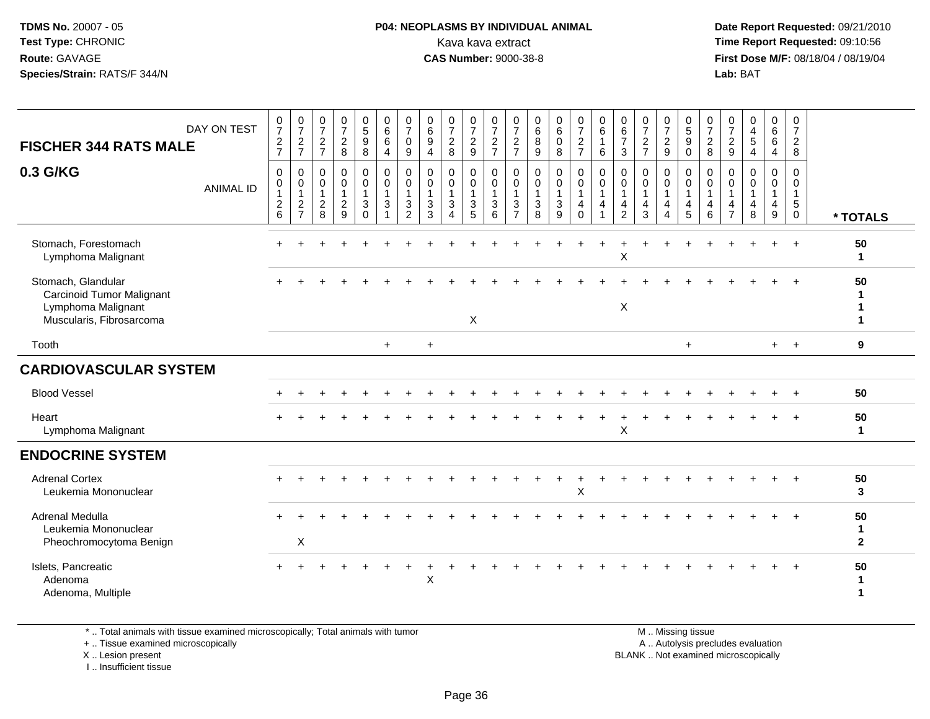#### **P04: NEOPLASMS BY INDIVIDUAL ANIMAL**<br>Kava kava extract Kava kava extract **Time Report Requested:** 09:10:56<br>**CAS Number:** 9000-38-8<br>**Tirst Dose M/F:** 08/18/04 / 08/19/04

 **Date Report Requested:** 09/21/2010 **First Dose M/F:** 08/18/04 / 08/19/04 Lab: BAT **Lab:** BAT

| DAY ON TEST<br><b>FISCHER 344 RATS MALE</b>                                                       | $\frac{0}{7}$<br>$\frac{2}{7}$                      | $\frac{0}{7}$<br>$\frac{2}{7}$                                   | $\frac{0}{7}$<br>$\frac{2}{7}$                                  | $\frac{0}{7}$<br>$\frac{2}{8}$          | $\begin{array}{c} 0 \\ 5 \end{array}$<br>9<br>$\overline{8}$ | $\begin{array}{c} 0 \\ 6 \end{array}$<br>$\,6\,$<br>$\overline{4}$ | $\frac{0}{7}$<br>$\mathbf 0$<br>$\boldsymbol{9}$       | $\begin{array}{c} 0 \\ 6 \end{array}$<br>$\boldsymbol{9}$<br>$\overline{4}$    | $\frac{0}{7}$<br>$\overline{2}$<br>8    | $\frac{0}{7}$<br>$\frac{2}{9}$                            | $\frac{0}{7}$<br>$\frac{2}{7}$                                             | $\frac{0}{7}$<br>$\frac{2}{7}$                         | $\begin{array}{c} 0 \\ 6 \end{array}$<br>$\bf 8$<br>$9\,$       | $0\over 6$<br>$\pmb{0}$<br>8               | $\begin{smallmatrix}0\\7\end{smallmatrix}$<br>$\frac{2}{7}$ | $_{\rm 6}^{\rm 0}$<br>$\,6\,$               | $\begin{array}{c} 0 \\ 6 \end{array}$<br>$\overline{7}$<br>3 | $\frac{0}{7}$<br>$\frac{2}{7}$                                      | $\frac{0}{7}$<br>$\frac{2}{9}$   | $\begin{array}{c} 0 \\ 5 \\ 9 \end{array}$<br>$\mathsf 0$ | $\frac{0}{7}$<br>$^2_8$                    | $\frac{0}{7}$<br>$\frac{2}{9}$                                      | $_4^{\rm O}$<br>$\overline{5}$<br>$\overline{4}$ | 0<br>$\overline{6}$<br>6<br>4    | $\frac{0}{7}$<br>$\frac{2}{8}$                                     |                         |
|---------------------------------------------------------------------------------------------------|-----------------------------------------------------|------------------------------------------------------------------|-----------------------------------------------------------------|-----------------------------------------|--------------------------------------------------------------|--------------------------------------------------------------------|--------------------------------------------------------|--------------------------------------------------------------------------------|-----------------------------------------|-----------------------------------------------------------|----------------------------------------------------------------------------|--------------------------------------------------------|-----------------------------------------------------------------|--------------------------------------------|-------------------------------------------------------------|---------------------------------------------|--------------------------------------------------------------|---------------------------------------------------------------------|----------------------------------|-----------------------------------------------------------|--------------------------------------------|---------------------------------------------------------------------|--------------------------------------------------|----------------------------------|--------------------------------------------------------------------|-------------------------|
| 0.3 G/KG<br><b>ANIMAL ID</b>                                                                      | $\mathbf 0$<br>0<br>$\overline{1}$<br>$\frac{2}{6}$ | $\mathbf 0$<br>$\boldsymbol{0}$<br>$\mathbf{1}$<br>$\frac{2}{7}$ | $\mathbf 0$<br>$\,0\,$<br>$\mathbf{1}$<br>$\boldsymbol{2}$<br>8 | 0<br>0<br>$\mathbf{1}$<br>$\frac{2}{9}$ | 0<br>0<br>$\mathbf{1}$<br>3<br>$\Omega$                      | $\pmb{0}$<br>$\pmb{0}$<br>$\overline{1}$<br>$\sqrt{3}$             | 0<br>0<br>$\mathbf{1}$<br>$\sqrt{3}$<br>$\overline{2}$ | $\mathbf 0$<br>$\mathbf 0$<br>$\overline{1}$<br>$\ensuremath{\mathsf{3}}$<br>3 | 0<br>0<br>$\mathbf{1}$<br>3<br>$\Delta$ | $\pmb{0}$<br>$\pmb{0}$<br>$\overline{1}$<br>$\frac{3}{5}$ | $\mathbf 0$<br>$\pmb{0}$<br>$\mathbf{1}$<br>$\ensuremath{\mathsf{3}}$<br>6 | 0<br>0<br>$\mathbf{1}$<br>$\sqrt{3}$<br>$\overline{7}$ | $\mathbf 0$<br>$\mathbf 0$<br>$\overline{1}$<br>$\sqrt{3}$<br>8 | 0<br>$\mathbf 0$<br>$\mathbf{1}$<br>3<br>9 | $\pmb{0}$<br>$\pmb{0}$<br>$\mathbf{1}$<br>4<br>$\Omega$     | $\pmb{0}$<br>$\pmb{0}$<br>$\mathbf{1}$<br>4 | 0<br>0<br>$\overline{1}$<br>4<br>$\overline{2}$              | $\mathbf 0$<br>$\mathbf 0$<br>$\overline{1}$<br>$\overline{4}$<br>3 | 0<br>0<br>$\mathbf{1}$<br>4<br>4 | 0<br>0<br>$\mathbf{1}$<br>4<br>5                          | 0<br>$\mathbf 0$<br>$\mathbf{1}$<br>4<br>6 | $\mathbf 0$<br>$\mathbf 0$<br>$\overline{1}$<br>4<br>$\overline{7}$ | $\mathbf 0$<br>0<br>$\mathbf{1}$<br>4<br>8       | 0<br>0<br>$\mathbf{1}$<br>4<br>9 | $\mathbf 0$<br>$\mathbf 0$<br>$\mathbf{1}$<br>$5\,$<br>$\mathbf 0$ | * TOTALS                |
| Stomach, Forestomach<br>Lymphoma Malignant                                                        |                                                     |                                                                  |                                                                 |                                         |                                                              |                                                                    |                                                        |                                                                                |                                         |                                                           |                                                                            |                                                        |                                                                 |                                            |                                                             |                                             | X                                                            |                                                                     |                                  |                                                           |                                            |                                                                     |                                                  |                                  | $\ddot{+}$                                                         | 50<br>$\mathbf 1$       |
| Stomach, Glandular<br>Carcinoid Tumor Malignant<br>Lymphoma Malignant<br>Muscularis, Fibrosarcoma |                                                     |                                                                  |                                                                 |                                         |                                                              |                                                                    |                                                        |                                                                                |                                         | X                                                         |                                                                            |                                                        |                                                                 |                                            |                                                             |                                             | $\mathsf X$                                                  |                                                                     |                                  |                                                           |                                            |                                                                     |                                                  |                                  | $\div$                                                             | 50                      |
| Tooth                                                                                             |                                                     |                                                                  |                                                                 |                                         |                                                              | $+$                                                                |                                                        | $\ddot{}$                                                                      |                                         |                                                           |                                                                            |                                                        |                                                                 |                                            |                                                             |                                             |                                                              |                                                                     |                                  | $+$                                                       |                                            |                                                                     |                                                  | $+$                              | $+$                                                                | 9                       |
| <b>CARDIOVASCULAR SYSTEM</b>                                                                      |                                                     |                                                                  |                                                                 |                                         |                                                              |                                                                    |                                                        |                                                                                |                                         |                                                           |                                                                            |                                                        |                                                                 |                                            |                                                             |                                             |                                                              |                                                                     |                                  |                                                           |                                            |                                                                     |                                                  |                                  |                                                                    |                         |
| <b>Blood Vessel</b>                                                                               |                                                     |                                                                  |                                                                 |                                         |                                                              |                                                                    |                                                        |                                                                                |                                         |                                                           |                                                                            |                                                        |                                                                 |                                            |                                                             |                                             |                                                              |                                                                     |                                  |                                                           |                                            |                                                                     |                                                  |                                  |                                                                    | 50                      |
| Heart<br>Lymphoma Malignant                                                                       |                                                     |                                                                  |                                                                 |                                         |                                                              |                                                                    |                                                        |                                                                                |                                         |                                                           |                                                                            |                                                        |                                                                 |                                            |                                                             |                                             | X                                                            |                                                                     |                                  |                                                           |                                            |                                                                     |                                                  |                                  |                                                                    | 50<br>$\mathbf{1}$      |
| <b>ENDOCRINE SYSTEM</b>                                                                           |                                                     |                                                                  |                                                                 |                                         |                                                              |                                                                    |                                                        |                                                                                |                                         |                                                           |                                                                            |                                                        |                                                                 |                                            |                                                             |                                             |                                                              |                                                                     |                                  |                                                           |                                            |                                                                     |                                                  |                                  |                                                                    |                         |
| <b>Adrenal Cortex</b><br>Leukemia Mononuclear                                                     |                                                     |                                                                  |                                                                 |                                         |                                                              |                                                                    |                                                        |                                                                                |                                         |                                                           |                                                                            |                                                        |                                                                 |                                            | X                                                           |                                             |                                                              |                                                                     |                                  |                                                           |                                            |                                                                     |                                                  |                                  |                                                                    | 50<br>3                 |
| Adrenal Medulla<br>Leukemia Mononuclear<br>Pheochromocytoma Benign                                |                                                     | $\mathsf X$                                                      |                                                                 |                                         |                                                              |                                                                    |                                                        |                                                                                |                                         |                                                           |                                                                            |                                                        |                                                                 |                                            |                                                             |                                             |                                                              |                                                                     |                                  |                                                           |                                            |                                                                     |                                                  |                                  |                                                                    | 50<br>1<br>$\mathbf{2}$ |
| Islets, Pancreatic<br>Adenoma<br>Adenoma, Multiple                                                |                                                     |                                                                  |                                                                 |                                         |                                                              |                                                                    |                                                        | X                                                                              |                                         |                                                           |                                                                            |                                                        |                                                                 |                                            |                                                             |                                             |                                                              |                                                                     |                                  |                                                           |                                            |                                                                     |                                                  |                                  |                                                                    | 50                      |

\* .. Total animals with tissue examined microscopically; Total animals with tumor

+ .. Tissue examined microscopically

X .. Lesion present

I .. Insufficient tissue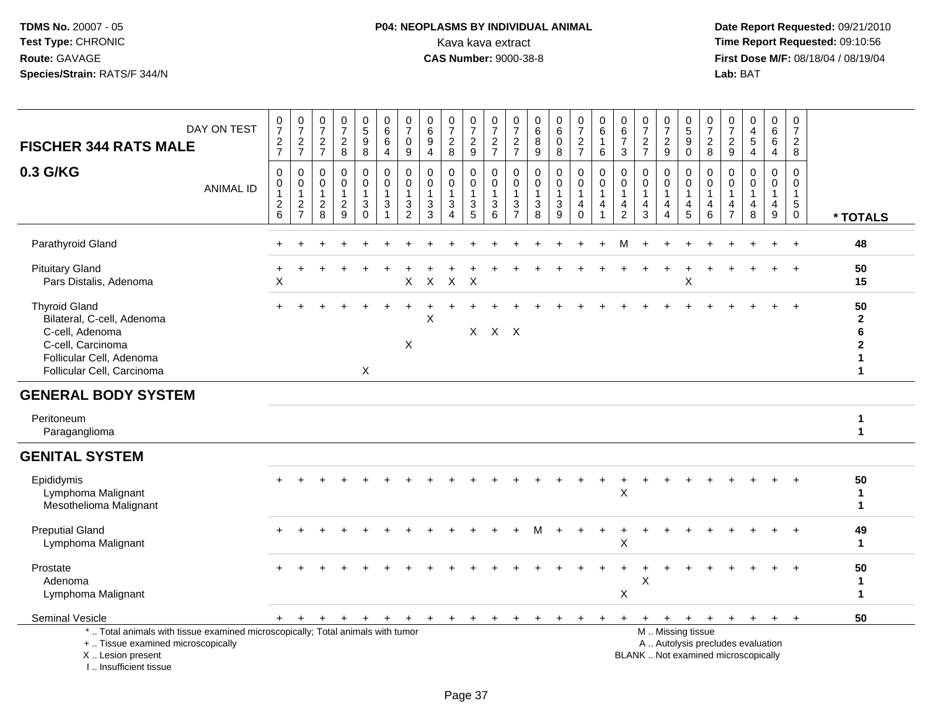## **P04: NEOPLASMS BY INDIVIDUAL ANIMAL**<br>Kava kava extract Kava kava extract **Time Report Requested:** 09:10:56<br>**CAS Number:** 9000-38-8 **CAS Number:** 9000-38-8

 **Date Report Requested:** 09/21/2010 **First Dose M/F:** 08/18/04 / 08/19/04<br>Lab: BAT **Lab:** BAT

| <b>FISCHER 344 RATS MALE</b>                                                                                                                         | DAY ON TEST      | $\pmb{0}$<br>$\overline{7}$<br>$\frac{2}{7}$                           | $\frac{0}{7}$<br>$\frac{2}{7}$                    | $\frac{0}{7}$<br>$\frac{2}{7}$                                    | $\frac{0}{7}$<br>$\boldsymbol{2}$<br>8            | $\begin{array}{c} 0 \\ 5 \end{array}$<br>$\boldsymbol{9}$<br>8 | $\begin{array}{c} 0 \\ 6 \end{array}$<br>6<br>$\overline{4}$      | 0<br>$\overline{7}$<br>0<br>9                        | $\pmb{0}$<br>$\,6\,$<br>9<br>$\overline{4}$          | 0<br>$\overline{7}$<br>$\boldsymbol{2}$<br>8          | 0<br>$\overline{7}$<br>$\overline{a}$<br>9 | 0<br>$\overline{7}$<br>$\overline{c}$<br>$\overline{7}$ | $\pmb{0}$<br>$\boldsymbol{7}$<br>$\frac{2}{7}$                                  | $\begin{array}{c} 0 \\ 6 \end{array}$<br>$\bf 8$<br>$\overline{9}$ | $\pmb{0}$<br>$\,6\,$<br>$\pmb{0}$<br>8                 | $\frac{0}{7}$<br>$\frac{2}{7}$                                    | 0<br>$\,6$<br>$\mathbf{1}$<br>6 | 0<br>$\,6$<br>$\overline{7}$<br>$\mathbf{3}$                               | $\pmb{0}$<br>$\overline{7}$<br>$\overline{c}$<br>$\overline{7}$ | $\frac{0}{7}$<br>$\boldsymbol{2}$<br>9                                         | 0<br>$\sqrt{5}$<br>9<br>$\mathbf 0$                                                           | 0<br>$\overline{7}$<br>$\sqrt{2}$<br>8 | $\frac{0}{7}$<br>$\boldsymbol{2}$<br>$\boldsymbol{9}$ | $_4^{\rm 0}$<br>$\overline{5}$<br>$\overline{4}$ | 0<br>$\,6\,$<br>6<br>$\overline{4}$ | 0<br>$\overline{7}$<br>$\overline{2}$<br>8                              |                                                                          |
|------------------------------------------------------------------------------------------------------------------------------------------------------|------------------|------------------------------------------------------------------------|---------------------------------------------------|-------------------------------------------------------------------|---------------------------------------------------|----------------------------------------------------------------|-------------------------------------------------------------------|------------------------------------------------------|------------------------------------------------------|-------------------------------------------------------|--------------------------------------------|---------------------------------------------------------|---------------------------------------------------------------------------------|--------------------------------------------------------------------|--------------------------------------------------------|-------------------------------------------------------------------|---------------------------------|----------------------------------------------------------------------------|-----------------------------------------------------------------|--------------------------------------------------------------------------------|-----------------------------------------------------------------------------------------------|----------------------------------------|-------------------------------------------------------|--------------------------------------------------|-------------------------------------|-------------------------------------------------------------------------|--------------------------------------------------------------------------|
| 0.3 G/KG                                                                                                                                             | <b>ANIMAL ID</b> | $\mathbf 0$<br>0<br>$\overline{1}$<br>$\overline{c}$<br>$6\phantom{a}$ | $\mathbf 0$<br>0<br>$\mathbf{1}$<br>$\frac{2}{7}$ | $\mathbf 0$<br>$\mathbf 0$<br>$\mathbf{1}$<br>$\overline{c}$<br>8 | 0<br>$\mathbf 0$<br>$\mathbf{1}$<br>$\frac{2}{9}$ | 0<br>$\mathsf{O}\xspace$<br>$\mathbf{1}$<br>$_0^3$             | $\mathbf 0$<br>$\mathbf 0$<br>$\mathbf{1}$<br>3<br>$\overline{1}$ | $\mathbf 0$<br>$\Omega$<br>-1<br>3<br>$\overline{2}$ | 0<br>$\Omega$<br>$\mathbf{1}$<br>3<br>$\overline{3}$ | 0<br>0<br>$\mathbf{1}$<br>3<br>$\boldsymbol{\Lambda}$ | 0<br>$\mathbf 0$<br>$\mathbf{1}$<br>3<br>5 | 0<br>$\mathbf 0$<br>$\mathbf{1}$<br>3<br>6              | $\mathbf 0$<br>0<br>$\mathbf{1}$<br>$\ensuremath{\mathsf{3}}$<br>$\overline{7}$ | 0<br>0<br>$\mathbf{1}$<br>$\mathbf{3}$<br>$\overline{8}$           | 0<br>0<br>$\mathbf{1}$<br>$\sqrt{3}$<br>$\overline{9}$ | 0<br>$\mathbf 0$<br>$\mathbf{1}$<br>$\overline{4}$<br>$\mathbf 0$ | 0<br>0<br>1<br>4<br>1           | $\Omega$<br>$\Omega$<br>$\overline{1}$<br>$\overline{4}$<br>$\overline{2}$ | $\mathbf 0$<br>$\mathbf 0$<br>4<br>3                            | 0<br>$\mathbf 0$<br>$\overline{1}$<br>$\overline{4}$<br>$\boldsymbol{\Lambda}$ | 0<br>$\mathbf 0$<br>$\mathbf{1}$<br>4<br>$5\phantom{1}$                                       | 0<br>$\Omega$<br>1<br>4<br>6           | 0<br>$\Omega$<br>$\mathbf 1$<br>4<br>$\overline{7}$   | 0<br>$\mathbf 0$<br>$\mathbf{1}$<br>4<br>8       | 0<br>$\Omega$<br>1<br>4<br>9        | $\mathbf 0$<br>$\mathbf 0$<br>$\mathbf{1}$<br>$\sqrt{5}$<br>$\mathbf 0$ | * TOTALS                                                                 |
| Parathyroid Gland                                                                                                                                    |                  |                                                                        |                                                   |                                                                   |                                                   |                                                                |                                                                   |                                                      |                                                      |                                                       |                                            |                                                         |                                                                                 |                                                                    |                                                        |                                                                   |                                 | м                                                                          |                                                                 |                                                                                |                                                                                               |                                        |                                                       |                                                  |                                     | $+$                                                                     | 48                                                                       |
| <b>Pituitary Gland</b><br>Pars Distalis, Adenoma                                                                                                     |                  | X                                                                      |                                                   |                                                                   |                                                   |                                                                |                                                                   | X                                                    | X                                                    | X                                                     | X                                          |                                                         |                                                                                 |                                                                    |                                                        |                                                                   |                                 |                                                                            |                                                                 |                                                                                | X                                                                                             |                                        |                                                       |                                                  |                                     |                                                                         | 50<br>15                                                                 |
| <b>Thyroid Gland</b><br>Bilateral, C-cell, Adenoma<br>C-cell, Adenoma<br>C-cell, Carcinoma<br>Follicular Cell, Adenoma<br>Follicular Cell, Carcinoma |                  |                                                                        |                                                   |                                                                   |                                                   | $\mathsf{X}$                                                   |                                                                   | X                                                    | X                                                    |                                                       |                                            | $X$ $X$ $X$                                             |                                                                                 |                                                                    |                                                        |                                                                   |                                 |                                                                            |                                                                 |                                                                                |                                                                                               |                                        |                                                       |                                                  |                                     |                                                                         | 50<br>$\mathbf{2}$<br>$6\phantom{a}$<br>$\mathbf 2$<br>1<br>$\mathbf{1}$ |
| <b>GENERAL BODY SYSTEM</b>                                                                                                                           |                  |                                                                        |                                                   |                                                                   |                                                   |                                                                |                                                                   |                                                      |                                                      |                                                       |                                            |                                                         |                                                                                 |                                                                    |                                                        |                                                                   |                                 |                                                                            |                                                                 |                                                                                |                                                                                               |                                        |                                                       |                                                  |                                     |                                                                         |                                                                          |
| Peritoneum<br>Paraganglioma                                                                                                                          |                  |                                                                        |                                                   |                                                                   |                                                   |                                                                |                                                                   |                                                      |                                                      |                                                       |                                            |                                                         |                                                                                 |                                                                    |                                                        |                                                                   |                                 |                                                                            |                                                                 |                                                                                |                                                                                               |                                        |                                                       |                                                  |                                     |                                                                         | $\mathbf{1}$<br>$\mathbf{1}$                                             |
| <b>GENITAL SYSTEM</b>                                                                                                                                |                  |                                                                        |                                                   |                                                                   |                                                   |                                                                |                                                                   |                                                      |                                                      |                                                       |                                            |                                                         |                                                                                 |                                                                    |                                                        |                                                                   |                                 |                                                                            |                                                                 |                                                                                |                                                                                               |                                        |                                                       |                                                  |                                     |                                                                         |                                                                          |
| Epididymis<br>Lymphoma Malignant<br>Mesothelioma Malignant                                                                                           |                  |                                                                        |                                                   |                                                                   |                                                   |                                                                |                                                                   |                                                      |                                                      |                                                       |                                            |                                                         |                                                                                 |                                                                    |                                                        |                                                                   |                                 | $\mathsf X$                                                                |                                                                 |                                                                                |                                                                                               |                                        |                                                       |                                                  |                                     |                                                                         | 50<br>$\mathbf{1}$<br>1                                                  |
| <b>Preputial Gland</b><br>Lymphoma Malignant                                                                                                         |                  |                                                                        |                                                   |                                                                   |                                                   |                                                                |                                                                   |                                                      |                                                      |                                                       |                                            |                                                         |                                                                                 | м                                                                  |                                                        |                                                                   |                                 | X                                                                          |                                                                 |                                                                                |                                                                                               |                                        |                                                       |                                                  |                                     |                                                                         | 49<br>$\mathbf 1$                                                        |
| Prostate<br>Adenoma<br>Lymphoma Malignant                                                                                                            |                  |                                                                        |                                                   |                                                                   |                                                   |                                                                |                                                                   |                                                      |                                                      |                                                       |                                            |                                                         |                                                                                 |                                                                    |                                                        |                                                                   |                                 | X                                                                          | X                                                               |                                                                                |                                                                                               |                                        |                                                       |                                                  |                                     |                                                                         | 50<br>$\mathbf 1$<br>$\mathbf{1}$                                        |
| Seminal Vesicle                                                                                                                                      |                  | $+$                                                                    | $+$                                               | $\ddot{}$                                                         | $\ddot{}$                                         | $\ddot{}$                                                      | $\ddot{}$                                                         | +                                                    | $\ddot{}$                                            | $\ddot{}$                                             | $+$                                        | $+$                                                     | $+$                                                                             | $\ddot{}$                                                          | $\ddot{}$                                              | $\pm$                                                             |                                 | $\ddot{}$                                                                  | $+$                                                             | $+$                                                                            | $+$                                                                                           | $+$                                    | $+$                                                   | $+$                                              | $+$                                 | $+$                                                                     | 50                                                                       |
| *  Total animals with tissue examined microscopically; Total animals with tumor<br>+  Tissue examined microscopically<br>X  Lesion present           |                  |                                                                        |                                                   |                                                                   |                                                   |                                                                |                                                                   |                                                      |                                                      |                                                       |                                            |                                                         |                                                                                 |                                                                    |                                                        |                                                                   |                                 |                                                                            |                                                                 |                                                                                | M  Missing tissue<br>A  Autolysis precludes evaluation<br>BLANK  Not examined microscopically |                                        |                                                       |                                                  |                                     |                                                                         |                                                                          |

I .. Insufficient tissue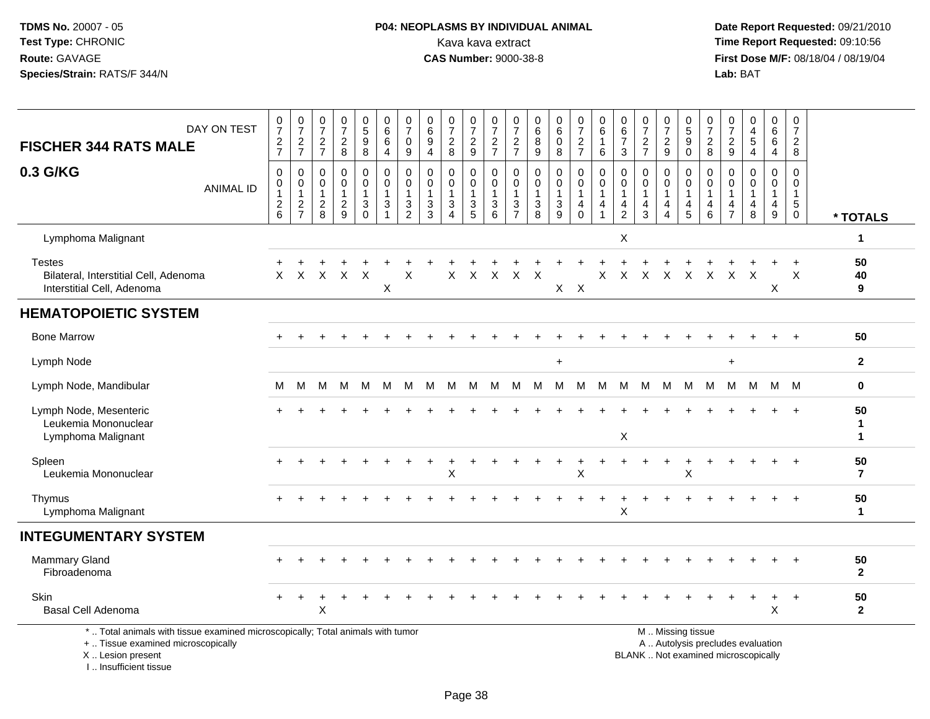## **P04: NEOPLASMS BY INDIVIDUAL ANIMAL**<br>Kava kava extract Kava kava extract **Time Report Requested:** 09:10:56<br>**CAS Number:** 9000-38-8<br>**Tirst Dose M/F:** 08/18/04 / 08/19/04

 **Date Report Requested:** 09/21/2010 **First Dose M/F:** 08/18/04 / 08/19/04<br>Lab: BAT **Lab:** BAT

| DAY ON TEST<br><b>FISCHER 344 RATS MALE</b>                                                                                                | $\frac{0}{7}$<br>$\frac{2}{7}$                                            | $\frac{0}{7}$<br>$\frac{2}{7}$                  | 0<br>$\overline{7}$<br>$\overline{c}$<br>$\overline{7}$ | 0<br>$\overline{7}$<br>$\sqrt{2}$<br>8                            | $\begin{smallmatrix}0\0\0\end{smallmatrix}$<br>$\boldsymbol{9}$<br>$\bf8$ | 0<br>6<br>6<br>4                           | $\frac{0}{7}$<br>$\mathbf 0$<br>$9\,$                  | 0<br>6<br>9<br>$\overline{4}$                        | $\frac{0}{7}$<br>$\sqrt{2}$<br>8                  | 0<br>$\overline{7}$<br>$\frac{2}{9}$                                          | 0<br>$\overline{7}$<br>$\frac{2}{7}$              | 0<br>$\overline{7}$<br>$\overline{c}$<br>$\overline{7}$                   | 0<br>6<br>8<br>9                       | $\begin{array}{c} 0 \\ 6 \end{array}$<br>$\pmb{0}$<br>8 | $\begin{smallmatrix}0\\7\end{smallmatrix}$<br>$\sqrt{2}$<br>$\overline{7}$ | 0<br>$\,6\,$<br>1<br>6                | $\begin{array}{c} 0 \\ 6 \end{array}$<br>$\overline{7}$<br>$\mathbf{3}$     | 0<br>$\overline{7}$<br>$\sqrt{2}$<br>$\overline{7}$ | 0<br>$\overline{7}$<br>$\sqrt{2}$<br>9                            | 0<br>5<br>9<br>$\mathbf 0$              | 0<br>$\overline{7}$<br>$\boldsymbol{2}$<br>8 | 0<br>$\boldsymbol{7}$<br>$\sqrt{2}$<br>9          | $\begin{smallmatrix}0\\4\end{smallmatrix}$<br>$\,$ 5 $\,$<br>$\overline{4}$ | 0<br>6<br>6<br>$\overline{4}$                                  | 0<br>$\overline{7}$<br>$\boldsymbol{2}$<br>8                        |                        |
|--------------------------------------------------------------------------------------------------------------------------------------------|---------------------------------------------------------------------------|-------------------------------------------------|---------------------------------------------------------|-------------------------------------------------------------------|---------------------------------------------------------------------------|--------------------------------------------|--------------------------------------------------------|------------------------------------------------------|---------------------------------------------------|-------------------------------------------------------------------------------|---------------------------------------------------|---------------------------------------------------------------------------|----------------------------------------|---------------------------------------------------------|----------------------------------------------------------------------------|---------------------------------------|-----------------------------------------------------------------------------|-----------------------------------------------------|-------------------------------------------------------------------|-----------------------------------------|----------------------------------------------|---------------------------------------------------|-----------------------------------------------------------------------------|----------------------------------------------------------------|---------------------------------------------------------------------|------------------------|
| 0.3 G/KG<br><b>ANIMAL ID</b>                                                                                                               | $\mathbf 0$<br>0<br>$\mathbf{1}$<br>$\begin{array}{c} 2 \\ 6 \end{array}$ | 0<br>$\pmb{0}$<br>$\mathbf{1}$<br>$\frac{2}{7}$ | $\mathbf 0$<br>0<br>$\overline{1}$<br>$_{\rm 8}^2$      | $\mathbf 0$<br>$\mathbf 0$<br>$\mathbf{1}$<br>$\overline{c}$<br>9 | $\mathbf 0$<br>$\mathbf 0$<br>$\mathbf{1}$<br>3<br>$\mathbf 0$            | 0<br>$\mathbf 0$<br>$\mathbf{1}$<br>3<br>1 | $\mathbf 0$<br>$\mathbf 0$<br>1<br>3<br>$\overline{2}$ | 0<br>$\Omega$<br>$\mathbf{1}$<br>3<br>$\overline{3}$ | $\mathbf 0$<br>$\Omega$<br>1<br>$\mathbf{3}$<br>Δ | $\mathbf 0$<br>$\mathbf{0}$<br>$\mathbf{1}$<br>$\mathbf{3}$<br>$\overline{5}$ | $\mathbf 0$<br>$\Omega$<br>$\mathbf{1}$<br>3<br>6 | $\mathbf 0$<br>$\Omega$<br>$\mathbf{1}$<br>$\mathbf{3}$<br>$\overline{7}$ | $\mathbf 0$<br>$\Omega$<br>1<br>3<br>8 | 0<br>$\mathbf 0$<br>$\mathbf 1$<br>3<br>$\overline{9}$  | $\mathbf 0$<br>$\mathbf 0$<br>$\mathbf{1}$<br>4<br>$\mathbf 0$             | $\mathbf 0$<br>$\mathbf 0$<br>-1<br>4 | $\mathbf 0$<br>$\Omega$<br>$\mathbf{1}$<br>$\overline{4}$<br>$\overline{2}$ | $\mathbf 0$<br>$\Omega$<br>$\mathbf{1}$<br>4<br>3   | $\mathbf 0$<br>$\mathbf 0$<br>$\mathbf{1}$<br>4<br>$\overline{4}$ | 0<br>$\Omega$<br>$\mathbf{1}$<br>4<br>5 | 0<br>$\Omega$<br>1<br>4<br>6                 | $\Omega$<br>$\Omega$<br>-1<br>4<br>$\overline{7}$ | $\mathbf 0$<br>$\Omega$<br>1<br>$\overline{4}$<br>8                         | $\mathbf 0$<br>$\Omega$<br>$\mathbf{1}$<br>$\overline{4}$<br>9 | $\Omega$<br>$\Omega$<br>$\overline{1}$<br>$\sqrt{5}$<br>$\mathbf 0$ | * TOTALS               |
| Lymphoma Malignant                                                                                                                         |                                                                           |                                                 |                                                         |                                                                   |                                                                           |                                            |                                                        |                                                      |                                                   |                                                                               |                                                   |                                                                           |                                        |                                                         |                                                                            |                                       | X                                                                           |                                                     |                                                                   |                                         |                                              |                                                   |                                                                             |                                                                |                                                                     | 1                      |
| <b>Testes</b><br>Bilateral, Interstitial Cell, Adenoma<br>Interstitial Cell, Adenoma                                                       | X                                                                         | X                                               | X                                                       | $\times$                                                          | $\mathsf{X}$                                                              | X                                          | X                                                      |                                                      | X                                                 | $\boldsymbol{\mathsf{X}}$                                                     | $\times$                                          | X                                                                         | X                                      | X                                                       | $\mathsf{X}$                                                               | Χ                                     | X                                                                           | $\times$                                            | $\boldsymbol{\mathsf{X}}$                                         | $\mathsf{X}$                            | $\sf X$                                      | $\sf X$                                           | $\mathsf{X}$                                                                | X                                                              | X                                                                   | 50<br>40<br>9          |
| <b>HEMATOPOIETIC SYSTEM</b>                                                                                                                |                                                                           |                                                 |                                                         |                                                                   |                                                                           |                                            |                                                        |                                                      |                                                   |                                                                               |                                                   |                                                                           |                                        |                                                         |                                                                            |                                       |                                                                             |                                                     |                                                                   |                                         |                                              |                                                   |                                                                             |                                                                |                                                                     |                        |
| <b>Bone Marrow</b>                                                                                                                         |                                                                           |                                                 |                                                         |                                                                   |                                                                           |                                            |                                                        |                                                      |                                                   |                                                                               |                                                   |                                                                           |                                        |                                                         |                                                                            |                                       |                                                                             |                                                     |                                                                   |                                         |                                              |                                                   |                                                                             |                                                                |                                                                     | 50                     |
| Lymph Node                                                                                                                                 |                                                                           |                                                 |                                                         |                                                                   |                                                                           |                                            |                                                        |                                                      |                                                   |                                                                               |                                                   |                                                                           |                                        | $\ddot{}$                                               |                                                                            |                                       |                                                                             |                                                     |                                                                   |                                         |                                              | $\ddot{}$                                         |                                                                             |                                                                |                                                                     | $\overline{2}$         |
| Lymph Node, Mandibular                                                                                                                     | M                                                                         | M                                               | м                                                       | м                                                                 | M                                                                         | M                                          | M                                                      | M                                                    | M                                                 | M                                                                             | М                                                 | M                                                                         | M                                      | M                                                       | M                                                                          | M                                     | М                                                                           | м                                                   | M                                                                 | M                                       | M                                            | M                                                 | M                                                                           | M                                                              | M                                                                   | 0                      |
| Lymph Node, Mesenteric<br>Leukemia Mononuclear<br>Lymphoma Malignant                                                                       |                                                                           |                                                 |                                                         |                                                                   |                                                                           |                                            |                                                        |                                                      |                                                   |                                                                               |                                                   |                                                                           |                                        |                                                         |                                                                            |                                       | X                                                                           |                                                     |                                                                   |                                         |                                              |                                                   |                                                                             |                                                                |                                                                     | 50<br>1<br>$\mathbf 1$ |
| Spleen<br>Leukemia Mononuclear                                                                                                             |                                                                           |                                                 |                                                         |                                                                   |                                                                           |                                            |                                                        |                                                      | X                                                 |                                                                               |                                                   |                                                                           |                                        |                                                         | $\sf X$                                                                    |                                       |                                                                             |                                                     |                                                                   | X                                       |                                              |                                                   |                                                                             |                                                                |                                                                     | 50<br>$\overline{7}$   |
| Thymus<br>Lymphoma Malignant                                                                                                               |                                                                           |                                                 |                                                         |                                                                   |                                                                           |                                            |                                                        |                                                      |                                                   |                                                                               |                                                   |                                                                           |                                        |                                                         |                                                                            |                                       | X                                                                           |                                                     |                                                                   |                                         |                                              |                                                   |                                                                             |                                                                |                                                                     | 50<br>1                |
| <b>INTEGUMENTARY SYSTEM</b>                                                                                                                |                                                                           |                                                 |                                                         |                                                                   |                                                                           |                                            |                                                        |                                                      |                                                   |                                                                               |                                                   |                                                                           |                                        |                                                         |                                                                            |                                       |                                                                             |                                                     |                                                                   |                                         |                                              |                                                   |                                                                             |                                                                |                                                                     |                        |
| <b>Mammary Gland</b><br>Fibroadenoma                                                                                                       |                                                                           |                                                 |                                                         |                                                                   |                                                                           |                                            |                                                        |                                                      |                                                   |                                                                               |                                                   |                                                                           |                                        |                                                         |                                                                            |                                       |                                                                             |                                                     |                                                                   |                                         |                                              |                                                   |                                                                             |                                                                |                                                                     | 50<br>$\overline{2}$   |
| Skin<br>Basal Cell Adenoma                                                                                                                 |                                                                           |                                                 | X                                                       |                                                                   |                                                                           |                                            |                                                        |                                                      |                                                   |                                                                               |                                                   |                                                                           |                                        |                                                         |                                                                            |                                       |                                                                             |                                                     |                                                                   |                                         |                                              |                                                   |                                                                             | $\pmb{\times}$                                                 |                                                                     | 50<br>$\overline{2}$   |
| *  Total animals with tissue examined microscopically; Total animals with tumor<br>+  Tissue examined microscopically<br>X  Lesion present |                                                                           |                                                 |                                                         |                                                                   |                                                                           |                                            |                                                        |                                                      |                                                   |                                                                               |                                                   |                                                                           |                                        |                                                         |                                                                            |                                       |                                                                             |                                                     |                                                                   | M  Missing tissue                       |                                              |                                                   | A  Autolysis precludes evaluation<br>BLANK  Not examined microscopically    |                                                                |                                                                     |                        |

I .. Insufficient tissue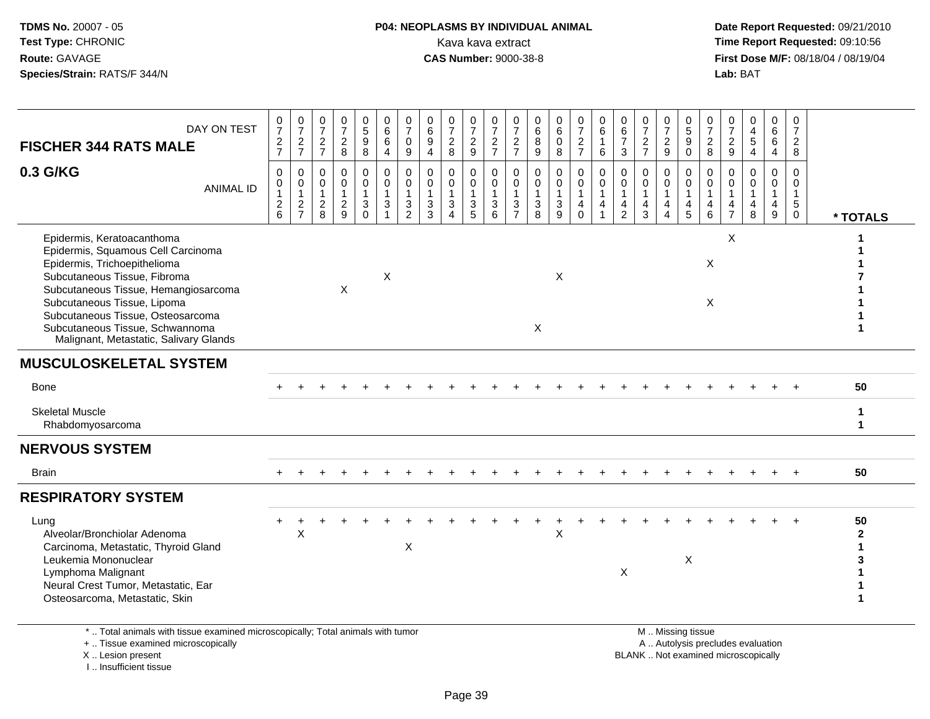# **P04: NEOPLASMS BY INDIVIDUAL ANIMAL**<br>Kava kava extract Kava kava extract **Time Report Requested:** 09:10:56<br>**CAS Number:** 9000-38-8<br>**Tirst Dose M/F:** 08/18/04 / 08/19/04

 **Date Report Requested:** 09/21/2010 **First Dose M/F:** 08/18/04 / 08/19/04<br>Lab: BAT **Lab:** BAT

| DAY ON TEST<br><b>FISCHER 344 RATS MALE</b>                                                                                                                                                                                                                                                                               | $\frac{0}{7}$<br>$\frac{2}{7}$                                              | 0<br>$\overline{7}$<br>$\frac{2}{7}$                        | 0<br>$\overline{7}$<br>$\frac{2}{7}$                             | 0<br>$\overline{7}$<br>$\frac{2}{8}$                        | $\frac{0}{5}$<br>9<br>8                 | 0<br>$6\phantom{a}$<br>6<br>$\overline{4}$                                              | 0<br>$\overline{7}$<br>$\mathsf{O}\xspace$<br>$9\,$ | 0<br>$6\phantom{a}$<br>$\boldsymbol{9}$<br>$\overline{4}$ | $\frac{0}{7}$<br>$\frac{2}{8}$                                                         | $\frac{0}{7}$<br>$\frac{2}{9}$                                   | 0<br>$\overline{7}$<br>$\frac{2}{7}$              | 0<br>$\overline{7}$<br>$\frac{2}{7}$                                 | 0<br>6<br>8<br>9                                  | 0<br>$\,6\,$<br>$\pmb{0}$<br>$\,8\,$                                         | 0<br>$\overline{7}$<br>$\frac{2}{7}$                          | 0<br>$\,6$<br>$\mathbf{1}$<br>6                                  | 0<br>$\,6\,$<br>$\overline{7}$<br>$\mathbf{3}$                              | 0<br>$\overline{7}$<br>$\frac{2}{7}$                           | $\frac{0}{7}$<br>$\frac{2}{9}$                           | 0<br>$\overline{5}$<br>$\boldsymbol{9}$<br>$\mathbf 0$     | $\frac{0}{7}$<br>$\sqrt{2}$<br>8                     | 0<br>$\overline{7}$<br>$\frac{2}{9}$ | 0<br>$\overline{4}$<br>$\sqrt{5}$<br>$\overline{4}$     | 0<br>6<br>6<br>4                               | 0<br>$\overline{7}$<br>$\overline{2}$<br>8                           |                           |
|---------------------------------------------------------------------------------------------------------------------------------------------------------------------------------------------------------------------------------------------------------------------------------------------------------------------------|-----------------------------------------------------------------------------|-------------------------------------------------------------|------------------------------------------------------------------|-------------------------------------------------------------|-----------------------------------------|-----------------------------------------------------------------------------------------|-----------------------------------------------------|-----------------------------------------------------------|----------------------------------------------------------------------------------------|------------------------------------------------------------------|---------------------------------------------------|----------------------------------------------------------------------|---------------------------------------------------|------------------------------------------------------------------------------|---------------------------------------------------------------|------------------------------------------------------------------|-----------------------------------------------------------------------------|----------------------------------------------------------------|----------------------------------------------------------|------------------------------------------------------------|------------------------------------------------------|--------------------------------------|---------------------------------------------------------|------------------------------------------------|----------------------------------------------------------------------|---------------------------|
| 0.3 G/KG<br><b>ANIMAL ID</b>                                                                                                                                                                                                                                                                                              | $\mathbf 0$<br>0<br>$\overline{1}$<br>$\begin{array}{c} 2 \\ 6 \end{array}$ | $\mathbf 0$<br>$\mathbf 0$<br>$\mathbf{1}$<br>$\frac{2}{7}$ | $\Omega$<br>$\mathbf 0$<br>$\overline{1}$<br>$\overline{c}$<br>8 | $\mathbf 0$<br>$\mathbf 0$<br>$\mathbf{1}$<br>$\frac{2}{9}$ | 0<br>$\mathsf{O}$<br>1<br>3<br>$\Omega$ | $\mathbf 0$<br>$\mathbf 0$<br>$\mathbf{1}$<br>$\ensuremath{\mathsf{3}}$<br>$\mathbf{1}$ | $\mathbf 0$<br>0<br>$\mathbf{1}$<br>$\frac{3}{2}$   | $\mathbf 0$<br>0<br>$\overline{1}$<br>$\frac{3}{3}$       | $\Omega$<br>$\mathbf 0$<br>$\mathbf{1}$<br>$\ensuremath{\mathsf{3}}$<br>$\overline{A}$ | 0<br>$\pmb{0}$<br>$\mathbf{1}$<br>$\ensuremath{\mathsf{3}}$<br>5 | $\Omega$<br>$\mathbf 0$<br>$\mathbf{1}$<br>3<br>6 | $\Omega$<br>$\mathbf 0$<br>$\mathbf{1}$<br>$\ensuremath{\mathsf{3}}$ | $\Omega$<br>$\mathbf 0$<br>$\mathbf{1}$<br>3<br>8 | $\mathbf 0$<br>$\mathbf 0$<br>$\mathbf{1}$<br>$\ensuremath{\mathsf{3}}$<br>9 | $\mathbf 0$<br>$\mathbf 0$<br>$\overline{1}$<br>4<br>$\Omega$ | $\Omega$<br>$\mathbf 0$<br>$\overline{1}$<br>4<br>$\overline{1}$ | $\Omega$<br>$\mathbf 0$<br>$\mathbf{1}$<br>$\overline{4}$<br>$\overline{c}$ | $\Omega$<br>$\mathbf 0$<br>$\mathbf{1}$<br>$\overline{4}$<br>3 | $\Omega$<br>$\mathbf 0$<br>$\mathbf{1}$<br>4<br>$\Delta$ | $\Omega$<br>$\mathbf 0$<br>$\overline{1}$<br>$\frac{4}{5}$ | $\mathbf 0$<br>$\mathbf 0$<br>$\mathbf{1}$<br>4<br>6 | $\Omega$<br>4                        | $\mathbf 0$<br>0<br>$\mathbf{1}$<br>$\overline{4}$<br>8 | 0<br>$\mathbf 0$<br>$\mathbf{1}$<br>4<br>$9\,$ | $\Omega$<br>$\mathbf 0$<br>$\mathbf{1}$<br>$\sqrt{5}$<br>$\mathbf 0$ | * TOTALS                  |
| Epidermis, Keratoacanthoma<br>Epidermis, Squamous Cell Carcinoma<br>Epidermis, Trichoepithelioma<br>Subcutaneous Tissue, Fibroma<br>Subcutaneous Tissue, Hemangiosarcoma<br>Subcutaneous Tissue, Lipoma<br>Subcutaneous Tissue, Osteosarcoma<br>Subcutaneous Tissue, Schwannoma<br>Malignant, Metastatic, Salivary Glands |                                                                             |                                                             |                                                                  | X                                                           |                                         | X                                                                                       |                                                     |                                                           |                                                                                        |                                                                  |                                                   |                                                                      | $\mathsf X$                                       | X                                                                            |                                                               |                                                                  |                                                                             |                                                                |                                                          |                                                            | X<br>X                                               | X                                    |                                                         |                                                |                                                                      |                           |
| <b>MUSCULOSKELETAL SYSTEM</b>                                                                                                                                                                                                                                                                                             |                                                                             |                                                             |                                                                  |                                                             |                                         |                                                                                         |                                                     |                                                           |                                                                                        |                                                                  |                                                   |                                                                      |                                                   |                                                                              |                                                               |                                                                  |                                                                             |                                                                |                                                          |                                                            |                                                      |                                      |                                                         |                                                |                                                                      |                           |
| <b>Bone</b>                                                                                                                                                                                                                                                                                                               |                                                                             |                                                             |                                                                  |                                                             |                                         |                                                                                         |                                                     |                                                           |                                                                                        |                                                                  |                                                   |                                                                      |                                                   |                                                                              |                                                               |                                                                  |                                                                             |                                                                |                                                          |                                                            |                                                      |                                      |                                                         |                                                |                                                                      | 50                        |
| <b>Skeletal Muscle</b><br>Rhabdomyosarcoma                                                                                                                                                                                                                                                                                |                                                                             |                                                             |                                                                  |                                                             |                                         |                                                                                         |                                                     |                                                           |                                                                                        |                                                                  |                                                   |                                                                      |                                                   |                                                                              |                                                               |                                                                  |                                                                             |                                                                |                                                          |                                                            |                                                      |                                      |                                                         |                                                |                                                                      | 1<br>$\blacktriangleleft$ |
| <b>NERVOUS SYSTEM</b>                                                                                                                                                                                                                                                                                                     |                                                                             |                                                             |                                                                  |                                                             |                                         |                                                                                         |                                                     |                                                           |                                                                                        |                                                                  |                                                   |                                                                      |                                                   |                                                                              |                                                               |                                                                  |                                                                             |                                                                |                                                          |                                                            |                                                      |                                      |                                                         |                                                |                                                                      |                           |
| <b>Brain</b>                                                                                                                                                                                                                                                                                                              |                                                                             |                                                             |                                                                  |                                                             |                                         |                                                                                         |                                                     |                                                           |                                                                                        |                                                                  |                                                   |                                                                      |                                                   |                                                                              |                                                               |                                                                  |                                                                             |                                                                |                                                          |                                                            |                                                      |                                      |                                                         | $\ddot{}$                                      | $+$                                                                  | 50                        |
| <b>RESPIRATORY SYSTEM</b>                                                                                                                                                                                                                                                                                                 |                                                                             |                                                             |                                                                  |                                                             |                                         |                                                                                         |                                                     |                                                           |                                                                                        |                                                                  |                                                   |                                                                      |                                                   |                                                                              |                                                               |                                                                  |                                                                             |                                                                |                                                          |                                                            |                                                      |                                      |                                                         |                                                |                                                                      |                           |
| Lung<br>Alveolar/Bronchiolar Adenoma<br>Carcinoma, Metastatic, Thyroid Gland<br>Leukemia Mononuclear<br>Lymphoma Malignant<br>Neural Crest Tumor, Metastatic, Ear<br>Osteosarcoma, Metastatic, Skin                                                                                                                       | $\pm$                                                                       | X                                                           |                                                                  |                                                             |                                         |                                                                                         | $\times$                                            |                                                           |                                                                                        |                                                                  |                                                   |                                                                      |                                                   | X                                                                            |                                                               |                                                                  | X                                                                           |                                                                |                                                          | X                                                          |                                                      |                                      |                                                         |                                                |                                                                      | 50<br>$\mathbf{2}$        |
| *  Total animals with tissue examined microscopically; Total animals with tumor<br>+  Tissue examined microscopically                                                                                                                                                                                                     |                                                                             |                                                             |                                                                  |                                                             |                                         |                                                                                         |                                                     |                                                           |                                                                                        |                                                                  |                                                   |                                                                      |                                                   |                                                                              |                                                               |                                                                  |                                                                             |                                                                |                                                          | M  Missing tissue                                          |                                                      |                                      | A  Autolysis precludes evaluation                       |                                                |                                                                      |                           |

X .. Lesion present

I .. Insufficient tissue

A .. Autolysis precludes evaluation

Lesion present BLANK .. Not examined microscopically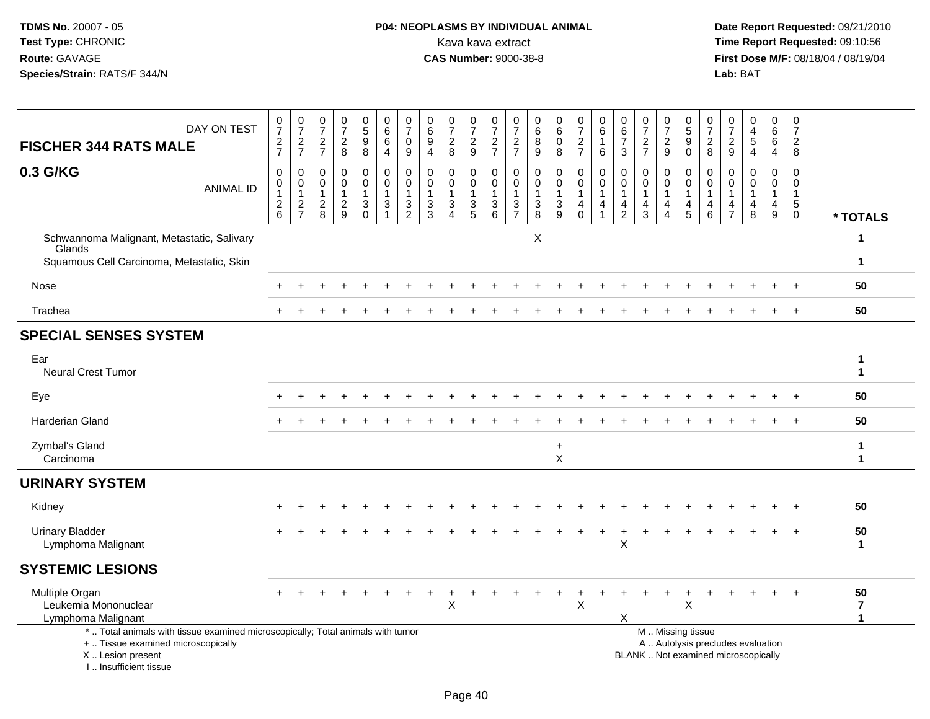### **P04: NEOPLASMS BY INDIVIDUAL ANIMAL**Kava kava extract **Time Report Requested:** 09:10:56<br>**CAS Number:** 9000-38-8 **CAS Number:** 9000-38-8

 **Date Report Requested:** 09/21/2010 **First Dose M/F:** 08/18/04 / 08/19/04<br>Lab: BAT **Lab:** BAT

| DAY ON TEST<br><b>FISCHER 344 RATS MALE</b>                                                                                                                         | $\frac{0}{7}$<br>$\frac{2}{7}$                          | $\frac{0}{7}$<br>$\frac{2}{7}$                    | $\frac{0}{7}$<br>$\frac{2}{7}$                         | 0<br>$\overline{7}$<br>$\frac{2}{8}$             | $\begin{array}{c} 0 \\ 5 \\ 9 \end{array}$<br>$\overline{8}$ | 0<br>$6\phantom{a}$<br>6<br>$\overline{4}$                              | $\frac{0}{7}$<br>$\pmb{0}$<br>$9\,$                     | $\begin{array}{c} 0 \\ 6 \end{array}$<br>$\boldsymbol{9}$<br>$\overline{4}$ | $\frac{0}{7}$<br>$\boldsymbol{2}$<br>8                            | $\frac{0}{7}$<br>$\frac{2}{9}$                            | 0<br>$\overline{7}$<br>$\frac{2}{7}$              | 0<br>$\overline{7}$<br>$\frac{2}{7}$              | 0<br>6<br>$_{9}^{8}$                                      | $\begin{array}{c} 0 \\ 6 \end{array}$<br>$\pmb{0}$<br>8                                           | $\frac{0}{7}$<br>$\frac{2}{7}$                                            | $\pmb{0}$<br>$\,6\,$<br>$\mathbf{1}$<br>6                                            | $\begin{array}{c} 0 \\ 6 \end{array}$<br>$\overline{7}$<br>3 | 0<br>$\overline{7}$<br>$\frac{2}{7}$                              | $\frac{0}{7}$<br>$\overline{c}$<br>9                    | $\begin{array}{c} 0 \\ 5 \end{array}$<br>$_{0}^{9}$ | $\mathbf 0$<br>$\overline{7}$<br>$\frac{2}{8}$          | 0<br>$\overline{7}$<br>$\frac{2}{9}$       | 0<br>$\overline{4}$<br>$\sqrt{5}$<br>$\overline{4}$                      | 0<br>6<br>6<br>$\overline{4}$                       | 0<br>$\overline{7}$<br>$\overline{2}$<br>8              |                                               |
|---------------------------------------------------------------------------------------------------------------------------------------------------------------------|---------------------------------------------------------|---------------------------------------------------|--------------------------------------------------------|--------------------------------------------------|--------------------------------------------------------------|-------------------------------------------------------------------------|---------------------------------------------------------|-----------------------------------------------------------------------------|-------------------------------------------------------------------|-----------------------------------------------------------|---------------------------------------------------|---------------------------------------------------|-----------------------------------------------------------|---------------------------------------------------------------------------------------------------|---------------------------------------------------------------------------|--------------------------------------------------------------------------------------|--------------------------------------------------------------|-------------------------------------------------------------------|---------------------------------------------------------|-----------------------------------------------------|---------------------------------------------------------|--------------------------------------------|--------------------------------------------------------------------------|-----------------------------------------------------|---------------------------------------------------------|-----------------------------------------------|
| 0.3 G/KG<br><b>ANIMAL ID</b>                                                                                                                                        | $\pmb{0}$<br>0<br>$\begin{array}{c} 2 \\ 6 \end{array}$ | $\pmb{0}$<br>$\overline{0}$<br>1<br>$\frac{2}{7}$ | $\mathbf 0$<br>$\mathbf 0$<br>$\mathbf{1}$<br>$_{8}^2$ | $\mathbf 0$<br>$\mathbf 0$<br>1<br>$\frac{2}{9}$ | $\boldsymbol{0}$<br>$\mathbf 0$<br>1<br>3<br>$\Omega$        | $\boldsymbol{0}$<br>$\mathbf 0$<br>$\overline{1}$<br>$\mathbf{3}$<br>-1 | $\pmb{0}$<br>$\pmb{0}$<br>$\mathbf{1}$<br>$\frac{3}{2}$ | $\mathbf 0$<br>$\mathbf 0$<br>$\mathbf{1}$<br>$\frac{3}{3}$                 | $\mathbf 0$<br>$\mathbf 0$<br>$\mathbf{1}$<br>3<br>$\overline{4}$ | 0<br>$\mathsf{O}\xspace$<br>$\mathbf{1}$<br>$\frac{3}{5}$ | 0<br>$\mathbf 0$<br>$\mathbf{1}$<br>$\frac{3}{6}$ | 0<br>$\mathbf 0$<br>$\mathbf{1}$<br>$\frac{3}{7}$ | $\boldsymbol{0}$<br>$\mathbf 0$<br>$\mathbf{1}$<br>$_8^3$ | $\mathbf 0$<br>$\mathsf{O}\xspace$<br>$\mathbf{1}$<br>$\ensuremath{\mathsf{3}}$<br>$\overline{9}$ | $\mathbf 0$<br>$\pmb{0}$<br>$\mathbf{1}$<br>$\overline{4}$<br>$\mathbf 0$ | $\pmb{0}$<br>$\mathsf{O}\xspace$<br>$\mathbf{1}$<br>$\overline{4}$<br>$\overline{1}$ | 0<br>$\mathbf 0$<br>-1<br>4<br>$\overline{2}$                | $\mathbf 0$<br>$\mathbf 0$<br>$\mathbf{1}$<br>$\overline{4}$<br>3 | 0<br>$\mathbf 0$<br>$\mathbf{1}$<br>4<br>$\overline{4}$ | 0<br>0<br>$\mathbf{1}$<br>4<br>5                    | 0<br>$\mathbf 0$<br>$\mathbf{1}$<br>4<br>$6\phantom{a}$ | 0<br>$\Omega$<br>-1<br>4<br>$\overline{7}$ | $\Omega$<br>$\Omega$<br>$\mathbf{1}$<br>$\overline{4}$<br>8              | $\mathbf 0$<br>$\Omega$<br>1<br>$\overline{4}$<br>9 | 0<br>$\mathbf 0$<br>$\mathbf{1}$<br>$\overline{5}$<br>0 | * TOTALS                                      |
| Schwannoma Malignant, Metastatic, Salivary                                                                                                                          |                                                         |                                                   |                                                        |                                                  |                                                              |                                                                         |                                                         |                                                                             |                                                                   |                                                           |                                                   |                                                   | X                                                         |                                                                                                   |                                                                           |                                                                                      |                                                              |                                                                   |                                                         |                                                     |                                                         |                                            |                                                                          |                                                     |                                                         |                                               |
| Glands<br>Squamous Cell Carcinoma, Metastatic, Skin                                                                                                                 |                                                         |                                                   |                                                        |                                                  |                                                              |                                                                         |                                                         |                                                                             |                                                                   |                                                           |                                                   |                                                   |                                                           |                                                                                                   |                                                                           |                                                                                      |                                                              |                                                                   |                                                         |                                                     |                                                         |                                            |                                                                          |                                                     |                                                         | $\mathbf 1$                                   |
| Nose                                                                                                                                                                |                                                         |                                                   |                                                        |                                                  |                                                              |                                                                         |                                                         |                                                                             |                                                                   |                                                           |                                                   |                                                   |                                                           |                                                                                                   |                                                                           |                                                                                      |                                                              |                                                                   |                                                         |                                                     |                                                         |                                            |                                                                          |                                                     |                                                         | 50                                            |
| Trachea                                                                                                                                                             |                                                         |                                                   |                                                        |                                                  |                                                              |                                                                         |                                                         |                                                                             |                                                                   |                                                           |                                                   |                                                   |                                                           |                                                                                                   |                                                                           |                                                                                      |                                                              |                                                                   |                                                         |                                                     |                                                         |                                            |                                                                          |                                                     |                                                         | 50                                            |
| <b>SPECIAL SENSES SYSTEM</b>                                                                                                                                        |                                                         |                                                   |                                                        |                                                  |                                                              |                                                                         |                                                         |                                                                             |                                                                   |                                                           |                                                   |                                                   |                                                           |                                                                                                   |                                                                           |                                                                                      |                                                              |                                                                   |                                                         |                                                     |                                                         |                                            |                                                                          |                                                     |                                                         |                                               |
| Ear<br><b>Neural Crest Tumor</b>                                                                                                                                    |                                                         |                                                   |                                                        |                                                  |                                                              |                                                                         |                                                         |                                                                             |                                                                   |                                                           |                                                   |                                                   |                                                           |                                                                                                   |                                                                           |                                                                                      |                                                              |                                                                   |                                                         |                                                     |                                                         |                                            |                                                                          |                                                     |                                                         | 1<br>$\mathbf 1$                              |
| Eye                                                                                                                                                                 |                                                         |                                                   |                                                        |                                                  |                                                              |                                                                         |                                                         |                                                                             |                                                                   |                                                           |                                                   |                                                   |                                                           |                                                                                                   |                                                                           |                                                                                      |                                                              |                                                                   |                                                         |                                                     |                                                         |                                            |                                                                          |                                                     |                                                         | 50                                            |
| <b>Harderian Gland</b>                                                                                                                                              |                                                         |                                                   |                                                        |                                                  |                                                              |                                                                         |                                                         |                                                                             |                                                                   |                                                           |                                                   |                                                   |                                                           |                                                                                                   |                                                                           |                                                                                      |                                                              |                                                                   |                                                         |                                                     |                                                         |                                            |                                                                          |                                                     |                                                         | 50                                            |
| Zymbal's Gland<br>Carcinoma                                                                                                                                         |                                                         |                                                   |                                                        |                                                  |                                                              |                                                                         |                                                         |                                                                             |                                                                   |                                                           |                                                   |                                                   |                                                           | $\ddot{}$<br>X                                                                                    |                                                                           |                                                                                      |                                                              |                                                                   |                                                         |                                                     |                                                         |                                            |                                                                          |                                                     |                                                         | $\mathbf 1$<br>$\mathbf 1$                    |
| <b>URINARY SYSTEM</b>                                                                                                                                               |                                                         |                                                   |                                                        |                                                  |                                                              |                                                                         |                                                         |                                                                             |                                                                   |                                                           |                                                   |                                                   |                                                           |                                                                                                   |                                                                           |                                                                                      |                                                              |                                                                   |                                                         |                                                     |                                                         |                                            |                                                                          |                                                     |                                                         |                                               |
| Kidney                                                                                                                                                              |                                                         |                                                   |                                                        |                                                  |                                                              |                                                                         |                                                         |                                                                             |                                                                   |                                                           |                                                   |                                                   |                                                           |                                                                                                   |                                                                           |                                                                                      |                                                              |                                                                   |                                                         |                                                     |                                                         |                                            |                                                                          |                                                     |                                                         | 50                                            |
| <b>Urinary Bladder</b><br>Lymphoma Malignant                                                                                                                        |                                                         |                                                   |                                                        |                                                  |                                                              |                                                                         |                                                         |                                                                             |                                                                   |                                                           |                                                   |                                                   |                                                           |                                                                                                   |                                                                           |                                                                                      | $\boldsymbol{\mathsf{X}}$                                    |                                                                   |                                                         |                                                     |                                                         |                                            |                                                                          |                                                     |                                                         | 50<br>$\mathbf{1}$                            |
| <b>SYSTEMIC LESIONS</b>                                                                                                                                             |                                                         |                                                   |                                                        |                                                  |                                                              |                                                                         |                                                         |                                                                             |                                                                   |                                                           |                                                   |                                                   |                                                           |                                                                                                   |                                                                           |                                                                                      |                                                              |                                                                   |                                                         |                                                     |                                                         |                                            |                                                                          |                                                     |                                                         |                                               |
| Multiple Organ<br>Leukemia Mononuclear<br>Lymphoma Malignant                                                                                                        |                                                         |                                                   |                                                        |                                                  |                                                              |                                                                         |                                                         |                                                                             | $\mathsf{X}$                                                      |                                                           |                                                   |                                                   |                                                           |                                                                                                   | $\mathsf{X}$                                                              |                                                                                      | X                                                            |                                                                   |                                                         | $\boldsymbol{\mathsf{X}}$                           |                                                         |                                            |                                                                          |                                                     |                                                         | 50<br>$\overline{\mathbf{z}}$<br>$\mathbf{1}$ |
| *  Total animals with tissue examined microscopically; Total animals with tumor<br>+  Tissue examined microscopically<br>X  Lesion present<br>I Insufficient tissue |                                                         |                                                   |                                                        |                                                  |                                                              |                                                                         |                                                         |                                                                             |                                                                   |                                                           |                                                   |                                                   |                                                           |                                                                                                   |                                                                           |                                                                                      |                                                              |                                                                   |                                                         | M  Missing tissue                                   |                                                         |                                            | A  Autolysis precludes evaluation<br>BLANK  Not examined microscopically |                                                     |                                                         |                                               |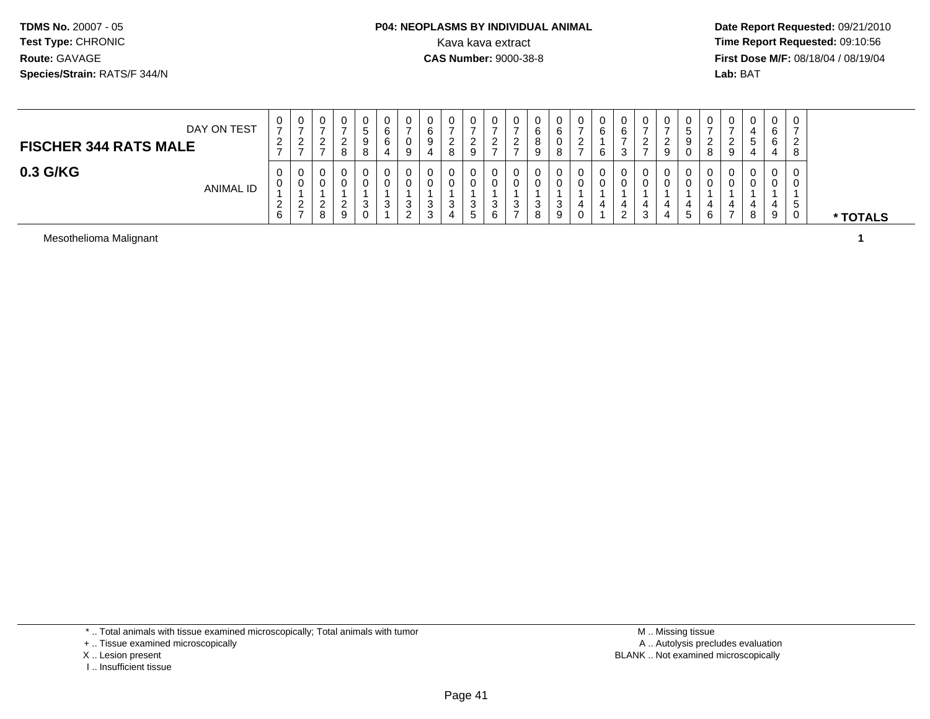#### **P04: NEOPLASMS BY INDIVIDUAL ANIMAL**<br>Kava kava extract Kava kava extract **Time Report Requested:** 09:10:56<br>**CAS Number:** 9000-38-8<br>**Tirst Dose M/F:** 08/18/04 / 08/19/04

 **Date Report Requested:** 09/21/2010 **First Dose M/F:** 08/18/04 / 08/19/04 Lab: BAT **Lab:** BAT

| DAY ON TEST<br><b>FISCHER 344 RATS MALE</b> | 0<br>$\overline{ }$<br>ົ<br>$\epsilon$ | 0<br>ົ<br>∠                              | ◡ | 0 | 0<br>$\circ$ | U | U<br>υ<br>9 | 0<br>6<br>9<br>4 | 0<br>ົ<br>_<br>8 | 0<br>9                           | ∼   |   | U<br>o<br>g | U<br>6<br>O<br>$\circ$<br>o | 0<br><u>_</u> | 0<br>6<br>6 | 0<br>6<br>n<br>ت       |   | 0<br>9      | U<br>o<br>o | 0<br><u>_</u><br>9 | 0<br>4<br>э              | 0<br>6<br>6<br>4 | 8  |          |
|---------------------------------------------|----------------------------------------|------------------------------------------|---|---|--------------|---|-------------|------------------|------------------|----------------------------------|-----|---|-------------|-----------------------------|---------------|-------------|------------------------|---|-------------|-------------|--------------------|--------------------------|------------------|----|----------|
| 0.3 G/KG<br><b>ANIMAL ID</b>                | 0<br>0<br>$\sim$<br>$\epsilon$<br>6    | 0<br>0<br>റ<br><u>_</u><br>$\rightarrow$ | 8 | 9 | 0<br>3<br>0  | J | υ<br>0<br>3 | 0<br>0<br>3<br>3 | 0<br>0<br>3      | 0<br>0<br><sup>o</sup><br>ັ<br>ັ | - 0 | ◡ | U<br>ت      | Ü<br>U<br>3<br>9            | 0<br>0        | 0<br>U      | 0<br>0<br><sup>o</sup> | 3 | 0<br>U<br>đ | U<br>U<br>6 | 0                  | 0<br>$\overline{a}$<br>8 | 0<br>0<br>4<br>9 | .5 | * TOTALS |

Mesothelioma Malignant**1**

\* .. Total animals with tissue examined microscopically; Total animals with tumor

+ .. Tissue examined microscopically

X .. Lesion present

I .. Insufficient tissue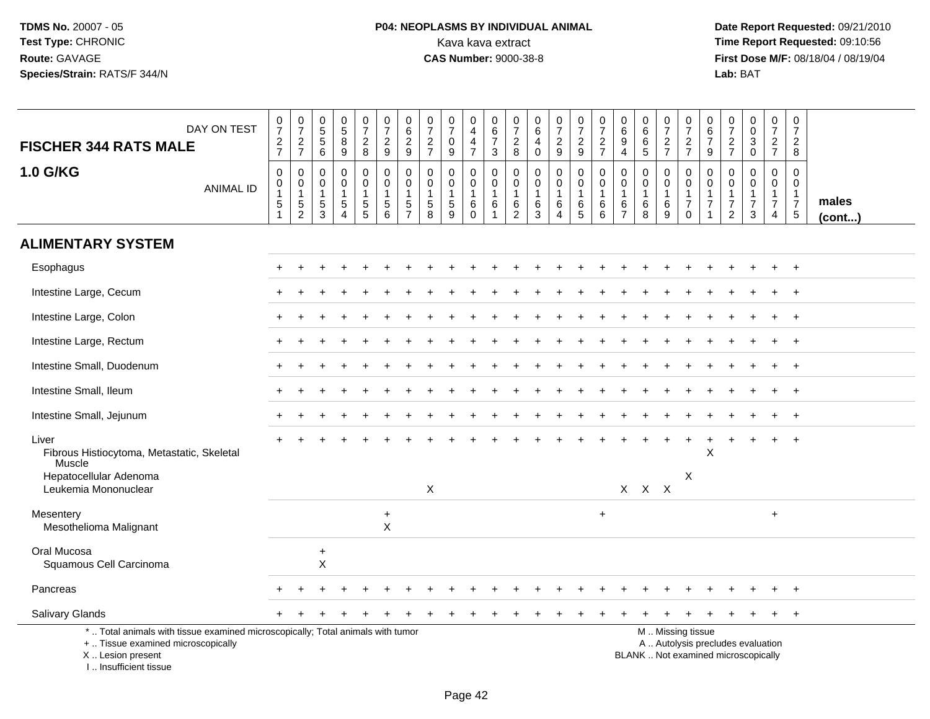# **P04: NEOPLASMS BY INDIVIDUAL ANIMAL**<br>Kava kava extract Kava kava extract **Time Report Requested:** 09:10:56<br>**CAS Number:** 9000-38-8 **CAS Number:** 9000-38-8

 **Date Report Requested:** 09/21/2010 **First Dose M/F:** 08/18/04 / 08/19/04<br>Lab: BAT **Lab:** BAT

| DAY ON TEST<br><b>FISCHER 344 RATS MALE</b>                                                                                                                         | $\frac{0}{7}$<br>$\frac{2}{7}$                                                        | $\begin{array}{c} 0 \\ 7 \end{array}$<br>$\frac{2}{7}$                      | $\begin{array}{c} 0 \\ 5 \end{array}$<br>5<br>$\,6$                           | $^{\rm 0}_{\rm 5}$<br>8<br>9                               | $\begin{array}{c} 0 \\ 7 \end{array}$<br>$_{8}^{\rm 2}$                             | $\frac{0}{7}$<br>$\frac{2}{9}$                                            | $\begin{array}{c} 0 \\ 6 \end{array}$<br>$\frac{2}{9}$        | $\begin{array}{c} 0 \\ 7 \end{array}$<br>$\frac{2}{7}$                   | $\pmb{0}$<br>$\overline{7}$<br>$\mathbf 0$<br>$\overline{9}$               | $\,0\,$<br>$\overline{\mathbf{4}}$<br>4<br>$\overline{7}$      | 0<br>$6\phantom{a}$<br>$\overline{7}$<br>$\mathbf{3}$ | $\frac{0}{7}$<br>$_{8}^{\rm 2}$                                 | $\begin{array}{c} 0 \\ 6 \end{array}$<br>$\overline{4}$<br>$\pmb{0}$ | $\begin{smallmatrix} 0\\7 \end{smallmatrix}$<br>$\frac{2}{9}$         | $\begin{array}{c} 0 \\ 7 \end{array}$<br>$\frac{2}{9}$                | 0<br>$\overline{7}$<br>$\frac{2}{7}$                                 | $\begin{array}{c} 0 \\ 6 \end{array}$<br>$\boldsymbol{9}$<br>$\overline{4}$ | $_{6}^{\rm 0}$<br>6<br>$\overline{5}$      | $\begin{array}{c} 0 \\ 7 \end{array}$<br>$rac{2}{7}$ | $\frac{0}{7}$<br>$\frac{2}{7}$                                    | $\begin{array}{c} 0 \\ 6 \\ 7 \end{array}$<br>$\boldsymbol{9}$       | $\begin{array}{c} 0 \\ 7 \end{array}$<br>$\frac{2}{7}$                         | 0<br>$\ddot{\mathbf{0}}$<br>$_{\rm 0}^3$                                 | $\begin{smallmatrix} 0\\7 \end{smallmatrix}$<br>$\frac{2}{7}$                  | $\begin{array}{c} 0 \\ 7 \end{array}$<br>$\overline{2}$<br>8       |                       |
|---------------------------------------------------------------------------------------------------------------------------------------------------------------------|---------------------------------------------------------------------------------------|-----------------------------------------------------------------------------|-------------------------------------------------------------------------------|------------------------------------------------------------|-------------------------------------------------------------------------------------|---------------------------------------------------------------------------|---------------------------------------------------------------|--------------------------------------------------------------------------|----------------------------------------------------------------------------|----------------------------------------------------------------|-------------------------------------------------------|-----------------------------------------------------------------|----------------------------------------------------------------------|-----------------------------------------------------------------------|-----------------------------------------------------------------------|----------------------------------------------------------------------|-----------------------------------------------------------------------------|--------------------------------------------|------------------------------------------------------|-------------------------------------------------------------------|----------------------------------------------------------------------|--------------------------------------------------------------------------------|--------------------------------------------------------------------------|--------------------------------------------------------------------------------|--------------------------------------------------------------------|-----------------------|
| <b>1.0 G/KG</b><br><b>ANIMAL ID</b>                                                                                                                                 | $\boldsymbol{0}$<br>$\boldsymbol{0}$<br>$\mathbf{1}$<br>$\,$ 5 $\,$<br>$\overline{1}$ | $\mathsf 0$<br>$\mathbf 0$<br>$\mathbf{1}$<br>$\,$ 5 $\,$<br>$\overline{2}$ | $\mathbf 0$<br>$\mathbf 0$<br>$\overline{1}$<br>$\,$ 5 $\,$<br>$\overline{3}$ | 0<br>$\mathbf 0$<br>1<br>$5\phantom{.0}$<br>$\overline{A}$ | $\mathsf 0$<br>$\mathbf 0$<br>$\mathbf{1}$<br>$\begin{array}{c} 5 \\ 5 \end{array}$ | $\pmb{0}$<br>$\mathbf 0$<br>$\mathbf{1}$<br>$\,$ 5 $\,$<br>$\overline{6}$ | $\mathbf 0$<br>$\mathbf 0$<br>$\overline{1}$<br>$\frac{5}{7}$ | $\pmb{0}$<br>$\mathbf 0$<br>$\mathbf{1}$<br>$\sqrt{5}$<br>$\overline{8}$ | $\mathbf 0$<br>$\mathbf 0$<br>$\mathbf{1}$<br>$\sqrt{5}$<br>$\overline{9}$ | $\mathbf 0$<br>$\mathbf 0$<br>$\mathbf{1}$<br>6<br>$\mathbf 0$ | $\mathsf{O}\xspace$<br>0<br>$\mathbf{1}$<br>6<br>1    | $\pmb{0}$<br>$\mathbf 0$<br>$\mathbf{1}$<br>6<br>$\overline{2}$ | $\pmb{0}$<br>0<br>1<br>$^6_3$                                        | $\mathbf 0$<br>$\mathbf 0$<br>$\mathbf{1}$<br>$\,6$<br>$\overline{4}$ | $\pmb{0}$<br>$\mathbf 0$<br>$\overline{1}$<br>$\,6$<br>$\overline{5}$ | $\mathbf 0$<br>$\mathbf 0$<br>$\overline{1}$<br>6<br>$6\phantom{1}6$ | $\pmb{0}$<br>$\mathbf 0$<br>$\mathbf{1}$<br>$\,6\,$<br>$\overline{7}$       | 0<br>$\mathbf 0$<br>$\mathbf{1}$<br>$^6_8$ | 0<br>$\mathbf 0$<br>$\mathbf{1}$<br>$^6_9$           | $\mathbf 0$<br>0<br>$\mathbf{1}$<br>$\overline{7}$<br>$\mathsf 0$ | $\mathbf 0$<br>0<br>$\mathbf{1}$<br>$\overline{7}$<br>$\overline{1}$ | $\mathsf 0$<br>$\mathbf 0$<br>$\mathbf{1}$<br>$\overline{7}$<br>$\overline{2}$ | 0<br>$\mathbf 0$<br>$\mathbf{1}$<br>$\overline{7}$<br>3                  | $\pmb{0}$<br>$\mathbf 0$<br>$\mathbf{1}$<br>$\boldsymbol{7}$<br>$\overline{4}$ | $\mathbf 0$<br>$\Omega$<br>-1<br>$\overline{7}$<br>$5\phantom{.0}$ | males<br>$($ cont $)$ |
| <b>ALIMENTARY SYSTEM</b>                                                                                                                                            |                                                                                       |                                                                             |                                                                               |                                                            |                                                                                     |                                                                           |                                                               |                                                                          |                                                                            |                                                                |                                                       |                                                                 |                                                                      |                                                                       |                                                                       |                                                                      |                                                                             |                                            |                                                      |                                                                   |                                                                      |                                                                                |                                                                          |                                                                                |                                                                    |                       |
| Esophagus                                                                                                                                                           |                                                                                       |                                                                             |                                                                               |                                                            |                                                                                     |                                                                           |                                                               |                                                                          |                                                                            |                                                                |                                                       |                                                                 |                                                                      |                                                                       |                                                                       |                                                                      |                                                                             |                                            |                                                      |                                                                   |                                                                      |                                                                                |                                                                          |                                                                                | $\ddot{}$                                                          |                       |
| Intestine Large, Cecum                                                                                                                                              |                                                                                       |                                                                             |                                                                               |                                                            |                                                                                     |                                                                           |                                                               |                                                                          |                                                                            |                                                                |                                                       |                                                                 |                                                                      |                                                                       |                                                                       |                                                                      |                                                                             |                                            |                                                      |                                                                   |                                                                      |                                                                                |                                                                          |                                                                                | $\overline{ }$                                                     |                       |
| Intestine Large, Colon                                                                                                                                              |                                                                                       |                                                                             |                                                                               |                                                            |                                                                                     |                                                                           |                                                               |                                                                          |                                                                            |                                                                |                                                       |                                                                 |                                                                      |                                                                       |                                                                       |                                                                      |                                                                             |                                            |                                                      |                                                                   |                                                                      |                                                                                |                                                                          |                                                                                | $\ddot{}$                                                          |                       |
| Intestine Large, Rectum                                                                                                                                             |                                                                                       |                                                                             |                                                                               |                                                            |                                                                                     |                                                                           |                                                               |                                                                          |                                                                            |                                                                |                                                       |                                                                 |                                                                      |                                                                       |                                                                       |                                                                      |                                                                             |                                            |                                                      |                                                                   |                                                                      |                                                                                |                                                                          |                                                                                | $\ddot{}$                                                          |                       |
| Intestine Small, Duodenum                                                                                                                                           |                                                                                       |                                                                             |                                                                               |                                                            |                                                                                     |                                                                           |                                                               |                                                                          |                                                                            |                                                                |                                                       |                                                                 |                                                                      |                                                                       |                                                                       |                                                                      |                                                                             |                                            |                                                      |                                                                   |                                                                      |                                                                                |                                                                          |                                                                                | $\div$                                                             |                       |
| Intestine Small, Ileum                                                                                                                                              |                                                                                       |                                                                             |                                                                               |                                                            |                                                                                     |                                                                           |                                                               |                                                                          |                                                                            |                                                                |                                                       |                                                                 |                                                                      |                                                                       |                                                                       |                                                                      |                                                                             |                                            |                                                      |                                                                   |                                                                      |                                                                                |                                                                          |                                                                                | $\ddot{}$                                                          |                       |
| Intestine Small, Jejunum                                                                                                                                            |                                                                                       |                                                                             |                                                                               |                                                            |                                                                                     |                                                                           |                                                               |                                                                          |                                                                            |                                                                |                                                       |                                                                 |                                                                      |                                                                       |                                                                       |                                                                      |                                                                             |                                            |                                                      |                                                                   |                                                                      |                                                                                |                                                                          |                                                                                | $\ddot{}$                                                          |                       |
| Liver<br>Fibrous Histiocytoma, Metastatic, Skeletal<br>Muscle<br>Hepatocellular Adenoma                                                                             |                                                                                       |                                                                             |                                                                               |                                                            |                                                                                     |                                                                           |                                                               |                                                                          |                                                                            |                                                                |                                                       |                                                                 |                                                                      |                                                                       |                                                                       |                                                                      |                                                                             |                                            |                                                      | X                                                                 | X                                                                    |                                                                                |                                                                          |                                                                                |                                                                    |                       |
| Leukemia Mononuclear                                                                                                                                                |                                                                                       |                                                                             |                                                                               |                                                            |                                                                                     |                                                                           |                                                               | X                                                                        |                                                                            |                                                                |                                                       |                                                                 |                                                                      |                                                                       |                                                                       |                                                                      |                                                                             | $X$ $X$ $X$                                |                                                      |                                                                   |                                                                      |                                                                                |                                                                          |                                                                                |                                                                    |                       |
| Mesentery<br>Mesothelioma Malignant                                                                                                                                 |                                                                                       |                                                                             |                                                                               |                                                            |                                                                                     | $\ddot{}$<br>$\mathsf{X}$                                                 |                                                               |                                                                          |                                                                            |                                                                |                                                       |                                                                 |                                                                      |                                                                       |                                                                       | $\pm$                                                                |                                                                             |                                            |                                                      |                                                                   |                                                                      |                                                                                |                                                                          | $+$                                                                            |                                                                    |                       |
| Oral Mucosa<br>Squamous Cell Carcinoma                                                                                                                              |                                                                                       |                                                                             | $\ddot{}$<br>X                                                                |                                                            |                                                                                     |                                                                           |                                                               |                                                                          |                                                                            |                                                                |                                                       |                                                                 |                                                                      |                                                                       |                                                                       |                                                                      |                                                                             |                                            |                                                      |                                                                   |                                                                      |                                                                                |                                                                          |                                                                                |                                                                    |                       |
| Pancreas                                                                                                                                                            |                                                                                       |                                                                             |                                                                               |                                                            |                                                                                     |                                                                           |                                                               |                                                                          |                                                                            |                                                                |                                                       |                                                                 |                                                                      |                                                                       |                                                                       |                                                                      |                                                                             |                                            |                                                      |                                                                   |                                                                      |                                                                                |                                                                          |                                                                                |                                                                    |                       |
| Salivary Glands                                                                                                                                                     |                                                                                       |                                                                             |                                                                               |                                                            |                                                                                     |                                                                           |                                                               |                                                                          |                                                                            |                                                                |                                                       |                                                                 |                                                                      |                                                                       |                                                                       |                                                                      |                                                                             |                                            |                                                      |                                                                   |                                                                      |                                                                                |                                                                          |                                                                                | $\ddot{}$                                                          |                       |
| *  Total animals with tissue examined microscopically; Total animals with tumor<br>+  Tissue examined microscopically<br>X  Lesion present<br>I Insufficient tissue |                                                                                       |                                                                             |                                                                               |                                                            |                                                                                     |                                                                           |                                                               |                                                                          |                                                                            |                                                                |                                                       |                                                                 |                                                                      |                                                                       |                                                                       |                                                                      |                                                                             |                                            |                                                      | M  Missing tissue                                                 |                                                                      |                                                                                | A  Autolysis precludes evaluation<br>BLANK  Not examined microscopically |                                                                                |                                                                    |                       |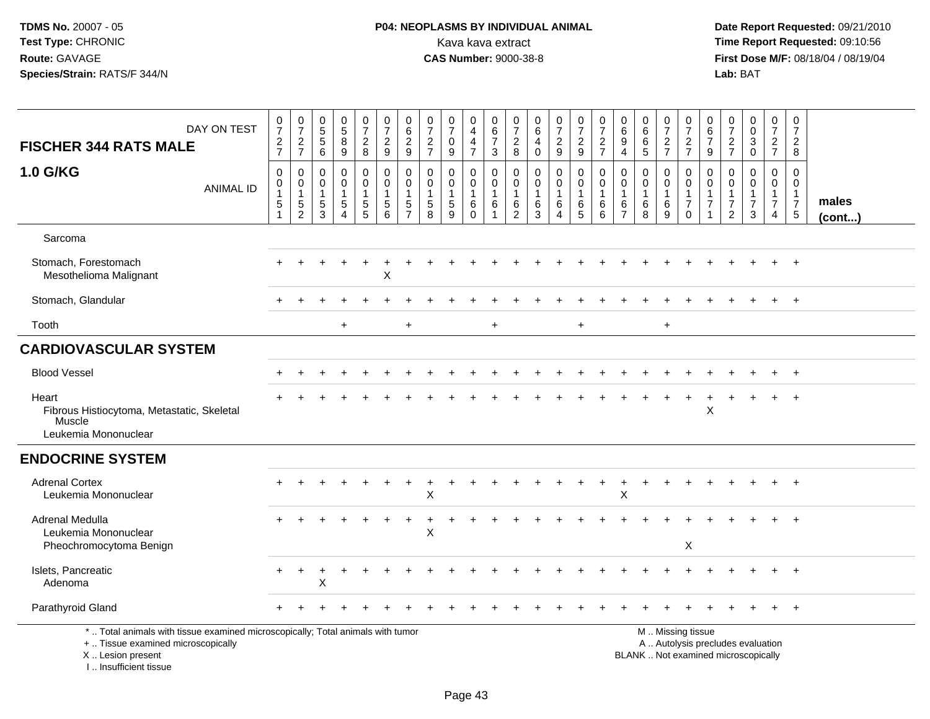# **P04: NEOPLASMS BY INDIVIDUAL ANIMAL**<br>Kava kava extract Kava kava extract **Time Report Requested:** 09:10:56<br>**CAS Number:** 9000-38-8 **CAS Number:** 9000-38-8

 **Date Report Requested:** 09/21/2010 **First Dose M/F:** 08/18/04 / 08/19/04<br>Lab: BAT **Lab:** BAT

| DAY ON TEST<br><b>FISCHER 344 RATS MALE</b>                                                                                                                         | $\frac{0}{7}$<br>$\frac{2}{7}$                                                  | $\frac{0}{7}$<br>$\frac{2}{7}$               | 0<br>5<br>5<br>6                                    | $\begin{array}{c} 0 \\ 5 \\ 8 \end{array}$<br>9         | $\begin{array}{c} 0 \\ 7 \end{array}$<br>$\frac{2}{8}$ | $\frac{0}{7}$<br>$\sqrt{2}$<br>9                                            | $\begin{array}{c} 0 \\ 6 \end{array}$<br>$\sqrt{2}$<br>9                   | $\frac{0}{7}$<br>$\sqrt{2}$<br>$\overline{7}$                 | $\frac{0}{7}$<br>0<br>$9\,$                         | 0<br>$\overline{4}$<br>$\overline{\mathbf{4}}$<br>$\overline{7}$ | $\begin{array}{c} 0 \\ 6 \\ 7 \end{array}$<br>3   | 0<br>$\overline{7}$<br>$\frac{2}{8}$                                | $\begin{array}{c} 0 \\ 6 \end{array}$<br>$\overline{4}$<br>$\mathbf 0$ | $\frac{0}{7}$<br>$\sqrt{2}$<br>9                           | $\frac{0}{7}$<br>$\frac{2}{9}$                  | $\begin{smallmatrix}0\\7\end{smallmatrix}$<br>$\overline{2}$<br>$\overline{7}$ | 0<br>6<br>9<br>$\overline{4}$                                     | $\begin{array}{c} 0 \\ 6 \end{array}$<br>$\,6\,$<br>5      | $\frac{0}{7}$<br>$\frac{2}{7}$                   | $\frac{0}{7}$<br>$\frac{2}{7}$                                                                | 0<br>$\overline{6}$<br>$\overline{7}$<br>9         | $\frac{0}{7}$<br>$\frac{2}{7}$                          | $_{\rm 0}^{\rm 0}$<br>$\overline{3}$<br>$\pmb{0}$    | $\pmb{0}$<br>$\boldsymbol{7}$<br>$rac{2}{7}$                         | 0<br>$\overline{7}$<br>$\boldsymbol{2}$<br>8                            |                       |
|---------------------------------------------------------------------------------------------------------------------------------------------------------------------|---------------------------------------------------------------------------------|----------------------------------------------|-----------------------------------------------------|---------------------------------------------------------|--------------------------------------------------------|-----------------------------------------------------------------------------|----------------------------------------------------------------------------|---------------------------------------------------------------|-----------------------------------------------------|------------------------------------------------------------------|---------------------------------------------------|---------------------------------------------------------------------|------------------------------------------------------------------------|------------------------------------------------------------|-------------------------------------------------|--------------------------------------------------------------------------------|-------------------------------------------------------------------|------------------------------------------------------------|--------------------------------------------------|-----------------------------------------------------------------------------------------------|----------------------------------------------------|---------------------------------------------------------|------------------------------------------------------|----------------------------------------------------------------------|-------------------------------------------------------------------------|-----------------------|
| 1.0 G/KG<br><b>ANIMAL ID</b>                                                                                                                                        | $\pmb{0}$<br>$\mathsf{O}\xspace$<br>$\mathbf{1}$<br>$\mathbf 5$<br>$\mathbf{1}$ | 0<br>$\mathbf 0$<br>1<br>5<br>$\overline{c}$ | $\mathbf 0$<br>0<br>$\mathbf{1}$<br>$\sqrt{5}$<br>3 | 0<br>$\mathbf 0$<br>$\mathbf{1}$<br>5<br>$\overline{4}$ | 0<br>$\mathbf 0$<br>1<br>$\frac{5}{5}$                 | $\mathbf 0$<br>$\pmb{0}$<br>$\overline{1}$<br>$\sqrt{5}$<br>$6\phantom{1}6$ | $\mathbf 0$<br>$\mathbf 0$<br>$\mathbf{1}$<br>$\sqrt{5}$<br>$\overline{7}$ | $\mathbf 0$<br>$\mathbf 0$<br>$\mathbf{1}$<br>$\sqrt{5}$<br>8 | 0<br>$\mathbf 0$<br>$\mathbf{1}$<br>$\sqrt{5}$<br>9 | 0<br>$\mathbf 0$<br>$\mathbf{1}$<br>6<br>0                       | $\mathbf 0$<br>$\mathsf 0$<br>$\overline{1}$<br>6 | $\mathbf 0$<br>$\mathbf 0$<br>$\overline{1}$<br>6<br>$\overline{2}$ | $\mathbf 0$<br>$\mathbf 0$<br>$\mathbf{1}$<br>6<br>3                   | 0<br>$\mathbf 0$<br>1<br>$6\phantom{.}6$<br>$\overline{4}$ | 0<br>$\boldsymbol{0}$<br>$\mathbf{1}$<br>6<br>5 | 0<br>$\mathbf 0$<br>$\mathbf{1}$<br>6<br>6                                     | $\mathbf 0$<br>$\mathbf 0$<br>$\mathbf{1}$<br>6<br>$\overline{7}$ | $\mathbf 0$<br>$\mathbf 0$<br>$\overline{1}$<br>$\,6$<br>8 | 0<br>$\mathbf 0$<br>$\mathbf{1}$<br>$\,6\,$<br>9 | $\mathbf 0$<br>$\mathbf 0$<br>$\mathbf{1}$<br>$\boldsymbol{7}$<br>$\mathbf 0$                 | 0<br>$\mathbf 0$<br>$\mathbf{1}$<br>$\overline{7}$ | 0<br>$\mathbf 0$<br>$\mathbf{1}$<br>7<br>$\overline{2}$ | $\mathbf 0$<br>$\pmb{0}$<br>1<br>$\overline{7}$<br>3 | 0<br>$\mathbf 0$<br>$\mathbf{1}$<br>$\overline{7}$<br>$\overline{4}$ | $\Omega$<br>$\mathbf 0$<br>$\mathbf{1}$<br>$\overline{7}$<br>$\sqrt{5}$ | males<br>$($ cont $)$ |
| Sarcoma                                                                                                                                                             |                                                                                 |                                              |                                                     |                                                         |                                                        |                                                                             |                                                                            |                                                               |                                                     |                                                                  |                                                   |                                                                     |                                                                        |                                                            |                                                 |                                                                                |                                                                   |                                                            |                                                  |                                                                                               |                                                    |                                                         |                                                      |                                                                      |                                                                         |                       |
| Stomach, Forestomach<br>Mesothelioma Malignant                                                                                                                      |                                                                                 |                                              |                                                     |                                                         |                                                        | $\pmb{\times}$                                                              |                                                                            |                                                               |                                                     |                                                                  |                                                   |                                                                     |                                                                        |                                                            |                                                 |                                                                                |                                                                   |                                                            |                                                  |                                                                                               |                                                    |                                                         |                                                      |                                                                      | $\ddot{}$                                                               |                       |
| Stomach, Glandular                                                                                                                                                  |                                                                                 |                                              |                                                     |                                                         |                                                        |                                                                             |                                                                            |                                                               |                                                     |                                                                  |                                                   |                                                                     |                                                                        |                                                            |                                                 |                                                                                |                                                                   |                                                            |                                                  |                                                                                               |                                                    |                                                         |                                                      |                                                                      | $+$                                                                     |                       |
| Tooth                                                                                                                                                               |                                                                                 |                                              |                                                     | $\ddot{}$                                               |                                                        |                                                                             | $+$                                                                        |                                                               |                                                     |                                                                  | $+$                                               |                                                                     |                                                                        |                                                            | $+$                                             |                                                                                |                                                                   |                                                            | $+$                                              |                                                                                               |                                                    |                                                         |                                                      |                                                                      |                                                                         |                       |
| <b>CARDIOVASCULAR SYSTEM</b>                                                                                                                                        |                                                                                 |                                              |                                                     |                                                         |                                                        |                                                                             |                                                                            |                                                               |                                                     |                                                                  |                                                   |                                                                     |                                                                        |                                                            |                                                 |                                                                                |                                                                   |                                                            |                                                  |                                                                                               |                                                    |                                                         |                                                      |                                                                      |                                                                         |                       |
| <b>Blood Vessel</b>                                                                                                                                                 |                                                                                 |                                              |                                                     |                                                         |                                                        |                                                                             |                                                                            |                                                               |                                                     |                                                                  |                                                   |                                                                     |                                                                        |                                                            |                                                 |                                                                                |                                                                   |                                                            |                                                  |                                                                                               |                                                    |                                                         |                                                      |                                                                      |                                                                         |                       |
| Heart<br>Fibrous Histiocytoma, Metastatic, Skeletal<br>Muscle<br>Leukemia Mononuclear                                                                               |                                                                                 |                                              |                                                     |                                                         |                                                        |                                                                             |                                                                            |                                                               |                                                     |                                                                  |                                                   |                                                                     |                                                                        |                                                            |                                                 |                                                                                |                                                                   |                                                            |                                                  |                                                                                               | X                                                  |                                                         |                                                      |                                                                      |                                                                         |                       |
| <b>ENDOCRINE SYSTEM</b>                                                                                                                                             |                                                                                 |                                              |                                                     |                                                         |                                                        |                                                                             |                                                                            |                                                               |                                                     |                                                                  |                                                   |                                                                     |                                                                        |                                                            |                                                 |                                                                                |                                                                   |                                                            |                                                  |                                                                                               |                                                    |                                                         |                                                      |                                                                      |                                                                         |                       |
| <b>Adrenal Cortex</b><br>Leukemia Mononuclear                                                                                                                       |                                                                                 |                                              |                                                     |                                                         |                                                        |                                                                             |                                                                            | х                                                             |                                                     |                                                                  |                                                   |                                                                     |                                                                        |                                                            |                                                 | $\ddot{}$                                                                      | ÷<br>Χ                                                            |                                                            |                                                  |                                                                                               |                                                    |                                                         |                                                      |                                                                      | $^{+}$                                                                  |                       |
| Adrenal Medulla<br>Leukemia Mononuclear<br>Pheochromocytoma Benign                                                                                                  |                                                                                 |                                              |                                                     |                                                         |                                                        |                                                                             |                                                                            | Χ                                                             |                                                     |                                                                  |                                                   |                                                                     |                                                                        |                                                            |                                                 |                                                                                |                                                                   |                                                            |                                                  | $\boldsymbol{\mathsf{X}}$                                                                     |                                                    |                                                         |                                                      |                                                                      | $^{+}$                                                                  |                       |
| Islets, Pancreatic<br>Adenoma                                                                                                                                       |                                                                                 | $\div$                                       |                                                     |                                                         |                                                        |                                                                             |                                                                            |                                                               |                                                     |                                                                  |                                                   |                                                                     |                                                                        |                                                            |                                                 |                                                                                |                                                                   |                                                            |                                                  |                                                                                               |                                                    |                                                         |                                                      |                                                                      |                                                                         |                       |
| Parathyroid Gland                                                                                                                                                   |                                                                                 |                                              |                                                     |                                                         |                                                        |                                                                             |                                                                            |                                                               |                                                     |                                                                  |                                                   |                                                                     |                                                                        |                                                            |                                                 |                                                                                |                                                                   |                                                            |                                                  |                                                                                               |                                                    |                                                         |                                                      |                                                                      |                                                                         |                       |
| *  Total animals with tissue examined microscopically; Total animals with tumor<br>+  Tissue examined microscopically<br>X  Lesion present<br>I Insufficient tissue |                                                                                 |                                              |                                                     |                                                         |                                                        |                                                                             |                                                                            |                                                               |                                                     |                                                                  |                                                   |                                                                     |                                                                        |                                                            |                                                 |                                                                                |                                                                   |                                                            |                                                  | M  Missing tissue<br>A  Autolysis precludes evaluation<br>BLANK  Not examined microscopically |                                                    |                                                         |                                                      |                                                                      |                                                                         |                       |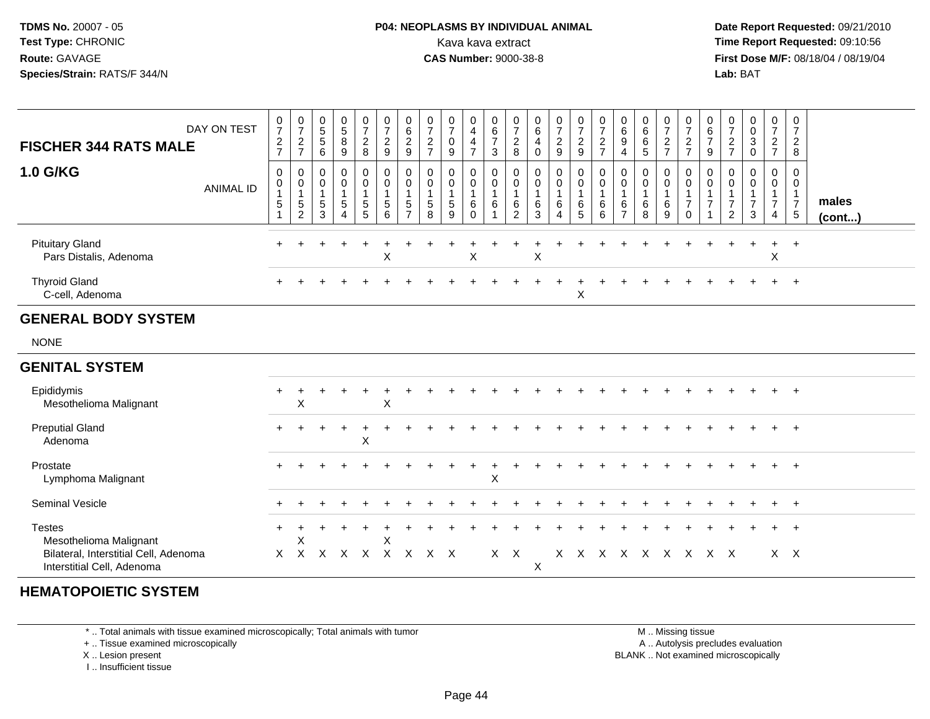#### **P04: NEOPLASMS BY INDIVIDUAL ANIMAL**Kava kava extract **Time Report Requested:** 09:10:56<br>**CAS Number:** 9000-38-8<br>**Tirst Dose M/F:** 08/18/04 / 08/19/04

 **Date Report Requested:** 09/21/2010 **First Dose M/F:** 08/18/04 / 08/19/04 Lab: BAT **Lab:** BAT

| $\frac{2}{7}$         | 0<br>$\rightarrow$<br>$\frac{2}{7}$            | $\frac{0}{5}$<br>$\frac{5}{6}$                                                  | 0<br>$\mathbf 5$<br>$\frac{8}{9}$                  | 0<br>$\overline{ }$<br>$\frac{2}{8}$ | $\boldsymbol{0}$<br>$\overline{7}$<br>$\frac{2}{9}$ | 0<br>6<br>$\frac{2}{9}$  | $\frac{0}{7}$<br>$\frac{2}{7}$ | $\mathbf 0$<br>$\rightarrow$<br>$\mathbf 0$<br>$\boldsymbol{9}$ | $\frac{0}{4}$<br>4<br>$\overline{z}$                            | $\begin{matrix} 0 \\ 6 \end{matrix}$<br>$\overline{z}$<br>$\mathbf{3}$ | 0<br>$\overline{ }$<br>$_{\rm 8}^2$ | 0<br>$\,6$<br>4<br>$\mathbf 0$ | 0<br>$\overline{ }$<br>$\frac{2}{9}$ | $\frac{0}{7}$<br>$\frac{2}{9}$             | 0<br>$\overline{ }$<br>$\frac{2}{7}$   | $\begin{matrix} 0 \\ 6 \end{matrix}$<br>$\frac{9}{4}$ | 0<br>$\,6\,$<br>$\frac{6}{5}$          | 0<br>$\overline{ }$<br>$\frac{2}{7}$ | 0<br>$\overline{7}$<br>$\frac{2}{7}$ | 0<br>6<br>$\overline{ }$<br>9 | $\frac{2}{7}$       | 0<br>$\pmb{0}$<br>$\mathbf{3}$<br>$\mathbf 0$ | $\mathbf 0$<br>$\overline{ }$<br>$\frac{2}{7}$ | 0<br>$\overline{7}$<br>$\overline{2}$<br>$\bf8$ |                 |
|-----------------------|------------------------------------------------|---------------------------------------------------------------------------------|----------------------------------------------------|--------------------------------------|-----------------------------------------------------|--------------------------|--------------------------------|-----------------------------------------------------------------|-----------------------------------------------------------------|------------------------------------------------------------------------|-------------------------------------|--------------------------------|--------------------------------------|--------------------------------------------|----------------------------------------|-------------------------------------------------------|----------------------------------------|--------------------------------------|--------------------------------------|-------------------------------|---------------------|-----------------------------------------------|------------------------------------------------|-------------------------------------------------|-----------------|
| 0<br>0<br>$\mathbf 5$ | 0<br>$\pmb{0}$<br>$\sqrt{5}$<br>$\overline{2}$ | $\begin{smallmatrix} 0\\0 \end{smallmatrix}$<br>$5\phantom{.0}$<br>$\mathbf{3}$ | $_{\rm 0}^{\rm 0}$<br>$\sqrt{5}$<br>$\overline{4}$ | 0<br>$\mathsf 0$<br>5<br>5           | $\mathbf 0$<br>$5\phantom{.0}$<br>6                 | 0<br>5<br>$\overline{ }$ | 0<br>$\,$ 5 $\,$<br>8          | 0<br>$\pmb{0}$<br>$\sqrt{5}$<br>$\boldsymbol{9}$                | $\begin{smallmatrix}0\0\0\end{smallmatrix}$<br>6<br>$\mathbf 0$ | 0<br>$\pmb{0}$<br>6                                                    | 0<br>$\mathbf 0$<br>$\,6$<br>2      | $\mathbf 0$<br>6<br>3          | 0<br>0<br>6<br>$\overline{4}$        | 0<br>$\begin{array}{c} 6 \\ 5 \end{array}$ | 0<br>$\pmb{0}$<br>6<br>$6\phantom{1}6$ | $_{0}^{0}$<br>6<br>$\overline{ }$                     | 0<br>$\mathbf 0$<br>$\,6\,$<br>$\,8\,$ | 0<br>$\pmb{0}$<br>6<br>9             | $\pmb{0}$<br>$\overline{z}$<br>0     | 0<br>0<br>$\overline{ }$      | 0<br>$\overline{c}$ | 0<br>$\mathsf{O}\xspace$<br>⇁<br>$\mathbf{3}$ | $\mathbf 0$<br>$\mathbf 0$<br>$\overline{ }$   | 0<br>0<br>$\overline{7}$<br>$\sqrt{5}$          | males<br>(cont) |
|                       |                                                |                                                                                 |                                                    |                                      | X                                                   |                          |                                |                                                                 | X                                                               |                                                                        |                                     | X                              |                                      |                                            |                                        |                                                       |                                        |                                      |                                      |                               |                     |                                               | $+$<br>X                                       | $+$                                             |                 |
|                       |                                                |                                                                                 |                                                    |                                      |                                                     |                          |                                |                                                                 |                                                                 |                                                                        |                                     |                                |                                      | X                                          |                                        |                                                       |                                        |                                      |                                      |                               |                     |                                               | $+$                                            | $+$                                             |                 |
|                       |                                                |                                                                                 |                                                    |                                      |                                                     |                          |                                |                                                                 |                                                                 |                                                                        |                                     |                                |                                      |                                            |                                        |                                                       |                                        |                                      |                                      |                               |                     |                                               |                                                |                                                 |                 |
|                       | DAY ON TEST<br>ANIMAL ID                       | $\frac{0}{7}$                                                                   |                                                    |                                      |                                                     |                          |                                |                                                                 |                                                                 |                                                                        |                                     |                                |                                      |                                            |                                        |                                                       |                                        |                                      |                                      |                               |                     |                                               |                                                |                                                 | $\overline{4}$  |

#### **GENITAL SYSTEM**

| JENITAL STSTEM                                                      |       |    |   |   |           |   |              |     |           |    |    |    |    |   |    |     |  |     |         |  |
|---------------------------------------------------------------------|-------|----|---|---|-----------|---|--------------|-----|-----------|----|----|----|----|---|----|-----|--|-----|---------|--|
| Epididymis<br>Mesothelioma Malignant                                | $\pm$ | X  |   |   | X         |   |              |     |           |    |    |    |    |   |    |     |  |     | $+$ $+$ |  |
| <b>Preputial Gland</b><br>Adenoma                                   | $+$   |    |   | X |           |   |              |     |           |    |    |    |    |   |    |     |  |     | $+$ $+$ |  |
| Prostate<br>Lymphoma Malignant                                      | $+$   |    |   |   |           |   |              | X   | ÷         |    |    |    |    |   |    |     |  |     | $+$ $+$ |  |
| Seminal Vesicle                                                     |       |    |   |   |           |   |              |     |           |    |    |    |    |   |    |     |  |     | $+$ $+$ |  |
| <b>Testes</b><br>Mesothelioma Malignant                             | ÷     | X  |   |   | X         |   |              |     |           |    |    |    |    |   |    |     |  | $+$ | $+$     |  |
| Bilateral, Interstitial Cell, Adenoma<br>Interstitial Cell, Adenoma | X.    | X. | X | X | $\lambda$ | x | $\mathsf{X}$ | X X | $\lambda$ | XX | X. | X. | X. | X | X. | x x |  |     | X X     |  |

#### **HEMATOPOIETIC SYSTEM**

\* .. Total animals with tissue examined microscopically; Total animals with tumor

+ .. Tissue examined microscopically

X .. Lesion present

I .. Insufficient tissue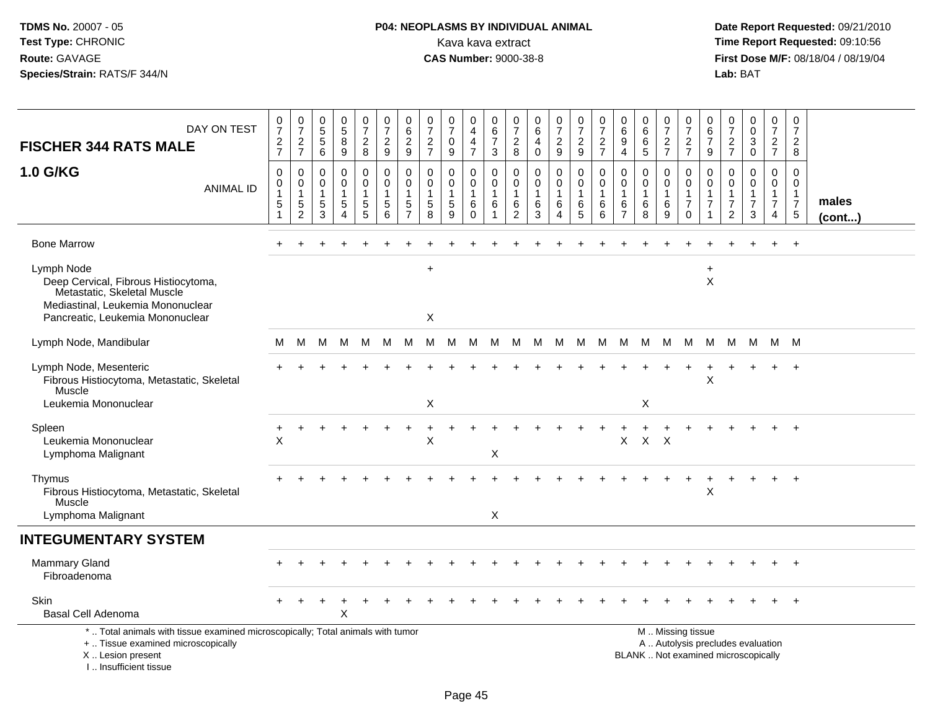#### **P04: NEOPLASMS BY INDIVIDUAL ANIMAL**Kava kava extract **Time Report Requested:** 09:10:56<br>**CAS Number:** 9000-38-8 **CAS Number:** 9000-38-8

 **Date Report Requested:** 09/21/2010 **First Dose M/F:** 08/18/04 / 08/19/04<br>Lab: BAT **Lab:** BAT

| DAY ON TEST<br><b>FISCHER 344 RATS MALE</b>                                                                                                                         | $\frac{0}{7}$<br>$\frac{2}{7}$                                               | $\begin{array}{c} 0 \\ 7 \end{array}$<br>$\sqrt{2}$<br>$\overline{7}$      | $\begin{array}{c} 0 \\ 5 \end{array}$<br>5<br>6 | $\begin{array}{c} 0 \\ 5 \end{array}$<br>$\overline{8}$<br>$\boldsymbol{9}$ | $\begin{array}{c} 0 \\ 7 \end{array}$<br>$\sqrt{2}$<br>8                  | $\frac{0}{7}$<br>$\sqrt{2}$<br>9                            | $\boldsymbol{0}$<br>$\,6$<br>$\sqrt{2}$<br>9                       | $\frac{0}{7}$<br>$\sqrt{2}$<br>$\overline{7}$           | $\frac{0}{7}$<br>$\mathbf 0$<br>9    | 0<br>$\overline{4}$<br>$\overline{\mathbf{4}}$<br>$\overline{7}$ | 0<br>$6\phantom{a}$<br>$\overline{7}$<br>3         | 0<br>$\overline{7}$<br>$\sqrt{2}$<br>8     | $\begin{array}{c} 0 \\ 6 \end{array}$<br>$\overline{4}$<br>$\mathbf 0$ | $\begin{smallmatrix}0\\7\end{smallmatrix}$<br>$\sqrt{2}$<br>9 | $\frac{0}{7}$<br>$\overline{c}$<br>9             | $\frac{0}{7}$<br>$\overline{\mathbf{c}}$<br>$\overline{7}$ | 0<br>$\,6\,$<br>$\boldsymbol{9}$<br>$\overline{4}$                | $\begin{array}{c} 0 \\ 6 \end{array}$<br>$\,6\,$<br>$\sqrt{5}$ | $\pmb{0}$<br>$\overline{7}$<br>$\frac{2}{7}$   | 0<br>$\overline{7}$<br>$\frac{2}{7}$                                                          | 0<br>$\,6\,$<br>$\overline{7}$<br>9                     | $\frac{0}{7}$<br>$\frac{2}{7}$                                                        | $_0^0$<br>$\overline{3}$<br>$\mathbf 0$      | 0<br>$\overline{7}$<br>$\frac{2}{7}$                                 | 0<br>$\overline{7}$<br>$\overline{a}$<br>8                                   |                       |
|---------------------------------------------------------------------------------------------------------------------------------------------------------------------|------------------------------------------------------------------------------|----------------------------------------------------------------------------|-------------------------------------------------|-----------------------------------------------------------------------------|---------------------------------------------------------------------------|-------------------------------------------------------------|--------------------------------------------------------------------|---------------------------------------------------------|--------------------------------------|------------------------------------------------------------------|----------------------------------------------------|--------------------------------------------|------------------------------------------------------------------------|---------------------------------------------------------------|--------------------------------------------------|------------------------------------------------------------|-------------------------------------------------------------------|----------------------------------------------------------------|------------------------------------------------|-----------------------------------------------------------------------------------------------|---------------------------------------------------------|---------------------------------------------------------------------------------------|----------------------------------------------|----------------------------------------------------------------------|------------------------------------------------------------------------------|-----------------------|
| <b>1.0 G/KG</b><br><b>ANIMAL ID</b>                                                                                                                                 | $\mathbf 0$<br>$\pmb{0}$<br>$\mathbf{1}$<br>$\overline{5}$<br>$\overline{1}$ | $\mathbf 0$<br>$\mathbf 0$<br>$\mathbf{1}$<br>$\overline{5}$<br>$\sqrt{2}$ | 0<br>0<br>1<br>5<br>3                           | 0<br>$\mathbf 0$<br>5<br>$\overline{4}$                                     | 0<br>$\mathbf 0$<br>$\mathbf{1}$<br>$\begin{array}{c} 5 \\ 5 \end{array}$ | $\mathbf 0$<br>$\pmb{0}$<br>$\mathbf{1}$<br>$\sqrt{5}$<br>6 | 0<br>$\mathbf 0$<br>$\overline{1}$<br>$\sqrt{5}$<br>$\overline{7}$ | 0<br>$\mathbf 0$<br>$\mathbf{1}$<br>$\overline{5}$<br>8 | 0<br>$\mathbf 0$<br>$\,$ 5 $\,$<br>9 | 0<br>$\mathsf{O}\xspace$<br>$\mathbf{1}$<br>6<br>$\mathbf 0$     | 0<br>$\mathsf{O}\xspace$<br>$\mathbf{1}$<br>6<br>1 | $\mathbf 0$<br>0<br>$\mathbf{1}$<br>6<br>2 | 0<br>$\mathbf 0$<br>$\overline{1}$<br>$\,6\,$<br>3                     | 0<br>$\mathbf 0$<br>$\mathbf{1}$<br>$\,6$<br>4                | 0<br>$\mathbf 0$<br>$\mathbf{1}$<br>$\,6\,$<br>5 | $\mathbf 0$<br>$\pmb{0}$<br>$\mathbf{1}$<br>$\,6\,$<br>6   | $\mathbf 0$<br>$\mathbf 0$<br>$\mathbf{1}$<br>6<br>$\overline{7}$ | $\mathbf 0$<br>$\mathsf{O}\xspace$<br>$\mathbf{1}$<br>6<br>8   | 0<br>$\mathbf 0$<br>$\mathbf{1}$<br>$\,6$<br>9 | 0<br>$\mathbf 0$<br>$\mathbf{1}$<br>$\overline{7}$<br>$\Omega$                                | 0<br>$\mathbf 0$<br>$\mathbf{1}$<br>$\overline{7}$<br>1 | $\mathbf 0$<br>$\boldsymbol{0}$<br>$\mathbf{1}$<br>$\boldsymbol{7}$<br>$\overline{2}$ | 0<br>$\mathbf 0$<br>1<br>$\overline{7}$<br>3 | 0<br>$\mathbf 0$<br>$\mathbf{1}$<br>$\overline{7}$<br>$\overline{4}$ | $\mathbf 0$<br>$\mathbf 0$<br>$\overline{1}$<br>$\overline{7}$<br>$\sqrt{5}$ | males<br>$($ cont $)$ |
| <b>Bone Marrow</b>                                                                                                                                                  |                                                                              |                                                                            |                                                 |                                                                             |                                                                           |                                                             |                                                                    |                                                         |                                      |                                                                  |                                                    |                                            |                                                                        |                                                               |                                                  |                                                            |                                                                   |                                                                |                                                |                                                                                               |                                                         |                                                                                       |                                              | $\ddot{}$                                                            | $+$                                                                          |                       |
| Lymph Node<br>Deep Cervical, Fibrous Histiocytoma,<br>Metastatic, Skeletal Muscle<br>Mediastinal, Leukemia Mononuclear<br>Pancreatic, Leukemia Mononuclear          |                                                                              |                                                                            |                                                 |                                                                             |                                                                           |                                                             |                                                                    | $\ddot{}$<br>X                                          |                                      |                                                                  |                                                    |                                            |                                                                        |                                                               |                                                  |                                                            |                                                                   |                                                                |                                                |                                                                                               | $\ddot{}$<br>X                                          |                                                                                       |                                              |                                                                      |                                                                              |                       |
| Lymph Node, Mandibular                                                                                                                                              | м                                                                            | М                                                                          | M                                               | M                                                                           | M                                                                         | M                                                           | M                                                                  | М                                                       | M                                    | M                                                                | M                                                  |                                            | M M                                                                    | <b>M</b>                                                      | M                                                | M                                                          | M                                                                 | M                                                              | M                                              | M                                                                                             | M                                                       | M                                                                                     | M                                            | M M                                                                  |                                                                              |                       |
| Lymph Node, Mesenteric<br>Fibrous Histiocytoma, Metastatic, Skeletal<br>Muscle                                                                                      |                                                                              |                                                                            |                                                 |                                                                             |                                                                           |                                                             |                                                                    |                                                         |                                      |                                                                  |                                                    |                                            |                                                                        |                                                               |                                                  |                                                            |                                                                   |                                                                |                                                |                                                                                               | Χ                                                       |                                                                                       |                                              |                                                                      |                                                                              |                       |
| Leukemia Mononuclear                                                                                                                                                |                                                                              |                                                                            |                                                 |                                                                             |                                                                           |                                                             |                                                                    | $\times$                                                |                                      |                                                                  |                                                    |                                            |                                                                        |                                                               |                                                  |                                                            |                                                                   | X                                                              |                                                |                                                                                               |                                                         |                                                                                       |                                              |                                                                      |                                                                              |                       |
| Spleen<br>Leukemia Mononuclear<br>Lymphoma Malignant                                                                                                                | X                                                                            |                                                                            |                                                 |                                                                             |                                                                           |                                                             |                                                                    | X                                                       |                                      |                                                                  | X                                                  |                                            |                                                                        |                                                               |                                                  |                                                            | X                                                                 | $X$ $X$                                                        |                                                |                                                                                               |                                                         |                                                                                       |                                              |                                                                      | $+$                                                                          |                       |
| Thymus<br>Fibrous Histiocytoma, Metastatic, Skeletal<br>Muscle<br>Lymphoma Malignant                                                                                |                                                                              |                                                                            |                                                 |                                                                             |                                                                           |                                                             |                                                                    |                                                         |                                      |                                                                  | X                                                  |                                            |                                                                        |                                                               |                                                  |                                                            |                                                                   |                                                                |                                                |                                                                                               | X                                                       |                                                                                       |                                              | ÷                                                                    | $^{+}$                                                                       |                       |
| <b>INTEGUMENTARY SYSTEM</b>                                                                                                                                         |                                                                              |                                                                            |                                                 |                                                                             |                                                                           |                                                             |                                                                    |                                                         |                                      |                                                                  |                                                    |                                            |                                                                        |                                                               |                                                  |                                                            |                                                                   |                                                                |                                                |                                                                                               |                                                         |                                                                                       |                                              |                                                                      |                                                                              |                       |
| <b>Mammary Gland</b><br>Fibroadenoma                                                                                                                                |                                                                              |                                                                            |                                                 |                                                                             |                                                                           |                                                             |                                                                    |                                                         |                                      |                                                                  |                                                    |                                            |                                                                        |                                                               |                                                  |                                                            |                                                                   |                                                                |                                                |                                                                                               |                                                         |                                                                                       |                                              |                                                                      | $+$                                                                          |                       |
| Skin<br><b>Basal Cell Adenoma</b>                                                                                                                                   |                                                                              |                                                                            |                                                 | X                                                                           |                                                                           |                                                             |                                                                    |                                                         |                                      |                                                                  |                                                    |                                            |                                                                        |                                                               |                                                  |                                                            |                                                                   |                                                                |                                                |                                                                                               |                                                         |                                                                                       |                                              |                                                                      | $\overline{+}$                                                               |                       |
| *  Total animals with tissue examined microscopically; Total animals with tumor<br>+  Tissue examined microscopically<br>X  Lesion present<br>I Insufficient tissue |                                                                              |                                                                            |                                                 |                                                                             |                                                                           |                                                             |                                                                    |                                                         |                                      |                                                                  |                                                    |                                            |                                                                        |                                                               |                                                  |                                                            |                                                                   |                                                                |                                                | M  Missing tissue<br>A  Autolysis precludes evaluation<br>BLANK  Not examined microscopically |                                                         |                                                                                       |                                              |                                                                      |                                                                              |                       |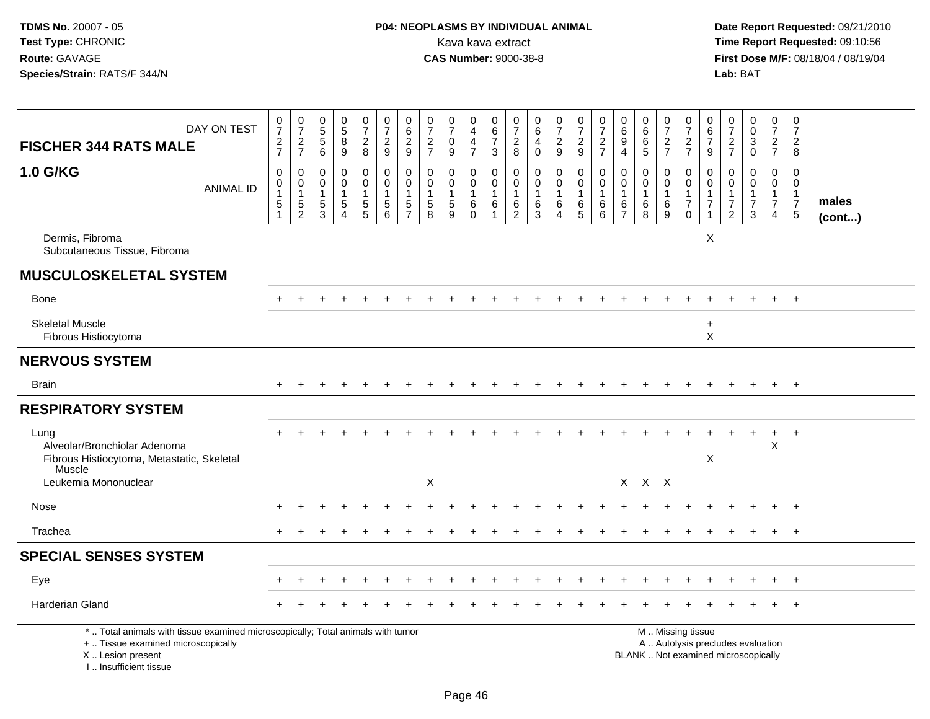# **P04: NEOPLASMS BY INDIVIDUAL ANIMAL**<br>Kava kava extract Kava kava extract **Time Report Requested:** 09:10:56<br>**CAS Number:** 9000-38-8 **CAS Number:** 9000-38-8

 **Date Report Requested:** 09/21/2010 **First Dose M/F:** 08/18/04 / 08/19/04<br>Lab: BAT **Lab:** BAT

| DAY ON TEST                                                                                                                                                         | $\frac{0}{7}$                                                                     | $\begin{smallmatrix} 0\\7 \end{smallmatrix}$                                        | 0<br>5<br>5<br>6                                    | $\begin{array}{c} 0 \\ 5 \\ 8 \end{array}$                                          | $\frac{0}{7}$                                     | $\begin{array}{c} 0 \\ 7 \end{array}$                                               | $\begin{array}{c} 0 \\ 6 \end{array}$   | $\frac{0}{7}$<br>$\frac{2}{7}$                                | $\frac{0}{7}$                                                  | $_4^{\rm 0}$                                                       | $\begin{array}{c} 0 \\ 6 \\ 7 \end{array}$      | $\frac{0}{7}$                                                 | $\begin{array}{c} 0 \\ 6 \end{array}$                              | $\frac{0}{7}$                                                 | $\frac{0}{7}$                              | $\frac{0}{7}$                            | 0<br>$\,6\,$                                                      | $\begin{array}{c} 0 \\ 6 \end{array}$                              | $\begin{array}{c} 0 \\ 7 \end{array}$            | $\frac{0}{7}$                                                              | 0<br>6                                                                         | $\frac{0}{7}$                                                                 | $\begin{smallmatrix} 0\\0 \end{smallmatrix}$         | $\begin{array}{c} 0 \\ 7 \end{array}$                                | $\pmb{0}$<br>$\overline{7}$                                             |                       |
|---------------------------------------------------------------------------------------------------------------------------------------------------------------------|-----------------------------------------------------------------------------------|-------------------------------------------------------------------------------------|-----------------------------------------------------|-------------------------------------------------------------------------------------|---------------------------------------------------|-------------------------------------------------------------------------------------|-----------------------------------------|---------------------------------------------------------------|----------------------------------------------------------------|--------------------------------------------------------------------|-------------------------------------------------|---------------------------------------------------------------|--------------------------------------------------------------------|---------------------------------------------------------------|--------------------------------------------|------------------------------------------|-------------------------------------------------------------------|--------------------------------------------------------------------|--------------------------------------------------|----------------------------------------------------------------------------|--------------------------------------------------------------------------------|-------------------------------------------------------------------------------|------------------------------------------------------|----------------------------------------------------------------------|-------------------------------------------------------------------------|-----------------------|
| <b>FISCHER 344 RATS MALE</b>                                                                                                                                        | $\frac{2}{7}$                                                                     | $\frac{2}{7}$                                                                       |                                                     | 9                                                                                   | $\frac{2}{8}$                                     | $\sqrt{2}$<br>9                                                                     | $\sqrt{2}$<br>$9\,$                     |                                                               | $\mathbf 0$<br>9                                               | $\frac{4}{7}$                                                      | 3                                               | $\frac{2}{8}$                                                 | $\overline{4}$<br>$\mathbf 0$                                      | $\frac{2}{9}$                                                 | $\frac{2}{9}$                              | $\frac{2}{7}$                            | $\overline{9}$<br>$\overline{4}$                                  | $\frac{6}{5}$                                                      | $\frac{2}{7}$                                    | $\frac{2}{7}$                                                              | $\overline{7}$<br>$\boldsymbol{9}$                                             | $\sqrt{2}$<br>$\overline{7}$                                                  | $\mathbf 3$<br>$\mathbf 0$                           | $rac{2}{7}$                                                          | $\overline{c}$<br>8                                                     |                       |
| 1.0 G/KG<br><b>ANIMAL ID</b>                                                                                                                                        | $\pmb{0}$<br>$\mathsf{O}\xspace$<br>$\mathbf{1}$<br>$\,$ 5 $\,$<br>$\overline{1}$ | $\mathbf 0$<br>$\mathsf{O}\xspace$<br>$\mathbf{1}$<br>$\,$ 5 $\,$<br>$\overline{2}$ | $\mathbf 0$<br>$\mathbf 0$<br>$\mathbf 1$<br>5<br>3 | $\mathbf 0$<br>$\mathsf{O}\xspace$<br>$\mathbf{1}$<br>$\,$ 5 $\,$<br>$\overline{A}$ | 0<br>$\mathbf 0$<br>$\mathbf{1}$<br>$\frac{5}{5}$ | $\mathbf 0$<br>$\mathbf 0$<br>$\mathbf{1}$<br>$\begin{array}{c} 5 \\ 6 \end{array}$ | 0<br>$\mathbf 0$<br>5<br>$\overline{7}$ | $\mathbf 0$<br>$\mathbf 0$<br>$\mathbf{1}$<br>$\sqrt{5}$<br>8 | $\mathbf{0}$<br>$\mathbf 0$<br>$\mathbf{1}$<br>$\sqrt{5}$<br>9 | 0<br>$\mathsf{O}\xspace$<br>$\mathbf{1}$<br>$\,6\,$<br>$\mathbf 0$ | $\mathbf 0$<br>$\mathbf 0$<br>$\mathbf{1}$<br>6 | $\mathbf 0$<br>$\mathbf 0$<br>$\overline{1}$<br>$\frac{6}{2}$ | $\mathbf 0$<br>$\mathbf 0$<br>$\mathbf{1}$<br>$6\phantom{.}6$<br>3 | 0<br>$\mathbf 0$<br>$\mathbf{1}$<br>$\,6\,$<br>$\overline{4}$ | 0<br>$\mathbf 0$<br>$\mathbf{1}$<br>6<br>5 | 0<br>$\pmb{0}$<br>$\mathbf{1}$<br>6<br>6 | $\mathbf 0$<br>$\mathbf 0$<br>$\mathbf{1}$<br>6<br>$\overline{7}$ | $\mathbf 0$<br>$\mathsf{O}\xspace$<br>$\mathbf{1}$<br>$\,6\,$<br>8 | 0<br>$\mathbf 0$<br>$\mathbf{1}$<br>$\,6\,$<br>9 | $\mathbf 0$<br>$\mathbf 0$<br>$\mathbf{1}$<br>$\boldsymbol{7}$<br>$\Omega$ | $\mathbf 0$<br>$\mathbf 0$<br>$\mathbf{1}$<br>$\overline{7}$<br>$\overline{ }$ | $\Omega$<br>$\mathbf 0$<br>$\overline{1}$<br>$\overline{7}$<br>$\overline{2}$ | $\mathbf 0$<br>$\overline{0}$<br>$\overline{7}$<br>3 | 0<br>$\mathbf 0$<br>$\mathbf{1}$<br>$\overline{7}$<br>$\overline{4}$ | $\Omega$<br>$\mathbf 0$<br>$\mathbf{1}$<br>$\overline{7}$<br>$\sqrt{5}$ | males<br>$($ cont $)$ |
| Dermis, Fibroma<br>Subcutaneous Tissue, Fibroma                                                                                                                     |                                                                                   |                                                                                     |                                                     |                                                                                     |                                                   |                                                                                     |                                         |                                                               |                                                                |                                                                    |                                                 |                                                               |                                                                    |                                                               |                                            |                                          |                                                                   |                                                                    |                                                  |                                                                            | X                                                                              |                                                                               |                                                      |                                                                      |                                                                         |                       |
| <b>MUSCULOSKELETAL SYSTEM</b>                                                                                                                                       |                                                                                   |                                                                                     |                                                     |                                                                                     |                                                   |                                                                                     |                                         |                                                               |                                                                |                                                                    |                                                 |                                                               |                                                                    |                                                               |                                            |                                          |                                                                   |                                                                    |                                                  |                                                                            |                                                                                |                                                                               |                                                      |                                                                      |                                                                         |                       |
| <b>Bone</b>                                                                                                                                                         |                                                                                   |                                                                                     |                                                     |                                                                                     |                                                   |                                                                                     |                                         |                                                               |                                                                |                                                                    |                                                 |                                                               |                                                                    |                                                               |                                            |                                          |                                                                   |                                                                    |                                                  |                                                                            |                                                                                |                                                                               |                                                      |                                                                      | $+$                                                                     |                       |
| <b>Skeletal Muscle</b><br>Fibrous Histiocytoma                                                                                                                      |                                                                                   |                                                                                     |                                                     |                                                                                     |                                                   |                                                                                     |                                         |                                                               |                                                                |                                                                    |                                                 |                                                               |                                                                    |                                                               |                                            |                                          |                                                                   |                                                                    |                                                  |                                                                            | $\ddot{}$<br>X                                                                 |                                                                               |                                                      |                                                                      |                                                                         |                       |
| <b>NERVOUS SYSTEM</b>                                                                                                                                               |                                                                                   |                                                                                     |                                                     |                                                                                     |                                                   |                                                                                     |                                         |                                                               |                                                                |                                                                    |                                                 |                                                               |                                                                    |                                                               |                                            |                                          |                                                                   |                                                                    |                                                  |                                                                            |                                                                                |                                                                               |                                                      |                                                                      |                                                                         |                       |
| <b>Brain</b>                                                                                                                                                        |                                                                                   |                                                                                     |                                                     |                                                                                     |                                                   |                                                                                     |                                         |                                                               |                                                                |                                                                    |                                                 |                                                               |                                                                    |                                                               |                                            |                                          |                                                                   |                                                                    |                                                  |                                                                            |                                                                                |                                                                               |                                                      | $+$                                                                  | $+$                                                                     |                       |
| <b>RESPIRATORY SYSTEM</b>                                                                                                                                           |                                                                                   |                                                                                     |                                                     |                                                                                     |                                                   |                                                                                     |                                         |                                                               |                                                                |                                                                    |                                                 |                                                               |                                                                    |                                                               |                                            |                                          |                                                                   |                                                                    |                                                  |                                                                            |                                                                                |                                                                               |                                                      |                                                                      |                                                                         |                       |
| Lung<br>Alveolar/Bronchiolar Adenoma<br>Fibrous Histiocytoma, Metastatic, Skeletal                                                                                  |                                                                                   |                                                                                     |                                                     |                                                                                     |                                                   |                                                                                     |                                         |                                                               |                                                                |                                                                    |                                                 |                                                               |                                                                    |                                                               |                                            |                                          |                                                                   |                                                                    |                                                  |                                                                            | X                                                                              |                                                                               | $\ddot{}$                                            | $+$<br>$\mathsf{X}$                                                  | $+$                                                                     |                       |
| Muscle<br>Leukemia Mononuclear                                                                                                                                      |                                                                                   |                                                                                     |                                                     |                                                                                     |                                                   |                                                                                     |                                         | X                                                             |                                                                |                                                                    |                                                 |                                                               |                                                                    |                                                               |                                            |                                          |                                                                   | $X$ $X$ $X$                                                        |                                                  |                                                                            |                                                                                |                                                                               |                                                      |                                                                      |                                                                         |                       |
| Nose                                                                                                                                                                |                                                                                   |                                                                                     |                                                     |                                                                                     |                                                   |                                                                                     |                                         |                                                               |                                                                |                                                                    |                                                 |                                                               |                                                                    |                                                               |                                            |                                          |                                                                   |                                                                    |                                                  |                                                                            |                                                                                |                                                                               |                                                      |                                                                      |                                                                         |                       |
| Trachea                                                                                                                                                             |                                                                                   |                                                                                     |                                                     |                                                                                     |                                                   |                                                                                     |                                         |                                                               |                                                                |                                                                    |                                                 |                                                               |                                                                    |                                                               |                                            |                                          |                                                                   |                                                                    |                                                  |                                                                            |                                                                                |                                                                               |                                                      |                                                                      | $\overline{+}$                                                          |                       |
| <b>SPECIAL SENSES SYSTEM</b>                                                                                                                                        |                                                                                   |                                                                                     |                                                     |                                                                                     |                                                   |                                                                                     |                                         |                                                               |                                                                |                                                                    |                                                 |                                                               |                                                                    |                                                               |                                            |                                          |                                                                   |                                                                    |                                                  |                                                                            |                                                                                |                                                                               |                                                      |                                                                      |                                                                         |                       |
| Eye                                                                                                                                                                 |                                                                                   |                                                                                     |                                                     |                                                                                     |                                                   |                                                                                     |                                         |                                                               |                                                                |                                                                    |                                                 |                                                               |                                                                    |                                                               |                                            |                                          |                                                                   |                                                                    |                                                  |                                                                            |                                                                                |                                                                               |                                                      |                                                                      | $+$                                                                     |                       |
| <b>Harderian Gland</b>                                                                                                                                              |                                                                                   |                                                                                     |                                                     |                                                                                     |                                                   |                                                                                     |                                         |                                                               |                                                                |                                                                    |                                                 |                                                               |                                                                    |                                                               |                                            |                                          |                                                                   |                                                                    |                                                  |                                                                            |                                                                                |                                                                               |                                                      |                                                                      |                                                                         |                       |
| *  Total animals with tissue examined microscopically; Total animals with tumor<br>+  Tissue examined microscopically<br>X  Lesion present<br>I Insufficient tissue |                                                                                   |                                                                                     |                                                     |                                                                                     |                                                   |                                                                                     |                                         |                                                               |                                                                |                                                                    |                                                 |                                                               |                                                                    |                                                               |                                            |                                          |                                                                   | BLANK  Not examined microscopically                                |                                                  | M  Missing tissue<br>A  Autolysis precludes evaluation                     |                                                                                |                                                                               |                                                      |                                                                      |                                                                         |                       |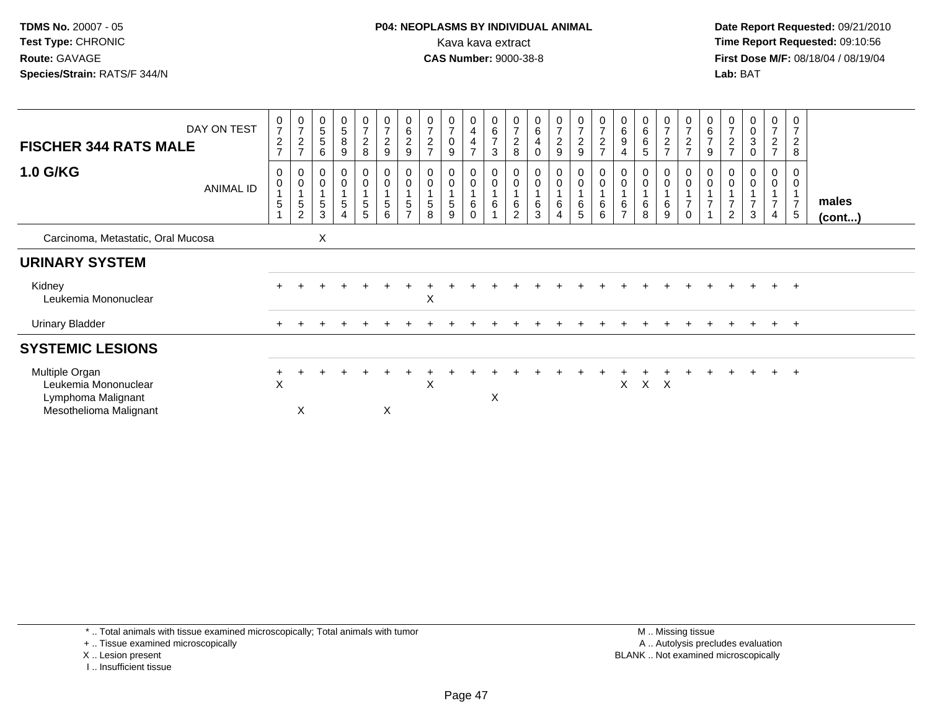**Date Report Requested:** 09/21/2010 **First Dose M/F:** 08/18/04 / 08/19/04 Lab: BAT **Lab:** BAT

| <b>FISCHER 344 RATS MALE</b>                                                           | DAY ON TEST      | 0<br>$\overline{7}$<br>$\overline{c}$<br>$\overline{z}$ | $\frac{0}{7}$<br>$\overline{c}$<br>$\rightarrow$               | 0<br>$\,$ 5 $\,$<br>$\sqrt{5}$<br>6 | $\begin{array}{c} 0 \\ 5 \end{array}$<br>$\,8\,$<br>$9\,$ | $\frac{0}{7}$<br>$_{8}^2$                  | $\boldsymbol{0}$<br>$\overline{7}$<br>$\overline{c}$<br>$\boldsymbol{9}$ | 0<br>$\,6\,$<br>$\overline{\mathbf{c}}$<br>9 | $\frac{0}{7}$<br>$\overline{\mathbf{c}}$<br>$\overline{7}$ | $\frac{0}{7}$<br>$\pmb{0}$<br>9 | $\begin{smallmatrix}0\0\4\end{smallmatrix}$<br>4<br>$\overline{ }$ | $\begin{array}{c} 0 \\ 6 \end{array}$<br>$\overline{7}$<br>3 | $\frac{0}{7}$<br>$_{\rm 8}^2$                 | $\begin{matrix} 0 \\ 6 \\ 4 \end{matrix}$<br>$\mathbf 0$ | $\frac{0}{7}$<br>$\overline{c}$<br>9 | $\frac{0}{7}$<br>$\overline{c}$<br>$\boldsymbol{9}$ | $\frac{0}{7}$<br>$\overline{c}$<br>$\overline{ }$ | $_{6}^{\rm 0}$<br>$\boldsymbol{9}$<br>$\overline{4}$ | $\begin{array}{c} 0 \\ 6 \end{array}$<br>$\,6\,$<br>$\sqrt{5}$ | $\begin{array}{c} 0 \\ 7 \end{array}$<br>$\frac{2}{7}$ | $\frac{0}{7}$<br>$\boldsymbol{2}$<br>$\overline{z}$ | $\begin{array}{c} 0 \\ 6 \end{array}$<br>$\overline{7}$<br>9 | 0<br>$\overline{7}$<br>$\overline{c}$<br>$\overline{ }$ | 0<br>0<br>3<br>$\Omega$ | $\begin{array}{c} 0 \\ 7 \end{array}$<br>$\boldsymbol{2}$<br>$\overline{ }$ | 0<br>$\overline{ }$<br>$\overline{c}$<br>8 |                       |
|----------------------------------------------------------------------------------------|------------------|---------------------------------------------------------|----------------------------------------------------------------|-------------------------------------|-----------------------------------------------------------|--------------------------------------------|--------------------------------------------------------------------------|----------------------------------------------|------------------------------------------------------------|---------------------------------|--------------------------------------------------------------------|--------------------------------------------------------------|-----------------------------------------------|----------------------------------------------------------|--------------------------------------|-----------------------------------------------------|---------------------------------------------------|------------------------------------------------------|----------------------------------------------------------------|--------------------------------------------------------|-----------------------------------------------------|--------------------------------------------------------------|---------------------------------------------------------|-------------------------|-----------------------------------------------------------------------------|--------------------------------------------|-----------------------|
| <b>1.0 G/KG</b>                                                                        | <b>ANIMAL ID</b> | 0<br>0<br>$\overline{A}$<br>5                           | $\boldsymbol{0}$<br>$\pmb{0}$<br>$\,$ 5 $\,$<br>$\overline{2}$ | 0<br>$\pmb{0}$<br>$\sqrt{5}$<br>3   | 0<br>$\pmb{0}$<br>$\overline{5}$<br>$\overline{4}$        | 0<br>$\bar{0}$<br>$\overline{A}$<br>5<br>5 | 0<br>$\overline{0}$<br>$\overline{5}$<br>6                               | 0<br>$\pmb{0}$<br>5<br>$\rightarrow$         | $\mathbf 0$<br>5<br>8                                      | 0<br>0<br>5<br>9                | $_0^0$<br>6<br>$\mathbf 0$                                         | 0<br>$\pmb{0}$<br>$\,6\,$                                    | 0<br>$\mathbf 0$<br>$\,6\,$<br>$\overline{2}$ | 0<br>$\overline{0}$<br>1<br>$\,6\,$<br>3                 | 0<br>0<br>6<br>$\overline{4}$        | $\pmb{0}$<br>$\mathbf{1}$<br>6<br>5                 | 0<br>0<br>6<br>6                                  | $\mathsf 0$<br>6<br>$\overline{7}$                   | $\pmb{0}$<br>6<br>8                                            | 0<br>$\ddot{\mathbf{0}}$<br>6<br>9                     | 0<br>$\pmb{0}$<br>$\overline{7}$<br>$\Omega$        | 0<br>$\pmb{0}$<br>$\overline{7}$                             | $\overline{2}$                                          | 0<br>$\mathbf 0$<br>3   | 0<br>0<br>$\overline{7}$                                                    | 0<br>0<br>$\overline{7}$<br>5              | males<br>$($ cont $)$ |
| Carcinoma, Metastatic, Oral Mucosa                                                     |                  |                                                         |                                                                | X                                   |                                                           |                                            |                                                                          |                                              |                                                            |                                 |                                                                    |                                                              |                                               |                                                          |                                      |                                                     |                                                   |                                                      |                                                                |                                                        |                                                     |                                                              |                                                         |                         |                                                                             |                                            |                       |
| <b>URINARY SYSTEM</b>                                                                  |                  |                                                         |                                                                |                                     |                                                           |                                            |                                                                          |                                              |                                                            |                                 |                                                                    |                                                              |                                               |                                                          |                                      |                                                     |                                                   |                                                      |                                                                |                                                        |                                                     |                                                              |                                                         |                         |                                                                             |                                            |                       |
| Kidney<br>Leukemia Mononuclear                                                         |                  | $+$                                                     |                                                                |                                     |                                                           |                                            |                                                                          |                                              | X                                                          |                                 |                                                                    |                                                              |                                               |                                                          |                                      |                                                     |                                                   |                                                      |                                                                |                                                        |                                                     |                                                              |                                                         |                         | $+$                                                                         | $+$                                        |                       |
| <b>Urinary Bladder</b>                                                                 |                  | $+$                                                     |                                                                |                                     |                                                           |                                            |                                                                          |                                              |                                                            |                                 |                                                                    |                                                              |                                               |                                                          |                                      |                                                     |                                                   |                                                      |                                                                |                                                        |                                                     |                                                              |                                                         |                         | $+$                                                                         | $+$                                        |                       |
| <b>SYSTEMIC LESIONS</b>                                                                |                  |                                                         |                                                                |                                     |                                                           |                                            |                                                                          |                                              |                                                            |                                 |                                                                    |                                                              |                                               |                                                          |                                      |                                                     |                                                   |                                                      |                                                                |                                                        |                                                     |                                                              |                                                         |                         |                                                                             |                                            |                       |
| Multiple Organ<br>Leukemia Mononuclear<br>Lymphoma Malignant<br>Mesothelioma Malignant |                  | X                                                       | X                                                              |                                     |                                                           |                                            | X                                                                        |                                              | X                                                          |                                 |                                                                    | X                                                            |                                               |                                                          |                                      |                                                     |                                                   | X.                                                   | $X$ $X$                                                        |                                                        |                                                     |                                                              |                                                         |                         | $+$                                                                         | $+$                                        |                       |

\* .. Total animals with tissue examined microscopically; Total animals with tumor

+ .. Tissue examined microscopically

X .. Lesion present

I .. Insufficient tissue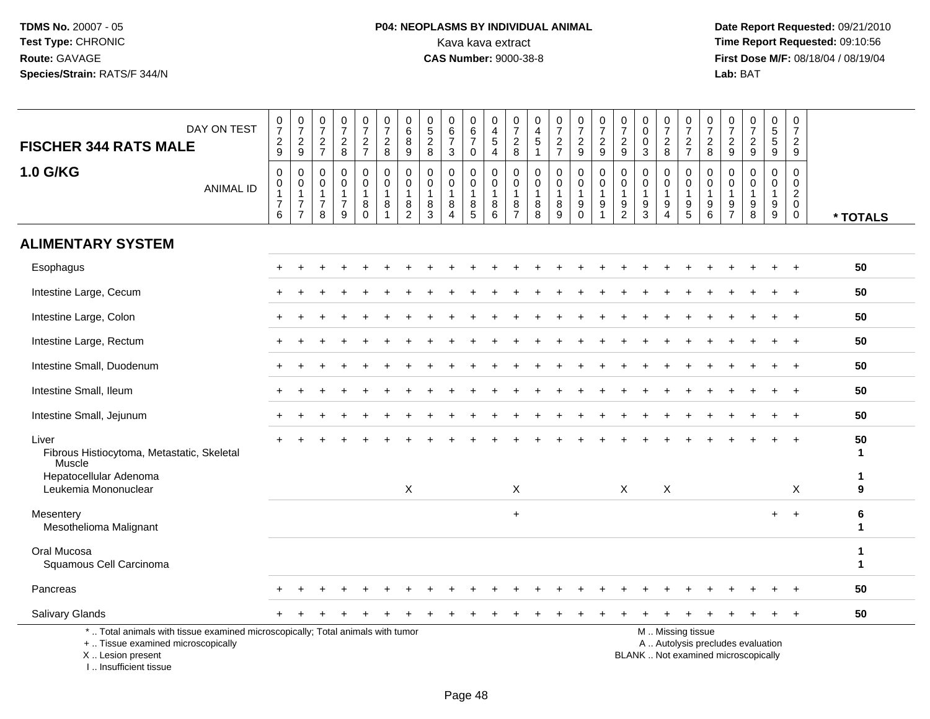I .. Insufficient tissue

# **P04: NEOPLASMS BY INDIVIDUAL ANIMAL**<br>Kava kava extract Kava kava extract **Time Report Requested:** 09:10:56<br>**CAS Number:** 9000-38-8 **CAS Number:** 9000-38-8

 **Date Report Requested:** 09/21/2010 **First Dose M/F:** 08/18/04 / 08/19/04<br>Lab: BAT **Lab:** BAT

| DAY ON TEST<br><b>FISCHER 344 RATS MALE</b>                                                                                                | $\frac{0}{7}$<br>$\frac{2}{9}$                          | $\frac{0}{7}$<br>$\frac{2}{9}$                                       | $\begin{smallmatrix}0\\7\end{smallmatrix}$<br>$\frac{2}{7}$ | $\frac{0}{7}$<br>$\frac{2}{8}$                         | $\frac{0}{7}$<br>$\frac{2}{7}$                                       | $\frac{0}{7}$<br>$\frac{2}{8}$                        | $\pmb{0}$<br>$\,6\,$<br>8                               | $0$<br>5<br>2<br>8                                        | $\begin{array}{c} 0 \\ 6 \\ 7 \end{array}$              | 0<br>$\frac{6}{7}$                                                        | 0<br>$\overline{4}$<br>$\sqrt{5}$                  | $\frac{0}{7}$<br>$_{\rm 8}^2$                                   | 0<br>$\overline{4}$<br>$\overline{5}$                | $\frac{0}{7}$<br>$\frac{2}{7}$                   | $\frac{0}{7}$<br>$\frac{2}{9}$                                      | $\frac{0}{7}$<br>$\overline{c}$  | 0<br>$\overline{7}$<br>$\frac{2}{9}$    | $\begin{smallmatrix}0\0\0\end{smallmatrix}$<br>$\mathbf 0$  | $\frac{0}{7}$<br>$\frac{2}{8}$                | $\frac{0}{7}$<br>$\frac{2}{7}$                              | $\frac{0}{7}$<br>$_{8}^2$                      | $\frac{0}{7}$<br>$\frac{2}{9}$                    | $\frac{0}{7}$<br>$\frac{2}{9}$            | $\pmb{0}$<br>$\frac{5}{9}$                          | $\pmb{0}$<br>$\overline{7}$<br>$\frac{2}{9}$                     |                   |
|--------------------------------------------------------------------------------------------------------------------------------------------|---------------------------------------------------------|----------------------------------------------------------------------|-------------------------------------------------------------|--------------------------------------------------------|----------------------------------------------------------------------|-------------------------------------------------------|---------------------------------------------------------|-----------------------------------------------------------|---------------------------------------------------------|---------------------------------------------------------------------------|----------------------------------------------------|-----------------------------------------------------------------|------------------------------------------------------|--------------------------------------------------|---------------------------------------------------------------------|----------------------------------|-----------------------------------------|-------------------------------------------------------------|-----------------------------------------------|-------------------------------------------------------------|------------------------------------------------|---------------------------------------------------|-------------------------------------------|-----------------------------------------------------|------------------------------------------------------------------|-------------------|
|                                                                                                                                            |                                                         |                                                                      |                                                             |                                                        |                                                                      |                                                       | $9\,$                                                   |                                                           | 3                                                       | $\pmb{0}$                                                                 | $\overline{4}$                                     |                                                                 | $\mathbf{1}$                                         |                                                  |                                                                     | 9                                |                                         | $\overline{3}$                                              |                                               |                                                             |                                                |                                                   |                                           |                                                     |                                                                  |                   |
| 1.0 G/KG<br><b>ANIMAL ID</b>                                                                                                               | 0<br>$\mathbf 0$<br>$\mathbf{1}$<br>$\overline{7}$<br>6 | $\mathbf 0$<br>0<br>$\mathbf{1}$<br>$\overline{7}$<br>$\overline{7}$ | 0<br>0<br>$\mathbf{1}$<br>$\overline{7}$<br>8               | $\mathbf 0$<br>$\mathbf 0$<br>1<br>$\overline{7}$<br>9 | $\mathbf 0$<br>$\mathbf 0$<br>$\mathbf{1}$<br>$\bf 8$<br>$\mathbf 0$ | 0<br>$\mathbf 0$<br>$\mathbf{1}$<br>8<br>$\mathbf{1}$ | 0<br>$\mathbf 0$<br>$\mathbf{1}$<br>8<br>$\overline{c}$ | $\mathbf 0$<br>$\mathbf 0$<br>$\mathbf{1}$<br>$\bf8$<br>3 | 0<br>$\mathbf 0$<br>$\mathbf{1}$<br>8<br>$\overline{A}$ | 0<br>$\mathbf 0$<br>$\mathbf{1}$<br>$\begin{array}{c} 8 \\ 5 \end{array}$ | 0<br>$\mathbf 0$<br>$\overline{1}$<br>$\bf 8$<br>6 | 0<br>$\mathbf 0$<br>$\overline{1}$<br>$\bf 8$<br>$\overline{7}$ | $\mathbf 0$<br>$\mathbf 0$<br>$\mathbf{1}$<br>8<br>8 | 0<br>$\mathbf 0$<br>$\mathbf{1}$<br>$\bf 8$<br>9 | 0<br>$\mathbf 0$<br>$\mathbf{1}$<br>$\boldsymbol{9}$<br>$\mathbf 0$ | 0<br>0<br>$\mathbf{1}$<br>9<br>1 | 0<br>0<br>$\mathbf{1}$<br>$\frac{9}{2}$ | $\mathbf 0$<br>$\mathbf 0$<br>$\mathbf{1}$<br>$\frac{9}{3}$ | 0<br>0<br>$\mathbf{1}$<br>9<br>$\overline{4}$ | 0<br>$\mathbf 0$<br>$\mathbf{1}$<br>$9\,$<br>$\overline{5}$ | 0<br>$\mathbf 0$<br>$\mathbf{1}$<br>$9\,$<br>6 | 0<br>$\mathbf 0$<br>$\mathbf{1}$<br>$\frac{9}{7}$ | 0<br>$\mathbf 0$<br>$\mathbf 1$<br>9<br>8 | 0<br>0<br>$\mathbf{1}$<br>$\boldsymbol{9}$<br>$9\,$ | 0<br>$\mathbf 0$<br>$\overline{c}$<br>$\mathbf 0$<br>$\mathbf 0$ |                   |
|                                                                                                                                            |                                                         |                                                                      |                                                             |                                                        |                                                                      |                                                       |                                                         |                                                           |                                                         |                                                                           |                                                    |                                                                 |                                                      |                                                  |                                                                     |                                  |                                         |                                                             |                                               |                                                             |                                                |                                                   |                                           |                                                     |                                                                  | * TOTALS          |
| <b>ALIMENTARY SYSTEM</b>                                                                                                                   |                                                         |                                                                      |                                                             |                                                        |                                                                      |                                                       |                                                         |                                                           |                                                         |                                                                           |                                                    |                                                                 |                                                      |                                                  |                                                                     |                                  |                                         |                                                             |                                               |                                                             |                                                |                                                   |                                           |                                                     |                                                                  |                   |
| Esophagus                                                                                                                                  |                                                         |                                                                      |                                                             |                                                        |                                                                      |                                                       |                                                         |                                                           |                                                         |                                                                           |                                                    |                                                                 |                                                      |                                                  |                                                                     |                                  |                                         |                                                             |                                               |                                                             |                                                |                                                   |                                           |                                                     |                                                                  | 50                |
| Intestine Large, Cecum                                                                                                                     |                                                         |                                                                      |                                                             |                                                        |                                                                      |                                                       |                                                         |                                                           |                                                         |                                                                           |                                                    |                                                                 |                                                      |                                                  |                                                                     |                                  |                                         |                                                             |                                               |                                                             |                                                |                                                   |                                           |                                                     |                                                                  | 50                |
| Intestine Large, Colon                                                                                                                     |                                                         |                                                                      |                                                             |                                                        |                                                                      |                                                       |                                                         |                                                           |                                                         |                                                                           |                                                    |                                                                 |                                                      |                                                  |                                                                     |                                  |                                         |                                                             |                                               |                                                             |                                                |                                                   |                                           |                                                     | $\overline{1}$                                                   | 50                |
| Intestine Large, Rectum                                                                                                                    |                                                         |                                                                      |                                                             |                                                        |                                                                      |                                                       |                                                         |                                                           |                                                         |                                                                           |                                                    |                                                                 |                                                      |                                                  |                                                                     |                                  |                                         |                                                             |                                               |                                                             |                                                |                                                   |                                           |                                                     |                                                                  | 50                |
| Intestine Small, Duodenum                                                                                                                  |                                                         |                                                                      |                                                             |                                                        |                                                                      |                                                       |                                                         |                                                           |                                                         |                                                                           |                                                    |                                                                 |                                                      |                                                  |                                                                     |                                  |                                         |                                                             |                                               |                                                             |                                                |                                                   |                                           |                                                     |                                                                  | 50                |
| Intestine Small, Ileum                                                                                                                     |                                                         |                                                                      |                                                             |                                                        |                                                                      |                                                       |                                                         |                                                           |                                                         |                                                                           |                                                    |                                                                 |                                                      |                                                  |                                                                     |                                  |                                         |                                                             |                                               |                                                             |                                                |                                                   |                                           |                                                     | $\overline{1}$                                                   | 50                |
| Intestine Small, Jejunum                                                                                                                   |                                                         |                                                                      |                                                             |                                                        |                                                                      |                                                       |                                                         |                                                           |                                                         |                                                                           |                                                    |                                                                 |                                                      |                                                  |                                                                     |                                  |                                         |                                                             |                                               |                                                             |                                                |                                                   |                                           |                                                     |                                                                  | 50                |
| Liver<br>Fibrous Histiocytoma, Metastatic, Skeletal<br>Muscle                                                                              |                                                         |                                                                      |                                                             |                                                        |                                                                      |                                                       |                                                         |                                                           |                                                         |                                                                           |                                                    |                                                                 |                                                      |                                                  |                                                                     |                                  |                                         |                                                             |                                               |                                                             |                                                |                                                   |                                           |                                                     | $\overline{+}$                                                   | 50<br>1.          |
| Hepatocellular Adenoma<br>Leukemia Mononuclear                                                                                             |                                                         |                                                                      |                                                             |                                                        |                                                                      |                                                       | $\mathsf{X}$                                            |                                                           |                                                         |                                                                           |                                                    | X                                                               |                                                      |                                                  |                                                                     |                                  | X                                       |                                                             | X                                             |                                                             |                                                |                                                   |                                           |                                                     | Χ                                                                | 1<br>9            |
| Mesentery<br>Mesothelioma Malignant                                                                                                        |                                                         |                                                                      |                                                             |                                                        |                                                                      |                                                       |                                                         |                                                           |                                                         |                                                                           |                                                    | $+$                                                             |                                                      |                                                  |                                                                     |                                  |                                         |                                                             |                                               |                                                             |                                                |                                                   |                                           | $+$                                                 | $+$                                                              | $\bf 6$<br>1      |
| Oral Mucosa<br>Squamous Cell Carcinoma                                                                                                     |                                                         |                                                                      |                                                             |                                                        |                                                                      |                                                       |                                                         |                                                           |                                                         |                                                                           |                                                    |                                                                 |                                                      |                                                  |                                                                     |                                  |                                         |                                                             |                                               |                                                             |                                                |                                                   |                                           |                                                     |                                                                  | 1<br>$\mathbf{1}$ |
| Pancreas                                                                                                                                   |                                                         |                                                                      |                                                             |                                                        |                                                                      |                                                       |                                                         |                                                           |                                                         |                                                                           |                                                    |                                                                 |                                                      |                                                  |                                                                     |                                  |                                         |                                                             |                                               |                                                             |                                                |                                                   |                                           |                                                     |                                                                  | 50                |
| Salivary Glands                                                                                                                            |                                                         |                                                                      |                                                             |                                                        |                                                                      |                                                       |                                                         |                                                           |                                                         |                                                                           |                                                    |                                                                 |                                                      |                                                  |                                                                     |                                  |                                         |                                                             |                                               |                                                             |                                                |                                                   |                                           | $\ddot{}$                                           | $+$                                                              | 50                |
| *  Total animals with tissue examined microscopically; Total animals with tumor<br>+  Tissue examined microscopically<br>X  Lesion present |                                                         |                                                                      |                                                             |                                                        |                                                                      |                                                       |                                                         |                                                           |                                                         |                                                                           |                                                    |                                                                 |                                                      |                                                  |                                                                     |                                  |                                         | BLANK  Not examined microscopically                         |                                               | M  Missing tissue                                           |                                                |                                                   | A  Autolysis precludes evaluation         |                                                     |                                                                  |                   |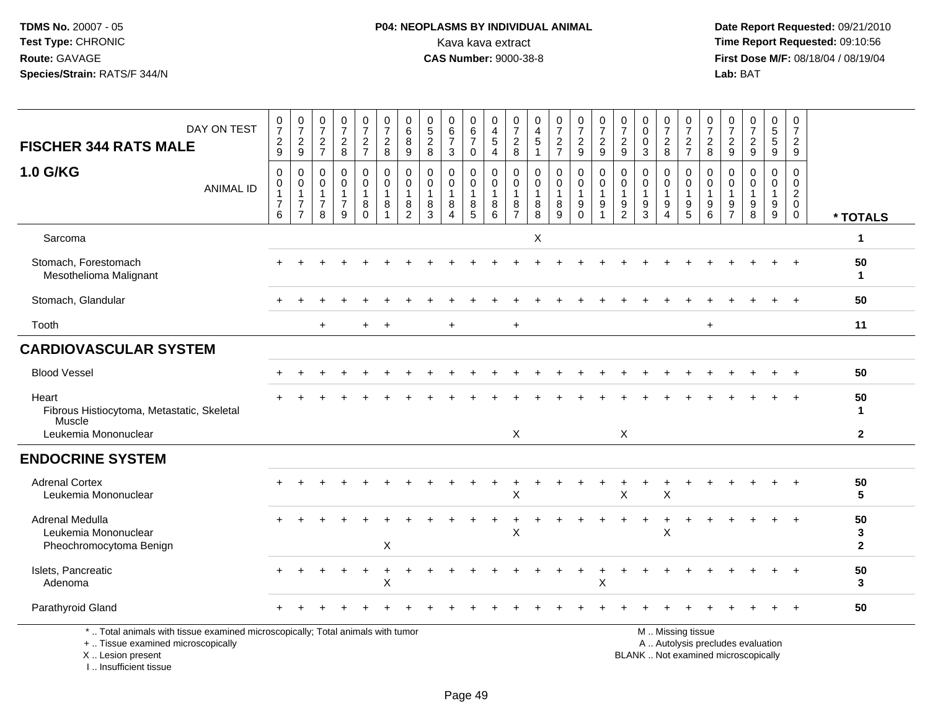## **P04: NEOPLASMS BY INDIVIDUAL ANIMAL**<br>Kava kava extract Kava kava extract **Time Report Requested:** 09:10:56<br>**CAS Number:** 9000-38-8 **CAS Number:** 9000-38-8

 **Date Report Requested:** 09/21/2010 **First Dose M/F:** 08/18/04 / 08/19/04<br>Lab: BAT **Lab:** BAT

| DAY ON TEST<br><b>FISCHER 344 RATS MALE</b>                                                                                                | $\frac{0}{7}$<br>$\frac{2}{9}$                | $\frac{0}{7}$<br>$\frac{2}{9}$                                                 | $\frac{0}{7}$<br>$\frac{2}{7}$                          | $\frac{0}{7}$<br>$\frac{2}{8}$                          | $\begin{smallmatrix}0\\7\end{smallmatrix}$<br>$\frac{2}{7}$ | $\frac{0}{7}$<br>$\frac{2}{8}$                    | $\begin{matrix} 0 \\ 6 \end{matrix}$<br>8<br>9            | $\begin{array}{c} 0 \\ 5 \end{array}$<br>$\overline{2}$<br>8 | $^{\rm 0}_{\rm 6}$<br>$\overline{7}$<br>3 | $\begin{array}{c} 0 \\ 6 \end{array}$<br>$\overline{7}$<br>$\mathbf 0$ | 0<br>$\overline{4}$<br>$\sqrt{5}$<br>$\overline{4}$      | $\frac{0}{7}$<br>$\sqrt{2}$<br>8 | $\begin{smallmatrix}0\0\4\end{smallmatrix}$<br>$\,$ 5 $\,$<br>$\overline{1}$ | $\frac{0}{7}$<br>$\sqrt{2}$<br>$\overline{7}$ | $\frac{0}{7}$<br>$\boldsymbol{2}$<br>9                | $\frac{0}{7}$<br>$\frac{2}{9}$  | $\frac{0}{7}$<br>$\overline{c}$<br>9                               | $\begin{smallmatrix} 0\\0 \end{smallmatrix}$<br>$\pmb{0}$<br>$\mathbf{3}$ | $\begin{array}{c} 0 \\ 7 \end{array}$<br>$^2_8$           | $\frac{0}{7}$<br>$\frac{2}{7}$                                                                | $\frac{0}{7}$<br>$\overline{c}$<br>8                       | $\frac{0}{7}$<br>$\overline{c}$<br>$\mathsf g$      | $\frac{0}{7}$<br>$\frac{2}{9}$                     | $\begin{array}{c} 0 \\ 5 \\ 5 \end{array}$<br>9 | 0<br>$\overline{7}$<br>$\overline{2}$<br>9   |                         |
|--------------------------------------------------------------------------------------------------------------------------------------------|-----------------------------------------------|--------------------------------------------------------------------------------|---------------------------------------------------------|---------------------------------------------------------|-------------------------------------------------------------|---------------------------------------------------|-----------------------------------------------------------|--------------------------------------------------------------|-------------------------------------------|------------------------------------------------------------------------|----------------------------------------------------------|----------------------------------|------------------------------------------------------------------------------|-----------------------------------------------|-------------------------------------------------------|---------------------------------|--------------------------------------------------------------------|---------------------------------------------------------------------------|-----------------------------------------------------------|-----------------------------------------------------------------------------------------------|------------------------------------------------------------|-----------------------------------------------------|----------------------------------------------------|-------------------------------------------------|----------------------------------------------|-------------------------|
| <b>1.0 G/KG</b><br><b>ANIMAL ID</b>                                                                                                        | 0<br>0<br>$\mathbf{1}$<br>$\overline{7}$<br>6 | $\mathbf 0$<br>$\mathbf 0$<br>$\mathbf{1}$<br>$\overline{7}$<br>$\overline{7}$ | 0<br>$\mathbf 0$<br>$\mathbf{1}$<br>$\overline{7}$<br>8 | 0<br>$\mathbf 0$<br>$\mathbf{1}$<br>$\overline{7}$<br>9 | 0<br>$\mathbf 0$<br>$\mathbf{1}$<br>$_{0}^{8}$              | 0<br>$\mathbf 0$<br>$\overline{1}$<br>$\bf8$<br>1 | 0<br>$\mathbf 0$<br>$\overline{1}$<br>8<br>$\overline{2}$ | $\mathbf 0$<br>$\mathbf 0$<br>$\mathbf{1}$<br>8<br>3         | 0<br>$\mathbf 0$<br>1<br>8<br>4           | 0<br>$\mathbf 0$<br>$\mathbf{1}$<br>8<br>$\overline{5}$                | 0<br>$\mathbf 0$<br>$\mathbf{1}$<br>8<br>$6\overline{6}$ | 0<br>0<br>8<br>$\overline{7}$    | $\mathbf 0$<br>$\pmb{0}$<br>$\mathbf{1}$<br>$\bf 8$<br>$\overline{8}$        | 0<br>0<br>$\mathbf{1}$<br>8<br>9              | 0<br>$\mathbf 0$<br>$\mathbf{1}$<br>$9\,$<br>$\Omega$ | 0<br>0<br>$\mathbf{1}$<br>$9\,$ | $\mathbf 0$<br>$\Omega$<br>$\mathbf{1}$<br>$9\,$<br>$\overline{2}$ | 0<br>0<br>$\mathbf{1}$<br>$\boldsymbol{9}$<br>$\overline{3}$              | 0<br>$\mathbf 0$<br>$\overline{1}$<br>9<br>$\overline{4}$ | $\mathbf 0$<br>$\mathbf 0$<br>$\overline{1}$<br>$\boldsymbol{9}$<br>$\overline{5}$            | $\mathbf 0$<br>$\mathbf 0$<br>$\overline{1}$<br>9<br>$\,6$ | 0<br>$\Omega$<br>$\mathbf 1$<br>9<br>$\overline{7}$ | 0<br>$\mathbf 0$<br>$\mathbf{1}$<br>$_{8}^{\rm 9}$ | 0<br>$\mathbf 0$<br>$\mathbf{1}$<br>$^9_9$      | 0<br>0<br>$\overline{2}$<br>0<br>$\mathsf 0$ | * TOTALS                |
| Sarcoma                                                                                                                                    |                                               |                                                                                |                                                         |                                                         |                                                             |                                                   |                                                           |                                                              |                                           |                                                                        |                                                          |                                  | X                                                                            |                                               |                                                       |                                 |                                                                    |                                                                           |                                                           |                                                                                               |                                                            |                                                     |                                                    |                                                 |                                              | 1                       |
| Stomach, Forestomach<br>Mesothelioma Malignant                                                                                             |                                               |                                                                                |                                                         |                                                         |                                                             |                                                   |                                                           |                                                              |                                           |                                                                        |                                                          |                                  |                                                                              |                                               |                                                       |                                 |                                                                    |                                                                           |                                                           |                                                                                               |                                                            |                                                     |                                                    |                                                 |                                              | 50<br>1                 |
| Stomach, Glandular                                                                                                                         |                                               |                                                                                |                                                         |                                                         |                                                             |                                                   |                                                           |                                                              |                                           |                                                                        |                                                          |                                  |                                                                              |                                               |                                                       |                                 |                                                                    |                                                                           |                                                           |                                                                                               |                                                            |                                                     |                                                    |                                                 |                                              | 50                      |
| Tooth                                                                                                                                      |                                               |                                                                                | $\ddot{}$                                               |                                                         | $+$                                                         | $\overline{1}$                                    |                                                           |                                                              | $+$                                       |                                                                        |                                                          | $+$                              |                                                                              |                                               |                                                       |                                 |                                                                    |                                                                           |                                                           |                                                                                               | $\ddot{}$                                                  |                                                     |                                                    |                                                 |                                              | 11                      |
| <b>CARDIOVASCULAR SYSTEM</b>                                                                                                               |                                               |                                                                                |                                                         |                                                         |                                                             |                                                   |                                                           |                                                              |                                           |                                                                        |                                                          |                                  |                                                                              |                                               |                                                       |                                 |                                                                    |                                                                           |                                                           |                                                                                               |                                                            |                                                     |                                                    |                                                 |                                              |                         |
| <b>Blood Vessel</b>                                                                                                                        |                                               |                                                                                |                                                         |                                                         |                                                             |                                                   |                                                           |                                                              |                                           |                                                                        |                                                          |                                  |                                                                              |                                               |                                                       |                                 |                                                                    |                                                                           |                                                           |                                                                                               |                                                            |                                                     |                                                    |                                                 |                                              | 50                      |
| Heart<br>Fibrous Histiocytoma, Metastatic, Skeletal<br>Muscle                                                                              |                                               |                                                                                |                                                         |                                                         |                                                             |                                                   |                                                           |                                                              |                                           |                                                                        |                                                          |                                  |                                                                              |                                               |                                                       |                                 |                                                                    |                                                                           |                                                           |                                                                                               |                                                            |                                                     |                                                    |                                                 |                                              | 50<br>1                 |
| Leukemia Mononuclear                                                                                                                       |                                               |                                                                                |                                                         |                                                         |                                                             |                                                   |                                                           |                                                              |                                           |                                                                        |                                                          | X                                |                                                                              |                                               |                                                       |                                 | $\boldsymbol{\mathsf{X}}$                                          |                                                                           |                                                           |                                                                                               |                                                            |                                                     |                                                    |                                                 |                                              | $\mathbf{2}$            |
| <b>ENDOCRINE SYSTEM</b>                                                                                                                    |                                               |                                                                                |                                                         |                                                         |                                                             |                                                   |                                                           |                                                              |                                           |                                                                        |                                                          |                                  |                                                                              |                                               |                                                       |                                 |                                                                    |                                                                           |                                                           |                                                                                               |                                                            |                                                     |                                                    |                                                 |                                              |                         |
| <b>Adrenal Cortex</b><br>Leukemia Mononuclear                                                                                              |                                               |                                                                                |                                                         |                                                         |                                                             |                                                   |                                                           |                                                              |                                           |                                                                        |                                                          | X                                |                                                                              |                                               |                                                       |                                 | X                                                                  |                                                                           | X                                                         |                                                                                               |                                                            |                                                     |                                                    |                                                 |                                              | 50<br>5                 |
| Adrenal Medulla<br>Leukemia Mononuclear<br>Pheochromocytoma Benign                                                                         |                                               |                                                                                |                                                         |                                                         |                                                             | X                                                 |                                                           |                                                              |                                           |                                                                        |                                                          | X                                |                                                                              |                                               |                                                       |                                 |                                                                    |                                                                           | ÷.<br>X                                                   |                                                                                               |                                                            |                                                     |                                                    |                                                 |                                              | 50<br>3<br>$\mathbf{2}$ |
| Islets, Pancreatic<br>Adenoma                                                                                                              |                                               |                                                                                |                                                         |                                                         |                                                             | X                                                 |                                                           |                                                              |                                           |                                                                        |                                                          |                                  |                                                                              |                                               |                                                       | X                               |                                                                    |                                                                           |                                                           |                                                                                               |                                                            |                                                     |                                                    |                                                 |                                              | 50<br>3                 |
| Parathyroid Gland                                                                                                                          |                                               |                                                                                |                                                         |                                                         |                                                             |                                                   |                                                           |                                                              |                                           |                                                                        |                                                          |                                  |                                                                              |                                               |                                                       |                                 |                                                                    |                                                                           |                                                           |                                                                                               |                                                            |                                                     |                                                    |                                                 | $^{+}$                                       | 50                      |
| *  Total animals with tissue examined microscopically; Total animals with tumor<br>+  Tissue examined microscopically<br>X  Lesion present |                                               |                                                                                |                                                         |                                                         |                                                             |                                                   |                                                           |                                                              |                                           |                                                                        |                                                          |                                  |                                                                              |                                               |                                                       |                                 |                                                                    |                                                                           |                                                           | M  Missing tissue<br>A  Autolysis precludes evaluation<br>BLANK  Not examined microscopically |                                                            |                                                     |                                                    |                                                 |                                              |                         |

I .. Insufficient tissue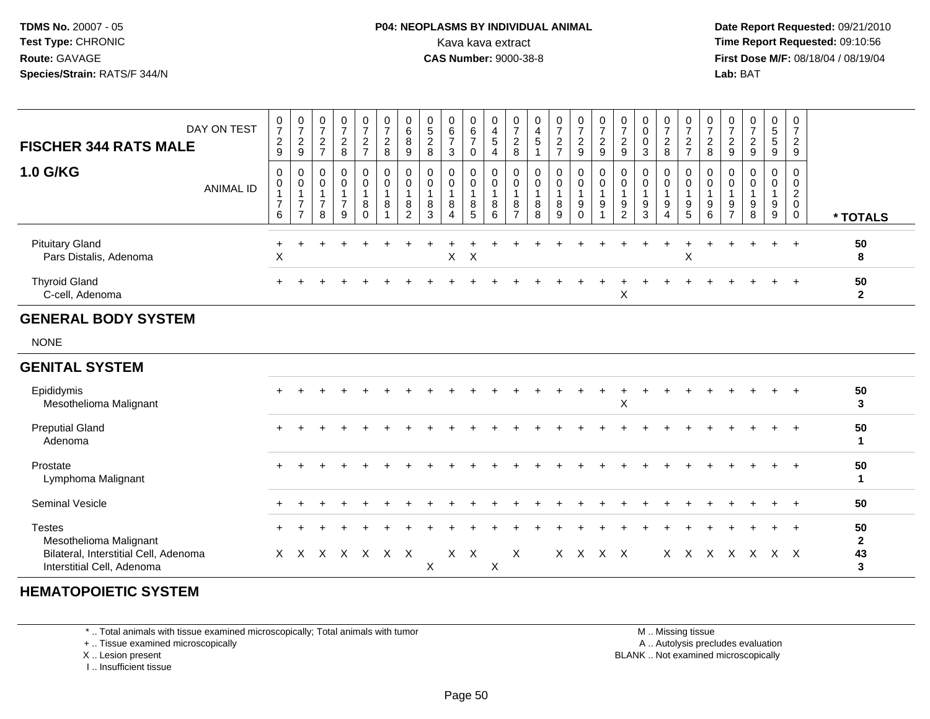#### **P04: NEOPLASMS BY INDIVIDUAL ANIMAL**Kava kava extract **Time Report Requested:** 09:10:56<br>**CAS Number:** 9000-38-8<br>**Tirst Dose M/F:** 08/18/04 / 08/19/04

 **Date Report Requested:** 09/21/2010 **First Dose M/F:** 08/18/04 / 08/19/04 Lab: BAT **Lab:** BAT

| <b>Thyroid Gland</b><br>C-cell, Adenoma          |                  |                                                   |                                                    |                                       |                                                 |                                      |                                                |                                 |                                 |                                                |                               |                                         |                                     |                      |                                      |                                          |                                                | X                                   |                  |                                                  |                                                 |                                                 |                                |                                      |                                                                | $\div$                               | 50<br>$\mathbf{2}$ |
|--------------------------------------------------|------------------|---------------------------------------------------|----------------------------------------------------|---------------------------------------|-------------------------------------------------|--------------------------------------|------------------------------------------------|---------------------------------|---------------------------------|------------------------------------------------|-------------------------------|-----------------------------------------|-------------------------------------|----------------------|--------------------------------------|------------------------------------------|------------------------------------------------|-------------------------------------|------------------|--------------------------------------------------|-------------------------------------------------|-------------------------------------------------|--------------------------------|--------------------------------------|----------------------------------------------------------------|--------------------------------------|--------------------|
| <b>Pituitary Gland</b><br>Pars Distalis, Adenoma |                  | X                                                 |                                                    |                                       |                                                 |                                      |                                                |                                 |                                 | $X$ $X$                                        |                               |                                         |                                     |                      |                                      |                                          |                                                |                                     |                  |                                                  | X                                               |                                                 |                                |                                      |                                                                | $\overline{ }$                       | 50<br>8            |
| <b>1.0 G/KG</b>                                  | <b>ANIMAL ID</b> | 0<br>$\mathbf 0$<br>$\overline{7}$<br>6           | 0<br>$\pmb{0}$<br>$\overline{ }$<br>$\overline{ }$ | 0<br>$\pmb{0}$<br>$\overline{ }$<br>8 | $\mathbf 0$<br>$\pmb{0}$<br>$\overline{ }$<br>9 | 0<br>0<br>8<br>0                     | 0<br>$\mathbf 0$<br>8                          | 0<br>0<br>8<br>$\overline{c}$   | 0<br>0<br>8<br>3                | 0<br>$\pmb{0}$<br>8<br>$\overline{4}$          | 0<br>0<br>8<br>5              | $\mathbf 0$<br>8<br>6                   | 0<br>0<br>8<br>$\rightarrow$        | 0<br>0<br>8<br>8     | 0<br>$\mathbf 0$<br>8<br>9           | 0<br>0<br>9<br>0                         | 0<br>9                                         | 0<br>0<br>9<br>$\overline{2}$       | 0<br>9<br>3      | 0<br>$\mathbf 0$<br>9<br>$\overline{4}$          | 0<br>0<br>9<br>5                                | 0<br>$\mathbf 0$<br>$\boldsymbol{9}$<br>$\,6\,$ | 9<br>$\overline{ }$            | 9<br>8                               | 0<br>0<br>9<br>9                                               | 0<br>0<br>2<br>0<br>$\mathbf{0}$     | * TOTALS           |
| <b>FISCHER 344 RATS MALE</b>                     | DAY ON TEST      | $\overline{0}$<br>$\overline{7}$<br>$\frac{2}{9}$ | 0<br>$\overline{ }$<br>$\frac{2}{9}$               | 0<br>$\frac{2}{7}$                    | $\mathbf 0$<br>$\overline{ }$<br>$\frac{2}{8}$  | 0<br>$\overline{ }$<br>$\frac{2}{7}$ | $\mathbf 0$<br>$\overline{ }$<br>$\frac{2}{8}$ | 0<br>6<br>8<br>$\boldsymbol{9}$ | 0<br>$\,$ 5 $\,$<br>⌒<br>ے<br>8 | 0<br>$\,6\,$<br>$\overline{ }$<br>$\mathbf{3}$ | 0<br>6<br>$\overline{ }$<br>0 | $\mathbf 0$<br>$\overline{4}$<br>5<br>4 | 0<br>$\rightarrow$<br>$\frac{2}{8}$ | 0<br>4<br>$\sqrt{5}$ | 0<br>$\overline{ }$<br>$\frac{2}{7}$ | $\mathbf{0}$<br>$\overline{ }$<br>2<br>9 | $\mathbf 0$<br>$\overline{z}$<br>$\frac{2}{9}$ | 0<br>$\rightarrow$<br>$\frac{2}{9}$ | 0<br>0<br>0<br>3 | 0<br>$\overline{ }$<br>$\overline{2}$<br>$\,8\,$ | $\mathbf{0}$<br>$\overline{ }$<br>$\frac{2}{7}$ | 0<br>$\overline{ }$<br>$\frac{2}{8}$            | $\rightarrow$<br>$\frac{2}{9}$ | 0<br>$\overline{ }$<br>$\frac{2}{9}$ | $\overline{0}$<br>$\sqrt{5}$<br>$\sqrt{5}$<br>$\boldsymbol{9}$ | 0<br>$\overline{ }$<br>$\frac{2}{9}$ |                    |

#### **GENERAL BODY SYSTEM**

NONE

#### **GENITAL SYSTEM**

| Epididymis<br>Mesothelioma Malignant                                | $+$   |   |   |   |    |     |        |     |   |   | + |     |     | X |  |     |   | $+$ | $\div$ | $+$ |         | 50<br>3 |
|---------------------------------------------------------------------|-------|---|---|---|----|-----|--------|-----|---|---|---|-----|-----|---|--|-----|---|-----|--------|-----|---------|---------|
| <b>Preputial Gland</b><br>Adenoma                                   | $+$   |   |   |   |    |     |        |     |   |   |   |     |     |   |  |     |   |     |        |     | $+$ $+$ | 50      |
| Prostate<br>Lymphoma Malignant                                      | $+$   |   |   |   |    |     |        |     |   |   |   |     |     |   |  |     |   |     |        |     |         | 50      |
| <b>Seminal Vesicle</b>                                              | $+$   |   |   |   |    |     |        |     |   |   |   |     |     |   |  |     |   |     |        |     |         | 50      |
| <b>Testes</b><br>Mesothelioma Malignant                             | $\pm$ |   |   |   |    |     |        |     |   |   |   |     |     |   |  |     |   |     |        | $+$ | $+$     | 50<br>ົ |
| Bilateral, Interstitial Cell, Adenoma<br>Interstitial Cell, Adenoma | X.    | X | X | X | X. | X X | $\sim$ | x x | ⋏ | X |   | X X | X X |   |  | X X | X | X.  | X      | x x |         | 43<br>ີ |

#### **HEMATOPOIETIC SYSTEM**

\* .. Total animals with tissue examined microscopically; Total animals with tumor

+ .. Tissue examined microscopically

X .. Lesion present

I .. Insufficient tissue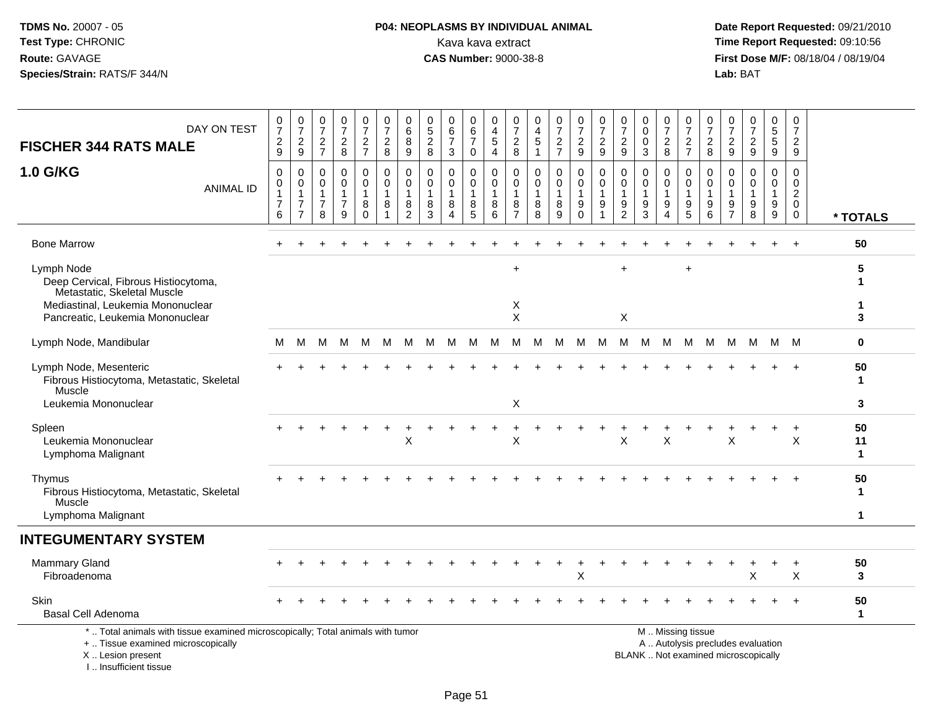#### **P04: NEOPLASMS BY INDIVIDUAL ANIMAL**<br>Kava kava extract Kava kava extract **Time Report Requested:** 09:10:56<br>**CAS Number:** 9000-38-8 **CAS Number:** 9000-38-8

 **Date Report Requested:** 09/21/2010 **First Dose M/F:** 08/18/04 / 08/19/04 Lab: BAT **Lab:** BAT

| DAY ON TEST<br><b>FISCHER 344 RATS MALE</b><br>1.0 G/KG<br><b>ANIMAL ID</b>                                                                                | $\frac{0}{7}$<br>$\overline{a}$<br>9<br>$\mathbf 0$<br>0<br>$\mathbf{1}$<br>$\overline{7}$ | $\begin{smallmatrix} 0\\7 \end{smallmatrix}$<br>$\overline{c}$<br>9<br>0<br>$\pmb{0}$<br>$\mathbf{1}$<br>$\overline{7}$ | 0<br>$\overline{7}$<br>$\overline{c}$<br>$\overline{7}$<br>$\mathbf 0$<br>0<br>$\overline{7}$ | $\frac{0}{7}$<br>$\overline{c}$<br>$\,8\,$<br>$\mathbf 0$<br>$\mathbf 0$<br>$\mathbf{1}$<br>$\overline{7}$ | 0<br>$\overline{7}$<br>$\overline{c}$<br>$\overline{7}$<br>0<br>$\mathbf 0$<br>1<br>8 | 0<br>$\overline{7}$<br>$\overline{c}$<br>8<br>$\mathbf 0$<br>$\mathbf 0$<br>1<br>8 | 0<br>6<br>8<br>9<br>0<br>$\mathbf 0$<br>$\mathbf{1}$<br>8 | 0<br>$\sqrt{5}$<br>$\sqrt{2}$<br>8<br>$\mathbf 0$<br>$\Omega$<br>-1<br>8 | 0<br>$\,6$<br>$\overline{7}$<br>3<br>$\mathbf 0$<br>$\mathbf 0$<br>8 | 0<br>$\,6$<br>$\overline{7}$<br>$\mathbf 0$<br>$\mathbf 0$<br>$\mathbf 0$<br>$\overline{1}$<br>8 | 0<br>$\overline{4}$<br>$\overline{5}$<br>$\overline{4}$<br>0<br>$\Omega$<br>$\overline{1}$<br>8 | 0<br>$\overline{7}$<br>$\overline{c}$<br>8<br>$\mathbf 0$<br>0<br>1<br>8 | 0<br>$\overline{\mathbf{4}}$<br>$\mathbf 5$<br>$\mathbf{1}$<br>$\mathbf 0$<br>$\mathbf 0$<br>$\mathbf{1}$<br>8 | $\frac{0}{7}$<br>$\overline{a}$<br>$\overline{7}$<br>0<br>$\mathbf 0$<br>1<br>8 | $\pmb{0}$<br>$\boldsymbol{7}$<br>$\overline{a}$<br>$9\,$<br>0<br>0<br>9 | $\frac{0}{7}$<br>$\overline{c}$<br>9<br>$\mathbf 0$<br>$\mathbf 0$<br>$\overline{1}$<br>9 | 0<br>$\overline{7}$<br>$\overline{2}$<br>9<br>$\mathbf 0$<br>$\Omega$<br>-1<br>9 | 0<br>$\mathbf 0$<br>$\mathbf 0$<br>3<br>$\mathbf 0$<br>$\Omega$<br>1<br>9 | $\frac{0}{7}$<br>$\overline{c}$<br>8<br>0<br>$\mathbf 0$<br>1<br>9 | $\frac{0}{7}$<br>$\overline{c}$<br>$\overline{7}$<br>0<br>$\mathbf 0$<br>$\mathbf{1}$<br>9 | 0<br>$\overline{7}$<br>$\overline{2}$<br>8<br>0<br>$\mathbf 0$<br>$\overline{1}$<br>9 | $\mathbf 0$<br>$\overline{7}$<br>$\overline{c}$<br>9<br>$\mathbf 0$<br>$\Omega$<br>-1<br>9 | 0<br>$\overline{7}$<br>$\boldsymbol{2}$<br>9<br>$\mathbf 0$<br>$\Omega$<br>-1<br>9 | 0<br>$\sqrt{5}$<br>$\sqrt{5}$<br>9<br>0<br>$\mathbf 0$<br>$\mathbf 1$<br>9 | $\mathbf 0$<br>$\overline{7}$<br>$\overline{2}$<br>9<br>$\mathbf 0$<br>$\mathbf 0$<br>$\overline{c}$<br>$\mathbf 0$ |                                    |
|------------------------------------------------------------------------------------------------------------------------------------------------------------|--------------------------------------------------------------------------------------------|-------------------------------------------------------------------------------------------------------------------------|-----------------------------------------------------------------------------------------------|------------------------------------------------------------------------------------------------------------|---------------------------------------------------------------------------------------|------------------------------------------------------------------------------------|-----------------------------------------------------------|--------------------------------------------------------------------------|----------------------------------------------------------------------|--------------------------------------------------------------------------------------------------|-------------------------------------------------------------------------------------------------|--------------------------------------------------------------------------|----------------------------------------------------------------------------------------------------------------|---------------------------------------------------------------------------------|-------------------------------------------------------------------------|-------------------------------------------------------------------------------------------|----------------------------------------------------------------------------------|---------------------------------------------------------------------------|--------------------------------------------------------------------|--------------------------------------------------------------------------------------------|---------------------------------------------------------------------------------------|--------------------------------------------------------------------------------------------|------------------------------------------------------------------------------------|----------------------------------------------------------------------------|---------------------------------------------------------------------------------------------------------------------|------------------------------------|
|                                                                                                                                                            | 6                                                                                          | $\overline{7}$                                                                                                          | 8                                                                                             | 9                                                                                                          | $\Omega$                                                                              | 1                                                                                  | $\overline{c}$                                            | 3                                                                        | $\overline{4}$                                                       | 5                                                                                                | 6                                                                                               | $\overline{7}$                                                           | 8                                                                                                              | 9                                                                               | $\mathbf 0$                                                             | 1                                                                                         | $\overline{c}$                                                                   | 3                                                                         | $\overline{4}$                                                     | 5                                                                                          | 6                                                                                     | $\overline{7}$                                                                             | 8                                                                                  | 9                                                                          | 0                                                                                                                   | * TOTALS                           |
| <b>Bone Marrow</b>                                                                                                                                         |                                                                                            | $\div$                                                                                                                  |                                                                                               |                                                                                                            |                                                                                       |                                                                                    |                                                           |                                                                          |                                                                      |                                                                                                  |                                                                                                 |                                                                          |                                                                                                                |                                                                                 |                                                                         |                                                                                           |                                                                                  |                                                                           |                                                                    |                                                                                            |                                                                                       |                                                                                            |                                                                                    | $+$                                                                        | $+$                                                                                                                 | 50                                 |
| Lymph Node<br>Deep Cervical, Fibrous Histiocytoma,<br>Metastatic, Skeletal Muscle<br>Mediastinal, Leukemia Mononuclear<br>Pancreatic, Leukemia Mononuclear |                                                                                            |                                                                                                                         |                                                                                               |                                                                                                            |                                                                                       |                                                                                    |                                                           |                                                                          |                                                                      |                                                                                                  |                                                                                                 | $\ddot{}$<br>Χ<br>$\sf X$                                                |                                                                                                                |                                                                                 |                                                                         |                                                                                           | $\ddot{}$<br>$\boldsymbol{\mathsf{X}}$                                           |                                                                           |                                                                    | ÷                                                                                          |                                                                                       |                                                                                            |                                                                                    |                                                                            |                                                                                                                     | 5<br>3                             |
| Lymph Node, Mandibular                                                                                                                                     | м                                                                                          | M                                                                                                                       | М                                                                                             | м                                                                                                          | м                                                                                     | М                                                                                  | M                                                         | M                                                                        | M                                                                    | M                                                                                                | M                                                                                               | M                                                                        | M                                                                                                              | M                                                                               | M                                                                       | M                                                                                         | м                                                                                | M                                                                         | M                                                                  | M                                                                                          | M                                                                                     | M                                                                                          | м                                                                                  |                                                                            | M M                                                                                                                 | $\mathbf 0$                        |
| Lymph Node, Mesenteric<br>Fibrous Histiocytoma, Metastatic, Skeletal<br>Muscle<br>Leukemia Mononuclear                                                     |                                                                                            |                                                                                                                         |                                                                                               |                                                                                                            |                                                                                       |                                                                                    |                                                           |                                                                          |                                                                      |                                                                                                  |                                                                                                 | X                                                                        |                                                                                                                |                                                                                 |                                                                         |                                                                                           |                                                                                  |                                                                           |                                                                    |                                                                                            |                                                                                       |                                                                                            |                                                                                    |                                                                            |                                                                                                                     | 50<br>-1<br>3                      |
| Spleen<br>Leukemia Mononuclear<br>Lymphoma Malignant                                                                                                       |                                                                                            |                                                                                                                         |                                                                                               |                                                                                                            |                                                                                       |                                                                                    | X                                                         |                                                                          |                                                                      |                                                                                                  | $\ddot{}$                                                                                       | +<br>X                                                                   |                                                                                                                |                                                                                 |                                                                         |                                                                                           | X                                                                                |                                                                           | X                                                                  |                                                                                            |                                                                                       | X                                                                                          |                                                                                    | $\ddot{}$                                                                  | $\ddot{}$<br>$\times$                                                                                               | 50<br>11<br>$\mathbf{1}$           |
| Thymus<br>Fibrous Histiocytoma, Metastatic, Skeletal<br>Muscle<br>Lymphoma Malignant                                                                       |                                                                                            |                                                                                                                         |                                                                                               |                                                                                                            |                                                                                       |                                                                                    |                                                           |                                                                          |                                                                      |                                                                                                  |                                                                                                 |                                                                          |                                                                                                                |                                                                                 |                                                                         |                                                                                           |                                                                                  |                                                                           |                                                                    |                                                                                            |                                                                                       |                                                                                            |                                                                                    |                                                                            |                                                                                                                     | 50<br>$\mathbf{1}$<br>$\mathbf{1}$ |
| <b>INTEGUMENTARY SYSTEM</b>                                                                                                                                |                                                                                            |                                                                                                                         |                                                                                               |                                                                                                            |                                                                                       |                                                                                    |                                                           |                                                                          |                                                                      |                                                                                                  |                                                                                                 |                                                                          |                                                                                                                |                                                                                 |                                                                         |                                                                                           |                                                                                  |                                                                           |                                                                    |                                                                                            |                                                                                       |                                                                                            |                                                                                    |                                                                            |                                                                                                                     |                                    |
| <b>Mammary Gland</b><br>Fibroadenoma                                                                                                                       |                                                                                            |                                                                                                                         |                                                                                               |                                                                                                            |                                                                                       |                                                                                    |                                                           |                                                                          |                                                                      |                                                                                                  |                                                                                                 |                                                                          |                                                                                                                |                                                                                 | $\ddot{}$<br>X                                                          |                                                                                           |                                                                                  |                                                                           |                                                                    |                                                                                            |                                                                                       |                                                                                            |                                                                                    |                                                                            | $\ddot{}$<br>X                                                                                                      | 50<br>$\mathbf{3}$                 |
| Skin<br><b>Basal Cell Adenoma</b>                                                                                                                          |                                                                                            |                                                                                                                         |                                                                                               |                                                                                                            |                                                                                       |                                                                                    |                                                           |                                                                          |                                                                      |                                                                                                  |                                                                                                 |                                                                          |                                                                                                                |                                                                                 |                                                                         |                                                                                           |                                                                                  |                                                                           |                                                                    |                                                                                            |                                                                                       |                                                                                            |                                                                                    |                                                                            |                                                                                                                     | 50<br>$\mathbf 1$                  |
| *  Total animals with tissue examined microscopically; Total animals with tumor<br>+  Tissue examined microscopically<br>X  Lesion present                 |                                                                                            |                                                                                                                         |                                                                                               |                                                                                                            |                                                                                       |                                                                                    |                                                           |                                                                          |                                                                      |                                                                                                  |                                                                                                 |                                                                          |                                                                                                                |                                                                                 |                                                                         |                                                                                           |                                                                                  | BLANK  Not examined microscopically                                       |                                                                    | M  Missing tissue                                                                          |                                                                                       |                                                                                            | A  Autolysis precludes evaluation                                                  |                                                                            |                                                                                                                     |                                    |

I .. Insufficient tissue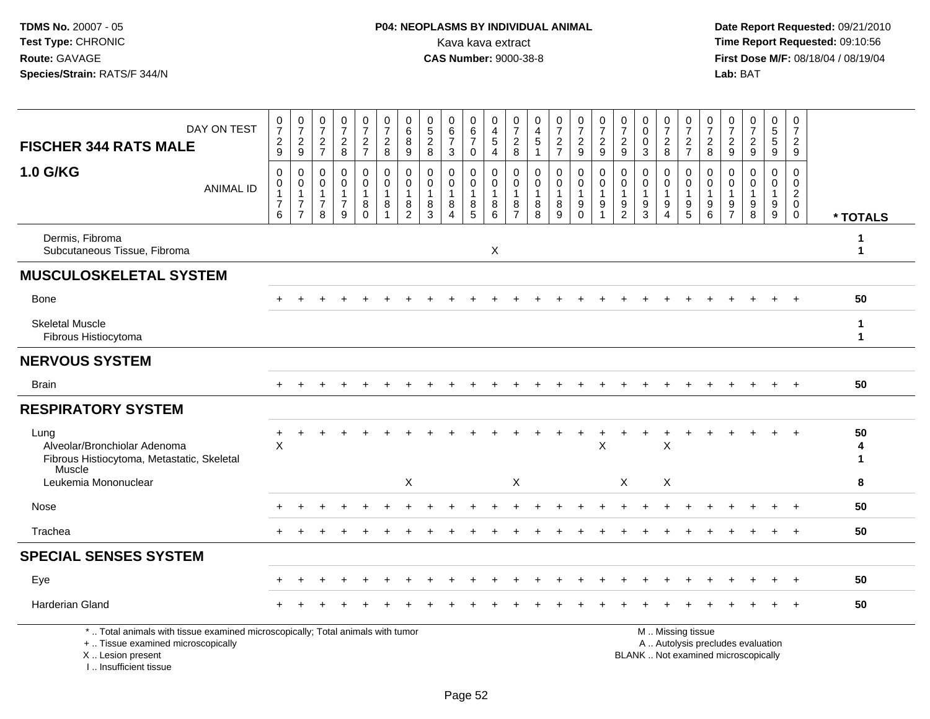# **P04: NEOPLASMS BY INDIVIDUAL ANIMAL**<br>Kava kava extract Kava kava extract **Time Report Requested:** 09:10:56<br>**CAS Number:** 9000-38-8 **CAS Number:** 9000-38-8

 **Date Report Requested:** 09/21/2010 **First Dose M/F:** 08/18/04 / 08/19/04 Lab: BAT **Lab:** BAT

| <b>FISCHER 344 RATS MALE</b>                                                                                                               | DAY ON TEST      | $\frac{0}{7}$<br>$\frac{2}{9}$                            | $\frac{0}{7}$<br>$\overline{c}$<br>9                                           | 0<br>$\overline{7}$<br>$\overline{\mathbf{c}}$<br>$\overline{7}$ | 0<br>$\overline{7}$<br>$\overline{c}$<br>8         | $\frac{0}{7}$<br>$\overline{c}$<br>$\overline{7}$ | $\frac{0}{7}$<br>$\overline{c}$<br>8 | 0<br>$6\phantom{a}$<br>8<br>9                                     | 0<br>$\sqrt{5}$<br>$\sqrt{2}$<br>8       | 0<br>$\,6$<br>$\overline{7}$<br>3              | 0<br>6<br>$\overline{7}$<br>$\Omega$ | 0<br>$\overline{4}$<br>$\,$ 5 $\,$<br>$\overline{4}$            | 0<br>$\overline{7}$<br>$\boldsymbol{2}$<br>8            | 0<br>$\overline{4}$<br>$\sqrt{5}$    | $\frac{0}{7}$<br>$\frac{2}{7}$                       | $\frac{0}{7}$<br>$\sqrt{2}$<br>9                     | 0<br>$\overline{7}$<br>$\sqrt{2}$<br>9                                      | 0<br>$\overline{7}$<br>$\boldsymbol{2}$<br>9   | 0<br>$\pmb{0}$<br>$\mathbf 0$<br>3                          | $\frac{0}{7}$<br>$\overline{c}$<br>8                       | $\frac{0}{7}$<br>$\frac{2}{7}$                                  | 0<br>$\overline{7}$<br>$\frac{2}{8}$                                         | 0<br>$\overline{7}$<br>$\overline{2}$<br>9  | 0<br>$\overline{7}$<br>$\sqrt{2}$<br>9                                   | 0<br>$\overline{5}$<br>$\sqrt{5}$<br>9 | 0<br>$\overline{7}$<br>$\overline{a}$<br>$\boldsymbol{9}$     |                             |
|--------------------------------------------------------------------------------------------------------------------------------------------|------------------|-----------------------------------------------------------|--------------------------------------------------------------------------------|------------------------------------------------------------------|----------------------------------------------------|---------------------------------------------------|--------------------------------------|-------------------------------------------------------------------|------------------------------------------|------------------------------------------------|--------------------------------------|-----------------------------------------------------------------|---------------------------------------------------------|--------------------------------------|------------------------------------------------------|------------------------------------------------------|-----------------------------------------------------------------------------|------------------------------------------------|-------------------------------------------------------------|------------------------------------------------------------|-----------------------------------------------------------------|------------------------------------------------------------------------------|---------------------------------------------|--------------------------------------------------------------------------|----------------------------------------|---------------------------------------------------------------|-----------------------------|
| 1.0 G/KG                                                                                                                                   | <b>ANIMAL ID</b> | $\mathbf 0$<br>0<br>$\overline{1}$<br>$\overline{7}$<br>6 | $\mathbf 0$<br>$\mathbf 0$<br>$\mathbf{1}$<br>$\overline{7}$<br>$\overline{7}$ | $\mathbf 0$<br>$\Omega$<br>1<br>$\overline{7}$<br>8              | $\Omega$<br>$\Omega$<br>1<br>$\boldsymbol{7}$<br>9 | 0<br>$\Omega$<br>$\mathbf{1}$<br>8<br>$\mathbf 0$ | 0<br>$\Omega$<br>1<br>8              | $\mathbf 0$<br>$\mathbf 0$<br>$\mathbf{1}$<br>8<br>$\overline{2}$ | $\mathbf{0}$<br>$\Omega$<br>-1<br>8<br>3 | $\Omega$<br>$\Omega$<br>$\mathbf{1}$<br>8<br>4 | 0<br>$\mathbf{0}$<br>1<br>8<br>5     | 0<br>$\mathsf{O}\xspace$<br>$\mathbf{1}$<br>8<br>$\overline{6}$ | $\mathbf 0$<br>0<br>$\mathbf{1}$<br>8<br>$\overline{7}$ | $\Omega$<br>$\Omega$<br>-1<br>8<br>8 | $\mathbf 0$<br>$\mathbf 0$<br>$\mathbf{1}$<br>8<br>9 | $\mathbf 0$<br>0<br>$\mathbf{1}$<br>9<br>$\mathbf 0$ | $\mathbf 0$<br>$\Omega$<br>$\mathbf{1}$<br>$\boldsymbol{9}$<br>$\mathbf{1}$ | $\mathbf 0$<br>$\Omega$<br>9<br>$\overline{2}$ | $\Omega$<br>$\Omega$<br>$\mathbf{1}$<br>9<br>$\overline{3}$ | 0<br>$\Omega$<br>$\mathbf 1$<br>9<br>$\boldsymbol{\Delta}$ | 0<br>0<br>$\mathbf{1}$<br>$\begin{array}{c} 9 \\ 5 \end{array}$ | $\mathbf 0$<br>$\Omega$<br>$\mathbf 1$<br>$\boldsymbol{9}$<br>$6\phantom{1}$ | $\Omega$<br>$\Omega$<br>9<br>$\overline{7}$ | $\Omega$<br>$\Omega$<br>$\mathbf{1}$<br>9<br>$\overline{8}$              | $\mathbf 0$<br>$\Omega$<br>1<br>9<br>9 | $\Omega$<br>0<br>$\overline{a}$<br>$\mathbf 0$<br>$\mathbf 0$ | * TOTALS                    |
| Dermis, Fibroma<br>Subcutaneous Tissue, Fibroma                                                                                            |                  |                                                           |                                                                                |                                                                  |                                                    |                                                   |                                      |                                                                   |                                          |                                                |                                      | X                                                               |                                                         |                                      |                                                      |                                                      |                                                                             |                                                |                                                             |                                                            |                                                                 |                                                                              |                                             |                                                                          |                                        |                                                               | 1<br>$\mathbf 1$            |
| <b>MUSCULOSKELETAL SYSTEM</b>                                                                                                              |                  |                                                           |                                                                                |                                                                  |                                                    |                                                   |                                      |                                                                   |                                          |                                                |                                      |                                                                 |                                                         |                                      |                                                      |                                                      |                                                                             |                                                |                                                             |                                                            |                                                                 |                                                                              |                                             |                                                                          |                                        |                                                               |                             |
| Bone                                                                                                                                       |                  |                                                           |                                                                                |                                                                  |                                                    |                                                   |                                      |                                                                   |                                          |                                                |                                      |                                                                 |                                                         |                                      |                                                      |                                                      |                                                                             |                                                |                                                             |                                                            |                                                                 |                                                                              |                                             |                                                                          |                                        |                                                               | 50                          |
| <b>Skeletal Muscle</b><br>Fibrous Histiocytoma                                                                                             |                  |                                                           |                                                                                |                                                                  |                                                    |                                                   |                                      |                                                                   |                                          |                                                |                                      |                                                                 |                                                         |                                      |                                                      |                                                      |                                                                             |                                                |                                                             |                                                            |                                                                 |                                                                              |                                             |                                                                          |                                        |                                                               | $\mathbf 1$<br>$\mathbf 1$  |
| <b>NERVOUS SYSTEM</b>                                                                                                                      |                  |                                                           |                                                                                |                                                                  |                                                    |                                                   |                                      |                                                                   |                                          |                                                |                                      |                                                                 |                                                         |                                      |                                                      |                                                      |                                                                             |                                                |                                                             |                                                            |                                                                 |                                                                              |                                             |                                                                          |                                        |                                                               |                             |
| <b>Brain</b>                                                                                                                               |                  |                                                           |                                                                                |                                                                  |                                                    |                                                   |                                      |                                                                   |                                          |                                                |                                      |                                                                 |                                                         |                                      |                                                      |                                                      |                                                                             |                                                |                                                             |                                                            |                                                                 |                                                                              |                                             |                                                                          |                                        |                                                               | 50                          |
| <b>RESPIRATORY SYSTEM</b>                                                                                                                  |                  |                                                           |                                                                                |                                                                  |                                                    |                                                   |                                      |                                                                   |                                          |                                                |                                      |                                                                 |                                                         |                                      |                                                      |                                                      |                                                                             |                                                |                                                             |                                                            |                                                                 |                                                                              |                                             |                                                                          |                                        |                                                               |                             |
| Lung<br>Alveolar/Bronchiolar Adenoma<br>Fibrous Histiocytoma, Metastatic, Skeletal<br>Muscle<br>Leukemia Mononuclear                       |                  | +<br>$\mathsf{X}$                                         |                                                                                |                                                                  |                                                    |                                                   |                                      | X                                                                 |                                          |                                                |                                      |                                                                 | $\boldsymbol{\mathsf{X}}$                               |                                      |                                                      |                                                      | $\pmb{\times}$                                                              | $\boldsymbol{\mathsf{X}}$                      |                                                             | $\mathsf X$<br>X                                           |                                                                 |                                                                              |                                             |                                                                          |                                        |                                                               | 50<br>4<br>$\mathbf 1$<br>8 |
| Nose                                                                                                                                       |                  |                                                           |                                                                                |                                                                  |                                                    |                                                   |                                      |                                                                   |                                          |                                                |                                      |                                                                 |                                                         |                                      |                                                      |                                                      |                                                                             |                                                |                                                             |                                                            |                                                                 |                                                                              |                                             |                                                                          |                                        |                                                               | 50                          |
| Trachea                                                                                                                                    |                  | ٠.                                                        |                                                                                |                                                                  |                                                    |                                                   |                                      |                                                                   |                                          |                                                |                                      |                                                                 |                                                         |                                      |                                                      |                                                      |                                                                             |                                                |                                                             |                                                            |                                                                 |                                                                              |                                             |                                                                          |                                        | $\overline{ }$                                                | 50                          |
| <b>SPECIAL SENSES SYSTEM</b>                                                                                                               |                  |                                                           |                                                                                |                                                                  |                                                    |                                                   |                                      |                                                                   |                                          |                                                |                                      |                                                                 |                                                         |                                      |                                                      |                                                      |                                                                             |                                                |                                                             |                                                            |                                                                 |                                                                              |                                             |                                                                          |                                        |                                                               |                             |
| Eye                                                                                                                                        |                  |                                                           |                                                                                |                                                                  |                                                    |                                                   |                                      |                                                                   |                                          |                                                |                                      |                                                                 |                                                         |                                      |                                                      |                                                      |                                                                             |                                                |                                                             |                                                            |                                                                 |                                                                              |                                             |                                                                          |                                        |                                                               | 50                          |
| Harderian Gland                                                                                                                            |                  |                                                           |                                                                                |                                                                  |                                                    |                                                   |                                      |                                                                   |                                          |                                                |                                      |                                                                 |                                                         |                                      |                                                      |                                                      |                                                                             |                                                |                                                             |                                                            |                                                                 |                                                                              |                                             |                                                                          |                                        |                                                               | 50                          |
| *  Total animals with tissue examined microscopically; Total animals with tumor<br>+  Tissue examined microscopically<br>X  Lesion present |                  |                                                           |                                                                                |                                                                  |                                                    |                                                   |                                      |                                                                   |                                          |                                                |                                      |                                                                 |                                                         |                                      |                                                      |                                                      |                                                                             |                                                |                                                             |                                                            | M  Missing tissue                                               |                                                                              |                                             | A  Autolysis precludes evaluation<br>BLANK  Not examined microscopically |                                        |                                                               |                             |

I .. Insufficient tissue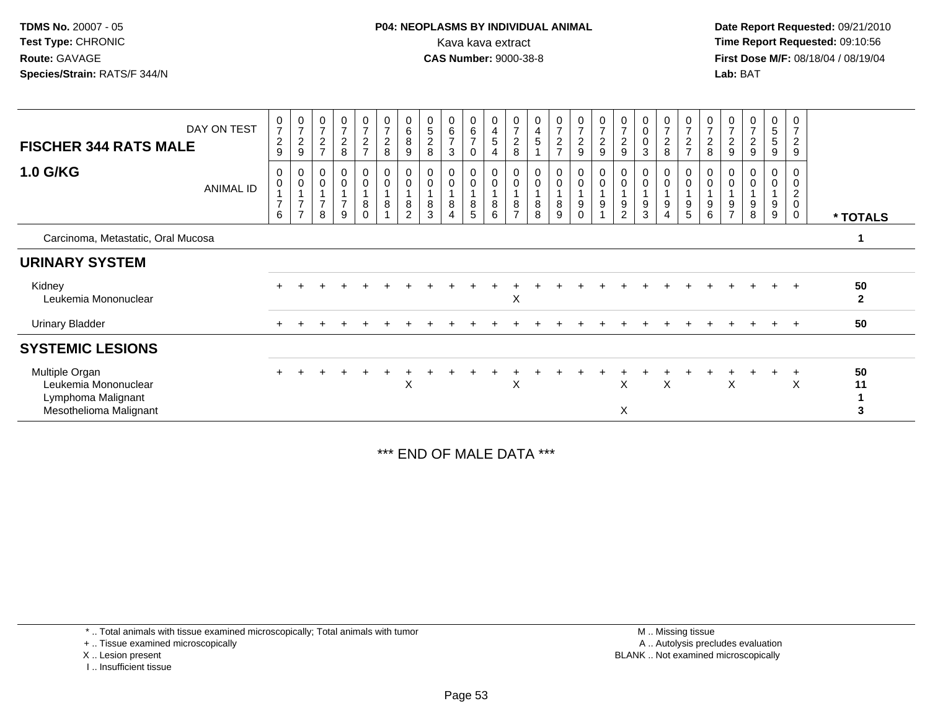**Date Report Requested:** 09/21/2010 **First Dose M/F:** 08/18/04 / 08/19/04 Lab: BAT **Lab:** BAT

| <b>FISCHER 344 RATS MALE</b><br><b>1.0 G/KG</b>                                        | DAY ON TEST      | $\frac{0}{7}$<br>$\overline{c}$<br>9<br>0 | $\begin{array}{c} 0 \\ 7 \end{array}$<br>$\frac{2}{9}$<br>$\boldsymbol{0}$ | $\frac{0}{7}$<br>$\frac{2}{7}$<br>$\boldsymbol{0}$ | $\pmb{0}$<br>$\boldsymbol{7}$<br>$\frac{2}{8}$<br>$\pmb{0}$ | 0<br>$\overline{7}$<br>$\overline{a}$<br>$\overline{7}$<br>0 | $\frac{0}{7}$<br>$\begin{array}{c} 2 \\ 8 \end{array}$<br>$\boldsymbol{0}$ | 0<br>$\,6\,$<br>8<br>9<br>0      | 0<br>$\sqrt{5}$<br>$\boldsymbol{2}$<br>8 | $\begin{array}{c} 0 \\ 6 \end{array}$<br>$\overline{7}$<br>$\mathbf{3}$<br>$\pmb{0}$ | $\begin{array}{c} 0 \\ 6 \\ 7 \end{array}$<br>$\mathbf 0$<br>0 | 0<br>$\overline{\mathbf{4}}$<br>$\,$ 5 $\,$<br>$\overline{4}$<br>0 | $\pmb{0}$<br>$\overline{7}$<br>$\sqrt{2}$<br>8<br>0 | 0<br>4<br>5         | $\frac{0}{7}$<br>$\frac{2}{7}$<br>0 | $\frac{0}{7}$<br>$\frac{2}{9}$<br>0 | $\frac{0}{7}$<br>$\frac{2}{9}$<br>0 | $\begin{array}{c} 0 \\ 7 \end{array}$<br>$\frac{2}{9}$<br>$\pmb{0}$ | 0<br>$_{\rm 0}^{\rm 0}$<br>$\mathbf{3}$<br>0 | $\frac{0}{7}$<br>$\frac{2}{8}$<br>0 | $\mathbf 0$<br>$\overline{7}$<br>$\overline{c}$<br>$\overline{7}$ | 0<br>$\overline{7}$<br>$\overline{c}$<br>8 | 0<br>$\overline{7}$<br>$\overline{c}$<br>9 | 0<br>$\overline{ }$<br>$\overline{c}$<br>9 | 0<br>$\sqrt{5}$<br>$\sqrt{5}$<br>9<br>0 | 0<br>$\overline{7}$<br>$\overline{c}$<br>9<br>0 |                      |
|----------------------------------------------------------------------------------------|------------------|-------------------------------------------|----------------------------------------------------------------------------|----------------------------------------------------|-------------------------------------------------------------|--------------------------------------------------------------|----------------------------------------------------------------------------|----------------------------------|------------------------------------------|--------------------------------------------------------------------------------------|----------------------------------------------------------------|--------------------------------------------------------------------|-----------------------------------------------------|---------------------|-------------------------------------|-------------------------------------|-------------------------------------|---------------------------------------------------------------------|----------------------------------------------|-------------------------------------|-------------------------------------------------------------------|--------------------------------------------|--------------------------------------------|--------------------------------------------|-----------------------------------------|-------------------------------------------------|----------------------|
|                                                                                        | <b>ANIMAL ID</b> | $\pmb{0}$<br>$\overline{7}$<br>6          | $\pmb{0}$<br>$\overline{7}$<br>$\overline{ }$                              | $\pmb{0}$<br>$\overline{7}$<br>$\,8\,$             | $\pmb{0}$<br>$\mathbf{1}$<br>$\overline{7}$<br>9            | $\mathbf 0$<br>8<br>$\Omega$                                 | $\mathbf 0$<br>$\overline{1}$<br>$\,8\,$                                   | $\pmb{0}$<br>8<br>$\overline{2}$ | 0<br>8<br>3                              | $\pmb{0}$<br>8<br>$\overline{4}$                                                     | $\pmb{0}$<br>8<br>$5\phantom{.0}$                              | $\pmb{0}$<br>$\overline{1}$<br>$\bf 8$<br>6                        | $\pmb{0}$<br>8<br>$\overline{ }$                    | $\pmb{0}$<br>8<br>8 | $\boldsymbol{0}$<br>8<br>9          | 0<br>9<br>0                         | $\pmb{0}$<br>9                      | $\pmb{0}$<br>9<br>$\overline{2}$                                    | 0<br>9<br>3                                  | $\mathsf 0$<br>9<br>4               | 0<br>$9\,$<br>5                                                   | 0<br>9<br>6                                | 0<br>9<br>$\overline{z}$                   | 0<br>9<br>8                                | 0<br>9<br>9                             | 0<br>$\overline{c}$<br>0<br>0                   | * TOTALS             |
| Carcinoma, Metastatic, Oral Mucosa                                                     |                  |                                           |                                                                            |                                                    |                                                             |                                                              |                                                                            |                                  |                                          |                                                                                      |                                                                |                                                                    |                                                     |                     |                                     |                                     |                                     |                                                                     |                                              |                                     |                                                                   |                                            |                                            |                                            |                                         |                                                 |                      |
| <b>URINARY SYSTEM</b>                                                                  |                  |                                           |                                                                            |                                                    |                                                             |                                                              |                                                                            |                                  |                                          |                                                                                      |                                                                |                                                                    |                                                     |                     |                                     |                                     |                                     |                                                                     |                                              |                                     |                                                                   |                                            |                                            |                                            |                                         |                                                 |                      |
| Kidney<br>Leukemia Mononuclear                                                         |                  |                                           |                                                                            |                                                    |                                                             |                                                              |                                                                            |                                  |                                          |                                                                                      |                                                                |                                                                    | X                                                   |                     |                                     |                                     |                                     |                                                                     |                                              |                                     |                                                                   |                                            |                                            |                                            | $+$                                     | $+$                                             | 50<br>$\overline{2}$ |
| <b>Urinary Bladder</b>                                                                 |                  | $+$                                       |                                                                            |                                                    |                                                             |                                                              |                                                                            |                                  |                                          |                                                                                      |                                                                |                                                                    |                                                     |                     |                                     |                                     |                                     |                                                                     |                                              |                                     |                                                                   |                                            |                                            | $\div$                                     | $\pm$                                   | $+$                                             | 50                   |
| <b>SYSTEMIC LESIONS</b>                                                                |                  |                                           |                                                                            |                                                    |                                                             |                                                              |                                                                            |                                  |                                          |                                                                                      |                                                                |                                                                    |                                                     |                     |                                     |                                     |                                     |                                                                     |                                              |                                     |                                                                   |                                            |                                            |                                            |                                         |                                                 |                      |
| Multiple Organ<br>Leukemia Mononuclear<br>Lymphoma Malignant<br>Mesothelioma Malignant |                  |                                           |                                                                            |                                                    |                                                             |                                                              |                                                                            | X                                |                                          |                                                                                      |                                                                |                                                                    | X                                                   |                     |                                     |                                     |                                     | X<br>X                                                              |                                              | X                                   |                                                                   |                                            | X                                          |                                            |                                         | $\pm$<br>X                                      | 50<br>11<br>3        |

\*\*\* END OF MALE DATA \*\*\*

\* .. Total animals with tissue examined microscopically; Total animals with tumor

+ .. Tissue examined microscopically

X .. Lesion present

I .. Insufficient tissue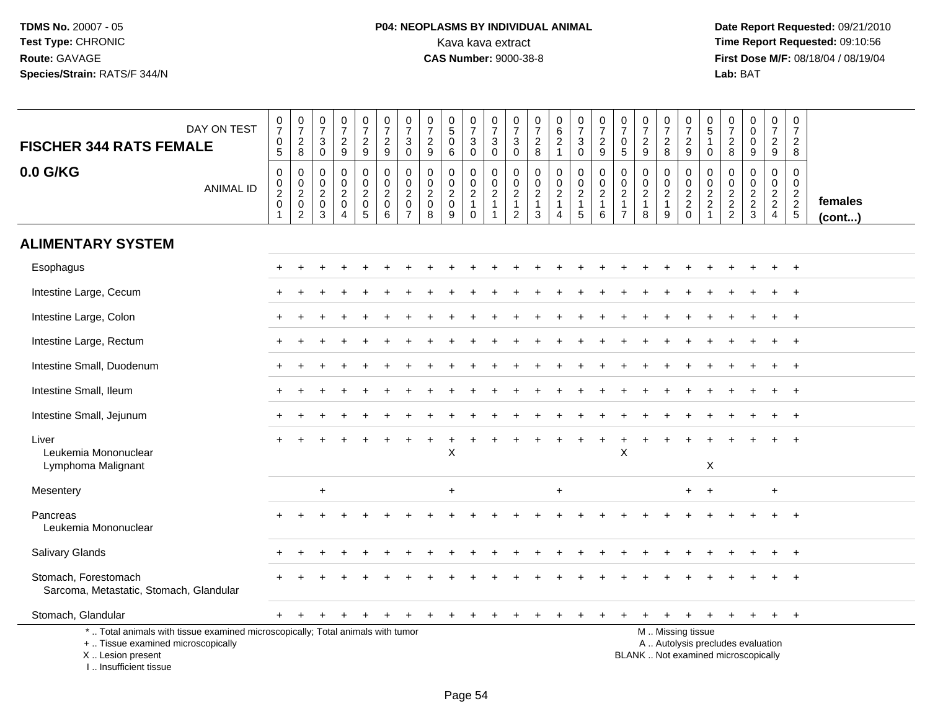# **P04: NEOPLASMS BY INDIVIDUAL ANIMAL**<br>Kava kava extract Kava kava extract **Time Report Requested:** 09:10:56<br>**CAS Number:** 9000-38-8 **CAS Number:** 9000-38-8

 **Date Report Requested:** 09/21/2010 **First Dose M/F:** 08/18/04 / 08/19/04 Lab: BAT **Lab:** BAT

| DAY ON TEST<br><b>FISCHER 344 RATS FEMALE</b>                                                                                                                         | $\begin{smallmatrix}0\\7\end{smallmatrix}$<br>$\boldsymbol{0}$<br>$\sqrt{5}$           | $\frac{0}{7}$<br>$\overline{\mathbf{c}}$<br>8                            | $\frac{0}{7}$<br>$\sqrt{3}$<br>$\mathbf 0$                            | $\frac{0}{7}$<br>$\overline{\mathbf{c}}$<br>9                       | $\frac{0}{7}$<br>$\overline{a}$<br>9                              | $\frac{0}{7}$<br>$\sqrt{2}$<br>9                                         | 0<br>$\overline{7}$<br>3<br>$\mathbf 0$                           | $\pmb{0}$<br>$\overline{7}$<br>$\overline{2}$<br>9               | $\begin{array}{c} 0 \\ 5 \end{array}$<br>$\mathbf 0$<br>6 | $\begin{array}{c} 0 \\ 7 \end{array}$<br>$\ensuremath{\mathsf{3}}$<br>$\mathbf 0$ | $\frac{0}{7}$<br>$\sqrt{3}$<br>$\mathbf 0$                                  | 0<br>$\overline{7}$<br>$\mathsf 3$<br>$\mathbf 0$                                | $\begin{array}{c} 0 \\ 7 \end{array}$<br>$\boldsymbol{2}$<br>8  | 0<br>$\overline{6}$<br>$\sqrt{2}$<br>$\mathbf{1}$                    | $\begin{array}{c} 0 \\ 7 \end{array}$<br>3<br>0         | $\frac{0}{7}$<br>$\sqrt{2}$<br>9                                | 0<br>$\overline{7}$<br>$\mathbf 0$<br>$5\phantom{.0}$                          | $\begin{array}{c} 0 \\ 7 \end{array}$<br>$\sqrt{2}$<br>$9\,$    | $\begin{array}{c} 0 \\ 7 \end{array}$<br>$\frac{2}{8}$ | 0<br>$\overline{7}$<br>$\sqrt{2}$<br>9                                                        | $\mathbf 0$<br>$\overline{5}$<br>$\mathbf{1}$<br>0                             | 0<br>$\overline{7}$<br>$\overline{c}$<br>8            | $_0^0$<br>$\mathbf 0$<br>9        | $\begin{array}{c} 0 \\ 7 \end{array}$<br>$\overline{a}$<br>9 | $\mathbf 0$<br>$\overline{7}$<br>$\boldsymbol{2}$<br>8 |                         |
|-----------------------------------------------------------------------------------------------------------------------------------------------------------------------|----------------------------------------------------------------------------------------|--------------------------------------------------------------------------|-----------------------------------------------------------------------|---------------------------------------------------------------------|-------------------------------------------------------------------|--------------------------------------------------------------------------|-------------------------------------------------------------------|------------------------------------------------------------------|-----------------------------------------------------------|-----------------------------------------------------------------------------------|-----------------------------------------------------------------------------|----------------------------------------------------------------------------------|-----------------------------------------------------------------|----------------------------------------------------------------------|---------------------------------------------------------|-----------------------------------------------------------------|--------------------------------------------------------------------------------|-----------------------------------------------------------------|--------------------------------------------------------|-----------------------------------------------------------------------------------------------|--------------------------------------------------------------------------------|-------------------------------------------------------|-----------------------------------|--------------------------------------------------------------|--------------------------------------------------------|-------------------------|
| 0.0 G/KG<br><b>ANIMAL ID</b>                                                                                                                                          | $\pmb{0}$<br>$\begin{smallmatrix} 0\\2 \end{smallmatrix}$<br>$\pmb{0}$<br>$\mathbf{1}$ | 0<br>$\boldsymbol{0}$<br>$\overline{2}$<br>$\mathbf 0$<br>$\overline{c}$ | $\mathbf 0$<br>$\boldsymbol{0}$<br>$\overline{2}$<br>$\mathbf 0$<br>3 | 0<br>$\mathbf 0$<br>$\overline{c}$<br>$\mathbf 0$<br>$\overline{4}$ | 0<br>$\overline{0}$<br>$\overline{2}$<br>$\mathsf{O}\xspace$<br>5 | $\mathbf 0$<br>$\mathbf 0$<br>$\overline{2}$<br>$\mathsf{O}\xspace$<br>6 | 0<br>$\mathbf 0$<br>$\overline{2}$<br>$\pmb{0}$<br>$\overline{7}$ | $\mathbf 0$<br>$\mathbf 0$<br>$\overline{2}$<br>$\mathbf 0$<br>8 | 0<br>$\mathbf 0$<br>$\overline{c}$<br>$\mathbf 0$<br>9    | 0<br>$\mathbf 0$<br>$\overline{2}$<br>$\mathbf{1}$<br>$\Omega$                    | $\mathbf 0$<br>$\begin{smallmatrix} 0\\2 \end{smallmatrix}$<br>$\mathbf{1}$ | $\mathbf 0$<br>$\mathbf 0$<br>$\boldsymbol{2}$<br>$\mathbf{1}$<br>$\overline{2}$ | $\mathbf 0$<br>$\pmb{0}$<br>$\overline{2}$<br>$\mathbf{1}$<br>3 | 0<br>$\mathbf 0$<br>$\overline{c}$<br>$\mathbf{1}$<br>$\overline{4}$ | 0<br>$\mathbf 0$<br>$\overline{c}$<br>$\mathbf{1}$<br>5 | $\mathbf 0$<br>$\pmb{0}$<br>$\overline{2}$<br>$\mathbf{1}$<br>6 | $\mathbf 0$<br>$\mathbf 0$<br>$\overline{2}$<br>$\mathbf{1}$<br>$\overline{7}$ | $\mathbf 0$<br>$\pmb{0}$<br>$\overline{c}$<br>$\mathbf{1}$<br>8 | 0<br>$\mathbf 0$<br>$\frac{2}{1}$<br>9                 | 0<br>$\pmb{0}$<br>$\frac{2}{2}$<br>$\Omega$                                                   | $\mathbf 0$<br>$\mathbf 0$<br>$\boldsymbol{2}$<br>$\sqrt{2}$<br>$\overline{1}$ | 0<br>$\mathbf 0$<br>$\boldsymbol{2}$<br>$\frac{2}{2}$ | 0<br>$\mathbf 0$<br>$\frac{2}{3}$ | 0<br>$\mathbf 0$<br>$\frac{2}{2}$<br>$\overline{4}$          | $\mathbf 0$<br>$\mathbf 0$<br>$\frac{2}{2}$<br>5       | females<br>$($ cont $)$ |
| <b>ALIMENTARY SYSTEM</b>                                                                                                                                              |                                                                                        |                                                                          |                                                                       |                                                                     |                                                                   |                                                                          |                                                                   |                                                                  |                                                           |                                                                                   |                                                                             |                                                                                  |                                                                 |                                                                      |                                                         |                                                                 |                                                                                |                                                                 |                                                        |                                                                                               |                                                                                |                                                       |                                   |                                                              |                                                        |                         |
| Esophagus                                                                                                                                                             |                                                                                        |                                                                          |                                                                       |                                                                     |                                                                   |                                                                          |                                                                   |                                                                  |                                                           |                                                                                   |                                                                             |                                                                                  |                                                                 |                                                                      |                                                         |                                                                 |                                                                                |                                                                 |                                                        |                                                                                               |                                                                                |                                                       |                                   |                                                              | $\overline{1}$                                         |                         |
| Intestine Large, Cecum                                                                                                                                                |                                                                                        |                                                                          |                                                                       |                                                                     |                                                                   |                                                                          |                                                                   |                                                                  |                                                           |                                                                                   |                                                                             |                                                                                  |                                                                 |                                                                      |                                                         |                                                                 |                                                                                |                                                                 |                                                        |                                                                                               |                                                                                |                                                       |                                   |                                                              | $+$                                                    |                         |
| Intestine Large, Colon                                                                                                                                                |                                                                                        |                                                                          |                                                                       |                                                                     |                                                                   |                                                                          |                                                                   |                                                                  |                                                           |                                                                                   |                                                                             |                                                                                  |                                                                 |                                                                      |                                                         |                                                                 |                                                                                |                                                                 |                                                        |                                                                                               |                                                                                |                                                       |                                   |                                                              | $\overline{1}$                                         |                         |
| Intestine Large, Rectum                                                                                                                                               |                                                                                        |                                                                          |                                                                       |                                                                     |                                                                   |                                                                          |                                                                   |                                                                  |                                                           |                                                                                   |                                                                             |                                                                                  |                                                                 |                                                                      |                                                         |                                                                 |                                                                                |                                                                 |                                                        |                                                                                               |                                                                                |                                                       |                                   |                                                              |                                                        |                         |
| Intestine Small, Duodenum                                                                                                                                             |                                                                                        |                                                                          |                                                                       |                                                                     |                                                                   |                                                                          |                                                                   |                                                                  |                                                           |                                                                                   |                                                                             |                                                                                  |                                                                 |                                                                      |                                                         |                                                                 |                                                                                |                                                                 |                                                        |                                                                                               |                                                                                |                                                       |                                   |                                                              | $\overline{1}$                                         |                         |
| Intestine Small, Ileum                                                                                                                                                |                                                                                        |                                                                          |                                                                       |                                                                     |                                                                   |                                                                          |                                                                   |                                                                  |                                                           |                                                                                   |                                                                             |                                                                                  |                                                                 |                                                                      |                                                         |                                                                 |                                                                                |                                                                 |                                                        |                                                                                               |                                                                                |                                                       |                                   |                                                              | $^{+}$                                                 |                         |
| Intestine Small, Jejunum                                                                                                                                              |                                                                                        |                                                                          |                                                                       |                                                                     |                                                                   |                                                                          |                                                                   |                                                                  |                                                           |                                                                                   |                                                                             |                                                                                  |                                                                 |                                                                      |                                                         |                                                                 |                                                                                |                                                                 |                                                        |                                                                                               |                                                                                |                                                       |                                   |                                                              | $\overline{1}$                                         |                         |
| Liver<br>Leukemia Mononuclear<br>Lymphoma Malignant                                                                                                                   |                                                                                        |                                                                          |                                                                       |                                                                     |                                                                   |                                                                          |                                                                   |                                                                  | X                                                         |                                                                                   |                                                                             |                                                                                  |                                                                 |                                                                      |                                                         |                                                                 | X                                                                              |                                                                 |                                                        |                                                                                               | X                                                                              |                                                       |                                   |                                                              |                                                        |                         |
| Mesentery                                                                                                                                                             |                                                                                        |                                                                          | $\ddot{}$                                                             |                                                                     |                                                                   |                                                                          |                                                                   |                                                                  | $\ddot{}$                                                 |                                                                                   |                                                                             |                                                                                  |                                                                 | $\ddot{}$                                                            |                                                         |                                                                 |                                                                                |                                                                 |                                                        | $+$                                                                                           | $\overline{+}$                                                                 |                                                       |                                   | $+$                                                          |                                                        |                         |
| Pancreas<br>Leukemia Mononuclear                                                                                                                                      |                                                                                        |                                                                          |                                                                       |                                                                     |                                                                   |                                                                          |                                                                   |                                                                  |                                                           |                                                                                   |                                                                             |                                                                                  |                                                                 |                                                                      |                                                         |                                                                 |                                                                                |                                                                 |                                                        |                                                                                               |                                                                                |                                                       |                                   |                                                              |                                                        |                         |
| <b>Salivary Glands</b>                                                                                                                                                |                                                                                        |                                                                          |                                                                       |                                                                     |                                                                   |                                                                          |                                                                   |                                                                  |                                                           |                                                                                   |                                                                             |                                                                                  |                                                                 |                                                                      |                                                         |                                                                 |                                                                                |                                                                 |                                                        |                                                                                               |                                                                                |                                                       |                                   |                                                              |                                                        |                         |
| Stomach, Forestomach<br>Sarcoma, Metastatic, Stomach, Glandular                                                                                                       |                                                                                        |                                                                          |                                                                       |                                                                     |                                                                   |                                                                          |                                                                   |                                                                  |                                                           |                                                                                   |                                                                             |                                                                                  |                                                                 |                                                                      |                                                         |                                                                 |                                                                                |                                                                 |                                                        |                                                                                               |                                                                                |                                                       |                                   |                                                              |                                                        |                         |
| Stomach, Glandular                                                                                                                                                    |                                                                                        |                                                                          |                                                                       |                                                                     |                                                                   |                                                                          |                                                                   |                                                                  |                                                           |                                                                                   |                                                                             |                                                                                  |                                                                 |                                                                      |                                                         |                                                                 |                                                                                |                                                                 |                                                        |                                                                                               |                                                                                |                                                       |                                   | $+$                                                          | $+$                                                    |                         |
| *  Total animals with tissue examined microscopically; Total animals with tumor<br>+  Tissue examined microscopically<br>X  Lesion present<br>I., Insufficient tissue |                                                                                        |                                                                          |                                                                       |                                                                     |                                                                   |                                                                          |                                                                   |                                                                  |                                                           |                                                                                   |                                                                             |                                                                                  |                                                                 |                                                                      |                                                         |                                                                 |                                                                                |                                                                 |                                                        | M. Missing tissue<br>A  Autolysis precludes evaluation<br>BLANK  Not examined microscopically |                                                                                |                                                       |                                   |                                                              |                                                        |                         |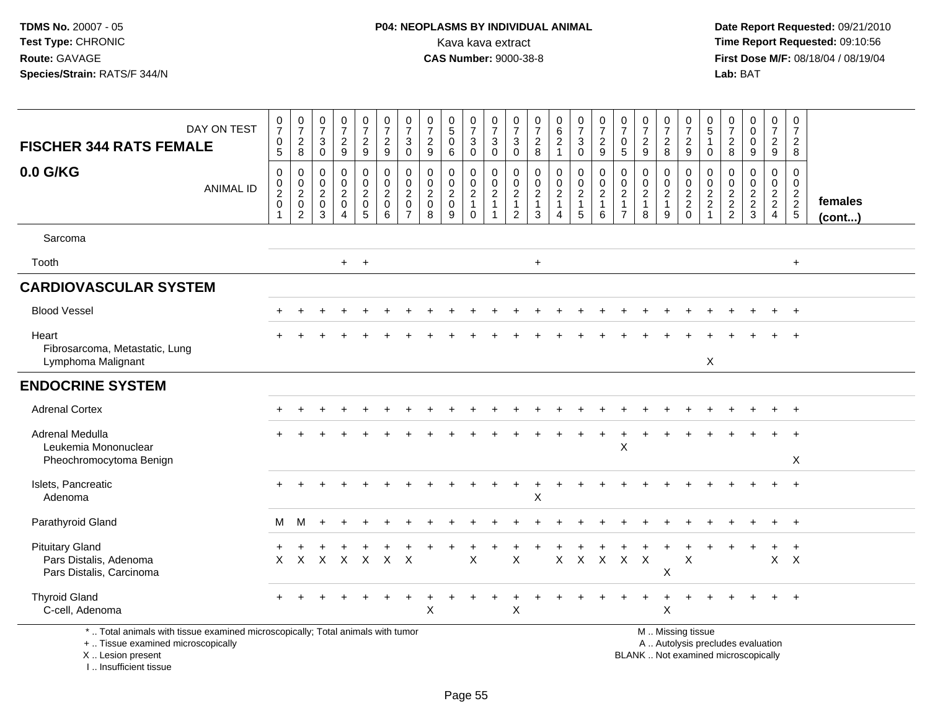**Date Report Requested:** 09/21/2010 **First Dose M/F:** 08/18/04 / 08/19/04 Lab: BAT **Lab:** BAT

|                                                                                                                       |                  | $\begin{array}{c} 0 \\ 7 \end{array}$                          | $\begin{array}{c} 0 \\ 7 \end{array}$                      | $\frac{0}{7}$                                               | $\begin{array}{c} 0 \\ 7 \end{array}$                                       | $\frac{0}{7}$                                                    | $\frac{0}{7}$                                | $\frac{0}{7}$                                             | $\frac{0}{7}$                                    |                                                           | $\begin{array}{c} 0 \\ 7 \end{array}$                        | $\frac{0}{7}$                        | $\frac{0}{7}$                                                                  | $\frac{0}{7}$                                       |                                              | $\begin{array}{c} 0 \\ 7 \end{array}$       | $\begin{array}{c} 0 \\ 7 \end{array}$ | $\frac{0}{7}$                        | $\frac{0}{7}$                                                            | $\frac{0}{7}$                            | $\frac{0}{7}$                                        | $\begin{array}{c} 0 \\ 5 \end{array}$     | $\frac{0}{7}$                          | $\begin{smallmatrix} 0\\0 \end{smallmatrix}$ | $\begin{array}{c} 0 \\ 7 \end{array}$          | 0                                                |                         |
|-----------------------------------------------------------------------------------------------------------------------|------------------|----------------------------------------------------------------|------------------------------------------------------------|-------------------------------------------------------------|-----------------------------------------------------------------------------|------------------------------------------------------------------|----------------------------------------------|-----------------------------------------------------------|--------------------------------------------------|-----------------------------------------------------------|--------------------------------------------------------------|--------------------------------------|--------------------------------------------------------------------------------|-----------------------------------------------------|----------------------------------------------|---------------------------------------------|---------------------------------------|--------------------------------------|--------------------------------------------------------------------------|------------------------------------------|------------------------------------------------------|-------------------------------------------|----------------------------------------|----------------------------------------------|------------------------------------------------|--------------------------------------------------|-------------------------|
| <b>FISCHER 344 RATS FEMALE</b>                                                                                        | DAY ON TEST      | 0                                                              | $_{\rm 8}^2$                                               | 3                                                           | $\frac{2}{9}$                                                               | $\frac{2}{9}$                                                    | $\overline{2}$                               | $\sqrt{3}$                                                | $\overline{c}$                                   | $\begin{smallmatrix}0\0\5\end{smallmatrix}$<br>$\pmb{0}$  | $\mathsf 3$                                                  | $\mathbf 3$                          | $\mathbf{3}$                                                                   | $\frac{2}{8}$                                       | $\begin{matrix} 0 \\ 6 \\ 2 \end{matrix}$    | $\mathbf{3}$                                | $\frac{2}{9}$                         | 0                                    | $\sqrt{2}$                                                               | $\overline{c}$                           | $\overline{c}$                                       | $\mathbf{1}$                              | $\begin{array}{c} 2 \\ 8 \end{array}$  | $\pmb{0}$                                    | $\frac{2}{9}$                                  | $\overline{7}$<br>$\overline{2}$                 |                         |
|                                                                                                                       |                  | $\overline{5}$                                                 |                                                            | $\Omega$                                                    |                                                                             |                                                                  | 9                                            | $\mathbf 0$                                               | 9                                                | $6\phantom{1}$                                            | $\mathbf 0$                                                  | $\mathbf 0$                          | $\mathbf 0$                                                                    |                                                     | $\mathbf{1}$                                 | $\mathbf 0$                                 |                                       | $\overline{5}$                       | $\overline{9}$                                                           | 8                                        | $\overline{9}$                                       | $\Omega$                                  |                                        | $\overline{9}$                               |                                                | 8                                                |                         |
| 0.0 G/KG                                                                                                              | <b>ANIMAL ID</b> | $\mathsf 0$<br>$\begin{smallmatrix} 0\\2\\0 \end{smallmatrix}$ | $\,0\,$<br>$\begin{array}{c} 0 \\ 2 \\ 0 \\ 2 \end{array}$ | $\mathbf 0$<br>$\mathbf 0$<br>$\frac{2}{0}$<br>$\mathbf{3}$ | $\pmb{0}$<br>$\pmb{0}$<br>$\sqrt{2}$<br>$\pmb{0}$<br>$\boldsymbol{\Lambda}$ | $\boldsymbol{0}$<br>$\pmb{0}$<br>$\frac{2}{0}$<br>$\overline{5}$ | $\pmb{0}$<br>$\pmb{0}$<br>$\frac{2}{0}$<br>6 | $\pmb{0}$<br>$\pmb{0}$<br>$\frac{2}{0}$<br>$\overline{7}$ | $\mathbf 0$<br>$\mathbf 0$<br>$\frac{2}{0}$<br>8 | 0<br>$\begin{smallmatrix} 0\\2\\0 \end{smallmatrix}$<br>9 | $\mathbf 0$<br>$_{2}^{\rm 0}$<br>$\mathbf{1}$<br>$\mathbf 0$ | 0<br>$\frac{0}{2}$<br>$\overline{1}$ | $\mathbf 0$<br>$\mathbf 0$<br>$\overline{c}$<br>$\mathbf{1}$<br>$\overline{c}$ | 0<br>$\mathbf 0$<br>$\sqrt{2}$<br>$\mathbf{1}$<br>3 | 0<br>$^{\rm 0}_{\rm 2}$<br>$\mathbf{1}$<br>4 | $\boldsymbol{0}$<br>$\frac{0}{2}$<br>1<br>5 | $\pmb{0}$<br>$\frac{0}{2}$<br>$\,6\,$ | 0<br>$\frac{0}{2}$<br>$\overline{7}$ | $\mathbf 0$<br>$\begin{matrix} 0 \\ 2 \\ 1 \end{matrix}$<br>$\mathbf{8}$ | 0<br>$_{2}^{\rm 0}$<br>$\mathbf{1}$<br>9 | 0<br>$\begin{array}{c} 0 \\ 2 \\ 2 \\ 0 \end{array}$ | 0<br>0<br>$\frac{2}{2}$<br>$\overline{1}$ | 0<br>$\boldsymbol{0}$<br>$\frac{2}{2}$ | $\mathsf 0$<br>$\frac{0}{2}$<br>3            | $\mathbf 0$<br>$\frac{0}{2}$<br>$\overline{4}$ | $\mathbf 0$<br>$\mathbf 0$<br>$\frac{2}{2}$<br>5 | females<br>$($ cont $)$ |
| Sarcoma                                                                                                               |                  |                                                                |                                                            |                                                             |                                                                             |                                                                  |                                              |                                                           |                                                  |                                                           |                                                              |                                      |                                                                                |                                                     |                                              |                                             |                                       |                                      |                                                                          |                                          |                                                      |                                           |                                        |                                              |                                                |                                                  |                         |
| Tooth                                                                                                                 |                  |                                                                |                                                            |                                                             |                                                                             | $+$ $+$                                                          |                                              |                                                           |                                                  |                                                           |                                                              |                                      |                                                                                | $\ddot{}$                                           |                                              |                                             |                                       |                                      |                                                                          |                                          |                                                      |                                           |                                        |                                              |                                                | $+$                                              |                         |
| <b>CARDIOVASCULAR SYSTEM</b>                                                                                          |                  |                                                                |                                                            |                                                             |                                                                             |                                                                  |                                              |                                                           |                                                  |                                                           |                                                              |                                      |                                                                                |                                                     |                                              |                                             |                                       |                                      |                                                                          |                                          |                                                      |                                           |                                        |                                              |                                                |                                                  |                         |
| <b>Blood Vessel</b>                                                                                                   |                  |                                                                |                                                            |                                                             |                                                                             |                                                                  |                                              |                                                           |                                                  |                                                           |                                                              |                                      |                                                                                |                                                     |                                              |                                             |                                       |                                      |                                                                          |                                          |                                                      |                                           |                                        |                                              |                                                | $+$                                              |                         |
| Heart<br>Fibrosarcoma, Metastatic, Lung<br>Lymphoma Malignant                                                         |                  |                                                                |                                                            |                                                             |                                                                             |                                                                  |                                              |                                                           |                                                  |                                                           |                                                              |                                      |                                                                                |                                                     |                                              |                                             |                                       |                                      |                                                                          |                                          |                                                      | X                                         |                                        |                                              |                                                |                                                  |                         |
| <b>ENDOCRINE SYSTEM</b>                                                                                               |                  |                                                                |                                                            |                                                             |                                                                             |                                                                  |                                              |                                                           |                                                  |                                                           |                                                              |                                      |                                                                                |                                                     |                                              |                                             |                                       |                                      |                                                                          |                                          |                                                      |                                           |                                        |                                              |                                                |                                                  |                         |
| <b>Adrenal Cortex</b>                                                                                                 |                  |                                                                |                                                            |                                                             |                                                                             |                                                                  |                                              |                                                           |                                                  |                                                           |                                                              |                                      |                                                                                |                                                     |                                              |                                             |                                       |                                      |                                                                          |                                          |                                                      |                                           |                                        |                                              | $\pm$                                          | $\overline{+}$                                   |                         |
| Adrenal Medulla<br>Leukemia Mononuclear<br>Pheochromocytoma Benign                                                    |                  |                                                                |                                                            |                                                             |                                                                             |                                                                  |                                              |                                                           |                                                  |                                                           |                                                              |                                      |                                                                                |                                                     |                                              |                                             |                                       | X                                    |                                                                          |                                          |                                                      |                                           |                                        |                                              |                                                | X                                                |                         |
| Islets, Pancreatic<br>Adenoma                                                                                         |                  |                                                                |                                                            |                                                             |                                                                             |                                                                  |                                              |                                                           |                                                  |                                                           |                                                              |                                      |                                                                                | X                                                   |                                              |                                             |                                       |                                      |                                                                          |                                          |                                                      |                                           |                                        |                                              |                                                |                                                  |                         |
| Parathyroid Gland                                                                                                     |                  | М                                                              | м                                                          |                                                             |                                                                             |                                                                  |                                              |                                                           |                                                  |                                                           |                                                              |                                      |                                                                                |                                                     |                                              |                                             |                                       |                                      |                                                                          |                                          |                                                      |                                           |                                        |                                              |                                                |                                                  |                         |
| <b>Pituitary Gland</b><br>Pars Distalis, Adenoma<br>Pars Distalis, Carcinoma                                          |                  | $\times$                                                       |                                                            |                                                             |                                                                             |                                                                  | X X X X X X                                  |                                                           |                                                  |                                                           | X                                                            |                                      | X                                                                              |                                                     | X                                            | $\sf X$                                     |                                       | X X X                                |                                                                          | X                                        | $\times$                                             |                                           |                                        |                                              | $\mathsf{X}$                                   | $\ddot{}$<br>$\mathsf{X}$                        |                         |
| <b>Thyroid Gland</b><br>C-cell, Adenoma                                                                               |                  |                                                                |                                                            |                                                             |                                                                             |                                                                  |                                              |                                                           | X                                                |                                                           |                                                              |                                      | X                                                                              |                                                     |                                              |                                             |                                       |                                      |                                                                          | $\ddot{}$<br>Χ                           |                                                      |                                           |                                        |                                              |                                                | $\ddot{+}$                                       |                         |
| *  Total animals with tissue examined microscopically; Total animals with tumor<br>+  Tissue examined microscopically |                  |                                                                |                                                            |                                                             |                                                                             |                                                                  |                                              |                                                           |                                                  |                                                           |                                                              |                                      |                                                                                |                                                     |                                              |                                             |                                       |                                      |                                                                          |                                          | M  Missing tissue                                    |                                           |                                        | A  Autolysis precludes evaluation            |                                                |                                                  |                         |

X .. Lesion present

I .. Insufficient tissue

Lesion present BLANK .. Not examined microscopically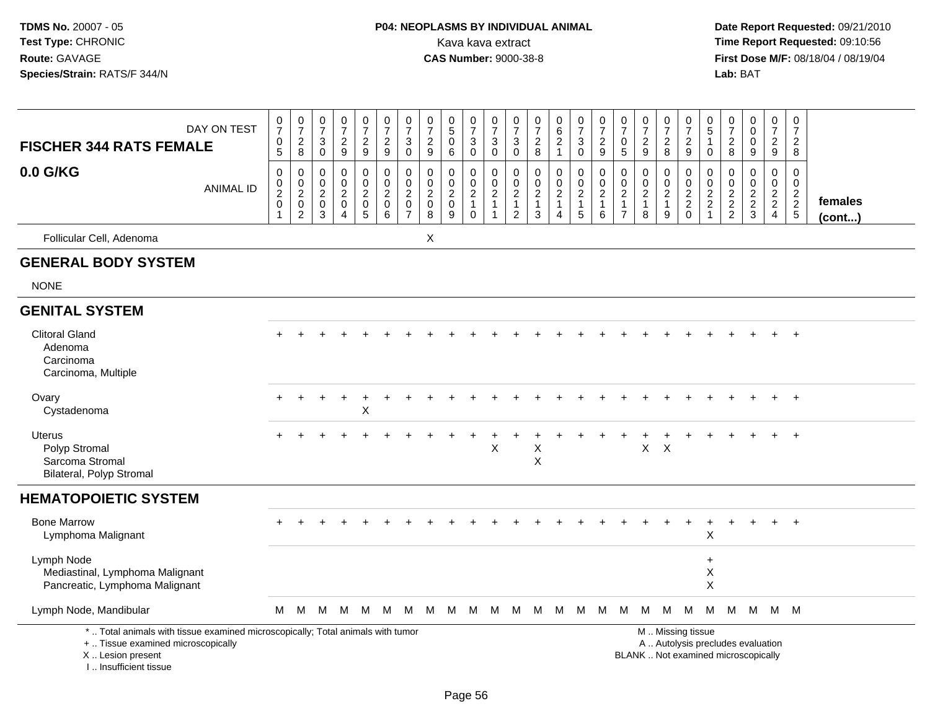## **P04: NEOPLASMS BY INDIVIDUAL ANIMAL**<br>Kava kava extract Kava kava extract **Time Report Requested:** 09:10:56<br>**CAS Number:** 9000-38-8 **CAS Number:** 9000-38-8

 **Date Report Requested:** 09/21/2010 **First Dose M/F:** 08/18/04 / 08/19/04 Lab: BAT **Lab:** BAT

| DAY ON TEST<br><b>FISCHER 344 RATS FEMALE</b><br>0.0 G/KG<br><b>ANIMAL ID</b>                                                                                         | $\frac{0}{7}$<br>$\begin{matrix}0\\5\end{matrix}$<br>$\pmb{0}$<br>$_2^0$<br>$\mathbf 0$<br>$\mathbf{1}$ | $\begin{array}{c} 0 \\ 7 \end{array}$<br>$_{8}^{2}$<br>$\mathbf 0$<br>$\mathbf 0$<br>$\overline{c}$<br>0<br>$\overline{2}$ | $\pmb{0}$<br>$\overline{7}$<br>$\sqrt{3}$<br>$\mathbf 0$<br>$\mathbf 0$<br>0<br>$\overline{c}$<br>$\mathbf 0$<br>$\mathbf{3}$ | $\frac{0}{7}$<br>$\frac{2}{9}$<br>$\pmb{0}$<br>$\mathbf 0$<br>$\boldsymbol{2}$<br>$\pmb{0}$<br>$\overline{4}$ | $\frac{0}{7}$<br>$\frac{2}{9}$<br>$\pmb{0}$<br>$\mathbf 0$<br>$\frac{2}{0}$<br>$\overline{5}$ | $\frac{0}{7}$<br>$\frac{2}{9}$<br>$\pmb{0}$<br>$\mathbf 0$<br>$\sqrt{2}$<br>$\mathbf 0$<br>6 | $\frac{0}{7}$<br>3<br>$\mathbf 0$<br>$\mathbf 0$<br>$\mathbf 0$<br>$\boldsymbol{2}$<br>$\mathbf 0$<br>$\overline{7}$ | $\frac{0}{7}$<br>$\overline{c}$<br>$9\,$<br>$\mathbf 0$<br>$\mathbf 0$<br>$\boldsymbol{2}$<br>$\mathbf 0$<br>$\overline{8}$ | $\begin{array}{c} 0 \\ 5 \end{array}$<br>$\mathbf 0$<br>$6\phantom{1}$<br>0<br>0<br>$\overline{\mathbf{c}}$<br>$\mathbf 0$<br>9 | $\frac{0}{7}$<br>$\mathbf{3}$<br>$\overline{0}$<br>0<br>$\mathsf{O}\xspace$<br>$\boldsymbol{2}$<br>$\mathbf{1}$<br>$\mathbf 0$ | $\begin{array}{c} 0 \\ 7 \end{array}$<br>$\ensuremath{\mathsf{3}}$<br>$\pmb{0}$<br>$\pmb{0}$<br>$\pmb{0}$<br>$\overline{c}$<br>$\mathbf{1}$<br>$\mathbf 1$ | $\pmb{0}$<br>$\overline{7}$<br>$\mathsf 3$<br>$\mathbf 0$<br>$\mathbf 0$<br>$\mathbf 0$<br>$\sqrt{2}$<br>$\mathbf{1}$<br>$\overline{2}$ | $\frac{0}{7}$<br>$\frac{2}{8}$<br>$\pmb{0}$<br>$\pmb{0}$<br>$\sqrt{2}$<br>$\mathbf{1}$<br>3 | $\begin{array}{c} 0 \\ 6 \end{array}$<br>$\overline{c}$<br>$\mathbf{1}$<br>$\pmb{0}$<br>$\mathbf 0$<br>$\overline{a}$<br>$\mathbf{1}$ | $\frac{0}{7}$<br>$\sqrt{3}$<br>$\mathbf 0$<br>$\pmb{0}$<br>$\mathbf 0$<br>$\boldsymbol{2}$<br>$\overline{1}$<br>$\overline{5}$ | $\frac{0}{7}$<br>$\overline{c}$<br>$\mathsf g$<br>0<br>$\mathbf 0$<br>$\overline{c}$<br>$\mathbf{1}$<br>6 | $\frac{0}{7}$<br>0<br>5<br>$\mathbf 0$<br>$\mathbf 0$<br>$\boldsymbol{2}$<br>$\mathbf{1}$<br>$\overline{7}$ | $\frac{0}{7}$<br>$\overline{2}$<br>9<br>0<br>$\mathbf 0$<br>$\overline{c}$<br>$\mathbf{1}$<br>8 | $\frac{0}{7}$<br>$_{8}^2$<br>0<br>$\mathbf 0$<br>$\overline{c}$<br>$\mathbf{1}$<br>$9\,$ | $\begin{array}{c} 0 \\ 7 \end{array}$<br>$\frac{2}{9}$<br>$\pmb{0}$<br>$\mathsf{O}\xspace$<br>$\frac{2}{2}$<br>0 | $\begin{array}{c} 0 \\ 5 \end{array}$<br>$\mathbf{1}$<br>$\mathbf 0$<br>0<br>0<br>$\frac{2}{2}$<br>1 | $\frac{0}{7}$<br>$\frac{2}{8}$<br>$\mathbf 0$<br>$\mathbf 0$<br>$\frac{2}{2}$ | 0<br>$\mathsf{O}\xspace$<br>$\mathbf 0$<br>$\boldsymbol{9}$<br>$\mathbf 0$<br>0<br>$\frac{2}{2}$<br>$\mathsf 3$ | 0<br>$\boldsymbol{7}$<br>$\frac{2}{9}$<br>$\pmb{0}$<br>$\mathsf{O}\xspace$<br>$\frac{2}{2}$ | 0<br>$\overline{7}$<br>$\overline{c}$<br>8<br>$\Omega$<br>$\Omega$<br>$\frac{2}{2}$<br>$\overline{5}$ | females |
|-----------------------------------------------------------------------------------------------------------------------------------------------------------------------|---------------------------------------------------------------------------------------------------------|----------------------------------------------------------------------------------------------------------------------------|-------------------------------------------------------------------------------------------------------------------------------|---------------------------------------------------------------------------------------------------------------|-----------------------------------------------------------------------------------------------|----------------------------------------------------------------------------------------------|----------------------------------------------------------------------------------------------------------------------|-----------------------------------------------------------------------------------------------------------------------------|---------------------------------------------------------------------------------------------------------------------------------|--------------------------------------------------------------------------------------------------------------------------------|------------------------------------------------------------------------------------------------------------------------------------------------------------|-----------------------------------------------------------------------------------------------------------------------------------------|---------------------------------------------------------------------------------------------|---------------------------------------------------------------------------------------------------------------------------------------|--------------------------------------------------------------------------------------------------------------------------------|-----------------------------------------------------------------------------------------------------------|-------------------------------------------------------------------------------------------------------------|-------------------------------------------------------------------------------------------------|------------------------------------------------------------------------------------------|------------------------------------------------------------------------------------------------------------------|------------------------------------------------------------------------------------------------------|-------------------------------------------------------------------------------|-----------------------------------------------------------------------------------------------------------------|---------------------------------------------------------------------------------------------|-------------------------------------------------------------------------------------------------------|---------|
| Follicular Cell, Adenoma                                                                                                                                              |                                                                                                         |                                                                                                                            |                                                                                                                               |                                                                                                               |                                                                                               |                                                                                              |                                                                                                                      | X                                                                                                                           |                                                                                                                                 |                                                                                                                                |                                                                                                                                                            |                                                                                                                                         |                                                                                             | 4                                                                                                                                     |                                                                                                                                |                                                                                                           |                                                                                                             |                                                                                                 |                                                                                          |                                                                                                                  |                                                                                                      |                                                                               |                                                                                                                 |                                                                                             |                                                                                                       | (cont)  |
| <b>GENERAL BODY SYSTEM</b>                                                                                                                                            |                                                                                                         |                                                                                                                            |                                                                                                                               |                                                                                                               |                                                                                               |                                                                                              |                                                                                                                      |                                                                                                                             |                                                                                                                                 |                                                                                                                                |                                                                                                                                                            |                                                                                                                                         |                                                                                             |                                                                                                                                       |                                                                                                                                |                                                                                                           |                                                                                                             |                                                                                                 |                                                                                          |                                                                                                                  |                                                                                                      |                                                                               |                                                                                                                 |                                                                                             |                                                                                                       |         |
| <b>NONE</b>                                                                                                                                                           |                                                                                                         |                                                                                                                            |                                                                                                                               |                                                                                                               |                                                                                               |                                                                                              |                                                                                                                      |                                                                                                                             |                                                                                                                                 |                                                                                                                                |                                                                                                                                                            |                                                                                                                                         |                                                                                             |                                                                                                                                       |                                                                                                                                |                                                                                                           |                                                                                                             |                                                                                                 |                                                                                          |                                                                                                                  |                                                                                                      |                                                                               |                                                                                                                 |                                                                                             |                                                                                                       |         |
| <b>GENITAL SYSTEM</b>                                                                                                                                                 |                                                                                                         |                                                                                                                            |                                                                                                                               |                                                                                                               |                                                                                               |                                                                                              |                                                                                                                      |                                                                                                                             |                                                                                                                                 |                                                                                                                                |                                                                                                                                                            |                                                                                                                                         |                                                                                             |                                                                                                                                       |                                                                                                                                |                                                                                                           |                                                                                                             |                                                                                                 |                                                                                          |                                                                                                                  |                                                                                                      |                                                                               |                                                                                                                 |                                                                                             |                                                                                                       |         |
| <b>Clitoral Gland</b><br>Adenoma<br>Carcinoma<br>Carcinoma, Multiple                                                                                                  |                                                                                                         |                                                                                                                            |                                                                                                                               |                                                                                                               |                                                                                               |                                                                                              |                                                                                                                      |                                                                                                                             |                                                                                                                                 |                                                                                                                                |                                                                                                                                                            |                                                                                                                                         |                                                                                             |                                                                                                                                       |                                                                                                                                |                                                                                                           |                                                                                                             |                                                                                                 |                                                                                          |                                                                                                                  |                                                                                                      |                                                                               |                                                                                                                 |                                                                                             | $\div$                                                                                                |         |
| Ovary<br>Cystadenoma                                                                                                                                                  |                                                                                                         |                                                                                                                            |                                                                                                                               |                                                                                                               | X                                                                                             |                                                                                              |                                                                                                                      |                                                                                                                             |                                                                                                                                 |                                                                                                                                |                                                                                                                                                            |                                                                                                                                         |                                                                                             |                                                                                                                                       |                                                                                                                                |                                                                                                           |                                                                                                             |                                                                                                 |                                                                                          |                                                                                                                  |                                                                                                      |                                                                               |                                                                                                                 |                                                                                             | $\ddot{}$                                                                                             |         |
| <b>Uterus</b><br>Polyp Stromal<br>Sarcoma Stromal<br>Bilateral, Polyp Stromal                                                                                         |                                                                                                         |                                                                                                                            |                                                                                                                               |                                                                                                               |                                                                                               |                                                                                              |                                                                                                                      |                                                                                                                             |                                                                                                                                 |                                                                                                                                | X                                                                                                                                                          |                                                                                                                                         | Χ<br>$\times$                                                                               |                                                                                                                                       |                                                                                                                                |                                                                                                           |                                                                                                             | X                                                                                               | $\times$                                                                                 |                                                                                                                  |                                                                                                      |                                                                               |                                                                                                                 |                                                                                             |                                                                                                       |         |
| <b>HEMATOPOIETIC SYSTEM</b>                                                                                                                                           |                                                                                                         |                                                                                                                            |                                                                                                                               |                                                                                                               |                                                                                               |                                                                                              |                                                                                                                      |                                                                                                                             |                                                                                                                                 |                                                                                                                                |                                                                                                                                                            |                                                                                                                                         |                                                                                             |                                                                                                                                       |                                                                                                                                |                                                                                                           |                                                                                                             |                                                                                                 |                                                                                          |                                                                                                                  |                                                                                                      |                                                                               |                                                                                                                 |                                                                                             |                                                                                                       |         |
| <b>Bone Marrow</b><br>Lymphoma Malignant                                                                                                                              |                                                                                                         |                                                                                                                            |                                                                                                                               |                                                                                                               |                                                                                               |                                                                                              |                                                                                                                      |                                                                                                                             |                                                                                                                                 |                                                                                                                                |                                                                                                                                                            |                                                                                                                                         |                                                                                             |                                                                                                                                       |                                                                                                                                |                                                                                                           |                                                                                                             |                                                                                                 |                                                                                          |                                                                                                                  | $\mathsf X$                                                                                          |                                                                               |                                                                                                                 |                                                                                             | $\div$                                                                                                |         |
| Lymph Node<br>Mediastinal, Lymphoma Malignant<br>Pancreatic, Lymphoma Malignant                                                                                       |                                                                                                         |                                                                                                                            |                                                                                                                               |                                                                                                               |                                                                                               |                                                                                              |                                                                                                                      |                                                                                                                             |                                                                                                                                 |                                                                                                                                |                                                                                                                                                            |                                                                                                                                         |                                                                                             |                                                                                                                                       |                                                                                                                                |                                                                                                           |                                                                                                             |                                                                                                 |                                                                                          |                                                                                                                  | ÷<br>$\mathsf X$<br>$\times$                                                                         |                                                                               |                                                                                                                 |                                                                                             |                                                                                                       |         |
| Lymph Node, Mandibular                                                                                                                                                | M                                                                                                       | M                                                                                                                          | M                                                                                                                             |                                                                                                               | M M                                                                                           |                                                                                              |                                                                                                                      | M M M M M M M M                                                                                                             |                                                                                                                                 |                                                                                                                                |                                                                                                                                                            |                                                                                                                                         |                                                                                             | <b>M</b>                                                                                                                              |                                                                                                                                | M M M                                                                                                     |                                                                                                             | M                                                                                               | M                                                                                        | M                                                                                                                | м                                                                                                    |                                                                               | M M M M                                                                                                         |                                                                                             |                                                                                                       |         |
| *  Total animals with tissue examined microscopically; Total animals with tumor<br>+  Tissue examined microscopically<br>X  Lesion present<br>I., Insufficient tissue |                                                                                                         |                                                                                                                            |                                                                                                                               |                                                                                                               |                                                                                               |                                                                                              |                                                                                                                      |                                                                                                                             |                                                                                                                                 |                                                                                                                                |                                                                                                                                                            |                                                                                                                                         |                                                                                             |                                                                                                                                       |                                                                                                                                |                                                                                                           |                                                                                                             |                                                                                                 |                                                                                          | M  Missing tissue                                                                                                |                                                                                                      |                                                                               | A  Autolysis precludes evaluation<br>BLANK  Not examined microscopically                                        |                                                                                             |                                                                                                       |         |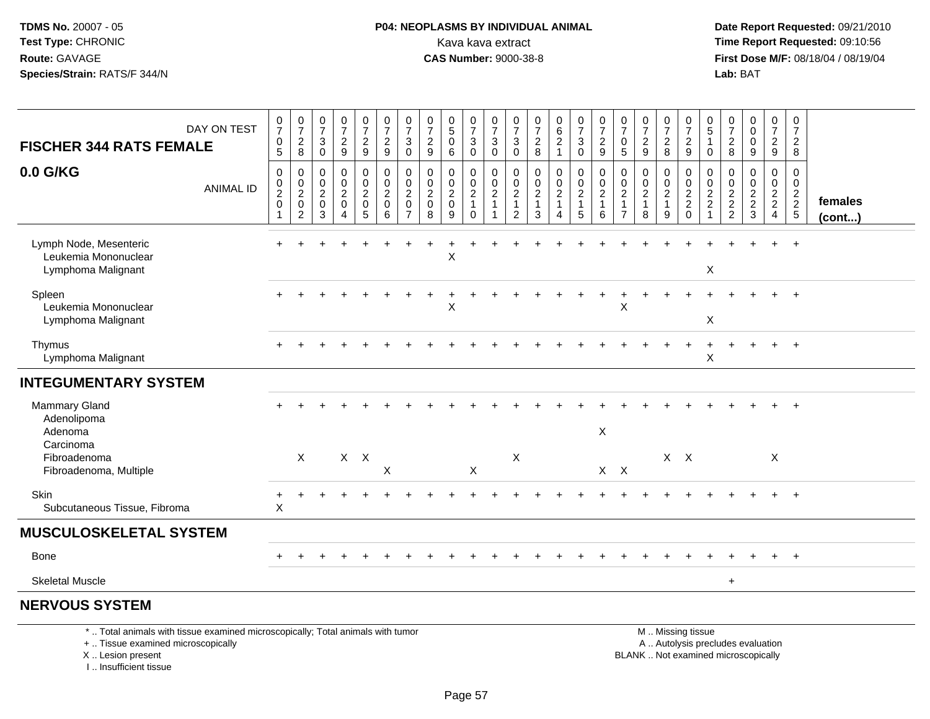I .. Insufficient tissue

## **P04: NEOPLASMS BY INDIVIDUAL ANIMAL**<br>Kava kava extract Kava kava extract **Time Report Requested:** 09:10:56<br>**CAS Number:** 9000-38-8 **CAS Number:** 9000-38-8

 **Date Report Requested:** 09/21/2010 **First Dose M/F:** 08/18/04 / 08/19/04 Lab: BAT **Lab:** BAT

| <b>FISCHER 344 RATS FEMALE</b>                                                                                                             | DAY ON TEST      | $\frac{0}{7}$<br>$\boldsymbol{0}$<br>$\overline{5}$                       | $\frac{0}{7}$<br>$_{8}^{\rm 2}$                                     | $\frac{0}{7}$<br>$\mathbf{3}$<br>$\mathbf 0$           | $\frac{0}{7}$<br>$\frac{2}{9}$                                                      | $\frac{0}{7}$<br>$\frac{2}{9}$                                                         | $\frac{0}{7}$<br>$\frac{2}{9}$                                         | $\frac{0}{7}$<br>3<br>$\mathbf 0$                                             | $\frac{0}{7}$<br>$\frac{2}{9}$                     | $\begin{smallmatrix}0\0\5\end{smallmatrix}$<br>0<br>6            | $\frac{0}{7}$<br>3<br>$\mathbf 0$                                           | $\frac{0}{7}$<br>$\mathbf{3}$<br>$\mathbf 0$               | $\frac{0}{7}$<br>3<br>$\mathbf 0$                                              | $\frac{0}{7}$<br>$\frac{2}{8}$                            | 0<br>$\frac{6}{2}$<br>$\mathbf{1}$                                   | $\begin{array}{c} 0 \\ 7 \\ 3 \end{array}$<br>$\ddot{\mathbf{0}}$                                  | $\frac{0}{7}$<br>$\frac{2}{9}$                                    | $\frac{0}{7}$<br>0<br>5                                                | $\frac{0}{7}$<br>$\frac{2}{9}$                                    | $\frac{0}{7}$<br>$\frac{2}{8}$                               | $\frac{0}{7}$<br>$\frac{2}{9}$                                                                | 0<br>5<br>$\mathbf 0$                      | $\frac{0}{7}$<br>$\frac{2}{8}$  | $_0^0$<br>$\pmb{0}$<br>9                                    | $\frac{0}{7}$<br>$\frac{2}{9}$                                         | 0<br>$\overline{7}$<br>$\overline{2}$<br>8  |                   |
|--------------------------------------------------------------------------------------------------------------------------------------------|------------------|---------------------------------------------------------------------------|---------------------------------------------------------------------|--------------------------------------------------------|-------------------------------------------------------------------------------------|----------------------------------------------------------------------------------------|------------------------------------------------------------------------|-------------------------------------------------------------------------------|----------------------------------------------------|------------------------------------------------------------------|-----------------------------------------------------------------------------|------------------------------------------------------------|--------------------------------------------------------------------------------|-----------------------------------------------------------|----------------------------------------------------------------------|----------------------------------------------------------------------------------------------------|-------------------------------------------------------------------|------------------------------------------------------------------------|-------------------------------------------------------------------|--------------------------------------------------------------|-----------------------------------------------------------------------------------------------|--------------------------------------------|---------------------------------|-------------------------------------------------------------|------------------------------------------------------------------------|---------------------------------------------|-------------------|
| 0.0 G/KG                                                                                                                                   | <b>ANIMAL ID</b> | $\mathbf 0$<br>$\pmb{0}$<br>$\overline{2}$<br>$\mathbf 0$<br>$\mathbf{1}$ | 0<br>$\pmb{0}$<br>$\boldsymbol{2}$<br>$\mathbf 0$<br>$\overline{2}$ | $\mathbf 0$<br>0<br>$\overline{2}$<br>$\mathbf 0$<br>3 | $\mathbf 0$<br>$\pmb{0}$<br>$\overline{2}$<br>$\mathbf 0$<br>$\boldsymbol{\Lambda}$ | $\mathbf 0$<br>$\mathbf 0$<br>$\overline{2}$<br>$\mathsf{O}\xspace$<br>$5\phantom{.0}$ | $\mathbf 0$<br>$\mathbf 0$<br>$\overline{c}$<br>$\mathbf 0$<br>$\,6\,$ | $\mathbf 0$<br>$\mathbf 0$<br>$\overline{c}$<br>$\mathbf 0$<br>$\overline{7}$ | $\mathbf 0$<br>0<br>$\sqrt{2}$<br>$\mathbf 0$<br>8 | $\mathbf 0$<br>$\mathbf 0$<br>$\overline{2}$<br>$\mathbf 0$<br>9 | $\mathbf 0$<br>$\mathbf 0$<br>$\overline{2}$<br>$\mathbf{1}$<br>$\mathbf 0$ | $\mathbf 0$<br>$\pmb{0}$<br>$\overline{2}$<br>$\mathbf{1}$ | $\mathbf 0$<br>$\mathbf 0$<br>$\overline{c}$<br>$\mathbf{1}$<br>$\overline{2}$ | $\mathbf 0$<br>0<br>$\overline{2}$<br>$\overline{1}$<br>3 | 0<br>$\mathbf 0$<br>$\overline{2}$<br>$\mathbf{1}$<br>$\overline{4}$ | $\pmb{0}$<br>$\begin{smallmatrix} 0\\2 \end{smallmatrix}$<br>$\begin{array}{c} 1 \\ 5 \end{array}$ | $\mathbf 0$<br>$\mathbf 0$<br>$\overline{2}$<br>$\mathbf{1}$<br>6 | $\mathbf 0$<br>0<br>$\boldsymbol{2}$<br>$\mathbf{1}$<br>$\overline{7}$ | $\mathbf 0$<br>$\mathbf 0$<br>$\overline{2}$<br>$\mathbf{1}$<br>8 | 0<br>$\boldsymbol{0}$<br>$\overline{2}$<br>$\mathbf{1}$<br>9 | $\mathbf 0$<br>$\frac{0}{2}$<br>0                                                             | 0<br>0<br>$\overline{c}$<br>$\overline{2}$ | 0<br>$\pmb{0}$<br>$\frac{2}{2}$ | $\mathbf 0$<br>$\pmb{0}$<br>$\overline{2}$<br>$\frac{2}{3}$ | $\mathbf 0$<br>0<br>$\overline{2}$<br>$\overline{2}$<br>$\overline{4}$ | $\mathbf 0$<br>$\mathbf 0$<br>$\frac{2}{5}$ | females<br>(cont) |
| Lymph Node, Mesenteric<br>Leukemia Mononuclear<br>Lymphoma Malignant                                                                       |                  |                                                                           |                                                                     |                                                        |                                                                                     |                                                                                        |                                                                        |                                                                               |                                                    | X                                                                |                                                                             |                                                            |                                                                                |                                                           |                                                                      |                                                                                                    |                                                                   |                                                                        |                                                                   |                                                              |                                                                                               | X                                          |                                 |                                                             | $+$                                                                    | $+$                                         |                   |
| Spleen<br>Leukemia Mononuclear<br>Lymphoma Malignant                                                                                       |                  |                                                                           |                                                                     |                                                        |                                                                                     |                                                                                        |                                                                        |                                                                               |                                                    | X                                                                |                                                                             |                                                            |                                                                                |                                                           |                                                                      |                                                                                                    |                                                                   | X                                                                      |                                                                   |                                                              |                                                                                               | $\sf X$                                    |                                 |                                                             |                                                                        |                                             |                   |
| Thymus<br>Lymphoma Malignant                                                                                                               |                  |                                                                           |                                                                     |                                                        |                                                                                     |                                                                                        |                                                                        |                                                                               |                                                    |                                                                  |                                                                             |                                                            |                                                                                |                                                           |                                                                      |                                                                                                    |                                                                   |                                                                        |                                                                   |                                                              |                                                                                               | Χ                                          |                                 |                                                             |                                                                        | $\overline{+}$                              |                   |
| <b>INTEGUMENTARY SYSTEM</b>                                                                                                                |                  |                                                                           |                                                                     |                                                        |                                                                                     |                                                                                        |                                                                        |                                                                               |                                                    |                                                                  |                                                                             |                                                            |                                                                                |                                                           |                                                                      |                                                                                                    |                                                                   |                                                                        |                                                                   |                                                              |                                                                                               |                                            |                                 |                                                             |                                                                        |                                             |                   |
| <b>Mammary Gland</b><br>Adenolipoma<br>Adenoma                                                                                             |                  |                                                                           |                                                                     |                                                        |                                                                                     |                                                                                        |                                                                        |                                                                               |                                                    |                                                                  |                                                                             |                                                            |                                                                                |                                                           |                                                                      |                                                                                                    | $\pmb{\times}$                                                    |                                                                        |                                                                   |                                                              |                                                                                               |                                            |                                 |                                                             |                                                                        |                                             |                   |
| Carcinoma<br>Fibroadenoma<br>Fibroadenoma, Multiple                                                                                        |                  |                                                                           | $\sf X$                                                             |                                                        |                                                                                     | $X$ $X$                                                                                | X                                                                      |                                                                               |                                                    |                                                                  | X                                                                           |                                                            | X                                                                              |                                                           |                                                                      |                                                                                                    |                                                                   | $X$ $X$                                                                |                                                                   |                                                              | $X$ $X$                                                                                       |                                            |                                 |                                                             | X                                                                      |                                             |                   |
| Skin<br>Subcutaneous Tissue, Fibroma                                                                                                       |                  | $\boldsymbol{\mathsf{X}}$                                                 |                                                                     |                                                        |                                                                                     |                                                                                        |                                                                        |                                                                               |                                                    |                                                                  |                                                                             |                                                            |                                                                                |                                                           |                                                                      |                                                                                                    |                                                                   |                                                                        |                                                                   |                                                              |                                                                                               |                                            |                                 |                                                             |                                                                        |                                             |                   |
| <b>MUSCULOSKELETAL SYSTEM</b>                                                                                                              |                  |                                                                           |                                                                     |                                                        |                                                                                     |                                                                                        |                                                                        |                                                                               |                                                    |                                                                  |                                                                             |                                                            |                                                                                |                                                           |                                                                      |                                                                                                    |                                                                   |                                                                        |                                                                   |                                                              |                                                                                               |                                            |                                 |                                                             |                                                                        |                                             |                   |
| <b>Bone</b>                                                                                                                                |                  |                                                                           |                                                                     |                                                        |                                                                                     |                                                                                        |                                                                        |                                                                               |                                                    |                                                                  |                                                                             |                                                            |                                                                                |                                                           |                                                                      |                                                                                                    |                                                                   |                                                                        |                                                                   |                                                              |                                                                                               |                                            |                                 |                                                             | $\ddot{}$                                                              | $+$                                         |                   |
| <b>Skeletal Muscle</b>                                                                                                                     |                  |                                                                           |                                                                     |                                                        |                                                                                     |                                                                                        |                                                                        |                                                                               |                                                    |                                                                  |                                                                             |                                                            |                                                                                |                                                           |                                                                      |                                                                                                    |                                                                   |                                                                        |                                                                   |                                                              |                                                                                               |                                            | $+$                             |                                                             |                                                                        |                                             |                   |
| <b>NERVOUS SYSTEM</b>                                                                                                                      |                  |                                                                           |                                                                     |                                                        |                                                                                     |                                                                                        |                                                                        |                                                                               |                                                    |                                                                  |                                                                             |                                                            |                                                                                |                                                           |                                                                      |                                                                                                    |                                                                   |                                                                        |                                                                   |                                                              |                                                                                               |                                            |                                 |                                                             |                                                                        |                                             |                   |
| *  Total animals with tissue examined microscopically; Total animals with tumor<br>+  Tissue examined microscopically<br>X  Lesion present |                  |                                                                           |                                                                     |                                                        |                                                                                     |                                                                                        |                                                                        |                                                                               |                                                    |                                                                  |                                                                             |                                                            |                                                                                |                                                           |                                                                      |                                                                                                    |                                                                   |                                                                        |                                                                   |                                                              | M  Missing tissue<br>A  Autolysis precludes evaluation<br>BLANK  Not examined microscopically |                                            |                                 |                                                             |                                                                        |                                             |                   |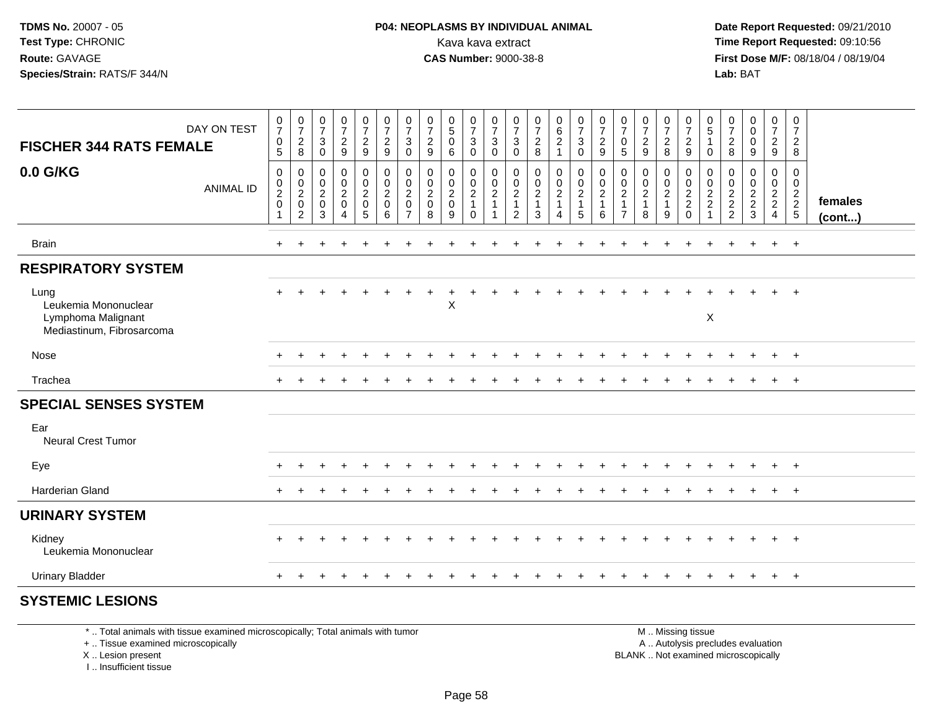**Date Report Requested:** 09/21/2010 **First Dose M/F:** 08/18/04 / 08/19/04 Lab: BAT **Lab:** BAT

| <b>FISCHER 344 RATS FEMALE</b>                                                  | DAY ON TEST      | $\pmb{0}$<br>$\overline{7}$<br>$\pmb{0}$<br>5                         | $\frac{0}{7}$<br>$\frac{2}{8}$                                       | $\frac{0}{7}$<br>$\sqrt{3}$<br>$\mathbf 0$                   | $\frac{0}{7}$<br>$\overline{a}$<br>$\boldsymbol{9}$    | $\frac{0}{7}$<br>$\frac{2}{9}$                                                | $\frac{0}{7}$<br>$\overline{c}$<br>$9\,$               | 0<br>$\overline{7}$<br>3<br>$\mathsf{O}\xspace$ | $\frac{0}{7}$<br>$\frac{2}{9}$                                              | $\begin{matrix} 0 \\ 5 \end{matrix}$<br>0<br>$\,6\,$   | $\frac{0}{7}$<br>$\mathbf{3}$<br>$\mathbf 0$                           | 0<br>$\overline{7}$<br>3<br>$\mathbf 0$  | $\frac{0}{7}$<br>3<br>$\mathbf 0$             | $\frac{0}{7}$<br>$\frac{2}{8}$                                                 | $\begin{matrix} 0 \\ 6 \\ 2 \end{matrix}$<br>$\mathbf{1}$         | $\frac{0}{7}$<br>$\sqrt{3}$<br>$\mathbf 0$                      | $\frac{0}{7}$<br>$\overline{c}$<br>$\boldsymbol{9}$ | $\frac{0}{7}$<br>0<br>5                                                                     | $\frac{0}{7}$<br>$\overline{c}$<br>9 | 0<br>$\boldsymbol{7}$<br>$_{8}^2$ | $\pmb{0}$<br>$\overline{7}$<br>$\frac{2}{9}$               | 0<br>$\sqrt{5}$<br>0                   | $\frac{0}{7}$<br>$\overline{c}$<br>8                                         | 0<br>$\pmb{0}$<br>0<br>$\boldsymbol{9}$ | 0<br>$\overline{7}$<br>$\frac{2}{9}$                | 0<br>$\overline{7}$<br>$\overline{c}$<br>8 |                   |
|---------------------------------------------------------------------------------|------------------|-----------------------------------------------------------------------|----------------------------------------------------------------------|--------------------------------------------------------------|--------------------------------------------------------|-------------------------------------------------------------------------------|--------------------------------------------------------|-------------------------------------------------|-----------------------------------------------------------------------------|--------------------------------------------------------|------------------------------------------------------------------------|------------------------------------------|-----------------------------------------------|--------------------------------------------------------------------------------|-------------------------------------------------------------------|-----------------------------------------------------------------|-----------------------------------------------------|---------------------------------------------------------------------------------------------|--------------------------------------|-----------------------------------|------------------------------------------------------------|----------------------------------------|------------------------------------------------------------------------------|-----------------------------------------|-----------------------------------------------------|--------------------------------------------|-------------------|
| 0.0 G/KG                                                                        | <b>ANIMAL ID</b> | $\,0\,$<br>$\begin{smallmatrix} 0\\ 2 \end{smallmatrix}$<br>$\pmb{0}$ | $\pmb{0}$<br>$\begin{matrix} 0 \\ 2 \\ 0 \end{matrix}$<br>$\sqrt{2}$ | $\pmb{0}$<br>$\pmb{0}$<br>$\overline{2}$<br>$\mathbf 0$<br>3 | 0<br>$\mathbf 0$<br>$\overline{2}$<br>$\mathbf 0$<br>4 | $\pmb{0}$<br>$\begin{smallmatrix} 0\\2 \end{smallmatrix}$<br>$\mathbf 0$<br>5 | $\mathbf 0$<br>$\mathsf 0$<br>$\overline{2}$<br>0<br>6 | 0<br>0<br>$\overline{2}$<br>0<br>$\overline{7}$ | $\pmb{0}$<br>$\begin{smallmatrix} 0\\2 \end{smallmatrix}$<br>$\pmb{0}$<br>8 | 0<br>$\mathbf 0$<br>$\overline{2}$<br>$\mathbf 0$<br>9 | $\,0\,$<br>$\mathbf 0$<br>$\overline{2}$<br>$\overline{1}$<br>$\Omega$ | 0<br>0<br>$\overline{c}$<br>$\mathbf{1}$ | 0<br>0<br>$\overline{2}$<br>$\mathbf{1}$<br>2 | $\pmb{0}$<br>$\begin{smallmatrix} 0\\2 \end{smallmatrix}$<br>$\mathbf{1}$<br>3 | $\mathbf 0$<br>$\mathbf 0$<br>$\overline{2}$<br>$\mathbf{1}$<br>4 | $\pmb{0}$<br>$\mathbf 0$<br>$\overline{2}$<br>$\mathbf{1}$<br>5 | 0<br>0<br>$\overline{c}$<br>1<br>6                  | $\pmb{0}$<br>$\begin{smallmatrix} 0\\2 \end{smallmatrix}$<br>$\mathbf{1}$<br>$\overline{7}$ | 0<br>$_2^0$<br>$\mathbf{1}$<br>8     | 0<br>$_2^0$<br>$\mathbf{1}$<br>9  | 0<br>$\begin{matrix} 0 \\ 2 \\ 2 \end{matrix}$<br>$\Omega$ | 0<br>0<br>$\sqrt{2}$<br>$\overline{c}$ | $\mathbf 0$<br>$\mathbf 0$<br>$\overline{2}$<br>$\sqrt{2}$<br>$\overline{2}$ | 0<br>0<br>$\frac{2}{2}$<br>3            | 0<br>$\mathsf 0$<br>$\frac{2}{2}$<br>$\overline{4}$ | 0<br>$\mathbf 0$<br>$\frac{2}{2}$<br>5     | females<br>(cont) |
| <b>Brain</b>                                                                    |                  | $\ddot{}$                                                             | $\pm$                                                                | ÷                                                            | $\ddot{}$                                              |                                                                               | ÷                                                      |                                                 |                                                                             |                                                        |                                                                        |                                          |                                               |                                                                                |                                                                   |                                                                 | ÷                                                   |                                                                                             |                                      |                                   |                                                            | ÷                                      | ÷                                                                            | $\ddot{}$                               | $+$                                                 | $+$                                        |                   |
| <b>RESPIRATORY SYSTEM</b>                                                       |                  |                                                                       |                                                                      |                                                              |                                                        |                                                                               |                                                        |                                                 |                                                                             |                                                        |                                                                        |                                          |                                               |                                                                                |                                                                   |                                                                 |                                                     |                                                                                             |                                      |                                   |                                                            |                                        |                                                                              |                                         |                                                     |                                            |                   |
| Lung<br>Leukemia Mononuclear<br>Lymphoma Malignant<br>Mediastinum, Fibrosarcoma |                  | $\ddot{}$                                                             |                                                                      |                                                              |                                                        |                                                                               |                                                        |                                                 |                                                                             | Χ                                                      |                                                                        |                                          |                                               |                                                                                |                                                                   |                                                                 |                                                     |                                                                                             |                                      |                                   |                                                            | $\sf X$                                |                                                                              |                                         | $+$                                                 | $\overline{+}$                             |                   |
| Nose                                                                            |                  | $\ddot{}$                                                             |                                                                      |                                                              |                                                        |                                                                               |                                                        |                                                 |                                                                             |                                                        |                                                                        |                                          |                                               |                                                                                |                                                                   |                                                                 |                                                     |                                                                                             |                                      |                                   |                                                            |                                        |                                                                              |                                         | $+$                                                 | $+$                                        |                   |
| Trachea                                                                         |                  | $\pm$                                                                 |                                                                      |                                                              |                                                        |                                                                               |                                                        |                                                 |                                                                             |                                                        |                                                                        |                                          |                                               |                                                                                |                                                                   |                                                                 |                                                     |                                                                                             |                                      |                                   |                                                            |                                        |                                                                              |                                         | $+$                                                 | $+$                                        |                   |
| <b>SPECIAL SENSES SYSTEM</b>                                                    |                  |                                                                       |                                                                      |                                                              |                                                        |                                                                               |                                                        |                                                 |                                                                             |                                                        |                                                                        |                                          |                                               |                                                                                |                                                                   |                                                                 |                                                     |                                                                                             |                                      |                                   |                                                            |                                        |                                                                              |                                         |                                                     |                                            |                   |
| Ear<br><b>Neural Crest Tumor</b>                                                |                  |                                                                       |                                                                      |                                                              |                                                        |                                                                               |                                                        |                                                 |                                                                             |                                                        |                                                                        |                                          |                                               |                                                                                |                                                                   |                                                                 |                                                     |                                                                                             |                                      |                                   |                                                            |                                        |                                                                              |                                         |                                                     |                                            |                   |
| Eye                                                                             |                  | $\ddot{}$                                                             |                                                                      |                                                              |                                                        |                                                                               |                                                        |                                                 |                                                                             |                                                        |                                                                        |                                          |                                               |                                                                                |                                                                   |                                                                 |                                                     |                                                                                             |                                      |                                   |                                                            |                                        |                                                                              |                                         | $\ddot{}$                                           | $+$                                        |                   |
| <b>Harderian Gland</b>                                                          |                  | $\pm$                                                                 |                                                                      |                                                              |                                                        |                                                                               |                                                        |                                                 |                                                                             |                                                        |                                                                        |                                          |                                               |                                                                                |                                                                   |                                                                 |                                                     |                                                                                             |                                      |                                   |                                                            |                                        |                                                                              |                                         | $+$                                                 | $+$                                        |                   |
| <b>URINARY SYSTEM</b>                                                           |                  |                                                                       |                                                                      |                                                              |                                                        |                                                                               |                                                        |                                                 |                                                                             |                                                        |                                                                        |                                          |                                               |                                                                                |                                                                   |                                                                 |                                                     |                                                                                             |                                      |                                   |                                                            |                                        |                                                                              |                                         |                                                     |                                            |                   |
| Kidney<br>Leukemia Mononuclear                                                  |                  | $\ddot{}$                                                             |                                                                      |                                                              |                                                        |                                                                               |                                                        |                                                 |                                                                             |                                                        |                                                                        |                                          |                                               |                                                                                |                                                                   |                                                                 |                                                     |                                                                                             |                                      |                                   |                                                            |                                        |                                                                              |                                         | $+$                                                 | $+$                                        |                   |
| <b>Urinary Bladder</b>                                                          |                  | $\pm$                                                                 |                                                                      |                                                              |                                                        |                                                                               |                                                        |                                                 |                                                                             |                                                        |                                                                        |                                          |                                               |                                                                                |                                                                   |                                                                 |                                                     |                                                                                             | $\div$                               | $\pm$                             | ÷                                                          |                                        |                                                                              | $\overline{+}$                          | $+$                                                 | $+$                                        |                   |
| <b>SYSTEMIC LESIONS</b>                                                         |                  |                                                                       |                                                                      |                                                              |                                                        |                                                                               |                                                        |                                                 |                                                                             |                                                        |                                                                        |                                          |                                               |                                                                                |                                                                   |                                                                 |                                                     |                                                                                             |                                      |                                   |                                                            |                                        |                                                                              |                                         |                                                     |                                            |                   |

\* .. Total animals with tissue examined microscopically; Total animals with tumor

+ .. Tissue examined microscopically

X .. Lesion present

I .. Insufficient tissue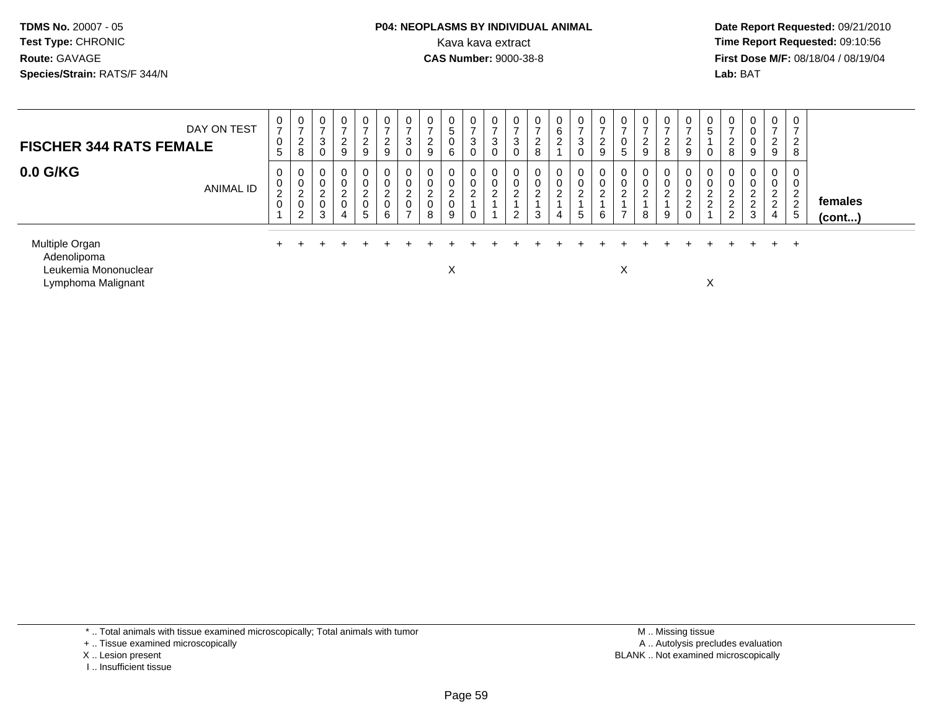#### **P04: NEOPLASMS BY INDIVIDUAL ANIMAL**<br>Kava kava extract Kava kava extract **Time Report Requested:** 09:10:56<br>**CAS Number:** 9000-38-8<br>**Tirst Dose M/F:** 08/18/04 / 08/19/04

 **Date Report Requested:** 09/21/2010 **First Dose M/F:** 08/18/04 / 08/19/04 Lab: BAT **Lab:** BAT

| DAY ON TEST<br><b>FISCHER 344 RATS FEMALE</b>                               | 0<br>$\rightarrow$<br>$\boldsymbol{0}$<br>5 | 0<br>$\rightarrow$<br>2<br>8               | 0<br>$\rightarrow$<br>3<br>0                 | $\mathbf 0$<br>⇁<br>$\overline{2}$<br>9              | $\mathbf 0$<br>-<br>ົ<br>$\epsilon$<br>9 | $\overline{0}$<br>$\rightarrow$<br>$\overline{2}$<br>9 | 0<br>3<br>0                                                      | $\frac{0}{7}$<br>$\frac{2}{9}$           | 0<br>$\overline{5}$<br>0<br>6                      | 0<br>$\rightarrow$<br>3<br>0   | $\overline{0}$<br>3 | 0<br>$\rightarrow$<br>3<br>0 | $\mathbf 0$<br>$\Omega$<br>$\epsilon$<br>8 | 0<br>6<br>$\Omega$<br>$\epsilon$ | 0<br>$\rightarrow$<br>3<br>0 | 0<br>$\rightarrow$<br>$\overline{2}$<br>9 | 0<br>-<br>U<br>5                           | $\frac{0}{7}$<br>$\overline{c}$<br>9 | 0<br>$\sim$<br>$\epsilon$<br>8    | $\frac{0}{7}$<br>2<br>9                                 | 0<br>5<br>0                   | 0<br>-<br>ົ<br>$\epsilon$<br>8                          | $\overline{0}$<br>$\mathbf 0$<br>0<br>9                      | $\overline{0}$<br>$\rightarrow$<br>$\frac{2}{9}$          | 0<br>$\rightarrow$<br>$\overline{2}$<br>8                     |                         |
|-----------------------------------------------------------------------------|---------------------------------------------|--------------------------------------------|----------------------------------------------|------------------------------------------------------|------------------------------------------|--------------------------------------------------------|------------------------------------------------------------------|------------------------------------------|----------------------------------------------------|--------------------------------|---------------------|------------------------------|--------------------------------------------|----------------------------------|------------------------------|-------------------------------------------|--------------------------------------------|--------------------------------------|-----------------------------------|---------------------------------------------------------|-------------------------------|---------------------------------------------------------|--------------------------------------------------------------|-----------------------------------------------------------|---------------------------------------------------------------|-------------------------|
| $0.0$ G/KG<br>ANIMAL ID                                                     | 0<br>0<br>$\overline{2}$<br>$\mathbf 0$     | 0<br>0<br>$\overline{2}$<br>$\pmb{0}$<br>2 | 0<br>0<br>$\overline{c}$<br>$\mathbf 0$<br>3 | $\mathbf 0$<br>0<br>$\overline{2}$<br>$\pmb{0}$<br>4 | $\sim$<br>$\sim$<br>0<br>$5\overline{)}$ | $\mathbf 0$<br>0<br>$\overline{2}$<br>$\mathsf 0$<br>6 | 0<br>0<br>$\Omega$<br>$\epsilon$<br>$\mathsf 0$<br>$\rightarrow$ | 0<br>$\pmb{0}$<br>$^2_{\rm 0}$<br>$\, 8$ | 0<br>$\pmb{0}$<br>$\overline{c}$<br>$\pmb{0}$<br>9 | 0<br>0<br>C<br>$\epsilon$<br>0 | 0<br>$\overline{2}$ | 0<br>0<br>2<br>ົ<br>∠        | 0<br>0<br>⌒<br><u>.</u><br>3               | 0<br>0<br>$\overline{2}$<br>4    | 0<br>0<br>2<br>5             | 0<br>0<br>$\overline{c}$<br>6             | 0<br>$\sim$<br>$\epsilon$<br>$\rightarrow$ | 0<br>$\overline{2}$<br>8             | 0<br>0<br>$\sim$<br><u>L</u><br>9 | 0<br>0<br>$\overline{2}$<br>$\overline{c}$<br>$\pmb{0}$ | 0<br>0<br>$\overline{2}$<br>2 | 0<br>0<br>ົ<br>∼<br>ົ<br><u>.</u><br>$\mathcal{D}$<br>∠ | $\overline{0}$<br>0<br>$\overline{2}$<br>$\overline{c}$<br>3 | $\mathbf 0$<br>0<br>$\overline{2}$<br>$\overline{c}$<br>4 | 0<br>0<br>$\overline{2}$<br>$\overline{2}$<br>$5\phantom{.0}$ | females<br>$($ cont $)$ |
| Multiple Organ<br>Adenolipoma<br>Leukemia Mononuclear<br>Lymphoma Malignant |                                             |                                            |                                              |                                                      |                                          |                                                        |                                                                  |                                          | Χ                                                  |                                |                     |                              |                                            |                                  |                              |                                           | X                                          |                                      |                                   |                                                         | X                             |                                                         |                                                              |                                                           | $+$                                                           |                         |

\* .. Total animals with tissue examined microscopically; Total animals with tumor

+ .. Tissue examined microscopically

X .. Lesion present

I .. Insufficient tissue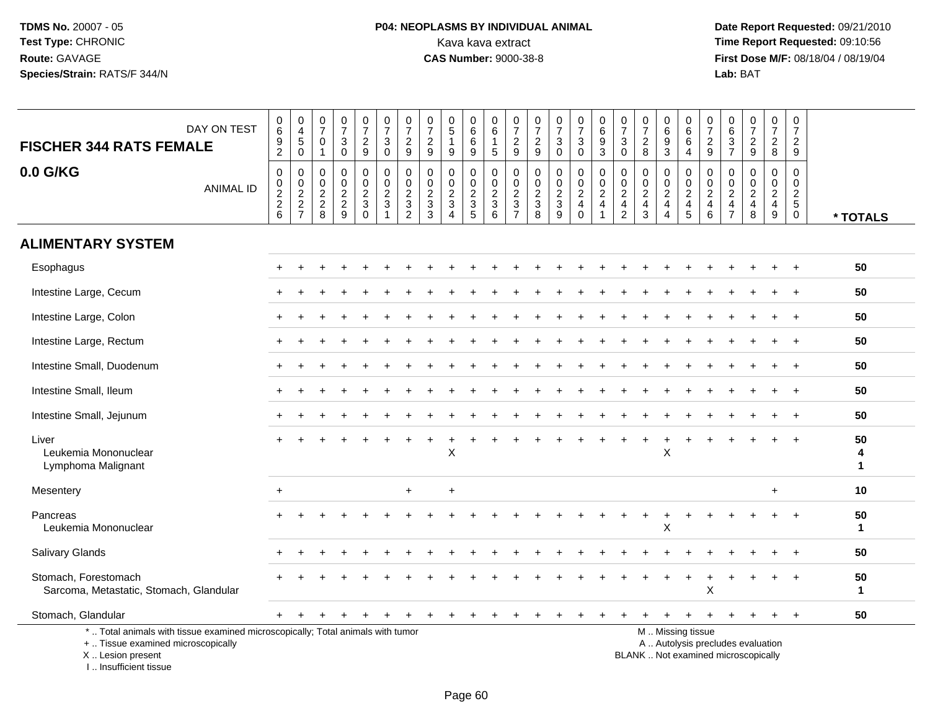# **P04: NEOPLASMS BY INDIVIDUAL ANIMAL**<br>Kava kava extract Kava kava extract **Time Report Requested:** 09:10:56<br>**CAS Number:** 9000-38-8 **CAS Number:** 9000-38-8

 **Date Report Requested:** 09/21/2010 **First Dose M/F:** 08/18/04 / 08/19/04 Lab: BAT **Lab:** BAT

|                                                                                                                                                                     |                                 | $\pmb{0}$                         | 0                                                             |                                                     |                                                 |                                                                    |                                                  | 0                                                                         |                                                                        |                                                  | 0                                                |                                                                       |                                                                           |                                         |                                                       |                                                              | 0                                                              | $\mathbf 0$                                                    | 0                                                    | 0                                   |                                           | 0                                                          |                                                                |                                                          | $\pmb{0}$                                                      |                         |
|---------------------------------------------------------------------------------------------------------------------------------------------------------------------|---------------------------------|-----------------------------------|---------------------------------------------------------------|-----------------------------------------------------|-------------------------------------------------|--------------------------------------------------------------------|--------------------------------------------------|---------------------------------------------------------------------------|------------------------------------------------------------------------|--------------------------------------------------|--------------------------------------------------|-----------------------------------------------------------------------|---------------------------------------------------------------------------|-----------------------------------------|-------------------------------------------------------|--------------------------------------------------------------|----------------------------------------------------------------|----------------------------------------------------------------|------------------------------------------------------|-------------------------------------|-------------------------------------------|------------------------------------------------------------|----------------------------------------------------------------|----------------------------------------------------------|----------------------------------------------------------------|-------------------------|
| DAY ON TEST<br><b>FISCHER 344 RATS FEMALE</b>                                                                                                                       | $_{6}^{\rm 0}$<br>$\frac{9}{2}$ | $\overline{4}$<br>5               | $\overline{7}$<br>$\mathbf 0$                                 | $\frac{0}{7}$<br>$\sqrt{3}$                         | $\frac{0}{7}$<br>$\sqrt{2}$                     | $\begin{array}{c} 0 \\ 7 \end{array}$<br>$\ensuremath{\mathsf{3}}$ | $\frac{0}{7}$<br>$\overline{c}$                  | $\overline{7}$<br>$\overline{c}$                                          | $\begin{array}{c} 0 \\ 5 \end{array}$                                  | $\begin{array}{c} 0 \\ 6 \end{array}$<br>$\,6\,$ | $\,6\,$<br>$\overline{1}$                        | $\frac{0}{7}$<br>$\sqrt{2}$                                           | $\frac{0}{7}$<br>$\frac{2}{9}$                                            | $\frac{0}{7}$<br>3                      | $\begin{array}{c} 0 \\ 7 \end{array}$<br>$\mathbf{3}$ | $\begin{array}{c} 0 \\ 6 \end{array}$<br>$\frac{9}{3}$       | $\overline{7}$<br>$\mathbf{3}$                                 | $\overline{7}$<br>$\overline{c}$                               | $\overline{6}$<br>$\boldsymbol{9}$                   | $\,6\,$<br>6                        | $\frac{0}{7}$<br>$\sqrt{2}$               | $\,6\,$<br>$\ensuremath{\mathsf{3}}$                       | $\begin{smallmatrix}0\\7\end{smallmatrix}$<br>$\sqrt{2}$       | $\begin{smallmatrix}0\\7\end{smallmatrix}$<br>$\sqrt{2}$ | $\overline{7}$<br>$\overline{c}$                               |                         |
|                                                                                                                                                                     |                                 | $\mathbf 0$                       | $\mathbf{1}$                                                  | $\mathbf 0$                                         | 9                                               | $\mathbf 0$                                                        | 9                                                | 9                                                                         | $9\,$                                                                  | 9                                                | $\sqrt{5}$                                       | $9\,$                                                                 |                                                                           | $\mathbf 0$                             | $\mathbf 0$                                           |                                                              | $\mathbf 0$                                                    | 8                                                              | 3                                                    | $\overline{4}$                      | 9                                         | $\overline{7}$                                             | 9                                                              | 8                                                        | 9                                                              |                         |
| 0.0 G/KG<br><b>ANIMAL ID</b>                                                                                                                                        | $\pmb{0}$<br>$\frac{0}{2}$<br>6 | $\mathbf 0$<br>$\frac{0}{2}$<br>7 | $\mathbf 0$<br>$\mathbf 0$<br>$\overline{2}$<br>$\frac{2}{8}$ | $\mathbf 0$<br>$\mathsf{O}\xspace$<br>$\frac{2}{9}$ | 0<br>$\overline{0}$<br>$\sqrt{2}$<br>$\sqrt{3}$ | $\mathbf 0$<br>$\mathbf 0$<br>$\overline{2}$<br>$\mathbf{3}$       | 0<br>$\pmb{0}$<br>$\overline{c}$<br>$\mathbf{3}$ | $\mathbf 0$<br>$\mathbf 0$<br>$\overline{c}$<br>$\ensuremath{\mathsf{3}}$ | $\mathbf 0$<br>$\mathsf{O}\xspace$<br>$\overline{2}$<br>$\mathfrak{B}$ | 0<br>$\mathbf 0$<br>$rac{2}{3}$                  | 0<br>$\mathbf 0$<br>$\overline{2}$<br>$\sqrt{3}$ | $\mathbf 0$<br>$\mathbf 0$<br>$\sqrt{2}$<br>$\ensuremath{\mathsf{3}}$ | $\mathbf 0$<br>$\mathbf 0$<br>$\overline{2}$<br>$\ensuremath{\mathsf{3}}$ | 0<br>$\mathbf 0$<br>$\overline{a}$<br>3 | 0<br>$\frac{0}{2}$<br>$\overline{4}$                  | 0<br>$\mathsf{O}\xspace$<br>$\overline{2}$<br>$\overline{4}$ | $\mathbf 0$<br>$\mathbf 0$<br>$\overline{2}$<br>$\overline{4}$ | $\mathbf 0$<br>$\mathbf 0$<br>$\overline{2}$<br>$\overline{4}$ | 0<br>$\mathbf 0$<br>$\overline{c}$<br>$\overline{4}$ | 0<br>$\frac{0}{2}$<br>$\frac{4}{5}$ | 0<br>$^{\rm 0}_{\rm 2}$<br>$\overline{4}$ | $\mathbf 0$<br>$\mathbf 0$<br>$\sqrt{2}$<br>$\overline{4}$ | $\mathbf 0$<br>$\mathbf 0$<br>$\overline{2}$<br>$\overline{4}$ | 0<br>$\mathbf 0$<br>$\overline{2}$<br>$\overline{4}$     | $\mathbf 0$<br>$\mathbf 0$<br>$\overline{2}$<br>$\overline{5}$ |                         |
|                                                                                                                                                                     |                                 |                                   |                                                               |                                                     | $\Omega$                                        | $\overline{1}$                                                     | $\overline{2}$                                   | 3                                                                         | $\Delta$                                                               |                                                  | 6                                                | $\overline{7}$                                                        | 8                                                                         | 9                                       | $\mathbf 0$                                           | 1                                                            | $\overline{2}$                                                 | 3                                                              | $\overline{4}$                                       |                                     | 6                                         | $\overline{7}$                                             | 8                                                              | 9                                                        | $\overline{0}$                                                 | * TOTALS                |
| <b>ALIMENTARY SYSTEM</b>                                                                                                                                            |                                 |                                   |                                                               |                                                     |                                                 |                                                                    |                                                  |                                                                           |                                                                        |                                                  |                                                  |                                                                       |                                                                           |                                         |                                                       |                                                              |                                                                |                                                                |                                                      |                                     |                                           |                                                            |                                                                |                                                          |                                                                |                         |
| Esophagus                                                                                                                                                           |                                 |                                   |                                                               |                                                     |                                                 |                                                                    |                                                  |                                                                           |                                                                        |                                                  |                                                  |                                                                       |                                                                           |                                         |                                                       |                                                              |                                                                |                                                                |                                                      |                                     |                                           |                                                            |                                                                |                                                          |                                                                | 50                      |
| Intestine Large, Cecum                                                                                                                                              |                                 |                                   |                                                               |                                                     |                                                 |                                                                    |                                                  |                                                                           |                                                                        |                                                  |                                                  |                                                                       |                                                                           |                                         |                                                       |                                                              |                                                                |                                                                |                                                      |                                     |                                           |                                                            |                                                                |                                                          |                                                                | 50                      |
| Intestine Large, Colon                                                                                                                                              |                                 |                                   |                                                               |                                                     |                                                 |                                                                    |                                                  |                                                                           |                                                                        |                                                  |                                                  |                                                                       |                                                                           |                                         |                                                       |                                                              |                                                                |                                                                |                                                      |                                     |                                           |                                                            |                                                                |                                                          |                                                                | 50                      |
| Intestine Large, Rectum                                                                                                                                             |                                 |                                   |                                                               |                                                     |                                                 |                                                                    |                                                  |                                                                           |                                                                        |                                                  |                                                  |                                                                       |                                                                           |                                         |                                                       |                                                              |                                                                |                                                                |                                                      |                                     |                                           |                                                            |                                                                |                                                          |                                                                | 50                      |
| Intestine Small, Duodenum                                                                                                                                           |                                 |                                   |                                                               |                                                     |                                                 |                                                                    |                                                  |                                                                           |                                                                        |                                                  |                                                  |                                                                       |                                                                           |                                         |                                                       |                                                              |                                                                |                                                                |                                                      |                                     |                                           |                                                            |                                                                |                                                          |                                                                | 50                      |
| Intestine Small, Ileum                                                                                                                                              |                                 |                                   |                                                               |                                                     |                                                 |                                                                    |                                                  |                                                                           |                                                                        |                                                  |                                                  |                                                                       |                                                                           |                                         |                                                       |                                                              |                                                                |                                                                |                                                      |                                     |                                           |                                                            |                                                                |                                                          |                                                                | 50                      |
| Intestine Small, Jejunum                                                                                                                                            |                                 |                                   |                                                               |                                                     |                                                 |                                                                    |                                                  |                                                                           |                                                                        |                                                  |                                                  |                                                                       |                                                                           |                                         |                                                       |                                                              |                                                                |                                                                |                                                      |                                     |                                           |                                                            |                                                                |                                                          |                                                                | 50                      |
| Liver<br>Leukemia Mononuclear<br>Lymphoma Malignant                                                                                                                 |                                 |                                   |                                                               |                                                     |                                                 |                                                                    |                                                  |                                                                           | $\mathsf X$                                                            |                                                  |                                                  |                                                                       |                                                                           |                                         |                                                       |                                                              |                                                                |                                                                | X                                                    |                                     |                                           |                                                            |                                                                |                                                          |                                                                | 50<br>4<br>$\mathbf{1}$ |
| Mesentery                                                                                                                                                           | $+$                             |                                   |                                                               |                                                     |                                                 |                                                                    | $+$                                              |                                                                           | $\ddot{}$                                                              |                                                  |                                                  |                                                                       |                                                                           |                                         |                                                       |                                                              |                                                                |                                                                |                                                      |                                     |                                           |                                                            |                                                                | $+$                                                      |                                                                | 10                      |
| Pancreas<br>Leukemia Mononuclear                                                                                                                                    |                                 |                                   |                                                               |                                                     |                                                 |                                                                    |                                                  |                                                                           |                                                                        |                                                  |                                                  |                                                                       |                                                                           |                                         |                                                       |                                                              |                                                                |                                                                | Χ                                                    |                                     |                                           |                                                            |                                                                |                                                          |                                                                | 50<br>$\mathbf{1}$      |
| Salivary Glands                                                                                                                                                     |                                 |                                   |                                                               |                                                     |                                                 |                                                                    |                                                  |                                                                           |                                                                        |                                                  |                                                  |                                                                       |                                                                           |                                         |                                                       |                                                              |                                                                |                                                                |                                                      |                                     |                                           |                                                            |                                                                |                                                          |                                                                | 50                      |
| Stomach, Forestomach<br>Sarcoma, Metastatic, Stomach, Glandular                                                                                                     |                                 |                                   |                                                               |                                                     |                                                 |                                                                    |                                                  |                                                                           |                                                                        |                                                  |                                                  |                                                                       |                                                                           |                                         |                                                       |                                                              |                                                                |                                                                |                                                      |                                     | X                                         |                                                            |                                                                |                                                          |                                                                | 50<br>$\mathbf{1}$      |
| Stomach, Glandular                                                                                                                                                  |                                 |                                   |                                                               |                                                     |                                                 |                                                                    |                                                  |                                                                           |                                                                        |                                                  |                                                  |                                                                       |                                                                           |                                         |                                                       |                                                              |                                                                |                                                                |                                                      |                                     |                                           |                                                            |                                                                |                                                          |                                                                | 50                      |
| *  Total animals with tissue examined microscopically; Total animals with tumor<br>+  Tissue examined microscopically<br>X  Lesion present<br>I Insufficient tissue |                                 |                                   |                                                               |                                                     |                                                 |                                                                    |                                                  |                                                                           |                                                                        |                                                  |                                                  |                                                                       |                                                                           |                                         |                                                       |                                                              |                                                                | BLANK  Not examined microscopically                            |                                                      | M  Missing tissue                   |                                           |                                                            | A  Autolysis precludes evaluation                              |                                                          |                                                                |                         |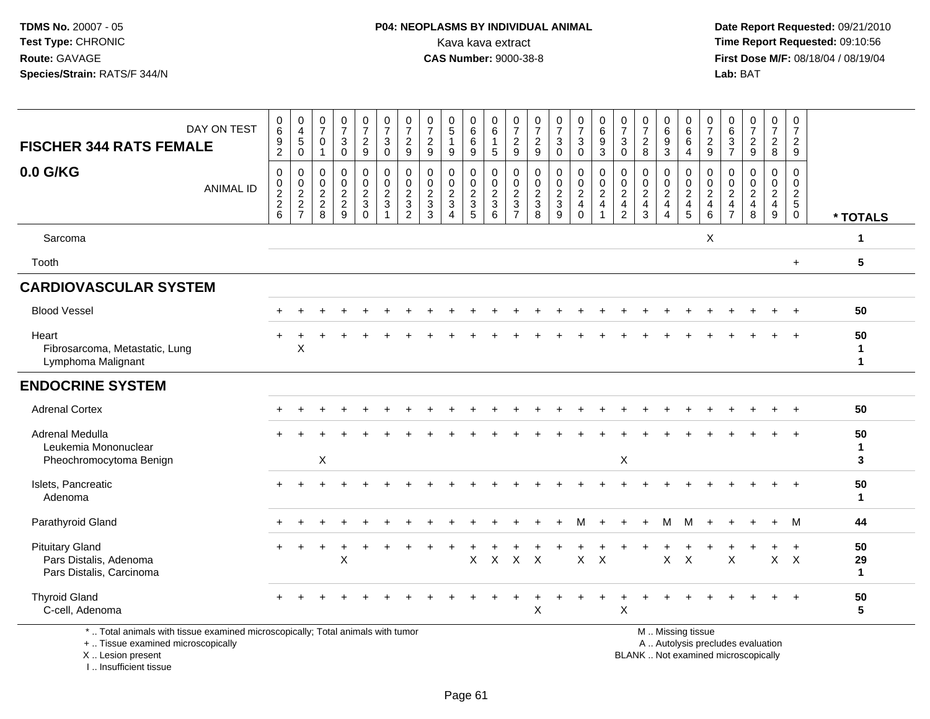## **P04: NEOPLASMS BY INDIVIDUAL ANIMAL**<br>Kava kava extract Kava kava extract **Time Report Requested:** 09:10:56<br>**CAS Number:** 9000-38-8<br>**Tirst Dose M/F:** 08/18/04 / 08/19/04

 **Date Report Requested:** 09/21/2010 **First Dose M/F:** 08/18/04 / 08/19/04 Lab: BAT **Lab:** BAT

| DAY ON TEST<br><b>FISCHER 344 RATS FEMALE</b>                                | $\begin{matrix} 0 \\ 6 \end{matrix}$<br>$\boldsymbol{9}$<br>$\overline{c}$ | $\begin{array}{c} 0 \\ 4 \\ 5 \end{array}$<br>$\mathbf 0$ | 0<br>$\overline{7}$<br>$\mathbf 0$<br>1                             | $\frac{0}{7}$<br>$\ensuremath{\mathsf{3}}$<br>$\mathbf 0$ | $\frac{0}{7}$<br>$\overline{a}$<br>9                   | $\begin{smallmatrix}0\\7\end{smallmatrix}$<br>$\mathbf{3}$<br>$\mathbf 0$ | $\frac{0}{7}$<br>$\sqrt{2}$<br>9                             | $\frac{0}{7}$<br>$\sqrt{2}$<br>$\boldsymbol{9}$                           | $\begin{array}{c} 0 \\ 5 \end{array}$<br>$\overline{1}$<br>9             | 0<br>$\,6\,$<br>6<br>9                                            | $_{6}^{\rm 0}$<br>$\mathbf{1}$<br>$\sqrt{5}$ | $\frac{0}{7}$<br>$\overline{c}$<br>9                                                      | $\frac{0}{7}$<br>$\sqrt{2}$<br>$\boldsymbol{9}$                          | $\begin{smallmatrix}0\\7\end{smallmatrix}$<br>$\ensuremath{\mathsf{3}}$<br>$\mathbf 0$ | $\frac{0}{7}$<br>$\mathbf{3}$<br>$\mathbf 0$           | $\begin{array}{c} 0 \\ 6 \end{array}$<br>$\boldsymbol{9}$<br>$\mathbf{3}$           | $\frac{0}{7}$<br>$\mathbf{3}$<br>$\mathbf 0$                                   | $\frac{0}{7}$<br>$\mathbf{2}$<br>8                                                | $_{6}^{\rm 0}$<br>$\overline{9}$<br>3                                    | $\begin{matrix}0\6\6\end{matrix}$<br>$\overline{4}$                 | $\frac{0}{7}$<br>$\sqrt{2}$<br>9                                                             | $\begin{matrix} 0 \\ 6 \end{matrix}$<br>$\mathbf{3}$<br>$\overline{7}$ | $\frac{0}{7}$<br>$\overline{2}$<br>9                          | $\frac{0}{7}$<br>$\overline{2}$<br>8                                | $\frac{0}{7}$<br>$\sqrt{2}$<br>9                                   |                                    |
|------------------------------------------------------------------------------|----------------------------------------------------------------------------|-----------------------------------------------------------|---------------------------------------------------------------------|-----------------------------------------------------------|--------------------------------------------------------|---------------------------------------------------------------------------|--------------------------------------------------------------|---------------------------------------------------------------------------|--------------------------------------------------------------------------|-------------------------------------------------------------------|----------------------------------------------|-------------------------------------------------------------------------------------------|--------------------------------------------------------------------------|----------------------------------------------------------------------------------------|--------------------------------------------------------|-------------------------------------------------------------------------------------|--------------------------------------------------------------------------------|-----------------------------------------------------------------------------------|--------------------------------------------------------------------------|---------------------------------------------------------------------|----------------------------------------------------------------------------------------------|------------------------------------------------------------------------|---------------------------------------------------------------|---------------------------------------------------------------------|--------------------------------------------------------------------|------------------------------------|
| 0.0 G/KG<br><b>ANIMAL ID</b>                                                 | $\mathbf 0$<br>$\begin{matrix} 0 \\ 2 \\ 2 \end{matrix}$<br>$6\phantom{1}$ | $\mathbf 0$<br>$\frac{0}{2}$<br>7                         | $\mathbf 0$<br>$\pmb{0}$<br>$\overline{c}$<br>$\boldsymbol{2}$<br>8 | $\pmb{0}$<br>$\pmb{0}$<br>$\sqrt{2}$<br>$\frac{2}{9}$     | $\pmb{0}$<br>$\pmb{0}$<br>$\frac{2}{3}$<br>$\mathbf 0$ | 0<br>$\overline{0}$<br>$\overline{c}$<br>3                                | $\pmb{0}$<br>$\begin{array}{c} 0 \\ 2 \\ 3 \\ 2 \end{array}$ | $\mathbf{0}$<br>$\pmb{0}$<br>$\sqrt{2}$<br>$\ensuremath{\mathsf{3}}$<br>3 | $\mathbf 0$<br>$\pmb{0}$<br>$\sqrt{2}$<br>$\mathbf{3}$<br>$\overline{4}$ | $\mathbf 0$<br>$\mathbf 0$<br>$\boldsymbol{2}$<br>$\sqrt{3}$<br>5 | $\pmb{0}$<br>$\frac{0}{2}$<br>6              | $\mathbf 0$<br>$\pmb{0}$<br>$\overline{c}$<br>$\ensuremath{\mathsf{3}}$<br>$\overline{7}$ | $\mathbf 0$<br>$\pmb{0}$<br>$\sqrt{2}$<br>$\ensuremath{\mathsf{3}}$<br>8 | $\pmb{0}$<br>$\frac{0}{2}$<br>9                                                        | $\mathbf 0$<br>$_2^0$<br>$\overline{4}$<br>$\mathbf 0$ | $\mathbf 0$<br>$\mathop{2}\limits^{\mathbb{O}}$<br>$\overline{4}$<br>$\overline{1}$ | $\mathbf 0$<br>$\pmb{0}$<br>$\overline{c}$<br>$\overline{4}$<br>$\overline{c}$ | $\mathbf 0$<br>$\mathop{2}\limits^{\mathbb{O}}$<br>$\overline{4}$<br>$\mathbf{3}$ | $\mathbf 0$<br>$\frac{0}{2}$<br>$\overline{4}$<br>$\boldsymbol{\Lambda}$ | $\mathbf 0$<br>$\mathbf 0$<br>$\overline{c}$<br>$\overline{4}$<br>5 | $\Omega$<br>$\begin{smallmatrix} 0\\2 \end{smallmatrix}$<br>$\overline{4}$<br>$6\phantom{1}$ | 0<br>0<br>$\boldsymbol{2}$<br>$\overline{4}$<br>$\overline{7}$         | $\mathbf 0$<br>$\begin{matrix} 0 \\ 2 \\ 4 \end{matrix}$<br>8 | $\mathbf 0$<br>$\mathbf 0$<br>$\overline{a}$<br>$\overline{4}$<br>9 | $\mathbf 0$<br>$\mathsf{O}\xspace$<br>$\frac{2}{5}$<br>$\mathbf 0$ | * TOTALS                           |
| Sarcoma                                                                      |                                                                            |                                                           |                                                                     |                                                           |                                                        |                                                                           |                                                              |                                                                           |                                                                          |                                                                   |                                              |                                                                                           |                                                                          |                                                                                        |                                                        |                                                                                     |                                                                                |                                                                                   |                                                                          |                                                                     | X                                                                                            |                                                                        |                                                               |                                                                     |                                                                    | $\mathbf 1$                        |
| Tooth                                                                        |                                                                            |                                                           |                                                                     |                                                           |                                                        |                                                                           |                                                              |                                                                           |                                                                          |                                                                   |                                              |                                                                                           |                                                                          |                                                                                        |                                                        |                                                                                     |                                                                                |                                                                                   |                                                                          |                                                                     |                                                                                              |                                                                        |                                                               |                                                                     | $\ddot{}$                                                          | $5\phantom{.0}$                    |
| <b>CARDIOVASCULAR SYSTEM</b>                                                 |                                                                            |                                                           |                                                                     |                                                           |                                                        |                                                                           |                                                              |                                                                           |                                                                          |                                                                   |                                              |                                                                                           |                                                                          |                                                                                        |                                                        |                                                                                     |                                                                                |                                                                                   |                                                                          |                                                                     |                                                                                              |                                                                        |                                                               |                                                                     |                                                                    |                                    |
| <b>Blood Vessel</b>                                                          |                                                                            |                                                           |                                                                     |                                                           |                                                        |                                                                           |                                                              |                                                                           |                                                                          |                                                                   |                                              |                                                                                           |                                                                          |                                                                                        |                                                        |                                                                                     |                                                                                |                                                                                   |                                                                          |                                                                     |                                                                                              |                                                                        |                                                               |                                                                     |                                                                    | 50                                 |
| Heart<br>Fibrosarcoma, Metastatic, Lung<br>Lymphoma Malignant                | $\ddot{}$                                                                  | X                                                         |                                                                     |                                                           |                                                        |                                                                           |                                                              |                                                                           |                                                                          |                                                                   |                                              |                                                                                           |                                                                          |                                                                                        |                                                        |                                                                                     |                                                                                |                                                                                   |                                                                          |                                                                     |                                                                                              |                                                                        |                                                               |                                                                     |                                                                    | 50<br>$\mathbf{1}$<br>$\mathbf 1$  |
| <b>ENDOCRINE SYSTEM</b>                                                      |                                                                            |                                                           |                                                                     |                                                           |                                                        |                                                                           |                                                              |                                                                           |                                                                          |                                                                   |                                              |                                                                                           |                                                                          |                                                                                        |                                                        |                                                                                     |                                                                                |                                                                                   |                                                                          |                                                                     |                                                                                              |                                                                        |                                                               |                                                                     |                                                                    |                                    |
| <b>Adrenal Cortex</b>                                                        |                                                                            |                                                           |                                                                     |                                                           |                                                        |                                                                           |                                                              |                                                                           |                                                                          |                                                                   |                                              |                                                                                           |                                                                          |                                                                                        |                                                        |                                                                                     |                                                                                |                                                                                   |                                                                          |                                                                     |                                                                                              |                                                                        |                                                               |                                                                     |                                                                    | 50                                 |
| Adrenal Medulla<br>Leukemia Mononuclear<br>Pheochromocytoma Benign           |                                                                            |                                                           | $\mathsf X$                                                         |                                                           |                                                        |                                                                           |                                                              |                                                                           |                                                                          |                                                                   |                                              |                                                                                           |                                                                          |                                                                                        |                                                        |                                                                                     | X                                                                              |                                                                                   |                                                                          |                                                                     |                                                                                              |                                                                        |                                                               |                                                                     |                                                                    | 50<br>$\mathbf{1}$<br>$\mathbf{3}$ |
| Islets, Pancreatic<br>Adenoma                                                |                                                                            |                                                           |                                                                     |                                                           |                                                        |                                                                           |                                                              |                                                                           |                                                                          |                                                                   |                                              |                                                                                           |                                                                          |                                                                                        |                                                        |                                                                                     |                                                                                |                                                                                   |                                                                          |                                                                     |                                                                                              |                                                                        |                                                               |                                                                     |                                                                    | 50<br>$\mathbf{1}$                 |
| Parathyroid Gland                                                            |                                                                            |                                                           |                                                                     |                                                           |                                                        |                                                                           |                                                              |                                                                           |                                                                          |                                                                   |                                              |                                                                                           |                                                                          |                                                                                        | м                                                      |                                                                                     |                                                                                |                                                                                   | M                                                                        | M                                                                   |                                                                                              |                                                                        |                                                               | $\ddot{}$                                                           | M                                                                  | 44                                 |
| <b>Pituitary Gland</b><br>Pars Distalis, Adenoma<br>Pars Distalis, Carcinoma |                                                                            |                                                           |                                                                     | X                                                         |                                                        |                                                                           |                                                              |                                                                           |                                                                          | X                                                                 | $\mathsf{X}$                                 |                                                                                           | $X$ $X$                                                                  |                                                                                        | $\mathsf{X}$                                           | $\times$                                                                            |                                                                                |                                                                                   | $\mathsf{X}$                                                             | $\boldsymbol{\mathsf{X}}$                                           |                                                                                              | X                                                                      |                                                               | $\mathsf{X}$                                                        | $+$<br>$\mathsf{X}$                                                | 50<br>29<br>$\mathbf{1}$           |
| <b>Thyroid Gland</b><br>C-cell, Adenoma                                      |                                                                            |                                                           |                                                                     |                                                           |                                                        |                                                                           |                                                              |                                                                           |                                                                          |                                                                   |                                              |                                                                                           | Χ                                                                        |                                                                                        |                                                        |                                                                                     | X                                                                              |                                                                                   |                                                                          |                                                                     |                                                                                              |                                                                        |                                                               |                                                                     | $\ddot{}$                                                          | 50<br>$5\phantom{.0}$              |

+ .. Tissue examined microscopically

X .. Lesion present

I .. Insufficient tissue

y the contract of the contract of the contract of the contract of the contract of the contract of the contract of  $A$ . Autolysis precludes evaluation

Lesion present BLANK .. Not examined microscopically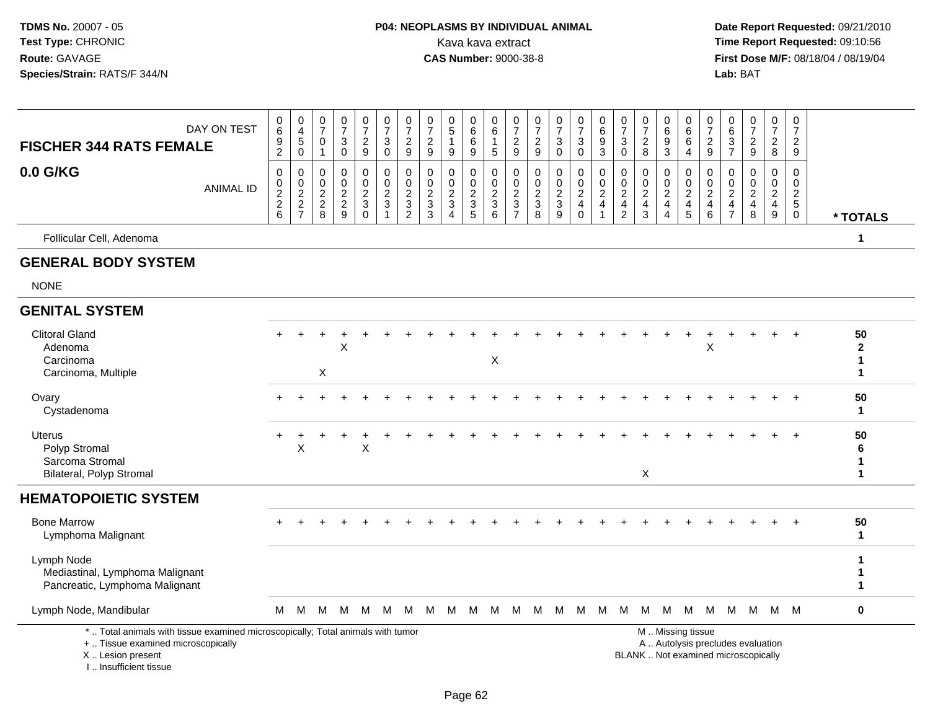#### **P04: NEOPLASMS BY INDIVIDUAL ANIMAL**Kava kava extract **Time Report Requested:** 09:10:56<br>**CAS Number:** 9000-38-8<br>**Tirst Dose M/F:** 08/18/04 / 08/19/04

 **Date Report Requested:** 09/21/2010 **First Dose M/F:** 08/18/04 / 08/19/04 Lab: BAT **Lab:** BAT

 $\overline{1}$ 

| <b>FISCHER 344 RATS FEMALE</b>                                                | DAY ON TEST      | $\begin{array}{c} 0 \\ 6 \\ 9 \\ 2 \end{array}$ | $\begin{smallmatrix}0\0\4\end{smallmatrix}$<br>$\overline{5}$ | $\frac{0}{7}$<br>$\mathsf 0$<br>$\mathbf{1}$ | $\frac{0}{7}$<br>3<br>$\Omega$       | $\begin{smallmatrix}0\\7\end{smallmatrix}$<br>$\frac{2}{9}$ | $\frac{0}{7}$<br>3<br>$\Omega$             | $\frac{0}{7}$<br>$\frac{2}{9}$                       | $\frac{0}{7}$<br>$\boldsymbol{2}$<br>9              | $\begin{array}{c} 0 \\ 5 \end{array}$<br>9 | $\begin{array}{c} 0 \\ 6 \end{array}$<br>$\,6\,$<br>9 | $\begin{matrix} 0 \\ 6 \end{matrix}$<br>1<br>5 | $\begin{array}{c} 0 \\ 7 \\ 2 \end{array}$<br>9 | $\frac{0}{7}$<br>$\overline{c}$<br>9 | $\frac{0}{7}$<br>$\sqrt{3}$<br>$\Omega$ | $\frac{0}{7}$<br>$\mathbf{3}$<br>$\overline{0}$ | $_{6}^{\rm 0}$<br>$\frac{9}{3}$ | $\frac{0}{7}$<br>$\sqrt{3}$<br>$\overline{0}$ | $\frac{0}{7}$<br>$\frac{2}{8}$               | $\begin{matrix} 0 \\ 6 \\ 9 \end{matrix}$<br>$\overline{3}$       | $\begin{array}{c} 0 \\ 6 \end{array}$<br>$6\overline{6}$<br>$\overline{4}$ | $\frac{0}{7}$<br>$\frac{2}{9}$                       | 0<br>6<br>3<br>$\overline{7}$                                         | $\frac{0}{7}$<br>$\boldsymbol{2}$<br>9 | $\frac{0}{7}$<br>$\frac{2}{8}$                    | $\frac{0}{7}$<br>$\frac{2}{9}$                   |                              |
|-------------------------------------------------------------------------------|------------------|-------------------------------------------------|---------------------------------------------------------------|----------------------------------------------|--------------------------------------|-------------------------------------------------------------|--------------------------------------------|------------------------------------------------------|-----------------------------------------------------|--------------------------------------------|-------------------------------------------------------|------------------------------------------------|-------------------------------------------------|--------------------------------------|-----------------------------------------|-------------------------------------------------|---------------------------------|-----------------------------------------------|----------------------------------------------|-------------------------------------------------------------------|----------------------------------------------------------------------------|------------------------------------------------------|-----------------------------------------------------------------------|----------------------------------------|---------------------------------------------------|--------------------------------------------------|------------------------------|
| 0.0 G/KG                                                                      | <b>ANIMAL ID</b> | 0<br>$\frac{0}{2}$ 8                            | 0<br>$\frac{0}{2}$<br>$\frac{2}{7}$                           | 0<br>$\frac{0}{2}$<br>8                      | 0<br>$\pmb{0}$<br>$\frac{2}{2}$<br>9 | 0<br>$\frac{0}{2}$<br>$\Omega$                              | 0<br>$\frac{0}{2}$<br>$\blacktriangleleft$ | 0<br>$\begin{array}{c} 0 \\ 2 \\ 3 \\ 2 \end{array}$ | 0<br>$\begin{matrix} 0 \\ 2 \\ 3 \end{matrix}$<br>3 | 0<br>$\frac{0}{2}$<br>$\overline{4}$       | 0<br>$\frac{0}{2}$<br>5                               | 0<br>0<br>$\frac{2}{3}$<br>6                   | 0<br>$\frac{0}{2}$<br>$\overline{7}$            | 0<br>$\pmb{0}$<br>$\frac{2}{3}$<br>8 | 0<br>$\frac{0}{2}$<br>9                 | 0<br>$\frac{0}{2}$<br>$\Omega$                  | 0<br>$\frac{0}{2}$              | 0<br>$\frac{0}{2}$<br>$\frac{4}{2}$           | $\mathbf 0$<br>$\frac{0}{2}$<br>$\mathbf{3}$ | 0<br>$\begin{array}{c} 0 \\ 2 \\ 4 \end{array}$<br>$\overline{4}$ | 0<br>$\frac{0}{2}$<br>$\frac{4}{5}$                                        | 0<br>$\begin{array}{c} 0 \\ 2 \\ 4 \end{array}$<br>6 | 0<br>0<br>$\overline{2}$<br>$\overline{\mathbf{4}}$<br>$\overline{7}$ | $\mathbf 0$<br>0<br>$\frac{2}{4}$<br>8 | 0<br>$\pmb{0}$<br>$\frac{2}{4}$<br>$\overline{9}$ | $\Omega$<br>0<br>$\frac{2}{5}$<br>$\overline{0}$ | * TOTALS                     |
| Follicular Cell, Adenoma                                                      |                  |                                                 |                                                               |                                              |                                      |                                                             |                                            |                                                      |                                                     |                                            |                                                       |                                                |                                                 |                                      |                                         |                                                 |                                 |                                               |                                              |                                                                   |                                                                            |                                                      |                                                                       |                                        |                                                   |                                                  | 1                            |
| <b>GENERAL BODY SYSTEM</b>                                                    |                  |                                                 |                                                               |                                              |                                      |                                                             |                                            |                                                      |                                                     |                                            |                                                       |                                                |                                                 |                                      |                                         |                                                 |                                 |                                               |                                              |                                                                   |                                                                            |                                                      |                                                                       |                                        |                                                   |                                                  |                              |
| <b>NONE</b>                                                                   |                  |                                                 |                                                               |                                              |                                      |                                                             |                                            |                                                      |                                                     |                                            |                                                       |                                                |                                                 |                                      |                                         |                                                 |                                 |                                               |                                              |                                                                   |                                                                            |                                                      |                                                                       |                                        |                                                   |                                                  |                              |
| <b>GENITAL SYSTEM</b>                                                         |                  |                                                 |                                                               |                                              |                                      |                                                             |                                            |                                                      |                                                     |                                            |                                                       |                                                |                                                 |                                      |                                         |                                                 |                                 |                                               |                                              |                                                                   |                                                                            |                                                      |                                                                       |                                        |                                                   |                                                  |                              |
| <b>Clitoral Gland</b><br>Adenoma<br>Carcinoma<br>Carcinoma, Multiple          |                  |                                                 |                                                               | $\mathsf X$                                  | Χ                                    |                                                             |                                            |                                                      |                                                     |                                            |                                                       | $\times$                                       |                                                 |                                      |                                         |                                                 |                                 |                                               |                                              |                                                                   |                                                                            | X                                                    |                                                                       |                                        |                                                   | $\overline{ }$                                   | 50<br>$\mathbf{2}$<br>1<br>1 |
| Ovary<br>Cystadenoma                                                          |                  |                                                 |                                                               |                                              |                                      |                                                             |                                            |                                                      |                                                     |                                            |                                                       |                                                |                                                 |                                      |                                         |                                                 |                                 |                                               |                                              |                                                                   |                                                                            |                                                      |                                                                       |                                        |                                                   | $+$                                              | 50<br>1                      |
| <b>Uterus</b><br>Polyp Stromal<br>Sarcoma Stromal<br>Bilateral, Polyp Stromal |                  |                                                 | X                                                             |                                              |                                      | X                                                           |                                            |                                                      |                                                     |                                            |                                                       |                                                |                                                 |                                      |                                         |                                                 |                                 |                                               | X                                            |                                                                   |                                                                            |                                                      |                                                                       |                                        |                                                   | $+$                                              | 50<br>6<br>1                 |
| <b>HEMATOPOIETIC SYSTEM</b>                                                   |                  |                                                 |                                                               |                                              |                                      |                                                             |                                            |                                                      |                                                     |                                            |                                                       |                                                |                                                 |                                      |                                         |                                                 |                                 |                                               |                                              |                                                                   |                                                                            |                                                      |                                                                       |                                        |                                                   |                                                  |                              |
| <b>Bone Marrow</b><br>Lymphoma Malignant                                      |                  |                                                 |                                                               |                                              |                                      |                                                             |                                            |                                                      |                                                     |                                            |                                                       |                                                |                                                 |                                      |                                         |                                                 |                                 |                                               |                                              |                                                                   |                                                                            |                                                      |                                                                       |                                        |                                                   | $\div$                                           | 50<br>1                      |

Lymph Node **<sup>1</sup>** Mediastinal, Lymphoma Malignant

Pancreatic, Lymphoma Malignant

Lymph Node, Mandibularr M

\* .. Total animals with tissue examined microscopically; Total animals with tumor

+ .. Tissue examined microscopically

X .. Lesion present

I .. Insufficient tissue

 M .. Missing tissuey the contract of the contract of the contract of the contract of the contract of the contract of the contract of  $A$ . Autolysis precludes evaluation

Lesion present BLANK .. Not examined microscopically

**1**

**1**

<sup>M</sup> <sup>M</sup> <sup>M</sup> <sup>M</sup> <sup>M</sup> <sup>M</sup> <sup>M</sup> <sup>M</sup> <sup>M</sup> <sup>M</sup> <sup>M</sup> <sup>M</sup> <sup>M</sup> <sup>M</sup> <sup>M</sup> <sup>M</sup> <sup>M</sup> <sup>M</sup> <sup>M</sup> <sup>M</sup> <sup>M</sup> <sup>M</sup> <sup>M</sup> <sup>M</sup> **<sup>0</sup>**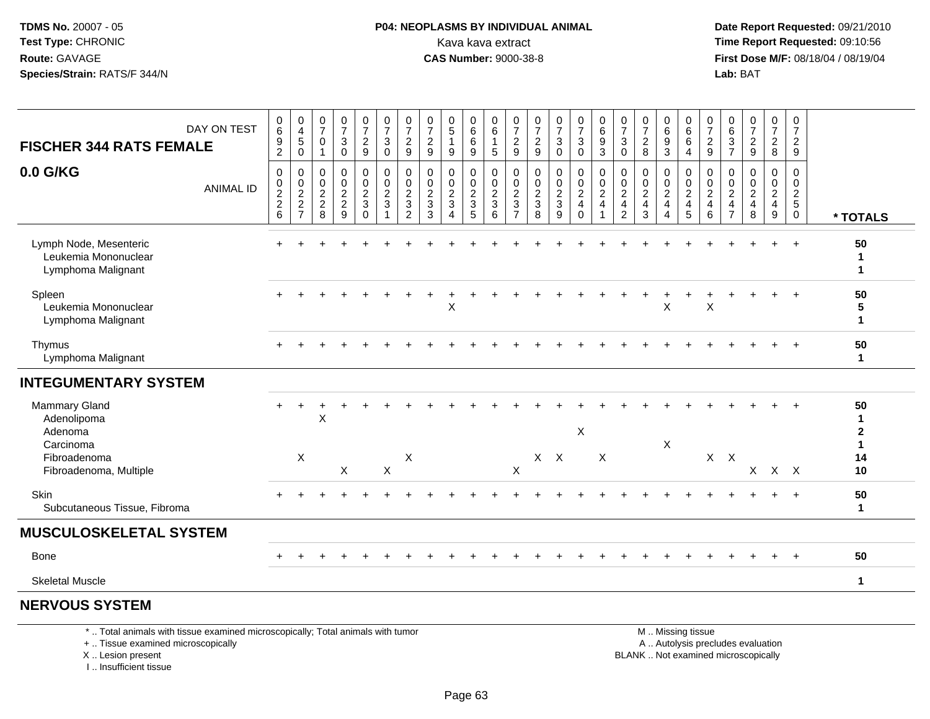### **P04: NEOPLASMS BY INDIVIDUAL ANIMAL**<br>Kava kava extract Kava kava extract **Time Report Requested:** 09:10:56<br>**CAS Number:** 9000-38-8<br>**Tirst Dose M/F:** 08/18/04 / 08/19/04

 **Date Report Requested:** 09/21/2010 **First Dose M/F:** 08/18/04 / 08/19/04 Lab: BAT **Lab:** BAT

| <b>FISCHER 344 RATS FEMALE</b>                                       | DAY ON TEST      | 0<br>6<br>9<br>$\overline{c}$                        | 0<br>$\overline{\mathbf{4}}$<br>$\,$ 5 $\,$<br>$\mathbf 0$ | 0<br>$\overline{7}$<br>$\mathbf 0$<br>$\mathbf{1}$ | $\boldsymbol{0}$<br>$\overline{7}$<br>$\mathbf{3}$<br>$\pmb{0}$ | 0<br>$\boldsymbol{7}$<br>$\frac{2}{9}$        | $\frac{0}{7}$<br>$\sqrt{3}$<br>$\mathbf 0$              | 0<br>$\overline{7}$<br>$\overline{2}$<br>9                | $\frac{0}{7}$<br>$\boldsymbol{2}$<br>$\boldsymbol{9}$ | $\begin{array}{c} 0 \\ 5 \end{array}$<br>$\mathbf{1}$<br>9        | 0<br>6<br>6<br>9                                    | 0<br>$\,6\,$<br>$\mathbf{1}$<br>$\overline{5}$ | 0<br>$\overline{7}$<br>$\overline{c}$<br>$9\,$              | 0<br>$\overline{7}$<br>$\overline{c}$<br>$\overline{9}$ | 0<br>$\overline{7}$<br>3<br>$\mathbf 0$ | $\frac{0}{7}$<br>$\mathbf{3}$<br>$\mathbf 0$       | 0<br>$\,6$<br>9<br>$\mathbf{3}$                    | 0<br>$\overline{7}$<br>$\sqrt{3}$<br>$\pmb{0}$    | 0<br>$\overline{7}$<br>$\overline{c}$<br>8                      | 0<br>$\,6\,$<br>$\boldsymbol{9}$<br>3 | 0<br>$\,6\,$<br>6<br>4       | 0<br>$\overline{7}$<br>$\overline{c}$<br>9      | 0<br>6<br>$\ensuremath{\mathsf{3}}$<br>$\overline{7}$ | $\frac{0}{7}$<br>$\overline{c}$<br>$\boldsymbol{9}$ | 0<br>$\overline{7}$<br>$\boldsymbol{2}$<br>8 | 0<br>$\boldsymbol{7}$<br>$\overline{c}$<br>$9\,$           |                                    |
|----------------------------------------------------------------------|------------------|------------------------------------------------------|------------------------------------------------------------|----------------------------------------------------|-----------------------------------------------------------------|-----------------------------------------------|---------------------------------------------------------|-----------------------------------------------------------|-------------------------------------------------------|-------------------------------------------------------------------|-----------------------------------------------------|------------------------------------------------|-------------------------------------------------------------|---------------------------------------------------------|-----------------------------------------|----------------------------------------------------|----------------------------------------------------|---------------------------------------------------|-----------------------------------------------------------------|---------------------------------------|------------------------------|-------------------------------------------------|-------------------------------------------------------|-----------------------------------------------------|----------------------------------------------|------------------------------------------------------------|------------------------------------|
|                                                                      |                  |                                                      |                                                            |                                                    |                                                                 |                                               |                                                         |                                                           |                                                       |                                                                   |                                                     |                                                |                                                             |                                                         |                                         |                                                    |                                                    |                                                   |                                                                 |                                       |                              |                                                 |                                                       |                                                     |                                              |                                                            |                                    |
| 0.0 G/KG                                                             | <b>ANIMAL ID</b> | 0<br>0<br>$\begin{array}{c} 2 \\ 2 \\ 6 \end{array}$ | 0<br>$\pmb{0}$<br>$\frac{2}{7}$                            | $\mathbf 0$<br>$\mathbf 0$<br>$\frac{2}{2}$<br>8   | 0<br>$\pmb{0}$<br>$\frac{2}{2}$<br>9                            | 0<br>$\mathbf 0$<br>$\frac{2}{3}$<br>$\Omega$ | 0<br>$\mathbf 0$<br>$\overline{2}$<br>$\mathbf{3}$<br>1 | 0<br>$\mathbf 0$<br>$\overline{c}$<br>3<br>$\overline{2}$ | 0<br>$\mathbf 0$<br>$\overline{c}$<br>$\sqrt{3}$<br>3 | 0<br>$\mathbf 0$<br>$\overline{c}$<br>3<br>$\boldsymbol{\Lambda}$ | 0<br>$\mathbf 0$<br>$\frac{2}{3}$<br>$\overline{5}$ | 0<br>$\mathbf 0$<br>$\frac{2}{3}$<br>6         | 0<br>$\mathbf 0$<br>$\boldsymbol{2}$<br>3<br>$\overline{7}$ | 0<br>$\mathbf 0$<br>$\boldsymbol{2}$<br>$\sqrt{3}$<br>8 | 0<br>0<br>$\frac{2}{3}$<br>9            | 0<br>0<br>$\sqrt{2}$<br>$\overline{4}$<br>$\Omega$ | 0<br>$\pmb{0}$<br>$\overline{c}$<br>$\overline{4}$ | 0<br>$\pmb{0}$<br>$\frac{2}{4}$<br>$\overline{2}$ | $\mathbf 0$<br>$\mathbf 0$<br>$\sqrt{2}$<br>$\overline{4}$<br>3 | 0<br>0<br>$\frac{2}{4}$<br>4          | 0<br>0<br>$\frac{2}{4}$<br>5 | 0<br>0<br>$\overline{a}$<br>$\overline{4}$<br>6 | 0<br>0<br>$_4^2$<br>$\overline{7}$                    | 0<br>$\pmb{0}$<br>$\frac{2}{4}$<br>8                | 0<br>$\mathbf 0$<br>$\frac{2}{4}$<br>$9\,$   | $\mathbf 0$<br>$\mathbf 0$<br>$\frac{2}{5}$<br>$\mathbf 0$ | * TOTALS                           |
| Lymph Node, Mesenteric<br>Leukemia Mononuclear<br>Lymphoma Malignant |                  |                                                      |                                                            |                                                    |                                                                 |                                               |                                                         |                                                           |                                                       |                                                                   |                                                     |                                                |                                                             |                                                         |                                         |                                                    |                                                    |                                                   |                                                                 |                                       |                              |                                                 |                                                       |                                                     | $+$                                          | $\ddot{}$                                                  | 50<br>$\mathbf{1}$<br>$\mathbf{1}$ |
| Spleen<br>Leukemia Mononuclear<br>Lymphoma Malignant                 |                  |                                                      |                                                            |                                                    |                                                                 |                                               |                                                         |                                                           |                                                       | $\boldsymbol{\mathsf{X}}$                                         |                                                     |                                                |                                                             |                                                         |                                         |                                                    |                                                    |                                                   |                                                                 | Χ                                     |                              | X                                               |                                                       |                                                     |                                              | $+$                                                        | 50<br>5<br>$\mathbf{1}$            |
| Thymus<br>Lymphoma Malignant                                         |                  |                                                      |                                                            |                                                    |                                                                 |                                               |                                                         |                                                           |                                                       |                                                                   |                                                     |                                                |                                                             |                                                         |                                         |                                                    |                                                    |                                                   |                                                                 |                                       |                              |                                                 |                                                       |                                                     |                                              | $\ddot{}$                                                  | 50<br>$\mathbf{1}$                 |
| <b>INTEGUMENTARY SYSTEM</b>                                          |                  |                                                      |                                                            |                                                    |                                                                 |                                               |                                                         |                                                           |                                                       |                                                                   |                                                     |                                                |                                                             |                                                         |                                         |                                                    |                                                    |                                                   |                                                                 |                                       |                              |                                                 |                                                       |                                                     |                                              |                                                            |                                    |
| <b>Mammary Gland</b><br>Adenolipoma<br>Adenoma                       |                  |                                                      |                                                            | X                                                  |                                                                 |                                               |                                                         |                                                           |                                                       |                                                                   |                                                     |                                                |                                                             |                                                         |                                         | $\boldsymbol{\mathsf{X}}$                          |                                                    |                                                   |                                                                 |                                       |                              |                                                 |                                                       |                                                     |                                              |                                                            | 50<br>$\mathbf{1}$<br>$\mathbf{2}$ |
| Carcinoma<br>Fibroadenoma<br>Fibroadenoma, Multiple                  |                  |                                                      | $\boldsymbol{\mathsf{X}}$                                  |                                                    | X                                                               |                                               | $\mathsf X$                                             | X                                                         |                                                       |                                                                   |                                                     |                                                | $\boldsymbol{\mathsf{X}}$                                   |                                                         | $X$ $X$                                 |                                                    | $\times$                                           |                                                   |                                                                 | X                                     |                              |                                                 | $X$ $X$                                               |                                                     | $X$ $X$ $X$                                  |                                                            | $\mathbf{1}$<br>14<br>10           |
| Skin<br>Subcutaneous Tissue, Fibroma                                 |                  |                                                      |                                                            |                                                    |                                                                 |                                               |                                                         |                                                           |                                                       |                                                                   |                                                     |                                                |                                                             |                                                         |                                         |                                                    |                                                    |                                                   |                                                                 |                                       |                              |                                                 |                                                       |                                                     | $\div$                                       | $+$                                                        | 50<br>$\mathbf 1$                  |
| <b>MUSCULOSKELETAL SYSTEM</b>                                        |                  |                                                      |                                                            |                                                    |                                                                 |                                               |                                                         |                                                           |                                                       |                                                                   |                                                     |                                                |                                                             |                                                         |                                         |                                                    |                                                    |                                                   |                                                                 |                                       |                              |                                                 |                                                       |                                                     |                                              |                                                            |                                    |
| <b>Bone</b>                                                          |                  |                                                      |                                                            |                                                    |                                                                 |                                               |                                                         |                                                           |                                                       |                                                                   |                                                     |                                                |                                                             |                                                         |                                         |                                                    |                                                    |                                                   |                                                                 |                                       |                              |                                                 |                                                       |                                                     |                                              | $\pm$                                                      | 50                                 |
| <b>Skeletal Muscle</b>                                               |                  |                                                      |                                                            |                                                    |                                                                 |                                               |                                                         |                                                           |                                                       |                                                                   |                                                     |                                                |                                                             |                                                         |                                         |                                                    |                                                    |                                                   |                                                                 |                                       |                              |                                                 |                                                       |                                                     |                                              |                                                            | $\mathbf{1}$                       |
| <b>NERVOUS SYSTEM</b>                                                |                  |                                                      |                                                            |                                                    |                                                                 |                                               |                                                         |                                                           |                                                       |                                                                   |                                                     |                                                |                                                             |                                                         |                                         |                                                    |                                                    |                                                   |                                                                 |                                       |                              |                                                 |                                                       |                                                     |                                              |                                                            |                                    |

\* .. Total animals with tissue examined microscopically; Total animals with tumor

+ .. Tissue examined microscopically

X .. Lesion present

I .. Insufficient tissue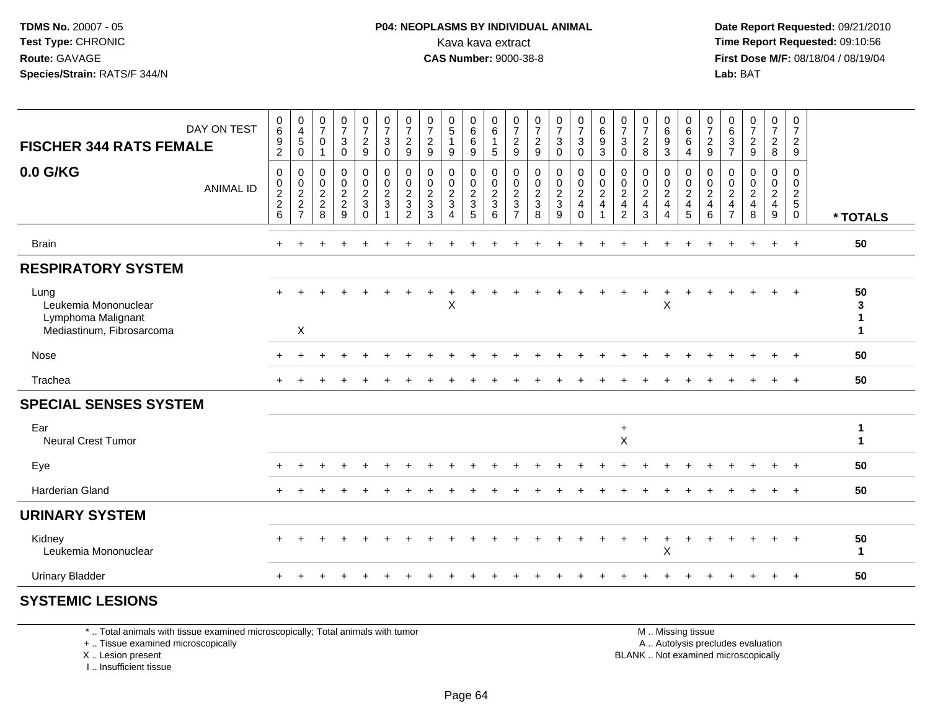#### **P04: NEOPLASMS BY INDIVIDUAL ANIMAL**<br>Kava kava extract Kava kava extract **Time Report Requested:** 09:10:56<br>**CAS Number:** 9000-38-8<br>**Tirst Dose M/F:** 08/18/04 / 08/19/04

 **Date Report Requested:** 09/21/2010 **First Dose M/F:** 08/18/04 / 08/19/04 Lab: BAT **Lab:** BAT

| <b>FISCHER 344 RATS FEMALE</b>                                                  | DAY ON TEST      | 0<br>6<br>$\frac{9}{2}$                | $_4^{\rm 0}$<br>$\overline{5}$<br>$\mathbf 0$  | $\frac{0}{7}$<br>$\,0\,$<br>$\mathbf{1}$ | $\frac{0}{7}$<br>$\ensuremath{\mathsf{3}}$<br>$\mathbf 0$ | $\frac{0}{7}$<br>$\frac{2}{9}$                                  | $\frac{0}{7}$<br>$\sqrt{3}$<br>$\mathbf 0$                       | $\frac{0}{7}$<br>$\frac{2}{9}$       | $\frac{0}{7}$<br>$\boldsymbol{2}$<br>$\boldsymbol{9}$              | $\begin{smallmatrix}0\0\5\end{smallmatrix}$<br>9   | $\begin{array}{c} 0 \\ 6 \end{array}$<br>$\,6\,$<br>$\mathsf g$ | 0<br>$\,6\,$<br>$\mathbf{1}$<br>$5\phantom{1}$          | $\frac{0}{7}$<br>$\boldsymbol{2}$<br>$9\,$                     | $\frac{0}{7}$<br>$\frac{2}{9}$                                      | $\frac{0}{7}$<br>$\sqrt{3}$<br>$\mathbf 0$                           | $\frac{0}{7}$<br>3<br>$\mathbf 0$                                  | $\begin{array}{c} 0 \\ 6 \end{array}$<br>$\frac{9}{3}$               | $\frac{0}{7}$<br>$\sqrt{3}$<br>$\mathbf 0$                       | $\frac{0}{7}$<br>$^2_8$                                                  | 0<br>$\overline{6}$<br>9<br>3                                                         | $\begin{array}{c} 0 \\ 6 \\ 6 \\ 4 \end{array}$                   | $\frac{0}{7}$<br>$\frac{2}{9}$                      | $\begin{array}{c} 0 \\ 6 \end{array}$<br>$\frac{3}{7}$   | $\frac{0}{7}$<br>$\sqrt{2}$<br>9                               | 0<br>$\overline{7}$<br>$\frac{2}{8}$                       | 0<br>$\overline{7}$<br>$\frac{2}{9}$             |                    |
|---------------------------------------------------------------------------------|------------------|----------------------------------------|------------------------------------------------|------------------------------------------|-----------------------------------------------------------|-----------------------------------------------------------------|------------------------------------------------------------------|--------------------------------------|--------------------------------------------------------------------|----------------------------------------------------|-----------------------------------------------------------------|---------------------------------------------------------|----------------------------------------------------------------|---------------------------------------------------------------------|----------------------------------------------------------------------|--------------------------------------------------------------------|----------------------------------------------------------------------|------------------------------------------------------------------|--------------------------------------------------------------------------|---------------------------------------------------------------------------------------|-------------------------------------------------------------------|-----------------------------------------------------|----------------------------------------------------------|----------------------------------------------------------------|------------------------------------------------------------|--------------------------------------------------|--------------------|
| 0.0 G/KG                                                                        | <b>ANIMAL ID</b> | $\mathbf 0$<br>0<br>$\frac{2}{2}$<br>6 | $\mathsf{O}$<br>$\frac{0}{2}$<br>$\frac{2}{7}$ | $\pmb{0}$<br>0<br>$\frac{2}{2}$<br>8     | $\mathsf 0$<br>$\pmb{0}$<br>$\frac{2}{9}$                 | 0<br>$\mathbf 0$<br>$\boldsymbol{2}$<br>$\mathbf 3$<br>$\Omega$ | $\pmb{0}$<br>$\boldsymbol{0}$<br>$\frac{2}{3}$<br>$\overline{1}$ | 0<br>0<br>$\boldsymbol{2}$<br>3<br>2 | $\pmb{0}$<br>0<br>$\overline{c}$<br>$\ensuremath{\mathsf{3}}$<br>3 | 0<br>$\pmb{0}$<br>$\overline{2}$<br>$\mathfrak{Z}$ | $\mathbf 0$<br>$\mathbf 0$<br>$\sqrt{2}$<br>$\overline{3}$<br>5 | 0<br>$\mathbf 0$<br>$\overline{2}$<br>$\mathbf{3}$<br>6 | 0<br>$\mathbf 0$<br>$\sqrt{2}$<br>$\sqrt{3}$<br>$\overline{7}$ | $\mathbf 0$<br>$\begin{smallmatrix} 0\\2\\3 \end{smallmatrix}$<br>8 | $\mathsf{O}$<br>$\begin{smallmatrix} 0\\2\\3 \end{smallmatrix}$<br>9 | 0<br>$\mathbf 0$<br>$\boldsymbol{2}$<br>$\overline{4}$<br>$\Omega$ | $\mathbf 0$<br>$\pmb{0}$<br>$\frac{2}{4}$<br>$\overline{\mathbf{1}}$ | 0<br>$\pmb{0}$<br>$\sqrt{2}$<br>$\overline{a}$<br>$\overline{2}$ | $\mathbf 0$<br>$\mathbf 0$<br>$\sqrt{2}$<br>$\overline{\mathbf{4}}$<br>3 | 0<br>$\pmb{0}$<br>$\overline{2}$<br>$\overline{\mathbf{4}}$<br>$\boldsymbol{\Lambda}$ | 0<br>$\begin{array}{c} 0 \\ 2 \\ 4 \end{array}$<br>$\overline{5}$ | 0<br>$\pmb{0}$<br>$\sqrt{2}$<br>$\overline{4}$<br>6 | 0<br>0<br>$\sqrt{2}$<br>$\overline{4}$<br>$\overline{7}$ | $\mathbf 0$<br>0<br>$\sqrt{2}$<br>$\overline{\mathbf{4}}$<br>8 | $\mathbf{0}$<br>0<br>$\overline{2}$<br>$\overline{4}$<br>9 | 0<br>$\mathbf 0$<br>$\frac{2}{5}$<br>$\mathbf 0$ | * TOTALS           |
| <b>Brain</b>                                                                    |                  | $\ddot{}$                              |                                                |                                          |                                                           |                                                                 |                                                                  |                                      |                                                                    |                                                    |                                                                 |                                                         |                                                                |                                                                     |                                                                      |                                                                    |                                                                      |                                                                  |                                                                          |                                                                                       |                                                                   |                                                     |                                                          |                                                                | $\ddot{}$                                                  | $+$                                              | 50                 |
| <b>RESPIRATORY SYSTEM</b>                                                       |                  |                                        |                                                |                                          |                                                           |                                                                 |                                                                  |                                      |                                                                    |                                                    |                                                                 |                                                         |                                                                |                                                                     |                                                                      |                                                                    |                                                                      |                                                                  |                                                                          |                                                                                       |                                                                   |                                                     |                                                          |                                                                |                                                            |                                                  |                    |
| Lung<br>Leukemia Mononuclear<br>Lymphoma Malignant<br>Mediastinum, Fibrosarcoma |                  | $+$                                    | X                                              |                                          |                                                           |                                                                 |                                                                  |                                      |                                                                    | X                                                  |                                                                 |                                                         |                                                                |                                                                     |                                                                      |                                                                    |                                                                      |                                                                  |                                                                          | X                                                                                     |                                                                   |                                                     |                                                          |                                                                | $\ddot{}$                                                  | $+$                                              | 50<br>3<br>1<br>1  |
| Nose                                                                            |                  |                                        |                                                |                                          |                                                           |                                                                 |                                                                  |                                      |                                                                    |                                                    |                                                                 |                                                         |                                                                |                                                                     |                                                                      |                                                                    |                                                                      |                                                                  |                                                                          |                                                                                       |                                                                   |                                                     |                                                          |                                                                |                                                            |                                                  | 50                 |
| Trachea                                                                         |                  |                                        |                                                |                                          |                                                           |                                                                 |                                                                  |                                      |                                                                    |                                                    |                                                                 |                                                         |                                                                |                                                                     |                                                                      |                                                                    |                                                                      |                                                                  |                                                                          |                                                                                       |                                                                   |                                                     |                                                          |                                                                |                                                            |                                                  | 50                 |
| <b>SPECIAL SENSES SYSTEM</b>                                                    |                  |                                        |                                                |                                          |                                                           |                                                                 |                                                                  |                                      |                                                                    |                                                    |                                                                 |                                                         |                                                                |                                                                     |                                                                      |                                                                    |                                                                      |                                                                  |                                                                          |                                                                                       |                                                                   |                                                     |                                                          |                                                                |                                                            |                                                  |                    |
| Ear<br><b>Neural Crest Tumor</b>                                                |                  |                                        |                                                |                                          |                                                           |                                                                 |                                                                  |                                      |                                                                    |                                                    |                                                                 |                                                         |                                                                |                                                                     |                                                                      |                                                                    |                                                                      | $+$<br>$\times$                                                  |                                                                          |                                                                                       |                                                                   |                                                     |                                                          |                                                                |                                                            |                                                  | 1<br>1             |
| Eye                                                                             |                  |                                        |                                                |                                          |                                                           |                                                                 |                                                                  |                                      |                                                                    |                                                    |                                                                 |                                                         |                                                                |                                                                     |                                                                      |                                                                    |                                                                      |                                                                  |                                                                          |                                                                                       |                                                                   |                                                     |                                                          |                                                                |                                                            |                                                  | 50                 |
| <b>Harderian Gland</b>                                                          |                  |                                        |                                                |                                          |                                                           |                                                                 |                                                                  |                                      |                                                                    |                                                    |                                                                 |                                                         |                                                                |                                                                     |                                                                      |                                                                    |                                                                      |                                                                  |                                                                          |                                                                                       |                                                                   |                                                     |                                                          |                                                                |                                                            | $\ddot{}$                                        | 50                 |
| <b>URINARY SYSTEM</b>                                                           |                  |                                        |                                                |                                          |                                                           |                                                                 |                                                                  |                                      |                                                                    |                                                    |                                                                 |                                                         |                                                                |                                                                     |                                                                      |                                                                    |                                                                      |                                                                  |                                                                          |                                                                                       |                                                                   |                                                     |                                                          |                                                                |                                                            |                                                  |                    |
| Kidney<br>Leukemia Mononuclear                                                  |                  |                                        |                                                |                                          |                                                           |                                                                 |                                                                  |                                      |                                                                    |                                                    |                                                                 |                                                         |                                                                |                                                                     |                                                                      |                                                                    |                                                                      |                                                                  |                                                                          | $\mathsf X$                                                                           |                                                                   |                                                     |                                                          |                                                                |                                                            |                                                  | 50<br>$\mathbf{1}$ |
| <b>Urinary Bladder</b>                                                          |                  |                                        |                                                |                                          |                                                           |                                                                 |                                                                  |                                      |                                                                    |                                                    |                                                                 |                                                         |                                                                |                                                                     |                                                                      |                                                                    |                                                                      |                                                                  |                                                                          |                                                                                       |                                                                   |                                                     |                                                          |                                                                |                                                            | $\ddot{}$                                        | 50                 |
|                                                                                 |                  |                                        |                                                |                                          |                                                           |                                                                 |                                                                  |                                      |                                                                    |                                                    |                                                                 |                                                         |                                                                |                                                                     |                                                                      |                                                                    |                                                                      |                                                                  |                                                                          |                                                                                       |                                                                   |                                                     |                                                          |                                                                |                                                            |                                                  |                    |

#### **SYSTEMIC LESIONS**

\* .. Total animals with tissue examined microscopically; Total animals with tumor

+ .. Tissue examined microscopically

X .. Lesion present

I .. Insufficient tissue

M .. Missing tissue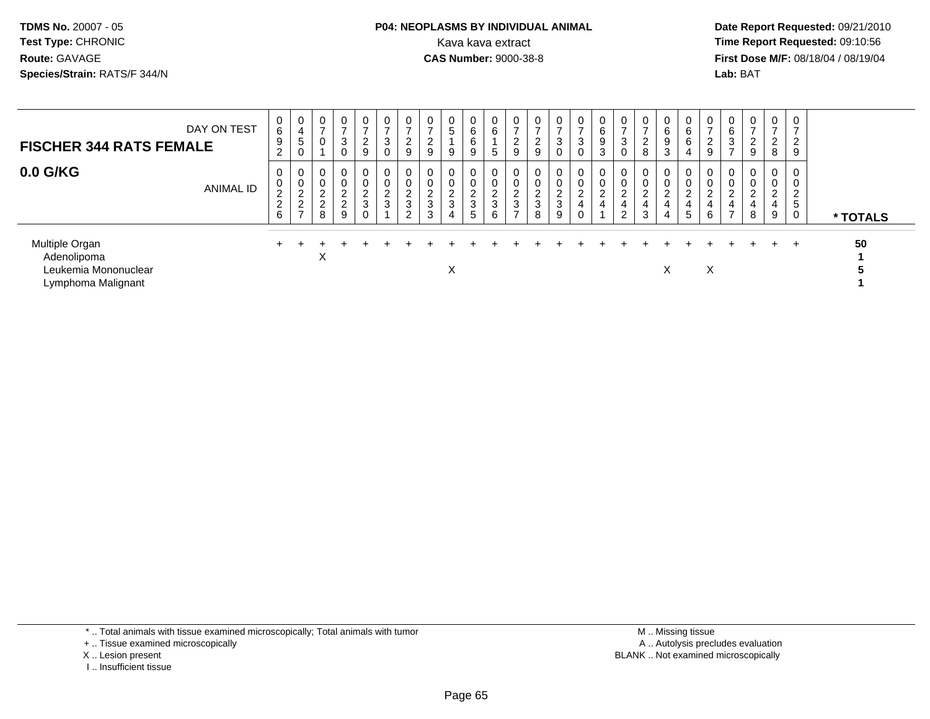#### **P04: NEOPLASMS BY INDIVIDUAL ANIMAL**<br>Kava kava extract Kava kava extract **Time Report Requested:** 09:10:56<br>**CAS Number:** 9000-38-8<br>**Tirst Dose M/F:** 08/18/04 / 08/19/04

 **Date Report Requested:** 09/21/2010 **First Dose M/F:** 08/18/04 / 08/19/04 Lab: BAT **Lab:** BAT

| <b>FISCHER 344 RATS FEMALE</b>                                              | DAY ON TEST      | 0<br>6<br>9<br>$\overline{2}$                   | 0<br>4<br>≎<br>0                     | $\mathbf 0$<br>$\overline{ }$                                 | 0<br>-<br>3<br>0                                                 | 0<br>$\rightarrow$<br>$\overline{2}$<br>9 | $\mathbf 0$<br>$\overline{ }$<br>3<br>0 | 0<br>⇁<br>ົ<br>$\epsilon$<br>9       | 0<br>$\overline{ }$<br>2<br>9                          | 0<br>5<br>9                         | 0<br>6<br>6<br>9                                       | 0<br>6<br>$\mathbf b$             | 0<br>⇁<br>າ<br>∠<br>9      | 0<br>$\overline{ }$<br>$\sim$<br>z<br>9          | 0<br>$\overline{ }$<br>3<br>0        | 0<br>$\rightarrow$<br>3<br>0       | 0<br>6<br>9<br>3                   | 0<br>$\overline{ }$<br>3                       | 0<br>$\overline{ }$<br>$\overline{2}$<br>8     | 6<br>9<br>ົ<br>J. | 0<br>6<br>6                | 0<br>$\Omega$<br>$\epsilon$<br>9 | 0<br>6<br>3<br>$\rightarrow$                               | 0<br>$\overline{ }$<br>2<br>$9\,$  | $\overline{0}$<br>$\overline{\phantom{0}}$<br>◠<br>$\epsilon$<br>8 | 0<br>$\overline{\phantom{a}}$<br>$\overline{2}$<br>9 |          |
|-----------------------------------------------------------------------------|------------------|-------------------------------------------------|--------------------------------------|---------------------------------------------------------------|------------------------------------------------------------------|-------------------------------------------|-----------------------------------------|--------------------------------------|--------------------------------------------------------|-------------------------------------|--------------------------------------------------------|-----------------------------------|----------------------------|--------------------------------------------------|--------------------------------------|------------------------------------|------------------------------------|------------------------------------------------|------------------------------------------------|-------------------|----------------------------|----------------------------------|------------------------------------------------------------|------------------------------------|--------------------------------------------------------------------|------------------------------------------------------|----------|
| 0.0 G/KG                                                                    | <b>ANIMAL ID</b> | 0<br>0<br>$\overline{c}$<br>$\overline{2}$<br>6 | 0<br>0<br>$\sim$<br>∼<br>$\sim$<br>∠ | $\mathbf 0$<br>$\mathbf 0$<br>$\sim$<br>∠<br>$\sim$<br>∠<br>8 | $\mathbf 0$<br>0<br>$\Omega$<br>∠<br>$\Omega$<br>$\epsilon$<br>9 | 0<br>0<br>ົ<br>∠<br>$\mathfrak{S}$        | $\mathbf 0$<br>0<br>$\frac{2}{3}$       | 0<br>0<br>$\sim$<br>∼<br>3<br>C<br>▵ | $\mathbf 0$<br>$\mathbf 0$<br>$\overline{c}$<br>3<br>3 | 0<br>0<br>ົ<br>$\epsilon$<br>3<br>4 | 0<br>0<br>$\Omega$<br><u>L</u><br>3<br>$5\phantom{.0}$ | 0<br>0<br>ົ<br><u>_</u><br>3<br>6 | 0<br>0<br>C<br>∼<br>3<br>⇁ | $\mathbf 0$<br>0<br>$\sim$<br><u>_</u><br>3<br>8 | 0<br>0<br>$\sim$<br>$rac{2}{3}$<br>9 | 0<br>0<br>$\overline{c}$<br>4<br>U | 0<br>0<br>ົ<br>∼<br>$\overline{4}$ | 0<br>0<br>$\Omega$<br>∠<br>4<br>$\overline{2}$ | 0<br>$\mathbf 0$<br>$\sim$<br>4<br>$\sim$<br>చ | $\sim$<br>4<br>4  | 0<br>0<br>$\sim$<br>∠<br>5 | 0<br>0<br>$\sim$<br>L<br>4<br>6  | $\mathbf 0$<br>0<br>ົ<br>$\epsilon$<br>4<br>$\overline{ }$ | 0<br>0<br>$\overline{2}$<br>4<br>8 | 0<br>$\mathbf 0$<br>$\sim$<br>∼<br>4<br>9                          | 2<br>5                                               | * TOTALS |
| Multiple Organ<br>Adenolipoma<br>Leukemia Mononuclear<br>Lymphoma Malignant |                  | $+$                                             |                                      | X                                                             |                                                                  |                                           |                                         |                                      |                                                        | $\checkmark$<br>∧                   |                                                        |                                   |                            |                                                  |                                      |                                    |                                    |                                                |                                                | ∧                 |                            | X                                |                                                            |                                    | $\div$                                                             | $\div$                                               | 50       |

\* .. Total animals with tissue examined microscopically; Total animals with tumor

+ .. Tissue examined microscopically

- X .. Lesion present
- I .. Insufficient tissue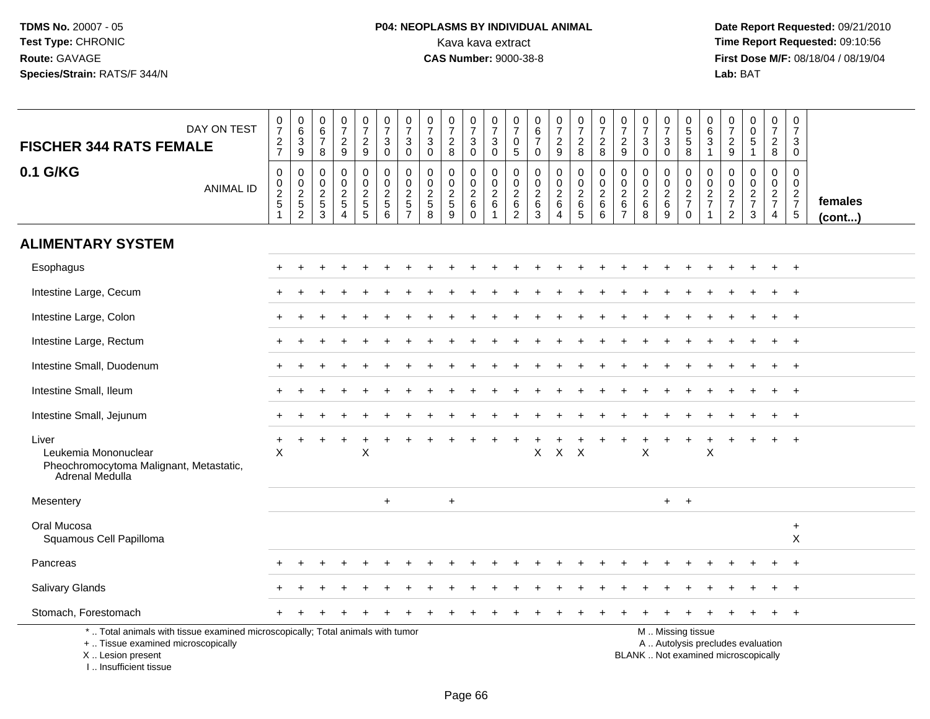# **P04: NEOPLASMS BY INDIVIDUAL ANIMAL**<br>Kava kava extract Kava kava extract **Time Report Requested:** 09:10:56<br>**CAS Number:** 9000-38-8 **CAS Number:** 9000-38-8

 **Date Report Requested:** 09/21/2010 **First Dose M/F:** 08/18/04 / 08/19/04 Lab: BAT **Lab:** BAT

| DAY ON TEST<br><b>FISCHER 344 RATS FEMALE</b><br>0.1 G/KG<br><b>ANIMAL ID</b>                                                                                       | $\pmb{0}$<br>$\overline{7}$<br>$\frac{2}{7}$<br>$\boldsymbol{0}$<br>$\pmb{0}$<br>$\frac{2}{5}$ | $_{6}^{\rm 0}$<br>$\ensuremath{\mathsf{3}}$<br>9<br>0<br>$\pmb{0}$<br>$\frac{2}{5}$ | 0<br>6<br>$\overline{7}$<br>8<br>0<br>$\mathbf 0$<br>$\boldsymbol{2}$ | $\frac{0}{7}$<br>$\overline{c}$<br>9<br>0<br>$\pmb{0}$<br>$\frac{2}{5}$ | 0<br>$\overline{7}$<br>$\overline{2}$<br>$9\,$<br>0<br>$\mathbf 0$<br>$\frac{2}{5}$ | $\frac{0}{7}$<br>$\mathbf{3}$<br>$\mathbf 0$<br>$\overline{0}$<br>$\overline{0}$<br>$\frac{2}{5}$ | 0<br>$\overline{7}$<br>$\mathbf{3}$<br>$\mathbf 0$<br>$\mathbf 0$<br>$\mathbf 0$<br>$\overline{c}$ | 0<br>$\overline{7}$<br>$\sqrt{3}$<br>$\mathbf 0$<br>$\mathbf 0$<br>$\mathbf 0$<br>$\frac{2}{5}$ | $\frac{0}{7}$<br>$\overline{c}$<br>8<br>0<br>$\mathbf 0$<br>$rac{2}{5}$ | 0<br>$\overline{7}$<br>$_0^3$<br>$\mathbf 0$<br>$\ddot{\mathbf{0}}$<br>$\frac{2}{6}$ | $\pmb{0}$<br>$\overline{7}$<br>$\ensuremath{\mathsf{3}}$<br>$\mathbf 0$<br>$\pmb{0}$<br>$\mathbf 0$<br>$\boldsymbol{2}$ | 0<br>$\overline{7}$<br>$\mathbf 0$<br>$5\phantom{.0}$<br>0<br>$\mathbf 0$<br>$^2\phantom{1}6$ | $\begin{array}{c} 0 \\ 6 \end{array}$<br>$\overline{7}$<br>$\mathbf 0$<br>$\mathbf 0$<br>$\ddot{\mathbf{0}}$<br>$\frac{2}{6}$ | $\frac{0}{7}$<br>$\overline{c}$<br>9<br>0<br>$\mathbf 0$<br>$\frac{2}{6}$ | $\frac{0}{7}$<br>$\boldsymbol{2}$<br>8<br>$\mathbf 0$<br>$\ddot{\mathbf{0}}$<br>$\frac{2}{6}$ | $\frac{0}{7}$<br>$\overline{c}$<br>8<br>0<br>$\mathbf 0$<br>$\overline{c}$ | 0<br>$\overline{7}$<br>$\overline{a}$<br>9<br>0<br>$\mathbf 0$<br>$\boldsymbol{2}$ | $\frac{0}{7}$<br>$\sqrt{3}$<br>$\mathbf 0$<br>0<br>$\mathbf 0$<br>$\overline{c}$ | 0<br>$\overline{7}$<br>$\ensuremath{\mathsf{3}}$<br>$\mathbf 0$<br>0<br>$\pmb{0}$<br>$\begin{array}{c} 2 \\ 6 \end{array}$ | $\begin{array}{c} 0 \\ 5 \end{array}$<br>$\overline{5}$ 8<br>$\boldsymbol{0}$<br>$\ddot{\mathbf{0}}$<br>$\frac{2}{7}$ | 0<br>6<br>$\mathbf{3}$<br>$\overline{1}$<br>$\mathbf 0$<br>$\mathbf 0$<br>$\frac{2}{7}$ | $\pmb{0}$<br>$\overline{7}$<br>$\frac{2}{9}$<br>$\mathbf 0$<br>$\mathbf 0$<br>$\frac{2}{7}$ | 0<br>$\mathsf{O}$<br>$\overline{5}$<br>$\mathbf{1}$<br>$\mathbf 0$<br>$\mathbf 0$<br>$\frac{2}{7}$ | $\pmb{0}$<br>$\overline{7}$<br>$\frac{2}{8}$<br>$\pmb{0}$<br>$\frac{0}{2}$<br>7 | $\mathbf 0$<br>$\overline{7}$<br>3<br>$\mathbf 0$<br>$\mathbf 0$<br>$\mathbf 0$<br>$\frac{2}{7}$ |                   |
|---------------------------------------------------------------------------------------------------------------------------------------------------------------------|------------------------------------------------------------------------------------------------|-------------------------------------------------------------------------------------|-----------------------------------------------------------------------|-------------------------------------------------------------------------|-------------------------------------------------------------------------------------|---------------------------------------------------------------------------------------------------|----------------------------------------------------------------------------------------------------|-------------------------------------------------------------------------------------------------|-------------------------------------------------------------------------|--------------------------------------------------------------------------------------|-------------------------------------------------------------------------------------------------------------------------|-----------------------------------------------------------------------------------------------|-------------------------------------------------------------------------------------------------------------------------------|---------------------------------------------------------------------------|-----------------------------------------------------------------------------------------------|----------------------------------------------------------------------------|------------------------------------------------------------------------------------|----------------------------------------------------------------------------------|----------------------------------------------------------------------------------------------------------------------------|-----------------------------------------------------------------------------------------------------------------------|-----------------------------------------------------------------------------------------|---------------------------------------------------------------------------------------------|----------------------------------------------------------------------------------------------------|---------------------------------------------------------------------------------|--------------------------------------------------------------------------------------------------|-------------------|
|                                                                                                                                                                     | -1                                                                                             | $\overline{c}$                                                                      | $\sqrt{5}$<br>3                                                       | $\overline{4}$                                                          | $\overline{5}$                                                                      | $6\phantom{1}6$                                                                                   | $\sqrt{5}$<br>$\overline{7}$                                                                       | 8                                                                                               | 9                                                                       | $\mathbf 0$                                                                          | $\,6\,$<br>1                                                                                                            | $\overline{c}$                                                                                | $\mathbf{3}$                                                                                                                  | 4                                                                         | $\sqrt{5}$                                                                                    | 6<br>$6\phantom{a}$                                                        | $\,6\,$<br>$\overline{7}$                                                          | $\,6\,$<br>8                                                                     | $\boldsymbol{9}$                                                                                                           | $\mathbf 0$                                                                                                           |                                                                                         | $\overline{2}$                                                                              | $\mathbf{3}$                                                                                       | $\overline{4}$                                                                  | $\overline{5}$                                                                                   | females<br>(cont) |
| <b>ALIMENTARY SYSTEM</b>                                                                                                                                            |                                                                                                |                                                                                     |                                                                       |                                                                         |                                                                                     |                                                                                                   |                                                                                                    |                                                                                                 |                                                                         |                                                                                      |                                                                                                                         |                                                                                               |                                                                                                                               |                                                                           |                                                                                               |                                                                            |                                                                                    |                                                                                  |                                                                                                                            |                                                                                                                       |                                                                                         |                                                                                             |                                                                                                    |                                                                                 |                                                                                                  |                   |
| Esophagus                                                                                                                                                           |                                                                                                |                                                                                     |                                                                       |                                                                         |                                                                                     |                                                                                                   |                                                                                                    |                                                                                                 |                                                                         |                                                                                      |                                                                                                                         |                                                                                               |                                                                                                                               |                                                                           |                                                                                               |                                                                            |                                                                                    |                                                                                  |                                                                                                                            |                                                                                                                       |                                                                                         |                                                                                             |                                                                                                    |                                                                                 | $+$                                                                                              |                   |
| Intestine Large, Cecum                                                                                                                                              |                                                                                                |                                                                                     |                                                                       |                                                                         |                                                                                     |                                                                                                   |                                                                                                    |                                                                                                 |                                                                         |                                                                                      |                                                                                                                         |                                                                                               |                                                                                                                               |                                                                           |                                                                                               |                                                                            |                                                                                    |                                                                                  |                                                                                                                            |                                                                                                                       |                                                                                         |                                                                                             |                                                                                                    |                                                                                 | $\overline{+}$                                                                                   |                   |
| Intestine Large, Colon                                                                                                                                              |                                                                                                |                                                                                     |                                                                       |                                                                         |                                                                                     |                                                                                                   |                                                                                                    |                                                                                                 |                                                                         |                                                                                      |                                                                                                                         |                                                                                               |                                                                                                                               |                                                                           |                                                                                               |                                                                            |                                                                                    |                                                                                  |                                                                                                                            |                                                                                                                       |                                                                                         |                                                                                             |                                                                                                    |                                                                                 | $\overline{+}$                                                                                   |                   |
| Intestine Large, Rectum                                                                                                                                             |                                                                                                |                                                                                     |                                                                       |                                                                         |                                                                                     |                                                                                                   |                                                                                                    |                                                                                                 |                                                                         |                                                                                      |                                                                                                                         |                                                                                               |                                                                                                                               |                                                                           |                                                                                               |                                                                            |                                                                                    |                                                                                  |                                                                                                                            |                                                                                                                       |                                                                                         |                                                                                             |                                                                                                    |                                                                                 | $\overline{+}$                                                                                   |                   |
| Intestine Small, Duodenum                                                                                                                                           |                                                                                                |                                                                                     |                                                                       |                                                                         |                                                                                     |                                                                                                   |                                                                                                    |                                                                                                 |                                                                         |                                                                                      |                                                                                                                         |                                                                                               |                                                                                                                               |                                                                           |                                                                                               |                                                                            |                                                                                    |                                                                                  |                                                                                                                            |                                                                                                                       |                                                                                         |                                                                                             |                                                                                                    |                                                                                 | $^{+}$                                                                                           |                   |
| Intestine Small, Ileum                                                                                                                                              |                                                                                                |                                                                                     |                                                                       |                                                                         |                                                                                     |                                                                                                   |                                                                                                    |                                                                                                 |                                                                         |                                                                                      |                                                                                                                         |                                                                                               |                                                                                                                               |                                                                           |                                                                                               |                                                                            |                                                                                    |                                                                                  |                                                                                                                            |                                                                                                                       |                                                                                         |                                                                                             |                                                                                                    |                                                                                 | $\overline{+}$                                                                                   |                   |
| Intestine Small, Jejunum                                                                                                                                            |                                                                                                |                                                                                     |                                                                       |                                                                         |                                                                                     |                                                                                                   |                                                                                                    |                                                                                                 |                                                                         |                                                                                      |                                                                                                                         |                                                                                               |                                                                                                                               |                                                                           |                                                                                               |                                                                            |                                                                                    |                                                                                  |                                                                                                                            |                                                                                                                       |                                                                                         |                                                                                             |                                                                                                    |                                                                                 | $\overline{1}$                                                                                   |                   |
| Liver<br>Leukemia Mononuclear<br>Pheochromocytoma Malignant, Metastatic,<br>Adrenal Medulla                                                                         | $\times$                                                                                       |                                                                                     |                                                                       |                                                                         | X                                                                                   |                                                                                                   |                                                                                                    |                                                                                                 |                                                                         |                                                                                      |                                                                                                                         |                                                                                               | X                                                                                                                             | $\boldsymbol{\mathsf{X}}$                                                 | $\mathsf{X}$                                                                                  |                                                                            |                                                                                    | X                                                                                |                                                                                                                            |                                                                                                                       | X                                                                                       |                                                                                             |                                                                                                    |                                                                                 | $\overline{+}$                                                                                   |                   |
| Mesentery                                                                                                                                                           |                                                                                                |                                                                                     |                                                                       |                                                                         |                                                                                     | $\ddot{}$                                                                                         |                                                                                                    |                                                                                                 | $\ddot{}$                                                               |                                                                                      |                                                                                                                         |                                                                                               |                                                                                                                               |                                                                           |                                                                                               |                                                                            |                                                                                    |                                                                                  | $+$                                                                                                                        | $+$                                                                                                                   |                                                                                         |                                                                                             |                                                                                                    |                                                                                 |                                                                                                  |                   |
| Oral Mucosa<br>Squamous Cell Papilloma                                                                                                                              |                                                                                                |                                                                                     |                                                                       |                                                                         |                                                                                     |                                                                                                   |                                                                                                    |                                                                                                 |                                                                         |                                                                                      |                                                                                                                         |                                                                                               |                                                                                                                               |                                                                           |                                                                                               |                                                                            |                                                                                    |                                                                                  |                                                                                                                            |                                                                                                                       |                                                                                         |                                                                                             |                                                                                                    |                                                                                 | $\ddot{}$<br>$\pmb{\times}$                                                                      |                   |
| Pancreas                                                                                                                                                            |                                                                                                |                                                                                     |                                                                       |                                                                         |                                                                                     |                                                                                                   |                                                                                                    |                                                                                                 |                                                                         |                                                                                      |                                                                                                                         |                                                                                               |                                                                                                                               |                                                                           |                                                                                               |                                                                            |                                                                                    |                                                                                  |                                                                                                                            |                                                                                                                       |                                                                                         |                                                                                             |                                                                                                    |                                                                                 | $+$                                                                                              |                   |
| Salivary Glands                                                                                                                                                     |                                                                                                |                                                                                     |                                                                       |                                                                         |                                                                                     |                                                                                                   |                                                                                                    |                                                                                                 |                                                                         |                                                                                      |                                                                                                                         |                                                                                               |                                                                                                                               |                                                                           |                                                                                               |                                                                            |                                                                                    |                                                                                  |                                                                                                                            |                                                                                                                       |                                                                                         |                                                                                             |                                                                                                    |                                                                                 | $\overline{+}$                                                                                   |                   |
| Stomach, Forestomach                                                                                                                                                |                                                                                                |                                                                                     |                                                                       |                                                                         |                                                                                     |                                                                                                   |                                                                                                    |                                                                                                 |                                                                         |                                                                                      |                                                                                                                         |                                                                                               |                                                                                                                               |                                                                           |                                                                                               |                                                                            |                                                                                    |                                                                                  |                                                                                                                            |                                                                                                                       |                                                                                         |                                                                                             |                                                                                                    |                                                                                 | $+$                                                                                              |                   |
| *  Total animals with tissue examined microscopically; Total animals with tumor<br>+  Tissue examined microscopically<br>X  Lesion present<br>I Insufficient tissue |                                                                                                |                                                                                     |                                                                       |                                                                         |                                                                                     |                                                                                                   |                                                                                                    |                                                                                                 |                                                                         |                                                                                      |                                                                                                                         |                                                                                               |                                                                                                                               |                                                                           |                                                                                               |                                                                            |                                                                                    |                                                                                  |                                                                                                                            | M  Missing tissue<br>A  Autolysis precludes evaluation<br>BLANK  Not examined microscopically                         |                                                                                         |                                                                                             |                                                                                                    |                                                                                 |                                                                                                  |                   |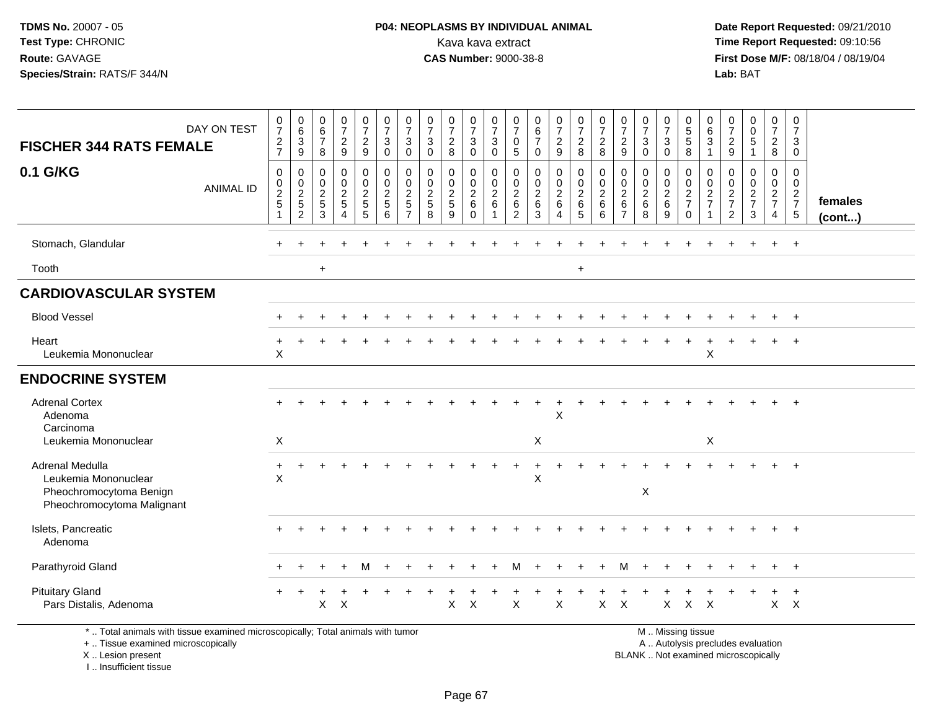## **P04: NEOPLASMS BY INDIVIDUAL ANIMAL**<br>Kava kava extract Kava kava extract **Time Report Requested:** 09:10:56<br>**CAS Number:** 9000-38-8<br>**Tirst Dose M/F:** 08/18/04 / 08/19/04

 **Date Report Requested:** 09/21/2010 **First Dose M/F:** 08/18/04 / 08/19/04 Lab: BAT **Lab:** BAT

| <b>FISCHER 344 RATS FEMALE</b>                                                                                        | DAY ON TEST      | $\pmb{0}$<br>$\overline{7}$<br>$\frac{2}{7}$                 | $\begin{array}{c} 0 \\ 6 \end{array}$<br>$\ensuremath{\mathsf{3}}$<br>9 | 0<br>$\,6\,$<br>$\overline{7}$<br>8    | $\frac{0}{7}$<br>$\frac{2}{9}$                            | $\begin{smallmatrix}0\\7\end{smallmatrix}$<br>$\frac{2}{9}$ | $\frac{0}{7}$<br>$\ensuremath{\mathsf{3}}$<br>$\mathbf 0$ | $\frac{0}{7}$<br>3<br>$\mathbf 0$                                                | $\frac{0}{7}$<br>$\mathbf{3}$<br>$\mathbf 0$   | $\frac{0}{7}$<br>$\overline{c}$<br>8 | $\frac{0}{7}$<br>$\sqrt{3}$<br>$\mathbf 0$ | 0<br>$\overline{7}$<br>$\sqrt{3}$<br>$\mathbf{0}$ | 0<br>$\overline{7}$<br>$\pmb{0}$<br>5            | 0<br>6<br>$\overline{7}$<br>$\Omega$                                 | $\frac{0}{7}$<br>$\frac{2}{9}$ | $\begin{smallmatrix}0\\7\end{smallmatrix}$<br>$\sqrt{2}$<br>8     | $\frac{0}{7}$<br>$_{\rm 8}^2$                  | $\frac{0}{7}$<br>$\overline{c}$<br>9      | $\pmb{0}$<br>$\overline{7}$<br>$\ensuremath{\mathsf{3}}$<br>$\Omega$ | $\frac{0}{7}$<br>3<br>$\Omega$ | 0<br>$\overline{5}$<br>$\sqrt{5}$<br>8                 | $\boldsymbol{0}$<br>$\,6\,$<br>$\ensuremath{\mathsf{3}}$<br>$\overline{1}$ | $\pmb{0}$<br>$\overline{7}$<br>$\frac{2}{9}$                  | $\mathbf 0$<br>$\mathbf 0$<br>$\,$ 5 $\,$<br>$\overline{1}$ | $\frac{0}{7}$<br>$\overline{a}$<br>8              | 0<br>$\overline{7}$<br>$\mathbf{3}$<br>$\overline{0}$ |                   |
|-----------------------------------------------------------------------------------------------------------------------|------------------|--------------------------------------------------------------|-------------------------------------------------------------------------|----------------------------------------|-----------------------------------------------------------|-------------------------------------------------------------|-----------------------------------------------------------|----------------------------------------------------------------------------------|------------------------------------------------|--------------------------------------|--------------------------------------------|---------------------------------------------------|--------------------------------------------------|----------------------------------------------------------------------|--------------------------------|-------------------------------------------------------------------|------------------------------------------------|-------------------------------------------|----------------------------------------------------------------------|--------------------------------|--------------------------------------------------------|----------------------------------------------------------------------------|---------------------------------------------------------------|-------------------------------------------------------------|---------------------------------------------------|-------------------------------------------------------|-------------------|
| 0.1 G/KG                                                                                                              | <b>ANIMAL ID</b> | $\boldsymbol{0}$<br>$\pmb{0}$<br>$rac{2}{5}$<br>$\mathbf{1}$ | 0<br>0<br>$\frac{2}{5}$<br>$\overline{c}$                               | 0<br>$\mathbf 0$<br>$\frac{2}{5}$<br>3 | $\mathbf 0$<br>$\pmb{0}$<br>$rac{2}{5}$<br>$\overline{4}$ | $\mathbf 0$<br>$\mathbf 0$<br>$rac{2}{5}$<br>5              | $\mathbf 0$<br>$\mathbf 0$<br>$rac{2}{5}$<br>6            | $\mathbf 0$<br>$\mathbf 0$<br>$\overline{2}$<br>$\overline{5}$<br>$\overline{7}$ | $\mathbf 0$<br>$\mathbf 0$<br>$rac{2}{5}$<br>8 | 0<br>0<br>$\frac{2}{5}$<br>9         | 0<br>0<br>$\frac{2}{6}$<br>$\Omega$        | $\mathbf 0$<br>$\mathbf 0$<br>$\frac{2}{6}$<br>-1 | 0<br>$\mathbf 0$<br>$\overline{2}$<br>$\,6$<br>2 | $\mathbf 0$<br>$\mathbf 0$<br>$\overline{2}$<br>$6\phantom{1}6$<br>3 | 0<br>0<br>$\frac{2}{6}$<br>4   | $\pmb{0}$<br>$\begin{smallmatrix} 0\\2\\6 \end{smallmatrix}$<br>5 | $\pmb{0}$<br>$\mathbf 0$<br>$\frac{2}{6}$<br>6 | 0<br>0<br>$\frac{2}{6}$<br>$\overline{7}$ | $\mathbf 0$<br>0<br>$\frac{2}{6}$<br>8                               | 0<br>0<br>$\frac{2}{6}$<br>9   | 0<br>$\mathbf 0$<br>$\frac{2}{7}$<br>$\Omega$          | 0<br>$\boldsymbol{0}$<br>$\frac{2}{7}$                                     | $\mathbf 0$<br>$\mathbf 0$<br>$\frac{2}{7}$<br>$\overline{2}$ | $\mathbf 0$<br>$\mathbf 0$<br>$\frac{2}{7}$<br>3            | 0<br>$\mathbf 0$<br>$rac{2}{7}$<br>$\overline{4}$ | 0<br>$\mathbf 0$<br>$\frac{2}{7}$                     | females<br>(cont) |
| Stomach, Glandular                                                                                                    |                  |                                                              |                                                                         |                                        |                                                           |                                                             |                                                           |                                                                                  |                                                |                                      |                                            |                                                   |                                                  |                                                                      |                                |                                                                   |                                                |                                           |                                                                      |                                |                                                        |                                                                            |                                                               |                                                             |                                                   | $\overline{+}$                                        |                   |
| Tooth                                                                                                                 |                  |                                                              |                                                                         | $+$                                    |                                                           |                                                             |                                                           |                                                                                  |                                                |                                      |                                            |                                                   |                                                  |                                                                      |                                | $+$                                                               |                                                |                                           |                                                                      |                                |                                                        |                                                                            |                                                               |                                                             |                                                   |                                                       |                   |
| <b>CARDIOVASCULAR SYSTEM</b>                                                                                          |                  |                                                              |                                                                         |                                        |                                                           |                                                             |                                                           |                                                                                  |                                                |                                      |                                            |                                                   |                                                  |                                                                      |                                |                                                                   |                                                |                                           |                                                                      |                                |                                                        |                                                                            |                                                               |                                                             |                                                   |                                                       |                   |
| <b>Blood Vessel</b>                                                                                                   |                  |                                                              |                                                                         |                                        |                                                           |                                                             |                                                           |                                                                                  |                                                |                                      |                                            |                                                   |                                                  |                                                                      |                                |                                                                   |                                                |                                           |                                                                      |                                |                                                        |                                                                            |                                                               |                                                             |                                                   |                                                       |                   |
| Heart<br>Leukemia Mononuclear                                                                                         |                  | $\boldsymbol{\mathsf{X}}$                                    |                                                                         |                                        |                                                           |                                                             |                                                           |                                                                                  |                                                |                                      |                                            |                                                   |                                                  |                                                                      |                                |                                                                   |                                                |                                           |                                                                      |                                |                                                        | X                                                                          |                                                               |                                                             |                                                   |                                                       |                   |
| <b>ENDOCRINE SYSTEM</b>                                                                                               |                  |                                                              |                                                                         |                                        |                                                           |                                                             |                                                           |                                                                                  |                                                |                                      |                                            |                                                   |                                                  |                                                                      |                                |                                                                   |                                                |                                           |                                                                      |                                |                                                        |                                                                            |                                                               |                                                             |                                                   |                                                       |                   |
| <b>Adrenal Cortex</b><br>Adenoma<br>Carcinoma                                                                         |                  |                                                              |                                                                         |                                        |                                                           |                                                             |                                                           |                                                                                  |                                                |                                      |                                            |                                                   |                                                  |                                                                      | X                              |                                                                   |                                                |                                           |                                                                      |                                |                                                        |                                                                            |                                                               |                                                             |                                                   |                                                       |                   |
| Leukemia Mononuclear                                                                                                  |                  | X                                                            |                                                                         |                                        |                                                           |                                                             |                                                           |                                                                                  |                                                |                                      |                                            |                                                   |                                                  | X                                                                    |                                |                                                                   |                                                |                                           |                                                                      |                                |                                                        | X                                                                          |                                                               |                                                             |                                                   |                                                       |                   |
| Adrenal Medulla<br>Leukemia Mononuclear<br>Pheochromocytoma Benign<br>Pheochromocytoma Malignant                      |                  | $\ddot{}$<br>X                                               |                                                                         |                                        |                                                           |                                                             |                                                           |                                                                                  |                                                |                                      |                                            |                                                   |                                                  | X                                                                    |                                |                                                                   |                                                |                                           | X                                                                    |                                |                                                        |                                                                            |                                                               |                                                             |                                                   |                                                       |                   |
| Islets, Pancreatic<br>Adenoma                                                                                         |                  |                                                              |                                                                         |                                        |                                                           |                                                             |                                                           |                                                                                  |                                                |                                      |                                            |                                                   |                                                  |                                                                      |                                |                                                                   |                                                |                                           |                                                                      |                                |                                                        |                                                                            |                                                               |                                                             |                                                   |                                                       |                   |
| Parathyroid Gland                                                                                                     |                  |                                                              |                                                                         |                                        |                                                           | м                                                           |                                                           |                                                                                  |                                                |                                      |                                            |                                                   | M                                                |                                                                      |                                | ÷                                                                 |                                                | м                                         |                                                                      |                                |                                                        |                                                                            |                                                               |                                                             |                                                   | $+$                                                   |                   |
| <b>Pituitary Gland</b><br>Pars Distalis, Adenoma                                                                      |                  |                                                              |                                                                         | X                                      | $\times$                                                  |                                                             |                                                           |                                                                                  |                                                | $\pmb{\times}$                       | $\times$                                   |                                                   | X                                                |                                                                      | X                              |                                                                   | $\mathsf{X}$                                   | $\boldsymbol{\mathsf{X}}$                 |                                                                      | $\pmb{\times}$                 | $\mathsf{X}$                                           | $\mathsf{X}$                                                               |                                                               |                                                             |                                                   | $\ddot{}$<br>$X$ $X$                                  |                   |
| *  Total animals with tissue examined microscopically; Total animals with tumor<br>+  Tissue examined microscopically |                  |                                                              |                                                                         |                                        |                                                           |                                                             |                                                           |                                                                                  |                                                |                                      |                                            |                                                   |                                                  |                                                                      |                                |                                                                   |                                                |                                           |                                                                      |                                | M  Missing tissue<br>A  Autolysis precludes evaluation |                                                                            |                                                               |                                                             |                                                   |                                                       |                   |

X .. Lesion present

I .. Insufficient tissue

A .. Autolysis precludes evaluation

Lesion present BLANK .. Not examined microscopically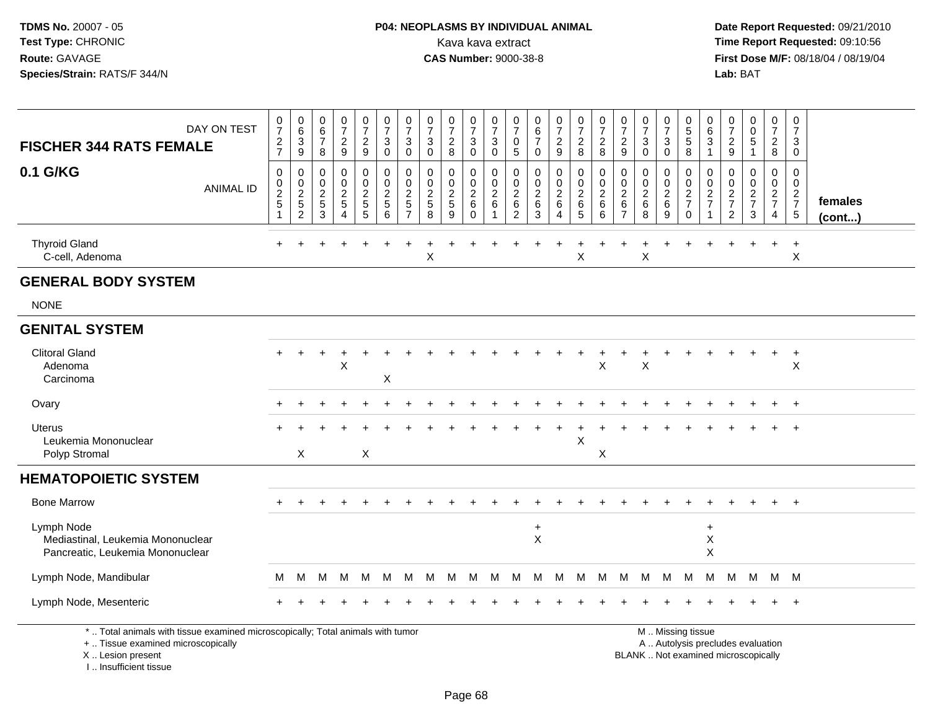#### **P04: NEOPLASMS BY INDIVIDUAL ANIMAL**<br>Kava kava extract Kava kava extract **Time Report Requested:** 09:10:56<br>**CAS Number:** 9000-38-8<br>**Tirst Dose M/F:** 08/18/04 / 08/19/04

 **Date Report Requested:** 09/21/2010 **First Dose M/F:** 08/18/04 / 08/19/04 Lab: BAT **Lab:** BAT

| DAY ON TEST<br><b>FISCHER 344 RATS FEMALE</b>                                                                         | $\frac{0}{7}$<br>$\frac{2}{7}$                        | $\begin{array}{c} 0 \\ 6 \end{array}$<br>$\ensuremath{\mathsf{3}}$<br>$\boldsymbol{9}$ | $\begin{array}{c} 0 \\ 6 \end{array}$<br>$\overline{7}$<br>8 | $\frac{0}{7}$<br>$\boldsymbol{2}$<br>9                                         | $\begin{smallmatrix}0\\7\end{smallmatrix}$<br>$\overline{c}$<br>$\boldsymbol{9}$ | 0<br>$\overline{7}$<br>3<br>$\mathbf 0$      | 0<br>$\overline{7}$<br>3<br>$\mathbf 0$         | 0<br>$\overline{7}$<br>3<br>$\mathbf 0$                          | $\frac{0}{7}$<br>$\overline{c}$<br>8 | $\frac{0}{7}$<br>$\mathbf{3}$<br>$\mathbf 0$     | 0<br>$\overline{7}$<br>$\mathbf{3}$<br>$\mathbf 0$             | $\frac{0}{7}$<br>0<br>$\overline{5}$                   | 0<br>$\,6\,$<br>$\overline{7}$<br>$\mathbf 0$        | $\frac{0}{7}$<br>$\overline{c}$<br>$\boldsymbol{9}$ | 0<br>$\overline{7}$<br>$\overline{a}$<br>8           | 0<br>$\overline{7}$<br>$\overline{a}$<br>8         | 0<br>$\boldsymbol{7}$<br>$\overline{c}$<br>9        | $\frac{0}{7}$<br>3<br>$\Omega$                   | 0<br>$\overline{7}$<br>$\sqrt{3}$<br>$\mathbf 0$ | $\pmb{0}$<br>$\overline{5}$<br>$\sqrt{5}$<br>$\,8\,$       | 0<br>6<br>$\mathsf 3$<br>$\overline{1}$     | $\frac{0}{7}$<br>$\boldsymbol{2}$<br>$9\,$          | 0<br>$\ddot{\mathbf{0}}$<br>$\sqrt{5}$<br>$\mathbf{1}$ | 0<br>$\overline{7}$<br>$\overline{2}$<br>8                    | 0<br>$\overline{7}$<br>3<br>$\mathbf 0$ |                   |
|-----------------------------------------------------------------------------------------------------------------------|-------------------------------------------------------|----------------------------------------------------------------------------------------|--------------------------------------------------------------|--------------------------------------------------------------------------------|----------------------------------------------------------------------------------|----------------------------------------------|-------------------------------------------------|------------------------------------------------------------------|--------------------------------------|--------------------------------------------------|----------------------------------------------------------------|--------------------------------------------------------|------------------------------------------------------|-----------------------------------------------------|------------------------------------------------------|----------------------------------------------------|-----------------------------------------------------|--------------------------------------------------|--------------------------------------------------|------------------------------------------------------------|---------------------------------------------|-----------------------------------------------------|--------------------------------------------------------|---------------------------------------------------------------|-----------------------------------------|-------------------|
| 0.1 G/KG<br><b>ANIMAL ID</b>                                                                                          | 0<br>$\begin{array}{c} 0 \\ 2 \\ 5 \end{array}$<br>-1 | 0<br>$\mathbf 0$<br>$\frac{2}{2}$                                                      | $\mathbf 0$<br>$\mathbf 0$<br>$\frac{2}{5}$<br>$\mathbf{3}$  | $\mathbf 0$<br>$\mathbf 0$<br>$\boldsymbol{2}$<br>$\sqrt{5}$<br>$\overline{4}$ | 0<br>0<br>$\frac{2}{5}$<br>5                                                     | $\mathbf 0$<br>0<br>$\overline{c}$<br>5<br>6 | 0<br>0<br>$\overline{c}$<br>5<br>$\overline{7}$ | $\Omega$<br>$\mathbf 0$<br>$\overline{c}$<br>$\overline{5}$<br>8 | 0<br>0<br>$\overline{2}$<br>5<br>9   | $\mathbf 0$<br>0<br>$\frac{2}{6}$<br>$\mathbf 0$ | $\mathbf 0$<br>$\mathbf 0$<br>$^2\phantom{1}6$<br>$\mathbf{1}$ | $\mathbf 0$<br>0<br>$^2\phantom{0}6$<br>$\overline{2}$ | $\mathbf 0$<br>0<br>$\boldsymbol{2}$<br>$\,6\,$<br>3 | 0<br>0<br>$\overline{c}$<br>$\,6\,$<br>4            | $\mathbf 0$<br>0<br>$\boldsymbol{2}$<br>$\,6\,$<br>5 | $\mathbf 0$<br>0<br>$\overline{a}$<br>$\,6\,$<br>6 | $\Omega$<br>0<br>$^2\phantom{1}6$<br>$\overline{7}$ | $\mathbf 0$<br>0<br>$\overline{c}$<br>$\,6$<br>8 | 0<br>0<br>$\frac{2}{6}$<br>9                     | $\mathbf 0$<br>$\mathbf 0$<br>$\frac{2}{7}$<br>$\mathbf 0$ | $\mathbf{0}$<br>0<br>$\frac{2}{7}$<br>-1    | $\mathbf 0$<br>0<br>$\frac{2}{7}$<br>$\overline{2}$ | 0<br>0<br>$\frac{2}{7}$<br>$\mathbf{3}$                | $\mathbf 0$<br>$\mathbf 0$<br>$\frac{2}{7}$<br>$\overline{4}$ | 0<br>0<br>$\frac{2}{7}$<br>$\sqrt{5}$   | females<br>(cont) |
| <b>Thyroid Gland</b><br>C-cell, Adenoma                                                                               |                                                       |                                                                                        |                                                              |                                                                                |                                                                                  |                                              |                                                 | X                                                                |                                      |                                                  |                                                                |                                                        |                                                      |                                                     | X                                                    |                                                    |                                                     | X                                                |                                                  |                                                            |                                             |                                                     |                                                        | $\div$                                                        | $\div$<br>X                             |                   |
| <b>GENERAL BODY SYSTEM</b>                                                                                            |                                                       |                                                                                        |                                                              |                                                                                |                                                                                  |                                              |                                                 |                                                                  |                                      |                                                  |                                                                |                                                        |                                                      |                                                     |                                                      |                                                    |                                                     |                                                  |                                                  |                                                            |                                             |                                                     |                                                        |                                                               |                                         |                   |
| <b>NONE</b>                                                                                                           |                                                       |                                                                                        |                                                              |                                                                                |                                                                                  |                                              |                                                 |                                                                  |                                      |                                                  |                                                                |                                                        |                                                      |                                                     |                                                      |                                                    |                                                     |                                                  |                                                  |                                                            |                                             |                                                     |                                                        |                                                               |                                         |                   |
| <b>GENITAL SYSTEM</b>                                                                                                 |                                                       |                                                                                        |                                                              |                                                                                |                                                                                  |                                              |                                                 |                                                                  |                                      |                                                  |                                                                |                                                        |                                                      |                                                     |                                                      |                                                    |                                                     |                                                  |                                                  |                                                            |                                             |                                                     |                                                        |                                                               |                                         |                   |
| <b>Clitoral Gland</b><br>Adenoma<br>Carcinoma                                                                         |                                                       |                                                                                        |                                                              | X                                                                              |                                                                                  | X                                            |                                                 |                                                                  |                                      |                                                  |                                                                |                                                        |                                                      |                                                     |                                                      | Χ                                                  |                                                     | Χ                                                |                                                  |                                                            |                                             |                                                     |                                                        |                                                               | $\div$<br>X                             |                   |
| Ovary                                                                                                                 |                                                       |                                                                                        |                                                              |                                                                                |                                                                                  |                                              |                                                 |                                                                  |                                      |                                                  |                                                                |                                                        |                                                      |                                                     |                                                      |                                                    |                                                     |                                                  |                                                  |                                                            |                                             |                                                     |                                                        |                                                               | $\ddot{}$                               |                   |
| Uterus<br>Leukemia Mononuclear<br>Polyp Stromal                                                                       |                                                       | X                                                                                      |                                                              |                                                                                | X                                                                                |                                              |                                                 |                                                                  |                                      |                                                  |                                                                |                                                        |                                                      |                                                     | $\times$                                             | X                                                  |                                                     |                                                  |                                                  |                                                            |                                             |                                                     |                                                        |                                                               |                                         |                   |
| <b>HEMATOPOIETIC SYSTEM</b>                                                                                           |                                                       |                                                                                        |                                                              |                                                                                |                                                                                  |                                              |                                                 |                                                                  |                                      |                                                  |                                                                |                                                        |                                                      |                                                     |                                                      |                                                    |                                                     |                                                  |                                                  |                                                            |                                             |                                                     |                                                        |                                                               |                                         |                   |
| <b>Bone Marrow</b>                                                                                                    |                                                       |                                                                                        |                                                              |                                                                                |                                                                                  |                                              |                                                 |                                                                  |                                      |                                                  |                                                                |                                                        |                                                      |                                                     |                                                      |                                                    |                                                     |                                                  |                                                  |                                                            |                                             |                                                     |                                                        |                                                               | $+$                                     |                   |
| Lymph Node<br>Mediastinal, Leukemia Mononuclear<br>Pancreatic, Leukemia Mononuclear                                   |                                                       |                                                                                        |                                                              |                                                                                |                                                                                  |                                              |                                                 |                                                                  |                                      |                                                  |                                                                |                                                        | $\ddot{}$<br>$\pmb{\times}$                          |                                                     |                                                      |                                                    |                                                     |                                                  |                                                  |                                                            | $\ddot{}$<br>X<br>$\boldsymbol{\mathsf{X}}$ |                                                     |                                                        |                                                               |                                         |                   |
| Lymph Node, Mandibular                                                                                                | м                                                     | M                                                                                      | М                                                            | м                                                                              | M                                                                                | M                                            | M                                               | M                                                                | M                                    | M                                                | M                                                              | М                                                      | м                                                    | M                                                   | M                                                    | M                                                  | M                                                   | M                                                | M                                                | M                                                          | м                                           | M                                                   | M                                                      |                                                               | M M                                     |                   |
| Lymph Node, Mesenteric                                                                                                |                                                       |                                                                                        |                                                              |                                                                                |                                                                                  |                                              |                                                 |                                                                  |                                      |                                                  |                                                                |                                                        |                                                      |                                                     |                                                      |                                                    |                                                     |                                                  |                                                  |                                                            |                                             |                                                     |                                                        |                                                               | $\div$                                  |                   |
| *  Total animals with tissue examined microscopically; Total animals with tumor<br>+  Tissue examined microscopically |                                                       |                                                                                        |                                                              |                                                                                |                                                                                  |                                              |                                                 |                                                                  |                                      |                                                  |                                                                |                                                        |                                                      |                                                     |                                                      |                                                    |                                                     |                                                  |                                                  | M  Missing tissue<br>A  Autolysis precludes evaluation     |                                             |                                                     |                                                        |                                                               |                                         |                   |

X .. Lesion present

I .. Insufficient tissue

Lesion present BLANK .. Not examined microscopically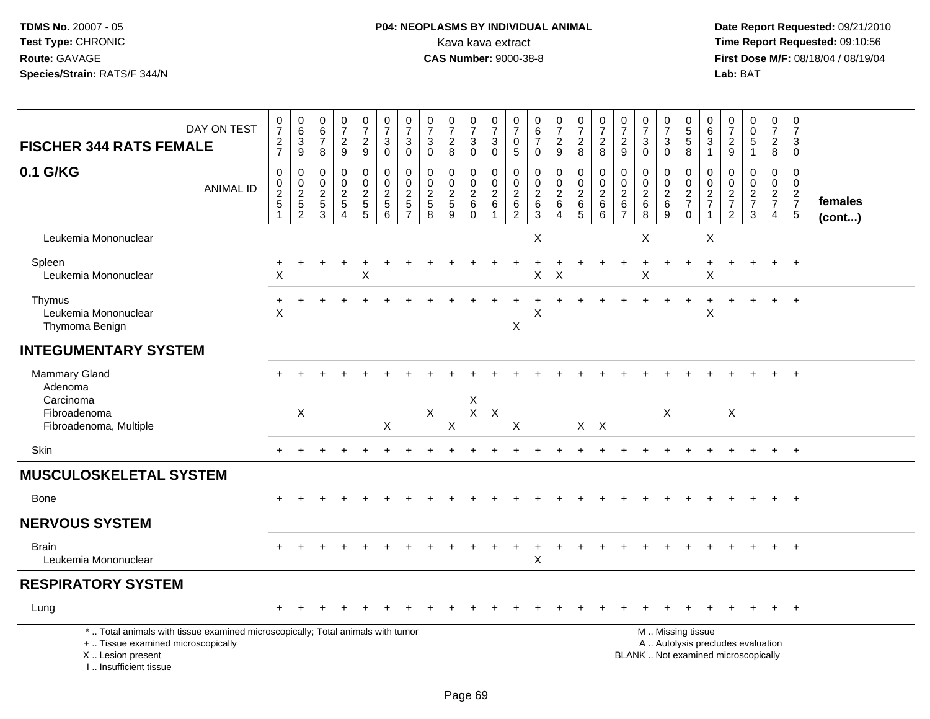# **P04: NEOPLASMS BY INDIVIDUAL ANIMAL**<br>Kava kava extract Kava kava extract **Time Report Requested:** 09:10:56<br>**CAS Number:** 9000-38-8 **CAS Number:** 9000-38-8

 **Date Report Requested:** 09/21/2010 **First Dose M/F:** 08/18/04 / 08/19/04<br>Lab: BAT **Lab:** BAT

| <b>FISCHER 344 RATS FEMALE</b>                                                                                                                                      | DAY ON TEST      | $\frac{0}{7}$<br>$\frac{2}{7}$               | $\begin{array}{c} 0 \\ 6 \end{array}$<br>$\sqrt{3}$<br>$9\,$ | $\begin{array}{c} 0 \\ 6 \end{array}$<br>$\boldsymbol{7}$<br>8  | $\frac{0}{7}$<br>$\frac{2}{9}$                                                       | $\frac{0}{7}$<br>$\frac{2}{9}$  | $\begin{array}{c} 0 \\ 7 \end{array}$<br>$\mathbf 3$<br>$\mathbf 0$ | $\frac{0}{7}$<br>$\ensuremath{\mathsf{3}}$<br>$\pmb{0}$ | $\frac{0}{7}$<br>$\mathsf 3$<br>$\mathbf 0$      | $\frac{0}{7}$<br>$\sqrt{2}$<br>8                 | $\frac{0}{7}$<br>3<br>$\mathbf 0$                     | $\frac{0}{7}$<br>$\ensuremath{\mathsf{3}}$<br>$\mathbf 0$               | $\frac{0}{7}$<br>$\pmb{0}$<br>$\sqrt{5}$                        | $\begin{array}{c} 0 \\ 6 \end{array}$<br>$\overline{7}$<br>$\mathbf 0$ | $\frac{0}{7}$<br>$\overline{2}$<br>9                                | $\frac{0}{7}$<br>$\frac{2}{8}$ | $\frac{0}{7}$<br>$\frac{2}{8}$    | $\frac{0}{7}$<br>$\sqrt{2}$<br>9                                | $\begin{array}{c} 0 \\ 7 \end{array}$<br>$\ensuremath{\mathsf{3}}$<br>$\mathbf 0$ | $\frac{0}{7}$<br>$\ensuremath{\mathsf{3}}$<br>$\mathbf 0$ | 0<br>5<br>5<br>8                  | 0<br>$\overline{6}$<br>3<br>$\mathbf{1}$                  | $\pmb{0}$<br>$\overline{7}$<br>$\frac{2}{9}$        | $\begin{smallmatrix}0\0\0\5\end{smallmatrix}$<br>$\mathbf{1}$ | $\begin{array}{c} 0 \\ 7 \end{array}$<br>$\frac{2}{8}$ | $\frac{0}{7}$<br>$\mathbf{3}$<br>$\mathbf 0$                             |                         |
|---------------------------------------------------------------------------------------------------------------------------------------------------------------------|------------------|----------------------------------------------|--------------------------------------------------------------|-----------------------------------------------------------------|--------------------------------------------------------------------------------------|---------------------------------|---------------------------------------------------------------------|---------------------------------------------------------|--------------------------------------------------|--------------------------------------------------|-------------------------------------------------------|-------------------------------------------------------------------------|-----------------------------------------------------------------|------------------------------------------------------------------------|---------------------------------------------------------------------|--------------------------------|-----------------------------------|-----------------------------------------------------------------|-----------------------------------------------------------------------------------|-----------------------------------------------------------|-----------------------------------|-----------------------------------------------------------|-----------------------------------------------------|---------------------------------------------------------------|--------------------------------------------------------|--------------------------------------------------------------------------|-------------------------|
| 0.1 G/KG                                                                                                                                                            | <b>ANIMAL ID</b> | $\pmb{0}$<br>$\frac{0}{2}$<br>$\overline{1}$ | 0<br>$\frac{0}{2}$<br>$\overline{2}$                         | $\mathbf 0$<br>$\mathbf 0$<br>$\overline{2}$<br>$\sqrt{5}$<br>3 | $\mathbf 0$<br>$\mathbf 0$<br>$\overline{c}$<br>$\sqrt{5}$<br>$\boldsymbol{\Lambda}$ | 0<br>$\mathbf 0$<br>$rac{2}{5}$ | $\pmb{0}$<br>$\mathbf 0$<br>$rac{2}{5}$<br>6                        | $\pmb{0}$<br>$\frac{0}{2}$<br>$\overline{7}$            | $\mathbf 0$<br>$\mathbf 0$<br>$\frac{2}{5}$<br>8 | $\mathbf 0$<br>$\mathbf 0$<br>$\frac{2}{5}$<br>9 | 0<br>$\mathbf 0$<br>$\sqrt{2}$<br>$\,6\,$<br>$\Omega$ | $\mathbf 0$<br>$\mathbf 0$<br>$\overline{2}$<br>$\,6\,$<br>$\mathbf{1}$ | 0<br>$\mathsf 0$<br>$\overline{c}$<br>$\,6\,$<br>$\overline{c}$ | $\mathbf 0$<br>$\pmb{0}$<br>$\frac{2}{6}$<br>3                         | $\pmb{0}$<br>$\mathsf{O}\xspace$<br>$\overline{2}$<br>6<br>$\Delta$ | 0<br>$\frac{0}{2}$ 6<br>5      | $\pmb{0}$<br>$\frac{0}{2}$ 6<br>6 | 0<br>$\mathbf 0$<br>$\overline{2}$<br>$\,6\,$<br>$\overline{7}$ | $\mathbf 0$<br>$\mathsf 0$<br>$\frac{2}{6}$<br>8                                  | 0<br>$\mathbf 0$<br>$^{\,2}_{\,6}$<br>9                   | 0<br>$\frac{0}{2}$<br>$\mathbf 0$ | 0<br>$\mathbf 0$<br>$\frac{2}{7}$<br>$\blacktriangleleft$ | 0<br>$\mathbf 0$<br>$\frac{2}{7}$<br>$\overline{2}$ | $\mathbf 0$<br>$\mathbf 0$<br>$\frac{2}{7}$<br>3              | 0<br>$\frac{0}{2}$<br>7<br>$\overline{4}$              | $\mathbf 0$<br>$\mathbf 0$<br>$\begin{array}{c} 2 \\ 7 \\ 5 \end{array}$ | females<br>$($ cont $)$ |
| Leukemia Mononuclear                                                                                                                                                |                  |                                              |                                                              |                                                                 |                                                                                      |                                 |                                                                     |                                                         |                                                  |                                                  |                                                       |                                                                         |                                                                 | X                                                                      |                                                                     |                                |                                   |                                                                 | X                                                                                 |                                                           |                                   | $\times$                                                  |                                                     |                                                               |                                                        |                                                                          |                         |
| Spleen<br>Leukemia Mononuclear                                                                                                                                      |                  | X                                            |                                                              |                                                                 |                                                                                      | Χ                               |                                                                     |                                                         |                                                  |                                                  |                                                       |                                                                         |                                                                 | X                                                                      | $\times$                                                            |                                |                                   |                                                                 | X                                                                                 |                                                           |                                   | $\sf X$                                                   |                                                     |                                                               |                                                        | $+$                                                                      |                         |
| Thymus<br>Leukemia Mononuclear<br>Thymoma Benign                                                                                                                    |                  | $\ddot{}$<br>X                               |                                                              |                                                                 |                                                                                      |                                 |                                                                     |                                                         |                                                  |                                                  |                                                       |                                                                         | X                                                               | X                                                                      |                                                                     |                                |                                   |                                                                 |                                                                                   |                                                           | $\ddot{}$                         | +<br>X                                                    |                                                     |                                                               |                                                        | $+$                                                                      |                         |
| <b>INTEGUMENTARY SYSTEM</b>                                                                                                                                         |                  |                                              |                                                              |                                                                 |                                                                                      |                                 |                                                                     |                                                         |                                                  |                                                  |                                                       |                                                                         |                                                                 |                                                                        |                                                                     |                                |                                   |                                                                 |                                                                                   |                                                           |                                   |                                                           |                                                     |                                                               |                                                        |                                                                          |                         |
| <b>Mammary Gland</b><br>Adenoma<br>Carcinoma<br>Fibroadenoma<br>Fibroadenoma, Multiple                                                                              |                  |                                              | $\times$                                                     |                                                                 |                                                                                      |                                 | X                                                                   |                                                         | $\mathsf X$                                      | X                                                | $\times$                                              | $X$ $X$                                                                 | $\boldsymbol{\mathsf{X}}$                                       |                                                                        |                                                                     |                                | $X$ $X$                           |                                                                 |                                                                                   | X                                                         |                                   |                                                           | X                                                   |                                                               |                                                        |                                                                          |                         |
| Skin                                                                                                                                                                |                  | $+$                                          |                                                              |                                                                 |                                                                                      |                                 |                                                                     |                                                         |                                                  |                                                  |                                                       |                                                                         |                                                                 |                                                                        |                                                                     |                                |                                   |                                                                 |                                                                                   |                                                           |                                   |                                                           |                                                     |                                                               | $+$                                                    | $+$                                                                      |                         |
| <b>MUSCULOSKELETAL SYSTEM</b>                                                                                                                                       |                  |                                              |                                                              |                                                                 |                                                                                      |                                 |                                                                     |                                                         |                                                  |                                                  |                                                       |                                                                         |                                                                 |                                                                        |                                                                     |                                |                                   |                                                                 |                                                                                   |                                                           |                                   |                                                           |                                                     |                                                               |                                                        |                                                                          |                         |
| <b>Bone</b>                                                                                                                                                         |                  |                                              |                                                              |                                                                 |                                                                                      |                                 |                                                                     |                                                         |                                                  |                                                  |                                                       |                                                                         |                                                                 |                                                                        |                                                                     |                                |                                   |                                                                 |                                                                                   |                                                           |                                   |                                                           |                                                     |                                                               | $+$                                                    | $+$                                                                      |                         |
| <b>NERVOUS SYSTEM</b>                                                                                                                                               |                  |                                              |                                                              |                                                                 |                                                                                      |                                 |                                                                     |                                                         |                                                  |                                                  |                                                       |                                                                         |                                                                 |                                                                        |                                                                     |                                |                                   |                                                                 |                                                                                   |                                                           |                                   |                                                           |                                                     |                                                               |                                                        |                                                                          |                         |
| <b>Brain</b><br>Leukemia Mononuclear                                                                                                                                |                  |                                              |                                                              |                                                                 |                                                                                      |                                 |                                                                     |                                                         |                                                  |                                                  |                                                       |                                                                         |                                                                 | $\sf X$                                                                |                                                                     |                                |                                   |                                                                 |                                                                                   |                                                           |                                   |                                                           |                                                     |                                                               |                                                        |                                                                          |                         |
| <b>RESPIRATORY SYSTEM</b>                                                                                                                                           |                  |                                              |                                                              |                                                                 |                                                                                      |                                 |                                                                     |                                                         |                                                  |                                                  |                                                       |                                                                         |                                                                 |                                                                        |                                                                     |                                |                                   |                                                                 |                                                                                   |                                                           |                                   |                                                           |                                                     |                                                               |                                                        |                                                                          |                         |
| Lung                                                                                                                                                                |                  |                                              |                                                              |                                                                 |                                                                                      |                                 |                                                                     |                                                         |                                                  |                                                  |                                                       |                                                                         |                                                                 |                                                                        |                                                                     |                                |                                   |                                                                 |                                                                                   |                                                           |                                   |                                                           |                                                     |                                                               |                                                        | $\div$                                                                   |                         |
| *  Total animals with tissue examined microscopically; Total animals with tumor<br>+  Tissue examined microscopically<br>X  Lesion present<br>I Insufficient tissue |                  |                                              |                                                              |                                                                 |                                                                                      |                                 |                                                                     |                                                         |                                                  |                                                  |                                                       |                                                                         |                                                                 |                                                                        |                                                                     |                                |                                   |                                                                 | BLANK  Not examined microscopically                                               |                                                           | M  Missing tissue                 | A  Autolysis precludes evaluation                         |                                                     |                                                               |                                                        |                                                                          |                         |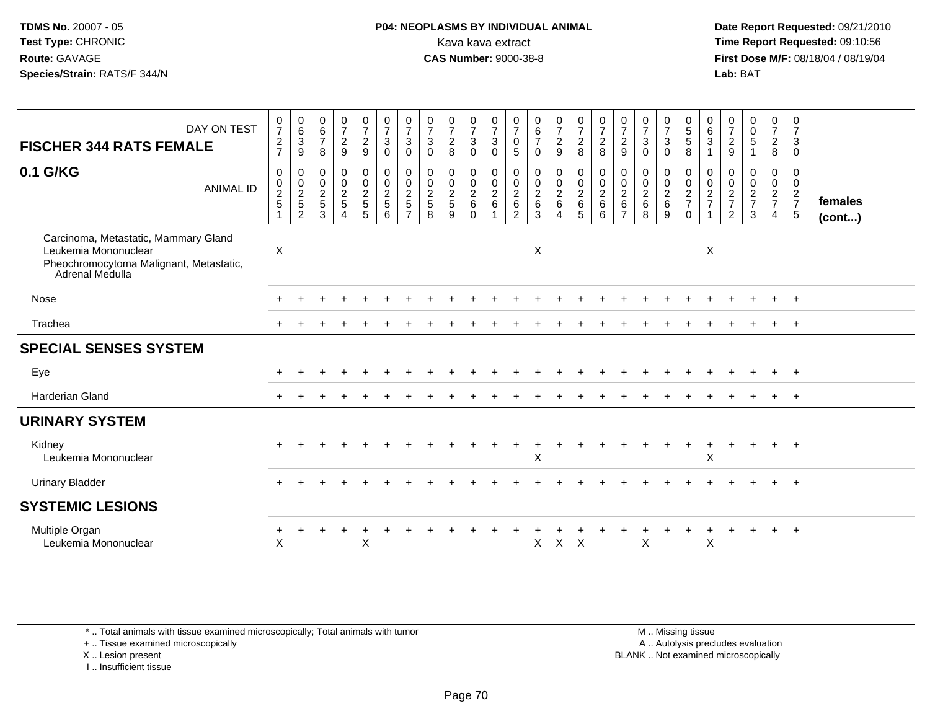### **P04: NEOPLASMS BY INDIVIDUAL ANIMAL**<br>Kava kava extract Kava kava extract **Time Report Requested:** 09:10:56<br>**CAS Number:** 9000-38-8<br>**Tirst Dose M/F:** 08/18/04 / 08/19/04

 **Date Report Requested:** 09/21/2010 **First Dose M/F:** 08/18/04 / 08/19/04 Lab: BAT **Lab:** BAT

| DAY ON TEST<br><b>FISCHER 344 RATS FEMALE</b>                                                                              | $\frac{0}{7}$<br>$\frac{2}{7}$          | $\begin{array}{c} 0 \\ 6 \end{array}$<br>$\mathbf{3}$<br>$\boldsymbol{9}$ | $\begin{array}{c} 0 \\ 6 \end{array}$<br>$\overline{7}$<br>8 | $\frac{0}{7}$<br>$\sqrt{2}$<br>9                                     | $\begin{smallmatrix}0\\7\end{smallmatrix}$<br>$\overline{c}$<br>$9\,$ | $\frac{0}{7}$<br>3<br>$\mathbf 0$      | $\frac{0}{7}$<br>3<br>0                                   | $\frac{0}{7}$<br>$\mathbf{3}$<br>$\mathbf 0$ | $\frac{0}{7}$<br>$\overline{c}$<br>8 | $\frac{0}{7}$<br>$\mathsf 3$<br>$\mathbf 0$ | $\frac{0}{7}$<br>$\sqrt{3}$<br>$\mathbf 0$ | $\frac{0}{7}$<br>$\mathbf 0$<br>5                                        | $\begin{array}{c} 0 \\ 6 \\ 7 \end{array}$<br>$\mathbf 0$ | $\frac{0}{7}$<br>$\overline{2}$<br>$\boldsymbol{9}$ | $\frac{0}{7}$<br>$\overline{2}$<br>8                   | $\frac{0}{7}$<br>$\sqrt{2}$<br>8        | $\frac{0}{7}$<br>$\overline{2}$<br>9                               | $\frac{0}{7}$<br>$\sqrt{3}$<br>$\mathbf 0$                     | $\frac{0}{7}$<br>3<br>$\mathbf 0$      | $\begin{array}{c} 0 \\ 5 \\ 5 \end{array}$<br>8  | $\begin{matrix} 0 \\ 6 \\ 3 \end{matrix}$ | $\frac{0}{7}$<br>$\sqrt{2}$<br>9                    | $\begin{smallmatrix} 0\\0 \end{smallmatrix}$<br>5 | $\begin{smallmatrix}0\\7\end{smallmatrix}$<br>$\overline{2}$<br>8 | 0<br>$\boldsymbol{7}$<br>3<br>$\mathbf 0$          |                   |
|----------------------------------------------------------------------------------------------------------------------------|-----------------------------------------|---------------------------------------------------------------------------|--------------------------------------------------------------|----------------------------------------------------------------------|-----------------------------------------------------------------------|----------------------------------------|-----------------------------------------------------------|----------------------------------------------|--------------------------------------|---------------------------------------------|--------------------------------------------|--------------------------------------------------------------------------|-----------------------------------------------------------|-----------------------------------------------------|--------------------------------------------------------|-----------------------------------------|--------------------------------------------------------------------|----------------------------------------------------------------|----------------------------------------|--------------------------------------------------|-------------------------------------------|-----------------------------------------------------|---------------------------------------------------|-------------------------------------------------------------------|----------------------------------------------------|-------------------|
| 0.1 G/KG<br><b>ANIMAL ID</b>                                                                                               | $\pmb{0}$<br>$\pmb{0}$<br>$\frac{2}{5}$ | 0<br>$\frac{0}{2}$<br>$\overline{c}$                                      | $\mathbf 0$<br>$\pmb{0}$<br>$\frac{2}{5}$<br>3               | $\mathbf 0$<br>$\boldsymbol{0}$<br>$\overline{2}$<br>$\sqrt{5}$<br>4 | 0<br>$\mathbf 0$<br>$\frac{2}{5}$<br>5                                | 0<br>$\mathbf 0$<br>$\frac{2}{5}$<br>6 | 0<br>$\mathbf 0$<br>$\overline{a}$<br>5<br>$\overline{7}$ | 0<br>$\mathbf 0$<br>$\frac{2}{5}$<br>8       | 0<br>$\frac{0}{2}$<br>9              | 0<br>$\frac{0}{2}$<br>$\mathbf 0$           | 0<br>$\frac{0}{2}$<br>$\mathbf{1}$         | 0<br>$\mathbf 0$<br>$\boldsymbol{2}$<br>$6\phantom{a}$<br>$\overline{c}$ | 0<br>$\frac{0}{2}$ 6<br>$\mathbf{3}$                      | 0<br>$\frac{0}{2}$<br>4                             | 0<br>$\overline{0}$<br>$\frac{2}{6}$<br>$\overline{5}$ | 0<br>$\frac{0}{2}$ 6<br>$6\phantom{1}6$ | 0<br>$\mathbf 0$<br>$\sqrt{2}$<br>$6\phantom{1}$<br>$\overline{7}$ | 0<br>$\boldsymbol{0}$<br>$\overline{2}$<br>$6\phantom{1}$<br>8 | 0<br>$\mathbf 0$<br>$\frac{2}{6}$<br>9 | 0<br>$\mathbf 0$<br>$\frac{2}{7}$<br>$\mathbf 0$ | 0<br>$\frac{0}{2}$                        | 0<br>$\mathbf 0$<br>$\frac{2}{7}$<br>$\overline{2}$ | 0<br>$\boldsymbol{0}$<br>$\frac{2}{7}$<br>3       | 0<br>$\mathbf 0$<br>$rac{2}{7}$<br>$\overline{4}$                 | 0<br>$\mathbf 0$<br>$rac{2}{7}$<br>$5\phantom{.0}$ | females<br>(cont) |
| Carcinoma, Metastatic, Mammary Gland<br>Leukemia Mononuclear<br>Pheochromocytoma Malignant, Metastatic,<br>Adrenal Medulla | $\sf X$                                 |                                                                           |                                                              |                                                                      |                                                                       |                                        |                                                           |                                              |                                      |                                             |                                            |                                                                          | X                                                         |                                                     |                                                        |                                         |                                                                    |                                                                |                                        |                                                  | X                                         |                                                     |                                                   |                                                                   |                                                    |                   |
| Nose                                                                                                                       |                                         |                                                                           |                                                              |                                                                      |                                                                       |                                        |                                                           |                                              |                                      |                                             |                                            |                                                                          |                                                           |                                                     |                                                        |                                         |                                                                    |                                                                |                                        |                                                  |                                           |                                                     |                                                   |                                                                   | $^+$                                               |                   |
| Trachea                                                                                                                    |                                         |                                                                           |                                                              |                                                                      |                                                                       |                                        |                                                           |                                              |                                      |                                             |                                            |                                                                          |                                                           |                                                     |                                                        |                                         |                                                                    |                                                                |                                        |                                                  |                                           |                                                     |                                                   |                                                                   | $+$                                                |                   |
| <b>SPECIAL SENSES SYSTEM</b>                                                                                               |                                         |                                                                           |                                                              |                                                                      |                                                                       |                                        |                                                           |                                              |                                      |                                             |                                            |                                                                          |                                                           |                                                     |                                                        |                                         |                                                                    |                                                                |                                        |                                                  |                                           |                                                     |                                                   |                                                                   |                                                    |                   |
| Eye                                                                                                                        |                                         |                                                                           |                                                              |                                                                      |                                                                       |                                        |                                                           |                                              |                                      |                                             |                                            |                                                                          |                                                           |                                                     |                                                        |                                         |                                                                    |                                                                |                                        |                                                  |                                           |                                                     |                                                   |                                                                   | $+$                                                |                   |
| Harderian Gland                                                                                                            |                                         |                                                                           |                                                              |                                                                      |                                                                       |                                        |                                                           |                                              |                                      |                                             |                                            |                                                                          |                                                           |                                                     |                                                        |                                         |                                                                    |                                                                |                                        |                                                  |                                           |                                                     |                                                   |                                                                   | $+$                                                |                   |
| <b>URINARY SYSTEM</b>                                                                                                      |                                         |                                                                           |                                                              |                                                                      |                                                                       |                                        |                                                           |                                              |                                      |                                             |                                            |                                                                          |                                                           |                                                     |                                                        |                                         |                                                                    |                                                                |                                        |                                                  |                                           |                                                     |                                                   |                                                                   |                                                    |                   |
| Kidney<br>Leukemia Mononuclear                                                                                             |                                         |                                                                           |                                                              |                                                                      |                                                                       |                                        |                                                           |                                              |                                      |                                             |                                            |                                                                          | X                                                         |                                                     |                                                        |                                         |                                                                    |                                                                |                                        |                                                  | X                                         |                                                     |                                                   | $\ddot{}$                                                         | $+$                                                |                   |
| <b>Urinary Bladder</b>                                                                                                     |                                         |                                                                           |                                                              |                                                                      |                                                                       |                                        |                                                           |                                              |                                      |                                             |                                            |                                                                          |                                                           |                                                     |                                                        |                                         |                                                                    |                                                                |                                        |                                                  |                                           |                                                     |                                                   |                                                                   | $+$                                                |                   |
| <b>SYSTEMIC LESIONS</b>                                                                                                    |                                         |                                                                           |                                                              |                                                                      |                                                                       |                                        |                                                           |                                              |                                      |                                             |                                            |                                                                          |                                                           |                                                     |                                                        |                                         |                                                                    |                                                                |                                        |                                                  |                                           |                                                     |                                                   |                                                                   |                                                    |                   |
| Multiple Organ<br>Leukemia Mononuclear                                                                                     | $\mathsf{X}$                            |                                                                           |                                                              |                                                                      | $\sf X$                                                               |                                        |                                                           |                                              |                                      |                                             |                                            |                                                                          | X                                                         | $\mathsf{X}$                                        | $\mathsf{X}$                                           |                                         |                                                                    | X                                                              |                                        |                                                  | X                                         |                                                     |                                                   |                                                                   |                                                    |                   |

\* .. Total animals with tissue examined microscopically; Total animals with tumor

+ .. Tissue examined microscopically

X .. Lesion present

I .. Insufficient tissue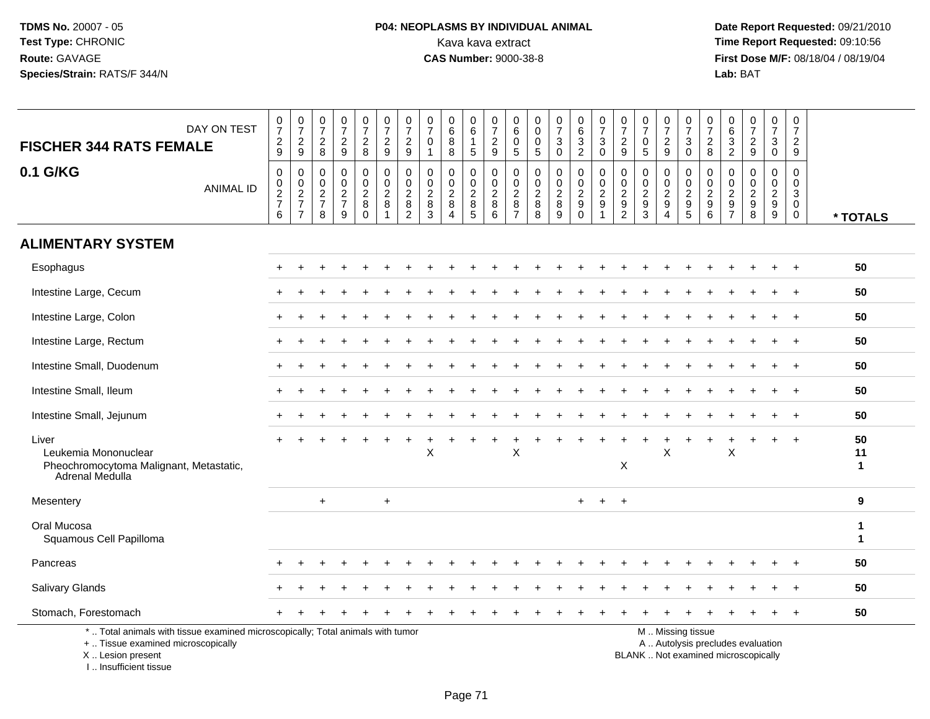# **P04: NEOPLASMS BY INDIVIDUAL ANIMAL**<br>Kava kava extract Kava kava extract **Time Report Requested:** 09:10:56<br>**CAS Number:** 9000-38-8 **CAS Number:** 9000-38-8

 **Date Report Requested:** 09/21/2010 **First Dose M/F:** 08/18/04 / 08/19/04 Lab: BAT **Lab:** BAT

| DAY ON TEST                                                                                                                                                                                                                                 | $\frac{0}{7}$                   | $\frac{0}{7}$                                                       | $\frac{0}{7}$                          | $\frac{0}{7}$                                    | $\frac{0}{7}$                                       | $\frac{0}{7}$                                                               | $\frac{0}{7}$<br>$\overline{c}$                                 | 0<br>$\overline{7}$<br>$\mathbf 0$                          | $\boldsymbol{0}$<br>$\,6\,$<br>8                                                 | 0<br>$\,6\,$<br>$\mathbf{1}$                       | $\pmb{0}$<br>$\overline{7}$                                    | 0<br>$\,6$<br>$\mathbf 0$                                           | 0<br>$\mathbf 0$<br>0                                        | $\begin{array}{c} 0 \\ 7 \end{array}$<br>$\ensuremath{\mathsf{3}}$ | $\begin{array}{c} 0 \\ 6 \end{array}$                   | $\frac{0}{7}$<br>$\mathbf{3}$                                          | $\frac{0}{7}$                                                         | 0<br>$\overline{7}$<br>$\pmb{0}$            | $\frac{0}{7}$<br>$\overline{c}$                                             | $\frac{0}{7}$                                                           | $\boldsymbol{0}$<br>$\overline{7}$                                                   | 0<br>$\,6\,$                                                                        | $\frac{0}{7}$                                                     | $\frac{0}{7}$<br>3                                                    | 0<br>$\overline{7}$<br>$\overline{a}$                                    |                                  |
|---------------------------------------------------------------------------------------------------------------------------------------------------------------------------------------------------------------------------------------------|---------------------------------|---------------------------------------------------------------------|----------------------------------------|--------------------------------------------------|-----------------------------------------------------|-----------------------------------------------------------------------------|-----------------------------------------------------------------|-------------------------------------------------------------|----------------------------------------------------------------------------------|----------------------------------------------------|----------------------------------------------------------------|---------------------------------------------------------------------|--------------------------------------------------------------|--------------------------------------------------------------------|---------------------------------------------------------|------------------------------------------------------------------------|-----------------------------------------------------------------------|---------------------------------------------|-----------------------------------------------------------------------------|-------------------------------------------------------------------------|--------------------------------------------------------------------------------------|-------------------------------------------------------------------------------------|-------------------------------------------------------------------|-----------------------------------------------------------------------|--------------------------------------------------------------------------|----------------------------------|
| <b>FISCHER 344 RATS FEMALE</b>                                                                                                                                                                                                              | $\frac{2}{9}$                   | $\frac{2}{9}$                                                       | $\frac{2}{8}$                          | $\frac{2}{9}$                                    | $\frac{2}{8}$                                       | $\frac{2}{9}$                                                               | $\overline{9}$                                                  | $\mathbf 1$                                                 | 8                                                                                | $\sqrt{5}$                                         | $\frac{2}{9}$                                                  | $5\phantom{.0}$                                                     | $5\,$                                                        | $\pmb{0}$                                                          | $\frac{3}{2}$                                           | 0                                                                      | $\frac{2}{9}$                                                         | $\overline{5}$                              | $\overline{9}$                                                              | $_0^3$                                                                  | $_{\rm 8}^2$                                                                         | $\frac{3}{2}$                                                                       | $\frac{2}{9}$                                                     | $\mathbf 0$                                                           | $\overline{9}$                                                           |                                  |
| 0.1 G/KG<br><b>ANIMAL ID</b>                                                                                                                                                                                                                | $\pmb{0}$<br>$\frac{0}{2}$<br>6 | $\pmb{0}$<br>$\mathsf{O}\xspace$<br>$\frac{2}{7}$<br>$\overline{7}$ | 0<br>$\mathbf 0$<br>$\frac{2}{7}$<br>8 | $\mathbf 0$<br>$\mathbf 0$<br>$\frac{2}{7}$<br>9 | 0<br>$\mathbf 0$<br>$\overline{c}$<br>8<br>$\Omega$ | $\mathbf 0$<br>$\mathbf 0$<br>$\boldsymbol{2}$<br>$\bf 8$<br>$\overline{1}$ | 0<br>$\mathbf 0$<br>$\overline{c}$<br>$\bf 8$<br>$\overline{2}$ | $\mathbf 0$<br>$\mathbf 0$<br>$\overline{c}$<br>$\bf8$<br>3 | $\mathbf 0$<br>$\mathbf 0$<br>$\overline{c}$<br>$\, 8$<br>$\boldsymbol{\Lambda}$ | 0<br>$\mathbf 0$<br>$\overline{c}$<br>$\,8\,$<br>5 | $\mathbf 0$<br>$\mathbf 0$<br>$\boldsymbol{2}$<br>$\bf 8$<br>6 | $\mathbf 0$<br>$\mathbf 0$<br>$\overline{c}$<br>8<br>$\overline{7}$ | $\mathbf 0$<br>$\mathbf 0$<br>$\overline{c}$<br>$\bf 8$<br>8 | $\mathbf 0$<br>$\mathbf 0$<br>$\boldsymbol{2}$<br>$\bf 8$<br>9     | $\mathbf 0$<br>$\mathbf 0$<br>$\frac{2}{9}$<br>$\Omega$ | 0<br>$\mathbf 0$<br>$\overline{c}$<br>$\boldsymbol{9}$<br>$\mathbf{1}$ | $\mathbf 0$<br>$\mathbf 0$<br>2<br>$\boldsymbol{9}$<br>$\overline{2}$ | $\mathbf 0$<br>$\mathbf 0$<br>$\frac{2}{9}$ | $\mathbf 0$<br>$\mathbf 0$<br>$\overline{c}$<br>9<br>$\boldsymbol{\Lambda}$ | 0<br>$\mathsf 0$<br>$\sqrt{2}$<br>$\begin{array}{c} 9 \\ 5 \end{array}$ | $\mathbf 0$<br>$\mathbf 0$<br>$\boldsymbol{2}$<br>$\boldsymbol{9}$<br>$6\phantom{1}$ | $\mathbf 0$<br>$\mathbf{0}$<br>$\overline{c}$<br>$\boldsymbol{9}$<br>$\overline{7}$ | $\mathbf 0$<br>$\mathbf 0$<br>$\sqrt{2}$<br>$\boldsymbol{9}$<br>8 | $\mathbf 0$<br>$\mathbf 0$<br>$\overline{c}$<br>$\boldsymbol{9}$<br>9 | $\mathbf 0$<br>$\mathbf 0$<br>$\mathbf{3}$<br>$\mathbf 0$<br>$\mathbf 0$ | * TOTALS                         |
| <b>ALIMENTARY SYSTEM</b>                                                                                                                                                                                                                    |                                 |                                                                     |                                        |                                                  |                                                     |                                                                             |                                                                 |                                                             |                                                                                  |                                                    |                                                                |                                                                     |                                                              |                                                                    |                                                         |                                                                        |                                                                       |                                             |                                                                             |                                                                         |                                                                                      |                                                                                     |                                                                   |                                                                       |                                                                          |                                  |
| Esophagus                                                                                                                                                                                                                                   |                                 |                                                                     |                                        |                                                  |                                                     |                                                                             |                                                                 |                                                             |                                                                                  |                                                    |                                                                |                                                                     |                                                              |                                                                    |                                                         |                                                                        |                                                                       |                                             |                                                                             |                                                                         |                                                                                      |                                                                                     |                                                                   |                                                                       |                                                                          | 50                               |
| Intestine Large, Cecum                                                                                                                                                                                                                      |                                 |                                                                     |                                        |                                                  |                                                     |                                                                             |                                                                 |                                                             |                                                                                  |                                                    |                                                                |                                                                     |                                                              |                                                                    |                                                         |                                                                        |                                                                       |                                             |                                                                             |                                                                         |                                                                                      |                                                                                     |                                                                   |                                                                       |                                                                          | 50                               |
| Intestine Large, Colon                                                                                                                                                                                                                      |                                 |                                                                     |                                        |                                                  |                                                     |                                                                             |                                                                 |                                                             |                                                                                  |                                                    |                                                                |                                                                     |                                                              |                                                                    |                                                         |                                                                        |                                                                       |                                             |                                                                             |                                                                         |                                                                                      |                                                                                     |                                                                   |                                                                       |                                                                          | 50                               |
| Intestine Large, Rectum                                                                                                                                                                                                                     |                                 |                                                                     |                                        |                                                  |                                                     |                                                                             |                                                                 |                                                             |                                                                                  |                                                    |                                                                |                                                                     |                                                              |                                                                    |                                                         |                                                                        |                                                                       |                                             |                                                                             |                                                                         |                                                                                      |                                                                                     |                                                                   |                                                                       |                                                                          | 50                               |
| Intestine Small, Duodenum                                                                                                                                                                                                                   |                                 |                                                                     |                                        |                                                  |                                                     |                                                                             |                                                                 |                                                             |                                                                                  |                                                    |                                                                |                                                                     |                                                              |                                                                    |                                                         |                                                                        |                                                                       |                                             |                                                                             |                                                                         |                                                                                      |                                                                                     |                                                                   |                                                                       |                                                                          | 50                               |
| Intestine Small, Ileum                                                                                                                                                                                                                      |                                 |                                                                     |                                        |                                                  |                                                     |                                                                             |                                                                 |                                                             |                                                                                  |                                                    |                                                                |                                                                     |                                                              |                                                                    |                                                         |                                                                        |                                                                       |                                             |                                                                             |                                                                         |                                                                                      |                                                                                     |                                                                   |                                                                       |                                                                          | 50                               |
| Intestine Small, Jejunum                                                                                                                                                                                                                    |                                 |                                                                     |                                        |                                                  |                                                     |                                                                             |                                                                 |                                                             |                                                                                  |                                                    |                                                                |                                                                     |                                                              |                                                                    |                                                         |                                                                        |                                                                       |                                             |                                                                             |                                                                         |                                                                                      |                                                                                     |                                                                   |                                                                       |                                                                          | 50                               |
| Liver<br>Leukemia Mononuclear<br>Pheochromocytoma Malignant, Metastatic,<br><b>Adrenal Medulla</b>                                                                                                                                          |                                 |                                                                     |                                        |                                                  |                                                     |                                                                             |                                                                 | X                                                           |                                                                                  |                                                    |                                                                | X                                                                   |                                                              |                                                                    |                                                         |                                                                        | $\boldsymbol{\mathsf{X}}$                                             |                                             | X                                                                           |                                                                         |                                                                                      | X                                                                                   |                                                                   |                                                                       | $\ddot{+}$                                                               | 50<br>11<br>$\blacktriangleleft$ |
| Mesentery                                                                                                                                                                                                                                   |                                 |                                                                     | $+$                                    |                                                  |                                                     | $\ddot{}$                                                                   |                                                                 |                                                             |                                                                                  |                                                    |                                                                |                                                                     |                                                              |                                                                    | $+$                                                     | $\ddot{}$                                                              | $+$                                                                   |                                             |                                                                             |                                                                         |                                                                                      |                                                                                     |                                                                   |                                                                       |                                                                          | 9                                |
| Oral Mucosa<br>Squamous Cell Papilloma                                                                                                                                                                                                      |                                 |                                                                     |                                        |                                                  |                                                     |                                                                             |                                                                 |                                                             |                                                                                  |                                                    |                                                                |                                                                     |                                                              |                                                                    |                                                         |                                                                        |                                                                       |                                             |                                                                             |                                                                         |                                                                                      |                                                                                     |                                                                   |                                                                       |                                                                          | -1<br>$\mathbf{1}$               |
| Pancreas                                                                                                                                                                                                                                    |                                 |                                                                     |                                        |                                                  |                                                     |                                                                             |                                                                 |                                                             |                                                                                  |                                                    |                                                                |                                                                     |                                                              |                                                                    |                                                         |                                                                        |                                                                       |                                             |                                                                             |                                                                         |                                                                                      |                                                                                     |                                                                   |                                                                       |                                                                          | 50                               |
| Salivary Glands                                                                                                                                                                                                                             |                                 |                                                                     |                                        |                                                  |                                                     |                                                                             |                                                                 |                                                             |                                                                                  |                                                    |                                                                |                                                                     |                                                              |                                                                    |                                                         |                                                                        |                                                                       |                                             |                                                                             |                                                                         |                                                                                      |                                                                                     |                                                                   |                                                                       |                                                                          | 50                               |
| Stomach, Forestomach                                                                                                                                                                                                                        |                                 |                                                                     |                                        |                                                  |                                                     |                                                                             |                                                                 |                                                             |                                                                                  |                                                    |                                                                |                                                                     |                                                              |                                                                    |                                                         |                                                                        |                                                                       |                                             |                                                                             |                                                                         |                                                                                      |                                                                                     |                                                                   |                                                                       |                                                                          | 50                               |
| *  Total animals with tissue examined microscopically; Total animals with tumor<br>M  Missing tissue<br>+  Tissue examined microscopically<br>A  Autolysis precludes evaluation<br>BLANK  Not examined microscopically<br>X  Lesion present |                                 |                                                                     |                                        |                                                  |                                                     |                                                                             |                                                                 |                                                             |                                                                                  |                                                    |                                                                |                                                                     |                                                              |                                                                    |                                                         |                                                                        |                                                                       |                                             |                                                                             |                                                                         |                                                                                      |                                                                                     |                                                                   |                                                                       |                                                                          |                                  |

I .. Insufficient tissue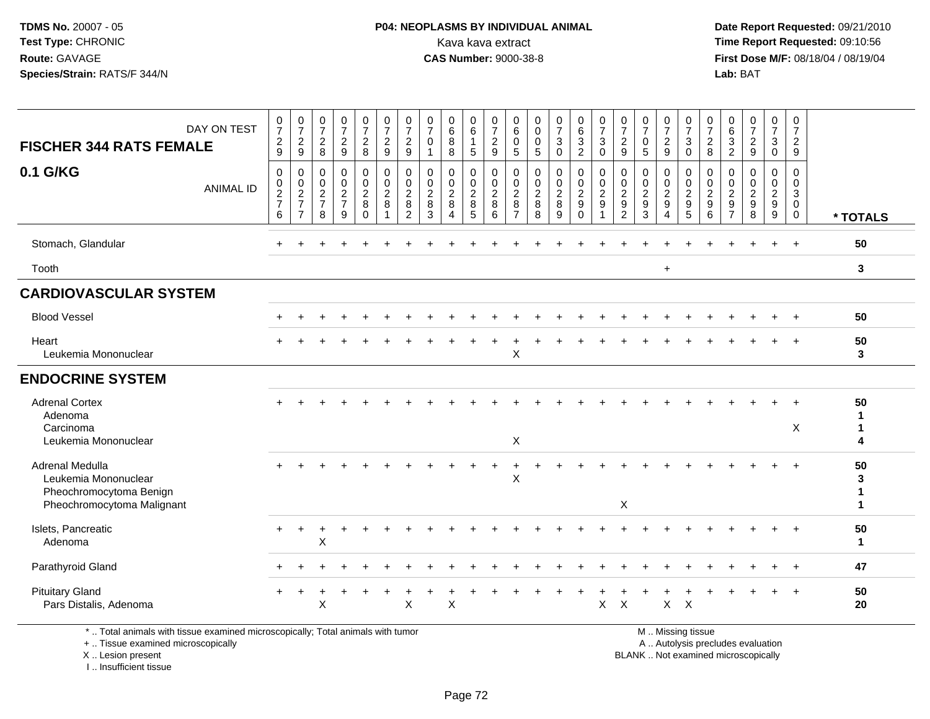### **P04: NEOPLASMS BY INDIVIDUAL ANIMAL**<br>Kava kava extract Kava kava extract **Time Report Requested:** 09:10:56<br>**CAS Number:** 9000-38-8<br>**Tirst Dose M/F:** 08/18/04 / 08/19/04

 **Date Report Requested:** 09/21/2010 **First Dose M/F:** 08/18/04 / 08/19/04 Lab: BAT **Lab:** BAT

|                                                                                                  | DAY ON TEST                                                                                                           | $\frac{0}{7}$                          | $\begin{smallmatrix}0\\7\end{smallmatrix}$        | $\frac{0}{7}$                                             | $\frac{0}{7}$                                                  | $\begin{smallmatrix}0\\7\end{smallmatrix}$              | $\frac{0}{7}$                                               | $\frac{0}{7}$                                                             | 0<br>$\overline{7}$                              | $_{6}^{\rm 0}$                                                          | $\pmb{0}$<br>$6\phantom{a}$                       | 0<br>$\overline{7}$                              | 0<br>$\,6\,$                                          | $\mathbf 0$<br>$\Omega$                        | $\frac{0}{7}$                          | $\begin{array}{c} 0 \\ 6 \end{array}$                   | $\frac{0}{7}$                     | $\frac{0}{7}$                | $\frac{0}{7}$                          | $\frac{0}{7}$                             | $\frac{0}{7}$                                             | $\frac{0}{7}$                                                 | 0<br>$6\phantom{a}$                                           | $\frac{0}{7}$                                  | $\pmb{0}$<br>$\overline{7}$                                    | 0<br>$\overline{7}$                                           |                              |
|--------------------------------------------------------------------------------------------------|-----------------------------------------------------------------------------------------------------------------------|----------------------------------------|---------------------------------------------------|-----------------------------------------------------------|----------------------------------------------------------------|---------------------------------------------------------|-------------------------------------------------------------|---------------------------------------------------------------------------|--------------------------------------------------|-------------------------------------------------------------------------|---------------------------------------------------|--------------------------------------------------|-------------------------------------------------------|------------------------------------------------|----------------------------------------|---------------------------------------------------------|-----------------------------------|------------------------------|----------------------------------------|-------------------------------------------|-----------------------------------------------------------|---------------------------------------------------------------|---------------------------------------------------------------|------------------------------------------------|----------------------------------------------------------------|---------------------------------------------------------------|------------------------------|
| <b>FISCHER 344 RATS FEMALE</b>                                                                   |                                                                                                                       | $\frac{2}{9}$                          | $\frac{2}{9}$                                     | $\overline{c}$<br>8                                       | $\overline{c}$<br>$\overline{9}$                               | $\frac{2}{8}$                                           | $\overline{c}$<br>9                                         | $\overline{2}$<br>$9\,$                                                   | $\mathbf 0$<br>$\mathbf{1}$                      | 8<br>8                                                                  | $\mathbf{1}$<br>5                                 | $\boldsymbol{2}$<br>9                            | $\mathbf 0$<br>$\sqrt{5}$                             | $\Omega$<br>5                                  | $\mathbf{3}$<br>$\mathbf 0$            | $\ensuremath{\mathsf{3}}$<br>$\overline{2}$             | $\sqrt{3}$<br>$\mathbf 0$         | $\frac{2}{9}$                | $\mathbf 0$<br>$5\phantom{1}$          | $\overline{c}$<br>9                       | $\mathbf{3}$<br>$\mathbf 0$                               | $\overline{c}$<br>8                                           | 3<br>$\overline{c}$                                           | $\frac{2}{9}$                                  | $\mathbf{3}$<br>$\mathbf 0$                                    | $\overline{2}$<br>9                                           |                              |
| 0.1 G/KG                                                                                         | <b>ANIMAL ID</b>                                                                                                      | $\mathbf 0$<br>0<br>$\frac{2}{7}$<br>6 | 0<br>$\pmb{0}$<br>$\frac{2}{7}$<br>$\overline{7}$ | $\mathbf 0$<br>0<br>$\overline{c}$<br>$\overline{7}$<br>8 | $\mathbf 0$<br>$\begin{array}{c} 0 \\ 2 \\ 7 \end{array}$<br>9 | $\mathbf 0$<br>$\mathbf 0$<br>$\frac{2}{8}$<br>$\Omega$ | $\mathbf 0$<br>$\mathbf 0$<br>$\frac{2}{8}$<br>$\mathbf{1}$ | $\mathbf 0$<br>$\mathbf 0$<br>$\overline{2}$<br>$\bf 8$<br>$\overline{2}$ | $\mathbf 0$<br>$\mathbf 0$<br>$\frac{2}{8}$<br>3 | $\mathbf 0$<br>0<br>$\overline{2}$<br>$\,8\,$<br>$\boldsymbol{\Lambda}$ | $\mathbf 0$<br>$\mathsf{O}$<br>$\frac{2}{8}$<br>5 | $\mathbf 0$<br>$\mathbf 0$<br>$\frac{2}{8}$<br>6 | 0<br>0<br>$\overline{2}$<br>$\bf 8$<br>$\overline{7}$ | $\mathbf 0$<br>0<br>$\boldsymbol{2}$<br>8<br>8 | $\mathbf 0$<br>0<br>$\frac{2}{8}$<br>9 | $\mathbf 0$<br>$\mathbf 0$<br>$\frac{2}{9}$<br>$\Omega$ | $\mathbf 0$<br>0<br>$\frac{2}{9}$ | 0<br>0<br>$\frac{2}{9}$<br>2 | $\mathbf 0$<br>0<br>$\frac{2}{9}$<br>3 | 0<br>0<br>$\frac{2}{9}$<br>$\overline{4}$ | 0<br>$\begin{smallmatrix} 0\\2\\9 \end{smallmatrix}$<br>5 | $\mathbf 0$<br>$\mathbf 0$<br>$\frac{2}{9}$<br>$6\phantom{a}$ | $\mathbf 0$<br>$\mathbf 0$<br>$\frac{2}{9}$<br>$\overline{7}$ | $\mathbf 0$<br>$\mathbf 0$<br>$rac{2}{9}$<br>8 | 0<br>0<br>$\overline{2}$<br>$\boldsymbol{9}$<br>$\overline{9}$ | $\mathbf 0$<br>$\mathbf 0$<br>3<br>$\mathbf 0$<br>$\mathbf 0$ | * TOTALS                     |
| Stomach, Glandular                                                                               |                                                                                                                       |                                        |                                                   |                                                           |                                                                |                                                         |                                                             |                                                                           |                                                  |                                                                         |                                                   |                                                  |                                                       |                                                |                                        |                                                         |                                   |                              |                                        |                                           |                                                           |                                                               |                                                               |                                                |                                                                | $\overline{+}$                                                | 50                           |
| Tooth                                                                                            |                                                                                                                       |                                        |                                                   |                                                           |                                                                |                                                         |                                                             |                                                                           |                                                  |                                                                         |                                                   |                                                  |                                                       |                                                |                                        |                                                         |                                   |                              |                                        | $\ddot{}$                                 |                                                           |                                                               |                                                               |                                                |                                                                |                                                               | $\mathbf{3}$                 |
| <b>CARDIOVASCULAR SYSTEM</b>                                                                     |                                                                                                                       |                                        |                                                   |                                                           |                                                                |                                                         |                                                             |                                                                           |                                                  |                                                                         |                                                   |                                                  |                                                       |                                                |                                        |                                                         |                                   |                              |                                        |                                           |                                                           |                                                               |                                                               |                                                |                                                                |                                                               |                              |
| <b>Blood Vessel</b>                                                                              |                                                                                                                       |                                        |                                                   |                                                           |                                                                |                                                         |                                                             |                                                                           |                                                  |                                                                         |                                                   |                                                  |                                                       |                                                |                                        |                                                         |                                   |                              |                                        |                                           |                                                           |                                                               |                                                               |                                                |                                                                |                                                               | 50                           |
| Heart<br>Leukemia Mononuclear                                                                    |                                                                                                                       |                                        |                                                   |                                                           |                                                                |                                                         |                                                             |                                                                           |                                                  |                                                                         |                                                   |                                                  | $\sf X$                                               |                                                |                                        |                                                         |                                   |                              |                                        |                                           |                                                           |                                                               |                                                               |                                                |                                                                |                                                               | 50<br>$\mathbf{3}$           |
| <b>ENDOCRINE SYSTEM</b>                                                                          |                                                                                                                       |                                        |                                                   |                                                           |                                                                |                                                         |                                                             |                                                                           |                                                  |                                                                         |                                                   |                                                  |                                                       |                                                |                                        |                                                         |                                   |                              |                                        |                                           |                                                           |                                                               |                                                               |                                                |                                                                |                                                               |                              |
| <b>Adrenal Cortex</b><br>Adenoma<br>Carcinoma<br>Leukemia Mononuclear                            |                                                                                                                       |                                        |                                                   |                                                           |                                                                |                                                         |                                                             |                                                                           |                                                  |                                                                         |                                                   |                                                  | $\boldsymbol{\mathsf{X}}$                             |                                                |                                        |                                                         |                                   |                              |                                        |                                           |                                                           |                                                               |                                                               |                                                |                                                                | X                                                             | 50<br>-1<br>-1<br>4          |
| Adrenal Medulla<br>Leukemia Mononuclear<br>Pheochromocytoma Benign<br>Pheochromocytoma Malignant |                                                                                                                       |                                        |                                                   |                                                           |                                                                |                                                         |                                                             |                                                                           |                                                  |                                                                         |                                                   |                                                  | +<br>Χ                                                |                                                |                                        |                                                         |                                   | $\mathsf X$                  |                                        |                                           |                                                           |                                                               |                                                               |                                                |                                                                |                                                               | 50<br>3<br>$\mathbf{1}$<br>1 |
| Islets, Pancreatic<br>Adenoma                                                                    |                                                                                                                       |                                        |                                                   | Χ                                                         |                                                                |                                                         |                                                             |                                                                           |                                                  |                                                                         |                                                   |                                                  |                                                       |                                                |                                        |                                                         |                                   |                              |                                        |                                           |                                                           |                                                               |                                                               |                                                |                                                                |                                                               | 50<br>$\mathbf{1}$           |
| Parathyroid Gland                                                                                |                                                                                                                       |                                        |                                                   |                                                           |                                                                |                                                         |                                                             |                                                                           |                                                  |                                                                         |                                                   |                                                  |                                                       |                                                |                                        |                                                         |                                   |                              |                                        |                                           |                                                           |                                                               |                                                               |                                                |                                                                |                                                               | 47                           |
| <b>Pituitary Gland</b><br>Pars Distalis, Adenoma                                                 |                                                                                                                       |                                        |                                                   | X                                                         |                                                                |                                                         |                                                             | X                                                                         |                                                  | X                                                                       |                                                   |                                                  |                                                       |                                                |                                        |                                                         | $\mathsf{X}$                      | $\boldsymbol{\mathsf{X}}$    |                                        |                                           | $X$ $X$                                                   |                                                               |                                                               |                                                |                                                                |                                                               | 50<br>20                     |
|                                                                                                  | *  Total animals with tissue examined microscopically; Total animals with tumor<br>+  Tissue examined microscopically |                                        |                                                   |                                                           |                                                                |                                                         |                                                             |                                                                           |                                                  |                                                                         |                                                   |                                                  |                                                       |                                                |                                        | M  Missing tissue<br>A  Autolysis precludes evaluation  |                                   |                              |                                        |                                           |                                                           |                                                               |                                                               |                                                |                                                                |                                                               |                              |

 Lesion present BLANK .. Not examined microscopicallyX .. Lesion present

I .. Insufficient tissue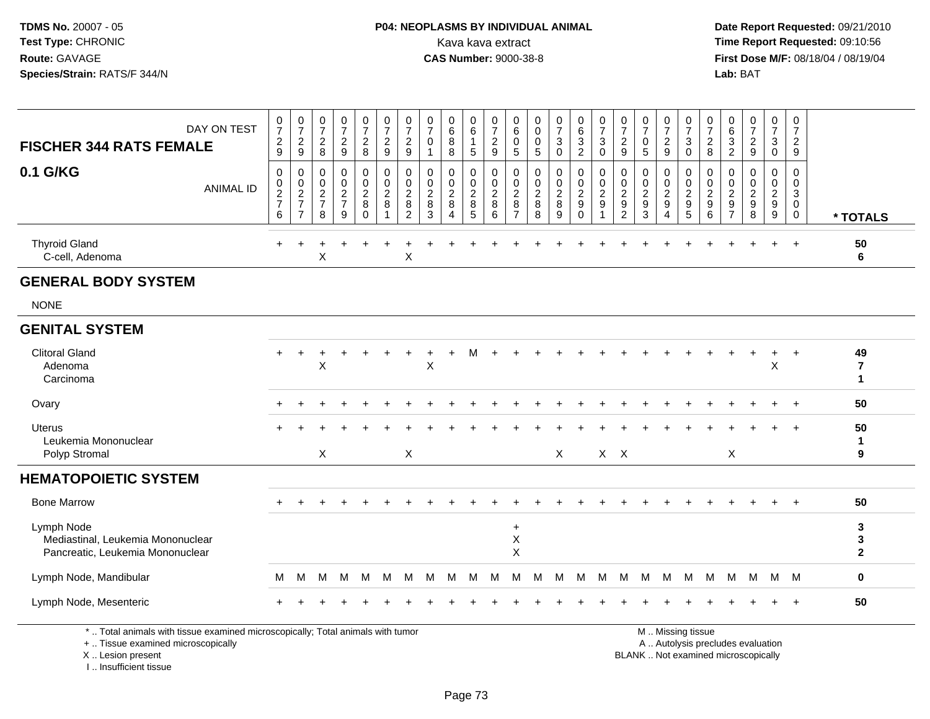#### **P04: NEOPLASMS BY INDIVIDUAL ANIMAL**<br>Kava kava extract Kava kava extract **Time Report Requested:** 09:10:56<br>**CAS Number:** 9000-38-8<br>**Tirst Dose M/F:** 08/18/04 / 08/19/04

 **Date Report Requested:** 09/21/2010 **First Dose M/F:** 08/18/04 / 08/19/04 Lab: BAT **Lab:** BAT

| DAY ON TEST<br><b>FISCHER 344 RATS FEMALE</b>                                       |                  | $\frac{0}{7}$<br>$\frac{2}{9}$                  | $\frac{0}{7}$<br>$\frac{2}{9}$                                         | $\frac{0}{7}$<br>$\frac{2}{8}$                            | $\frac{0}{7}$<br>$\frac{2}{9}$                                      | $\frac{0}{7}$<br>$\sqrt{2}$<br>$\,8\,$         | 0<br>$\overline{7}$<br>$\overline{c}$<br>9             | 0<br>$\overline{7}$<br>$\overline{\mathbf{c}}$<br>9                 | 0<br>$\overline{7}$<br>$\mathbf 0$<br>$\mathbf 1$ | 0<br>$6\overline{6}$<br>$\bar{8}$<br>8 | 0<br>$6\overline{6}$<br>$\mathbf{1}$<br>$5\phantom{.0}$ | $\frac{0}{7}$<br>$\frac{2}{9}$             | 0<br>$\,6\,$<br>$\mathbf 0$<br>$\sqrt{5}$                       | 0<br>$\mathbf 0$<br>$\mathbf 0$<br>$\sqrt{5}$      | $\frac{0}{7}$<br>3<br>$\mathbf 0$         | $\begin{matrix} 0 \\ 6 \end{matrix}$<br>$\ensuremath{\mathsf{3}}$<br>$\overline{2}$ | $\frac{0}{7}$<br>3<br>$\Omega$ | 0<br>$\overline{7}$<br>$\frac{2}{9}$                           | $\frac{0}{7}$<br>$\pmb{0}$<br>5                   | $\frac{0}{7}$<br>$\frac{2}{9}$                                             | 0<br>$\overline{7}$<br>$\sqrt{3}$<br>$\mathbf 0$                               | 0<br>$\overline{7}$<br>$\overline{c}$<br>8        | 0<br>6<br>$\sqrt{3}$<br>$\overline{2}$                                | $\frac{0}{7}$<br>$\frac{2}{9}$                              | 0<br>$\overline{7}$<br>3<br>$\mathbf 0$                     | 0<br>$\overline{7}$<br>$\overline{c}$<br>$\boldsymbol{9}$ |                                              |
|-------------------------------------------------------------------------------------|------------------|-------------------------------------------------|------------------------------------------------------------------------|-----------------------------------------------------------|---------------------------------------------------------------------|------------------------------------------------|--------------------------------------------------------|---------------------------------------------------------------------|---------------------------------------------------|----------------------------------------|---------------------------------------------------------|--------------------------------------------|-----------------------------------------------------------------|----------------------------------------------------|-------------------------------------------|-------------------------------------------------------------------------------------|--------------------------------|----------------------------------------------------------------|---------------------------------------------------|----------------------------------------------------------------------------|--------------------------------------------------------------------------------|---------------------------------------------------|-----------------------------------------------------------------------|-------------------------------------------------------------|-------------------------------------------------------------|-----------------------------------------------------------|----------------------------------------------|
| 0.1 G/KG                                                                            | <b>ANIMAL ID</b> | 0<br>0<br>$\overline{c}$<br>$\overline{7}$<br>6 | 0<br>$\mathbf 0$<br>$\overline{c}$<br>$\overline{7}$<br>$\overline{7}$ | $\mathbf 0$<br>0<br>$\overline{2}$<br>$\overline{7}$<br>8 | $\mathbf 0$<br>$\pmb{0}$<br>$\boldsymbol{2}$<br>$\overline{7}$<br>9 | 0<br>0<br>$\overline{c}$<br>$\, 8$<br>$\Omega$ | $\mathbf 0$<br>$\mathbf 0$<br>$\overline{2}$<br>8<br>1 | $\mathbf 0$<br>$\mathbf 0$<br>$\overline{2}$<br>8<br>$\overline{2}$ | 0<br>0<br>$\overline{2}$<br>$\bf 8$<br>3          | 0<br>0<br>$\overline{c}$<br>8<br>4     | 0<br>$\mathsf{O}$<br>$\overline{c}$<br>$\bf 8$<br>5     | 0<br>0<br>$\boldsymbol{2}$<br>$\bf 8$<br>6 | 0<br>$\mathbf 0$<br>$\overline{c}$<br>$\bf 8$<br>$\overline{7}$ | $\mathbf 0$<br>0<br>$\overline{c}$<br>$\bf 8$<br>8 | 0<br>0<br>$\boldsymbol{2}$<br>$\, 8$<br>9 | $\mathbf 0$<br>$\mathbf 0$<br>$\overline{c}$<br>$\boldsymbol{9}$<br>$\mathbf 0$     | 0<br>0<br>$\overline{c}$<br>9  | 0<br>0<br>$\overline{2}$<br>$\boldsymbol{9}$<br>$\overline{2}$ | 0<br>0<br>$\overline{c}$<br>$\boldsymbol{9}$<br>3 | 0<br>$\mathbf 0$<br>$\boldsymbol{2}$<br>$\boldsymbol{9}$<br>$\overline{4}$ | $\mathbf 0$<br>$\mathbf 0$<br>$\overline{c}$<br>$\boldsymbol{9}$<br>$\sqrt{5}$ | 0<br>0<br>$\overline{2}$<br>$\boldsymbol{9}$<br>6 | 0<br>$\Omega$<br>$\overline{c}$<br>$\boldsymbol{9}$<br>$\overline{7}$ | $\mathbf 0$<br>0<br>$\overline{c}$<br>$\boldsymbol{9}$<br>8 | $\mathbf 0$<br>0<br>$\overline{a}$<br>$\boldsymbol{9}$<br>9 | 0<br>0<br>3<br>$\mathbf 0$<br>$\mathbf 0$                 | * TOTALS                                     |
| <b>Thyroid Gland</b><br>C-cell, Adenoma                                             |                  | $+$                                             | $\ddot{}$                                                              | Χ                                                         |                                                                     |                                                |                                                        | X                                                                   |                                                   |                                        |                                                         |                                            |                                                                 |                                                    |                                           |                                                                                     |                                |                                                                |                                                   |                                                                            |                                                                                |                                                   |                                                                       |                                                             |                                                             | $\overline{+}$                                            | 50<br>6                                      |
| <b>GENERAL BODY SYSTEM</b>                                                          |                  |                                                 |                                                                        |                                                           |                                                                     |                                                |                                                        |                                                                     |                                                   |                                        |                                                         |                                            |                                                                 |                                                    |                                           |                                                                                     |                                |                                                                |                                                   |                                                                            |                                                                                |                                                   |                                                                       |                                                             |                                                             |                                                           |                                              |
| <b>NONE</b>                                                                         |                  |                                                 |                                                                        |                                                           |                                                                     |                                                |                                                        |                                                                     |                                                   |                                        |                                                         |                                            |                                                                 |                                                    |                                           |                                                                                     |                                |                                                                |                                                   |                                                                            |                                                                                |                                                   |                                                                       |                                                             |                                                             |                                                           |                                              |
| <b>GENITAL SYSTEM</b>                                                               |                  |                                                 |                                                                        |                                                           |                                                                     |                                                |                                                        |                                                                     |                                                   |                                        |                                                         |                                            |                                                                 |                                                    |                                           |                                                                                     |                                |                                                                |                                                   |                                                                            |                                                                                |                                                   |                                                                       |                                                             |                                                             |                                                           |                                              |
| <b>Clitoral Gland</b><br>Adenoma<br>Carcinoma                                       |                  | $+$                                             | $\ddot{}$                                                              | X                                                         |                                                                     |                                                |                                                        |                                                                     | X                                                 |                                        |                                                         |                                            |                                                                 |                                                    |                                           |                                                                                     |                                |                                                                |                                                   |                                                                            |                                                                                |                                                   |                                                                       |                                                             | X                                                           | $\ddot{}$                                                 | 49<br>$\overline{\mathbf{r}}$<br>$\mathbf 1$ |
| Ovary                                                                               |                  |                                                 |                                                                        |                                                           |                                                                     |                                                |                                                        |                                                                     |                                                   |                                        |                                                         |                                            |                                                                 |                                                    |                                           |                                                                                     |                                |                                                                |                                                   |                                                                            |                                                                                |                                                   |                                                                       |                                                             |                                                             |                                                           | 50                                           |
| <b>Uterus</b><br>Leukemia Mononuclear<br>Polyp Stromal                              |                  |                                                 |                                                                        | X                                                         |                                                                     |                                                |                                                        | $\sf X$                                                             |                                                   |                                        |                                                         |                                            |                                                                 |                                                    | $\mathsf{X}$                              |                                                                                     |                                | $X$ $X$                                                        |                                                   |                                                                            |                                                                                |                                                   | $\mathsf{X}$                                                          |                                                             |                                                             | $\overline{+}$                                            | 50<br>1<br>9                                 |
| <b>HEMATOPOIETIC SYSTEM</b>                                                         |                  |                                                 |                                                                        |                                                           |                                                                     |                                                |                                                        |                                                                     |                                                   |                                        |                                                         |                                            |                                                                 |                                                    |                                           |                                                                                     |                                |                                                                |                                                   |                                                                            |                                                                                |                                                   |                                                                       |                                                             |                                                             |                                                           |                                              |
| <b>Bone Marrow</b>                                                                  |                  |                                                 |                                                                        |                                                           |                                                                     |                                                |                                                        |                                                                     |                                                   |                                        |                                                         |                                            |                                                                 |                                                    |                                           |                                                                                     |                                |                                                                |                                                   |                                                                            |                                                                                |                                                   |                                                                       |                                                             |                                                             |                                                           | 50                                           |
| Lymph Node<br>Mediastinal, Leukemia Mononuclear<br>Pancreatic, Leukemia Mononuclear |                  |                                                 |                                                                        |                                                           |                                                                     |                                                |                                                        |                                                                     |                                                   |                                        |                                                         |                                            | $\ddot{}$<br>X<br>$\mathsf X$                                   |                                                    |                                           |                                                                                     |                                |                                                                |                                                   |                                                                            |                                                                                |                                                   |                                                                       |                                                             |                                                             |                                                           | 3<br>3<br>$\mathbf{2}$                       |
| Lymph Node, Mandibular                                                              |                  | М                                               | M                                                                      | м                                                         | м                                                                   | м                                              | M                                                      | M                                                                   | M                                                 | M                                      | M                                                       | M                                          | м                                                               | М                                                  | M                                         | M                                                                                   | M                              | M                                                              | M                                                 | M                                                                          | M                                                                              | M                                                 | M                                                                     | M                                                           |                                                             | M M                                                       | $\bf{0}$                                     |
| Lymph Node, Mesenteric                                                              |                  |                                                 |                                                                        |                                                           |                                                                     |                                                |                                                        |                                                                     |                                                   |                                        |                                                         |                                            |                                                                 |                                                    |                                           |                                                                                     |                                |                                                                |                                                   |                                                                            |                                                                                |                                                   |                                                                       |                                                             |                                                             |                                                           | 50                                           |
| *  Total animals with tissue examined microscopically; Total animals with tumor     |                  |                                                 |                                                                        |                                                           |                                                                     |                                                |                                                        |                                                                     |                                                   |                                        |                                                         |                                            |                                                                 |                                                    |                                           |                                                                                     |                                |                                                                |                                                   | $A \cup A \cup B$                                                          | M  Missing tissue                                                              |                                                   | the first state of the control of the con-                            |                                                             |                                                             |                                                           |                                              |

+ .. Tissue examined microscopicallyX .. Lesion present

 Lesion present BLANK .. Not examined microscopicallyI .. Insufficient tissue

y the contract of the contract of the contract of the contract of the contract of the contract of the contract of  $A$ . Autolysis precludes evaluation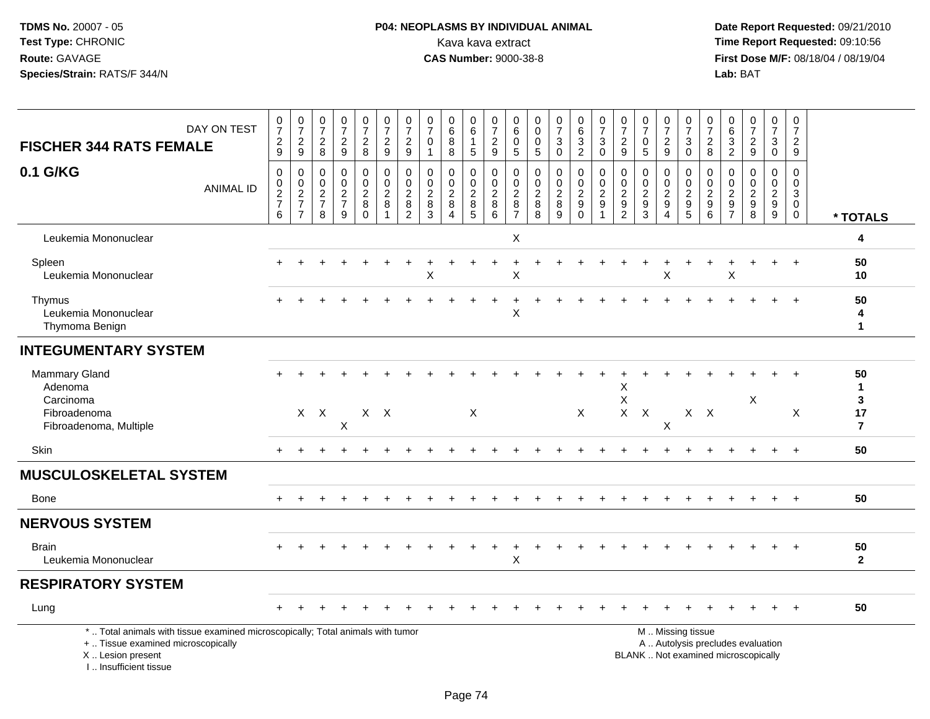### **P04: NEOPLASMS BY INDIVIDUAL ANIMAL**<br>Kava kava extract Kava kava extract **Time Report Requested:** 09:10:56<br>**CAS Number:** 9000-38-8 **CAS Number:** 9000-38-8

 **Date Report Requested:** 09/21/2010 **First Dose M/F:** 08/18/04 / 08/19/04 Lab: BAT **Lab:** BAT

| DAY ON TEST<br><b>FISCHER 344 RATS FEMALE</b>                                                                                                                       | $\mathbf 0$<br>$\overline{7}$<br>$\frac{2}{9}$ | $\frac{0}{7}$<br>$\frac{2}{9}$       | $\pmb{0}$<br>$\overline{7}$<br>$\overline{c}$<br>8 | 0<br>$\overline{7}$<br>$\overline{c}$<br>9 | $\frac{0}{7}$<br>$\overline{a}$<br>8              | 0<br>$\overline{7}$<br>$\overline{c}$<br>9                          | $\frac{0}{7}$<br>$\overline{c}$<br>$\mathsf g$               | $\frac{0}{7}$<br>$\pmb{0}$<br>$\mathbf{1}$                | 0<br>$\,6\,$<br>8<br>8                                                      | 0<br>6<br>$\mathbf{1}$<br>$\overline{5}$                    | 0<br>$\overline{7}$<br>$\overline{c}$<br>$\boldsymbol{9}$ | 0<br>$\,6\,$<br>$\mathbf 0$<br>$5\phantom{.0}$       | 0<br>0<br>0<br>$5\phantom{.0}$        | $\begin{array}{c} 0 \\ 7 \end{array}$<br>$\ensuremath{\mathsf{3}}$<br>$\mathbf 0$ | $\begin{array}{c} 0 \\ 6 \end{array}$<br>$\frac{3}{2}$             | $\frac{0}{7}$<br>$\ensuremath{\mathsf{3}}$<br>$\mathbf 0$   | $\pmb{0}$<br>$\overline{7}$<br>$\overline{c}$<br>9            | 0<br>$\overline{7}$<br>$\mathbf 0$<br>$5\phantom{1}$ | $\frac{0}{7}$<br>$\overline{a}$<br>$\overline{9}$ | 0<br>$\overline{7}$<br>$\mathbf{3}$<br>$\mathbf 0$  | $\frac{0}{7}$<br>$\boldsymbol{2}$<br>8     | $\pmb{0}$<br>$6\overline{6}$<br>$\frac{3}{2}$       | $\frac{0}{7}$<br>$\overline{c}$<br>9                                     | $\begin{smallmatrix}0\\7\end{smallmatrix}$<br>$\ensuremath{\mathsf{3}}$<br>$\mathbf 0$ | 0<br>$\overline{7}$<br>$\overline{c}$<br>$\overline{9}$    |                                                            |
|---------------------------------------------------------------------------------------------------------------------------------------------------------------------|------------------------------------------------|--------------------------------------|----------------------------------------------------|--------------------------------------------|---------------------------------------------------|---------------------------------------------------------------------|--------------------------------------------------------------|-----------------------------------------------------------|-----------------------------------------------------------------------------|-------------------------------------------------------------|-----------------------------------------------------------|------------------------------------------------------|---------------------------------------|-----------------------------------------------------------------------------------|--------------------------------------------------------------------|-------------------------------------------------------------|---------------------------------------------------------------|------------------------------------------------------|---------------------------------------------------|-----------------------------------------------------|--------------------------------------------|-----------------------------------------------------|--------------------------------------------------------------------------|----------------------------------------------------------------------------------------|------------------------------------------------------------|------------------------------------------------------------|
| 0.1 G/KG<br><b>ANIMAL ID</b>                                                                                                                                        | $\mathbf 0$<br>$\frac{0}{2}$<br>$6\phantom{1}$ | 0<br>$\frac{0}{2}$<br>$\overline{7}$ | $\mathbf 0$<br>$\mathbf 0$<br>$\frac{2}{7}$<br>8   | 0<br>$\mathbf 0$<br>$\frac{2}{7}$<br>9     | 0<br>$\mathbf 0$<br>$_{8}^{\rm 2}$<br>$\mathbf 0$ | $\boldsymbol{0}$<br>$\overline{0}$<br>$\frac{2}{8}$<br>$\mathbf{1}$ | 0<br>$\ddot{\mathbf{0}}$<br>$_{8}^{\rm 2}$<br>$\overline{c}$ | $\mathbf 0$<br>$\pmb{0}$<br>$\frac{2}{8}$<br>$\mathbf{3}$ | $\mathbf 0$<br>$\mathbf 0$<br>$\boldsymbol{2}$<br>$\bf 8$<br>$\overline{4}$ | 0<br>$\mathsf{O}\xspace$<br>$\frac{2}{8}$<br>$\overline{5}$ | 0<br>$\mathsf{O}\xspace$<br>$_{\rm 8}^2$<br>$\,6\,$       | $\mathbf 0$<br>0<br>$_{8}^{\rm 2}$<br>$\overline{7}$ | 0<br>$\mathbf 0$<br>$_{\rm 8}^2$<br>8 | 0<br>$\pmb{0}$<br>$_{\rm 8}^2$<br>9                                               | $\mathbf 0$<br>$\ddot{\mathbf{0}}$<br>$\frac{2}{9}$<br>$\mathbf 0$ | 0<br>$\mathbf 0$<br>$\boldsymbol{2}$<br>9<br>$\overline{1}$ | $\mathbf 0$<br>$\mathbf 0$<br>$\frac{2}{9}$<br>$\overline{c}$ | $\mathbf 0$<br>$\mathbf 0$<br>$\frac{2}{9}$<br>3     | 0<br>0<br>$\frac{2}{9}$<br>$\overline{4}$         | 0<br>$\mathbf 0$<br>$\frac{2}{9}$<br>$\overline{5}$ | 0<br>$\mathbf 0$<br>$\frac{2}{9}$<br>$\,6$ | $\mathbf 0$<br>0<br>$\frac{2}{9}$<br>$\overline{7}$ | $\mathbf 0$<br>$\mathbf 0$<br>$\boldsymbol{2}$<br>$\boldsymbol{9}$<br>8  | 0<br>$\mathsf{O}\xspace$<br>$\frac{2}{9}$<br>9                                         | $\Omega$<br>$\mathbf 0$<br>$\sqrt{3}$<br>$\mathbf{0}$<br>0 | * TOTALS                                                   |
| Leukemia Mononuclear                                                                                                                                                |                                                |                                      |                                                    |                                            |                                                   |                                                                     |                                                              |                                                           |                                                                             |                                                             |                                                           | X                                                    |                                       |                                                                                   |                                                                    |                                                             |                                                               |                                                      |                                                   |                                                     |                                            |                                                     |                                                                          |                                                                                        |                                                            | 4                                                          |
| Spleen<br>Leukemia Mononuclear                                                                                                                                      |                                                |                                      |                                                    |                                            |                                                   |                                                                     |                                                              | X                                                         |                                                                             |                                                             |                                                           | X                                                    |                                       |                                                                                   |                                                                    |                                                             |                                                               |                                                      | X                                                 |                                                     |                                            | X                                                   |                                                                          |                                                                                        | $\overline{ }$                                             | 50<br>10                                                   |
| Thymus<br>Leukemia Mononuclear<br>Thymoma Benign                                                                                                                    |                                                |                                      |                                                    |                                            |                                                   |                                                                     |                                                              |                                                           |                                                                             |                                                             |                                                           | $\ddot{}$<br>X                                       |                                       |                                                                                   |                                                                    |                                                             |                                                               |                                                      |                                                   |                                                     |                                            |                                                     |                                                                          |                                                                                        | $\overline{1}$                                             | 50<br>4<br>$\mathbf{1}$                                    |
| <b>INTEGUMENTARY SYSTEM</b>                                                                                                                                         |                                                |                                      |                                                    |                                            |                                                   |                                                                     |                                                              |                                                           |                                                                             |                                                             |                                                           |                                                      |                                       |                                                                                   |                                                                    |                                                             |                                                               |                                                      |                                                   |                                                     |                                            |                                                     |                                                                          |                                                                                        |                                                            |                                                            |
| <b>Mammary Gland</b><br>Adenoma<br>Carcinoma<br>Fibroadenoma<br>Fibroadenoma, Multiple                                                                              |                                                |                                      | $X$ $X$                                            | X                                          |                                                   | $X$ $X$                                                             |                                                              |                                                           |                                                                             | X                                                           |                                                           |                                                      |                                       |                                                                                   | X                                                                  |                                                             | Х<br>X<br>$X -$                                               | $\mathsf{X}$                                         | X                                                 |                                                     | $X$ $X$                                    |                                                     | X                                                                        |                                                                                        | X                                                          | 50<br>$\mathbf{1}$<br>$\mathbf{3}$<br>17<br>$\overline{7}$ |
| Skin                                                                                                                                                                | $+$                                            |                                      |                                                    |                                            |                                                   |                                                                     |                                                              |                                                           |                                                                             |                                                             |                                                           |                                                      |                                       |                                                                                   |                                                                    |                                                             |                                                               |                                                      |                                                   |                                                     |                                            |                                                     |                                                                          | $\ddot{}$                                                                              | $+$                                                        | 50                                                         |
| <b>MUSCULOSKELETAL SYSTEM</b>                                                                                                                                       |                                                |                                      |                                                    |                                            |                                                   |                                                                     |                                                              |                                                           |                                                                             |                                                             |                                                           |                                                      |                                       |                                                                                   |                                                                    |                                                             |                                                               |                                                      |                                                   |                                                     |                                            |                                                     |                                                                          |                                                                                        |                                                            |                                                            |
| Bone                                                                                                                                                                |                                                |                                      |                                                    |                                            |                                                   |                                                                     |                                                              |                                                           |                                                                             |                                                             |                                                           |                                                      |                                       |                                                                                   |                                                                    |                                                             |                                                               |                                                      |                                                   |                                                     |                                            |                                                     |                                                                          |                                                                                        |                                                            | 50                                                         |
| <b>NERVOUS SYSTEM</b>                                                                                                                                               |                                                |                                      |                                                    |                                            |                                                   |                                                                     |                                                              |                                                           |                                                                             |                                                             |                                                           |                                                      |                                       |                                                                                   |                                                                    |                                                             |                                                               |                                                      |                                                   |                                                     |                                            |                                                     |                                                                          |                                                                                        |                                                            |                                                            |
| <b>Brain</b><br>Leukemia Mononuclear                                                                                                                                |                                                |                                      |                                                    |                                            |                                                   |                                                                     |                                                              |                                                           |                                                                             |                                                             |                                                           | X                                                    |                                       |                                                                                   |                                                                    |                                                             |                                                               |                                                      |                                                   |                                                     |                                            |                                                     |                                                                          |                                                                                        |                                                            | 50<br>$\mathbf{2}$                                         |
| <b>RESPIRATORY SYSTEM</b>                                                                                                                                           |                                                |                                      |                                                    |                                            |                                                   |                                                                     |                                                              |                                                           |                                                                             |                                                             |                                                           |                                                      |                                       |                                                                                   |                                                                    |                                                             |                                                               |                                                      |                                                   |                                                     |                                            |                                                     |                                                                          |                                                                                        |                                                            |                                                            |
| Lung                                                                                                                                                                |                                                |                                      |                                                    |                                            |                                                   |                                                                     |                                                              |                                                           |                                                                             |                                                             |                                                           |                                                      |                                       |                                                                                   |                                                                    |                                                             |                                                               |                                                      |                                                   |                                                     |                                            |                                                     |                                                                          |                                                                                        |                                                            | 50                                                         |
| *  Total animals with tissue examined microscopically; Total animals with tumor<br>+  Tissue examined microscopically<br>X  Lesion present<br>I Insufficient tissue |                                                |                                      |                                                    |                                            |                                                   |                                                                     |                                                              |                                                           |                                                                             |                                                             |                                                           |                                                      |                                       |                                                                                   |                                                                    |                                                             |                                                               |                                                      |                                                   | M  Missing tissue                                   |                                            |                                                     | A  Autolysis precludes evaluation<br>BLANK  Not examined microscopically |                                                                                        |                                                            |                                                            |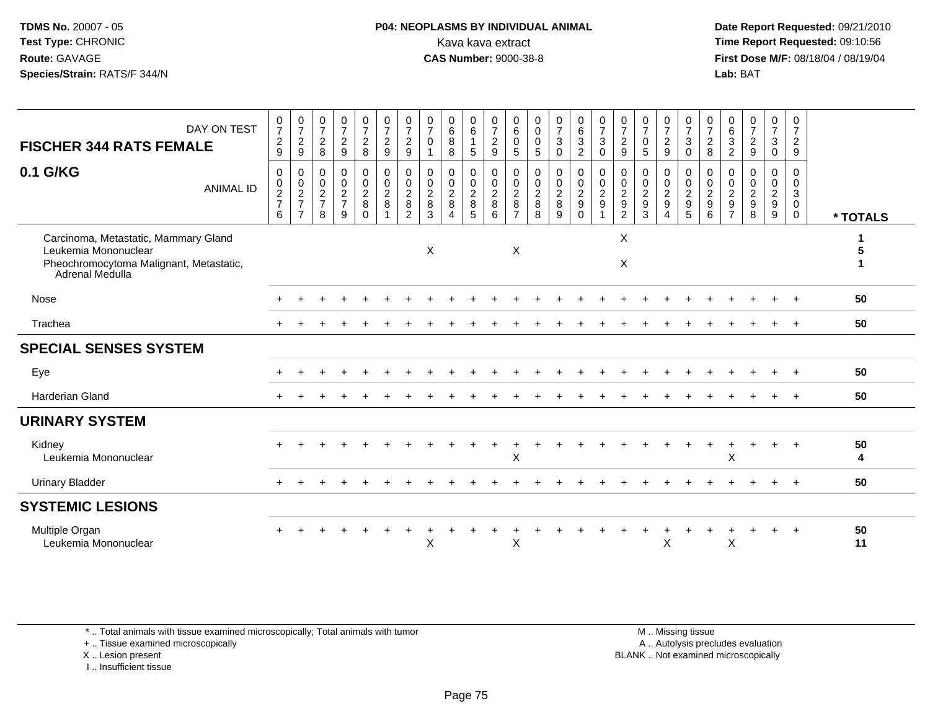#### **P04: NEOPLASMS BY INDIVIDUAL ANIMAL**<br>Kava kava extract Kava kava extract **Time Report Requested:** 09:10:56<br>**CAS Number:** 9000-38-8<br>**Tirst Dose M/F:** 08/18/04 / 08/19/04

 **Date Report Requested:** 09/21/2010 **First Dose M/F:** 08/18/04 / 08/19/04 Lab: BAT **Lab:** BAT

| DAY ON TEST<br><b>FISCHER 344 RATS FEMALE</b>                                                                              | $\frac{0}{7}$<br>$\frac{2}{9}$                               | $\frac{0}{7}$<br>$\overline{c}$<br>9                                        | $\frac{0}{7}$<br>$\overline{c}$<br>8                        | $\begin{smallmatrix}0\\7\end{smallmatrix}$<br>$\frac{2}{9}$    | $\frac{0}{7}$<br>$\overline{c}$<br>8                  | $\frac{0}{7}$<br>$\overline{a}$<br>$\boldsymbol{9}$     | $\frac{0}{7}$<br>$\overline{c}$<br>$9\,$                       | $\frac{0}{7}$<br>$\mathbf 0$<br>$\mathbf{1}$ | $\begin{array}{c} 0 \\ 6 \end{array}$<br>$\bf 8$<br>8                                      | $\begin{array}{c} 0 \\ 6 \end{array}$<br>$\overline{1}$<br>$5\,$ | $\frac{0}{7}$<br>$\sqrt{2}$<br>$\boldsymbol{9}$             | 0<br>6<br>$\mathbf 0$<br>5                                | 0<br>$\pmb{0}$<br>$\mathbf 0$<br>5                   | $\frac{0}{7}$<br>$\mathbf{3}$<br>$\mathbf 0$ | $\begin{matrix} 0 \\ 6 \end{matrix}$<br>3<br>$\overline{c}$ | $\frac{0}{7}$<br>3<br>$\mathbf 0$                                           | $\frac{0}{7}$<br>$\overline{2}$<br>9                                                 | $\frac{0}{7}$<br>$\mathbf 0$<br>5                           | $\frac{0}{7}$<br>$\overline{2}$<br>9      | $\begin{array}{c} 0 \\ 7 \\ 3 \end{array}$<br>$\mathsf{O}\xspace$ | $\frac{0}{7}$<br>$^2_{\bf 8}$     | 0<br>$\,6\,$<br>$\mathbf{3}$<br>$\overline{2}$                   | $\frac{0}{7}$<br>$\overline{c}$<br>$9\,$                        | $\frac{0}{7}$<br>3<br>$\mathbf 0$  | 0<br>$\overline{7}$<br>$\frac{2}{9}$                |          |
|----------------------------------------------------------------------------------------------------------------------------|--------------------------------------------------------------|-----------------------------------------------------------------------------|-------------------------------------------------------------|----------------------------------------------------------------|-------------------------------------------------------|---------------------------------------------------------|----------------------------------------------------------------|----------------------------------------------|--------------------------------------------------------------------------------------------|------------------------------------------------------------------|-------------------------------------------------------------|-----------------------------------------------------------|------------------------------------------------------|----------------------------------------------|-------------------------------------------------------------|-----------------------------------------------------------------------------|--------------------------------------------------------------------------------------|-------------------------------------------------------------|-------------------------------------------|-------------------------------------------------------------------|-----------------------------------|------------------------------------------------------------------|-----------------------------------------------------------------|------------------------------------|-----------------------------------------------------|----------|
| 0.1 G/KG<br><b>ANIMAL ID</b>                                                                                               | $\pmb{0}$<br>$\begin{array}{c} 0 \\ 2 \\ 7 \end{array}$<br>6 | $\mathbf 0$<br>$\begin{array}{c} 0 \\ 2 \\ 7 \end{array}$<br>$\overline{7}$ | 0<br>$\mathbf 0$<br>$\boldsymbol{2}$<br>$\overline{7}$<br>8 | $\mathbf 0$<br>$\begin{array}{c} 0 \\ 2 \\ 7 \end{array}$<br>9 | 0<br>$\mathbf 0$<br>$\sqrt{2}$<br>$\bf 8$<br>$\Omega$ | 0<br>$\mathbf 0$<br>$\overline{c}$<br>8<br>$\mathbf{1}$ | 0<br>$\boldsymbol{0}$<br>$\overline{2}$<br>8<br>$\overline{2}$ | 0<br>$\mathbf 0$<br>$\overline{c}$<br>8<br>3 | $\mathbf 0$<br>$\begin{smallmatrix} 0\\2 \end{smallmatrix}$<br>8<br>$\boldsymbol{\Lambda}$ | 0<br>$\frac{0}{2}$<br>5                                          | 0<br>$\begin{smallmatrix} 0\\2 \end{smallmatrix}$<br>8<br>6 | 0<br>$\mathbf 0$<br>$\overline{c}$<br>8<br>$\overline{7}$ | 0<br>$\begin{array}{c} 0 \\ 2 \\ 8 \end{array}$<br>8 | 0<br>$\frac{0}{2}$<br>9                      | 0<br>$\mathbf 0$<br>$\sqrt{2}$<br>$9\,$<br>$\Omega$         | 0<br>$\mathop{2}\limits^{\mathbb{O}}$<br>$\boldsymbol{9}$<br>$\overline{1}$ | $\mathbf 0$<br>$\mathbf 0$<br>$\boldsymbol{2}$<br>$\boldsymbol{9}$<br>$\overline{2}$ | 0<br>$\begin{smallmatrix} 0\\2 \end{smallmatrix}$<br>9<br>3 | 0<br>$\frac{0}{2}$<br>9<br>$\overline{4}$ | 0<br>$\frac{0}{2}$<br>5                                           | $\mathbf 0$<br>$\frac{0}{2}$<br>6 | 0<br>0<br>$\boldsymbol{2}$<br>$\boldsymbol{9}$<br>$\overline{7}$ | $\mathbf 0$<br>$\pmb{0}$<br>$\sqrt{2}$<br>$\boldsymbol{9}$<br>8 | 0<br>0<br>$\overline{a}$<br>9<br>9 | 0<br>$\mathbf 0$<br>3<br>$\mathbf 0$<br>$\mathbf 0$ | * TOTALS |
| Carcinoma, Metastatic, Mammary Gland<br>Leukemia Mononuclear<br>Pheochromocytoma Malignant, Metastatic,<br>Adrenal Medulla |                                                              |                                                                             |                                                             |                                                                |                                                       |                                                         |                                                                | X                                            |                                                                                            |                                                                  |                                                             | Χ                                                         |                                                      |                                              |                                                             |                                                                             | X<br>$\boldsymbol{\mathsf{X}}$                                                       |                                                             |                                           |                                                                   |                                   |                                                                  |                                                                 |                                    |                                                     |          |
| Nose                                                                                                                       |                                                              |                                                                             |                                                             |                                                                |                                                       |                                                         |                                                                |                                              |                                                                                            |                                                                  |                                                             |                                                           |                                                      |                                              |                                                             |                                                                             |                                                                                      |                                                             |                                           |                                                                   |                                   |                                                                  |                                                                 |                                    |                                                     | 50       |
| Trachea                                                                                                                    |                                                              |                                                                             |                                                             |                                                                |                                                       |                                                         |                                                                |                                              |                                                                                            |                                                                  |                                                             |                                                           |                                                      |                                              |                                                             |                                                                             |                                                                                      |                                                             |                                           |                                                                   |                                   |                                                                  |                                                                 |                                    | $\ddot{}$                                           | 50       |
| <b>SPECIAL SENSES SYSTEM</b>                                                                                               |                                                              |                                                                             |                                                             |                                                                |                                                       |                                                         |                                                                |                                              |                                                                                            |                                                                  |                                                             |                                                           |                                                      |                                              |                                                             |                                                                             |                                                                                      |                                                             |                                           |                                                                   |                                   |                                                                  |                                                                 |                                    |                                                     |          |
| Eye                                                                                                                        |                                                              |                                                                             |                                                             |                                                                |                                                       |                                                         |                                                                |                                              |                                                                                            |                                                                  |                                                             |                                                           |                                                      |                                              |                                                             |                                                                             |                                                                                      |                                                             |                                           |                                                                   |                                   |                                                                  |                                                                 |                                    |                                                     | 50       |
| <b>Harderian Gland</b>                                                                                                     |                                                              |                                                                             |                                                             |                                                                |                                                       |                                                         |                                                                |                                              |                                                                                            |                                                                  |                                                             |                                                           |                                                      |                                              |                                                             |                                                                             |                                                                                      |                                                             |                                           |                                                                   |                                   |                                                                  |                                                                 |                                    |                                                     | 50       |
| <b>URINARY SYSTEM</b>                                                                                                      |                                                              |                                                                             |                                                             |                                                                |                                                       |                                                         |                                                                |                                              |                                                                                            |                                                                  |                                                             |                                                           |                                                      |                                              |                                                             |                                                                             |                                                                                      |                                                             |                                           |                                                                   |                                   |                                                                  |                                                                 |                                    |                                                     |          |
| Kidney<br>Leukemia Mononuclear                                                                                             |                                                              |                                                                             |                                                             |                                                                |                                                       |                                                         |                                                                |                                              |                                                                                            |                                                                  |                                                             | X                                                         |                                                      |                                              |                                                             |                                                                             |                                                                                      |                                                             |                                           |                                                                   |                                   | $\mathsf X$                                                      |                                                                 | $\ddot{}$                          | $\ddot{}$                                           | 50<br>4  |
| <b>Urinary Bladder</b>                                                                                                     |                                                              |                                                                             |                                                             |                                                                |                                                       |                                                         |                                                                |                                              |                                                                                            |                                                                  |                                                             |                                                           |                                                      |                                              |                                                             |                                                                             |                                                                                      |                                                             |                                           |                                                                   |                                   |                                                                  |                                                                 |                                    | $+$                                                 | 50       |
| <b>SYSTEMIC LESIONS</b>                                                                                                    |                                                              |                                                                             |                                                             |                                                                |                                                       |                                                         |                                                                |                                              |                                                                                            |                                                                  |                                                             |                                                           |                                                      |                                              |                                                             |                                                                             |                                                                                      |                                                             |                                           |                                                                   |                                   |                                                                  |                                                                 |                                    |                                                     |          |
| Multiple Organ<br>Leukemia Mononuclear                                                                                     |                                                              |                                                                             |                                                             |                                                                |                                                       |                                                         |                                                                | X                                            |                                                                                            |                                                                  |                                                             | X                                                         |                                                      |                                              |                                                             |                                                                             |                                                                                      |                                                             | X                                         |                                                                   |                                   | X                                                                |                                                                 |                                    | $\ddot{}$                                           | 50<br>11 |

\* .. Total animals with tissue examined microscopically; Total animals with tumor

+ .. Tissue examined microscopically

X .. Lesion present

I .. Insufficient tissue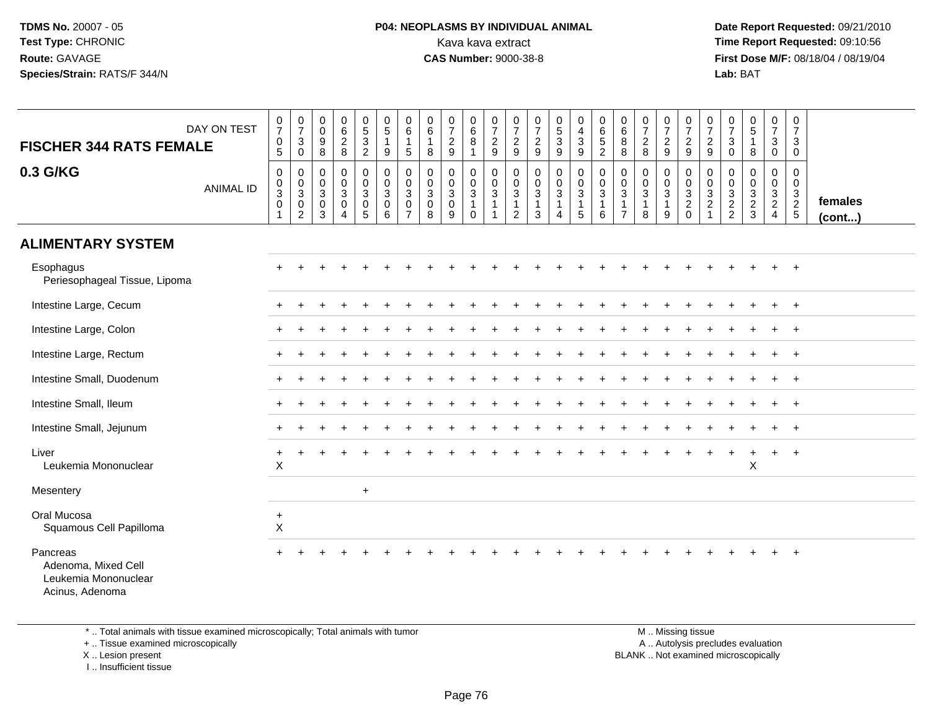#### **P04: NEOPLASMS BY INDIVIDUAL ANIMAL**<br>Kava kava extract Kava kava extract **Time Report Requested:** 09:10:56<br>**CAS Number:** 9000-38-8<br>**Tirst Dose M/F:** 08/18/04 / 08/19/04

 **Date Report Requested:** 09/21/2010 **First Dose M/F:** 08/18/04 / 08/19/04 Lab: BAT **Lab:** BAT

| <b>FISCHER 344 RATS FEMALE</b>                                             | DAY ON TEST      | 0<br>$\overline{7}$<br>$\pmb{0}$<br>5 <sup>5</sup> | $\frac{0}{7}$<br>$\mathbf{3}$<br>$\mathbf 0$         | 0<br>$\mathsf 0$<br>9<br>8                                                               | $_{6}^{\rm 0}$<br>$\overline{c}$<br>8                                      | $\begin{array}{c} 0 \\ 5 \end{array}$<br>$\frac{3}{2}$                   | $\begin{array}{c} 0 \\ 5 \end{array}$<br>$\mathbf{1}$<br>9                      | 0<br>$\,6\,$<br>5                            | 0<br>$6\phantom{a}$<br>$\mathbf{1}$<br>8         | $\frac{0}{7}$<br>$\overline{c}$<br>9               | 0<br>$6\overline{6}$<br>8<br>$\mathbf 1$              | $\frac{0}{7}$<br>$\frac{2}{9}$                               | 0<br>$\overline{7}$<br>$\overline{c}$<br>$9\,$           | $\frac{0}{7}$<br>$\sqrt{2}$<br>9                              | $\begin{array}{c} 0 \\ 5 \end{array}$<br>$\mathbf{3}$<br>9 | 0<br>$\overline{4}$<br>$\ensuremath{\mathsf{3}}$<br>$\boldsymbol{9}$ | 0<br>$\overline{6}$<br>5<br>$\overline{c}$                               | 0<br>$\,6\,$<br>$\,8\,$<br>8                             | $\frac{0}{7}$<br>$\sqrt{2}$<br>8                          | 0<br>$\overline{7}$<br>$\boldsymbol{2}$<br>$\boldsymbol{9}$ | 0<br>$\overline{7}$<br>$\boldsymbol{2}$<br>$\boldsymbol{9}$       | 0<br>$\overline{7}$<br>$\overline{c}$<br>$9\,$                         | 0<br>$\overline{7}$<br>$\ensuremath{\mathsf{3}}$<br>$\mathbf 0$ | $\begin{array}{c} 0 \\ 5 \end{array}$<br>8              | 0<br>$\overline{7}$<br>$\mathsf 3$<br>$\mathsf{O}\xspace$ | 0<br>$\overline{7}$<br>3<br>$\mathbf 0$                     |                   |
|----------------------------------------------------------------------------|------------------|----------------------------------------------------|------------------------------------------------------|------------------------------------------------------------------------------------------|----------------------------------------------------------------------------|--------------------------------------------------------------------------|---------------------------------------------------------------------------------|----------------------------------------------|--------------------------------------------------|----------------------------------------------------|-------------------------------------------------------|--------------------------------------------------------------|----------------------------------------------------------|---------------------------------------------------------------|------------------------------------------------------------|----------------------------------------------------------------------|--------------------------------------------------------------------------|----------------------------------------------------------|-----------------------------------------------------------|-------------------------------------------------------------|-------------------------------------------------------------------|------------------------------------------------------------------------|-----------------------------------------------------------------|---------------------------------------------------------|-----------------------------------------------------------|-------------------------------------------------------------|-------------------|
| 0.3 G/KG                                                                   | <b>ANIMAL ID</b> | $\mathbf 0$<br>$\pmb{0}$<br>$\sqrt{3}$<br>0<br>1   | 0<br>$_{3}^{\rm 0}$<br>$\mathbf 0$<br>$\overline{2}$ | $\boldsymbol{0}$<br>$\boldsymbol{0}$<br>$\mathbf{3}$<br>$\boldsymbol{0}$<br>$\mathbf{3}$ | $\mathsf{O}\xspace$<br>$\mathsf{O}\xspace$<br>$\sqrt{3}$<br>$\pmb{0}$<br>4 | $\mathbf 0$<br>$\mathbf 0$<br>$\ensuremath{\mathsf{3}}$<br>$\frac{0}{5}$ | $\begin{smallmatrix}0\\0\\3\end{smallmatrix}$<br>$\mathbf 0$<br>$6\phantom{1}6$ | $\mathbf 0$<br>0<br>3<br>0<br>$\overline{7}$ | 0<br>$\mathbf 0$<br>$\sqrt{3}$<br>$\pmb{0}$<br>8 | 0<br>$\mathbf 0$<br>$\mathbf{3}$<br>$\pmb{0}$<br>9 | 0<br>$\mathbf 0$<br>$\mathbf{3}$<br>$\mathbf{1}$<br>0 | $\mathbf 0$<br>$\pmb{0}$<br>$\overline{3}$<br>$\overline{1}$ | 0<br>0<br>$\sqrt{3}$<br>$\overline{1}$<br>$\overline{c}$ | $\mathbf 0$<br>$\mathbf 0$<br>$\sqrt{3}$<br>$\mathbf{1}$<br>3 | 0<br>$\mathbf 0$<br>$\mathbf{3}$<br>4                      | 0<br>$\mathbf 0$<br>$\sqrt{3}$<br>1<br>$\sqrt{5}$                    | $\pmb{0}$<br>$\pmb{0}$<br>$\ensuremath{\mathsf{3}}$<br>$\mathbf{1}$<br>6 | 0<br>0<br>$\sqrt{3}$<br>$\overline{1}$<br>$\overline{7}$ | 0<br>$\boldsymbol{0}$<br>$\mathbf 3$<br>$\mathbf{1}$<br>8 | 0<br>$\mathbf 0$<br>$\sqrt{3}$<br>$\mathbf{1}$<br>9         | 0<br>$\mathbf 0$<br>$\mathbf{3}$<br>$\overline{2}$<br>$\mathsf 0$ | $\mathbf 0$<br>$\pmb{0}$<br>$\mathbf{3}$<br>$\sqrt{2}$<br>$\mathbf{1}$ | 0<br>0<br>$\sqrt{3}$<br>$\frac{2}{2}$                           | $\mathbf 0$<br>$\pmb{0}$<br>$\sqrt{3}$<br>$\frac{2}{3}$ | 0<br>$\mathbf 0$<br>$\frac{3}{2}$                         | $\mathbf 0$<br>$\mathbf 0$<br>$\mathbf{3}$<br>$\frac{2}{5}$ | females<br>(cont) |
| <b>ALIMENTARY SYSTEM</b>                                                   |                  |                                                    |                                                      |                                                                                          |                                                                            |                                                                          |                                                                                 |                                              |                                                  |                                                    |                                                       |                                                              |                                                          |                                                               |                                                            |                                                                      |                                                                          |                                                          |                                                           |                                                             |                                                                   |                                                                        |                                                                 |                                                         |                                                           |                                                             |                   |
| Esophagus<br>Periesophageal Tissue, Lipoma                                 |                  |                                                    |                                                      |                                                                                          |                                                                            |                                                                          |                                                                                 |                                              |                                                  |                                                    |                                                       |                                                              |                                                          |                                                               |                                                            |                                                                      |                                                                          |                                                          |                                                           |                                                             |                                                                   |                                                                        |                                                                 |                                                         | $\div$                                                    | $+$                                                         |                   |
| Intestine Large, Cecum                                                     |                  |                                                    |                                                      |                                                                                          |                                                                            |                                                                          |                                                                                 |                                              |                                                  |                                                    |                                                       |                                                              |                                                          |                                                               |                                                            |                                                                      |                                                                          |                                                          |                                                           |                                                             |                                                                   |                                                                        |                                                                 |                                                         | $+$                                                       | $+$                                                         |                   |
| Intestine Large, Colon                                                     |                  |                                                    |                                                      |                                                                                          |                                                                            |                                                                          |                                                                                 |                                              |                                                  |                                                    |                                                       |                                                              |                                                          |                                                               |                                                            |                                                                      |                                                                          |                                                          |                                                           |                                                             |                                                                   |                                                                        |                                                                 |                                                         | $+$                                                       | $+$                                                         |                   |
| Intestine Large, Rectum                                                    |                  |                                                    |                                                      |                                                                                          |                                                                            |                                                                          |                                                                                 |                                              |                                                  |                                                    |                                                       |                                                              |                                                          |                                                               |                                                            |                                                                      |                                                                          |                                                          |                                                           |                                                             |                                                                   |                                                                        |                                                                 |                                                         |                                                           | $+$                                                         |                   |
| Intestine Small, Duodenum                                                  |                  |                                                    |                                                      |                                                                                          |                                                                            |                                                                          |                                                                                 |                                              |                                                  |                                                    |                                                       |                                                              |                                                          |                                                               |                                                            |                                                                      |                                                                          |                                                          |                                                           |                                                             |                                                                   |                                                                        |                                                                 |                                                         |                                                           | $+$                                                         |                   |
| Intestine Small, Ileum                                                     |                  |                                                    |                                                      |                                                                                          |                                                                            |                                                                          |                                                                                 |                                              |                                                  |                                                    |                                                       |                                                              |                                                          |                                                               |                                                            |                                                                      |                                                                          |                                                          |                                                           |                                                             |                                                                   |                                                                        |                                                                 |                                                         |                                                           | $^{+}$                                                      |                   |
| Intestine Small, Jejunum                                                   |                  |                                                    |                                                      |                                                                                          |                                                                            |                                                                          |                                                                                 |                                              |                                                  |                                                    |                                                       |                                                              |                                                          |                                                               |                                                            |                                                                      |                                                                          |                                                          |                                                           |                                                             |                                                                   |                                                                        |                                                                 |                                                         |                                                           | $+$                                                         |                   |
| Liver<br>Leukemia Mononuclear                                              |                  | +<br>$\boldsymbol{\mathsf{X}}$                     |                                                      |                                                                                          |                                                                            |                                                                          |                                                                                 |                                              |                                                  |                                                    |                                                       |                                                              |                                                          |                                                               |                                                            |                                                                      |                                                                          |                                                          |                                                           |                                                             |                                                                   |                                                                        |                                                                 | $\boldsymbol{\mathsf{X}}$                               | $+$                                                       | $+$                                                         |                   |
| Mesentery                                                                  |                  |                                                    |                                                      |                                                                                          |                                                                            | $+$                                                                      |                                                                                 |                                              |                                                  |                                                    |                                                       |                                                              |                                                          |                                                               |                                                            |                                                                      |                                                                          |                                                          |                                                           |                                                             |                                                                   |                                                                        |                                                                 |                                                         |                                                           |                                                             |                   |
| Oral Mucosa<br>Squamous Cell Papilloma                                     |                  | $\ddot{}$<br>$\boldsymbol{\mathsf{X}}$             |                                                      |                                                                                          |                                                                            |                                                                          |                                                                                 |                                              |                                                  |                                                    |                                                       |                                                              |                                                          |                                                               |                                                            |                                                                      |                                                                          |                                                          |                                                           |                                                             |                                                                   |                                                                        |                                                                 |                                                         |                                                           |                                                             |                   |
| Pancreas<br>Adenoma, Mixed Cell<br>Leukemia Mononuclear<br>Acinus, Adenoma |                  |                                                    |                                                      |                                                                                          |                                                                            |                                                                          |                                                                                 |                                              |                                                  |                                                    |                                                       |                                                              |                                                          |                                                               |                                                            |                                                                      |                                                                          |                                                          |                                                           |                                                             |                                                                   |                                                                        |                                                                 |                                                         |                                                           | $\ddot{}$                                                   |                   |

\* .. Total animals with tissue examined microscopically; Total animals with tumor

+ .. Tissue examined microscopically

X .. Lesion present

I .. Insufficient tissue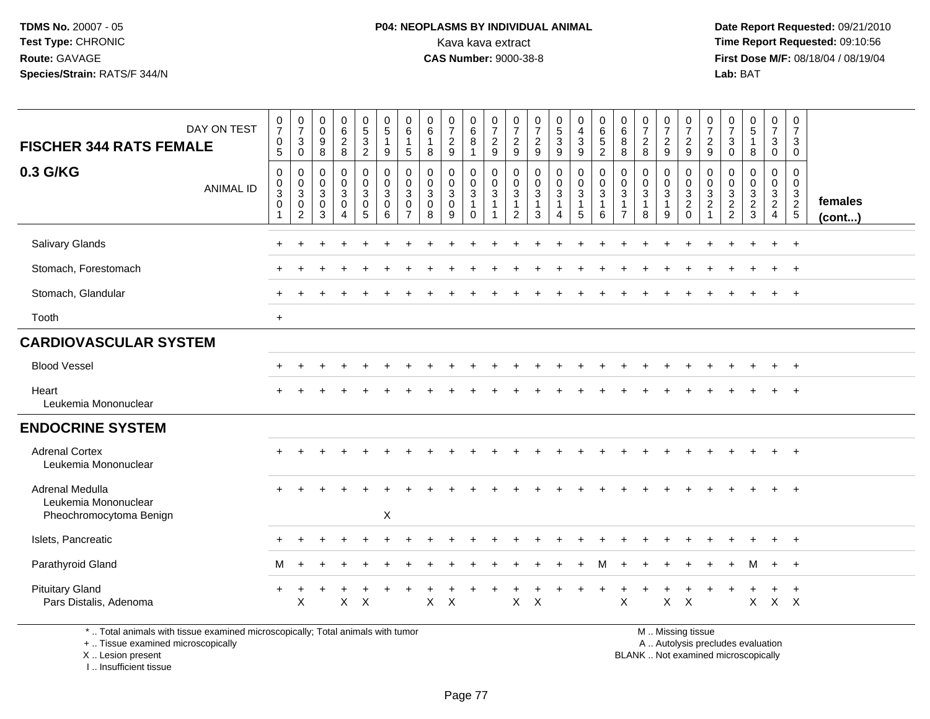#### **P04: NEOPLASMS BY INDIVIDUAL ANIMAL**<br>Kava kava extract Kava kava extract **Time Report Requested:** 09:10:56<br>**CAS Number:** 9000-38-8<br>**Tirst Dose M/F:** 08/18/04 / 08/19/04

 **Date Report Requested:** 09/21/2010 **First Dose M/F:** 08/18/04 / 08/19/04 Lab: BAT **Lab:** BAT

| DAY ON TEST<br><b>FISCHER 344 RATS FEMALE</b>                                   | $\frac{0}{7}$<br>$\mathbf 0$<br>$\overline{5}$              | $\frac{0}{7}$<br>$\sqrt{3}$<br>$\boldsymbol{0}$                       | $\begin{smallmatrix} 0\\0 \end{smallmatrix}$<br>$\boldsymbol{9}$<br>8 | $\begin{matrix} 0 \\ 6 \\ 2 \end{matrix}$<br>8 | $\begin{array}{c} 0 \\ 5 \\ 3 \end{array}$<br>$\overline{2}$     | $\begin{array}{c} 0 \\ 5 \end{array}$<br>$\mathbf{1}$<br>$9\,$       | 0<br>$\,6\,$<br>$\overline{1}$<br>$\sqrt{5}$                           | 0<br>$\,6$<br>$\mathbf{1}$<br>8                                | 0<br>$\overline{7}$<br>$\overline{a}$<br>$\overline{9}$         | $\begin{array}{c} 0 \\ 6 \end{array}$<br>$\bf 8$<br>$\mathbf{1}$ | $\frac{0}{7}$<br>$\boldsymbol{2}$<br>9                   | $\frac{0}{7}$<br>$\overline{2}$<br>$\boldsymbol{9}$                | $\begin{smallmatrix}0\\7\end{smallmatrix}$<br>$\sqrt{2}$<br>9                | $\begin{array}{c} 0 \\ 5 \end{array}$<br>$\mathbf{3}$<br>$\boldsymbol{9}$ | 0<br>$\overline{4}$<br>$\sqrt{3}$<br>$\overline{9}$            | $\begin{matrix} 0 \\ 6 \\ 5 \end{matrix}$<br>$\overline{c}$ | 0<br>$6\overline{6}$<br>8<br>$\,8\,$                                           | $\frac{0}{7}$<br>$\overline{2}$<br>8                          | $\frac{0}{7}$<br>$\overline{2}$<br>9                             | 0<br>$\overline{7}$<br>$\sqrt{2}$<br>9                          | 0<br>$\overline{7}$<br>$\overline{a}$<br>9              | 0<br>$\overline{7}$<br>3<br>$\pmb{0}$                                   | $\begin{array}{c} 0 \\ 5 \end{array}$<br>$\mathbf{1}$<br>$\,8\,$                                                    | 0<br>$\overline{7}$<br>3<br>$\mathbf 0$                 | 0<br>$\overline{7}$<br>3<br>$\mathbf 0$                                    |                   |
|---------------------------------------------------------------------------------|-------------------------------------------------------------|-----------------------------------------------------------------------|-----------------------------------------------------------------------|------------------------------------------------|------------------------------------------------------------------|----------------------------------------------------------------------|------------------------------------------------------------------------|----------------------------------------------------------------|-----------------------------------------------------------------|------------------------------------------------------------------|----------------------------------------------------------|--------------------------------------------------------------------|------------------------------------------------------------------------------|---------------------------------------------------------------------------|----------------------------------------------------------------|-------------------------------------------------------------|--------------------------------------------------------------------------------|---------------------------------------------------------------|------------------------------------------------------------------|-----------------------------------------------------------------|---------------------------------------------------------|-------------------------------------------------------------------------|---------------------------------------------------------------------------------------------------------------------|---------------------------------------------------------|----------------------------------------------------------------------------|-------------------|
| 0.3 G/KG<br><b>ANIMAL ID</b>                                                    | $\mathbf 0$<br>$\pmb{0}$<br>$\sqrt{3}$<br>$\mathbf 0$<br>-1 | $\mathbf 0$<br>$\mathbf 0$<br>$\sqrt{3}$<br>$\mathbf 0$<br>$\sqrt{2}$ | 0<br>$\mathbf 0$<br>$\sqrt{3}$<br>$\mathbf 0$<br>$\sqrt{3}$           | 0<br>0<br>3<br>$\mathbf 0$<br>$\overline{4}$   | 0<br>$\overline{0}$<br>$\mathbf{3}$<br>$\mathbf 0$<br>$\sqrt{5}$ | $\mathbf 0$<br>$\pmb{0}$<br>$\overline{3}$<br>$\mathbf 0$<br>$\,6\,$ | $\Omega$<br>$\mathbf 0$<br>$\sqrt{3}$<br>$\mathbf 0$<br>$\overline{7}$ | $\mathbf 0$<br>$\mathbf 0$<br>$\mathbf{3}$<br>$\mathbf 0$<br>8 | $\mathbf{0}$<br>$\mathbf 0$<br>$\mathbf{3}$<br>$\mathbf 0$<br>9 | 0<br>$\mathsf{O}\xspace$<br>$\sqrt{3}$<br>$\mathbf{1}$<br>0      | $\mathbf 0$<br>$\mathsf 0$<br>$\sqrt{3}$<br>$\mathbf{1}$ | 0<br>$\mathbf 0$<br>$\sqrt{3}$<br>$\overline{1}$<br>$\overline{2}$ | $\mathbf 0$<br>$\mathbf 0$<br>$\ensuremath{\mathsf{3}}$<br>$\mathbf{1}$<br>3 | 0<br>$\mathsf{O}\xspace$<br>$\mathbf{3}$<br>$\mathbf{1}$<br>4             | 0<br>$\mathbf 0$<br>$\mathbf{3}$<br>$\mathbf{1}$<br>$\sqrt{5}$ | $\pmb{0}$<br>$\pmb{0}$<br>$\sqrt{3}$<br>$\mathbf{1}$<br>6   | $\mathbf 0$<br>$\mathbf 0$<br>$\mathbf{3}$<br>$\overline{1}$<br>$\overline{7}$ | $\mathbf 0$<br>$\mathbf 0$<br>$\sqrt{3}$<br>$\mathbf{1}$<br>8 | 0<br>$\pmb{0}$<br>$\ensuremath{\mathsf{3}}$<br>$\mathbf{1}$<br>9 | 0<br>$\mathbf 0$<br>$\sqrt{3}$<br>$\overline{c}$<br>$\mathbf 0$ | 0<br>$\mathbf 0$<br>3<br>$\overline{c}$<br>$\mathbf{1}$ | 0<br>0<br>$\ensuremath{\mathsf{3}}$<br>$\overline{c}$<br>$\overline{c}$ | 0<br>$\mathbf 0$<br>$\overline{3}$<br>$\frac{2}{3}$                                                                 | 0<br>$\mathbf 0$<br>$\mathbf{3}$<br>$\overline{2}$<br>4 | $\mathbf 0$<br>$\mathbf 0$<br>$\mathbf{3}$<br>$\overline{2}$<br>$\sqrt{5}$ | females<br>(cont) |
| Salivary Glands                                                                 |                                                             |                                                                       |                                                                       |                                                |                                                                  |                                                                      |                                                                        |                                                                |                                                                 |                                                                  |                                                          |                                                                    |                                                                              |                                                                           |                                                                |                                                             |                                                                                |                                                               |                                                                  |                                                                 |                                                         |                                                                         |                                                                                                                     | $\ddot{}$                                               | $+$                                                                        |                   |
| Stomach, Forestomach                                                            |                                                             |                                                                       |                                                                       |                                                |                                                                  |                                                                      |                                                                        |                                                                |                                                                 |                                                                  |                                                          |                                                                    |                                                                              |                                                                           |                                                                |                                                             |                                                                                |                                                               |                                                                  |                                                                 |                                                         |                                                                         |                                                                                                                     | $\ddot{}$                                               | $+$                                                                        |                   |
| Stomach, Glandular                                                              |                                                             |                                                                       |                                                                       |                                                |                                                                  |                                                                      |                                                                        |                                                                |                                                                 |                                                                  |                                                          |                                                                    |                                                                              |                                                                           |                                                                |                                                             |                                                                                |                                                               |                                                                  |                                                                 |                                                         |                                                                         |                                                                                                                     |                                                         | $+$                                                                        |                   |
| Tooth                                                                           | $+$                                                         |                                                                       |                                                                       |                                                |                                                                  |                                                                      |                                                                        |                                                                |                                                                 |                                                                  |                                                          |                                                                    |                                                                              |                                                                           |                                                                |                                                             |                                                                                |                                                               |                                                                  |                                                                 |                                                         |                                                                         |                                                                                                                     |                                                         |                                                                            |                   |
| <b>CARDIOVASCULAR SYSTEM</b>                                                    |                                                             |                                                                       |                                                                       |                                                |                                                                  |                                                                      |                                                                        |                                                                |                                                                 |                                                                  |                                                          |                                                                    |                                                                              |                                                                           |                                                                |                                                             |                                                                                |                                                               |                                                                  |                                                                 |                                                         |                                                                         |                                                                                                                     |                                                         |                                                                            |                   |
| <b>Blood Vessel</b>                                                             |                                                             |                                                                       |                                                                       |                                                |                                                                  |                                                                      |                                                                        |                                                                |                                                                 |                                                                  |                                                          |                                                                    |                                                                              |                                                                           |                                                                |                                                             |                                                                                |                                                               |                                                                  |                                                                 |                                                         |                                                                         |                                                                                                                     |                                                         | $^{+}$                                                                     |                   |
| Heart<br>Leukemia Mononuclear                                                   |                                                             |                                                                       |                                                                       |                                                |                                                                  |                                                                      |                                                                        |                                                                |                                                                 |                                                                  |                                                          |                                                                    |                                                                              |                                                                           |                                                                |                                                             |                                                                                |                                                               |                                                                  |                                                                 |                                                         |                                                                         |                                                                                                                     |                                                         |                                                                            |                   |
| <b>ENDOCRINE SYSTEM</b>                                                         |                                                             |                                                                       |                                                                       |                                                |                                                                  |                                                                      |                                                                        |                                                                |                                                                 |                                                                  |                                                          |                                                                    |                                                                              |                                                                           |                                                                |                                                             |                                                                                |                                                               |                                                                  |                                                                 |                                                         |                                                                         |                                                                                                                     |                                                         |                                                                            |                   |
| <b>Adrenal Cortex</b><br>Leukemia Mononuclear                                   | $\pm$                                                       |                                                                       |                                                                       |                                                |                                                                  |                                                                      |                                                                        |                                                                |                                                                 |                                                                  |                                                          |                                                                    |                                                                              |                                                                           |                                                                |                                                             |                                                                                |                                                               |                                                                  |                                                                 |                                                         |                                                                         |                                                                                                                     | $\ddot{}$                                               | $^{+}$                                                                     |                   |
| <b>Adrenal Medulla</b><br>Leukemia Mononuclear<br>Pheochromocytoma Benign       |                                                             |                                                                       |                                                                       |                                                |                                                                  | $\times$                                                             |                                                                        |                                                                |                                                                 |                                                                  |                                                          |                                                                    |                                                                              |                                                                           |                                                                |                                                             |                                                                                |                                                               |                                                                  |                                                                 |                                                         |                                                                         |                                                                                                                     |                                                         | $+$                                                                        |                   |
| Islets, Pancreatic                                                              |                                                             |                                                                       |                                                                       |                                                |                                                                  |                                                                      |                                                                        |                                                                |                                                                 |                                                                  |                                                          |                                                                    |                                                                              |                                                                           |                                                                |                                                             |                                                                                |                                                               |                                                                  |                                                                 |                                                         |                                                                         |                                                                                                                     |                                                         | $+$                                                                        |                   |
| Parathyroid Gland                                                               | м                                                           |                                                                       |                                                                       |                                                |                                                                  |                                                                      |                                                                        |                                                                |                                                                 |                                                                  |                                                          |                                                                    |                                                                              |                                                                           |                                                                |                                                             |                                                                                |                                                               |                                                                  |                                                                 |                                                         |                                                                         | м                                                                                                                   | $+$                                                     | $+$                                                                        |                   |
| <b>Pituitary Gland</b><br>Pars Distalis, Adenoma                                | $\ddot{}$                                                   | X                                                                     |                                                                       | $\mathsf X$                                    | $\times$                                                         |                                                                      |                                                                        | X                                                              | $\times$                                                        |                                                                  |                                                          | X                                                                  | $\times$                                                                     |                                                                           |                                                                |                                                             | X                                                                              |                                                               | $\mathsf{X}$                                                     | $\mathsf{X}$                                                    |                                                         |                                                                         | X                                                                                                                   |                                                         | $\ddot{}$<br>$X$ $X$                                                       |                   |
| *  Total animals with tissue examined microscopically; Total animals with tumor |                                                             |                                                                       |                                                                       |                                                |                                                                  |                                                                      |                                                                        |                                                                |                                                                 |                                                                  |                                                          |                                                                    |                                                                              |                                                                           |                                                                |                                                             |                                                                                |                                                               |                                                                  | M  Missing tissue                                               |                                                         |                                                                         | and the contract of the contract of the contract of the contract of the contract of the contract of the contract of |                                                         |                                                                            |                   |

+ .. Tissue examined microscopically

X .. Lesion present

I .. Insufficient tissue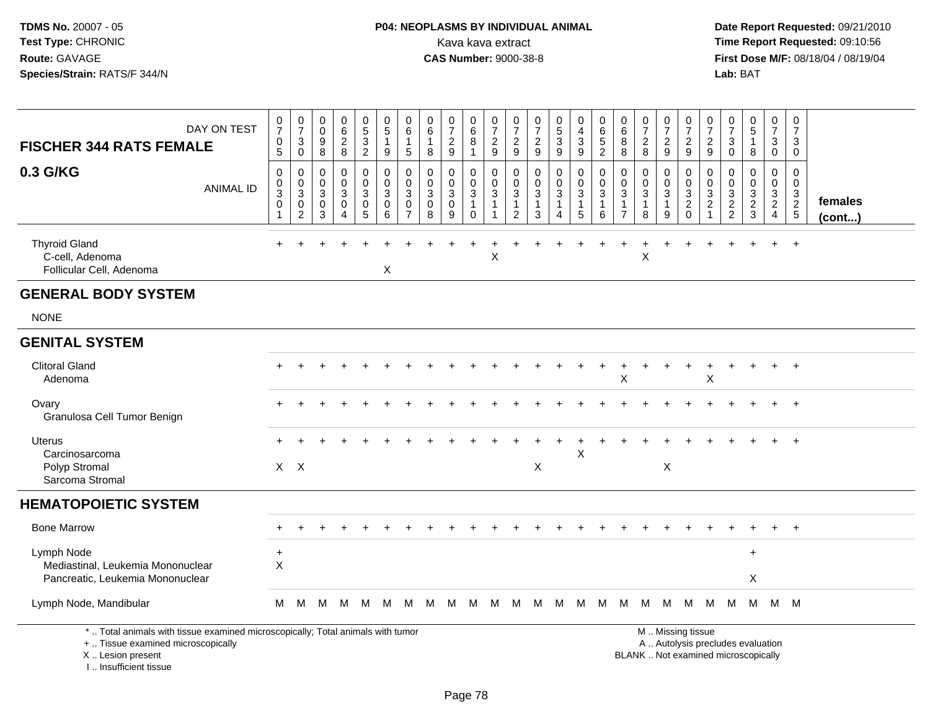# **P04: NEOPLASMS BY INDIVIDUAL ANIMAL**<br>Kava kava extract Kava kava extract **Time Report Requested:** 09:10:56<br>**CAS Number:** 9000-38-8<br>**Tirst Dose M/F:** 08/18/04 / 08/19/04

 **Date Report Requested:** 09/21/2010 **First Dose M/F:** 08/18/04 / 08/19/04 Lab: BAT **Lab:** BAT

| DAY ON TEST<br><b>FISCHER 344 RATS FEMALE</b>                                                                         | $\frac{0}{7}$<br>0<br>5                            | $\frac{0}{7}$<br>$\mathbf{3}$<br>$\mathbf 0$ | 0<br>$\ddot{\mathbf{0}}$<br>$\boldsymbol{9}$<br>8             | 0<br>$6\overline{6}$<br>$\overline{c}$<br>8   | $\begin{matrix} 0 \\ 5 \end{matrix}$<br>$\ensuremath{\mathsf{3}}$<br>$\overline{a}$ | $\begin{smallmatrix}0\0\0\end{smallmatrix}$<br>$\mathbf{1}$<br>9 | 0<br>$\,6\,$<br>$\mathbf 1$<br>5             | $\begin{array}{c} 0 \\ 6 \end{array}$<br>$\mathbf{1}$<br>8     | 0<br>$\overline{7}$<br>$\sqrt{2}$<br>9                         | 0<br>$\,6\,$<br>$\, 8$<br>$\blacktriangleleft$                               | 0<br>$\overline{7}$<br>$\boldsymbol{2}$<br>9 | $\frac{0}{7}$<br>$\overline{a}$<br>9                       | $\frac{0}{7}$<br>$\overline{c}$<br>9                         | $\begin{matrix} 0 \\ 5 \end{matrix}$<br>$\ensuremath{\mathsf{3}}$<br>9 | 0<br>$\overline{\mathbf{4}}$<br>$\mathbf{3}$<br>9                            | 0<br>$\,6\,$<br>$\overline{5}$<br>$\sqrt{2}$        | 0<br>$\,6$<br>8<br>8                                                                      | $\frac{0}{7}$<br>$\overline{\mathbf{c}}$<br>8           | $\frac{0}{7}$<br>$\sqrt{2}$<br>9                        | $\frac{0}{7}$<br>$\boldsymbol{2}$<br>9                                      | 0<br>$\overline{7}$<br>$\overline{2}$<br>9                           | $\frac{0}{7}$<br>$\sqrt{3}$<br>$\Omega$                          | $\begin{array}{c} 0 \\ 5 \end{array}$<br>$\mathbf{1}$<br>8                  | 0<br>$\overline{7}$<br>$\mathbf{3}$<br>$\mathbf 0$                                | 0<br>$\overline{7}$<br>3<br>$\mathbf 0$ |                   |
|-----------------------------------------------------------------------------------------------------------------------|----------------------------------------------------|----------------------------------------------|---------------------------------------------------------------|-----------------------------------------------|-------------------------------------------------------------------------------------|------------------------------------------------------------------|----------------------------------------------|----------------------------------------------------------------|----------------------------------------------------------------|------------------------------------------------------------------------------|----------------------------------------------|------------------------------------------------------------|--------------------------------------------------------------|------------------------------------------------------------------------|------------------------------------------------------------------------------|-----------------------------------------------------|-------------------------------------------------------------------------------------------|---------------------------------------------------------|---------------------------------------------------------|-----------------------------------------------------------------------------|----------------------------------------------------------------------|------------------------------------------------------------------|-----------------------------------------------------------------------------|-----------------------------------------------------------------------------------|-----------------------------------------|-------------------|
| 0.3 G/KG<br><b>ANIMAL ID</b>                                                                                          | 0<br>$\mathbf 0$<br>$\sqrt{3}$<br>$\mathsf 0$<br>1 | 0<br>0<br>$\sqrt{3}$<br>0<br>$\overline{2}$  | $\mathbf 0$<br>$\mathbf 0$<br>$\mathsf 3$<br>$\mathbf 0$<br>3 | 0<br>0<br>$\mathbf{3}$<br>0<br>$\overline{4}$ | 0<br>$\mathsf{O}\xspace$<br>$\overline{3}$<br>$\pmb{0}$<br>$5\phantom{.0}$          | $\mathbf 0$<br>$\mathbf 0$<br>$\overline{3}$<br>$\pmb{0}$<br>6   | $\mathbf 0$<br>0<br>3<br>0<br>$\overline{7}$ | $\mathbf 0$<br>$\mathbf 0$<br>$\overline{3}$<br>$\pmb{0}$<br>8 | $\mathbf 0$<br>$\mathbf 0$<br>$\mathbf{3}$<br>$\mathbf 0$<br>9 | $\mathbf 0$<br>$\boldsymbol{0}$<br>$\sqrt{3}$<br>$\mathbf{1}$<br>$\mathbf 0$ | 0<br>0<br>$\mathbf{3}$<br>$\mathbf 1$<br>1   | 0<br>0<br>$\ensuremath{\mathsf{3}}$<br>$\overline{1}$<br>2 | 0<br>$\boldsymbol{0}$<br>$\overline{3}$<br>$\mathbf{1}$<br>3 | 0<br>$\mathbf 0$<br>$\overline{3}$<br>$\mathbf{1}$<br>$\overline{4}$   | $\mathbf 0$<br>$\mathbf 0$<br>$\overline{3}$<br>$\overline{1}$<br>$\sqrt{5}$ | $\mathbf 0$<br>0<br>$\sqrt{3}$<br>$\mathbf{1}$<br>6 | $\mathbf 0$<br>$\mathbf 0$<br>$\ensuremath{\mathsf{3}}$<br>$\mathbf{1}$<br>$\overline{7}$ | 0<br>$\mathbf 0$<br>$\overline{3}$<br>$\mathbf{1}$<br>8 | 0<br>$\mathbf 0$<br>$\overline{3}$<br>$\mathbf{1}$<br>9 | $\mathbf 0$<br>$\pmb{0}$<br>$\overline{3}$<br>$\overline{c}$<br>$\mathbf 0$ | $\mathbf 0$<br>0<br>$\mathbf{3}$<br>$\overline{c}$<br>$\overline{1}$ | $\mathbf 0$<br>0<br>$\ensuremath{\mathsf{3}}$<br>$\sqrt{2}$<br>2 | 0<br>$\mathbf 0$<br>$\ensuremath{\mathsf{3}}$<br>$\sqrt{2}$<br>$\mathbf{3}$ | $\mathbf 0$<br>$\overline{0}$<br>$\mathbf{3}$<br>$\overline{2}$<br>$\overline{4}$ | 0<br>0<br>3<br>$\overline{2}$<br>5      | females<br>(cont) |
| <b>Thyroid Gland</b><br>C-cell, Adenoma<br>Follicular Cell, Adenoma                                                   |                                                    |                                              |                                                               |                                               |                                                                                     | X                                                                |                                              |                                                                |                                                                |                                                                              | X                                            |                                                            |                                                              |                                                                        |                                                                              |                                                     |                                                                                           | $\sf X$                                                 |                                                         |                                                                             |                                                                      |                                                                  |                                                                             |                                                                                   | $+$                                     |                   |
| <b>GENERAL BODY SYSTEM</b>                                                                                            |                                                    |                                              |                                                               |                                               |                                                                                     |                                                                  |                                              |                                                                |                                                                |                                                                              |                                              |                                                            |                                                              |                                                                        |                                                                              |                                                     |                                                                                           |                                                         |                                                         |                                                                             |                                                                      |                                                                  |                                                                             |                                                                                   |                                         |                   |
| <b>NONE</b>                                                                                                           |                                                    |                                              |                                                               |                                               |                                                                                     |                                                                  |                                              |                                                                |                                                                |                                                                              |                                              |                                                            |                                                              |                                                                        |                                                                              |                                                     |                                                                                           |                                                         |                                                         |                                                                             |                                                                      |                                                                  |                                                                             |                                                                                   |                                         |                   |
| <b>GENITAL SYSTEM</b>                                                                                                 |                                                    |                                              |                                                               |                                               |                                                                                     |                                                                  |                                              |                                                                |                                                                |                                                                              |                                              |                                                            |                                                              |                                                                        |                                                                              |                                                     |                                                                                           |                                                         |                                                         |                                                                             |                                                                      |                                                                  |                                                                             |                                                                                   |                                         |                   |
| <b>Clitoral Gland</b><br>Adenoma                                                                                      |                                                    |                                              |                                                               |                                               |                                                                                     |                                                                  |                                              |                                                                |                                                                |                                                                              |                                              |                                                            |                                                              |                                                                        |                                                                              |                                                     | х                                                                                         |                                                         |                                                         |                                                                             | X                                                                    |                                                                  |                                                                             |                                                                                   | $\ddot{}$                               |                   |
| Ovary<br>Granulosa Cell Tumor Benign                                                                                  |                                                    |                                              |                                                               |                                               |                                                                                     |                                                                  |                                              |                                                                |                                                                |                                                                              |                                              |                                                            |                                                              |                                                                        |                                                                              |                                                     |                                                                                           |                                                         |                                                         |                                                                             |                                                                      |                                                                  |                                                                             |                                                                                   | $\ddot{}$                               |                   |
| <b>Uterus</b><br>Carcinosarcoma<br>Polyp Stromal<br>Sarcoma Stromal                                                   |                                                    | $X$ $X$                                      |                                                               |                                               |                                                                                     |                                                                  |                                              |                                                                |                                                                |                                                                              |                                              |                                                            | X                                                            |                                                                        | $\boldsymbol{\mathsf{X}}$                                                    |                                                     |                                                                                           |                                                         | X                                                       |                                                                             |                                                                      |                                                                  |                                                                             |                                                                                   | $\ddot{}$                               |                   |
| <b>HEMATOPOIETIC SYSTEM</b>                                                                                           |                                                    |                                              |                                                               |                                               |                                                                                     |                                                                  |                                              |                                                                |                                                                |                                                                              |                                              |                                                            |                                                              |                                                                        |                                                                              |                                                     |                                                                                           |                                                         |                                                         |                                                                             |                                                                      |                                                                  |                                                                             |                                                                                   |                                         |                   |
| <b>Bone Marrow</b>                                                                                                    |                                                    |                                              |                                                               |                                               |                                                                                     |                                                                  |                                              |                                                                |                                                                |                                                                              |                                              |                                                            |                                                              |                                                                        |                                                                              |                                                     |                                                                                           |                                                         |                                                         |                                                                             |                                                                      |                                                                  |                                                                             |                                                                                   |                                         |                   |
| Lymph Node<br>Mediastinal, Leukemia Mononuclear<br>Pancreatic, Leukemia Mononuclear                                   | $\ddot{}$<br>$\times$                              |                                              |                                                               |                                               |                                                                                     |                                                                  |                                              |                                                                |                                                                |                                                                              |                                              |                                                            |                                                              |                                                                        |                                                                              |                                                     |                                                                                           |                                                         |                                                         |                                                                             |                                                                      |                                                                  | $\ddot{}$<br>X                                                              |                                                                                   |                                         |                   |
| Lymph Node, Mandibular                                                                                                | М                                                  | М                                            | M                                                             | M                                             | M                                                                                   |                                                                  |                                              | M M M M M M M M M                                              |                                                                |                                                                              |                                              |                                                            |                                                              |                                                                        |                                                                              | M M M M M                                           |                                                                                           |                                                         |                                                         |                                                                             |                                                                      | M M M                                                            | M M M                                                                       |                                                                                   |                                         |                   |
| *  Total animals with tissue examined microscopically; Total animals with tumor<br>+  Tissue examined microscopically |                                                    |                                              |                                                               |                                               |                                                                                     |                                                                  |                                              |                                                                |                                                                |                                                                              |                                              |                                                            |                                                              |                                                                        |                                                                              |                                                     |                                                                                           |                                                         |                                                         | M  Missing tissue                                                           |                                                                      |                                                                  | A  Autolysis precludes evaluation                                           |                                                                                   |                                         |                   |

 Lesion present BLANK .. Not examined microscopicallyX .. Lesion present

I .. Insufficient tissue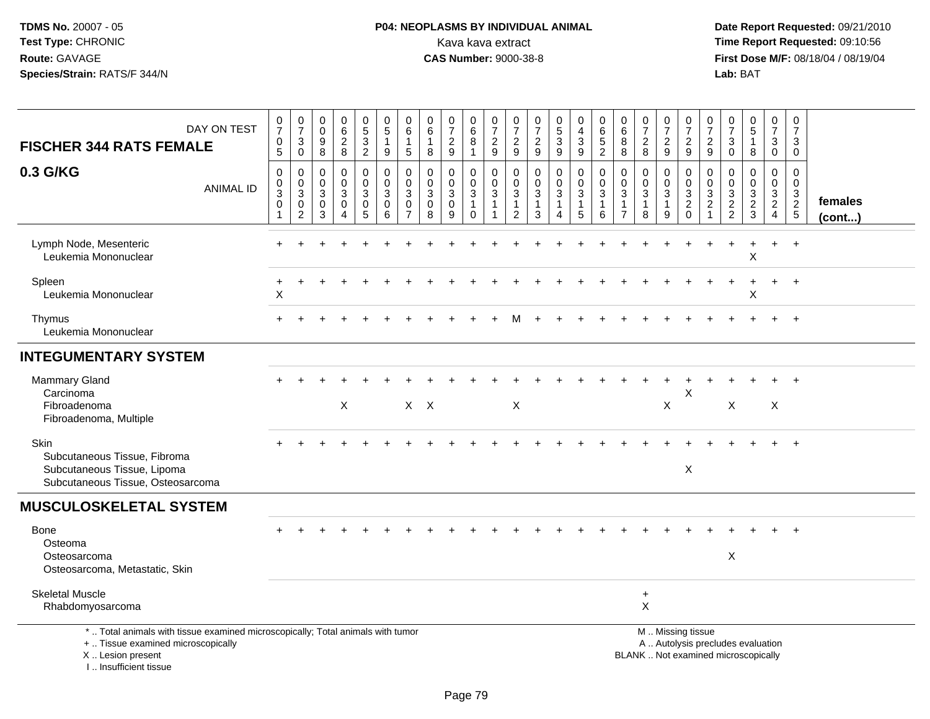# **P04: NEOPLASMS BY INDIVIDUAL ANIMAL**Kava kava extract **Time Report Requested:** 09:10:56<br>**CAS Number:** 9000-38-8 **CAS Number:** 9000-38-8

 **Date Report Requested:** 09/21/2010 **First Dose M/F:** 08/18/04 / 08/19/04 Lab: BAT **Lab:** BAT

| DAY ON TEST<br><b>FISCHER 344 RATS FEMALE</b><br>0.3 G/KG                                                                                                           | $\frac{0}{7}$<br>$\begin{array}{c} 0 \\ 5 \end{array}$<br>$\boldsymbol{0}$ | $\frac{0}{7}$<br>$\sqrt{3}$<br>$\mathbf 0$<br>$\mathbf 0$    | 0<br>$\mathbf 0$<br>$\boldsymbol{9}$<br>8<br>$\mathbf 0$ | $_{6}^{\rm 0}$<br>$\frac{2}{8}$<br>0 | $\begin{array}{c} 0 \\ 5 \end{array}$<br>$\frac{3}{2}$<br>0    | $\begin{array}{c} 0 \\ 5 \end{array}$<br>$\mathbf{1}$<br>$9\,$<br>$\pmb{0}$ | $\boldsymbol{0}$<br>$6\phantom{1}6$<br>$\overline{1}$<br>$\sqrt{5}$<br>$\mathbf 0$ | 0<br>6<br>$\mathbf{1}$<br>8<br>$\mathbf 0$    | $\frac{0}{7}$<br>$\frac{2}{9}$<br>0          | 0<br>$6\overline{6}$<br>8<br>$\mathbf{1}$<br>0                 | $\begin{array}{c} 0 \\ 7 \end{array}$<br>$\frac{2}{9}$<br>0 | $\frac{0}{7}$<br>$\frac{2}{9}$<br>0                           | $\begin{smallmatrix}0\\7\end{smallmatrix}$<br>$\frac{2}{9}$<br>$\mathbf 0$ | $\begin{array}{c} 0 \\ 5 \end{array}$<br>$\mathbf{3}$<br>9<br>0 | 0<br>$\overline{\mathbf{4}}$<br>3<br>9<br>0    | $\begin{array}{c} 0 \\ 6 \end{array}$<br>$\sqrt{5}$<br>$\overline{2}$<br>0 | $\begin{array}{c} 0 \\ 6 \end{array}$<br>$\,8\,$<br>8<br>0      | $\frac{0}{7}$<br>$_{\rm 8}^2$<br>0                 | $\begin{array}{c} 0 \\ 7 \end{array}$<br>$\frac{2}{9}$<br>0   | 0<br>$\overline{7}$<br>$\frac{2}{9}$<br>0                                                     | $\frac{0}{7}$<br>$\frac{2}{9}$<br>$\mathbf 0$                          | $\frac{0}{7}$<br>$\ensuremath{\mathsf{3}}$<br>$\mathsf 0$<br>$\mathbf 0$ | $\begin{array}{c} 0 \\ 5 \end{array}$<br>$\mathbf{1}$<br>8<br>0 | $\frac{0}{7}$<br>$\sqrt{3}$<br>$\mathbf 0$<br>0 | 0<br>$\overline{7}$<br>3<br>$\mathbf 0$<br>$\mathbf 0$ |                   |
|---------------------------------------------------------------------------------------------------------------------------------------------------------------------|----------------------------------------------------------------------------|--------------------------------------------------------------|----------------------------------------------------------|--------------------------------------|----------------------------------------------------------------|-----------------------------------------------------------------------------|------------------------------------------------------------------------------------|-----------------------------------------------|----------------------------------------------|----------------------------------------------------------------|-------------------------------------------------------------|---------------------------------------------------------------|----------------------------------------------------------------------------|-----------------------------------------------------------------|------------------------------------------------|----------------------------------------------------------------------------|-----------------------------------------------------------------|----------------------------------------------------|---------------------------------------------------------------|-----------------------------------------------------------------------------------------------|------------------------------------------------------------------------|--------------------------------------------------------------------------|-----------------------------------------------------------------|-------------------------------------------------|--------------------------------------------------------|-------------------|
| <b>ANIMAL ID</b>                                                                                                                                                    | $\mathbf 0$<br>$\overline{3}$<br>$\mathbf 0$<br>$\mathbf{1}$               | $\mathbf 0$<br>$\mathbf{3}$<br>$\mathbf 0$<br>$\overline{2}$ | $\mathbf 0$<br>3<br>$\mathbf 0$<br>3                     | $\mathbf 0$<br>3<br>$\mathbf 0$<br>4 | $\mathbf 0$<br>$\overline{3}$<br>$\mathbf 0$<br>$\overline{5}$ | $\mathbf 0$<br>$\sqrt{3}$<br>$\pmb{0}$<br>6                                 | $\mathbf 0$<br>$\mathbf{3}$<br>$\mathbf 0$<br>$\overline{7}$                       | $\mathbf 0$<br>$\sqrt{3}$<br>$\mathbf 0$<br>8 | $\mathbf{0}$<br>$\sqrt{3}$<br>$\pmb{0}$<br>9 | $\mathbf 0$<br>$\overline{3}$<br>$\overline{1}$<br>$\mathbf 0$ | $\mathbf{0}$<br>$\mathbf{3}$<br>$\mathbf{1}$<br>$\mathbf 1$ | $\mathbf 0$<br>$\mathbf{3}$<br>$\mathbf{1}$<br>$\overline{c}$ | $\mathbf 0$<br>$\overline{3}$<br>$\mathbf{1}$<br>$\mathbf{3}$              | $\mathbf{0}$<br>$\mathsf 3$<br>$\mathbf{1}$<br>4                | $\mathbf 0$<br>$\sqrt{3}$<br>$\mathbf{1}$<br>5 | $\mathbf 0$<br>$\mathbf{3}$<br>1<br>6                                      | $\mathbf 0$<br>$\mathfrak{S}$<br>$\mathbf{1}$<br>$\overline{7}$ | $\mathbf 0$<br>$\mathfrak{Z}$<br>$\mathbf{1}$<br>8 | $\mathbf 0$<br>$\ensuremath{\mathsf{3}}$<br>$\mathbf{1}$<br>9 | $\Omega$<br>$\sqrt{3}$<br>$\overline{c}$<br>$\mathbf 0$                                       | $\mathbf 0$<br>$\ensuremath{\mathsf{3}}$<br>$\sqrt{2}$<br>$\mathbf{1}$ | $\mathbf 0$<br>$\sqrt{3}$<br>$\frac{2}{2}$                               | $\mathbf 0$<br>3<br>$\frac{2}{3}$                               | $\mathbf 0$<br>$\frac{3}{2}$<br>$\overline{4}$  | $\mathbf 0$<br>$\frac{3}{2}$                           | females<br>(cont) |
| Lymph Node, Mesenteric<br>Leukemia Mononuclear                                                                                                                      |                                                                            |                                                              |                                                          |                                      |                                                                |                                                                             |                                                                                    |                                               |                                              |                                                                |                                                             |                                                               |                                                                            |                                                                 |                                                |                                                                            |                                                                 |                                                    |                                                               |                                                                                               |                                                                        |                                                                          | $\mathsf{X}$                                                    | $\pm$                                           | $+$                                                    |                   |
| Spleen<br>Leukemia Mononuclear                                                                                                                                      | $\times$                                                                   |                                                              |                                                          |                                      |                                                                |                                                                             |                                                                                    |                                               |                                              |                                                                |                                                             |                                                               |                                                                            |                                                                 |                                                |                                                                            |                                                                 |                                                    |                                                               |                                                                                               |                                                                        |                                                                          | X                                                               | $\ddot{}$                                       | $+$                                                    |                   |
| Thymus<br>Leukemia Mononuclear                                                                                                                                      |                                                                            |                                                              |                                                          |                                      |                                                                |                                                                             |                                                                                    |                                               |                                              |                                                                |                                                             |                                                               |                                                                            |                                                                 |                                                |                                                                            |                                                                 |                                                    |                                                               |                                                                                               |                                                                        |                                                                          |                                                                 |                                                 | $+$                                                    |                   |
| <b>INTEGUMENTARY SYSTEM</b>                                                                                                                                         |                                                                            |                                                              |                                                          |                                      |                                                                |                                                                             |                                                                                    |                                               |                                              |                                                                |                                                             |                                                               |                                                                            |                                                                 |                                                |                                                                            |                                                                 |                                                    |                                                               |                                                                                               |                                                                        |                                                                          |                                                                 |                                                 |                                                        |                   |
| <b>Mammary Gland</b><br>Carcinoma<br>Fibroadenoma<br>Fibroadenoma, Multiple                                                                                         |                                                                            |                                                              |                                                          | X                                    |                                                                |                                                                             | $X$ $X$                                                                            |                                               |                                              |                                                                |                                                             | X                                                             |                                                                            |                                                                 |                                                |                                                                            |                                                                 |                                                    | X                                                             | $\times$                                                                                      |                                                                        | X                                                                        |                                                                 | X                                               |                                                        |                   |
| Skin<br>Subcutaneous Tissue, Fibroma<br>Subcutaneous Tissue, Lipoma<br>Subcutaneous Tissue, Osteosarcoma                                                            |                                                                            |                                                              |                                                          |                                      |                                                                |                                                                             |                                                                                    |                                               |                                              |                                                                |                                                             |                                                               |                                                                            |                                                                 |                                                |                                                                            |                                                                 |                                                    |                                                               | $\times$                                                                                      |                                                                        |                                                                          |                                                                 | $\div$                                          | $+$                                                    |                   |
| <b>MUSCULOSKELETAL SYSTEM</b>                                                                                                                                       |                                                                            |                                                              |                                                          |                                      |                                                                |                                                                             |                                                                                    |                                               |                                              |                                                                |                                                             |                                                               |                                                                            |                                                                 |                                                |                                                                            |                                                                 |                                                    |                                                               |                                                                                               |                                                                        |                                                                          |                                                                 |                                                 |                                                        |                   |
| Bone<br>Osteoma<br>Osteosarcoma<br>Osteosarcoma, Metastatic, Skin                                                                                                   |                                                                            |                                                              |                                                          |                                      |                                                                |                                                                             |                                                                                    |                                               |                                              |                                                                |                                                             |                                                               |                                                                            |                                                                 |                                                |                                                                            |                                                                 |                                                    |                                                               |                                                                                               |                                                                        | $\mathsf X$                                                              |                                                                 |                                                 |                                                        |                   |
| <b>Skeletal Muscle</b><br>Rhabdomyosarcoma                                                                                                                          |                                                                            |                                                              |                                                          |                                      |                                                                |                                                                             |                                                                                    |                                               |                                              |                                                                |                                                             |                                                               |                                                                            |                                                                 |                                                |                                                                            |                                                                 | $\ddot{}$<br>X                                     |                                                               |                                                                                               |                                                                        |                                                                          |                                                                 |                                                 |                                                        |                   |
| *  Total animals with tissue examined microscopically; Total animals with tumor<br>+  Tissue examined microscopically<br>X  Lesion present<br>I Insufficient tissue |                                                                            |                                                              |                                                          |                                      |                                                                |                                                                             |                                                                                    |                                               |                                              |                                                                |                                                             |                                                               |                                                                            |                                                                 |                                                |                                                                            |                                                                 |                                                    |                                                               | M  Missing tissue<br>A  Autolysis precludes evaluation<br>BLANK  Not examined microscopically |                                                                        |                                                                          |                                                                 |                                                 |                                                        |                   |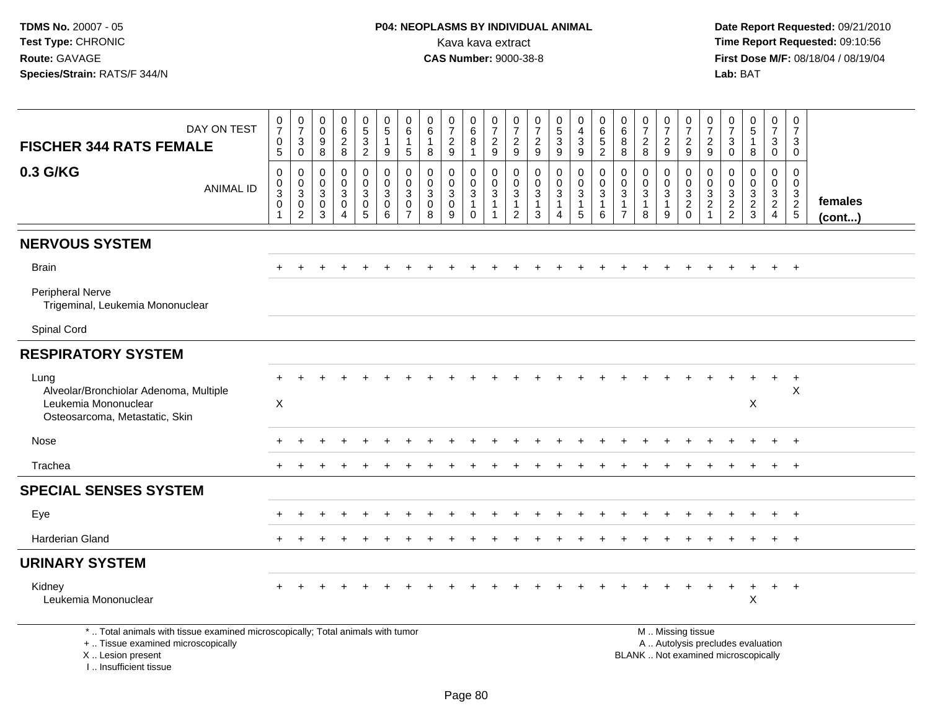**Date Report Requested:** 09/21/2010 **First Dose M/F:** 08/18/04 / 08/19/04 Lab: BAT **Lab:** BAT

| DAY ON TEST<br><b>FISCHER 344 RATS FEMALE</b>                                                                         | $\frac{0}{7}$<br>$\pmb{0}$<br>$\sqrt{5}$                          | $\frac{0}{7}$<br>$\sqrt{3}$<br>$\mathbf 0$                                            | $\begin{smallmatrix} 0\\0 \end{smallmatrix}$<br>$\boldsymbol{9}$<br>8 | $\begin{matrix} 0 \\ 6 \\ 2 \end{matrix}$<br>8                                                 | $\begin{array}{c} 0 \\ 5 \\ 3 \\ 2 \end{array}$      | $\begin{matrix} 0 \\ 5 \end{matrix}$<br>$\mathbf{1}$<br>9                   | $\begin{matrix} 0 \\ 6 \end{matrix}$<br>$\overline{1}$<br>$\sqrt{5}$ | $\begin{array}{c} 0 \\ 6 \end{array}$<br>$\mathbf{1}$<br>8     | $\frac{0}{7}$<br>$\overline{c}$<br>$\boldsymbol{9}$    | $\begin{matrix} 0 \\ 6 \end{matrix}$<br>$\overline{8}$<br>$\mathbf{1}$ | $\frac{0}{7}$<br>$\overline{c}$<br>9                                      | 0<br>$\overline{7}$<br>$\overline{c}$<br>9 | $\frac{0}{7}$<br>$\frac{2}{9}$                     | $\begin{matrix} 0 \\ 5 \end{matrix}$<br>$\overline{3}$<br>$\boldsymbol{9}$ | 0<br>$\overline{\mathbf{4}}$<br>$\sqrt{3}$<br>9                                 | $\begin{array}{c} 0 \\ 6 \\ 5 \end{array}$<br>$\overline{2}$   | $\begin{matrix} 0 \\ 6 \end{matrix}$<br>$\bf8$<br>8      | $\frac{0}{7}$<br>$\overline{c}$<br>8         | $\frac{0}{7}$<br>$\boldsymbol{2}$<br>$\boldsymbol{9}$   | 0<br>$\overline{7}$<br>$\overline{c}$<br>9                | $\frac{0}{7}$<br>$\sqrt{2}$<br>9                                              | $\frac{0}{7}$<br>$\mathsf 3$<br>$\mathbf 0$ | $\begin{array}{c} 0 \\ 5 \end{array}$<br>$\mathbf{1}$<br>8 | $\frac{0}{7}$<br>$\mathbf{3}$<br>$\mathsf{O}\xspace$ | 0<br>$\overline{7}$<br>3<br>$\mathbf 0$     |                   |
|-----------------------------------------------------------------------------------------------------------------------|-------------------------------------------------------------------|---------------------------------------------------------------------------------------|-----------------------------------------------------------------------|------------------------------------------------------------------------------------------------|------------------------------------------------------|-----------------------------------------------------------------------------|----------------------------------------------------------------------|----------------------------------------------------------------|--------------------------------------------------------|------------------------------------------------------------------------|---------------------------------------------------------------------------|--------------------------------------------|----------------------------------------------------|----------------------------------------------------------------------------|---------------------------------------------------------------------------------|----------------------------------------------------------------|----------------------------------------------------------|----------------------------------------------|---------------------------------------------------------|-----------------------------------------------------------|-------------------------------------------------------------------------------|---------------------------------------------|------------------------------------------------------------|------------------------------------------------------|---------------------------------------------|-------------------|
| 0.3 G/KG<br><b>ANIMAL ID</b>                                                                                          | $\mathbf 0$<br>$\mathbf 0$<br>$\overline{3}$<br>$\mathbf 0$<br>-1 | $\boldsymbol{0}$<br>$\mathbf 0$<br>$\mathbf{3}$<br>$\boldsymbol{0}$<br>$\overline{2}$ | 0<br>$\mathbf 0$<br>3<br>0<br>3                                       | $\mathsf{O}$<br>$\mathsf{O}\xspace$<br>$\overline{3}$<br>$\mathsf{O}\xspace$<br>$\overline{4}$ | $\mathsf 0$<br>$_{3}^{\rm 0}$<br>$\overline{0}$<br>5 | $\mathbf 0$<br>$\mathbf 0$<br>$\overline{3}$<br>$\pmb{0}$<br>$6\phantom{1}$ | 0<br>$\mathbf 0$<br>$\mathbf{3}$<br>0<br>$\overline{7}$              | $\mathbf 0$<br>$\mathbf 0$<br>$\overline{3}$<br>$\pmb{0}$<br>8 | 0<br>$\mathbf 0$<br>$\overline{3}$<br>$\mathbf 0$<br>9 | 0<br>$\begin{bmatrix} 0 \\ 3 \\ 1 \end{bmatrix}$<br>$\Omega$           | 0<br>$\mathsf{O}\xspace$<br>$\overline{3}$<br>$\mathbf{1}$<br>$\mathbf 1$ | $\mathbf 0$<br>0<br>3<br>1<br>2            | $\mathbf 0$<br>$_{3}^{\rm 0}$<br>$\mathbf{1}$<br>3 | $\mathbf 0$<br>$\mathbf 0$<br>$\overline{3}$<br>$\mathbf{1}$<br>4          | $\mathbf 0$<br>$\mathbf 0$<br>$\overline{3}$<br>$\mathbf{1}$<br>$5\phantom{.0}$ | $\mathbf 0$<br>$\mathsf{O}\xspace$<br>$\overline{3}$<br>1<br>6 | 0<br>0<br>$\mathbf{3}$<br>$\mathbf{1}$<br>$\overline{7}$ | $\mathbf 0$<br>0<br>$\overline{3}$<br>1<br>8 | 0<br>$\mathbf 0$<br>$\overline{3}$<br>$\mathbf{1}$<br>9 | 0<br>0<br>$\overline{3}$<br>$\overline{2}$<br>$\mathbf 0$ | $\mathbf 0$<br>$\mathbf 0$<br>$\mathbf 3$<br>$\boldsymbol{2}$<br>$\mathbf{1}$ | 0<br>$\mathbf 0$<br>$\frac{3}{2}$           | 0<br>$\mathbf 0$<br>$\frac{3}{2}$                          | $\mathbf 0$<br>$\overline{0}$<br>$\frac{3}{2}$       | $\mathbf 0$<br>$\mathbf 0$<br>$\frac{3}{2}$ | females<br>(cont) |
| <b>NERVOUS SYSTEM</b>                                                                                                 |                                                                   |                                                                                       |                                                                       |                                                                                                |                                                      |                                                                             |                                                                      |                                                                |                                                        |                                                                        |                                                                           |                                            |                                                    |                                                                            |                                                                                 |                                                                |                                                          |                                              |                                                         |                                                           |                                                                               |                                             |                                                            |                                                      |                                             |                   |
| <b>Brain</b>                                                                                                          |                                                                   |                                                                                       |                                                                       |                                                                                                |                                                      |                                                                             |                                                                      |                                                                |                                                        |                                                                        |                                                                           |                                            |                                                    |                                                                            |                                                                                 |                                                                |                                                          |                                              |                                                         |                                                           |                                                                               |                                             |                                                            |                                                      | $+$                                         |                   |
| <b>Peripheral Nerve</b><br>Trigeminal, Leukemia Mononuclear                                                           |                                                                   |                                                                                       |                                                                       |                                                                                                |                                                      |                                                                             |                                                                      |                                                                |                                                        |                                                                        |                                                                           |                                            |                                                    |                                                                            |                                                                                 |                                                                |                                                          |                                              |                                                         |                                                           |                                                                               |                                             |                                                            |                                                      |                                             |                   |
| Spinal Cord                                                                                                           |                                                                   |                                                                                       |                                                                       |                                                                                                |                                                      |                                                                             |                                                                      |                                                                |                                                        |                                                                        |                                                                           |                                            |                                                    |                                                                            |                                                                                 |                                                                |                                                          |                                              |                                                         |                                                           |                                                                               |                                             |                                                            |                                                      |                                             |                   |
| <b>RESPIRATORY SYSTEM</b>                                                                                             |                                                                   |                                                                                       |                                                                       |                                                                                                |                                                      |                                                                             |                                                                      |                                                                |                                                        |                                                                        |                                                                           |                                            |                                                    |                                                                            |                                                                                 |                                                                |                                                          |                                              |                                                         |                                                           |                                                                               |                                             |                                                            |                                                      |                                             |                   |
| Lung<br>Alveolar/Bronchiolar Adenoma, Multiple<br>Leukemia Mononuclear<br>Osteosarcoma, Metastatic, Skin              | $\times$                                                          |                                                                                       |                                                                       |                                                                                                |                                                      |                                                                             |                                                                      |                                                                |                                                        |                                                                        |                                                                           |                                            |                                                    |                                                                            |                                                                                 |                                                                |                                                          |                                              |                                                         |                                                           |                                                                               |                                             | X                                                          | $\ddot{}$                                            | $+$<br>$\times$                             |                   |
| Nose                                                                                                                  |                                                                   |                                                                                       |                                                                       |                                                                                                |                                                      |                                                                             |                                                                      |                                                                |                                                        |                                                                        |                                                                           |                                            |                                                    |                                                                            |                                                                                 |                                                                |                                                          |                                              |                                                         |                                                           |                                                                               |                                             |                                                            |                                                      | $+$                                         |                   |
| Trachea                                                                                                               |                                                                   |                                                                                       |                                                                       |                                                                                                |                                                      |                                                                             |                                                                      |                                                                |                                                        |                                                                        |                                                                           |                                            |                                                    |                                                                            |                                                                                 |                                                                |                                                          |                                              |                                                         |                                                           |                                                                               |                                             |                                                            |                                                      | $+$                                         |                   |
| <b>SPECIAL SENSES SYSTEM</b>                                                                                          |                                                                   |                                                                                       |                                                                       |                                                                                                |                                                      |                                                                             |                                                                      |                                                                |                                                        |                                                                        |                                                                           |                                            |                                                    |                                                                            |                                                                                 |                                                                |                                                          |                                              |                                                         |                                                           |                                                                               |                                             |                                                            |                                                      |                                             |                   |
| Eye                                                                                                                   |                                                                   |                                                                                       |                                                                       |                                                                                                |                                                      |                                                                             |                                                                      |                                                                |                                                        |                                                                        |                                                                           |                                            |                                                    |                                                                            |                                                                                 |                                                                |                                                          |                                              |                                                         |                                                           |                                                                               |                                             |                                                            |                                                      |                                             |                   |
| <b>Harderian Gland</b>                                                                                                |                                                                   |                                                                                       |                                                                       |                                                                                                |                                                      |                                                                             |                                                                      |                                                                |                                                        |                                                                        |                                                                           |                                            |                                                    |                                                                            |                                                                                 |                                                                |                                                          |                                              |                                                         |                                                           |                                                                               |                                             |                                                            |                                                      | $+$                                         |                   |
| <b>URINARY SYSTEM</b>                                                                                                 |                                                                   |                                                                                       |                                                                       |                                                                                                |                                                      |                                                                             |                                                                      |                                                                |                                                        |                                                                        |                                                                           |                                            |                                                    |                                                                            |                                                                                 |                                                                |                                                          |                                              |                                                         |                                                           |                                                                               |                                             |                                                            |                                                      |                                             |                   |
| Kidney<br>Leukemia Mononuclear                                                                                        |                                                                   |                                                                                       |                                                                       |                                                                                                |                                                      |                                                                             |                                                                      |                                                                |                                                        |                                                                        |                                                                           |                                            |                                                    |                                                                            |                                                                                 |                                                                |                                                          |                                              |                                                         |                                                           |                                                                               |                                             | $\boldsymbol{\mathsf{X}}$                                  | $+$                                                  | $+$                                         |                   |
| *  Total animals with tissue examined microscopically; Total animals with tumor<br>+  Tissue examined microscopically |                                                                   |                                                                                       |                                                                       |                                                                                                |                                                      |                                                                             |                                                                      |                                                                |                                                        |                                                                        |                                                                           |                                            |                                                    |                                                                            |                                                                                 |                                                                |                                                          |                                              |                                                         | M. Missing tissue                                         |                                                                               |                                             | A  Autolysis precludes evaluation                          |                                                      |                                             |                   |

X .. Lesion present

I .. Insufficient tissue

Lesion present BLANK .. Not examined microscopically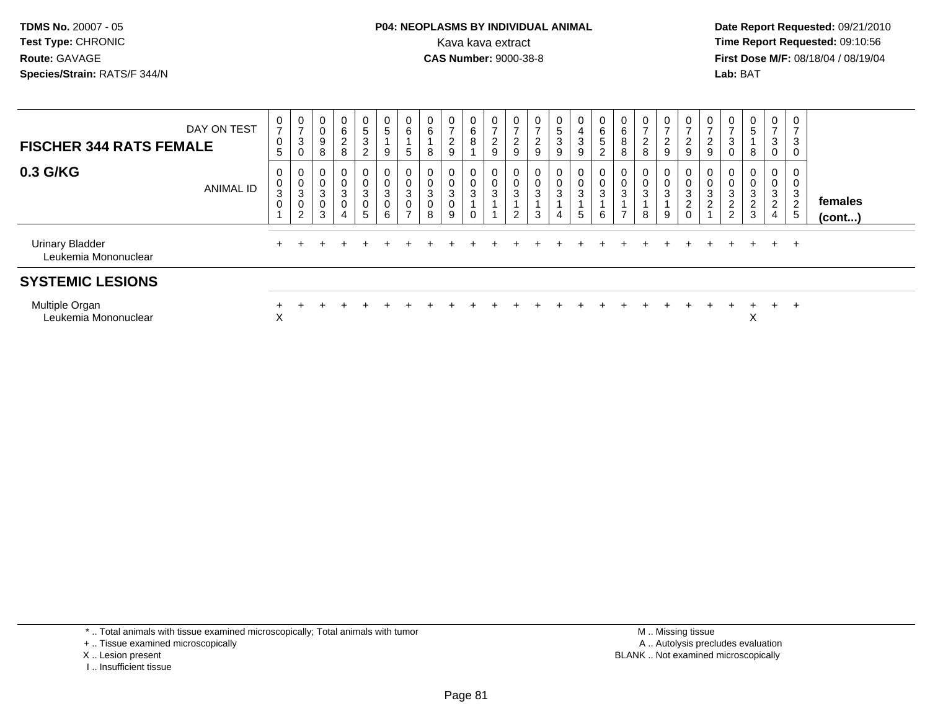#### **P04: NEOPLASMS BY INDIVIDUAL ANIMAL**<br>Kava kava extract Kava kava extract **Time Report Requested:** 09:10:56<br>**CAS Number:** 9000-38-8<br>**Tirst Dose M/F:** 08/18/04 / 08/19/04

 **Date Report Requested:** 09/21/2010 **First Dose M/F:** 08/18/04 / 08/19/04 Lab: BAT **Lab:** BAT

| DAY ON TEST<br><b>FISCHER 344 RATS FEMALE</b>  | $\frac{0}{7}$<br>$\boldsymbol{0}$<br>5 | $\overline{0}$<br>$\rightarrow$<br>$\ensuremath{\mathsf{3}}$<br>0 | U<br>0<br>9<br>8 | $\overline{0}$<br>$\,6$<br>$\frac{2}{8}$                        | $\begin{array}{c} 0 \\ 5 \\ 3 \end{array}$<br>$\overline{c}$                    | $\begin{matrix} 0 \\ 5 \end{matrix}$<br>$\mathbf{1}$<br>$9\,$ | 0<br>6<br>5                                                    | 0<br>6<br>8                  | 0<br>$\rightarrow$<br>$\frac{2}{9}$ | $\overline{0}$<br>6<br>8 | 0<br>$\rightarrow$<br>$\boldsymbol{2}$<br>9 | U<br>$\overline{c}$<br>9         | $\frac{0}{7}$<br>$\frac{2}{9}$ | 0<br>$\sqrt{5}$<br>$\ensuremath{\mathsf{3}}$<br>9 | $\mathbf 0$<br>$\begin{array}{c} 4 \\ 3 \\ 9 \end{array}$ | 0<br>6<br>5<br>$\sim$ | 6<br>8              | 0<br>$\overline{ }$<br>$\frac{2}{8}$ | $\frac{0}{7}$<br>$\frac{2}{9}$                       | $\mathbf{0}$<br>$\overline{c}$<br>$9\,$      | $\frac{0}{7}$<br>$\frac{2}{9}$                   | $\mathbf{0}$<br>$\overline{ }$<br>$\mathbf{3}$                             | $\frac{0}{5}$<br>8                              | 0<br>$\overline{7}$<br>3<br>$\mathbf 0$ | 3                        |                   |
|------------------------------------------------|----------------------------------------|-------------------------------------------------------------------|------------------|-----------------------------------------------------------------|---------------------------------------------------------------------------------|---------------------------------------------------------------|----------------------------------------------------------------|------------------------------|-------------------------------------|--------------------------|---------------------------------------------|----------------------------------|--------------------------------|---------------------------------------------------|-----------------------------------------------------------|-----------------------|---------------------|--------------------------------------|------------------------------------------------------|----------------------------------------------|--------------------------------------------------|----------------------------------------------------------------------------|-------------------------------------------------|-----------------------------------------|--------------------------|-------------------|
| 0.3 G/KG<br><b>ANIMAL ID</b>                   | 0<br>$\pmb{0}$<br>3<br>$\mathbf 0$     | 0<br>$\pmb{0}$<br>$\ensuremath{\mathsf{3}}$<br>$\pmb{0}$<br>2     | 0<br>3<br>0<br>3 | 0<br>$\mathsf 0$<br>$\sqrt{3}$<br>$\mathbf 0$<br>$\overline{4}$ | $\begin{smallmatrix} 0\\0\\3 \end{smallmatrix}$<br>$\pmb{0}$<br>$5\phantom{.0}$ | $\begin{matrix} 0 \\ 0 \\ 3 \\ 0 \end{matrix}$<br>$\,6\,$     | 0<br>$\mathsf{O}\xspace$<br>$\mathbf 3$<br>0<br>$\overline{ }$ | $\pmb{0}$<br>$\sqrt{3}$<br>8 | 0<br>0<br>3<br>9                    | $\mathbf{3}$             | 0<br>$\pmb{0}$<br>$\ensuremath{\mathsf{3}}$ | $\pmb{0}$<br>3<br>$\overline{2}$ | $\bf{0}$<br>$\frac{0}{3}$<br>3 | $\mathbf 0$<br>0<br>3<br>4                        | $\begin{matrix} 0 \\ 0 \\ 3 \end{matrix}$<br>5            | $\mathbf 0$<br>3<br>6 | 3<br>$\overline{ }$ | 0<br>$\pmb{0}$<br>3<br>8             | $\begin{smallmatrix} 0\0\0\3 \end{smallmatrix}$<br>9 | U<br>$\pmb{0}$<br>3<br>2<br>$\boldsymbol{0}$ | 0<br>$\pmb{0}$<br>$\mathbf{3}$<br>$\overline{c}$ | $\mathbf 0$<br>$\pmb{0}$<br>$\sqrt{3}$<br>$\overline{c}$<br>$\overline{c}$ | 0<br>$\pmb{0}$<br>$\mathbf{3}$<br>$\frac{2}{3}$ | 0<br>$\mathbf 0$<br>3<br>2<br>4         | 3<br>$\overline{2}$<br>5 | females<br>(cont) |
| <b>Urinary Bladder</b><br>Leukemia Mononuclear | $+$                                    |                                                                   |                  |                                                                 |                                                                                 |                                                               |                                                                |                              |                                     |                          |                                             |                                  |                                |                                                   |                                                           |                       |                     |                                      |                                                      |                                              |                                                  |                                                                            |                                                 | $+$                                     | $^+$                     |                   |
| <b>SYSTEMIC LESIONS</b>                        |                                        |                                                                   |                  |                                                                 |                                                                                 |                                                               |                                                                |                              |                                     |                          |                                             |                                  |                                |                                                   |                                                           |                       |                     |                                      |                                                      |                                              |                                                  |                                                                            |                                                 |                                         |                          |                   |
| Multiple Organ<br>Leukemia Mononuclear         | X                                      |                                                                   |                  |                                                                 |                                                                                 |                                                               |                                                                |                              |                                     |                          |                                             |                                  |                                |                                                   |                                                           |                       |                     |                                      |                                                      |                                              |                                                  |                                                                            | ∧                                               | $+$                                     | $\overline{ }$           |                   |

\* .. Total animals with tissue examined microscopically; Total animals with tumor

+ .. Tissue examined microscopically

X .. Lesion present

I .. Insufficient tissue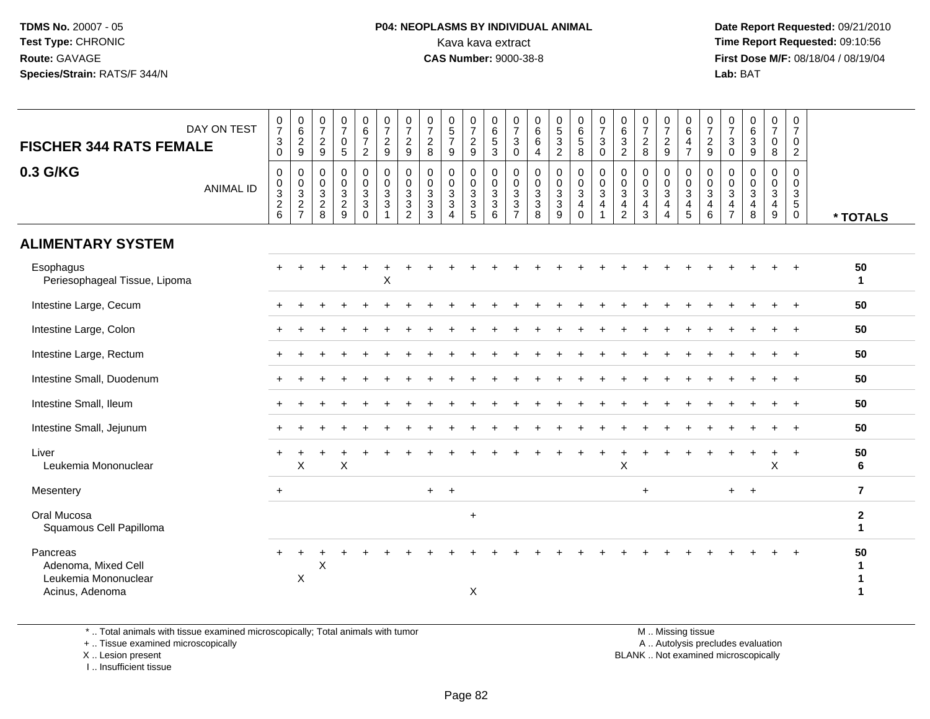#### **P04: NEOPLASMS BY INDIVIDUAL ANIMAL**<br>Kava kava extract Kava kava extract **Time Report Requested:** 09:10:56<br>**CAS Number:** 9000-38-8<br>**Tirst Dose M/F:** 08/18/04 / 08/19/04

 **Date Report Requested:** 09/21/2010 **First Dose M/F:** 08/18/04 / 08/19/04 Lab: BAT **Lab:** BAT

| $\frac{0}{7}$<br>$\begin{array}{c} 0 \\ 6 \end{array}$<br>0<br>$\frac{0}{7}$<br>$\begin{array}{c} 0 \\ 5 \\ 7 \end{array}$<br>$\frac{0}{7}$<br>$\frac{0}{7}$<br>$\begin{array}{c} 0 \\ 5 \\ 2 \end{array}$<br>$\frac{0}{7}$<br>$\begin{array}{c} 0 \\ 6 \end{array}$<br>$\frac{0}{7}$<br>0<br>$\frac{0}{7}$<br>0<br>0<br>$\frac{0}{7}$<br>0<br>0<br>0<br>0<br>0<br>$\frac{0}{7}$<br>0<br>$\frac{0}{7}$<br>0<br>DAY ON TEST<br>$\overline{7}$<br>$\overline{7}$<br>$\overline{6}$<br>$6\phantom{a}$<br>$6\overline{6}$<br>$\overline{6}$<br>5<br>$\overline{7}$<br>$\overline{7}$<br>$\,6\,$<br>$\overline{7}$<br>$\,6\,$<br>$\ensuremath{\mathsf{3}}$<br>$\frac{2}{9}$<br>$\overline{7}$<br>$\overline{c}$<br>$\,$ 5 $\,$<br>$\ensuremath{\mathsf{3}}$<br>3<br>$\sqrt{2}$<br>$\frac{2}{9}$<br>$\frac{2}{9}$<br>$\overline{c}$<br>$\overline{c}$<br>$\sqrt{2}$<br>$\overline{c}$<br>3<br>$\frac{4}{7}$<br>3<br>$\sqrt{3}$<br>$\pmb{0}$<br>0<br>6<br>0<br><b>FISCHER 344 RATS FEMALE</b><br>$\pmb{0}$<br>$\boldsymbol{9}$<br>$\sqrt{5}$<br>$9\,$<br>$\boldsymbol{9}$<br>$\bf8$<br>9<br>$\boldsymbol{9}$<br>3<br>$\bf 8$<br>$\overline{a}$<br>$\bf8$<br>8<br>$\overline{2}$<br>$\overline{2}$<br>0<br>$\mathbf 0$<br>9<br>4<br>0<br>0.3 G/KG<br>$\mathsf 0$<br>$\mathbf 0$<br>$\pmb{0}$<br>$\pmb{0}$<br>$\pmb{0}$<br>$\mathbf 0$<br>0<br>$\pmb{0}$<br>$\mathbf 0$<br>$\mathbf 0$<br>$\pmb{0}$<br>$\mathbf 0$<br>0<br>$\pmb{0}$<br>0<br>$\mathbf 0$<br>$\pmb{0}$<br>$\pmb{0}$<br>$\mathbf 0$<br>$\mathbf 0$<br>$\mathbf 0$<br>$\mathbf 0$<br>$\mathbf 0$<br>$\mathbf 0$<br>$\Omega$<br>$\overline{0}$<br>3<br>$\pmb{0}$<br>$\pmb{0}$<br>$\frac{0}{3}$<br>$\frac{0}{3}$<br>$\frac{0}{3}$<br>$\frac{0}{3}$<br>$\frac{0}{3}$<br>$\begin{smallmatrix} 0\\ 3 \end{smallmatrix}$<br>$\mathbf 0$<br>$\mathsf 0$<br>$\pmb{0}$<br>$\pmb{0}$<br>$\mathsf{O}\xspace$<br>$\mathbf 0$<br>$\mathsf{O}\xspace$<br>$\pmb{0}$<br>$\pmb{0}$<br>$\pmb{0}$<br>$\mathsf{O}$<br>$\pmb{0}$<br>$\mathbf 0$<br>$\mathbf 0$<br>0<br>0<br><b>ANIMAL ID</b><br>$\overline{3}$<br>$\overline{3}$<br>$\overline{3}$<br>$\overline{3}$<br>$\overline{3}$<br>$\overline{3}$<br>$\overline{3}$<br>$\overline{3}$<br>$\overline{3}$<br>$\overline{3}$<br>$\overline{3}$<br>$\sqrt{3}$<br>$\mathbf{3}$<br>$\mathbf{3}$<br>$\mathbf{3}$<br>$\mathfrak{S}$<br>$\mathbf{3}$<br>$\mathsf 3$<br>$\frac{2}{6}$<br>$\frac{2}{7}$<br>$\ensuremath{\mathsf{3}}$<br>$\sqrt{3}$<br>$\sqrt{5}$<br>$\boldsymbol{2}$<br>$\overline{c}$<br>3<br>3<br>$\ensuremath{\mathsf{3}}$<br>$\ensuremath{\mathsf{3}}$<br>$\sqrt{3}$<br>3<br>$\ensuremath{\mathsf{3}}$<br>$\ensuremath{\mathsf{3}}$<br>$\overline{4}$<br>4<br>$\overline{4}$<br>$\overline{4}$<br>$\overline{4}$<br>$\overline{4}$<br>$\overline{4}$<br>4<br>$\overline{4}$<br>4<br>$\mathbf{3}$<br>$\sqrt{5}$<br>8<br>9<br>$\overline{2}$<br>5<br>6<br>$\overline{7}$<br>8<br>9<br>$\Omega$<br>$\overline{2}$<br>3<br>6<br>9<br>$\Omega$<br>$\overline{4}$<br>$\overline{4}$<br>$\overline{7}$<br>8<br>$\mathbf 0$<br>1<br><b>ALIMENTARY SYSTEM</b><br>Esophagus<br>50<br>$\mathsf X$<br>Periesophageal Tissue, Lipoma<br>$\mathbf{1}$<br>Intestine Large, Cecum<br>50<br>Intestine Large, Colon<br>50<br>Intestine Large, Rectum<br>50<br>Intestine Small, Duodenum<br>50<br>Intestine Small, Ileum<br>50<br>$+$<br>Intestine Small, Jejunum<br>50<br>Liver<br>50<br>$\sf X$<br>Leukemia Mononuclear<br>X<br>X<br>Χ<br>6<br>$\overline{7}$<br>Mesentery<br>$+$<br>$+$<br>$+$<br>$+$<br>$+$<br>$\ddot{+}$<br>Oral Mucosa<br>$\mathbf 2$<br>$\ddot{}$<br>Squamous Cell Papilloma<br>1<br>Pancreas<br>50<br>Adenoma, Mixed Cell<br>Χ<br>1<br>X<br>Leukemia Mononuclear<br>1 |                 |  |  |  |  |  |   |  |  |  |  |  |  |  |          |
|---------------------------------------------------------------------------------------------------------------------------------------------------------------------------------------------------------------------------------------------------------------------------------------------------------------------------------------------------------------------------------------------------------------------------------------------------------------------------------------------------------------------------------------------------------------------------------------------------------------------------------------------------------------------------------------------------------------------------------------------------------------------------------------------------------------------------------------------------------------------------------------------------------------------------------------------------------------------------------------------------------------------------------------------------------------------------------------------------------------------------------------------------------------------------------------------------------------------------------------------------------------------------------------------------------------------------------------------------------------------------------------------------------------------------------------------------------------------------------------------------------------------------------------------------------------------------------------------------------------------------------------------------------------------------------------------------------------------------------------------------------------------------------------------------------------------------------------------------------------------------------------------------------------------------------------------------------------------------------------------------------------------------------------------------------------------------------------------------------------------------------------------------------------------------------------------------------------------------------------------------------------------------------------------------------------------------------------------------------------------------------------------------------------------------------------------------------------------------------------------------------------------------------------------------------------------------------------------------------------------------------------------------------------------------------------------------------------------------------------------------------------------------------------------------------------------------------------------------------------------------------------------------------------------------------------------------------------------------------------------------------------------------------------------------------------------------------------------------------------------------------------------------------------------------------------------------------------------------------------------------------------------------------------------------------------------------------------------------------------------------------------------------------------------------------------------------------------------------------------------------------------------------------------------------------------------------------------------------------------------------------------------------------------------------|-----------------|--|--|--|--|--|---|--|--|--|--|--|--|--|----------|
|                                                                                                                                                                                                                                                                                                                                                                                                                                                                                                                                                                                                                                                                                                                                                                                                                                                                                                                                                                                                                                                                                                                                                                                                                                                                                                                                                                                                                                                                                                                                                                                                                                                                                                                                                                                                                                                                                                                                                                                                                                                                                                                                                                                                                                                                                                                                                                                                                                                                                                                                                                                                                                                                                                                                                                                                                                                                                                                                                                                                                                                                                                                                                                                                                                                                                                                                                                                                                                                                                                                                                                                                                                                                           |                 |  |  |  |  |  |   |  |  |  |  |  |  |  |          |
|                                                                                                                                                                                                                                                                                                                                                                                                                                                                                                                                                                                                                                                                                                                                                                                                                                                                                                                                                                                                                                                                                                                                                                                                                                                                                                                                                                                                                                                                                                                                                                                                                                                                                                                                                                                                                                                                                                                                                                                                                                                                                                                                                                                                                                                                                                                                                                                                                                                                                                                                                                                                                                                                                                                                                                                                                                                                                                                                                                                                                                                                                                                                                                                                                                                                                                                                                                                                                                                                                                                                                                                                                                                                           |                 |  |  |  |  |  |   |  |  |  |  |  |  |  | * TOTALS |
|                                                                                                                                                                                                                                                                                                                                                                                                                                                                                                                                                                                                                                                                                                                                                                                                                                                                                                                                                                                                                                                                                                                                                                                                                                                                                                                                                                                                                                                                                                                                                                                                                                                                                                                                                                                                                                                                                                                                                                                                                                                                                                                                                                                                                                                                                                                                                                                                                                                                                                                                                                                                                                                                                                                                                                                                                                                                                                                                                                                                                                                                                                                                                                                                                                                                                                                                                                                                                                                                                                                                                                                                                                                                           |                 |  |  |  |  |  |   |  |  |  |  |  |  |  |          |
|                                                                                                                                                                                                                                                                                                                                                                                                                                                                                                                                                                                                                                                                                                                                                                                                                                                                                                                                                                                                                                                                                                                                                                                                                                                                                                                                                                                                                                                                                                                                                                                                                                                                                                                                                                                                                                                                                                                                                                                                                                                                                                                                                                                                                                                                                                                                                                                                                                                                                                                                                                                                                                                                                                                                                                                                                                                                                                                                                                                                                                                                                                                                                                                                                                                                                                                                                                                                                                                                                                                                                                                                                                                                           |                 |  |  |  |  |  |   |  |  |  |  |  |  |  |          |
|                                                                                                                                                                                                                                                                                                                                                                                                                                                                                                                                                                                                                                                                                                                                                                                                                                                                                                                                                                                                                                                                                                                                                                                                                                                                                                                                                                                                                                                                                                                                                                                                                                                                                                                                                                                                                                                                                                                                                                                                                                                                                                                                                                                                                                                                                                                                                                                                                                                                                                                                                                                                                                                                                                                                                                                                                                                                                                                                                                                                                                                                                                                                                                                                                                                                                                                                                                                                                                                                                                                                                                                                                                                                           |                 |  |  |  |  |  |   |  |  |  |  |  |  |  |          |
|                                                                                                                                                                                                                                                                                                                                                                                                                                                                                                                                                                                                                                                                                                                                                                                                                                                                                                                                                                                                                                                                                                                                                                                                                                                                                                                                                                                                                                                                                                                                                                                                                                                                                                                                                                                                                                                                                                                                                                                                                                                                                                                                                                                                                                                                                                                                                                                                                                                                                                                                                                                                                                                                                                                                                                                                                                                                                                                                                                                                                                                                                                                                                                                                                                                                                                                                                                                                                                                                                                                                                                                                                                                                           |                 |  |  |  |  |  |   |  |  |  |  |  |  |  |          |
|                                                                                                                                                                                                                                                                                                                                                                                                                                                                                                                                                                                                                                                                                                                                                                                                                                                                                                                                                                                                                                                                                                                                                                                                                                                                                                                                                                                                                                                                                                                                                                                                                                                                                                                                                                                                                                                                                                                                                                                                                                                                                                                                                                                                                                                                                                                                                                                                                                                                                                                                                                                                                                                                                                                                                                                                                                                                                                                                                                                                                                                                                                                                                                                                                                                                                                                                                                                                                                                                                                                                                                                                                                                                           |                 |  |  |  |  |  |   |  |  |  |  |  |  |  |          |
|                                                                                                                                                                                                                                                                                                                                                                                                                                                                                                                                                                                                                                                                                                                                                                                                                                                                                                                                                                                                                                                                                                                                                                                                                                                                                                                                                                                                                                                                                                                                                                                                                                                                                                                                                                                                                                                                                                                                                                                                                                                                                                                                                                                                                                                                                                                                                                                                                                                                                                                                                                                                                                                                                                                                                                                                                                                                                                                                                                                                                                                                                                                                                                                                                                                                                                                                                                                                                                                                                                                                                                                                                                                                           |                 |  |  |  |  |  |   |  |  |  |  |  |  |  |          |
|                                                                                                                                                                                                                                                                                                                                                                                                                                                                                                                                                                                                                                                                                                                                                                                                                                                                                                                                                                                                                                                                                                                                                                                                                                                                                                                                                                                                                                                                                                                                                                                                                                                                                                                                                                                                                                                                                                                                                                                                                                                                                                                                                                                                                                                                                                                                                                                                                                                                                                                                                                                                                                                                                                                                                                                                                                                                                                                                                                                                                                                                                                                                                                                                                                                                                                                                                                                                                                                                                                                                                                                                                                                                           |                 |  |  |  |  |  |   |  |  |  |  |  |  |  |          |
|                                                                                                                                                                                                                                                                                                                                                                                                                                                                                                                                                                                                                                                                                                                                                                                                                                                                                                                                                                                                                                                                                                                                                                                                                                                                                                                                                                                                                                                                                                                                                                                                                                                                                                                                                                                                                                                                                                                                                                                                                                                                                                                                                                                                                                                                                                                                                                                                                                                                                                                                                                                                                                                                                                                                                                                                                                                                                                                                                                                                                                                                                                                                                                                                                                                                                                                                                                                                                                                                                                                                                                                                                                                                           |                 |  |  |  |  |  |   |  |  |  |  |  |  |  |          |
|                                                                                                                                                                                                                                                                                                                                                                                                                                                                                                                                                                                                                                                                                                                                                                                                                                                                                                                                                                                                                                                                                                                                                                                                                                                                                                                                                                                                                                                                                                                                                                                                                                                                                                                                                                                                                                                                                                                                                                                                                                                                                                                                                                                                                                                                                                                                                                                                                                                                                                                                                                                                                                                                                                                                                                                                                                                                                                                                                                                                                                                                                                                                                                                                                                                                                                                                                                                                                                                                                                                                                                                                                                                                           |                 |  |  |  |  |  |   |  |  |  |  |  |  |  |          |
|                                                                                                                                                                                                                                                                                                                                                                                                                                                                                                                                                                                                                                                                                                                                                                                                                                                                                                                                                                                                                                                                                                                                                                                                                                                                                                                                                                                                                                                                                                                                                                                                                                                                                                                                                                                                                                                                                                                                                                                                                                                                                                                                                                                                                                                                                                                                                                                                                                                                                                                                                                                                                                                                                                                                                                                                                                                                                                                                                                                                                                                                                                                                                                                                                                                                                                                                                                                                                                                                                                                                                                                                                                                                           |                 |  |  |  |  |  |   |  |  |  |  |  |  |  |          |
|                                                                                                                                                                                                                                                                                                                                                                                                                                                                                                                                                                                                                                                                                                                                                                                                                                                                                                                                                                                                                                                                                                                                                                                                                                                                                                                                                                                                                                                                                                                                                                                                                                                                                                                                                                                                                                                                                                                                                                                                                                                                                                                                                                                                                                                                                                                                                                                                                                                                                                                                                                                                                                                                                                                                                                                                                                                                                                                                                                                                                                                                                                                                                                                                                                                                                                                                                                                                                                                                                                                                                                                                                                                                           |                 |  |  |  |  |  |   |  |  |  |  |  |  |  |          |
|                                                                                                                                                                                                                                                                                                                                                                                                                                                                                                                                                                                                                                                                                                                                                                                                                                                                                                                                                                                                                                                                                                                                                                                                                                                                                                                                                                                                                                                                                                                                                                                                                                                                                                                                                                                                                                                                                                                                                                                                                                                                                                                                                                                                                                                                                                                                                                                                                                                                                                                                                                                                                                                                                                                                                                                                                                                                                                                                                                                                                                                                                                                                                                                                                                                                                                                                                                                                                                                                                                                                                                                                                                                                           | Acinus, Adenoma |  |  |  |  |  | X |  |  |  |  |  |  |  |          |

\* .. Total animals with tissue examined microscopically; Total animals with tumor

+ .. Tissue examined microscopically

 Lesion present BLANK .. Not examined microscopicallyX .. Lesion present

I .. Insufficient tissue

 M .. Missing tissuey the contract of the contract of the contract of the contract of the contract of the contract of the contract of  $A$ . Autolysis precludes evaluation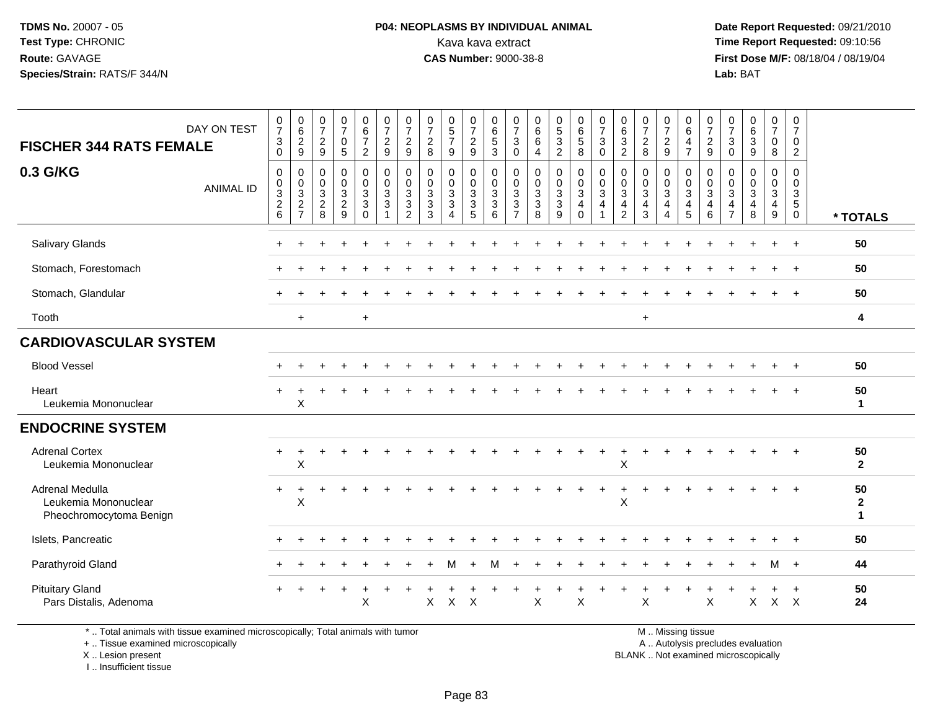#### **P04: NEOPLASMS BY INDIVIDUAL ANIMAL**<br>Kava kava extract Kava kava extract **Time Report Requested:** 09:10:56<br>**CAS Number:** 9000-38-8<br>**Tirst Dose M/F:** 08/18/04 / 08/19/04

 **Date Report Requested:** 09/21/2010 **First Dose M/F:** 08/18/04 / 08/19/04 Lab: BAT **Lab:** BAT

| DAY ON TEST<br><b>FISCHER 344 RATS FEMALE</b>                                                                              | $\frac{0}{7}$<br>$\mathbf 3$<br>$\Omega$                                     | $\begin{array}{c} 0 \\ 6 \end{array}$<br>$\frac{2}{9}$                       | $\begin{smallmatrix}0\\7\end{smallmatrix}$<br>$\frac{2}{9}$ | $\frac{0}{7}$<br>0<br>5            | $\begin{array}{c} 0 \\ 6 \\ 7 \end{array}$<br>$\boldsymbol{2}$ | $\frac{0}{7}$<br>$\frac{2}{9}$            | 0<br>$\overline{7}$<br>$\overline{2}$<br>$9\,$ | 0<br>$\overline{7}$<br>$\boldsymbol{2}$<br>8 | $\begin{array}{c} 0 \\ 5 \\ 7 \end{array}$<br>9 | $\frac{0}{7}$<br>$\frac{2}{9}$                                        | 0<br>$6\phantom{a}$<br>$\overline{5}$<br>$\overline{3}$ | $\begin{smallmatrix}0\\7\end{smallmatrix}$<br>$\mathbf{3}$<br>$\mathbf 0$ | 0<br>6<br>$\,6\,$<br>4                                      | $\begin{array}{c} 0 \\ 5 \end{array}$<br>$\overline{3}$<br>$\overline{2}$ | $\begin{array}{c} 0 \\ 6 \\ 5 \end{array}$<br>8                          | $\frac{0}{7}$<br>$\sqrt{3}$<br>$\mathbf 0$                    | 0<br>$6\overline{6}$<br>$\mathbf{3}$<br>$\overline{2}$    | $\frac{0}{7}$<br>$\overline{2}$<br>8         | 0<br>$\overline{7}$<br>$\frac{2}{9}$                | 0<br>$6\overline{6}$<br>4<br>$\overline{7}$                 | 0<br>$\overline{7}$<br>$\overline{a}$<br>9 | 0<br>$\overline{7}$<br>3<br>0                   | $\begin{array}{c} 0 \\ 6 \end{array}$<br>$\overline{3}$<br>$9\,$ | 0<br>$\overline{7}$<br>0<br>8        | 0<br>$\overline{7}$<br>0<br>$\boldsymbol{2}$                      |                                    |
|----------------------------------------------------------------------------------------------------------------------------|------------------------------------------------------------------------------|------------------------------------------------------------------------------|-------------------------------------------------------------|------------------------------------|----------------------------------------------------------------|-------------------------------------------|------------------------------------------------|----------------------------------------------|-------------------------------------------------|-----------------------------------------------------------------------|---------------------------------------------------------|---------------------------------------------------------------------------|-------------------------------------------------------------|---------------------------------------------------------------------------|--------------------------------------------------------------------------|---------------------------------------------------------------|-----------------------------------------------------------|----------------------------------------------|-----------------------------------------------------|-------------------------------------------------------------|--------------------------------------------|-------------------------------------------------|------------------------------------------------------------------|--------------------------------------|-------------------------------------------------------------------|------------------------------------|
| 0.3 G/KG<br><b>ANIMAL ID</b>                                                                                               | $\mathbf 0$<br>$\pmb{0}$<br>$\ensuremath{\mathsf{3}}$<br>$\overline{c}$<br>6 | $\mathbf 0$<br>$\mathbf 0$<br>$\sqrt{3}$<br>$\overline{c}$<br>$\overline{7}$ | 0<br>0<br>3<br>$\sqrt{2}$<br>8                              | 0<br>0<br>3<br>$\overline{c}$<br>9 | 0<br>$_{3}^{\rm 0}$<br>$\sqrt{3}$<br>$\Omega$                  | $\mathbf 0$<br>$\pmb{0}$<br>$\frac{3}{3}$ | 0<br>0<br>3<br>$\ensuremath{\mathsf{3}}$<br>2  | $\mathbf 0$<br>0<br>3<br>$\sqrt{3}$<br>3     | 0<br>0<br>3<br>3                                | 0<br>0<br>$\ensuremath{\mathsf{3}}$<br>$\ensuremath{\mathsf{3}}$<br>5 | 0<br>$_{3}^{\rm 0}$<br>$\sqrt{3}$<br>6                  | $\mathbf 0$<br>$\mathbf 0$<br>$\mathsf 3$<br>$\sqrt{3}$                   | $\mathbf 0$<br>$\mathbf 0$<br>$\sqrt{3}$<br>$\sqrt{3}$<br>8 | 0<br>0<br>3<br>$\mathbf{3}$<br>9                                          | 0<br>$\mathsf{O}\xspace$<br>$\overline{3}$<br>$\overline{4}$<br>$\Omega$ | 0<br>$\pmb{0}$<br>$\ensuremath{\mathsf{3}}$<br>$\overline{4}$ | $\mathbf 0$<br>0<br>3<br>$\overline{4}$<br>$\overline{2}$ | $\mathbf 0$<br>0<br>3<br>$\overline{4}$<br>3 | 0<br>$\pmb{0}$<br>$\sqrt{3}$<br>$\overline{4}$<br>4 | 0<br>$\mathbf 0$<br>$\mathsf 3$<br>$\overline{4}$<br>5      | 0<br>0<br>3<br>4<br>6                      | 0<br>0<br>3<br>$\overline{4}$<br>$\overline{7}$ | $\mathbf 0$<br>$\mathbf 0$<br>$\sqrt{3}$<br>$\overline{4}$<br>8  | 0<br>0<br>3<br>4<br>$\boldsymbol{9}$ | $\mathbf 0$<br>$\mathbf 0$<br>3<br>$5\phantom{.0}$<br>$\mathbf 0$ | * TOTALS                           |
| Salivary Glands                                                                                                            |                                                                              |                                                                              |                                                             |                                    |                                                                |                                           |                                                |                                              |                                                 |                                                                       |                                                         |                                                                           |                                                             |                                                                           |                                                                          |                                                               |                                                           |                                              |                                                     |                                                             |                                            |                                                 |                                                                  |                                      | $\ddot{}$                                                         | 50                                 |
| Stomach, Forestomach                                                                                                       |                                                                              |                                                                              |                                                             |                                    |                                                                |                                           |                                                |                                              |                                                 |                                                                       |                                                         |                                                                           |                                                             |                                                                           |                                                                          |                                                               |                                                           |                                              |                                                     |                                                             |                                            |                                                 |                                                                  |                                      |                                                                   | 50                                 |
| Stomach, Glandular                                                                                                         |                                                                              |                                                                              |                                                             |                                    |                                                                |                                           |                                                |                                              |                                                 |                                                                       |                                                         |                                                                           |                                                             |                                                                           |                                                                          |                                                               |                                                           |                                              |                                                     |                                                             |                                            |                                                 |                                                                  |                                      | $\ddot{}$                                                         | 50                                 |
| Tooth                                                                                                                      |                                                                              | $\ddot{}$                                                                    |                                                             |                                    | $\ddot{}$                                                      |                                           |                                                |                                              |                                                 |                                                                       |                                                         |                                                                           |                                                             |                                                                           |                                                                          |                                                               |                                                           | $+$                                          |                                                     |                                                             |                                            |                                                 |                                                                  |                                      |                                                                   | 4                                  |
| <b>CARDIOVASCULAR SYSTEM</b>                                                                                               |                                                                              |                                                                              |                                                             |                                    |                                                                |                                           |                                                |                                              |                                                 |                                                                       |                                                         |                                                                           |                                                             |                                                                           |                                                                          |                                                               |                                                           |                                              |                                                     |                                                             |                                            |                                                 |                                                                  |                                      |                                                                   |                                    |
| <b>Blood Vessel</b>                                                                                                        |                                                                              |                                                                              |                                                             |                                    |                                                                |                                           |                                                |                                              |                                                 |                                                                       |                                                         |                                                                           |                                                             |                                                                           |                                                                          |                                                               |                                                           |                                              |                                                     |                                                             |                                            |                                                 |                                                                  |                                      |                                                                   | 50                                 |
| Heart<br>Leukemia Mononuclear                                                                                              |                                                                              | X                                                                            |                                                             |                                    |                                                                |                                           |                                                |                                              |                                                 |                                                                       |                                                         |                                                                           |                                                             |                                                                           |                                                                          |                                                               |                                                           |                                              |                                                     |                                                             |                                            |                                                 |                                                                  |                                      | $\ddot{}$                                                         | 50<br>$\mathbf{1}$                 |
| <b>ENDOCRINE SYSTEM</b>                                                                                                    |                                                                              |                                                                              |                                                             |                                    |                                                                |                                           |                                                |                                              |                                                 |                                                                       |                                                         |                                                                           |                                                             |                                                                           |                                                                          |                                                               |                                                           |                                              |                                                     |                                                             |                                            |                                                 |                                                                  |                                      |                                                                   |                                    |
| <b>Adrenal Cortex</b><br>Leukemia Mononuclear                                                                              | $\ddot{}$                                                                    | +<br>Χ                                                                       |                                                             |                                    |                                                                |                                           |                                                |                                              |                                                 |                                                                       |                                                         |                                                                           |                                                             |                                                                           |                                                                          | $\ddot{}$                                                     | Χ                                                         |                                              |                                                     |                                                             |                                            |                                                 |                                                                  |                                      |                                                                   | 50<br>$\overline{2}$               |
| Adrenal Medulla<br>Leukemia Mononuclear<br>Pheochromocytoma Benign                                                         | $\pm$                                                                        | ÷<br>X                                                                       |                                                             |                                    |                                                                |                                           |                                                |                                              |                                                 |                                                                       |                                                         |                                                                           |                                                             |                                                                           |                                                                          |                                                               | X                                                         |                                              |                                                     |                                                             |                                            |                                                 |                                                                  |                                      | $\ddot{}$                                                         | 50<br>$\mathbf{2}$<br>$\mathbf{1}$ |
| Islets, Pancreatic                                                                                                         |                                                                              |                                                                              |                                                             |                                    |                                                                |                                           |                                                |                                              |                                                 |                                                                       |                                                         |                                                                           |                                                             |                                                                           |                                                                          |                                                               |                                                           |                                              |                                                     |                                                             |                                            |                                                 |                                                                  |                                      |                                                                   | 50                                 |
| Parathyroid Gland                                                                                                          |                                                                              |                                                                              |                                                             |                                    |                                                                |                                           |                                                |                                              |                                                 |                                                                       |                                                         |                                                                           |                                                             |                                                                           |                                                                          |                                                               |                                                           |                                              |                                                     |                                                             |                                            |                                                 |                                                                  | м                                    | $+$                                                               | 44                                 |
| <b>Pituitary Gland</b><br>Pars Distalis, Adenoma                                                                           |                                                                              |                                                                              |                                                             |                                    | X                                                              |                                           |                                                | X                                            | $\times$                                        | $\mathsf{X}$                                                          |                                                         |                                                                           | X                                                           |                                                                           | $\sf X$                                                                  |                                                               |                                                           | X                                            |                                                     |                                                             | X                                          |                                                 | X                                                                |                                      | $X$ $X$                                                           | 50<br>24                           |
| $\star$ . The local problem is the discovered problem of action of a problem. The local problem is the discovered by $\mu$ |                                                                              |                                                                              |                                                             |                                    |                                                                |                                           |                                                |                                              |                                                 |                                                                       |                                                         |                                                                           |                                                             |                                                                           |                                                                          |                                                               |                                                           |                                              |                                                     | $M = M_{\text{in}}$ and $M_{\text{in}}$ and $M_{\text{in}}$ |                                            |                                                 |                                                                  |                                      |                                                                   |                                    |

\* .. Total animals with tissue examined microscopically; Total animals with tumor

+ .. Tissue examined microscopically

X .. Lesion present

I .. Insufficient tissue

M .. Missing tissue

y the contract of the contract of the contract of the contract of the contract of the contract of the contract of  $A$ . Autolysis precludes evaluation

Lesion present BLANK .. Not examined microscopically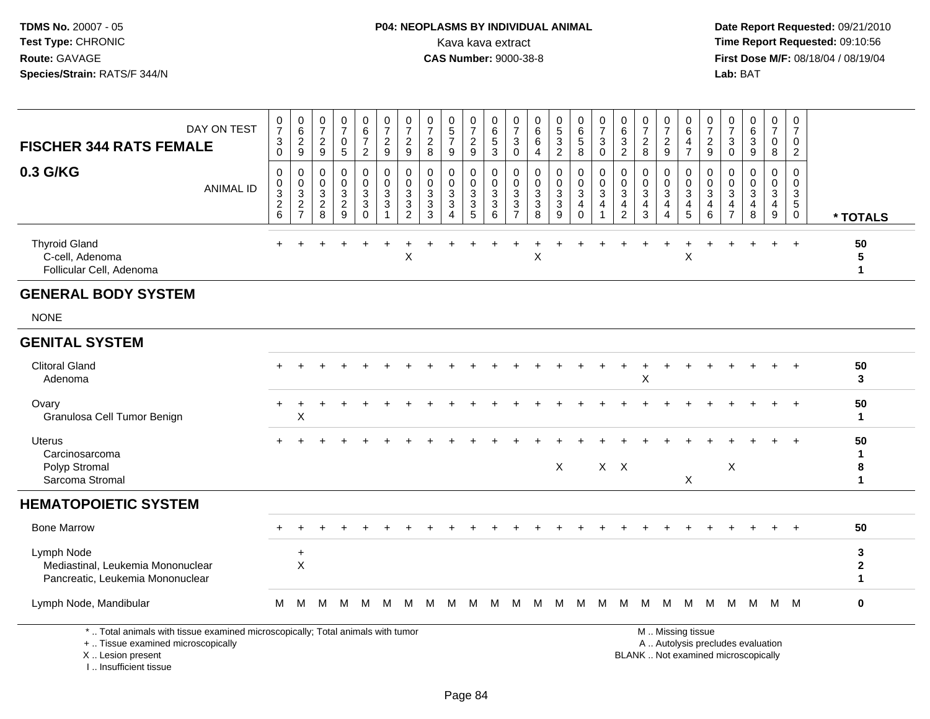#### **P04: NEOPLASMS BY INDIVIDUAL ANIMAL**<br>Kava kava extract Kava kava extract **Time Report Requested:** 09:10:56<br>**CAS Number:** 9000-38-8<br>**Tirst Dose M/F:** 08/18/04 / 08/19/04

 **Date Report Requested:** 09/21/2010 **First Dose M/F:** 08/18/04 / 08/19/04 Lab: BAT **Lab:** BAT

| DAY ON TEST<br><b>FISCHER 344 RATS FEMALE</b>                                                                         | $\frac{0}{7}$<br>$\ensuremath{\mathsf{3}}$<br>$\mathbf 0$ | $\begin{array}{c} 0 \\ 6 \end{array}$<br>$\frac{2}{9}$ | 0<br>$\overline{7}$<br>$\overline{2}$<br>9 | 0<br>$\overline{7}$<br>$\mathbf 0$<br>5         | $_{6}^{\rm 0}$<br>$\overline{7}$<br>$\overline{2}$ | $\frac{0}{7}$<br>$\frac{2}{9}$                               | $\begin{array}{c} 0 \\ 7 \end{array}$<br>$\frac{2}{9}$       | $\frac{0}{7}$<br>$_{\rm 8}^2$                        | $\begin{array}{c} 0 \\ 5 \\ 7 \end{array}$<br>9                                      | $\frac{0}{7}$<br>$\sqrt{2}$<br>9       | 0<br>6<br>5<br>$\mathbf{3}$                                 | 0<br>$\overline{7}$<br>3<br>$\mathbf 0$                | 0<br>6<br>6<br>4                                                 | $\begin{array}{c} 0 \\ 5 \\ 3 \end{array}$<br>$\overline{2}$             | $\begin{array}{c} 0 \\ 6 \end{array}$<br>$\sqrt{5}$<br>8          | $\begin{array}{c} 0 \\ 7 \end{array}$<br>$\mathbf{3}$<br>$\mathbf 0$         | 0<br>6<br>$\mathbf{3}$<br>$\overline{2}$                | $\frac{0}{7}$<br>$\overline{2}$<br>8                                      | $\frac{0}{7}$<br>$\overline{c}$<br>9            | $\begin{array}{c} 0 \\ 6 \end{array}$<br>$\overline{4}$<br>$\overline{7}$ | $\frac{0}{7}$<br>$\frac{2}{9}$                           | $\frac{0}{7}$<br>$\mathbf{3}$<br>$\mathbf 0$ |                     | 0<br>$\overline{6}$<br>$\mathbf{3}$<br>9 | $\begin{array}{c} 0 \\ 7 \end{array}$<br>0<br>8   | 0<br>$\overline{7}$<br>0<br>$\overline{c}$                    |                                         |
|-----------------------------------------------------------------------------------------------------------------------|-----------------------------------------------------------|--------------------------------------------------------|--------------------------------------------|-------------------------------------------------|----------------------------------------------------|--------------------------------------------------------------|--------------------------------------------------------------|------------------------------------------------------|--------------------------------------------------------------------------------------|----------------------------------------|-------------------------------------------------------------|--------------------------------------------------------|------------------------------------------------------------------|--------------------------------------------------------------------------|-------------------------------------------------------------------|------------------------------------------------------------------------------|---------------------------------------------------------|---------------------------------------------------------------------------|-------------------------------------------------|---------------------------------------------------------------------------|----------------------------------------------------------|----------------------------------------------|---------------------|------------------------------------------|---------------------------------------------------|---------------------------------------------------------------|-----------------------------------------|
| 0.3 G/KG<br><b>ANIMAL ID</b>                                                                                          | 0<br>$\pmb{0}$<br>$\frac{3}{2}$ 6                         | 0<br>$\begin{array}{c} 0 \\ 3 \\ 2 \\ 7 \end{array}$   | 0<br>0<br>3<br>$_{\rm 8}^2$                | $\mathbf 0$<br>0<br>$\sqrt{3}$<br>$\frac{2}{9}$ | 0<br>0<br>$\mathbf{3}$<br>$\mathbf{3}$<br>$\Omega$ | 0<br>$\pmb{0}$<br>$\sqrt{3}$<br>$\sqrt{3}$<br>$\overline{ }$ | 0<br>$\pmb{0}$<br>$\ensuremath{\mathsf{3}}$<br>$\frac{3}{2}$ | $\mathbf 0$<br>$\mathbf 0$<br>3<br>$\mathbf{3}$<br>3 | $\mathbf 0$<br>$\mathbf 0$<br>$\mathbf{3}$<br>$\mathbf{3}$<br>$\boldsymbol{\Lambda}$ | 0<br>0<br>$\mathsf 3$<br>$\frac{3}{5}$ | $\mathbf 0$<br>$\mathbf 0$<br>$\sqrt{3}$<br>$\sqrt{3}$<br>6 | $\mathbf 0$<br>$\mathbf 0$<br>3<br>3<br>$\overline{7}$ | $\mathbf 0$<br>0<br>$\sqrt{3}$<br>$\ensuremath{\mathsf{3}}$<br>8 | $\mathbf 0$<br>$\pmb{0}$<br>$\ensuremath{\mathsf{3}}$<br>$\sqrt{3}$<br>9 | 0<br>$\mathbf 0$<br>$\mathbf{3}$<br>$\overline{a}$<br>$\mathbf 0$ | $\mathbf 0$<br>$\mathbf 0$<br>$\sqrt{3}$<br>$\overline{4}$<br>$\overline{1}$ | $\mathbf 0$<br>0<br>$\mathbf{3}$<br>4<br>$\overline{c}$ | $\mathbf 0$<br>$\mathbf 0$<br>$\mathsf 3$<br>$\overline{\mathbf{4}}$<br>3 | 0<br>0<br>3<br>$\overline{4}$<br>$\overline{4}$ | 0<br>$\mathsf 0$<br>$\ensuremath{\mathsf{3}}$<br>$\overline{4}$<br>5      | $\mathbf 0$<br>$\mathsf 0$<br>$\sqrt{3}$<br>4<br>$\,6\,$ | 0<br>$\mathbf 0$<br>3<br>$\frac{4}{7}$       | $\overline{4}$<br>8 | $\mathbf 0$<br>$\mathbf 0$<br>$\sqrt{3}$ | 0<br>0<br>3<br>$\overline{4}$<br>$\boldsymbol{9}$ | 0<br>$\mathbf 0$<br>$\mathbf{3}$<br>$\sqrt{5}$<br>$\mathbf 0$ | * TOTALS                                |
| <b>Thyroid Gland</b><br>C-cell, Adenoma<br>Follicular Cell, Adenoma                                                   |                                                           |                                                        |                                            |                                                 |                                                    |                                                              | X                                                            |                                                      |                                                                                      |                                        |                                                             |                                                        | X                                                                |                                                                          |                                                                   |                                                                              |                                                         |                                                                           |                                                 | $\pmb{\times}$                                                            |                                                          |                                              |                     |                                          | $\div$                                            | $\overline{+}$                                                | 50<br>5<br>$\mathbf{1}$                 |
| <b>GENERAL BODY SYSTEM</b>                                                                                            |                                                           |                                                        |                                            |                                                 |                                                    |                                                              |                                                              |                                                      |                                                                                      |                                        |                                                             |                                                        |                                                                  |                                                                          |                                                                   |                                                                              |                                                         |                                                                           |                                                 |                                                                           |                                                          |                                              |                     |                                          |                                                   |                                                               |                                         |
| <b>NONE</b>                                                                                                           |                                                           |                                                        |                                            |                                                 |                                                    |                                                              |                                                              |                                                      |                                                                                      |                                        |                                                             |                                                        |                                                                  |                                                                          |                                                                   |                                                                              |                                                         |                                                                           |                                                 |                                                                           |                                                          |                                              |                     |                                          |                                                   |                                                               |                                         |
| <b>GENITAL SYSTEM</b>                                                                                                 |                                                           |                                                        |                                            |                                                 |                                                    |                                                              |                                                              |                                                      |                                                                                      |                                        |                                                             |                                                        |                                                                  |                                                                          |                                                                   |                                                                              |                                                         |                                                                           |                                                 |                                                                           |                                                          |                                              |                     |                                          |                                                   |                                                               |                                         |
| <b>Clitoral Gland</b><br>Adenoma                                                                                      |                                                           |                                                        |                                            |                                                 |                                                    |                                                              |                                                              |                                                      |                                                                                      |                                        |                                                             |                                                        |                                                                  |                                                                          |                                                                   |                                                                              |                                                         | Х                                                                         |                                                 |                                                                           |                                                          |                                              |                     |                                          |                                                   |                                                               | 50<br>$\mathbf{3}$                      |
| Ovary<br>Granulosa Cell Tumor Benign                                                                                  | +                                                         | X                                                      |                                            |                                                 |                                                    |                                                              |                                                              |                                                      |                                                                                      |                                        |                                                             |                                                        |                                                                  |                                                                          |                                                                   |                                                                              |                                                         |                                                                           |                                                 |                                                                           |                                                          |                                              |                     |                                          |                                                   |                                                               | 50<br>$\mathbf 1$                       |
| <b>Uterus</b><br>Carcinosarcoma<br>Polyp Stromal<br>Sarcoma Stromal                                                   |                                                           |                                                        |                                            |                                                 |                                                    |                                                              |                                                              |                                                      |                                                                                      |                                        |                                                             |                                                        |                                                                  | X                                                                        |                                                                   |                                                                              | $X$ $X$                                                 |                                                                           |                                                 | X                                                                         |                                                          | X                                            |                     |                                          |                                                   |                                                               | 50<br>$\mathbf{1}$<br>8<br>$\mathbf{1}$ |
| <b>HEMATOPOIETIC SYSTEM</b>                                                                                           |                                                           |                                                        |                                            |                                                 |                                                    |                                                              |                                                              |                                                      |                                                                                      |                                        |                                                             |                                                        |                                                                  |                                                                          |                                                                   |                                                                              |                                                         |                                                                           |                                                 |                                                                           |                                                          |                                              |                     |                                          |                                                   |                                                               |                                         |
| <b>Bone Marrow</b>                                                                                                    |                                                           |                                                        |                                            |                                                 |                                                    |                                                              |                                                              |                                                      |                                                                                      |                                        |                                                             |                                                        |                                                                  |                                                                          |                                                                   |                                                                              |                                                         |                                                                           |                                                 |                                                                           |                                                          |                                              |                     |                                          |                                                   |                                                               | 50                                      |
| Lymph Node<br>Mediastinal, Leukemia Mononuclear<br>Pancreatic, Leukemia Mononuclear                                   |                                                           | $\ddot{}$<br>$\times$                                  |                                            |                                                 |                                                    |                                                              |                                                              |                                                      |                                                                                      |                                        |                                                             |                                                        |                                                                  |                                                                          |                                                                   |                                                                              |                                                         |                                                                           |                                                 |                                                                           |                                                          |                                              |                     |                                          |                                                   |                                                               | 3<br>$\mathbf 2$<br>1                   |
| Lymph Node, Mandibular                                                                                                | M                                                         | M                                                      | м                                          | M                                               | M                                                  | M                                                            | M                                                            | M                                                    | M                                                                                    | M                                      | M                                                           | M                                                      |                                                                  | M M M                                                                    |                                                                   | M                                                                            | M                                                       | M                                                                         | <b>M</b>                                        | M                                                                         | M                                                        | м                                            |                     |                                          | M M M                                             |                                                               | $\mathbf 0$                             |
| *  Total animals with tissue examined microscopically; Total animals with tumor<br>+  Tissue examined microscopically |                                                           |                                                        |                                            |                                                 |                                                    |                                                              |                                                              |                                                      |                                                                                      |                                        |                                                             |                                                        |                                                                  |                                                                          |                                                                   |                                                                              |                                                         |                                                                           |                                                 | M  Missing tissue<br>A  Autolysis precludes evaluation                    |                                                          |                                              |                     |                                          |                                                   |                                                               |                                         |

X .. Lesion present

I .. Insufficient tissue

A .. Autolysis precludes evaluation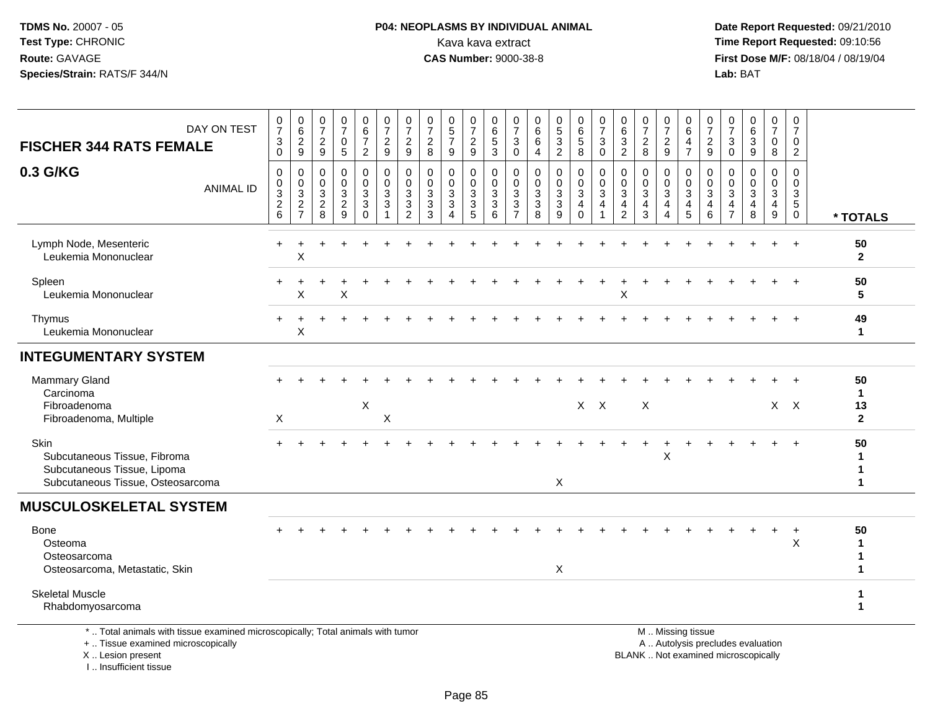## **P04: NEOPLASMS BY INDIVIDUAL ANIMAL**<br>Kava kava extract Kava kava extract **Time Report Requested:** 09:10:56<br>**CAS Number:** 9000-38-8<br>**Tirst Dose M/F:** 08/18/04 / 08/19/04

 **Date Report Requested:** 09/21/2010 **First Dose M/F:** 08/18/04 / 08/19/04 Lab: BAT **Lab:** BAT

| DAY ON TEST<br><b>FISCHER 344 RATS FEMALE</b>                                                                                              | $\begin{array}{c} 0 \\ 7 \end{array}$<br>$\sqrt{3}$<br>$\Omega$ | 0<br>$\,6\,$<br>$\frac{2}{9}$                                            | $\frac{0}{7}$<br>$\frac{2}{9}$                  | $\frac{0}{7}$<br>0<br>5                                 | 0<br>$\,6\,$<br>$\overline{7}$<br>$\overline{2}$     | $\frac{0}{7}$<br>$\frac{2}{9}$                                               | 0<br>$\overline{7}$<br>$\overline{c}$<br>9                                   | 0<br>$\overline{7}$<br>$\sqrt{2}$<br>8                            | $\begin{smallmatrix}0\0\5\end{smallmatrix}$<br>$\overline{7}$<br>9 | $\frac{0}{7}$<br>$\frac{2}{9}$                        | 0<br>$\,6\,$<br>$\sqrt{5}$<br>$\overline{3}$          | $\frac{0}{7}$<br>3<br>$\mathbf 0$                                              | 0<br>$\,6\,$<br>$\,6\,$<br>4                      | $\begin{array}{c} 0 \\ 5 \end{array}$<br>3<br>$\overline{2}$ | $\begin{array}{c} 0 \\ 6 \end{array}$<br>$\sqrt{5}$<br>8          | $\frac{0}{7}$<br>$\mathbf{3}$<br>0                                             | 0<br>$\,6$<br>$\mathbf{3}$<br>$\sqrt{2}$                            | $\frac{0}{7}$<br>$\overline{c}$<br>8                              | 0<br>$\overline{7}$<br>$\frac{2}{9}$                                | 0<br>$\,6\,$<br>4<br>$\overline{7}$                     | 0<br>$\overline{7}$<br>$\frac{2}{9}$ | 0<br>$\overline{7}$<br>3<br>$\Omega$            | $\begin{array}{c} 0 \\ 6 \end{array}$<br>$\mathbf{3}$<br>9               | $\frac{0}{7}$<br>$\mathbf 0$<br>8                                    | 0<br>$\overline{7}$<br>$\mathbf 0$<br>$\overline{2}$              |                                                         |
|--------------------------------------------------------------------------------------------------------------------------------------------|-----------------------------------------------------------------|--------------------------------------------------------------------------|-------------------------------------------------|---------------------------------------------------------|------------------------------------------------------|------------------------------------------------------------------------------|------------------------------------------------------------------------------|-------------------------------------------------------------------|--------------------------------------------------------------------|-------------------------------------------------------|-------------------------------------------------------|--------------------------------------------------------------------------------|---------------------------------------------------|--------------------------------------------------------------|-------------------------------------------------------------------|--------------------------------------------------------------------------------|---------------------------------------------------------------------|-------------------------------------------------------------------|---------------------------------------------------------------------|---------------------------------------------------------|--------------------------------------|-------------------------------------------------|--------------------------------------------------------------------------|----------------------------------------------------------------------|-------------------------------------------------------------------|---------------------------------------------------------|
| 0.3 G/KG<br><b>ANIMAL ID</b>                                                                                                               | 0<br>0<br>$\ensuremath{\mathsf{3}}$<br>$\overline{2}$<br>6      | $\mathbf 0$<br>$\mathbf 0$<br>$\sqrt{3}$<br>$\sqrt{2}$<br>$\overline{7}$ | 0<br>$\mathbf 0$<br>$\sqrt{3}$<br>$\frac{2}{8}$ | $\mathbf 0$<br>0<br>$\mathbf{3}$<br>$\overline{2}$<br>9 | 0<br>0<br>$\overline{3}$<br>$\mathbf{3}$<br>$\Omega$ | $\pmb{0}$<br>$\pmb{0}$<br>$\overline{3}$<br>$\overline{3}$<br>$\overline{1}$ | $\mathbf 0$<br>$\mathbf 0$<br>$\mathbf{3}$<br>$\mathbf{3}$<br>$\overline{2}$ | $\mathbf 0$<br>$\mathbf 0$<br>$\mathbf{3}$<br>$\mathfrak{Z}$<br>3 | 0<br>0<br>3<br>$\overline{3}$<br>$\boldsymbol{\Lambda}$            | 0<br>$\mathbf 0$<br>$\sqrt{3}$<br>$\overline{3}$<br>5 | 0<br>$\mathbf 0$<br>$\sqrt{3}$<br>$\overline{3}$<br>6 | $\mathbf 0$<br>$\mathbf 0$<br>$\mathbf{3}$<br>$\overline{3}$<br>$\overline{7}$ | $\mathbf 0$<br>0<br>$\sqrt{3}$<br>$\sqrt{3}$<br>8 | 0<br>$\mathbf 0$<br>3<br>3<br>9                              | 0<br>$\pmb{0}$<br>$\overline{3}$<br>$\overline{4}$<br>$\mathbf 0$ | $\mathbf 0$<br>$\pmb{0}$<br>$\overline{3}$<br>$\overline{4}$<br>$\overline{1}$ | $\mathbf 0$<br>$\mathbf 0$<br>3<br>$\overline{4}$<br>$\overline{c}$ | $\mathbf 0$<br>$\mathbf 0$<br>$\mathbf{3}$<br>$\overline{4}$<br>3 | 0<br>$\mathbf 0$<br>$\mathbf 3$<br>$\overline{4}$<br>$\overline{4}$ | 0<br>$\mathbf 0$<br>$\ensuremath{\mathsf{3}}$<br>4<br>5 | 0<br>$\mathbf 0$<br>3<br>4<br>6      | 0<br>0<br>3<br>$\overline{4}$<br>$\overline{7}$ | $\mathbf 0$<br>$\mathbf 0$<br>$\mathbf{3}$<br>4<br>8                     | 0<br>$\mathbf 0$<br>$\ensuremath{\mathsf{3}}$<br>$\overline{4}$<br>9 | $\mathbf 0$<br>$\mathbf 0$<br>3<br>$5\phantom{.0}$<br>$\mathbf 0$ | * TOTALS                                                |
| Lymph Node, Mesenteric<br>Leukemia Mononuclear                                                                                             | +                                                               | Χ                                                                        |                                                 |                                                         |                                                      |                                                                              |                                                                              |                                                                   |                                                                    |                                                       |                                                       |                                                                                |                                                   |                                                              |                                                                   |                                                                                |                                                                     |                                                                   |                                                                     |                                                         |                                      |                                                 |                                                                          | $\div$                                                               | $\ddot{}$                                                         | 50<br>$\mathbf{2}$                                      |
| Spleen<br>Leukemia Mononuclear                                                                                                             |                                                                 | ÷<br>Χ                                                                   |                                                 | X                                                       |                                                      |                                                                              |                                                                              |                                                                   |                                                                    |                                                       |                                                       |                                                                                |                                                   |                                                              |                                                                   |                                                                                | х                                                                   |                                                                   |                                                                     |                                                         |                                      |                                                 |                                                                          |                                                                      |                                                                   | 50<br>5                                                 |
| Thymus<br>Leukemia Mononuclear                                                                                                             |                                                                 | Χ                                                                        |                                                 |                                                         |                                                      |                                                                              |                                                                              |                                                                   |                                                                    |                                                       |                                                       |                                                                                |                                                   |                                                              |                                                                   |                                                                                |                                                                     |                                                                   |                                                                     |                                                         |                                      |                                                 |                                                                          |                                                                      |                                                                   | 49<br>$\mathbf{1}$                                      |
| <b>INTEGUMENTARY SYSTEM</b>                                                                                                                |                                                                 |                                                                          |                                                 |                                                         |                                                      |                                                                              |                                                                              |                                                                   |                                                                    |                                                       |                                                       |                                                                                |                                                   |                                                              |                                                                   |                                                                                |                                                                     |                                                                   |                                                                     |                                                         |                                      |                                                 |                                                                          |                                                                      |                                                                   |                                                         |
| <b>Mammary Gland</b><br>Carcinoma<br>Fibroadenoma                                                                                          |                                                                 |                                                                          |                                                 |                                                         | X                                                    |                                                                              |                                                                              |                                                                   |                                                                    |                                                       |                                                       |                                                                                |                                                   |                                                              |                                                                   | X X                                                                            |                                                                     | X                                                                 |                                                                     |                                                         |                                      |                                                 |                                                                          |                                                                      | $X$ $X$                                                           | 50<br>$\mathbf{1}$<br>13                                |
| Fibroadenoma, Multiple<br>Skin<br>Subcutaneous Tissue, Fibroma<br>Subcutaneous Tissue, Lipoma<br>Subcutaneous Tissue, Osteosarcoma         | $\sf X$                                                         |                                                                          |                                                 |                                                         |                                                      | X                                                                            |                                                                              |                                                                   |                                                                    |                                                       |                                                       |                                                                                |                                                   | $\times$                                                     |                                                                   |                                                                                |                                                                     |                                                                   | X                                                                   |                                                         |                                      |                                                 |                                                                          |                                                                      | $+$                                                               | $\mathbf{2}$<br>50<br>-1<br>$\mathbf 1$<br>$\mathbf{1}$ |
| <b>MUSCULOSKELETAL SYSTEM</b>                                                                                                              |                                                                 |                                                                          |                                                 |                                                         |                                                      |                                                                              |                                                                              |                                                                   |                                                                    |                                                       |                                                       |                                                                                |                                                   |                                                              |                                                                   |                                                                                |                                                                     |                                                                   |                                                                     |                                                         |                                      |                                                 |                                                                          |                                                                      |                                                                   |                                                         |
| Bone<br>Osteoma<br>Osteosarcoma<br>Osteosarcoma, Metastatic, Skin                                                                          |                                                                 |                                                                          |                                                 |                                                         |                                                      |                                                                              |                                                                              |                                                                   |                                                                    |                                                       |                                                       |                                                                                |                                                   | X                                                            |                                                                   |                                                                                |                                                                     |                                                                   |                                                                     |                                                         |                                      |                                                 |                                                                          | $\ddot{}$                                                            | $\overline{+}$<br>$\boldsymbol{\mathsf{X}}$                       | 50<br>$\mathbf{1}$<br>$\mathbf 1$<br>$\mathbf{1}$       |
| <b>Skeletal Muscle</b><br>Rhabdomyosarcoma                                                                                                 |                                                                 |                                                                          |                                                 |                                                         |                                                      |                                                                              |                                                                              |                                                                   |                                                                    |                                                       |                                                       |                                                                                |                                                   |                                                              |                                                                   |                                                                                |                                                                     |                                                                   |                                                                     |                                                         |                                      |                                                 |                                                                          |                                                                      |                                                                   | $\mathbf 1$<br>$\mathbf{1}$                             |
| *  Total animals with tissue examined microscopically; Total animals with tumor<br>+  Tissue examined microscopically<br>X  Lesion present |                                                                 |                                                                          |                                                 |                                                         |                                                      |                                                                              |                                                                              |                                                                   |                                                                    |                                                       |                                                       |                                                                                |                                                   |                                                              |                                                                   |                                                                                |                                                                     |                                                                   |                                                                     | M  Missing tissue                                       |                                      |                                                 | A  Autolysis precludes evaluation<br>BLANK  Not examined microscopically |                                                                      |                                                                   |                                                         |

I .. Insufficient tissue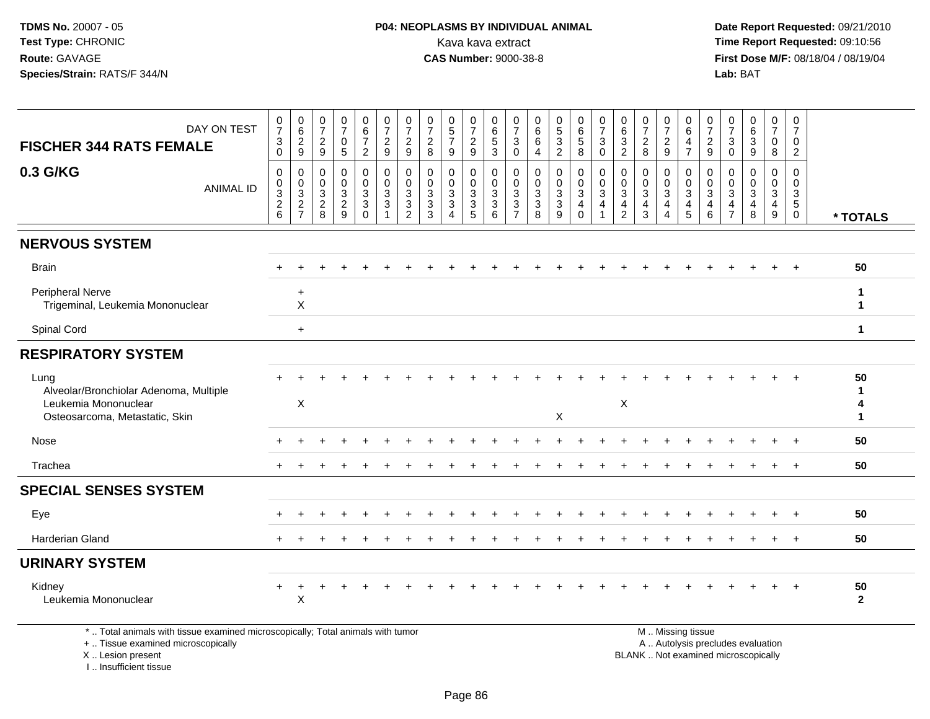# **P04: NEOPLASMS BY INDIVIDUAL ANIMAL**<br>Kava kava extract Kava kava extract **Time Report Requested:** 09:10:56<br>**CAS Number:** 9000-38-8<br>**Tirst Dose M/F:** 08/18/04 / 08/19/04

 **Date Report Requested:** 09/21/2010 **First Dose M/F:** 08/18/04 / 08/19/04 Lab: BAT **Lab:** BAT

| DAY ON TEST                                                                     | $\frac{0}{7}$<br>$\ensuremath{\mathsf{3}}$                                  | 0<br>$\,6\,$<br>$\sqrt{2}$                                | 0<br>$\overline{7}$<br>$\overline{2}$                 | $\begin{array}{c} 0 \\ 7 \end{array}$<br>$\mathbf 0$      | $_{6}^{\rm 0}$<br>$\overline{7}$        | $\frac{0}{7}$<br>$\overline{c}$                                              | 0<br>$\overline{7}$<br>$\overline{c}$        | 0<br>$\overline{7}$<br>$\overline{2}$ | 0<br>$\sqrt{5}$<br>$\overline{7}$                                                    | $\boldsymbol{0}$<br>$\boldsymbol{7}$<br>$\sqrt{2}$                                        | 0<br>$\,6$<br>$\sqrt{5}$                                    | 0<br>$\overline{7}$<br>3                     | $\boldsymbol{0}$<br>6<br>$\,6\,$                | $\begin{smallmatrix}0\0\5\end{smallmatrix}$<br>$\mathbf{3}$                   | 0<br>$\,6\,$<br>$\sqrt{5}$                          | $\frac{0}{7}$<br>$\ensuremath{\mathsf{3}}$                                 | 0<br>$\,6\,$<br>$\mathbf{3}$                    | 0<br>$\overline{7}$<br>$\overline{2}$                | 0<br>$\overline{7}$<br>$\overline{c}$ | 0<br>6<br>4                    | 0<br>$\overline{7}$<br>$\boldsymbol{2}$                           | 0<br>$\overline{7}$<br>$\mathbf{3}$                                          | 0<br>$\,6\,$<br>$\sqrt{3}$                                     | 0<br>$\overline{7}$<br>$\mathbf 0$ | 0<br>$\overline{7}$<br>0                                          |                        |
|---------------------------------------------------------------------------------|-----------------------------------------------------------------------------|-----------------------------------------------------------|-------------------------------------------------------|-----------------------------------------------------------|-----------------------------------------|------------------------------------------------------------------------------|----------------------------------------------|---------------------------------------|--------------------------------------------------------------------------------------|-------------------------------------------------------------------------------------------|-------------------------------------------------------------|----------------------------------------------|-------------------------------------------------|-------------------------------------------------------------------------------|-----------------------------------------------------|----------------------------------------------------------------------------|-------------------------------------------------|------------------------------------------------------|---------------------------------------|--------------------------------|-------------------------------------------------------------------|------------------------------------------------------------------------------|----------------------------------------------------------------|------------------------------------|-------------------------------------------------------------------|------------------------|
| <b>FISCHER 344 RATS FEMALE</b>                                                  | $\Omega$                                                                    | 9                                                         | 9                                                     | 5                                                         | $\overline{c}$                          | 9                                                                            | 9                                            | 8                                     | 9                                                                                    | 9                                                                                         | 3                                                           | $\Omega$                                     | $\overline{4}$                                  | $\overline{2}$                                                                | 8                                                   | $\mathbf{0}$                                                               | $\overline{2}$                                  | 8                                                    | 9                                     | $\overline{7}$                 | 9                                                                 | $\Omega$                                                                     | 9                                                              | 8                                  | 2                                                                 |                        |
| 0.3 G/KG<br><b>ANIMAL ID</b>                                                    | 0<br>0<br>$\ensuremath{\mathsf{3}}$<br>$\frac{2}{6}$                        | $\mathbf 0$<br>0<br>3<br>$\overline{c}$<br>$\overline{7}$ | $\mathbf 0$<br>0<br>3<br>$\overline{\mathbf{c}}$<br>8 | $\mathbf 0$<br>$\pmb{0}$<br>$\sqrt{3}$<br>$\sqrt{2}$<br>9 | 0<br>0<br>3<br>$\mathbf{3}$<br>$\Omega$ | $\mathbf 0$<br>$\mathbf 0$<br>$\mathbf{3}$<br>$\mathbf{3}$<br>$\overline{1}$ | 0<br>$\mathbf 0$<br>3<br>3<br>$\overline{2}$ | 0<br>0<br>3<br>3<br>3                 | $\mathbf 0$<br>$\mathbf 0$<br>$\mathbf{3}$<br>$\mathbf{3}$<br>$\boldsymbol{\Lambda}$ | $\mathbf 0$<br>$\mathbf 0$<br>$\ensuremath{\mathsf{3}}$<br>$\ensuremath{\mathsf{3}}$<br>5 | $\mathbf 0$<br>$\mathbf 0$<br>$\sqrt{3}$<br>$\sqrt{3}$<br>6 | 0<br>$\mathbf 0$<br>3<br>3<br>$\overline{7}$ | 0<br>$\pmb{0}$<br>$\sqrt{3}$<br>$\sqrt{3}$<br>8 | 0<br>$\pmb{0}$<br>$\ensuremath{\mathsf{3}}$<br>$\ensuremath{\mathsf{3}}$<br>9 | 0<br>$\mathbf 0$<br>3<br>$\overline{4}$<br>$\Omega$ | $\mathbf 0$<br>$\pmb{0}$<br>$\sqrt{3}$<br>$\overline{4}$<br>$\overline{1}$ | 0<br>0<br>3<br>$\overline{4}$<br>$\overline{2}$ | $\mathbf 0$<br>$\mathbf 0$<br>$\mathbf{3}$<br>4<br>3 | $\mathbf 0$<br>0<br>3<br>4<br>4       | 0<br>0<br>$\sqrt{3}$<br>4<br>5 | $\mathbf 0$<br>$\mathbf 0$<br>$\mathbf{3}$<br>$\overline{4}$<br>6 | $\mathbf 0$<br>$\mathbf 0$<br>$\sqrt{3}$<br>$\overline{4}$<br>$\overline{7}$ | 0<br>$\mathbf 0$<br>$\sqrt{3}$<br>$\overline{\mathbf{4}}$<br>8 | 0<br>0<br>3<br>$\overline{4}$<br>9 | $\mathbf 0$<br>0<br>$\mathbf{3}$<br>$\overline{5}$<br>$\mathbf 0$ | * TOTALS               |
| <b>NERVOUS SYSTEM</b>                                                           |                                                                             |                                                           |                                                       |                                                           |                                         |                                                                              |                                              |                                       |                                                                                      |                                                                                           |                                                             |                                              |                                                 |                                                                               |                                                     |                                                                            |                                                 |                                                      |                                       |                                |                                                                   |                                                                              |                                                                |                                    |                                                                   |                        |
| <b>Brain</b>                                                                    |                                                                             |                                                           |                                                       |                                                           |                                         |                                                                              |                                              |                                       |                                                                                      |                                                                                           |                                                             |                                              |                                                 |                                                                               |                                                     |                                                                            |                                                 |                                                      |                                       |                                |                                                                   |                                                                              |                                                                |                                    |                                                                   | 50                     |
| <b>Peripheral Nerve</b><br>Trigeminal, Leukemia Mononuclear                     |                                                                             | $\ddot{}$<br>$\sf X$                                      |                                                       |                                                           |                                         |                                                                              |                                              |                                       |                                                                                      |                                                                                           |                                                             |                                              |                                                 |                                                                               |                                                     |                                                                            |                                                 |                                                      |                                       |                                |                                                                   |                                                                              |                                                                |                                    |                                                                   | -1<br>$\mathbf{1}$     |
| Spinal Cord                                                                     |                                                                             | $\ddot{}$                                                 |                                                       |                                                           |                                         |                                                                              |                                              |                                       |                                                                                      |                                                                                           |                                                             |                                              |                                                 |                                                                               |                                                     |                                                                            |                                                 |                                                      |                                       |                                |                                                                   |                                                                              |                                                                |                                    |                                                                   | $\mathbf{1}$           |
| <b>RESPIRATORY SYSTEM</b>                                                       |                                                                             |                                                           |                                                       |                                                           |                                         |                                                                              |                                              |                                       |                                                                                      |                                                                                           |                                                             |                                              |                                                 |                                                                               |                                                     |                                                                            |                                                 |                                                      |                                       |                                |                                                                   |                                                                              |                                                                |                                    |                                                                   |                        |
| Lung<br>Alveolar/Bronchiolar Adenoma, Multiple<br>Leukemia Mononuclear          |                                                                             | $\mathsf X$                                               |                                                       |                                                           |                                         |                                                                              |                                              |                                       |                                                                                      |                                                                                           |                                                             |                                              |                                                 |                                                                               |                                                     |                                                                            | $\sf X$                                         |                                                      |                                       |                                |                                                                   |                                                                              |                                                                |                                    |                                                                   | 50<br>$\mathbf 1$<br>4 |
| Osteosarcoma, Metastatic, Skin                                                  | X<br>$\mathbf 1$<br>50<br>50<br>$\overline{+}$<br>$\div$<br>$\ddot{}$<br>50 |                                                           |                                                       |                                                           |                                         |                                                                              |                                              |                                       |                                                                                      |                                                                                           |                                                             |                                              |                                                 |                                                                               |                                                     |                                                                            |                                                 |                                                      |                                       |                                |                                                                   |                                                                              |                                                                |                                    |                                                                   |                        |
| Nose                                                                            |                                                                             |                                                           |                                                       |                                                           |                                         |                                                                              |                                              |                                       |                                                                                      |                                                                                           |                                                             |                                              |                                                 |                                                                               |                                                     |                                                                            |                                                 |                                                      |                                       |                                |                                                                   |                                                                              |                                                                |                                    |                                                                   |                        |
| Trachea                                                                         |                                                                             |                                                           |                                                       |                                                           |                                         |                                                                              |                                              |                                       |                                                                                      |                                                                                           |                                                             |                                              |                                                 |                                                                               |                                                     |                                                                            |                                                 |                                                      |                                       |                                |                                                                   |                                                                              |                                                                |                                    |                                                                   |                        |
| <b>SPECIAL SENSES SYSTEM</b>                                                    |                                                                             |                                                           |                                                       |                                                           |                                         |                                                                              |                                              |                                       |                                                                                      |                                                                                           |                                                             |                                              |                                                 |                                                                               |                                                     |                                                                            |                                                 |                                                      |                                       |                                |                                                                   |                                                                              |                                                                |                                    |                                                                   |                        |
| Eye                                                                             |                                                                             |                                                           |                                                       |                                                           |                                         |                                                                              |                                              |                                       |                                                                                      |                                                                                           |                                                             |                                              |                                                 |                                                                               |                                                     |                                                                            |                                                 |                                                      |                                       |                                |                                                                   |                                                                              |                                                                |                                    |                                                                   |                        |
| Harderian Gland                                                                 |                                                                             |                                                           |                                                       |                                                           |                                         |                                                                              |                                              |                                       |                                                                                      |                                                                                           |                                                             |                                              |                                                 |                                                                               |                                                     |                                                                            |                                                 |                                                      |                                       |                                |                                                                   |                                                                              |                                                                |                                    | $\pm$                                                             | 50                     |
| <b>URINARY SYSTEM</b>                                                           |                                                                             |                                                           |                                                       |                                                           |                                         |                                                                              |                                              |                                       |                                                                                      |                                                                                           |                                                             |                                              |                                                 |                                                                               |                                                     |                                                                            |                                                 |                                                      |                                       |                                |                                                                   |                                                                              |                                                                |                                    |                                                                   |                        |
| Kidney<br>Leukemia Mononuclear                                                  |                                                                             | $\div$<br>X                                               |                                                       |                                                           |                                         |                                                                              |                                              |                                       |                                                                                      |                                                                                           |                                                             |                                              |                                                 |                                                                               |                                                     |                                                                            |                                                 |                                                      |                                       |                                |                                                                   |                                                                              |                                                                |                                    |                                                                   | 50<br>$\overline{2}$   |
| *  Total animals with tissue examined microscopically; Total animals with tumor |                                                                             |                                                           |                                                       |                                                           |                                         |                                                                              |                                              |                                       |                                                                                      |                                                                                           |                                                             |                                              |                                                 |                                                                               |                                                     |                                                                            |                                                 |                                                      |                                       | M  Missing tissue              |                                                                   |                                                                              |                                                                |                                    |                                                                   |                        |

+ .. Tissue examined microscopically

X .. Lesion present

I .. Insufficient tissue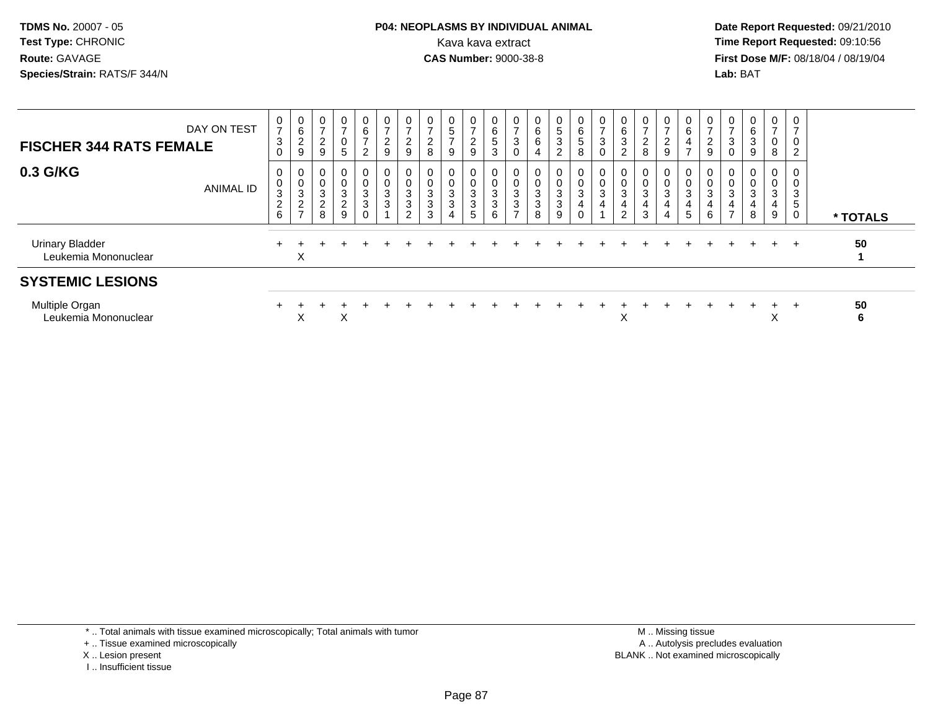#### **P04: NEOPLASMS BY INDIVIDUAL ANIMAL**<br>Kava kava extract Kava kava extract **Time Report Requested:** 09:10:56<br>**CAS Number:** 9000-38-8<br>**Tirst Dose M/F:** 08/18/04 / 08/19/04

 **Date Report Requested:** 09/21/2010 **First Dose M/F:** 08/18/04 / 08/19/04 Lab: BAT **Lab:** BAT

| DAY ON TEST<br><b>FISCHER 344 RATS FEMALE</b>  | 0<br>$\overline{ }$<br>$\mathbf{3}$<br>$\mathbf 0$      | $\begin{array}{c} 0 \\ 6 \end{array}$<br>$\boldsymbol{2}$<br>$\boldsymbol{9}$ | 0<br>$\overline{ }$<br>$\boldsymbol{2}$<br>9       | 0<br>5                                              | 0<br>6<br>$\overline{ }$<br>C | $\mathbf{0}$<br>$\boldsymbol{2}$<br>9                                    | 0<br>$\overline{2}$<br>$\boldsymbol{9}$                      | 0<br>$\overline{c}$<br>$\,8\,$                  | $\boldsymbol{0}$<br>$\overline{5}$<br>$\overline{ }$<br>9 | 0<br>$\overline{ }$<br>$\overline{\mathbf{c}}$<br>9 | 0<br>6<br>5<br>3 | $\overline{ }$<br>3<br>0              | 0<br>6<br>$\,6$<br>$\overline{4}$                                | 0<br>$5\phantom{.0}$<br>$\ensuremath{\mathsf{3}}$<br>$\overline{2}$ | 0<br>6<br>$5\phantom{.0}$<br>8          | 0<br>$\overline{7}$<br>$\mathbf{3}$<br>$\pmb{0}$ | 0<br>6<br>3<br>$\overline{2}$      | $\overline{7}$<br>$\overline{c}$<br>8 | 0<br>$\overline{ }$<br>$\overline{a}$<br>9 | $\begin{matrix} 0 \\ 6 \end{matrix}$<br>$\overline{4}$<br>$\overline{ }$ | $\mathbf{0}$<br>$\rightarrow$<br>$\overline{c}$<br>$\boldsymbol{9}$ | $\overline{0}$<br>$\overline{7}$<br>$\mathbf{3}$<br>$\mathbf 0$    | $\mathbf{0}$<br>$\,6$<br>$\mathbf{3}$<br>$\boldsymbol{9}$ | 0<br>$\overline{ }$<br>0<br>8    | $\overline{ }$<br>$\overline{c}$ |          |
|------------------------------------------------|---------------------------------------------------------|-------------------------------------------------------------------------------|----------------------------------------------------|-----------------------------------------------------|-------------------------------|--------------------------------------------------------------------------|--------------------------------------------------------------|-------------------------------------------------|-----------------------------------------------------------|-----------------------------------------------------|------------------|---------------------------------------|------------------------------------------------------------------|---------------------------------------------------------------------|-----------------------------------------|--------------------------------------------------|------------------------------------|---------------------------------------|--------------------------------------------|--------------------------------------------------------------------------|---------------------------------------------------------------------|--------------------------------------------------------------------|-----------------------------------------------------------|----------------------------------|----------------------------------|----------|
| 0.3 G/KG<br><b>ANIMAL ID</b>                   | $\mathbf{0}$<br>0<br>$\mathsf 3$<br>$\overline{2}$<br>6 | 0<br>$_{3}^{\rm 0}$<br>$\sqrt{2}$<br>$\overline{ }$                           | 0<br>$\,0\,$<br>$\mathsf 3$<br>$\overline{c}$<br>8 | 0<br>$\boldsymbol{0}$<br>3<br>$\boldsymbol{2}$<br>9 | 0<br>3<br>3                   | $\mathbf{0}$<br>$\mathsf 0$<br>$\ensuremath{\mathsf{3}}$<br>$\mathbf{3}$ | 0<br>$\pmb{0}$<br>$\sqrt{3}$<br>$\sqrt{3}$<br>$\overline{2}$ | 0<br>$\pmb{0}$<br>$\sqrt{3}$<br>$\sqrt{3}$<br>3 | 0<br>$\pmb{0}$<br>$\sqrt{3}$<br>$\mathbf{3}$<br>4         | 0<br>0<br>3<br>3<br>5                               | 3<br>3<br>6      | 0<br>$\sqrt{3}$<br>3<br>$\rightarrow$ | 0<br>$\ensuremath{\mathsf{3}}$<br>$\ensuremath{\mathsf{3}}$<br>8 | 0<br>0<br>$\ensuremath{\mathsf{3}}$<br>$\sqrt{3}$<br>9              | 0<br>$_{3}^{\rm 0}$<br>4<br>$\mathbf 0$ | 0<br>$_{3}^{\rm 0}$<br>$\overline{4}$            | 0<br>0<br>3<br>4<br>$\overline{2}$ | $\overline{0}$<br>3<br>4<br>3         | $\mathbf{0}$<br>0<br>3                     | $\mathbf{0}$<br>$\frac{0}{3}$<br>4<br>$\sqrt{5}$                         | $\mathbf{0}$<br>0<br>$\mathbf{3}$<br>4<br>6                         | 0<br>$\pmb{0}$<br>$\ensuremath{\mathsf{3}}$<br>4<br>$\overline{7}$ | 0<br>$\pmb{0}$<br>$\mathbf{3}$<br>4<br>8                  | $\mathbf{0}$<br>0<br>3<br>4<br>9 | $\mathbf 0$<br>3<br>5<br>0       | * TOTALS |
| <b>Urinary Bladder</b><br>Leukemia Mononuclear |                                                         | X                                                                             |                                                    |                                                     |                               |                                                                          |                                                              |                                                 |                                                           |                                                     |                  |                                       |                                                                  |                                                                     |                                         |                                                  |                                    |                                       |                                            |                                                                          |                                                                     |                                                                    |                                                           | $\div$                           |                                  | 50       |
| <b>SYSTEMIC LESIONS</b>                        |                                                         |                                                                               |                                                    |                                                     |                               |                                                                          |                                                              |                                                 |                                                           |                                                     |                  |                                       |                                                                  |                                                                     |                                         |                                                  |                                    |                                       |                                            |                                                                          |                                                                     |                                                                    |                                                           |                                  |                                  |          |
| Multiple Organ<br>Leukemia Mononuclear         |                                                         | X                                                                             |                                                    | X                                                   |                               |                                                                          |                                                              |                                                 |                                                           |                                                     |                  |                                       |                                                                  |                                                                     |                                         |                                                  | X                                  |                                       |                                            |                                                                          |                                                                     |                                                                    |                                                           | $\pm$<br>X                       | +                                | 50<br>6  |

\* .. Total animals with tissue examined microscopically; Total animals with tumor

+ .. Tissue examined microscopically

X .. Lesion present

I .. Insufficient tissue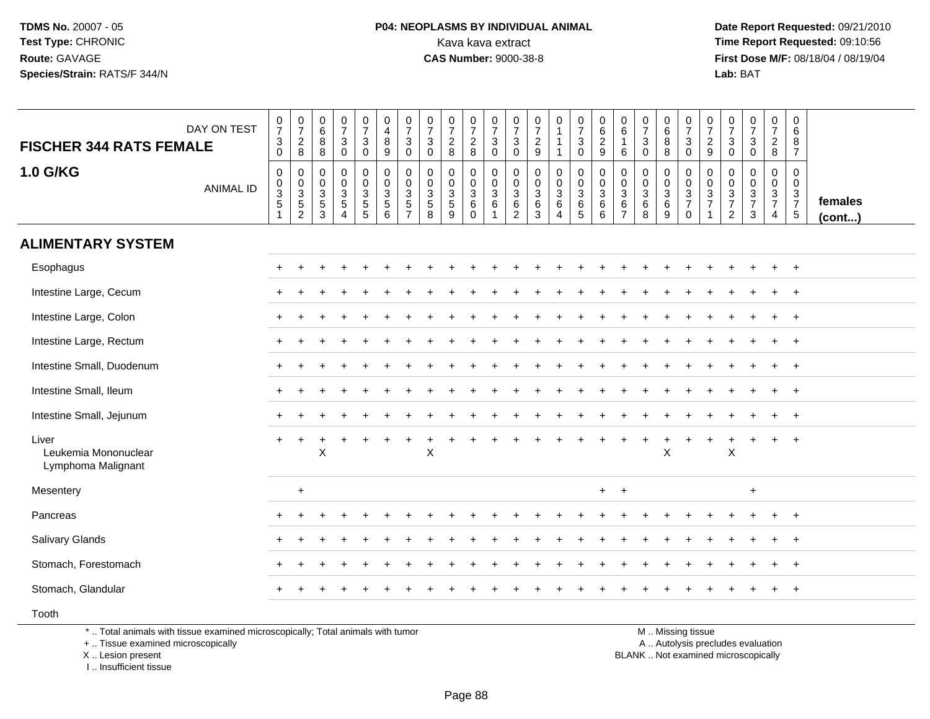#### **P04: NEOPLASMS BY INDIVIDUAL ANIMAL**<br>Kava kava extract Kava kava extract **Time Report Requested:** 09:10:56<br>**CAS Number:** 9000-38-8<br>**Tirst Dose M/F:** 08/18/04 / 08/19/04

 **Date Report Requested:** 09/21/2010 **First Dose M/F:** 08/18/04 / 08/19/04 Lab: BAT **Lab:** BAT

| DAY ON TEST<br><b>FISCHER 344 RATS FEMALE</b>       | $\frac{0}{7}$<br>$_{0}^{3}$                                             | $\begin{array}{c} 0 \\ 7 \end{array}$<br>$\overline{c}$<br>8 | $\begin{array}{c} 0 \\ 6 \end{array}$<br>8<br>8               | $\begin{array}{c} 0 \\ 7 \end{array}$<br>$\mathsf 3$<br>$\pmb{0}$ | $\frac{0}{7}$<br>$\mathbf{3}$<br>0                                                 | $\begin{smallmatrix}0\\4\end{smallmatrix}$<br>$\,8\,$<br>9                 | $\frac{0}{7}$<br>$\mathbf{3}$<br>$\mathbf 0$  | $\frac{0}{7}$<br>$\mathbf{3}$<br>$\mathbf 0$                        | $\frac{0}{7}$<br>$\overline{c}$<br>8       | $\frac{0}{7}$<br>$_{8}^2$                          | $\frac{0}{7}$<br>$\ensuremath{\mathsf{3}}$<br>$\overline{0}$            | $\frac{0}{7}$<br>$\mathbf{3}$<br>$\mathbf 0$        | $\frac{0}{7}$<br>$\overline{2}$<br>$9\,$                            | 0<br>$\mathbf{1}$<br>$\mathbf 1$<br>1                    | $\frac{0}{7}$<br>$\mathbf{3}$<br>$\overline{0}$                            | $\begin{matrix} 0 \\ 6 \\ 2 \end{matrix}$<br>$\mathsf g$  | 0<br>$\,6\,$<br>$\mathbf{1}$<br>6                             | $\begin{array}{c} 0 \\ 7 \end{array}$<br>$\ensuremath{\mathsf{3}}$<br>$\pmb{0}$ | 0<br>$\,6\,$<br>$\bf 8$<br>$\,8\,$                                      | $\frac{0}{7}$<br>$\mathbf{3}$<br>$\mathbf 0$               | $\frac{0}{7}$<br>$\overline{2}$<br>9                                      | $\frac{0}{7}$<br>$\sqrt{3}$<br>$\mathbf 0$                                  | $\frac{0}{7}$<br>$\mathbf{3}$<br>0                 | $\frac{0}{7}$<br>$\frac{2}{8}$                              | $\mathbf 0$<br>$\,6\,$<br>8<br>$\overline{7}$              |                   |
|-----------------------------------------------------|-------------------------------------------------------------------------|--------------------------------------------------------------|---------------------------------------------------------------|-------------------------------------------------------------------|------------------------------------------------------------------------------------|----------------------------------------------------------------------------|-----------------------------------------------|---------------------------------------------------------------------|--------------------------------------------|----------------------------------------------------|-------------------------------------------------------------------------|-----------------------------------------------------|---------------------------------------------------------------------|----------------------------------------------------------|----------------------------------------------------------------------------|-----------------------------------------------------------|---------------------------------------------------------------|---------------------------------------------------------------------------------|-------------------------------------------------------------------------|------------------------------------------------------------|---------------------------------------------------------------------------|-----------------------------------------------------------------------------|----------------------------------------------------|-------------------------------------------------------------|------------------------------------------------------------|-------------------|
| <b>1.0 G/KG</b><br><b>ANIMAL ID</b>                 | $\pmb{0}$<br>$\begin{array}{c} 0 \\ 3 \\ 5 \end{array}$<br>$\mathbf{1}$ | 0<br>$_{3}^{\rm 0}$<br>$\overline{5}$<br>$\overline{c}$      | $\mathbf 0$<br>0<br>$\sqrt{3}$<br>$\,$ 5 $\,$<br>$\mathbf{3}$ | $\pmb{0}$<br>$\frac{0}{3}$<br>$\overline{4}$                      | 0<br>$\boldsymbol{0}$<br>$\ensuremath{\mathsf{3}}$<br>$\sqrt{5}$<br>$\overline{5}$ | $\pmb{0}$<br>$\boldsymbol{0}$<br>$\mathbf{3}$<br>$\overline{5}$<br>$\,6\,$ | 0<br>0<br>$\mathbf{3}$<br>5<br>$\overline{7}$ | $\mathsf{O}\xspace$<br>$\pmb{0}$<br>$\mathbf{3}$<br>$\sqrt{5}$<br>8 | $\mathbf 0$<br>0<br>$\mathbf{3}$<br>5<br>9 | 0<br>$\pmb{0}$<br>$\mathbf{3}$<br>6<br>$\mathbf 0$ | $\pmb{0}$<br>$\begin{array}{c} 0 \\ 3 \\ 6 \end{array}$<br>$\mathbf{1}$ | 0<br>0<br>$\mathbf{3}$<br>$\,6\,$<br>$\overline{c}$ | $\mathbf 0$<br>$\pmb{0}$<br>$\mathbf{3}$<br>$\,6\,$<br>$\mathbf{3}$ | 0<br>$\mathsf{O}\xspace$<br>$\mathbf{3}$<br>$\,6\,$<br>4 | $\begin{smallmatrix}0\\0\\3\end{smallmatrix}$<br>$\,6\,$<br>$\overline{5}$ | $\boldsymbol{0}$<br>$\mathsf 0$<br>$\mathbf{3}$<br>6<br>6 | $\mathbf 0$<br>0<br>$\mathbf{3}$<br>$\,6\,$<br>$\overline{7}$ | $\mathbf 0$<br>$_{3}^{\rm 0}$<br>$\,6\,$<br>8                                   | $\pmb{0}$<br>$\pmb{0}$<br>$\ensuremath{\mathsf{3}}$<br>$\,6\,$<br>$9\,$ | $\mathbf 0$<br>$\mathbf 0$<br>$\frac{3}{7}$<br>$\mathbf 0$ | 0<br>$\boldsymbol{0}$<br>$\ensuremath{\mathsf{3}}$<br>$\overline{7}$<br>1 | $\mathbf 0$<br>$\begin{array}{c} 0 \\ 3 \\ 7 \end{array}$<br>$\overline{2}$ | 0<br>$\mathsf{O}$<br>$\frac{3}{7}$<br>$\mathbf{3}$ | $\pmb{0}$<br>$\mathbf 0$<br>$\frac{3}{7}$<br>$\overline{4}$ | $\mathbf 0$<br>$\mathbf 0$<br>$\frac{3}{7}$<br>$\,$ 5 $\,$ | females<br>(cont) |
| <b>ALIMENTARY SYSTEM</b>                            |                                                                         |                                                              |                                                               |                                                                   |                                                                                    |                                                                            |                                               |                                                                     |                                            |                                                    |                                                                         |                                                     |                                                                     |                                                          |                                                                            |                                                           |                                                               |                                                                                 |                                                                         |                                                            |                                                                           |                                                                             |                                                    |                                                             |                                                            |                   |
| Esophagus                                           |                                                                         |                                                              |                                                               |                                                                   |                                                                                    |                                                                            |                                               |                                                                     |                                            |                                                    |                                                                         |                                                     |                                                                     |                                                          |                                                                            |                                                           |                                                               |                                                                                 |                                                                         |                                                            |                                                                           |                                                                             |                                                    |                                                             | $^{+}$                                                     |                   |
| Intestine Large, Cecum                              |                                                                         |                                                              |                                                               |                                                                   |                                                                                    |                                                                            |                                               |                                                                     |                                            |                                                    |                                                                         |                                                     |                                                                     |                                                          |                                                                            |                                                           |                                                               |                                                                                 |                                                                         |                                                            |                                                                           |                                                                             |                                                    | $\ddot{}$                                                   | $+$                                                        |                   |
| Intestine Large, Colon                              |                                                                         |                                                              |                                                               |                                                                   |                                                                                    |                                                                            |                                               |                                                                     |                                            |                                                    |                                                                         |                                                     |                                                                     |                                                          |                                                                            |                                                           |                                                               |                                                                                 |                                                                         |                                                            |                                                                           |                                                                             |                                                    | $\ddot{}$                                                   | $^{+}$                                                     |                   |
| Intestine Large, Rectum                             |                                                                         |                                                              |                                                               |                                                                   |                                                                                    |                                                                            |                                               |                                                                     |                                            |                                                    |                                                                         |                                                     |                                                                     |                                                          |                                                                            |                                                           |                                                               |                                                                                 |                                                                         |                                                            |                                                                           |                                                                             |                                                    |                                                             | $+$                                                        |                   |
| Intestine Small, Duodenum                           | $\pm$                                                                   |                                                              |                                                               |                                                                   |                                                                                    |                                                                            |                                               |                                                                     |                                            |                                                    |                                                                         |                                                     |                                                                     |                                                          |                                                                            |                                                           |                                                               |                                                                                 |                                                                         |                                                            |                                                                           |                                                                             |                                                    |                                                             | $^{+}$                                                     |                   |
| Intestine Small, Ileum                              |                                                                         |                                                              |                                                               |                                                                   |                                                                                    |                                                                            |                                               |                                                                     |                                            |                                                    |                                                                         |                                                     |                                                                     |                                                          |                                                                            |                                                           |                                                               |                                                                                 |                                                                         |                                                            |                                                                           |                                                                             |                                                    |                                                             | $\overline{+}$                                             |                   |
| Intestine Small, Jejunum                            |                                                                         |                                                              |                                                               |                                                                   |                                                                                    |                                                                            |                                               |                                                                     |                                            |                                                    |                                                                         |                                                     |                                                                     |                                                          |                                                                            |                                                           |                                                               |                                                                                 |                                                                         |                                                            |                                                                           |                                                                             |                                                    |                                                             | $+$                                                        |                   |
| Liver<br>Leukemia Mononuclear<br>Lymphoma Malignant |                                                                         |                                                              | X                                                             |                                                                   |                                                                                    |                                                                            |                                               | X                                                                   |                                            |                                                    |                                                                         |                                                     |                                                                     |                                                          |                                                                            |                                                           |                                                               |                                                                                 | $\sf X$                                                                 |                                                            |                                                                           | X                                                                           | $\div$                                             | $+$                                                         | $+$                                                        |                   |
| Mesentery                                           |                                                                         | $\ddot{}$                                                    |                                                               |                                                                   |                                                                                    |                                                                            |                                               |                                                                     |                                            |                                                    |                                                                         |                                                     |                                                                     |                                                          |                                                                            | $+$                                                       | $+$                                                           |                                                                                 |                                                                         |                                                            |                                                                           |                                                                             | $\ddot{}$                                          |                                                             |                                                            |                   |
| Pancreas                                            |                                                                         |                                                              |                                                               |                                                                   |                                                                                    |                                                                            |                                               |                                                                     |                                            |                                                    |                                                                         |                                                     |                                                                     |                                                          |                                                                            |                                                           |                                                               |                                                                                 |                                                                         |                                                            |                                                                           |                                                                             |                                                    |                                                             |                                                            |                   |
| <b>Salivary Glands</b>                              |                                                                         |                                                              |                                                               |                                                                   |                                                                                    |                                                                            |                                               |                                                                     |                                            |                                                    |                                                                         |                                                     |                                                                     |                                                          |                                                                            |                                                           |                                                               |                                                                                 |                                                                         |                                                            |                                                                           |                                                                             |                                                    | $\ddot{}$                                                   | $+$                                                        |                   |
| Stomach, Forestomach                                |                                                                         |                                                              |                                                               |                                                                   |                                                                                    |                                                                            |                                               |                                                                     |                                            |                                                    |                                                                         |                                                     |                                                                     |                                                          |                                                                            |                                                           |                                                               |                                                                                 |                                                                         |                                                            |                                                                           |                                                                             |                                                    |                                                             | $+$                                                        |                   |
| Stomach, Glandular                                  |                                                                         |                                                              |                                                               |                                                                   |                                                                                    |                                                                            |                                               |                                                                     |                                            |                                                    |                                                                         |                                                     |                                                                     |                                                          |                                                                            |                                                           |                                                               |                                                                                 |                                                                         |                                                            |                                                                           |                                                                             |                                                    | +                                                           | $+$                                                        |                   |
| Tooth                                               |                                                                         |                                                              |                                                               |                                                                   |                                                                                    |                                                                            |                                               |                                                                     |                                            |                                                    |                                                                         |                                                     |                                                                     |                                                          |                                                                            |                                                           |                                                               |                                                                                 |                                                                         |                                                            |                                                                           |                                                                             |                                                    |                                                             |                                                            |                   |

\* .. Total animals with tissue examined microscopically; Total animals with tumor

+ .. Tissue examined microscopically

X .. Lesion present

I .. Insufficient tissue

M .. Missing tissue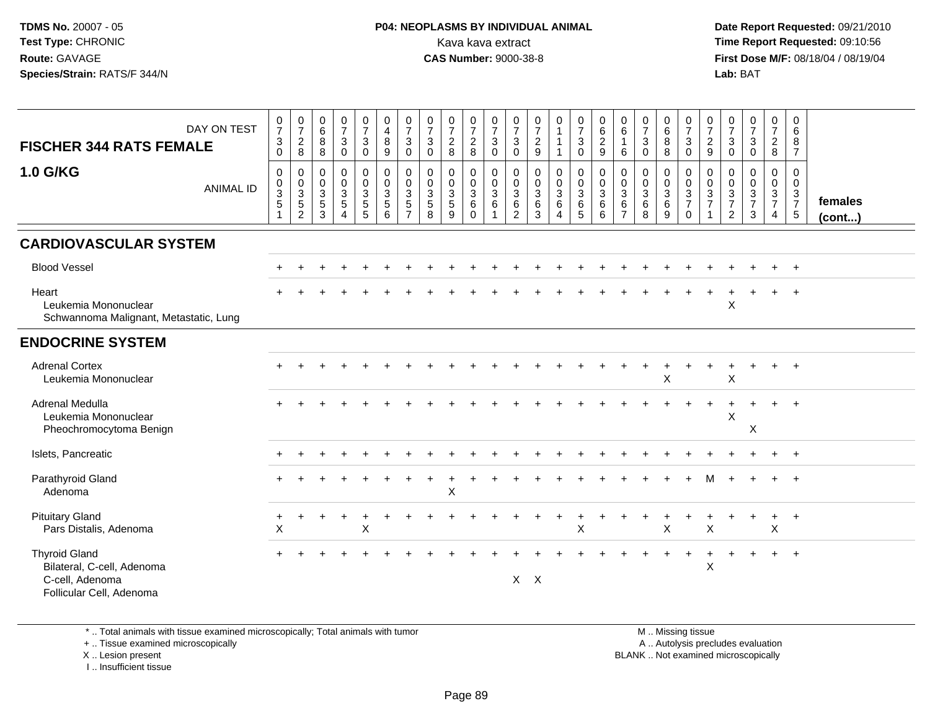**Date Report Requested:** 09/21/2010 **First Dose M/F:** 08/18/04 / 08/19/04 Lab: BAT **Lab:** BAT

| <b>FISCHER 344 RATS FEMALE</b>                                                                    | DAY ON TEST      | 0<br>$\overline{7}$<br>$\ensuremath{\mathsf{3}}$<br>$\mathbf 0$ | $\frac{0}{7}$<br>$\overline{2}$<br>8          | 0<br>$6\phantom{1}$<br>$\bf 8$<br>8                                              | $\frac{0}{7}$<br>$\ensuremath{\mathsf{3}}$<br>$\mathbf 0$             | $\frac{0}{7}$<br>$\ensuremath{\mathsf{3}}$<br>$\mathbf 0$                     | 0<br>$\overline{4}$<br>$\bf 8$<br>9                  | 0<br>$\overline{7}$<br>3<br>$\mathbf 0$                           | 0<br>$\overline{7}$<br>$\mathsf 3$<br>$\mathbf 0$ | $\frac{0}{7}$<br>$\overline{c}$<br>8                | 0<br>$\overline{7}$<br>$\sqrt{2}$<br>8 | 0<br>$\overline{7}$<br>$\sqrt{3}$<br>$\mathbf 0$                | 0<br>$\overline{7}$<br>$\ensuremath{\mathsf{3}}$<br>$\mathbf 0$ | $\frac{0}{7}$<br>$\frac{2}{9}$                                      | $\begin{smallmatrix}0\1\end{smallmatrix}$<br>$\mathbf{1}$<br>$\mathbf{1}$   | 0<br>$\overline{7}$<br>$\mathbf{3}$<br>$\mathbf 0$           | 0<br>$\,6\,$<br>$\frac{2}{9}$        | 0<br>6<br>$\overline{1}$<br>6                                     | 0<br>$\overline{7}$<br>$\sqrt{3}$<br>$\mathbf 0$     | 0<br>$6\overline{6}$<br>$\overline{8}$<br>8 | $\frac{0}{7}$<br>$\ensuremath{\mathsf{3}}$<br>$\pmb{0}$ | 0<br>$\overline{7}$<br>$\frac{2}{9}$                           | 0<br>$\overline{7}$<br>3<br>$\mathbf 0$                             | 0<br>$\overline{7}$<br>$\sqrt{3}$<br>$\mathbf 0$                | 0<br>$\overline{7}$<br>$_{8}^2$                                   | 0<br>6<br>$\begin{array}{c} 8 \\ 7 \end{array}$                                 |                         |
|---------------------------------------------------------------------------------------------------|------------------|-----------------------------------------------------------------|-----------------------------------------------|----------------------------------------------------------------------------------|-----------------------------------------------------------------------|-------------------------------------------------------------------------------|------------------------------------------------------|-------------------------------------------------------------------|---------------------------------------------------|-----------------------------------------------------|----------------------------------------|-----------------------------------------------------------------|-----------------------------------------------------------------|---------------------------------------------------------------------|-----------------------------------------------------------------------------|--------------------------------------------------------------|--------------------------------------|-------------------------------------------------------------------|------------------------------------------------------|---------------------------------------------|---------------------------------------------------------|----------------------------------------------------------------|---------------------------------------------------------------------|-----------------------------------------------------------------|-------------------------------------------------------------------|---------------------------------------------------------------------------------|-------------------------|
| <b>1.0 G/KG</b>                                                                                   | <b>ANIMAL ID</b> | $\mathbf 0$<br>0<br>3<br>5<br>1                                 | $\mathsf{O}$<br>$_3^0$<br>5<br>$\overline{2}$ | $\pmb{0}$<br>$\boldsymbol{0}$<br>$\mathsf 3$<br>$\overline{5}$<br>$\overline{3}$ | $\mathsf{O}\xspace$<br>$\frac{0}{3}$<br>$\,$ 5 $\,$<br>$\overline{A}$ | $\mathbf 0$<br>$\mathbf 0$<br>$\overline{3}$<br>$\,$ 5 $\,$<br>$\overline{5}$ | $\pmb{0}$<br>$\mathbf 0$<br>$\overline{3}$<br>5<br>6 | $\mathbf 0$<br>$\mathbf 0$<br>$\mathbf{3}$<br>5<br>$\overline{ }$ | $\mathbf 0$<br>$\mathbf 0$<br>3<br>5<br>8         | $\mathbf 0$<br>0<br>$\mathbf{3}$<br>$\sqrt{5}$<br>9 | 0<br>0<br>$\sqrt{3}$<br>6<br>$\Omega$  | 0<br>$\mathbf 0$<br>$\overline{3}$<br>6<br>$\blacktriangleleft$ | 0<br>$\mathbf 0$<br>$\mathbf{3}$<br>6<br>$\overline{2}$         | $\mathbf 0$<br>$\mathbf 0$<br>$\overline{3}$<br>6<br>$\overline{3}$ | $\mathbf 0$<br>$\mathbf 0$<br>$\overline{3}$<br>6<br>$\boldsymbol{\Lambda}$ | 0<br>$\overline{0}$<br>$\overline{3}$<br>6<br>$\overline{5}$ | $\pmb{0}$<br>$\frac{0}{3}$<br>6<br>6 | $\mathbf 0$<br>$\mathbf 0$<br>$\mathbf{3}$<br>6<br>$\overline{7}$ | $\mathbf 0$<br>$\mathbf 0$<br>$\mathbf{3}$<br>6<br>8 | 0<br>0<br>$\overline{3}$<br>6<br>9          | 0<br>$\frac{0}{3}$<br>$\overline{7}$<br>$\mathbf 0$     | $\mathbf 0$<br>$\mathbf 0$<br>$\overline{3}$<br>$\overline{7}$ | 0<br>$\mathbf 0$<br>$\mathbf 3$<br>$\overline{7}$<br>$\overline{2}$ | $\mathbf 0$<br>$\mathbf 0$<br>$\sqrt{3}$<br>$\overline{7}$<br>3 | $\mathbf 0$<br>$\mathbf 0$<br>$\mathbf{3}$<br>$\overline{7}$<br>4 | $\mathbf 0$<br>$\mathbf 0$<br>$\mathbf{3}$<br>$\overline{7}$<br>$5\phantom{.0}$ | females<br>$($ cont $)$ |
| <b>CARDIOVASCULAR SYSTEM</b>                                                                      |                  |                                                                 |                                               |                                                                                  |                                                                       |                                                                               |                                                      |                                                                   |                                                   |                                                     |                                        |                                                                 |                                                                 |                                                                     |                                                                             |                                                              |                                      |                                                                   |                                                      |                                             |                                                         |                                                                |                                                                     |                                                                 |                                                                   |                                                                                 |                         |
| <b>Blood Vessel</b>                                                                               |                  |                                                                 |                                               |                                                                                  |                                                                       |                                                                               |                                                      |                                                                   |                                                   |                                                     |                                        |                                                                 |                                                                 |                                                                     |                                                                             |                                                              |                                      |                                                                   |                                                      |                                             |                                                         |                                                                |                                                                     |                                                                 |                                                                   | $+$                                                                             |                         |
| Heart<br>Leukemia Mononuclear<br>Schwannoma Malignant, Metastatic, Lung                           |                  |                                                                 |                                               |                                                                                  |                                                                       |                                                                               |                                                      |                                                                   |                                                   |                                                     |                                        |                                                                 |                                                                 |                                                                     |                                                                             |                                                              |                                      |                                                                   |                                                      |                                             |                                                         |                                                                | X                                                                   |                                                                 |                                                                   | $\ddot{}$                                                                       |                         |
| <b>ENDOCRINE SYSTEM</b>                                                                           |                  |                                                                 |                                               |                                                                                  |                                                                       |                                                                               |                                                      |                                                                   |                                                   |                                                     |                                        |                                                                 |                                                                 |                                                                     |                                                                             |                                                              |                                      |                                                                   |                                                      |                                             |                                                         |                                                                |                                                                     |                                                                 |                                                                   |                                                                                 |                         |
| <b>Adrenal Cortex</b><br>Leukemia Mononuclear                                                     |                  |                                                                 |                                               |                                                                                  |                                                                       |                                                                               |                                                      |                                                                   |                                                   |                                                     |                                        |                                                                 |                                                                 |                                                                     |                                                                             |                                                              |                                      |                                                                   |                                                      | X                                           |                                                         |                                                                | $\mathsf X$                                                         |                                                                 |                                                                   | $\ddot{}$                                                                       |                         |
| <b>Adrenal Medulla</b><br>Leukemia Mononuclear<br>Pheochromocytoma Benign                         |                  |                                                                 |                                               |                                                                                  |                                                                       |                                                                               |                                                      |                                                                   |                                                   |                                                     |                                        |                                                                 |                                                                 |                                                                     |                                                                             |                                                              |                                      |                                                                   |                                                      |                                             |                                                         |                                                                | $\boldsymbol{\mathsf{X}}$                                           | X                                                               |                                                                   | $\ddot{}$                                                                       |                         |
| Islets, Pancreatic                                                                                |                  |                                                                 |                                               |                                                                                  |                                                                       |                                                                               |                                                      |                                                                   |                                                   |                                                     |                                        |                                                                 |                                                                 |                                                                     |                                                                             |                                                              |                                      |                                                                   |                                                      |                                             |                                                         |                                                                |                                                                     |                                                                 |                                                                   | $+$                                                                             |                         |
| Parathyroid Gland<br>Adenoma                                                                      |                  |                                                                 |                                               |                                                                                  |                                                                       |                                                                               |                                                      |                                                                   |                                                   | $\boldsymbol{\mathsf{X}}$                           |                                        |                                                                 |                                                                 |                                                                     |                                                                             |                                                              |                                      |                                                                   |                                                      |                                             |                                                         |                                                                |                                                                     |                                                                 |                                                                   |                                                                                 |                         |
| <b>Pituitary Gland</b><br>Pars Distalis, Adenoma                                                  |                  | X                                                               |                                               |                                                                                  |                                                                       | $\boldsymbol{\mathsf{X}}$                                                     |                                                      |                                                                   |                                                   |                                                     |                                        |                                                                 |                                                                 |                                                                     |                                                                             | X                                                            |                                      |                                                                   |                                                      | $\boldsymbol{\mathsf{X}}$                   |                                                         | $\boldsymbol{\mathsf{X}}$                                      |                                                                     |                                                                 | $\ddot{}$<br>$\mathsf X$                                          | $+$                                                                             |                         |
| <b>Thyroid Gland</b><br>Bilateral, C-cell, Adenoma<br>C-cell, Adenoma<br>Follicular Cell, Adenoma |                  |                                                                 |                                               |                                                                                  |                                                                       |                                                                               |                                                      |                                                                   |                                                   |                                                     |                                        |                                                                 |                                                                 | $X$ $X$                                                             |                                                                             |                                                              |                                      |                                                                   |                                                      |                                             |                                                         | X                                                              |                                                                     |                                                                 |                                                                   | $^{+}$                                                                          |                         |

\* .. Total animals with tissue examined microscopically; Total animals with tumor

+ .. Tissue examined microscopically

X .. Lesion present

I .. Insufficient tissue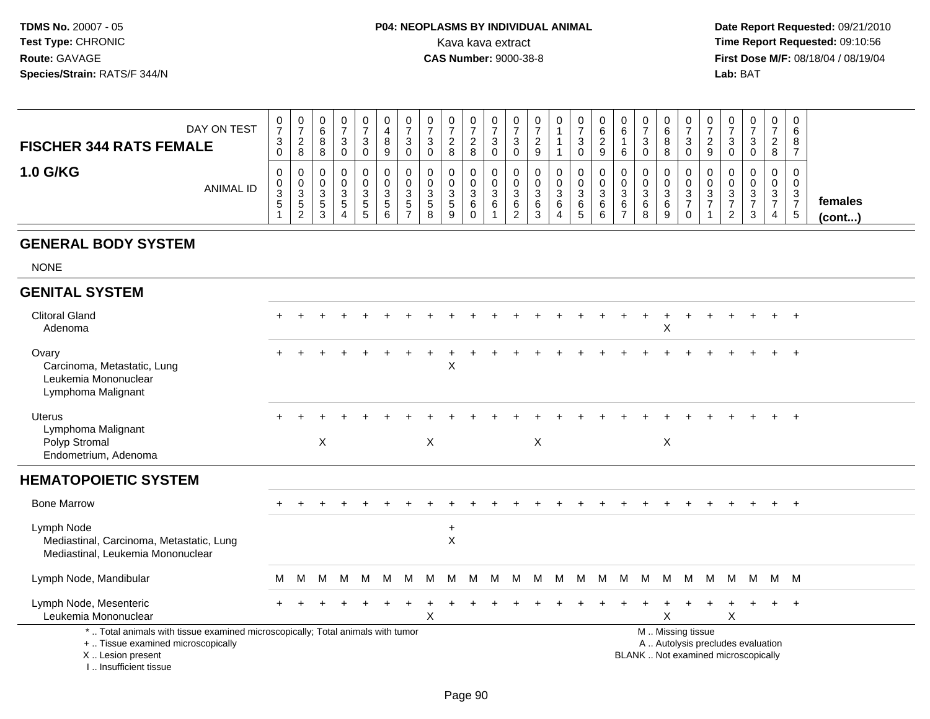#### **P04: NEOPLASMS BY INDIVIDUAL ANIMAL**Kava kava extract **Time Report Requested: 09:10:56**<br>**CAS Number: 9000-38-8 Time Report Requested: 09:10:56**

 **Date Report Requested:** 09/21/2010 **First Dose M/F:** 08/18/04 / 08/19/04 Lab: BAT **Lab:** BAT

| DAY ON TEST<br><b>FISCHER 344 RATS FEMALE</b> | ◡<br>$\rightarrow$<br>ാ<br>ູບ<br>$\mathbf{0}$ | ◡<br>$\rightarrow$<br><u>_</u><br>8 | 0<br>6<br>8<br>8                                         | ت             | 0<br>っ<br>د | U<br>8<br>9                  | U<br>3        | υ<br>ັ       | U<br>റ<br>8            |   | U<br>J                  | 0<br><u>_</u><br>9       | 0                     | υ<br>n<br>ت           |                | v<br>⌒<br>b<br>b | w           | 6<br>O<br>8 | 0<br>◡<br>0           | a           |          | U<br>v | $\mathbf{0}$<br>ີ<br>$\sim$<br>8 | 0<br>6<br>8<br>$\rightarrow$ |                         |
|-----------------------------------------------|-----------------------------------------------|-------------------------------------|----------------------------------------------------------|---------------|-------------|------------------------------|---------------|--------------|------------------------|---|-------------------------|--------------------------|-----------------------|-----------------------|----------------|------------------|-------------|-------------|-----------------------|-------------|----------|--------|----------------------------------|------------------------------|-------------------------|
| <b>1.0 G/KG</b><br><b>ANIMAL ID</b>           | 0<br>U<br>ີ<br>ັບ<br>$\mathbf{p}$             | ◡<br>◡<br>ა<br>ಾ<br>າ<br><u>_</u>   | 0<br>0<br>⌒<br>ັ<br>$\ddot{\phantom{1}}$<br>ິບ<br>ີ<br>ັ | <b>پ</b><br>4 | 3<br>5<br>5 | U<br>◠<br>$\mathbf{c}$<br>ิด | U<br>3<br>. 5 | ບ<br>C.<br>8 | υ<br>ົ<br>ັບ<br>G<br>9 | O | U<br>w<br>ь<br><u>.</u> | 0<br>U<br>- ఎ<br>6<br>-c | 0<br>U<br>3<br>6<br>4 | υ<br>◠<br>ت<br>6<br>5 | - 3<br>6<br>c. | u<br>u<br>b      | ີ<br>6<br>8 | 3<br>6<br>9 | 0<br>U<br>ົ<br>ັ<br>0 | $\sim$<br>ت | <u>_</u> | -3     | 0<br>0<br>3<br>4                 | 0<br>3<br>$\rightarrow$<br>5 | females<br>$($ cont $)$ |

#### **GENERAL BODY SYSTEM**

NONE

#### **GENITAL SYSTEM**Clitoral Gland $\alpha$  + <sup>+</sup> <sup>+</sup> <sup>+</sup> <sup>+</sup> <sup>+</sup> <sup>+</sup> <sup>+</sup> <sup>+</sup> <sup>+</sup> <sup>+</sup> <sup>+</sup> <sup>+</sup> <sup>+</sup> <sup>+</sup> <sup>+</sup> <sup>+</sup> <sup>+</sup> <sup>+</sup> <sup>+</sup> <sup>+</sup> <sup>+</sup> <sup>+</sup> <sup>+</sup> <sup>+</sup> Adenoma $\alpha$ **Ovary**  <sup>+</sup> <sup>+</sup> <sup>+</sup> <sup>+</sup> <sup>+</sup> <sup>+</sup> <sup>+</sup> <sup>+</sup> <sup>+</sup> <sup>+</sup> <sup>+</sup> <sup>+</sup> <sup>+</sup> <sup>+</sup> <sup>+</sup> <sup>+</sup> <sup>+</sup> <sup>+</sup> <sup>+</sup> <sup>+</sup> <sup>+</sup> <sup>+</sup> <sup>+</sup> <sup>+</sup> <sup>+</sup> Carcinoma, Metastatic, Lungg and  $\lambda$ Leukemia MononuclearLymphoma MalignantUterus <sup>+</sup> <sup>+</sup> <sup>+</sup> <sup>+</sup> <sup>+</sup> <sup>+</sup> <sup>+</sup> <sup>+</sup> <sup>+</sup> <sup>+</sup> <sup>+</sup> <sup>+</sup> <sup>+</sup> <sup>+</sup> <sup>+</sup> <sup>+</sup> <sup>+</sup> <sup>+</sup> <sup>+</sup> <sup>+</sup> <sup>+</sup> <sup>+</sup> <sup>+</sup> <sup>+</sup> <sup>+</sup> Lymphoma MalignantPolyp Stromal**X**  $X$  X  $X$  X X Endometrium, Adenoma**HEMATOPOIETIC SYSTEM**Bone Marrow <sup>+</sup> <sup>+</sup> <sup>+</sup> <sup>+</sup> <sup>+</sup> <sup>+</sup> <sup>+</sup> <sup>+</sup> <sup>+</sup> <sup>+</sup> <sup>+</sup> <sup>+</sup> <sup>+</sup> <sup>+</sup> <sup>+</sup> <sup>+</sup> <sup>+</sup> <sup>+</sup> <sup>+</sup> <sup>+</sup> <sup>+</sup> <sup>+</sup> <sup>+</sup> <sup>+</sup> <sup>+</sup> Lymph Node <sup>+</sup>Mediastinal, Carcinoma, Metastatic, Lung $\sf X$ g and  $\lambda$ Mediastinal, Leukemia MononuclearLymph Node, Mandibularr M <sup>M</sup> <sup>M</sup> <sup>M</sup> <sup>M</sup> <sup>M</sup> <sup>M</sup> <sup>M</sup> <sup>M</sup> <sup>M</sup> <sup>M</sup> <sup>M</sup> <sup>M</sup> <sup>M</sup> <sup>M</sup> <sup>M</sup> <sup>M</sup> <sup>M</sup> <sup>M</sup> <sup>M</sup> <sup>M</sup> <sup>M</sup> <sup>M</sup> <sup>M</sup> <sup>M</sup> Lymph Node, Mesenteric $\overline{c}$  + <sup>+</sup> <sup>+</sup> <sup>+</sup> <sup>+</sup> <sup>+</sup> <sup>+</sup> <sup>+</sup> <sup>+</sup> <sup>+</sup> <sup>+</sup> <sup>+</sup> <sup>+</sup> <sup>+</sup> <sup>+</sup> <sup>+</sup> <sup>+</sup> <sup>+</sup> <sup>+</sup> <sup>+</sup> <sup>+</sup> <sup>+</sup> <sup>+</sup> <sup>+</sup> <sup>+</sup> Leukemia Mononuclear $\mathsf{r}$  x  $\mathsf{X}$  x x  $\mathsf{X}$ \* .. Total animals with tissue examined microscopically; Total animals with tumor M .. Missing tissuey the contract of the contract of the contract of the contract of the contract of the contract of the contract of  $A$ . Autolysis precludes evaluation + .. Tissue examined microscopically Lesion present BLANK .. Not examined microscopicallyX .. Lesion present I .. Insufficient tissue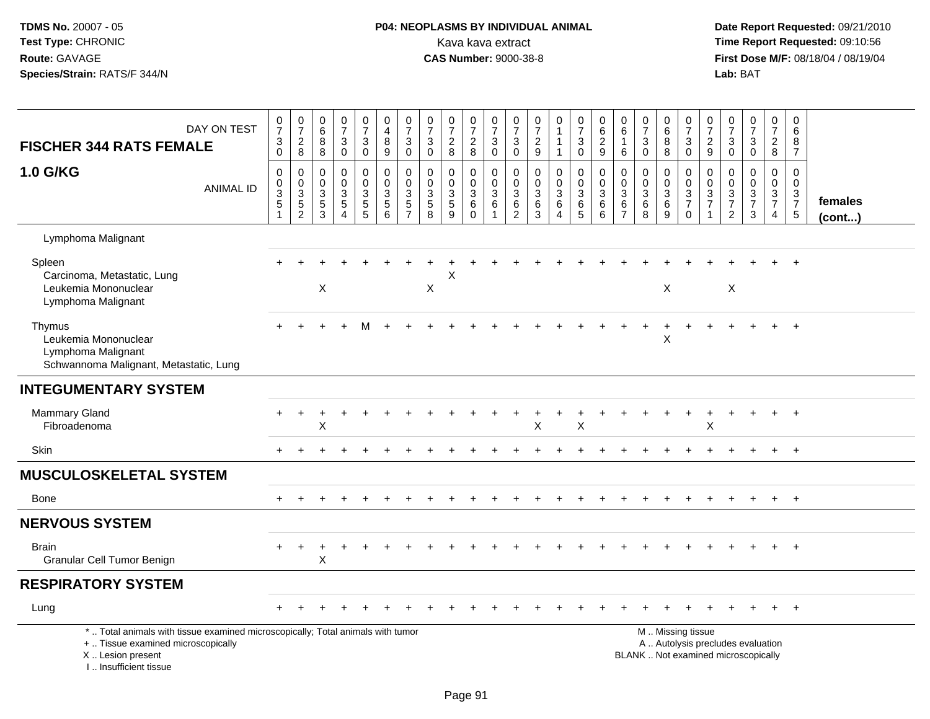# **P04: NEOPLASMS BY INDIVIDUAL ANIMAL**<br>Kava kava extract Kava kava extract **Time Report Requested:** 09:10:56<br>**CAS Number:** 9000-38-8 **CAS Number:** 9000-38-8

 **Date Report Requested:** 09/21/2010 **First Dose M/F:** 08/18/04 / 08/19/04<br>Lab: BAT **Lab:** BAT

| DAY ON TEST<br><b>FISCHER 344 RATS FEMALE</b>                                                                                                                       | $\frac{0}{7}$<br>$\ensuremath{\mathsf{3}}$<br>$\mathbf 0$ | $\frac{0}{7}$<br>$_{\rm 8}^2$                                | 0<br>$\,6\,$<br>$\bf 8$<br>8                         | $\frac{0}{7}$<br>$\mathbf{3}$<br>$\mathbf 0$                             | $\frac{0}{7}$<br>$\mathbf{3}$<br>$\mathbf 0$    | $\begin{smallmatrix}0\\4\end{smallmatrix}$<br>8<br>$\boldsymbol{9}$            | $\begin{array}{c} 0 \\ 7 \end{array}$<br>$\mathfrak{S}$<br>$\mathbf 0$ | 0<br>$\overline{7}$<br>$\mathbf{3}$<br>0 | $\begin{array}{c} 0 \\ 7 \end{array}$<br>$\frac{2}{8}$                       | $\frac{0}{7}$<br>$\boldsymbol{2}$<br>8                | $\begin{array}{c} 0 \\ 7 \end{array}$<br>$\sqrt{3}$<br>$\mathbf 0$             | 0<br>$\overline{7}$<br>3<br>0                                | $\frac{0}{7}$<br>$\frac{2}{9}$                                     | $\begin{smallmatrix}0\1\end{smallmatrix}$<br>$\mathbf{1}$<br>$\mathbf{1}$ | $\frac{0}{7}$<br>$\sqrt{3}$<br>0                     | $\pmb{0}$<br>$\overline{6}$<br>$\sqrt{2}$<br>$9\,$         | 0<br>$\,6$<br>$\mathbf{1}$<br>6                               | $\frac{0}{7}$<br>$\mathbf{3}$<br>$\mathbf 0$            | 0<br>$\overline{6}$<br>8<br>8                                  | $\frac{0}{7}$<br>$\ensuremath{\mathsf{3}}$<br>$\mathbf 0$ | $\begin{array}{c} 0 \\ 7 \end{array}$<br>$\overline{\mathbf{c}}$<br>9 | 0<br>$\overline{7}$<br>$\sqrt{3}$<br>0                                                        | $\begin{smallmatrix}0\\7\end{smallmatrix}$<br>$\sqrt{3}$<br>$\mathbf 0$ | 0<br>$\overline{7}$<br>$\overline{\mathbf{c}}$<br>8 | $\mathbf 0$<br>$\,6\,$<br>8<br>$\overline{7}$ |                         |
|---------------------------------------------------------------------------------------------------------------------------------------------------------------------|-----------------------------------------------------------|--------------------------------------------------------------|------------------------------------------------------|--------------------------------------------------------------------------|-------------------------------------------------|--------------------------------------------------------------------------------|------------------------------------------------------------------------|------------------------------------------|------------------------------------------------------------------------------|-------------------------------------------------------|--------------------------------------------------------------------------------|--------------------------------------------------------------|--------------------------------------------------------------------|---------------------------------------------------------------------------|------------------------------------------------------|------------------------------------------------------------|---------------------------------------------------------------|---------------------------------------------------------|----------------------------------------------------------------|-----------------------------------------------------------|-----------------------------------------------------------------------|-----------------------------------------------------------------------------------------------|-------------------------------------------------------------------------|-----------------------------------------------------|-----------------------------------------------|-------------------------|
| 1.0 G/KG<br><b>ANIMAL ID</b>                                                                                                                                        | $\mathbf 0$<br>$_{3}^{\rm 0}$<br>$\,$ 5 $\,$              | $\pmb{0}$<br>$\begin{array}{c} 0 \\ 3 \\ 5 \\ 2 \end{array}$ | 0<br>$\mathbf 0$<br>$\mathbf{3}$<br>$\,$ 5 $\,$<br>3 | $\mathbf 0$<br>$\mathbf 0$<br>$\sqrt{3}$<br>$\sqrt{5}$<br>$\overline{4}$ | 0<br>$\mathbf 0$<br>$\sqrt{3}$<br>$\frac{5}{5}$ | $\pmb{0}$<br>$\mathsf{O}\xspace$<br>$\ensuremath{\mathsf{3}}$<br>$\frac{5}{6}$ | 0<br>$\mathbf 0$<br>$\mathbf{3}$<br>$\frac{5}{7}$                      | 0<br>$\mathbf 0$<br>3<br>$\sqrt{5}$<br>8 | $\mathbf 0$<br>$\pmb{0}$<br>$\ensuremath{\mathsf{3}}$<br>$\overline{5}$<br>9 | 0<br>$\mathbf 0$<br>$\sqrt{3}$<br>$\,6\,$<br>$\Omega$ | $\mathbf 0$<br>$\boldsymbol{0}$<br>$\overline{3}$<br>$\,6\,$<br>$\overline{1}$ | 0<br>$\pmb{0}$<br>$\ensuremath{\mathsf{3}}$<br>$\frac{6}{2}$ | $\boldsymbol{0}$<br>$\mathbf 0$<br>$\overline{3}$<br>$\frac{6}{3}$ | 0<br>$\mathbf 0$<br>$\mathbf 3$<br>6<br>$\overline{4}$                    | 0<br>$\overline{0}$<br>$\overline{3}$<br>$rac{6}{5}$ | $\mathbf 0$<br>$\pmb{0}$<br>$\overline{3}$<br>$\,6\,$<br>6 | 0<br>$\mathbf 0$<br>$\mathbf{3}$<br>$\,6\,$<br>$\overline{7}$ | $\mathbf 0$<br>$\mathbf 0$<br>$\mathbf 3$<br>$\,6$<br>8 | 0<br>$\mathbf 0$<br>$\ensuremath{\mathsf{3}}$<br>$\frac{6}{9}$ | $\pmb{0}$<br>$\frac{0}{3}$<br>$\mathbf 0$                 | $\mathbf 0$<br>$\mathsf{O}\xspace$<br>$\frac{3}{7}$<br>1              | $\mathbf 0$<br>$\mathbf 0$<br>$\ensuremath{\mathsf{3}}$<br>$\boldsymbol{7}$<br>$\overline{2}$ | $\mathbf 0$<br>$\mathbf 0$<br>$\frac{3}{7}$<br>3                        | 0<br>$\mathbf 0$<br>$\frac{3}{7}$<br>$\overline{4}$ | $\mathbf 0$<br>$\mathbf 0$<br>$\frac{3}{7}$   | females<br>$($ cont $)$ |
| Lymphoma Malignant                                                                                                                                                  |                                                           |                                                              |                                                      |                                                                          |                                                 |                                                                                |                                                                        |                                          |                                                                              |                                                       |                                                                                |                                                              |                                                                    |                                                                           |                                                      |                                                            |                                                               |                                                         |                                                                |                                                           |                                                                       |                                                                                               |                                                                         |                                                     |                                               |                         |
| Spleen<br>Carcinoma, Metastatic, Lung<br>Leukemia Mononuclear<br>Lymphoma Malignant                                                                                 |                                                           |                                                              | $\times$                                             |                                                                          |                                                 |                                                                                |                                                                        | X                                        | X                                                                            |                                                       |                                                                                |                                                              |                                                                    |                                                                           |                                                      |                                                            |                                                               |                                                         | X                                                              |                                                           |                                                                       | X                                                                                             |                                                                         |                                                     |                                               |                         |
| Thymus<br>Leukemia Mononuclear<br>Lymphoma Malignant<br>Schwannoma Malignant, Metastatic, Lung                                                                      |                                                           |                                                              |                                                      |                                                                          |                                                 |                                                                                |                                                                        |                                          |                                                                              |                                                       |                                                                                |                                                              |                                                                    |                                                                           |                                                      |                                                            |                                                               |                                                         | X                                                              |                                                           |                                                                       |                                                                                               |                                                                         |                                                     | $+$                                           |                         |
| <b>INTEGUMENTARY SYSTEM</b>                                                                                                                                         |                                                           |                                                              |                                                      |                                                                          |                                                 |                                                                                |                                                                        |                                          |                                                                              |                                                       |                                                                                |                                                              |                                                                    |                                                                           |                                                      |                                                            |                                                               |                                                         |                                                                |                                                           |                                                                       |                                                                                               |                                                                         |                                                     |                                               |                         |
| <b>Mammary Gland</b><br>Fibroadenoma                                                                                                                                |                                                           |                                                              | X                                                    |                                                                          |                                                 |                                                                                |                                                                        |                                          |                                                                              |                                                       |                                                                                |                                                              | X                                                                  |                                                                           | X                                                    |                                                            |                                                               |                                                         |                                                                |                                                           | $\mathsf X$                                                           |                                                                                               |                                                                         |                                                     | $\overline{+}$                                |                         |
| Skin                                                                                                                                                                | $+$                                                       |                                                              |                                                      |                                                                          |                                                 |                                                                                |                                                                        |                                          |                                                                              |                                                       |                                                                                |                                                              |                                                                    |                                                                           |                                                      |                                                            |                                                               |                                                         |                                                                |                                                           |                                                                       |                                                                                               |                                                                         | $\ddot{}$                                           | $+$                                           |                         |
| <b>MUSCULOSKELETAL SYSTEM</b>                                                                                                                                       |                                                           |                                                              |                                                      |                                                                          |                                                 |                                                                                |                                                                        |                                          |                                                                              |                                                       |                                                                                |                                                              |                                                                    |                                                                           |                                                      |                                                            |                                                               |                                                         |                                                                |                                                           |                                                                       |                                                                                               |                                                                         |                                                     |                                               |                         |
| <b>Bone</b>                                                                                                                                                         |                                                           |                                                              |                                                      |                                                                          |                                                 |                                                                                |                                                                        |                                          |                                                                              |                                                       |                                                                                |                                                              |                                                                    |                                                                           |                                                      |                                                            |                                                               |                                                         |                                                                |                                                           |                                                                       |                                                                                               |                                                                         | $\ddot{}$                                           | $+$                                           |                         |
| <b>NERVOUS SYSTEM</b>                                                                                                                                               |                                                           |                                                              |                                                      |                                                                          |                                                 |                                                                                |                                                                        |                                          |                                                                              |                                                       |                                                                                |                                                              |                                                                    |                                                                           |                                                      |                                                            |                                                               |                                                         |                                                                |                                                           |                                                                       |                                                                                               |                                                                         |                                                     |                                               |                         |
| <b>Brain</b><br>Granular Cell Tumor Benign                                                                                                                          |                                                           |                                                              | $\mathsf X$                                          |                                                                          |                                                 |                                                                                |                                                                        |                                          |                                                                              |                                                       |                                                                                |                                                              |                                                                    |                                                                           |                                                      |                                                            |                                                               |                                                         |                                                                |                                                           |                                                                       |                                                                                               |                                                                         |                                                     | $\overline{+}$                                |                         |
| <b>RESPIRATORY SYSTEM</b>                                                                                                                                           |                                                           |                                                              |                                                      |                                                                          |                                                 |                                                                                |                                                                        |                                          |                                                                              |                                                       |                                                                                |                                                              |                                                                    |                                                                           |                                                      |                                                            |                                                               |                                                         |                                                                |                                                           |                                                                       |                                                                                               |                                                                         |                                                     |                                               |                         |
| Lung                                                                                                                                                                |                                                           |                                                              |                                                      |                                                                          |                                                 |                                                                                |                                                                        |                                          |                                                                              |                                                       |                                                                                |                                                              |                                                                    |                                                                           |                                                      |                                                            |                                                               |                                                         |                                                                |                                                           |                                                                       |                                                                                               |                                                                         |                                                     |                                               |                         |
| *  Total animals with tissue examined microscopically; Total animals with tumor<br>+  Tissue examined microscopically<br>X  Lesion present<br>I Insufficient tissue |                                                           |                                                              |                                                      |                                                                          |                                                 |                                                                                |                                                                        |                                          |                                                                              |                                                       |                                                                                |                                                              |                                                                    |                                                                           |                                                      |                                                            |                                                               | BLANK  Not examined microscopically                     |                                                                | M  Missing tissue                                         |                                                                       |                                                                                               | A  Autolysis precludes evaluation                                       |                                                     |                                               |                         |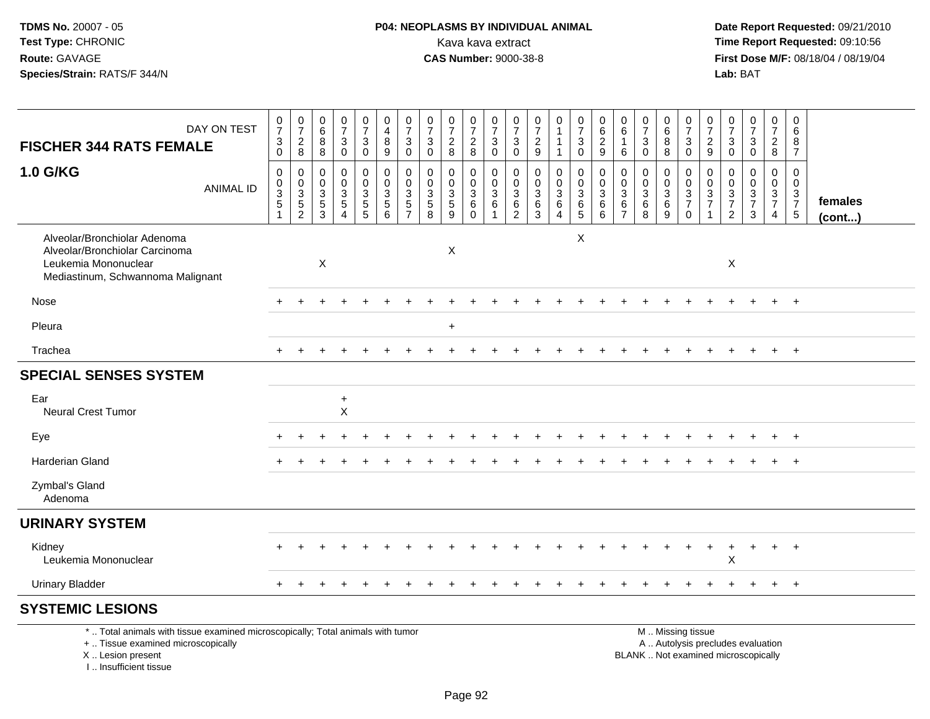# **P04: NEOPLASMS BY INDIVIDUAL ANIMAL**Kava kava extract **Time Report Requested:** 09:10:56<br>**CAS Number:** 9000-38-8 **CAS Number:** 9000-38-8

 **Date Report Requested:** 09/21/2010 **First Dose M/F:** 08/18/04 / 08/19/04 Lab: BAT **Lab:** BAT

| DAY ON TEST<br><b>FISCHER 344 RATS FEMALE</b>                                                                                                                         | $\frac{0}{7}$<br>$\ensuremath{\mathsf{3}}$<br>$\boldsymbol{0}$  | $\frac{0}{7}$<br>$_{\rm 8}^2$        | $\begin{array}{c} 0 \\ 6 \end{array}$<br>$\bf 8$<br>8                     | $\frac{0}{7}$<br>$\ensuremath{\mathsf{3}}$<br>$\pmb{0}$                                 | $\begin{smallmatrix}0\\7\end{smallmatrix}$<br>$\ensuremath{\mathsf{3}}$<br>$\mathbf 0$ | $\begin{smallmatrix}0\0\4\end{smallmatrix}$<br>$\bf 8$<br>9 | $\frac{0}{7}$<br>$\ensuremath{\mathsf{3}}$<br>$\mathbf 0$ | $\frac{0}{7}$<br>$\ensuremath{\mathsf{3}}$<br>$\mathbf 0$                      | $\frac{0}{7}$<br>$\overline{c}$<br>8         | $\frac{0}{7}$<br>$\frac{2}{8}$                      | $\frac{0}{7}$<br>$\ensuremath{\mathsf{3}}$<br>$\mathbf 0$            | $\frac{0}{7}$<br>$\sqrt{3}$<br>$\mathbf 0$               | $\begin{array}{c} 0 \\ 7 \end{array}$<br>$\sqrt{2}$<br>9          | 0<br>$\mathbf{1}$<br>1<br>1                                     | $\frac{0}{7}$<br>$\ensuremath{\mathsf{3}}$<br>$\mathbf 0$         | $_{6}^{\rm 0}$<br>$\overline{2}$<br>9                                                | 0<br>6<br>6                                                  | $\frac{0}{7}$<br>$\sqrt{3}$<br>$\mathbf 0$               | $\begin{array}{c} 0 \\ 6 \end{array}$<br>$\bf 8$<br>8   | $\frac{0}{7}$<br>$\ensuremath{\mathsf{3}}$<br>$\mathbf 0$ | $\frac{0}{7}$<br>$\overline{c}$<br>9                                              | $\frac{0}{7}$<br>3<br>$\mathbf 0$                      | $\frac{0}{7}$<br>$\ensuremath{\mathsf{3}}$<br>$\pmb{0}$                  | $\pmb{0}$<br>$\overline{7}$<br>$_{8}^{\rm 2}$       | $\mathbf 0$<br>6<br>8<br>$\overline{7}$                               |                         |
|-----------------------------------------------------------------------------------------------------------------------------------------------------------------------|-----------------------------------------------------------------|--------------------------------------|---------------------------------------------------------------------------|-----------------------------------------------------------------------------------------|----------------------------------------------------------------------------------------|-------------------------------------------------------------|-----------------------------------------------------------|--------------------------------------------------------------------------------|----------------------------------------------|-----------------------------------------------------|----------------------------------------------------------------------|----------------------------------------------------------|-------------------------------------------------------------------|-----------------------------------------------------------------|-------------------------------------------------------------------|--------------------------------------------------------------------------------------|--------------------------------------------------------------|----------------------------------------------------------|---------------------------------------------------------|-----------------------------------------------------------|-----------------------------------------------------------------------------------|--------------------------------------------------------|--------------------------------------------------------------------------|-----------------------------------------------------|-----------------------------------------------------------------------|-------------------------|
|                                                                                                                                                                       |                                                                 |                                      |                                                                           |                                                                                         |                                                                                        |                                                             |                                                           |                                                                                |                                              |                                                     |                                                                      |                                                          |                                                                   |                                                                 |                                                                   |                                                                                      |                                                              |                                                          |                                                         |                                                           |                                                                                   |                                                        |                                                                          |                                                     |                                                                       |                         |
| 1.0 G/KG<br><b>ANIMAL ID</b>                                                                                                                                          | $\mathbf 0$<br>$_{3}^{\rm 0}$<br>$\overline{5}$<br>$\mathbf{1}$ | 0<br>$\frac{0}{3}$<br>$\overline{2}$ | $\mathbf 0$<br>$\mathbf 0$<br>$\mathbf{3}$<br>$\,$ 5 $\,$<br>$\mathbf{3}$ | 0<br>$\pmb{0}$<br>$\ensuremath{\mathsf{3}}$<br>$\overline{5}$<br>$\boldsymbol{\Lambda}$ | 0<br>$\mathbf 0$<br>$\frac{3}{5}$                                                      | 0<br>$\mathbf 0$<br>$\sqrt{3}$<br>$\overline{5}$<br>6       | 0<br>$\mathbf 0$<br>3<br>$\sqrt{5}$<br>$\overline{7}$     | $\mathbf 0$<br>$\mathbf 0$<br>$\ensuremath{\mathsf{3}}$<br>$\overline{5}$<br>8 | 0<br>$\mathbf 0$<br>3<br>$\overline{5}$<br>9 | 0<br>$\frac{0}{3}$<br>$6\phantom{a}$<br>$\mathbf 0$ | 0<br>$\mathbf 0$<br>$\overline{3}$<br>$6\phantom{a}$<br>$\mathbf{1}$ | 0<br>$\mathsf{O}\xspace$<br>$\mathbf 3$<br>$\frac{6}{2}$ | $\mathbf 0$<br>$\mathbf 0$<br>$\mathbf{3}$<br>$\overline{6}$<br>3 | 0<br>$\mathsf{O}\xspace$<br>$\mathbf{3}$<br>$\overline{6}$<br>4 | 0<br>$\mathsf{O}\xspace$<br>$\overline{3}$<br>$\overline{6}$<br>5 | $\pmb{0}$<br>$\mathsf{O}\xspace$<br>$\mathbf{3}$<br>$6\phantom{a}$<br>$6\phantom{a}$ | $\mathbf 0$<br>$\mathbf 0$<br>3<br>$\,6\,$<br>$\overline{7}$ | $\mathbf 0$<br>$\mathbf 0$<br>$\mathbf{3}$<br>$\,6$<br>8 | 0<br>$\mathbf 0$<br>$\mathbf{3}$<br>$6\phantom{a}$<br>9 | $\mathbf 0$<br>$\pmb{0}$<br>$\frac{3}{7}$<br>$\mathbf 0$  | $\mathbf 0$<br>$\mathsf{O}\xspace$<br>$\ensuremath{\mathsf{3}}$<br>$\overline{7}$ | $\mathbf 0$<br>$\mathbf 0$<br>3<br>$\overline{7}$<br>2 | 0<br>$\pmb{0}$<br>$\frac{3}{7}$<br>$\mathbf{3}$                          | 0<br>$\mathbf 0$<br>$\frac{3}{7}$<br>$\overline{4}$ | $\Omega$<br>$\mathbf 0$<br>$\begin{array}{c} 3 \\ 7 \\ 5 \end{array}$ | females<br>$($ cont $)$ |
| Alveolar/Bronchiolar Adenoma<br>Alveolar/Bronchiolar Carcinoma<br>Leukemia Mononuclear<br>Mediastinum, Schwannoma Malignant                                           |                                                                 |                                      | $\boldsymbol{\mathsf{X}}$                                                 |                                                                                         |                                                                                        |                                                             |                                                           |                                                                                | X                                            |                                                     |                                                                      |                                                          |                                                                   |                                                                 | $\times$                                                          |                                                                                      |                                                              |                                                          |                                                         |                                                           |                                                                                   | X                                                      |                                                                          |                                                     |                                                                       |                         |
| Nose                                                                                                                                                                  |                                                                 |                                      |                                                                           |                                                                                         |                                                                                        |                                                             |                                                           |                                                                                |                                              |                                                     |                                                                      |                                                          |                                                                   |                                                                 |                                                                   |                                                                                      |                                                              |                                                          |                                                         |                                                           |                                                                                   |                                                        |                                                                          | $+$                                                 | $+$                                                                   |                         |
| Pleura                                                                                                                                                                |                                                                 |                                      |                                                                           |                                                                                         |                                                                                        |                                                             |                                                           |                                                                                | $\ddot{}$                                    |                                                     |                                                                      |                                                          |                                                                   |                                                                 |                                                                   |                                                                                      |                                                              |                                                          |                                                         |                                                           |                                                                                   |                                                        |                                                                          |                                                     |                                                                       |                         |
| Trachea                                                                                                                                                               |                                                                 |                                      |                                                                           |                                                                                         |                                                                                        |                                                             |                                                           |                                                                                |                                              |                                                     |                                                                      |                                                          |                                                                   |                                                                 |                                                                   |                                                                                      |                                                              |                                                          |                                                         |                                                           |                                                                                   |                                                        |                                                                          | $+$                                                 | $+$                                                                   |                         |
| <b>SPECIAL SENSES SYSTEM</b>                                                                                                                                          |                                                                 |                                      |                                                                           |                                                                                         |                                                                                        |                                                             |                                                           |                                                                                |                                              |                                                     |                                                                      |                                                          |                                                                   |                                                                 |                                                                   |                                                                                      |                                                              |                                                          |                                                         |                                                           |                                                                                   |                                                        |                                                                          |                                                     |                                                                       |                         |
| Ear<br>Neural Crest Tumor                                                                                                                                             | $\ddot{}$<br>X<br>$+$                                           |                                      |                                                                           |                                                                                         |                                                                                        |                                                             |                                                           |                                                                                |                                              |                                                     |                                                                      |                                                          |                                                                   |                                                                 |                                                                   |                                                                                      |                                                              |                                                          |                                                         |                                                           |                                                                                   |                                                        |                                                                          |                                                     |                                                                       |                         |
| Eye                                                                                                                                                                   |                                                                 |                                      |                                                                           |                                                                                         |                                                                                        |                                                             |                                                           |                                                                                |                                              |                                                     |                                                                      |                                                          |                                                                   |                                                                 |                                                                   |                                                                                      |                                                              |                                                          |                                                         |                                                           |                                                                                   |                                                        |                                                                          |                                                     |                                                                       |                         |
| <b>Harderian Gland</b>                                                                                                                                                |                                                                 |                                      |                                                                           |                                                                                         |                                                                                        |                                                             |                                                           |                                                                                |                                              |                                                     |                                                                      |                                                          |                                                                   |                                                                 |                                                                   |                                                                                      |                                                              |                                                          |                                                         |                                                           |                                                                                   |                                                        |                                                                          |                                                     | $+$                                                                   |                         |
| Zymbal's Gland<br>Adenoma                                                                                                                                             |                                                                 |                                      |                                                                           |                                                                                         |                                                                                        |                                                             |                                                           |                                                                                |                                              |                                                     |                                                                      |                                                          |                                                                   |                                                                 |                                                                   |                                                                                      |                                                              |                                                          |                                                         |                                                           |                                                                                   |                                                        |                                                                          |                                                     |                                                                       |                         |
| <b>URINARY SYSTEM</b>                                                                                                                                                 |                                                                 |                                      |                                                                           |                                                                                         |                                                                                        |                                                             |                                                           |                                                                                |                                              |                                                     |                                                                      |                                                          |                                                                   |                                                                 |                                                                   |                                                                                      |                                                              |                                                          |                                                         |                                                           |                                                                                   |                                                        |                                                                          |                                                     |                                                                       |                         |
| Kidney<br>Leukemia Mononuclear                                                                                                                                        |                                                                 |                                      |                                                                           |                                                                                         |                                                                                        |                                                             |                                                           |                                                                                |                                              |                                                     |                                                                      |                                                          |                                                                   |                                                                 |                                                                   |                                                                                      |                                                              |                                                          |                                                         |                                                           |                                                                                   | X                                                      |                                                                          | $\ddot{}$                                           | $+$                                                                   |                         |
| <b>Urinary Bladder</b>                                                                                                                                                |                                                                 |                                      |                                                                           |                                                                                         |                                                                                        |                                                             |                                                           |                                                                                |                                              |                                                     |                                                                      |                                                          |                                                                   |                                                                 |                                                                   |                                                                                      |                                                              |                                                          |                                                         |                                                           |                                                                                   |                                                        |                                                                          | $\ddot{}$                                           | $+$                                                                   |                         |
| <b>SYSTEMIC LESIONS</b>                                                                                                                                               |                                                                 |                                      |                                                                           |                                                                                         |                                                                                        |                                                             |                                                           |                                                                                |                                              |                                                     |                                                                      |                                                          |                                                                   |                                                                 |                                                                   |                                                                                      |                                                              |                                                          |                                                         |                                                           |                                                                                   |                                                        |                                                                          |                                                     |                                                                       |                         |
| *  Total animals with tissue examined microscopically; Total animals with tumor<br>+  Tissue examined microscopically<br>X  Lesion present<br>I., Insufficient tissue |                                                                 |                                      |                                                                           |                                                                                         |                                                                                        |                                                             |                                                           |                                                                                |                                              |                                                     |                                                                      |                                                          |                                                                   |                                                                 |                                                                   |                                                                                      |                                                              |                                                          |                                                         | M  Missing tissue                                         |                                                                                   |                                                        | A  Autolysis precludes evaluation<br>BLANK  Not examined microscopically |                                                     |                                                                       |                         |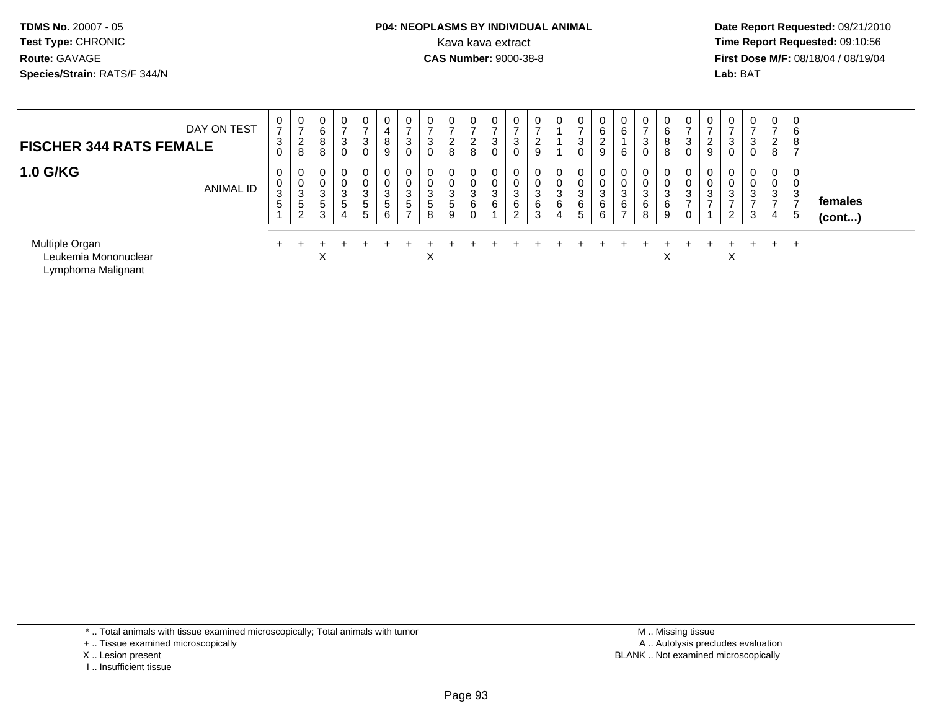#### **P04: NEOPLASMS BY INDIVIDUAL ANIMAL**<br>Kava kava extract Kava kava extract **Time Report Requested:** 09:10:56<br>**CAS Number:** 9000-38-8<br>**Tirst Dose M/F:** 08/18/04 / 08/19/04

 **Date Report Requested:** 09/21/2010 **First Dose M/F:** 08/18/04 / 08/19/04 Lab: BAT **Lab:** BAT

| DAY ON TEST<br><b>FISCHER 344 RATS FEMALE</b>                | 0<br>$\rightarrow$<br>3<br>$\mathbf 0$ | 0<br>$\rightarrow$<br>∼<br>8 | 0<br>6<br>8<br>8      | 0<br>3<br>0      | 0<br>$\overline{ }$<br>3<br>$\mathbf 0$ | 0<br>4<br>8<br>9                               | 0<br>3<br>0      | 0<br>3 | 0<br>-<br>$\overline{2}$<br>8       | $\overline{0}$<br>-<br>ົ<br>$\sim$<br>8 | 0<br>3<br>$\mathbf 0$ | $\mathbf 0$<br>3<br>0 | 0<br>$\mathcal{D}$<br>9   |                       | 3           | 0<br>6<br>$\sim$<br>←<br>9       | 0<br>6<br>6                                 | 0<br>$\rightarrow$<br>3<br>0    | 0<br>6<br>8<br>8       | 3 | 0<br>-<br>$\sim$<br>$\epsilon$<br>9 | 0<br>3<br>0 | $\mathbf{0}$<br>$\overline{ }$<br>3<br>0 | $\overline{0}$<br>$\overline{ }$<br>$\overline{2}$<br>8 | $\mathbf 0$<br>6<br>8             |                   |  |
|--------------------------------------------------------------|----------------------------------------|------------------------------|-----------------------|------------------|-----------------------------------------|------------------------------------------------|------------------|--------|-------------------------------------|-----------------------------------------|-----------------------|-----------------------|---------------------------|-----------------------|-------------|----------------------------------|---------------------------------------------|---------------------------------|------------------------|---|-------------------------------------|-------------|------------------------------------------|---------------------------------------------------------|-----------------------------------|-------------------|--|
| <b>1.0 G/KG</b><br><b>ANIMAL ID</b>                          | 0<br>U<br>3<br>5                       | J<br>5<br>⌒                  | 0<br>0<br>3<br>5<br>3 | 0<br>3<br>5<br>4 | 0<br>0<br>3<br>5<br>$5\phantom{.0}$     | 0<br>0<br>$\mathbf{3}$<br>$5\phantom{.0}$<br>6 | 0<br>0<br>3<br>5 | 3<br>5 | 0<br>0<br>3<br>$5\phantom{.0}$<br>9 | 0<br>0<br>3<br>6                        | 0<br>0<br>3<br>6      | 0<br>U<br>3<br>6<br>2 | 0<br>0<br>3<br>$\,6$<br>3 | $\sim$<br>J<br>6<br>4 | 3<br>6<br>5 | $\mathbf{0}$<br>U<br>3<br>6<br>6 | $\mathbf 0$<br>0<br>3<br>6<br>$\rightarrow$ | $\mathbf 0$<br>0<br>3<br>6<br>8 | 0<br>0<br>3<br>6<br>9  | 3 | U<br>3                              | 3<br>2      | $\mathbf{0}$<br>0<br>3<br>–<br>3         | $\mathbf 0$<br>0<br>3<br>⇁<br>4                         | $\mathbf 0$<br>0<br>3<br>Ξ.<br>-5 | females<br>(cont) |  |
| Multiple Organ<br>Leukemia Mononuclear<br>Lymphoma Malignant |                                        |                              | X                     |                  |                                         |                                                |                  | X      |                                     |                                         |                       |                       |                           |                       |             |                                  |                                             |                                 | $\checkmark$<br>$\sim$ |   |                                     | X           |                                          | $+$                                                     | $^+$                              |                   |  |

I .. Insufficient tissue

<sup>+ ..</sup> Tissue examined microscopically

X .. Lesion present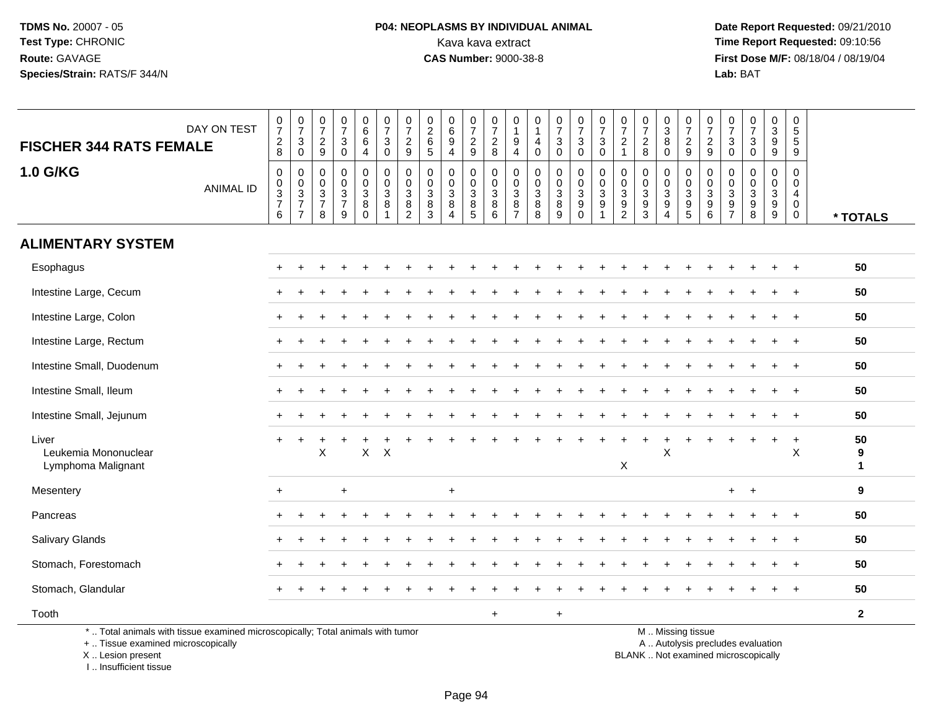# **P04: NEOPLASMS BY INDIVIDUAL ANIMAL**<br>Kava kava extract Kava kava extract **Time Report Requested:** 09:10:56<br>**CAS Number:** 9000-38-8<br>**Tirst Dose M/F:** 08/18/04 / 08/19/04

 **Date Report Requested:** 09/21/2010 **First Dose M/F:** 08/18/04 / 08/19/04 Lab: BAT **Lab:** BAT

|                                                                                 | DAY ON TEST                                 | $\frac{0}{7}$                                                      | $\begin{array}{c} 0 \\ 7 \end{array}$<br>$\mathbf{3}$ | $\frac{0}{7}$                                 | $\frac{0}{7}$                            | $\begin{array}{c} 0 \\ 6 \\ 6 \end{array}$             | $\frac{0}{7}$<br>$\mathbf{3}$                | $\frac{0}{7}$                                                         | $0$<br>$6$<br>$5$                                             | $\begin{array}{c} 0 \\ 6 \\ 9 \end{array}$                    | $\begin{smallmatrix}0\\7\end{smallmatrix}$ | $\frac{0}{7}$                                                              | 0<br>$\overline{1}$<br>9                                         | 0<br>$\mathbf{1}$<br>$\overline{4}$                             | $\frac{0}{7}$<br>3                        | $\begin{array}{c} 0 \\ 7 \end{array}$                               | $\frac{0}{7}$                                                                            | $\frac{0}{7}$                                   | $\frac{0}{7}$                                               | $\frac{0}{3}$<br>$\overline{8}$                                          | $\frac{0}{7}$<br>$\frac{2}{9}$                               | $\frac{0}{7}$                                               | $\frac{0}{7}$<br>$\mathbf{3}$                   | $\begin{array}{c} 0 \\ 7 \end{array}$<br>$\mathsf 3$ | $\begin{array}{c} 0 \\ 3 \\ 9 \end{array}$                     | 0<br>$\overline{5}$<br>5                            |                         |
|---------------------------------------------------------------------------------|---------------------------------------------|--------------------------------------------------------------------|-------------------------------------------------------|-----------------------------------------------|------------------------------------------|--------------------------------------------------------|----------------------------------------------|-----------------------------------------------------------------------|---------------------------------------------------------------|---------------------------------------------------------------|--------------------------------------------|----------------------------------------------------------------------------|------------------------------------------------------------------|-----------------------------------------------------------------|-------------------------------------------|---------------------------------------------------------------------|------------------------------------------------------------------------------------------|-------------------------------------------------|-------------------------------------------------------------|--------------------------------------------------------------------------|--------------------------------------------------------------|-------------------------------------------------------------|-------------------------------------------------|------------------------------------------------------|----------------------------------------------------------------|-----------------------------------------------------|-------------------------|
| <b>FISCHER 344 RATS FEMALE</b>                                                  |                                             | $\frac{2}{8}$                                                      | $\overline{0}$                                        | $\overline{c}$<br>9                           | $\ensuremath{\mathsf{3}}$<br>$\mathbf 0$ | $\overline{4}$                                         | $\mathbf 0$                                  | $\frac{2}{9}$                                                         |                                                               | $\overline{4}$                                                | $\frac{2}{9}$                              | $\frac{2}{8}$                                                              | $\overline{4}$                                                   | $\mathbf 0$                                                     | $\mathbf 0$                               | $\frac{3}{0}$                                                       | $\frac{3}{0}$                                                                            | $\sqrt{2}$<br>$\overline{1}$                    | $\frac{2}{8}$                                               | $\Omega$                                                                 |                                                              | $\frac{2}{9}$                                               | $\mathbf 0$                                     | $\mathbf 0$                                          | 9                                                              | 9                                                   |                         |
| <b>1.0 G/KG</b>                                                                 | <b>ANIMAL ID</b>                            | $\pmb{0}$<br>$\begin{array}{c} 0 \\ 3 \\ 7 \end{array}$<br>$\,6\,$ | $\boldsymbol{0}$<br>$\frac{0}{3}$<br>$\overline{7}$   | 0<br>0<br>$\mathbf{3}$<br>$\overline{7}$<br>8 | $\mathbf 0$<br>$\frac{0}{3}$<br>9        | 0<br>$\mathbf 0$<br>$\overline{3}$<br>8<br>$\mathbf 0$ | 0<br>$\mathbf 0$<br>$\overline{3}$<br>8<br>1 | $\pmb{0}$<br>$\pmb{0}$<br>$\overline{3}$<br>$\bf 8$<br>$\overline{2}$ | $\mathbf 0$<br>0<br>$\mathbf{3}$<br>$\,8\,$<br>$\overline{3}$ | 0<br>0<br>$\overline{3}$<br>$\bf 8$<br>$\boldsymbol{\Lambda}$ | 0<br>0<br>$\overline{3}$<br>$\frac{8}{5}$  | $\mathbf 0$<br>$\mathbf 0$<br>$\overline{3}$<br>$\bf 8$<br>$6\phantom{1}6$ | $\mathbf 0$<br>$\mathbf 0$<br>$\mathsf 3$<br>8<br>$\overline{7}$ | 0<br>$\mathbf 0$<br>$\overline{3}$<br>$\bf 8$<br>$\overline{8}$ | 0<br>0<br>$\overline{3}$<br>$\frac{8}{9}$ | $\boldsymbol{0}$<br>$\begin{array}{c} 0 \\ 3 \\ 9 \\ 0 \end{array}$ | $\mathbf 0$<br>$\ddot{\mathbf{0}}$<br>$\overline{3}$<br>$\boldsymbol{9}$<br>$\mathbf{1}$ | 0<br>$\mathbf 0$<br>$\sqrt{3}$<br>$\frac{9}{2}$ | $\pmb{0}$<br>$\mathbf 0$<br>$\overline{3}$<br>$\frac{9}{3}$ | 0<br>$\mathbf 0$<br>$\overline{3}$<br>$\boldsymbol{9}$<br>$\overline{4}$ | $\pmb{0}$<br>$\begin{array}{c} 0 \\ 3 \\ 9 \\ 5 \end{array}$ | 0<br>$\mathsf{O}\xspace$<br>$\overline{3}$<br>$\frac{9}{6}$ | $\mathbf 0$<br>0<br>$\sqrt{3}$<br>$\frac{9}{7}$ | $\mathbf 0$<br>0<br>9<br>8                           | 0<br>0<br>$\overline{3}$<br>$\boldsymbol{9}$<br>$\overline{9}$ | $\mathbf 0$<br>0<br>4<br>$\mathbf 0$<br>$\mathbf 0$ | * TOTALS                |
| <b>ALIMENTARY SYSTEM</b>                                                        |                                             |                                                                    |                                                       |                                               |                                          |                                                        |                                              |                                                                       |                                                               |                                                               |                                            |                                                                            |                                                                  |                                                                 |                                           |                                                                     |                                                                                          |                                                 |                                                             |                                                                          |                                                              |                                                             |                                                 |                                                      |                                                                |                                                     |                         |
| Esophagus                                                                       |                                             |                                                                    |                                                       |                                               |                                          |                                                        |                                              |                                                                       |                                                               |                                                               |                                            |                                                                            |                                                                  |                                                                 |                                           |                                                                     |                                                                                          |                                                 |                                                             |                                                                          |                                                              |                                                             |                                                 |                                                      |                                                                | $+$                                                 | 50                      |
| Intestine Large, Cecum                                                          |                                             |                                                                    |                                                       |                                               |                                          |                                                        |                                              |                                                                       |                                                               |                                                               |                                            |                                                                            |                                                                  |                                                                 |                                           |                                                                     |                                                                                          |                                                 |                                                             |                                                                          |                                                              |                                                             |                                                 |                                                      |                                                                |                                                     | 50                      |
| Intestine Large, Colon                                                          |                                             |                                                                    |                                                       |                                               |                                          |                                                        |                                              |                                                                       |                                                               |                                                               |                                            |                                                                            |                                                                  |                                                                 |                                           |                                                                     |                                                                                          |                                                 |                                                             |                                                                          |                                                              |                                                             |                                                 |                                                      |                                                                |                                                     | 50                      |
| Intestine Large, Rectum                                                         |                                             |                                                                    |                                                       |                                               |                                          |                                                        |                                              |                                                                       |                                                               |                                                               |                                            |                                                                            |                                                                  |                                                                 |                                           |                                                                     |                                                                                          |                                                 |                                                             |                                                                          |                                                              |                                                             |                                                 |                                                      |                                                                |                                                     | 50                      |
| Intestine Small, Duodenum                                                       |                                             |                                                                    |                                                       |                                               |                                          |                                                        |                                              |                                                                       |                                                               |                                                               |                                            |                                                                            |                                                                  |                                                                 |                                           |                                                                     |                                                                                          |                                                 |                                                             |                                                                          |                                                              |                                                             |                                                 |                                                      | ÷.                                                             | $\overline{+}$                                      | 50                      |
| Intestine Small, Ileum                                                          |                                             |                                                                    |                                                       |                                               |                                          |                                                        |                                              |                                                                       |                                                               |                                                               |                                            |                                                                            |                                                                  |                                                                 |                                           |                                                                     |                                                                                          |                                                 |                                                             |                                                                          |                                                              |                                                             |                                                 |                                                      |                                                                |                                                     | 50                      |
| Intestine Small, Jejunum                                                        |                                             | $\pm$                                                              |                                                       |                                               |                                          |                                                        |                                              |                                                                       |                                                               |                                                               |                                            |                                                                            |                                                                  |                                                                 |                                           |                                                                     |                                                                                          |                                                 |                                                             |                                                                          |                                                              |                                                             |                                                 |                                                      |                                                                |                                                     | 50                      |
| Liver<br>Leukemia Mononuclear<br>Lymphoma Malignant                             |                                             | $+$                                                                |                                                       | X                                             |                                          | $\mathsf{X}$                                           | $\times$                                     |                                                                       |                                                               |                                                               |                                            |                                                                            |                                                                  |                                                                 |                                           |                                                                     |                                                                                          | $\pmb{\times}$                                  |                                                             | $\ddot{}$<br>X                                                           |                                                              |                                                             |                                                 |                                                      | $\ddot{}$                                                      | $\ddot{}$<br>$\pmb{\times}$                         | 50<br>9<br>$\mathbf{1}$ |
| Mesentery                                                                       | $\ddot{}$<br>$\ddot{}$<br>$+$<br>$+$<br>$+$ |                                                                    |                                                       |                                               |                                          |                                                        |                                              |                                                                       |                                                               |                                                               |                                            |                                                                            |                                                                  |                                                                 |                                           | 9                                                                   |                                                                                          |                                                 |                                                             |                                                                          |                                                              |                                                             |                                                 |                                                      |                                                                |                                                     |                         |
| Pancreas                                                                        |                                             |                                                                    |                                                       |                                               |                                          |                                                        |                                              |                                                                       |                                                               |                                                               |                                            |                                                                            |                                                                  |                                                                 | 50                                        |                                                                     |                                                                                          |                                                 |                                                             |                                                                          |                                                              |                                                             |                                                 |                                                      |                                                                |                                                     |                         |
| Salivary Glands                                                                 |                                             |                                                                    |                                                       |                                               |                                          |                                                        |                                              |                                                                       |                                                               |                                                               |                                            |                                                                            |                                                                  |                                                                 |                                           |                                                                     |                                                                                          |                                                 |                                                             |                                                                          |                                                              |                                                             |                                                 |                                                      |                                                                |                                                     | 50                      |
| Stomach, Forestomach                                                            |                                             |                                                                    |                                                       |                                               |                                          |                                                        |                                              |                                                                       |                                                               |                                                               |                                            |                                                                            |                                                                  |                                                                 |                                           |                                                                     |                                                                                          |                                                 |                                                             |                                                                          |                                                              |                                                             |                                                 |                                                      |                                                                | $\overline{+}$                                      | 50                      |
| Stomach, Glandular                                                              |                                             |                                                                    |                                                       |                                               |                                          |                                                        |                                              |                                                                       |                                                               |                                                               |                                            |                                                                            |                                                                  |                                                                 |                                           |                                                                     |                                                                                          |                                                 |                                                             |                                                                          |                                                              |                                                             |                                                 |                                                      |                                                                | $\ddot{}$                                           | 50                      |
| Tooth                                                                           |                                             |                                                                    |                                                       |                                               |                                          |                                                        |                                              |                                                                       |                                                               |                                                               |                                            | $+$                                                                        |                                                                  |                                                                 | $\ddot{}$                                 |                                                                     |                                                                                          |                                                 |                                                             |                                                                          |                                                              |                                                             |                                                 |                                                      |                                                                |                                                     | $\mathbf{2}$            |
| *  Total animals with tissue examined microscopically; Total animals with tumor |                                             |                                                                    |                                                       |                                               |                                          |                                                        |                                              |                                                                       |                                                               |                                                               |                                            |                                                                            |                                                                  |                                                                 |                                           |                                                                     |                                                                                          |                                                 |                                                             |                                                                          | M  Missing tissue                                            |                                                             |                                                 |                                                      |                                                                |                                                     |                         |

+ .. Tissue examined microscopically

X .. Lesion present

I .. Insufficient tissue

y the contract of the contract of the contract of the contract of the contract of the contract of the contract of  $A$ . Autolysis precludes evaluation

Lesion present BLANK .. Not examined microscopically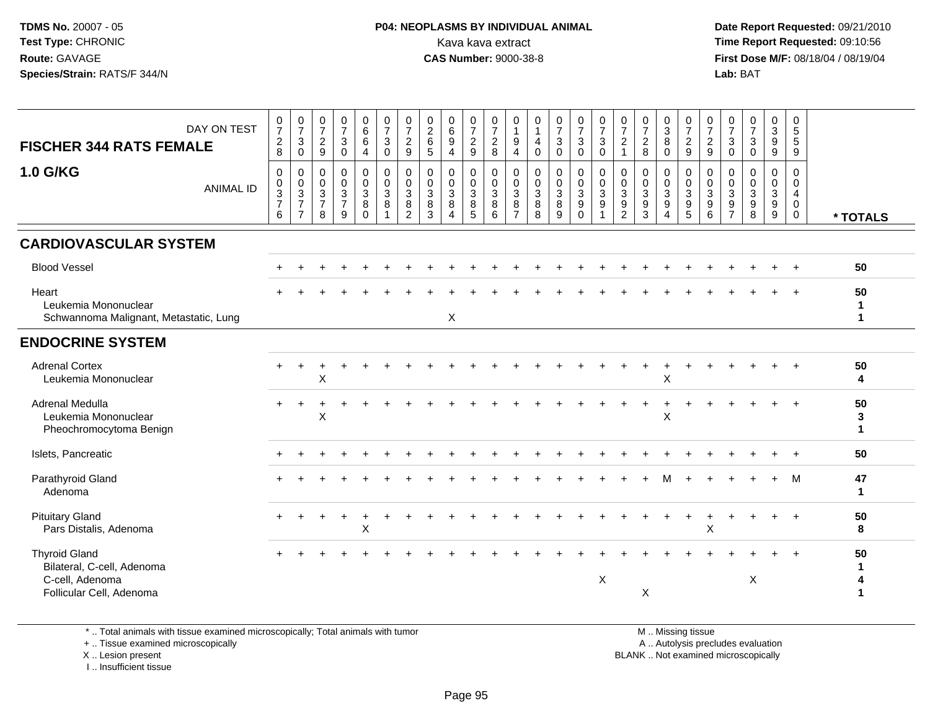**Date Report Requested:** 09/21/2010 **First Dose M/F:** 08/18/04 / 08/19/04 Lab: BAT **Lab:** BAT

| DAY ON TEST<br><b>FISCHER 344 RATS FEMALE</b>                                                     | 0<br>$\overline{7}$<br>$^2_8$                        | $\frac{0}{7}$<br>$\mathbf{3}$<br>$\mathbf 0$                                              | $\frac{0}{7}$<br>$\frac{2}{9}$                       | $\frac{0}{7}$<br>3<br>$\ddot{\mathbf{0}}$               | 0<br>$\,6\,$<br>$6\overline{6}$<br>$\overline{4}$ | $\frac{0}{7}$<br>$\frac{3}{0}$                           | 0<br>$\overline{7}$<br>$\frac{2}{9}$                    | $\pmb{0}$<br>$\frac{2}{6}$<br>5                      | 0<br>6<br>$\boldsymbol{9}$<br>$\overline{4}$            | $\frac{0}{7}$<br>$\frac{2}{9}$                      | $\frac{0}{7}$<br>$^2_8$                                | 0<br>$\mathbf 1$<br>$\boldsymbol{9}$<br>4                   | $\mathbf 0$<br>$\mathbf{1}$<br>$\overline{4}$<br>$\mathbf 0$   | $\frac{0}{7}$<br>$\sqrt{3}$<br>$\overline{0}$  | $\frac{0}{7}$<br>$\mathbf{3}$<br>$\mathbf 0$                     | 0<br>$\overline{7}$<br>$\mathbf{3}$<br>$\mathbf 0$ | $\frac{0}{7}$<br>$\mathbf 2$<br>$\mathbf{1}$                             | $\frac{0}{7}$<br>$\frac{2}{8}$                             | 0<br>$\mathbf{3}$<br>$\overline{8}$<br>$\mathbf 0$                     | $\frac{0}{7}$<br>$\frac{2}{9}$                                 | 0<br>$\overline{7}$<br>$\frac{2}{9}$                 | $\frac{0}{7}$<br>$\mathbf{3}$<br>$\mathbf 0$                                 | $\frac{0}{7}$<br>$\mathbf{3}$<br>$\mathsf 0$ | 0<br>3<br>$\boldsymbol{9}$<br>$9\,$                                                | 0<br>5<br>5<br>9                          |                         |
|---------------------------------------------------------------------------------------------------|------------------------------------------------------|-------------------------------------------------------------------------------------------|------------------------------------------------------|---------------------------------------------------------|---------------------------------------------------|----------------------------------------------------------|---------------------------------------------------------|------------------------------------------------------|---------------------------------------------------------|-----------------------------------------------------|--------------------------------------------------------|-------------------------------------------------------------|----------------------------------------------------------------|------------------------------------------------|------------------------------------------------------------------|----------------------------------------------------|--------------------------------------------------------------------------|------------------------------------------------------------|------------------------------------------------------------------------|----------------------------------------------------------------|------------------------------------------------------|------------------------------------------------------------------------------|----------------------------------------------|------------------------------------------------------------------------------------|-------------------------------------------|-------------------------|
| <b>1.0 G/KG</b><br><b>ANIMAL ID</b>                                                               | $\mathbf 0$<br>$_{3}^{\rm 0}$<br>$\overline{7}$<br>6 | $\mathbf 0$<br>$\pmb{0}$<br>$\ensuremath{\mathsf{3}}$<br>$\overline{7}$<br>$\overline{7}$ | $\mathbf 0$<br>$_{3}^{\rm 0}$<br>$\overline{7}$<br>8 | $\mathbf 0$<br>0<br>$\mathbf{3}$<br>$\overline{7}$<br>9 | $\pmb{0}$<br>$_{3}^{\rm 0}$<br>8<br>$\Omega$      | $\begin{smallmatrix}0\\0\\3\end{smallmatrix}$<br>$\bf 8$ | 0<br>$\mathbf 0$<br>$\mathbf{3}$<br>8<br>$\overline{2}$ | $\mathbf 0$<br>$\mathbf 0$<br>$\mathbf{3}$<br>8<br>3 | 0<br>$\mathbf 0$<br>$\mathbf{3}$<br>8<br>$\overline{A}$ | $\mathbf 0$<br>$\overline{0}$<br>3<br>$\frac{8}{5}$ | 0<br>$\mathbf 0$<br>$\mathsf 3$<br>8<br>$\overline{6}$ | $\mathbf 0$<br>0<br>$\sqrt{3}$<br>$\bf 8$<br>$\overline{7}$ | $\mathbf 0$<br>$\overline{0}$<br>3<br>$\, 8$<br>$\overline{8}$ | 0<br>$\pmb{0}$<br>$\mathbf{3}$<br>$\bf 8$<br>9 | $\pmb{0}$<br>$\frac{0}{3}$<br>$\boldsymbol{9}$<br>$\overline{0}$ | 0<br>$\mathbf 0$<br>$\mathbf{3}$<br>9              | 0<br>$\mathbf 0$<br>$\overline{3}$<br>$\boldsymbol{9}$<br>$\overline{2}$ | 0<br>0<br>$\ensuremath{\mathsf{3}}$<br>9<br>$\overline{3}$ | 0<br>$\mathbf 0$<br>$\mathbf{3}$<br>$\boldsymbol{9}$<br>$\overline{4}$ | $\mathbf 0$<br>$\begin{array}{c} 0 \\ 3 \\ 9 \\ 5 \end{array}$ | $\mathbf 0$<br>$\mathbf 0$<br>$\mathbf{3}$<br>9<br>6 | $\Omega$<br>$\mathbf 0$<br>$\mathbf 3$<br>$\boldsymbol{9}$<br>$\overline{7}$ | $\mathbf{0}$<br>0<br>$\mathbf{3}$<br>9<br>8  | $\mathbf 0$<br>$\mathbf 0$<br>$\overline{3}$<br>$\boldsymbol{9}$<br>$\overline{9}$ | 0<br>$\mathbf 0$<br>4<br>$\mathbf 0$<br>0 | * TOTALS                |
| <b>CARDIOVASCULAR SYSTEM</b>                                                                      |                                                      |                                                                                           |                                                      |                                                         |                                                   |                                                          |                                                         |                                                      |                                                         |                                                     |                                                        |                                                             |                                                                |                                                |                                                                  |                                                    |                                                                          |                                                            |                                                                        |                                                                |                                                      |                                                                              |                                              |                                                                                    |                                           |                         |
| <b>Blood Vessel</b>                                                                               |                                                      |                                                                                           |                                                      |                                                         |                                                   |                                                          |                                                         |                                                      |                                                         |                                                     |                                                        |                                                             |                                                                |                                                |                                                                  |                                                    |                                                                          |                                                            |                                                                        |                                                                |                                                      |                                                                              |                                              |                                                                                    |                                           | 50                      |
| Heart<br>Leukemia Mononuclear<br>Schwannoma Malignant, Metastatic, Lung                           |                                                      |                                                                                           |                                                      |                                                         |                                                   |                                                          |                                                         |                                                      | X                                                       |                                                     |                                                        |                                                             |                                                                |                                                |                                                                  |                                                    |                                                                          |                                                            |                                                                        |                                                                |                                                      |                                                                              |                                              |                                                                                    |                                           | 50<br>п.<br>1           |
| <b>ENDOCRINE SYSTEM</b>                                                                           |                                                      |                                                                                           |                                                      |                                                         |                                                   |                                                          |                                                         |                                                      |                                                         |                                                     |                                                        |                                                             |                                                                |                                                |                                                                  |                                                    |                                                                          |                                                            |                                                                        |                                                                |                                                      |                                                                              |                                              |                                                                                    |                                           |                         |
| <b>Adrenal Cortex</b><br>Leukemia Mononuclear                                                     | $+$                                                  |                                                                                           | X                                                    |                                                         |                                                   |                                                          |                                                         |                                                      |                                                         |                                                     |                                                        |                                                             |                                                                |                                                |                                                                  |                                                    |                                                                          |                                                            | X                                                                      |                                                                |                                                      |                                                                              |                                              |                                                                                    | $\overline{+}$                            | 50<br>4                 |
| Adrenal Medulla<br>Leukemia Mononuclear<br>Pheochromocytoma Benign                                |                                                      |                                                                                           | X                                                    |                                                         |                                                   |                                                          |                                                         |                                                      |                                                         |                                                     |                                                        |                                                             |                                                                |                                                |                                                                  |                                                    |                                                                          |                                                            | X                                                                      |                                                                |                                                      |                                                                              |                                              |                                                                                    |                                           | 50<br>3<br>$\mathbf{1}$ |
| Islets, Pancreatic                                                                                |                                                      |                                                                                           |                                                      |                                                         |                                                   |                                                          |                                                         |                                                      |                                                         |                                                     |                                                        |                                                             |                                                                |                                                |                                                                  |                                                    |                                                                          |                                                            |                                                                        |                                                                |                                                      |                                                                              |                                              |                                                                                    |                                           | 50                      |
| Parathyroid Gland<br>Adenoma                                                                      |                                                      |                                                                                           |                                                      |                                                         |                                                   |                                                          |                                                         |                                                      |                                                         |                                                     |                                                        |                                                             |                                                                |                                                |                                                                  |                                                    |                                                                          |                                                            |                                                                        |                                                                |                                                      |                                                                              |                                              |                                                                                    | M                                         | 47<br>1                 |
| <b>Pituitary Gland</b><br>Pars Distalis, Adenoma                                                  |                                                      |                                                                                           |                                                      |                                                         | X                                                 |                                                          |                                                         |                                                      |                                                         |                                                     |                                                        |                                                             |                                                                |                                                |                                                                  |                                                    |                                                                          |                                                            |                                                                        |                                                                | X                                                    |                                                                              |                                              |                                                                                    | $\overline{+}$                            | 50<br>8                 |
| <b>Thyroid Gland</b><br>Bilateral, C-cell, Adenoma<br>C-cell, Adenoma<br>Follicular Cell, Adenoma |                                                      |                                                                                           |                                                      |                                                         |                                                   |                                                          |                                                         |                                                      |                                                         |                                                     |                                                        |                                                             |                                                                |                                                |                                                                  | $\times$                                           |                                                                          | Χ                                                          |                                                                        |                                                                |                                                      |                                                                              | X                                            |                                                                                    |                                           | 50<br>4                 |

\* .. Total animals with tissue examined microscopically; Total animals with tumor

+ .. Tissue examined microscopically

X .. Lesion present

I .. Insufficient tissue

M .. Missing tissue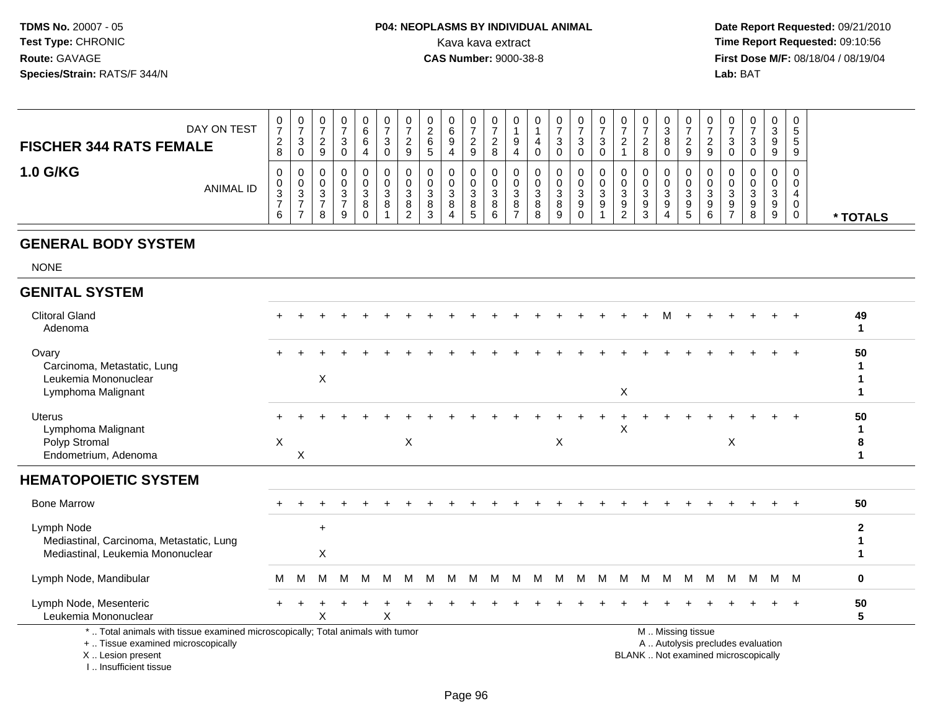#### **P04: NEOPLASMS BY INDIVIDUAL ANIMAL**Kava kava extract **Time Report Requested: 09:10:56**<br>**CAS Number: 9000-38-8 Time Report Requested: 09:10:56**

 **Date Report Requested:** 09/21/2010 **First Dose M/F:** 08/18/04 / 08/19/04 Lab: BAT **Lab:** BAT

| DAY ON TEST<br><b>FISCHER 344 RATS FEMALE</b> | 0<br>⇁<br>$\sim$<br>$\epsilon$<br>8 | ∪<br>- 0 | U<br>9           | U      | 0<br>6<br>6<br>4 | υ<br>◠<br>ت<br>υ |   | ν<br>▃<br>ь<br>э      | 0<br>- 9<br>4    | 0<br>$\overline{\phantom{a}}$<br><u>_</u><br>9 | v<br>8                |    | v<br>υ                | 0<br>ഄ            | 0<br>3<br>0           | ັ |        | υ<br>∼<br>8                | 0<br>◠<br>ັບ<br>$\circ$<br>0 | $\mathbf{0}$<br>-<br>9                 |   | U<br>J<br>U      | 0<br>◡<br>9<br>9           | 0<br>$\mathbf{p}$<br>. 5<br>9 |          |
|-----------------------------------------------|-------------------------------------|----------|------------------|--------|------------------|------------------|---|-----------------------|------------------|------------------------------------------------|-----------------------|----|-----------------------|-------------------|-----------------------|---|--------|----------------------------|------------------------------|----------------------------------------|---|------------------|----------------------------|-------------------------------|----------|
| <b>1.0 G/KG</b><br><b>ANIMAL ID</b>           | 0<br>0<br>$\sim$<br>ັ<br>6          | - ఎ      | υ<br>υ<br>ა<br>8 | J<br>9 | 3<br>8<br>0      | υ<br>⌒<br>ت<br>8 | J | v<br>U<br>ა<br>8<br>د | 0<br>ు<br>8<br>4 | 0<br>U<br>3<br>8<br>.5                         | U<br>⌒<br>ບ<br>8<br>6 | J. | v<br>u<br>J<br>8<br>8 | 0<br>ັບ<br>8<br>9 | 0<br>υ<br>3<br>9<br>0 | 9 | ت<br>_ | U<br>U<br>J<br>9<br>◠<br>ۍ | 0<br>0<br>ົດ<br>◡<br>9<br>4  | 0<br>0<br>ີ<br>ູບ<br>9<br><sub>5</sub> | 9 | U<br>J<br>9<br>8 | 0<br>0<br>ົ<br>ు<br>9<br>9 | 0<br>0<br>0<br>0              | * TOTALS |

#### **GENERAL BODY SYSTEM**

NONE

#### **GENITAL SYSTEM**Clitoral Gland $\alpha$  + <sup>+</sup> <sup>+</sup> <sup>+</sup> <sup>+</sup> <sup>+</sup> <sup>+</sup> <sup>+</sup> <sup>+</sup> <sup>+</sup> <sup>+</sup> <sup>+</sup> <sup>+</sup> <sup>+</sup> <sup>+</sup> <sup>+</sup> <sup>+</sup> <sup>+</sup> <sup>M</sup> <sup>+</sup> <sup>+</sup> <sup>+</sup> <sup>+</sup> <sup>+</sup> <sup>+</sup> **<sup>49</sup>** Adenoma **<sup>1</sup> Ovary**  $\mathsf y$  <sup>+</sup> <sup>+</sup> <sup>+</sup> <sup>+</sup> <sup>+</sup> <sup>+</sup> <sup>+</sup> <sup>+</sup> <sup>+</sup> <sup>+</sup> <sup>+</sup> <sup>+</sup> <sup>+</sup> <sup>+</sup> <sup>+</sup> <sup>+</sup> <sup>+</sup> <sup>+</sup> <sup>+</sup> <sup>+</sup> <sup>+</sup> <sup>+</sup> <sup>+</sup> <sup>+</sup> **<sup>50</sup>** Carcinoma, Metastatic, Lung **<sup>1</sup>** Leukemia Mononuclearr X **<sup>1</sup>** Lymphoma Malignantt to the contract of the contract of the contract of the contract of the contract of the contract of the contract of the contract of the contract of the contract of the contract of the contract of the contract of the contr **1** Uterus <sup>+</sup> <sup>+</sup> <sup>+</sup> <sup>+</sup> <sup>+</sup> <sup>+</sup> <sup>+</sup> <sup>+</sup> <sup>+</sup> <sup>+</sup> <sup>+</sup> <sup>+</sup> <sup>+</sup> <sup>+</sup> <sup>+</sup> <sup>+</sup> <sup>+</sup> <sup>+</sup> <sup>+</sup> <sup>+</sup> <sup>+</sup> <sup>+</sup> <sup>+</sup> <sup>+</sup> <sup>+</sup> **<sup>50</sup>** Lymphoma Malignantt to the contract of the contract of the contract of the contract of the contract of the contract of the contract of the contract of the contract of the contract of the contract of the contract of the contract of the contr **<sup>1</sup>** Polyp Stromal $\mathsf{X}$  <sup>X</sup> <sup>X</sup> <sup>X</sup> **<sup>8</sup>** Endometrium, Adenomaa  $\mathsf{X}$  **<sup>1</sup> HEMATOPOIETIC SYSTEM**Bone Marrow <sup>+</sup> <sup>+</sup> <sup>+</sup> <sup>+</sup> <sup>+</sup> <sup>+</sup> <sup>+</sup> <sup>+</sup> <sup>+</sup> <sup>+</sup> <sup>+</sup> <sup>+</sup> <sup>+</sup> <sup>+</sup> <sup>+</sup> <sup>+</sup> <sup>+</sup> <sup>+</sup> <sup>+</sup> <sup>+</sup> <sup>+</sup> <sup>+</sup> <sup>+</sup> <sup>+</sup> <sup>+</sup> **<sup>50</sup>** Lymph Node+<br>Mediastinal, Carcinoma, Metastatic, Lung **<sup>2</sup> <sup>1</sup>** Mediastinal, Leukemia Mononuclear $\mathsf{r}$  x **<sup>1</sup>** Lymph Node, Mandibularr M <sup>M</sup> <sup>M</sup> <sup>M</sup> <sup>M</sup> <sup>M</sup> <sup>M</sup> <sup>M</sup> <sup>M</sup> <sup>M</sup> <sup>M</sup> <sup>M</sup> <sup>M</sup> <sup>M</sup> <sup>M</sup> <sup>M</sup> <sup>M</sup> <sup>M</sup> <sup>M</sup> <sup>M</sup> <sup>M</sup> <sup>M</sup> <sup>M</sup> <sup>M</sup> <sup>M</sup> **<sup>0</sup>** Lymph Node, Mesenteric $\overline{c}$  + <sup>+</sup> <sup>+</sup> <sup>+</sup> <sup>+</sup> <sup>+</sup> <sup>+</sup> <sup>+</sup> <sup>+</sup> <sup>+</sup> <sup>+</sup> <sup>+</sup> <sup>+</sup> <sup>+</sup> <sup>+</sup> <sup>+</sup> <sup>+</sup> <sup>+</sup> <sup>+</sup> <sup>+</sup> <sup>+</sup> <sup>+</sup> <sup>+</sup> <sup>+</sup> <sup>+</sup> **<sup>50</sup>** Leukemia Mononuclear $\mathsf{r}$  x <sup>X</sup> **<sup>5</sup>** \* .. Total animals with tissue examined microscopically; Total animals with tumor M .. Missing tissuey the contract of the contract of the contract of the contract of the contract of the contract of the contract of  $A$ . Autolysis precludes evaluation + .. Tissue examined microscopically Lesion present BLANK .. Not examined microscopicallyX .. Lesion present

I .. Insufficient tissue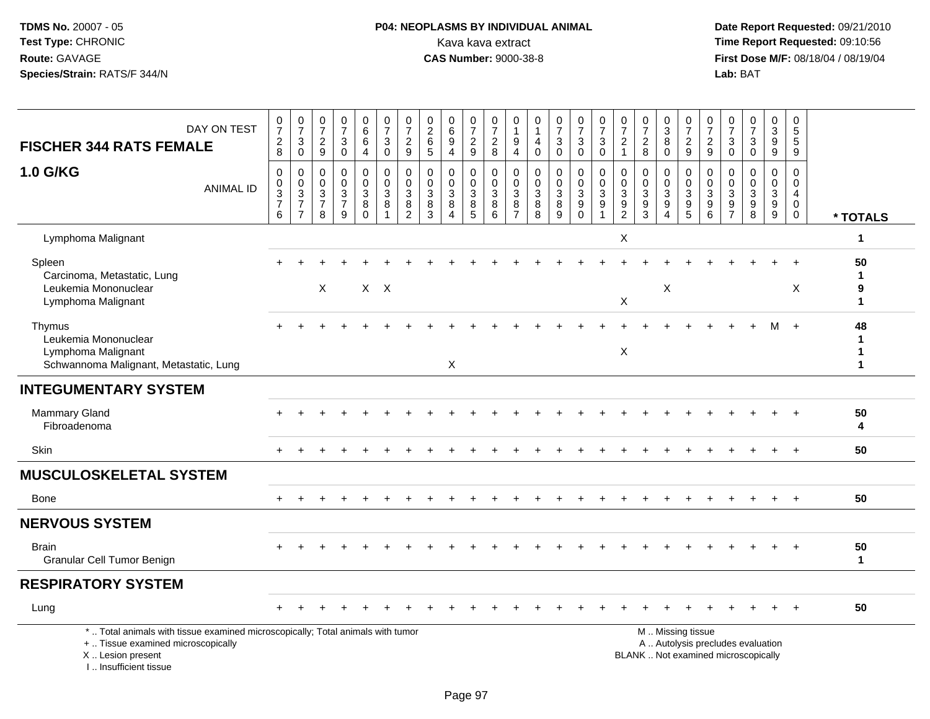## **P04: NEOPLASMS BY INDIVIDUAL ANIMAL**<br>Kava kava extract Kava kava extract **Time Report Requested:** 09:10:56<br>**CAS Number:** 9000-38-8 **CAS Number:** 9000-38-8

 **Date Report Requested:** 09/21/2010 **First Dose M/F:** 08/18/04 / 08/19/04 Lab: BAT **Lab:** BAT

| DAY ON TEST<br><b>FISCHER 344 RATS FEMALE</b>                                                                                                                       | $\frac{0}{7}$<br>$_{8}^2$                            | $\begin{array}{c} 0 \\ 7 \end{array}$<br>$_{0}^{3}$ | $\frac{0}{7}$<br>$\overline{c}$<br>9         | $\frac{0}{7}$<br>$\ensuremath{\mathsf{3}}$<br>$\mathbf 0$         | $_{6}^{\rm 0}$<br>$\,6\,$<br>$\overline{4}$ | $\begin{smallmatrix}0\\7\end{smallmatrix}$<br>$\ensuremath{\mathsf{3}}$<br>$\mathbf 0$ | $\frac{0}{7}$<br>$\mathbf 2$<br>9                                                         | $\begin{smallmatrix} 0\\2\\6 \end{smallmatrix}$<br>$\overline{5}$ | $\begin{array}{c} 0 \\ 6 \end{array}$<br>9<br>$\overline{4}$   | $\frac{0}{7}$<br>$\sqrt{2}$<br>9      | $\frac{0}{7}$<br>$\sqrt{2}$<br>8                                | 0<br>$\mathbf{1}$<br>$\boldsymbol{9}$<br>$\overline{4}$ | 0<br>$\overline{1}$<br>4<br>$\pmb{0}$                    | $\frac{0}{7}$<br>$\ensuremath{\mathsf{3}}$<br>$\pmb{0}$          | $\begin{smallmatrix}0\\7\end{smallmatrix}$<br>$\ensuremath{\mathsf{3}}$<br>$\mathbf 0$ | $\frac{0}{7}$<br>$\ensuremath{\mathsf{3}}$<br>$\mathbf 0$                        | $\frac{0}{7}$<br>$\boldsymbol{2}$<br>$\mathbf{1}$                     | $\frac{0}{7}$<br>$\frac{2}{8}$                                      | $\frac{0}{3}$<br>$\overline{8}$<br>$\mathbf 0$  | $\begin{array}{c} 0 \\ 7 \end{array}$<br>$\frac{2}{9}$            | $\frac{0}{7}$<br>$\frac{2}{9}$                                                 | $\frac{0}{7}$<br>$_{0}^{3}$                                      | $\begin{array}{c} 0 \\ 7 \end{array}$<br>$\sqrt{3}$<br>$\mathbf 0$ | $\frac{0}{3}$<br>$\boldsymbol{9}$<br>$\boldsymbol{9}$                    | $\begin{array}{c} 0 \\ 5 \\ 5 \end{array}$<br>9     |                                        |
|---------------------------------------------------------------------------------------------------------------------------------------------------------------------|------------------------------------------------------|-----------------------------------------------------|----------------------------------------------|-------------------------------------------------------------------|---------------------------------------------|----------------------------------------------------------------------------------------|-------------------------------------------------------------------------------------------|-------------------------------------------------------------------|----------------------------------------------------------------|---------------------------------------|-----------------------------------------------------------------|---------------------------------------------------------|----------------------------------------------------------|------------------------------------------------------------------|----------------------------------------------------------------------------------------|----------------------------------------------------------------------------------|-----------------------------------------------------------------------|---------------------------------------------------------------------|-------------------------------------------------|-------------------------------------------------------------------|--------------------------------------------------------------------------------|------------------------------------------------------------------|--------------------------------------------------------------------|--------------------------------------------------------------------------|-----------------------------------------------------|----------------------------------------|
| 1.0 G/KG<br><b>ANIMAL ID</b>                                                                                                                                        | $\mathbf 0$<br>$_{3}^{\rm 0}$<br>$\overline{7}$<br>6 | $\boldsymbol{0}$<br>$\frac{0}{3}$<br>$\overline{7}$ | 0<br>$\mathbf 0$<br>3<br>$\overline{7}$<br>8 | $\mathbf 0$<br>$\mathbf 0$<br>$\mathbf{3}$<br>$\overline{7}$<br>9 | 0<br>$\mathbf 0$<br>3<br>8<br>$\Omega$      | 0<br>$\mathbf 0$<br>$\mathbf{3}$<br>8<br>$\overline{1}$                                | $\mathbf 0$<br>$\pmb{0}$<br>$\ensuremath{\mathsf{3}}$<br>$\overline{8}$<br>$\overline{2}$ | $\mathbf 0$<br>$\mathbf 0$<br>3<br>$\bf 8$<br>3                   | $\mathbf 0$<br>$\mathbf 0$<br>3<br>8<br>$\boldsymbol{\Lambda}$ | 0<br>$\mathbf 0$<br>3<br>$\,8\,$<br>5 | $\mathbf 0$<br>$\mathsf{O}\xspace$<br>$\sqrt{3}$<br>$\, 8$<br>6 | $\mathbf 0$<br>$\mathbf 0$<br>3<br>8<br>$\overline{7}$  | $\mathbf 0$<br>$\pmb{0}$<br>$\mathbf{3}$<br>$\bf 8$<br>8 | 0<br>$\pmb{0}$<br>$\sqrt{3}$<br>$\overline{8}$<br>$\overline{9}$ | 0<br>$\mathbf 0$<br>$\mathsf 3$<br>$\overline{9}$<br>$\mathbf 0$                       | $\mathbf 0$<br>$\mathbf 0$<br>$\mathbf{3}$<br>$\boldsymbol{9}$<br>$\overline{1}$ | $\mathbf 0$<br>$\mathbf 0$<br>3<br>$\boldsymbol{9}$<br>$\overline{2}$ | $\mathbf 0$<br>$\mathbf 0$<br>$\mathbf{3}$<br>$\boldsymbol{9}$<br>3 | 0<br>0<br>3<br>$\overline{9}$<br>$\overline{4}$ | 0<br>$\mathsf{O}\xspace$<br>$\overline{3}$<br>$\overline{9}$<br>5 | $\mathbf 0$<br>$\mathsf 0$<br>$\sqrt{3}$<br>$\boldsymbol{9}$<br>$6\phantom{1}$ | $\mathbf 0$<br>$\boldsymbol{0}$<br>$\mathbf{3}$<br>$\frac{9}{7}$ | $\mathbf 0$<br>$\mathbf 0$<br>3<br>$\boldsymbol{9}$<br>8           | 0<br>$\mathbf 0$<br>$\mathbf{3}$<br>$\boldsymbol{9}$<br>$\boldsymbol{9}$ | 0<br>$\mathsf 0$<br>4<br>$\mathbf 0$<br>$\mathbf 0$ | * TOTALS                               |
| Lymphoma Malignant                                                                                                                                                  |                                                      |                                                     |                                              |                                                                   |                                             |                                                                                        |                                                                                           |                                                                   |                                                                |                                       |                                                                 |                                                         |                                                          |                                                                  |                                                                                        |                                                                                  | X                                                                     |                                                                     |                                                 |                                                                   |                                                                                |                                                                  |                                                                    |                                                                          |                                                     | 1                                      |
| Spleen<br>Carcinoma, Metastatic, Lung<br>Leukemia Mononuclear<br>Lymphoma Malignant                                                                                 |                                                      |                                                     | $\times$                                     |                                                                   |                                             | $X$ $X$                                                                                |                                                                                           |                                                                   |                                                                |                                       |                                                                 |                                                         |                                                          |                                                                  |                                                                                        |                                                                                  | $\boldsymbol{\mathsf{X}}$                                             |                                                                     | Χ                                               |                                                                   |                                                                                |                                                                  |                                                                    |                                                                          | X                                                   | 50<br>$\mathbf 1$<br>9<br>$\mathbf{1}$ |
| Thymus<br>Leukemia Mononuclear<br>Lymphoma Malignant<br>Schwannoma Malignant, Metastatic, Lung                                                                      |                                                      |                                                     |                                              |                                                                   |                                             |                                                                                        |                                                                                           |                                                                   | $\pmb{\times}$                                                 |                                       |                                                                 |                                                         |                                                          |                                                                  |                                                                                        |                                                                                  | $\times$                                                              |                                                                     |                                                 |                                                                   |                                                                                |                                                                  |                                                                    | м                                                                        | $+$                                                 | 48<br>1<br>$\mathbf 1$                 |
| <b>INTEGUMENTARY SYSTEM</b>                                                                                                                                         |                                                      |                                                     |                                              |                                                                   |                                             |                                                                                        |                                                                                           |                                                                   |                                                                |                                       |                                                                 |                                                         |                                                          |                                                                  |                                                                                        |                                                                                  |                                                                       |                                                                     |                                                 |                                                                   |                                                                                |                                                                  |                                                                    |                                                                          |                                                     |                                        |
| <b>Mammary Gland</b><br>Fibroadenoma                                                                                                                                |                                                      |                                                     |                                              |                                                                   |                                             |                                                                                        |                                                                                           |                                                                   |                                                                |                                       |                                                                 |                                                         |                                                          |                                                                  |                                                                                        |                                                                                  |                                                                       |                                                                     |                                                 |                                                                   |                                                                                |                                                                  |                                                                    |                                                                          | $\overline{+}$                                      | 50<br>4                                |
| Skin                                                                                                                                                                | $+$                                                  |                                                     |                                              |                                                                   |                                             |                                                                                        |                                                                                           |                                                                   |                                                                |                                       |                                                                 |                                                         |                                                          |                                                                  |                                                                                        |                                                                                  |                                                                       |                                                                     |                                                 |                                                                   |                                                                                |                                                                  |                                                                    |                                                                          | $+$                                                 | 50                                     |
| <b>MUSCULOSKELETAL SYSTEM</b>                                                                                                                                       |                                                      |                                                     |                                              |                                                                   |                                             |                                                                                        |                                                                                           |                                                                   |                                                                |                                       |                                                                 |                                                         |                                                          |                                                                  |                                                                                        |                                                                                  |                                                                       |                                                                     |                                                 |                                                                   |                                                                                |                                                                  |                                                                    |                                                                          |                                                     |                                        |
| <b>Bone</b>                                                                                                                                                         |                                                      |                                                     |                                              |                                                                   |                                             |                                                                                        |                                                                                           |                                                                   |                                                                |                                       |                                                                 |                                                         |                                                          |                                                                  |                                                                                        |                                                                                  |                                                                       |                                                                     |                                                 |                                                                   |                                                                                |                                                                  |                                                                    |                                                                          | $\overline{ }$                                      | 50                                     |
| <b>NERVOUS SYSTEM</b>                                                                                                                                               |                                                      |                                                     |                                              |                                                                   |                                             |                                                                                        |                                                                                           |                                                                   |                                                                |                                       |                                                                 |                                                         |                                                          |                                                                  |                                                                                        |                                                                                  |                                                                       |                                                                     |                                                 |                                                                   |                                                                                |                                                                  |                                                                    |                                                                          |                                                     |                                        |
| <b>Brain</b><br>Granular Cell Tumor Benign                                                                                                                          |                                                      |                                                     |                                              |                                                                   |                                             |                                                                                        |                                                                                           |                                                                   |                                                                |                                       |                                                                 |                                                         |                                                          |                                                                  |                                                                                        |                                                                                  |                                                                       |                                                                     |                                                 |                                                                   |                                                                                |                                                                  |                                                                    |                                                                          |                                                     | 50<br>$\mathbf{1}$                     |
| <b>RESPIRATORY SYSTEM</b>                                                                                                                                           |                                                      |                                                     |                                              |                                                                   |                                             |                                                                                        |                                                                                           |                                                                   |                                                                |                                       |                                                                 |                                                         |                                                          |                                                                  |                                                                                        |                                                                                  |                                                                       |                                                                     |                                                 |                                                                   |                                                                                |                                                                  |                                                                    |                                                                          |                                                     |                                        |
| Lung                                                                                                                                                                |                                                      |                                                     |                                              |                                                                   |                                             |                                                                                        |                                                                                           |                                                                   |                                                                |                                       |                                                                 |                                                         |                                                          |                                                                  |                                                                                        |                                                                                  |                                                                       |                                                                     |                                                 |                                                                   |                                                                                |                                                                  |                                                                    |                                                                          |                                                     | 50                                     |
| *  Total animals with tissue examined microscopically; Total animals with tumor<br>+  Tissue examined microscopically<br>X  Lesion present<br>I Insufficient tissue |                                                      |                                                     |                                              |                                                                   |                                             |                                                                                        |                                                                                           |                                                                   |                                                                |                                       |                                                                 |                                                         |                                                          |                                                                  |                                                                                        |                                                                                  |                                                                       | BLANK  Not examined microscopically                                 |                                                 | M  Missing tissue<br>A  Autolysis precludes evaluation            |                                                                                |                                                                  |                                                                    |                                                                          |                                                     |                                        |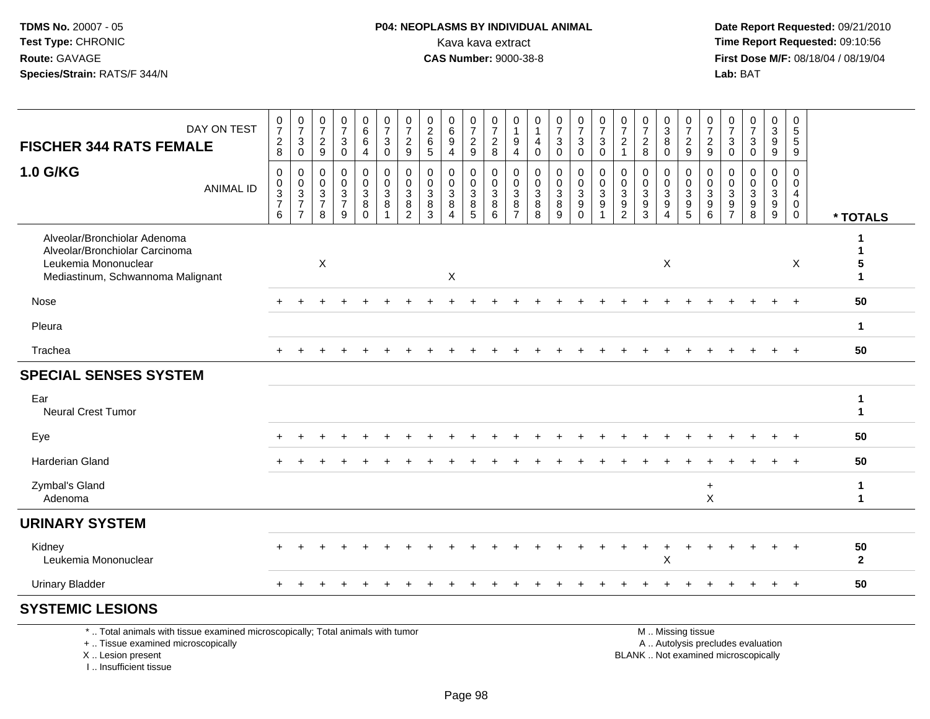I .. Insufficient tissue

# **P04: NEOPLASMS BY INDIVIDUAL ANIMAL**<br>Kava kava extract Kava kava extract **Time Report Requested:** 09:10:56<br>**CAS Number:** 9000-38-8 **CAS Number:** 9000-38-8

 **Date Report Requested:** 09/21/2010 **First Dose M/F:** 08/18/04 / 08/19/04 Lab: BAT **Lab:** BAT

| DAY ON TEST<br><b>FISCHER 344 RATS FEMALE</b>                                                                               |                                                                                                                       | $\frac{0}{7}$<br>$\frac{2}{8}$                                       | $\frac{0}{7}$<br>$\ensuremath{\mathsf{3}}$<br>$\mathbf 0$               | $\frac{0}{7}$<br>$\frac{2}{9}$                                     | $\frac{0}{7}$<br>$\ensuremath{\mathsf{3}}$<br>$\mathbf 0$ | 0<br>$6\phantom{a}$<br>6<br>$\overline{4}$                                      | $\frac{0}{7}$<br>$\sqrt{3}$<br>$\mathbf 0$                           | 0<br>$\overline{7}$<br>$\overline{2}$<br>9                               | $\pmb{0}$<br>$\frac{2}{6}$<br>5                               | $_6^0$<br>$\boldsymbol{9}$<br>4               | $\frac{0}{7}$<br>$\frac{2}{9}$                                          | $\boldsymbol{0}$<br>$\overline{7}$<br>$^2_{\bf 8}$                                 | 0<br>$\overline{1}$<br>9<br>$\overline{4}$         | $\mathbf 0$<br>$\mathbf{1}$<br>$\overline{4}$<br>$\mathbf 0$ | $\frac{0}{7}$<br>$\mathbf{3}$<br>$\mathbf 0$                                                  | $\frac{0}{7}$<br>$\mathbf{3}$<br>$\mathbf 0$                                | $\frac{0}{7}$<br>3<br>$\mathbf 0$          | $\frac{0}{7}$<br>$\frac{2}{1}$ | $\frac{0}{7}$<br>$\frac{2}{8}$                                                            | $\begin{array}{c} 0 \\ 3 \\ 8 \end{array}$<br>$\mathbf 0$                    | $\frac{0}{7}$<br>$\frac{2}{9}$                                      | 0<br>$\overline{7}$<br>$\frac{2}{9}$                               | $\frac{0}{7}$<br>$\ensuremath{\mathsf{3}}$<br>$\Omega$                                     | $\frac{0}{7}$<br>3<br>$\Omega$                 | 0<br>9<br>9                                                   | 0<br>$\,$ 5 $\,$<br>$\sqrt{5}$<br>9       |                    |
|-----------------------------------------------------------------------------------------------------------------------------|-----------------------------------------------------------------------------------------------------------------------|----------------------------------------------------------------------|-------------------------------------------------------------------------|--------------------------------------------------------------------|-----------------------------------------------------------|---------------------------------------------------------------------------------|----------------------------------------------------------------------|--------------------------------------------------------------------------|---------------------------------------------------------------|-----------------------------------------------|-------------------------------------------------------------------------|------------------------------------------------------------------------------------|----------------------------------------------------|--------------------------------------------------------------|-----------------------------------------------------------------------------------------------|-----------------------------------------------------------------------------|--------------------------------------------|--------------------------------|-------------------------------------------------------------------------------------------|------------------------------------------------------------------------------|---------------------------------------------------------------------|--------------------------------------------------------------------|--------------------------------------------------------------------------------------------|------------------------------------------------|---------------------------------------------------------------|-------------------------------------------|--------------------|
| 1.0 G/KG                                                                                                                    | <b>ANIMAL ID</b>                                                                                                      | $\mathbf 0$<br>0<br>$\ensuremath{\mathsf{3}}$<br>$\overline{7}$<br>6 | 0<br>0<br>$\ensuremath{\mathsf{3}}$<br>$\overline{7}$<br>$\overline{7}$ | $\mathbf 0$<br>$\mathbf{0}$<br>$\mathbf{3}$<br>$\overline{7}$<br>8 | $\mathbf 0$<br>0<br>$\frac{3}{7}$<br>9                    | $\mathbf{0}$<br>$\mathbf 0$<br>$\ensuremath{\mathsf{3}}$<br>$\bf 8$<br>$\Omega$ | $\mathbf 0$<br>$\mathbf 0$<br>$\mathbf{3}$<br>$\, 8$<br>$\mathbf{1}$ | $\mathbf 0$<br>$\mathbf{0}$<br>$\mathbf{3}$<br>$\bf 8$<br>$\overline{2}$ | $\mathbf 0$<br>0<br>$\ensuremath{\mathsf{3}}$<br>$\,8\,$<br>3 | 0<br>0<br>$\mathbf{3}$<br>8<br>$\overline{4}$ | $\mathbf 0$<br>$\mathbf 0$<br>$\ensuremath{\mathsf{3}}$<br>$\bf 8$<br>5 | $\mathbf 0$<br>$\pmb{0}$<br>$\ensuremath{\mathsf{3}}$<br>$\bf 8$<br>$6\phantom{a}$ | $\mathbf 0$<br>0<br>3<br>$\bf 8$<br>$\overline{7}$ | $\mathbf 0$<br>0<br>$\mathbf{3}$<br>$\, 8$<br>8              | $\mathbf 0$<br>$\mathbf 0$<br>$\overline{3}$<br>$\frac{8}{9}$                                 | $\mathbf 0$<br>$\mathbf 0$<br>$\sqrt{3}$<br>$\boldsymbol{9}$<br>$\mathbf 0$ | $\mathbf 0$<br>0<br>3<br>9<br>$\mathbf{1}$ | 0<br>0<br>$\frac{3}{9}$        | $\mathbf 0$<br>$\pmb{0}$<br>$\ensuremath{\mathsf{3}}$<br>$\boldsymbol{9}$<br>$\mathbf{3}$ | $\mathbf 0$<br>$\mathbf 0$<br>$\sqrt{3}$<br>$\overline{9}$<br>$\overline{4}$ | $\mathbf 0$<br>$\mathbf 0$<br>$\mathbf{3}$<br>$\boldsymbol{9}$<br>5 | $\mathbf 0$<br>$\Omega$<br>3<br>$\boldsymbol{9}$<br>$6\phantom{1}$ | $\mathbf 0$<br>$\Omega$<br>$\ensuremath{\mathsf{3}}$<br>$\boldsymbol{9}$<br>$\overline{7}$ | $\mathbf 0$<br>0<br>3<br>$\boldsymbol{9}$<br>8 | $\mathbf 0$<br>$\mathbf 0$<br>$\overline{3}$<br>$\frac{9}{9}$ | $\mathbf 0$<br>0<br>4<br>0<br>$\mathbf 0$ | * TOTALS           |
| Alveolar/Bronchiolar Adenoma<br>Alveolar/Bronchiolar Carcinoma<br>Leukemia Mononuclear<br>Mediastinum, Schwannoma Malignant |                                                                                                                       |                                                                      |                                                                         | $\mathsf X$                                                        |                                                           |                                                                                 |                                                                      |                                                                          |                                                               | X                                             |                                                                         |                                                                                    |                                                    |                                                              |                                                                                               |                                                                             |                                            |                                |                                                                                           | X                                                                            |                                                                     |                                                                    |                                                                                            |                                                |                                                               | X                                         | 1<br>1<br>5<br>1   |
| Nose                                                                                                                        |                                                                                                                       |                                                                      |                                                                         |                                                                    |                                                           |                                                                                 |                                                                      |                                                                          |                                                               |                                               |                                                                         |                                                                                    |                                                    |                                                              |                                                                                               |                                                                             |                                            |                                |                                                                                           |                                                                              |                                                                     |                                                                    |                                                                                            |                                                |                                                               | $\overline{1}$                            | 50                 |
| Pleura                                                                                                                      |                                                                                                                       |                                                                      |                                                                         |                                                                    |                                                           |                                                                                 |                                                                      |                                                                          |                                                               |                                               |                                                                         |                                                                                    |                                                    |                                                              |                                                                                               |                                                                             |                                            |                                |                                                                                           |                                                                              |                                                                     |                                                                    |                                                                                            |                                                |                                                               |                                           | $\mathbf 1$        |
| Trachea                                                                                                                     |                                                                                                                       |                                                                      |                                                                         |                                                                    |                                                           |                                                                                 |                                                                      |                                                                          |                                                               |                                               |                                                                         |                                                                                    |                                                    |                                                              |                                                                                               |                                                                             |                                            |                                |                                                                                           |                                                                              |                                                                     |                                                                    |                                                                                            |                                                |                                                               | $+$                                       | 50                 |
| <b>SPECIAL SENSES SYSTEM</b>                                                                                                |                                                                                                                       |                                                                      |                                                                         |                                                                    |                                                           |                                                                                 |                                                                      |                                                                          |                                                               |                                               |                                                                         |                                                                                    |                                                    |                                                              |                                                                                               |                                                                             |                                            |                                |                                                                                           |                                                                              |                                                                     |                                                                    |                                                                                            |                                                |                                                               |                                           |                    |
| Ear<br><b>Neural Crest Tumor</b>                                                                                            |                                                                                                                       |                                                                      |                                                                         |                                                                    |                                                           |                                                                                 |                                                                      |                                                                          |                                                               |                                               |                                                                         |                                                                                    |                                                    |                                                              |                                                                                               |                                                                             |                                            |                                |                                                                                           |                                                                              |                                                                     |                                                                    |                                                                                            |                                                |                                                               |                                           | 1<br>$\mathbf{1}$  |
| Eye                                                                                                                         |                                                                                                                       |                                                                      |                                                                         |                                                                    |                                                           |                                                                                 |                                                                      |                                                                          |                                                               |                                               |                                                                         |                                                                                    |                                                    |                                                              |                                                                                               |                                                                             |                                            |                                |                                                                                           |                                                                              |                                                                     |                                                                    |                                                                                            |                                                |                                                               | $\overline{+}$                            | 50                 |
| <b>Harderian Gland</b>                                                                                                      |                                                                                                                       |                                                                      |                                                                         |                                                                    |                                                           |                                                                                 |                                                                      |                                                                          |                                                               |                                               |                                                                         |                                                                                    |                                                    |                                                              |                                                                                               |                                                                             |                                            |                                |                                                                                           |                                                                              |                                                                     |                                                                    |                                                                                            |                                                |                                                               |                                           | 50                 |
| Zymbal's Gland<br>Adenoma                                                                                                   |                                                                                                                       |                                                                      |                                                                         |                                                                    |                                                           |                                                                                 |                                                                      |                                                                          |                                                               |                                               |                                                                         |                                                                                    |                                                    |                                                              |                                                                                               |                                                                             |                                            |                                |                                                                                           |                                                                              |                                                                     | $\ddot{}$<br>$\boldsymbol{\mathsf{X}}$                             |                                                                                            |                                                |                                                               |                                           | 1<br>$\mathbf 1$   |
| <b>URINARY SYSTEM</b>                                                                                                       |                                                                                                                       |                                                                      |                                                                         |                                                                    |                                                           |                                                                                 |                                                                      |                                                                          |                                                               |                                               |                                                                         |                                                                                    |                                                    |                                                              |                                                                                               |                                                                             |                                            |                                |                                                                                           |                                                                              |                                                                     |                                                                    |                                                                                            |                                                |                                                               |                                           |                    |
| Kidney<br>Leukemia Mononuclear                                                                                              |                                                                                                                       |                                                                      |                                                                         |                                                                    |                                                           |                                                                                 |                                                                      |                                                                          |                                                               |                                               |                                                                         |                                                                                    |                                                    |                                                              |                                                                                               |                                                                             |                                            |                                |                                                                                           | $\ddot{}$<br>X                                                               | $\div$                                                              |                                                                    |                                                                                            |                                                |                                                               |                                           | 50<br>$\mathbf{2}$ |
| <b>Urinary Bladder</b>                                                                                                      |                                                                                                                       |                                                                      |                                                                         |                                                                    |                                                           |                                                                                 |                                                                      |                                                                          |                                                               |                                               |                                                                         |                                                                                    |                                                    |                                                              |                                                                                               |                                                                             |                                            |                                |                                                                                           |                                                                              |                                                                     |                                                                    |                                                                                            |                                                | $+$                                                           | $+$                                       | 50                 |
| <b>SYSTEMIC LESIONS</b>                                                                                                     |                                                                                                                       |                                                                      |                                                                         |                                                                    |                                                           |                                                                                 |                                                                      |                                                                          |                                                               |                                               |                                                                         |                                                                                    |                                                    |                                                              |                                                                                               |                                                                             |                                            |                                |                                                                                           |                                                                              |                                                                     |                                                                    |                                                                                            |                                                |                                                               |                                           |                    |
| X  Lesion present                                                                                                           | *  Total animals with tissue examined microscopically; Total animals with tumor<br>+  Tissue examined microscopically |                                                                      |                                                                         |                                                                    |                                                           |                                                                                 |                                                                      |                                                                          |                                                               |                                               |                                                                         |                                                                                    |                                                    |                                                              | M  Missing tissue<br>A  Autolysis precludes evaluation<br>BLANK  Not examined microscopically |                                                                             |                                            |                                |                                                                                           |                                                                              |                                                                     |                                                                    |                                                                                            |                                                |                                                               |                                           |                    |